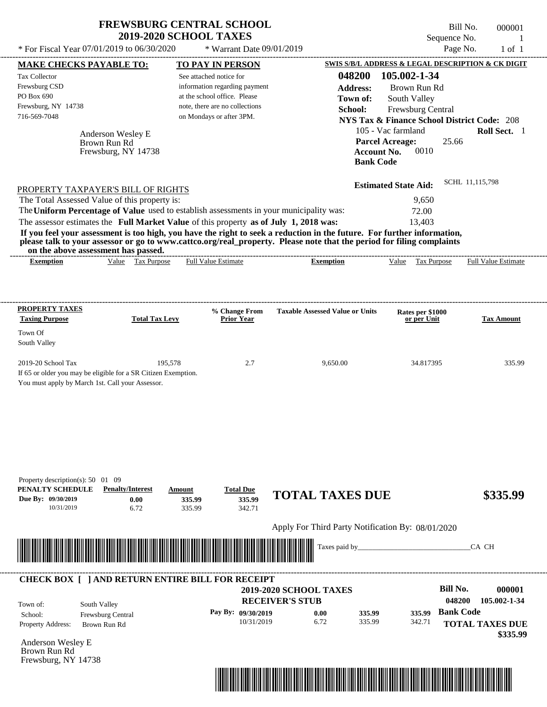| <b>FREWSBURG CENTRAL SCHOOL</b> |  |
|---------------------------------|--|
| <b>2019-2020 SCHOOL TAXES</b>   |  |

Bill No. 000001 Sequence No. 1

| * For Fiscal Year 07/01/2019 to 06/30/2020                                                                                                                                                                                                       |                       | * Warrant Date 09/01/2019                                     |                                                   |                                                        | Page No.               | $1$ of $1$                 |
|--------------------------------------------------------------------------------------------------------------------------------------------------------------------------------------------------------------------------------------------------|-----------------------|---------------------------------------------------------------|---------------------------------------------------|--------------------------------------------------------|------------------------|----------------------------|
| <b>MAKE CHECKS PAYABLE TO:</b>                                                                                                                                                                                                                   |                       | <b>TO PAY IN PERSON</b>                                       |                                                   | SWIS S/B/L ADDRESS & LEGAL DESCRIPTION & CK DIGIT      |                        |                            |
| Tax Collector                                                                                                                                                                                                                                    |                       | See attached notice for                                       | 048200                                            | 105.002-1-34                                           |                        |                            |
| Frewsburg CSD<br>PO Box 690                                                                                                                                                                                                                      |                       | information regarding payment<br>at the school office. Please | <b>Address:</b><br>Town of:                       | Brown Run Rd                                           |                        |                            |
| Frewsburg, NY 14738                                                                                                                                                                                                                              |                       | note, there are no collections                                | School:                                           | South Valley<br>Frewsburg Central                      |                        |                            |
| 716-569-7048                                                                                                                                                                                                                                     |                       | on Mondays or after 3PM.                                      |                                                   | <b>NYS Tax &amp; Finance School District Code: 208</b> |                        |                            |
| Anderson Wesley E                                                                                                                                                                                                                                |                       |                                                               |                                                   | 105 - Vac farmland                                     |                        | Roll Sect. 1               |
| Brown Run Rd                                                                                                                                                                                                                                     |                       |                                                               |                                                   | <b>Parcel Acreage:</b>                                 | 25.66                  |                            |
| Frewsburg, NY 14738                                                                                                                                                                                                                              |                       |                                                               | <b>Account No.</b>                                | 0010                                                   |                        |                            |
|                                                                                                                                                                                                                                                  |                       |                                                               | <b>Bank Code</b>                                  |                                                        |                        |                            |
| PROPERTY TAXPAYER'S BILL OF RIGHTS                                                                                                                                                                                                               |                       |                                                               |                                                   | <b>Estimated State Aid:</b>                            | SCHL 11,115,798        |                            |
| The Total Assessed Value of this property is:                                                                                                                                                                                                    |                       |                                                               |                                                   | 9,650                                                  |                        |                            |
| The Uniform Percentage of Value used to establish assessments in your municipality was:                                                                                                                                                          |                       |                                                               |                                                   | 72.00                                                  |                        |                            |
| The assessor estimates the Full Market Value of this property as of July 1, 2018 was:                                                                                                                                                            |                       |                                                               |                                                   | 13,403                                                 |                        |                            |
| If you feel your assessment is too high, you have the right to seek a reduction in the future. For further information,<br>please talk to your assessor or go to www.cattco.org/real_property. Please note that the period for filing complaints |                       |                                                               |                                                   |                                                        |                        |                            |
| on the above assessment has passed.<br><b>Exemption</b>                                                                                                                                                                                          | Value Tax Purpose     | <b>Full Value Estimate</b>                                    | <b>Exemption</b>                                  | Value Tax Purpose                                      |                        | <b>Full Value Estimate</b> |
|                                                                                                                                                                                                                                                  |                       |                                                               |                                                   |                                                        |                        |                            |
|                                                                                                                                                                                                                                                  |                       |                                                               |                                                   |                                                        |                        |                            |
| <b>PROPERTY TAXES</b>                                                                                                                                                                                                                            |                       | % Change From                                                 | <b>Taxable Assessed Value or Units</b>            | Rates per \$1000                                       |                        |                            |
| <b>Taxing Purpose</b>                                                                                                                                                                                                                            | <b>Total Tax Levy</b> | <b>Prior Year</b>                                             |                                                   | or per Unit                                            |                        | <b>Tax Amount</b>          |
| Town Of                                                                                                                                                                                                                                          |                       |                                                               |                                                   |                                                        |                        |                            |
| South Valley                                                                                                                                                                                                                                     |                       |                                                               |                                                   |                                                        |                        |                            |
| 2019-20 School Tax                                                                                                                                                                                                                               | 195,578               | 2.7                                                           | 9,650.00                                          | 34.817395                                              |                        | 335.99                     |
| If 65 or older you may be eligible for a SR Citizen Exemption.                                                                                                                                                                                   |                       |                                                               |                                                   |                                                        |                        |                            |
| You must apply by March 1st. Call your Assessor.                                                                                                                                                                                                 |                       |                                                               |                                                   |                                                        |                        |                            |
|                                                                                                                                                                                                                                                  |                       |                                                               |                                                   |                                                        |                        |                            |
|                                                                                                                                                                                                                                                  |                       |                                                               |                                                   |                                                        |                        |                            |
|                                                                                                                                                                                                                                                  |                       |                                                               |                                                   |                                                        |                        |                            |
|                                                                                                                                                                                                                                                  |                       |                                                               |                                                   |                                                        |                        |                            |
|                                                                                                                                                                                                                                                  |                       |                                                               |                                                   |                                                        |                        |                            |
|                                                                                                                                                                                                                                                  |                       |                                                               |                                                   |                                                        |                        |                            |
| Property description(s): 50 01 09<br>PENALTY SCHEDULE<br><b>Penalty/Interest</b>                                                                                                                                                                 | Amount                | <b>Total Due</b>                                              |                                                   |                                                        |                        |                            |
| Due By: 09/30/2019                                                                                                                                                                                                                               | 335.99<br>0.00        | 335.99                                                        | <b>TOTAL TAXES DUE</b>                            |                                                        |                        | \$335.99                   |
| 10/31/2019                                                                                                                                                                                                                                       | 6.72<br>335.99        | 342.71                                                        |                                                   |                                                        |                        |                            |
|                                                                                                                                                                                                                                                  |                       |                                                               | Apply For Third Party Notification By: 08/01/2020 |                                                        |                        |                            |
| <u> 1999 - Andrew Maria Maria Maria Maria Maria Maria Maria Maria Maria Maria Maria Maria Maria Maria Maria Mari</u>                                                                                                                             |                       |                                                               | Taxes paid by_                                    |                                                        | CA CH                  |                            |
|                                                                                                                                                                                                                                                  |                       |                                                               |                                                   |                                                        |                        |                            |
| <b>CHECK BOX [ ] AND RETURN ENTIRE BILL FOR RECEIPT</b>                                                                                                                                                                                          |                       |                                                               |                                                   |                                                        |                        |                            |
|                                                                                                                                                                                                                                                  |                       |                                                               | 2019-2020 SCHOOL TAXES                            |                                                        | <b>Bill No.</b>        | 000001                     |
| South Valley<br>Town of:                                                                                                                                                                                                                         |                       |                                                               | <b>RECEIVER'S STUB</b>                            |                                                        | 048200                 | 105.002-1-34               |
| Frewsburg Central<br>School:                                                                                                                                                                                                                     |                       | Pay By: 09/30/2019<br>10/31/2019                              | 0.00<br>335.99<br>6.72<br>335.99                  | 335.99<br>342.71                                       | <b>Bank Code</b>       |                            |
| Property Address:<br>Brown Run Rd                                                                                                                                                                                                                |                       |                                                               |                                                   |                                                        | <b>TOTAL TAXES DUE</b> | \$335.99                   |
| Anderson Wesley E                                                                                                                                                                                                                                |                       |                                                               |                                                   |                                                        |                        |                            |
| Brown Run Rd                                                                                                                                                                                                                                     |                       |                                                               |                                                   |                                                        |                        |                            |
| Frewsburg, NY 14738                                                                                                                                                                                                                              |                       |                                                               |                                                   |                                                        |                        |                            |
|                                                                                                                                                                                                                                                  |                       |                                                               |                                                   |                                                        |                        |                            |
|                                                                                                                                                                                                                                                  |                       |                                                               |                                                   |                                                        |                        |                            |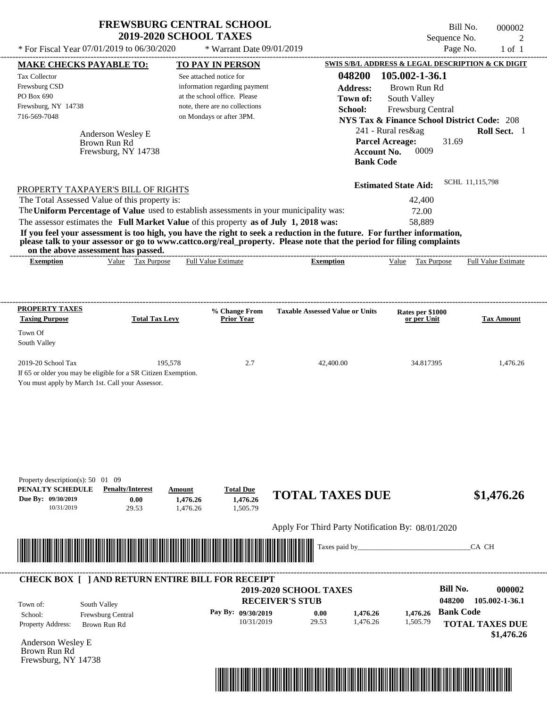| <b>FREWSBURG CENTRAL SCHOOL</b> |
|---------------------------------|
| <b>2019-2020 SCHOOL TAXES</b>   |

Bill No. 000002 Sequence No. 2

|                                                                                     |                                   | * For Fiscal Year 07/01/2019 to 06/30/2020<br>* Warrant Date 09/01/2019                 |                                                                                                                         | Page No.                                                                    |                            |
|-------------------------------------------------------------------------------------|-----------------------------------|-----------------------------------------------------------------------------------------|-------------------------------------------------------------------------------------------------------------------------|-----------------------------------------------------------------------------|----------------------------|
| <b>MAKE CHECKS PAYABLE TO:</b>                                                      |                                   | <b>TO PAY IN PERSON</b>                                                                 |                                                                                                                         | SWIS S/B/L ADDRESS & LEGAL DESCRIPTION & CK DIGIT                           |                            |
| Tax Collector                                                                       |                                   | See attached notice for                                                                 | 048200                                                                                                                  | 105.002-1-36.1                                                              |                            |
| Frewsburg CSD<br>PO Box 690                                                         |                                   | information regarding payment<br>at the school office. Please                           | <b>Address:</b>                                                                                                         | Brown Run Rd                                                                |                            |
| Frewsburg, NY 14738                                                                 |                                   | note, there are no collections                                                          | Town of:                                                                                                                | South Valley                                                                |                            |
| 716-569-7048                                                                        |                                   | on Mondays or after 3PM.                                                                | School:                                                                                                                 | Frewsburg Central<br><b>NYS Tax &amp; Finance School District Code: 208</b> |                            |
|                                                                                     |                                   |                                                                                         |                                                                                                                         | 241 - Rural res&ag                                                          | Roll Sect. 1               |
|                                                                                     | Anderson Wesley E<br>Brown Run Rd |                                                                                         |                                                                                                                         | <b>Parcel Acreage:</b><br>31.69                                             |                            |
|                                                                                     | Frewsburg, NY 14738               |                                                                                         | <b>Account No.</b>                                                                                                      | 0009                                                                        |                            |
|                                                                                     |                                   |                                                                                         | <b>Bank Code</b>                                                                                                        |                                                                             |                            |
|                                                                                     |                                   |                                                                                         |                                                                                                                         | <b>Estimated State Aid:</b>                                                 | SCHL 11,115,798            |
| PROPERTY TAXPAYER'S BILL OF RIGHTS<br>The Total Assessed Value of this property is: |                                   |                                                                                         |                                                                                                                         | 42,400                                                                      |                            |
|                                                                                     |                                   | The Uniform Percentage of Value used to establish assessments in your municipality was: |                                                                                                                         | 72.00                                                                       |                            |
|                                                                                     |                                   | The assessor estimates the Full Market Value of this property as of July 1, 2018 was:   |                                                                                                                         | 58,889                                                                      |                            |
|                                                                                     |                                   |                                                                                         | If you feel your assessment is too high, you have the right to seek a reduction in the future. For further information, |                                                                             |                            |
| on the above assessment has passed.                                                 |                                   |                                                                                         | please talk to your assessor or go to www.cattco.org/real_property. Please note that the period for filing complaints   |                                                                             |                            |
| <b>Exemption</b>                                                                    | Value Tax Purpose                 | <b>Full Value Estimate</b>                                                              | -------------------------------------<br><b>Exemption</b>                                                               | Value Tax Purpose                                                           | <b>Full Value Estimate</b> |
|                                                                                     |                                   |                                                                                         |                                                                                                                         |                                                                             |                            |
|                                                                                     |                                   |                                                                                         |                                                                                                                         |                                                                             |                            |
| <b>PROPERTY TAXES</b>                                                               |                                   |                                                                                         |                                                                                                                         |                                                                             |                            |
| <b>Taxing Purpose</b>                                                               | <b>Total Tax Levy</b>             | % Change From<br><b>Prior Year</b>                                                      | <b>Taxable Assessed Value or Units</b>                                                                                  | Rates per \$1000<br>or per Unit                                             | <b>Tax Amount</b>          |
| Town Of                                                                             |                                   |                                                                                         |                                                                                                                         |                                                                             |                            |
| South Valley                                                                        |                                   |                                                                                         |                                                                                                                         |                                                                             |                            |
|                                                                                     |                                   |                                                                                         |                                                                                                                         |                                                                             |                            |
|                                                                                     |                                   |                                                                                         |                                                                                                                         |                                                                             |                            |
| 2019-20 School Tax                                                                  | 195,578                           | 2.7                                                                                     | 42,400.00                                                                                                               | 34.817395                                                                   | 1,476.26                   |
| If 65 or older you may be eligible for a SR Citizen Exemption.                      |                                   |                                                                                         |                                                                                                                         |                                                                             |                            |
| You must apply by March 1st. Call your Assessor.                                    |                                   |                                                                                         |                                                                                                                         |                                                                             |                            |
|                                                                                     |                                   |                                                                                         |                                                                                                                         |                                                                             |                            |
|                                                                                     |                                   |                                                                                         |                                                                                                                         |                                                                             |                            |
|                                                                                     |                                   |                                                                                         |                                                                                                                         |                                                                             |                            |
|                                                                                     |                                   |                                                                                         |                                                                                                                         |                                                                             |                            |
|                                                                                     |                                   |                                                                                         |                                                                                                                         |                                                                             |                            |
|                                                                                     |                                   |                                                                                         |                                                                                                                         |                                                                             |                            |
| Property description(s): $50 \quad 01 \quad 09$<br>PENALTY SCHEDULE                 | <b>Penalty/Interest</b>           | Amount                                                                                  |                                                                                                                         |                                                                             |                            |
| Due By: 09/30/2019                                                                  | 0.00                              | <b>Total Due</b><br>1,476.26<br>1,476.26                                                | <b>TOTAL TAXES DUE</b>                                                                                                  |                                                                             | \$1,476.26                 |
| 10/31/2019                                                                          | 29.53                             | 1,505.79<br>1,476.26                                                                    |                                                                                                                         |                                                                             |                            |
|                                                                                     |                                   |                                                                                         | Apply For Third Party Notification By: 08/01/2020                                                                       |                                                                             |                            |
|                                                                                     |                                   |                                                                                         |                                                                                                                         |                                                                             |                            |
|                                                                                     |                                   |                                                                                         | Taxes paid by_                                                                                                          |                                                                             | CA CH                      |
|                                                                                     |                                   |                                                                                         |                                                                                                                         |                                                                             |                            |
|                                                                                     |                                   | <b>CHECK BOX [ ] AND RETURN ENTIRE BILL FOR RECEIPT</b>                                 |                                                                                                                         |                                                                             |                            |
|                                                                                     |                                   |                                                                                         | 2019-2020 SCHOOL TAXES                                                                                                  | <b>Bill No.</b>                                                             |                            |
| South Valley<br>Town of:                                                            |                                   |                                                                                         | <b>RECEIVER'S STUB</b>                                                                                                  | 048200                                                                      |                            |
| School:                                                                             | Frewsburg Central                 | Pay By: 09/30/2019                                                                      | 0.00<br>1,476.26                                                                                                        | 1,476.26 Bank Code                                                          | 000002<br>105.002-1-36.1   |
| Property Address:                                                                   | Brown Run Rd                      | 10/31/2019                                                                              | 29.53<br>1,476.26                                                                                                       | 1,505.79                                                                    | <b>TOTAL TAXES DUE</b>     |
|                                                                                     |                                   |                                                                                         |                                                                                                                         |                                                                             | \$1,476.26                 |
| Anderson Wesley E<br>Brown Run Rd<br>Frewsburg, NY 14738                            |                                   |                                                                                         |                                                                                                                         |                                                                             |                            |

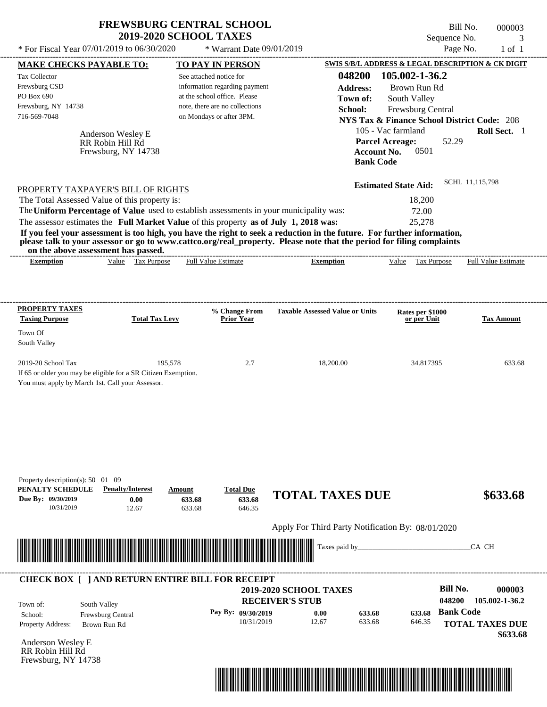| 000003<br>3                | Bill No.<br>Sequence No.                                                                         |                  | <b>2019-2020 SCHOOL TAXES</b>  |                                                                                                                                                                                                                                                                                         |
|----------------------------|--------------------------------------------------------------------------------------------------|------------------|--------------------------------|-----------------------------------------------------------------------------------------------------------------------------------------------------------------------------------------------------------------------------------------------------------------------------------------|
| $1$ of $1$                 | Page No.                                                                                         |                  | * Warrant Date 09/01/2019      | * For Fiscal Year 07/01/2019 to 06/30/2020                                                                                                                                                                                                                                              |
|                            | SWIS S/B/L ADDRESS & LEGAL DESCRIPTION & CK DIGIT                                                |                  | <b>TO PAY IN PERSON</b>        | <b>MAKE CHECKS PAYABLE TO:</b>                                                                                                                                                                                                                                                          |
|                            | 105.002-1-36.2                                                                                   | 048200           | See attached notice for        | <b>Tax Collector</b>                                                                                                                                                                                                                                                                    |
|                            | Brown Run Rd                                                                                     | <b>Address:</b>  | information regarding payment  | Frewsburg CSD                                                                                                                                                                                                                                                                           |
|                            | South Valley                                                                                     | Town of:         | at the school office. Please   | PO Box 690                                                                                                                                                                                                                                                                              |
|                            | Frewsburg Central                                                                                | School:          | note, there are no collections | Frewsburg, NY 14738                                                                                                                                                                                                                                                                     |
|                            | <b>NYS Tax &amp; Finance School District Code: 208</b>                                           |                  | on Mondays or after 3PM.       | 716-569-7048                                                                                                                                                                                                                                                                            |
| <b>Roll Sect.</b> 1        | 105 - Vac farmland<br><b>Parcel Acreage:</b><br>52.29<br>0501<br>Account No.<br><b>Bank Code</b> |                  |                                | Anderson Wesley E<br>RR Robin Hill Rd<br>Frewsburg, NY 14738                                                                                                                                                                                                                            |
| SCHL 11.115.798            | <b>Estimated State Aid:</b>                                                                      |                  |                                | PROPERTY TAXPAYER'S BILL OF RIGHTS                                                                                                                                                                                                                                                      |
|                            | 18,200                                                                                           |                  |                                | The Total Assessed Value of this property is:                                                                                                                                                                                                                                           |
|                            | 72.00                                                                                            |                  |                                | The Uniform Percentage of Value used to establish assessments in your municipality was:                                                                                                                                                                                                 |
|                            | 25,278                                                                                           |                  |                                | The assessor estimates the Full Market Value of this property as of July 1, 2018 was:                                                                                                                                                                                                   |
|                            |                                                                                                  |                  |                                | If you feel your assessment is too high, you have the right to seek a reduction in the future. For further information,<br>please talk to your assessor or go to www.cattco.org/real_property. Please note that the period for filing complaints<br>on the above assessment has passed. |
| <b>Full Value Estimate</b> | Value<br><b>Tax Purpose</b>                                                                      | <b>Exemption</b> | <b>Full Value Estimate</b>     | Value Tax Purpose<br><b>Exemption</b>                                                                                                                                                                                                                                                   |

| <b>PROPERTY TAXES</b><br><b>Taxing Purpose</b>   | <b>Total Tax Levy</b>                                          | % Change From<br><b>Prior Year</b> | <b>Taxable Assessed Value or Units</b> | <b>Rates per \$1000<br/>or per Unit</b> | <b>Tax Amount</b> |
|--------------------------------------------------|----------------------------------------------------------------|------------------------------------|----------------------------------------|-----------------------------------------|-------------------|
| Town Of                                          |                                                                |                                    |                                        |                                         |                   |
| South Valley                                     |                                                                |                                    |                                        |                                         |                   |
| $2019-20$ School Tax                             | 195,578                                                        | 2.7                                | 18,200.00                              | 34.817395                               | 633.68            |
|                                                  | If 65 or older you may be eligible for a SR Citizen Exemption. |                                    |                                        |                                         |                   |
| You must apply by March 1st. Call your Assessor. |                                                                |                                    |                                        |                                         |                   |

| <b>Penalty/Interest</b><br>0.00<br>12.67 | Amount<br>633.68<br>633.68                        | <b>Total Due</b><br>633.68<br>646.35 | <b>TOTAL TAXES DUE</b>           |                                                                                                                                                                                                                                                        | \$633.68                                                                     |
|------------------------------------------|---------------------------------------------------|--------------------------------------|----------------------------------|--------------------------------------------------------------------------------------------------------------------------------------------------------------------------------------------------------------------------------------------------------|------------------------------------------------------------------------------|
|                                          |                                                   |                                      |                                  |                                                                                                                                                                                                                                                        |                                                                              |
|                                          |                                                   |                                      |                                  |                                                                                                                                                                                                                                                        | CA CH                                                                        |
|                                          |                                                   |                                      |                                  |                                                                                                                                                                                                                                                        |                                                                              |
|                                          |                                                   |                                      |                                  |                                                                                                                                                                                                                                                        | <b>Bill No.</b><br>000003                                                    |
|                                          |                                                   |                                      |                                  |                                                                                                                                                                                                                                                        | 048200<br>105.002-1-36.2                                                     |
|                                          |                                                   |                                      | 0.00<br>633.68                   | 633.68                                                                                                                                                                                                                                                 | <b>Bank Code</b>                                                             |
|                                          |                                                   |                                      |                                  |                                                                                                                                                                                                                                                        | <b>TOTAL TAXES DUE</b><br>\$633.68                                           |
|                                          |                                                   |                                      |                                  |                                                                                                                                                                                                                                                        |                                                                              |
|                                          |                                                   |                                      |                                  |                                                                                                                                                                                                                                                        |                                                                              |
|                                          | South Valley<br>Frewsburg Central<br>Brown Run Rd |                                      | Pay By: 09/30/2019<br>10/31/2019 | <u> Alimento de la contrada de la contrada de la contrada de la contrada de la contrada de la contrada de la con</u><br>CHECK BOX [ ] AND RETURN ENTIRE BILL FOR RECEIPT<br><b>2019-2020 SCHOOL TAXES</b><br><b>RECEIVER'S STUB</b><br>633.68<br>12.67 | Apply For Third Party Notification By: 08/01/2020<br>Taxes paid by<br>646.35 |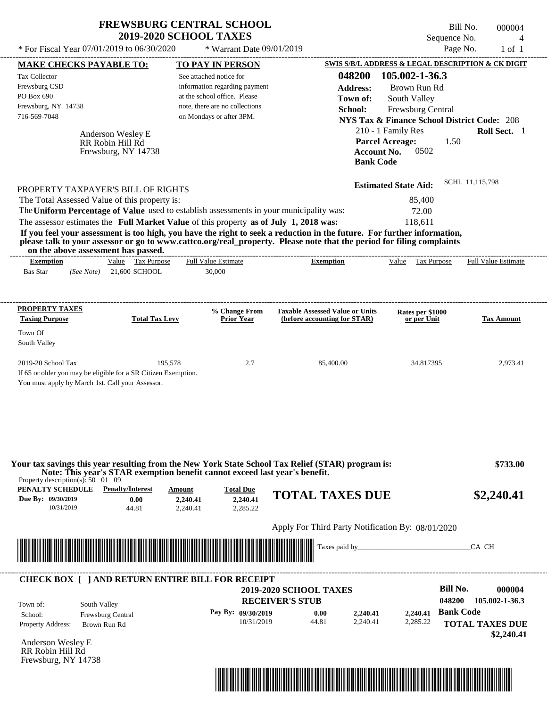|                                                                                                                                                                                                                                                                                         | <b>FREWSBURG CENTRAL SCHOOL</b><br><b>2019-2020 SCHOOL TAXES</b>                                                                                       |                                                                        | Sequence No.                                                                                                                  | Bill No.<br>000004<br>$\boldsymbol{\vartriangle}$ |
|-----------------------------------------------------------------------------------------------------------------------------------------------------------------------------------------------------------------------------------------------------------------------------------------|--------------------------------------------------------------------------------------------------------------------------------------------------------|------------------------------------------------------------------------|-------------------------------------------------------------------------------------------------------------------------------|---------------------------------------------------|
| * For Fiscal Year 07/01/2019 to 06/30/2020                                                                                                                                                                                                                                              | * Warrant Date 09/01/2019                                                                                                                              |                                                                        | Page No.                                                                                                                      | $1$ of $1$                                        |
| <b>MAKE CHECKS PAYABLE TO:</b>                                                                                                                                                                                                                                                          | <b>TO PAY IN PERSON</b>                                                                                                                                |                                                                        | SWIS S/B/L ADDRESS & LEGAL DESCRIPTION & CK DIGIT                                                                             |                                                   |
| <b>Tax Collector</b><br>Frewsburg CSD<br>PO Box 690<br>Frewsburg, NY 14738<br>716-569-7048                                                                                                                                                                                              | See attached notice for<br>information regarding payment<br>at the school office. Please<br>note, there are no collections<br>on Mondays or after 3PM. | 048200<br>Address:<br>Town of:<br>School:                              | 105.002-1-36.3<br>Brown Run Rd<br>South Valley<br>Frewsburg Central<br><b>NYS Tax &amp; Finance School District Code: 208</b> |                                                   |
| Anderson Wesley E<br>RR Robin Hill Rd<br>Frewsburg, NY 14738                                                                                                                                                                                                                            |                                                                                                                                                        | <b>Account No.</b><br><b>Bank Code</b>                                 | 210 - 1 Family Res<br><b>Parcel Acreage:</b><br>1.50<br>0502                                                                  | Roll Sect. 1                                      |
|                                                                                                                                                                                                                                                                                         |                                                                                                                                                        |                                                                        | <b>Estimated State Aid:</b>                                                                                                   | SCHL 11,115,798                                   |
| The Total Assessed Value of this property is:<br>The Uniform Percentage of Value used to establish assessments in your municipality was:<br>The assessor estimates the Full Market Value of this property as of July 1, 2018 was:                                                       |                                                                                                                                                        |                                                                        | 85,400<br>72.00<br>118.611                                                                                                    |                                                   |
| If you feel your assessment is too high, you have the right to seek a reduction in the future. For further information,<br>please talk to your assessor or go to www.cattco.org/real property. Please note that the period for filing complaints<br>on the above assessment has passed. |                                                                                                                                                        |                                                                        |                                                                                                                               |                                                   |
| Value Tax Purpose<br><b>Exemption</b><br>21,600 SCHOOL<br><b>Bas Star</b><br>(See Note)                                                                                                                                                                                                 | <b>Full Value Estimate</b><br>30,000                                                                                                                   | <b>Exemption</b>                                                       | Value<br>Tax Purpose                                                                                                          |                                                   |
| <b>Taxing Purpose</b>                                                                                                                                                                                                                                                                   | % Change From<br><b>Total Tax Levy</b><br><b>Prior Year</b>                                                                                            | <b>Taxable Assessed Value or Units</b><br>(before accounting for STAR) | Rates per \$1000<br>or per Unit                                                                                               | <b>Full Value Estimate</b><br><b>Tax Amount</b>   |
| PROPERTY TAXPAYER'S BILL OF RIGHTS<br><b>PROPERTY TAXES</b><br>Town Of<br>South Valley                                                                                                                                                                                                  |                                                                                                                                                        |                                                                        |                                                                                                                               |                                                   |

| 44.81             | 2,240.41<br>2.240.41 | 2,240.41<br>2.285.22 |      | <b>TOTAL TAXES DUE</b>                                                                                                         |                                           |                           | \$2,240.41                                                                           |
|-------------------|----------------------|----------------------|------|--------------------------------------------------------------------------------------------------------------------------------|-------------------------------------------|---------------------------|--------------------------------------------------------------------------------------|
|                   |                      |                      |      |                                                                                                                                |                                           |                           |                                                                                      |
|                   |                      |                      |      |                                                                                                                                |                                           |                           |                                                                                      |
|                   |                      |                      |      |                                                                                                                                |                                           | Bill No.                  | 000004                                                                               |
| South Valley      |                      |                      |      |                                                                                                                                |                                           | 048200                    | 105.002-1-36.3                                                                       |
| Frewsburg Central |                      |                      | 0.00 | 2,240.41                                                                                                                       | 2,240.41                                  | <b>Bank Code</b>          |                                                                                      |
|                   |                      |                      |      |                                                                                                                                |                                           |                           | \$2,240.41                                                                           |
| Anderson Wesley E |                      |                      |      |                                                                                                                                |                                           |                           |                                                                                      |
|                   |                      |                      |      |                                                                                                                                |                                           |                           |                                                                                      |
|                   | Brown Run Rd         |                      |      | <b>CHECK BOX [ ] AND RETURN ENTIRE BILL FOR RECEIPT</b><br><b>RECEIVER'S STUB</b><br>Pay By: 09/30/2019<br>10/31/2019<br>44.81 | <b>2019-2020 SCHOOL TAXES</b><br>2.240.41 | Taxes paid by<br>2.285.22 | Apply For Third Party Notification By: 08/01/2020<br>CA CH<br><b>TOTAL TAXES DUE</b> |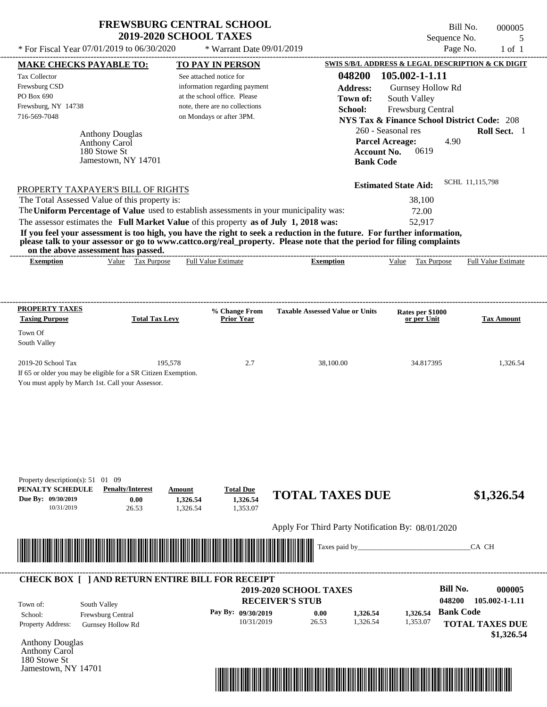Tax Collector Frewsburg CSD PO Box 690

Town Of South Valley

---------------------------------------------------------------------------------------------------------------------------------------------------------------------------------------------------- Anthony Douglas If 65 or older you may be eligible for a SR Citizen Exemption. You must apply by March 1st. Call your Assessor. Bill No. 000005 Sequence No. 5 \* For Fiscal Year  $07/01/2019$  to  $06/30/2020$  \* Warrant Date  $09/01/2019$  Page No. 1 of 1 **MAKE CHECKS PAYABLE TO: TO PAY IN PERSON SWIS S/B/L ADDRESS & LEGAL DESCRIPTION & CK DIGIT 048200 105.002-1-1.11 Address:** Gurnsey Hollow Rd South Valley **School:** Frewsburg Central **NYS Tax & Finance School District Code:** 208 260 - Seasonal res **Roll Sect.** 1 4.90 **Account No.** 0619 **Bank Code Estimated State Aid:** SCHL 11,115,798 PROPERTY TAXPAYER'S BILL OF RIGHTS The assessor estimates the **Full Market Value** of this property **as of July 1, 2018 was:** 52,917 The Total Assessed Value of this property is: 38,100 The **Uniform Percentage of Value** used to establish assessments in your municipality was: 72.00 **If you feel your assessment is too high, you have the right to seek a reduction in the future. For further information, please talk to your assessor or go to www.cattco.org/real\_property. Please note that the period for filing complaints on the above assessment has passed. Exemption** Value Tax Purpose **PROPERTY TAXES Taxing Purpose Total Tax Levy Prior Year % Change From Taxable Assessed Value or Units or per Unit Rates per \$1000 Tax Amount PENALTY SCHEDULE Penalty/Interest Amount Total Due Due By: 09/30/2019** 10/31/2019 26.53 **0.00** 1,326.54 **1,326.54** 1,353.07 **1,326.54 TOTAL TAXES DUE \$1,326.54** Apply For Third Party Notification By: 08/01/2020 See attached notice for information regarding payment at the school office. Please note, there are no collections Frewsburg, NY 14738 \* Warrant Date 09/01/2019 716-569-7048 on Mondays or after 3PM. **Parcel Acreage:** 2019-20 School Tax 195,578 2.7 38,100.00 34.817395 1,326.54 Anthony Carol Full Value Estimate Taxes paid by\_\_\_\_\_\_\_\_\_\_\_\_\_\_\_\_\_\_\_\_\_\_\_\_\_\_\_\_\_\_\_CA CH ---------------------------------------------------------------------------------------------------------------------------------------------------------------------------------------------------- ---------------------------------------------------------------------------------------------------------------------------------------------------------------------------------------------------- Property description(s): 51 01 09 **Town of:** 180 Stowe St Jamestown, NY 14701 **Exemption** Value Tax Purpose Full Value Estimate \*04820000000500000000132654\*



Anthony Carol 180 Stowe St Jamestown, NY 14701

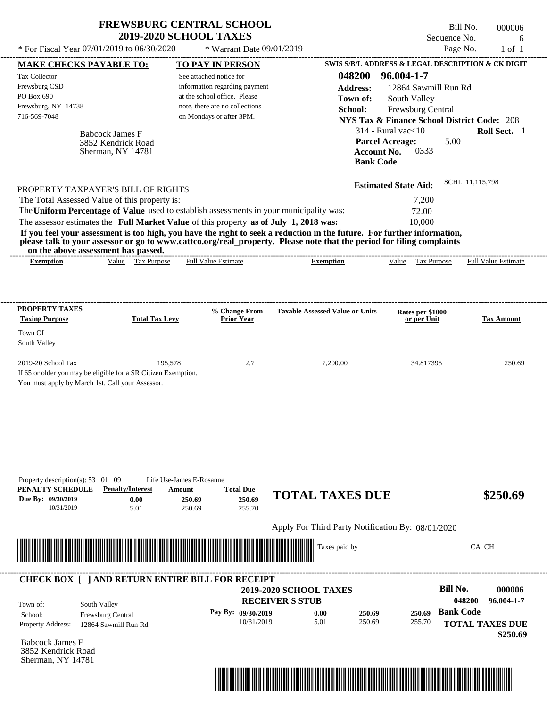| * For Fiscal Year $07/01/2019$ to $06/30/2020$                                                                                                                                             | <b>FREWSBURG CENTRAL SCHOOL</b><br><b>2019-2020 SCHOOL TAXES</b><br>* Warrant Date $09/01/2019$                                                                                   | Bill No.<br>000006<br>Sequence No.<br>6<br>Page No.<br>$1$ of $1$                                                                                                                                                                                                                                                                                                                        |
|--------------------------------------------------------------------------------------------------------------------------------------------------------------------------------------------|-----------------------------------------------------------------------------------------------------------------------------------------------------------------------------------|------------------------------------------------------------------------------------------------------------------------------------------------------------------------------------------------------------------------------------------------------------------------------------------------------------------------------------------------------------------------------------------|
| <b>MAKE CHECKS PAYABLE TO:</b><br>Tax Collector<br>Frewsburg CSD<br>PO Box 690<br>Frewsburg, NY 14738<br>716-569-7048<br><b>Babcock James F</b><br>3852 Kendrick Road<br>Sherman, NY 14781 | <b>TO PAY IN PERSON</b><br>See attached notice for<br>information regarding payment<br>at the school office. Please<br>note, there are no collections<br>on Mondays or after 3PM. | SWIS S/B/L ADDRESS & LEGAL DESCRIPTION & CK DIGIT<br>048200<br>96.004-1-7<br><b>Address:</b><br>12864 Sawmill Run Rd<br>Town of:<br>South Valley<br><b>School:</b><br>Frewsburg Central<br><b>NYS Tax &amp; Finance School District Code: 208</b><br><b>Roll Sect.</b> 1<br>$314$ - Rural vac $<$ 10<br><b>Parcel Acreage:</b><br>5.00<br>0333<br><b>Account No.</b><br><b>Bank Code</b> |
| PROPERTY TAXPAYER'S BILL OF RIGHTS<br>The Total Assessed Value of this property is:                                                                                                        |                                                                                                                                                                                   | SCHL 11,115,798<br><b>Estimated State Aid:</b><br>7,200                                                                                                                                                                                                                                                                                                                                  |

The assessor estimates the **Full Market Value** of this property **as of July 1, 2018 was:** 10,000 The **Uniform Percentage of Value** used to establish assessments in your municipality was: 72.00

**If you feel your assessment is too high, you have the right to seek a reduction in the future. For further information, please talk to your assessor or go to www.cattco.org/real\_property. Please note that the period for filing complaints on the above assessment has passed.**

| vn me above assessment nas basseu. |       |                     |                                |           |       |                                                          |                                    |  |
|------------------------------------|-------|---------------------|--------------------------------|-----------|-------|----------------------------------------------------------|------------------------------------|--|
| Exemption                          | √alue | –<br>lax<br>Purpose | <b>Estimate</b><br>Full<br>מוי | ∠xemption | √alue | $\overline{\phantom{a}}$<br><b>Purpose</b><br>- as<br>__ | $\sim$ Full $V$<br>Estimate<br>alu |  |
|                                    |       |                     |                                |           |       |                                                          |                                    |  |

| <b>PROPERTY TAXES</b><br><b>Taxing Purpose</b>                 | <b>Total Tax Levy</b> | % Change From<br><b>Prior Year</b> | <b>Taxable Assessed Value or Units</b> | Rates per \$1000<br>or per Unit | <b>Tax Amount</b> |
|----------------------------------------------------------------|-----------------------|------------------------------------|----------------------------------------|---------------------------------|-------------------|
| Town Of                                                        |                       |                                    |                                        |                                 |                   |
| South Valley                                                   |                       |                                    |                                        |                                 |                   |
| $2019-20$ School Tax                                           | 195,578               | 2.7                                | 7,200.00                               | 34.817395                       | 250.69            |
| If 65 or older you may be eligible for a SR Citizen Exemption. |                       |                                    |                                        |                                 |                   |
| You must apply by March 1st. Call your Assessor.               |                       |                                    |                                        |                                 |                   |

| Due By: 09/30/2019 | <b>Penalty/Interest</b><br>PENALTY SCHEDULE<br>0.00     | Amount<br>250.69            | <b>Total Due</b><br>250.69 | <b>TOTAL TAXES DUE</b>                            |        | \$250.69                                   |
|--------------------|---------------------------------------------------------|-----------------------------|----------------------------|---------------------------------------------------|--------|--------------------------------------------|
| 10/31/2019         | 5.01                                                    | 250.69                      | 255.70                     | Apply For Third Party Notification By: 08/01/2020 |        |                                            |
|                    |                                                         | <u> Tanzania (h. 1878).</u> |                            | Taxes paid by                                     |        | CA CH                                      |
|                    | <b>CHECK BOX     AND RETURN ENTIRE BILL FOR RECEIPT</b> |                             |                            |                                                   |        |                                            |
|                    |                                                         |                             |                            |                                                   |        |                                            |
| Town of:           |                                                         |                             | <b>RECEIVER'S STUB</b>     | <b>2019-2020 SCHOOL TAXES</b>                     |        | Bill No.<br>000006<br>048200<br>96.004-1-7 |
| School:            | South Valley<br><b>Frewsburg Central</b>                |                             | Pay By: $09/30/2019$       | 250.69<br>0.00                                    | 250.69 | <b>Bank Code</b>                           |

Babcock James F 3852 Kendrick Road Sherman, NY 14781

Property description(s): 53 01 09 Life Use-James E-Rosanne

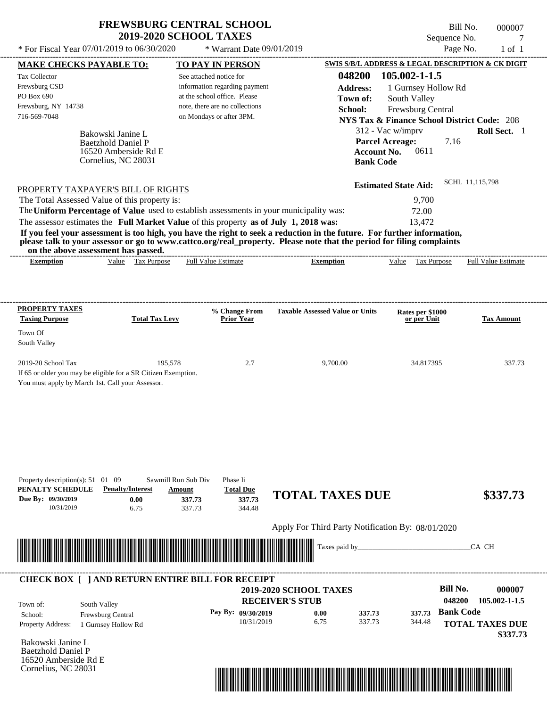Bill No. 000007 Sequence No. 7<br>Page No. 1 of 1

| SWIS S/B/L ADDRESS & LEGAL DESCRIPTION & CK DIGIT<br><b>TO PAY IN PERSON</b><br><b>MAKE CHECKS PAYABLE TO:</b><br>048200<br>105.002-1-1.5<br>See attached notice for<br>information regarding payment<br><b>Address:</b><br>1 Gurnsey Hollow Rd<br>at the school office. Please<br>South Valley<br>Town of:<br>note, there are no collections<br>School:<br>Frewsburg Central<br>on Mondays or after 3PM.<br><b>NYS Tax &amp; Finance School District Code: 208</b><br>312 - Vac w/imprv<br>Bakowski Janine L<br><b>Parcel Acreage:</b><br><b>Baetzhold Daniel P</b><br>0611<br><b>Account No.</b><br>16520 Amberside Rd E<br>Cornelius, NC 28031<br><b>Bank Code</b><br><b>Estimated State Aid:</b><br>The Total Assessed Value of this property is:<br>9,700<br>The Uniform Percentage of Value used to establish assessments in your municipality was:<br>72.00<br>The assessor estimates the Full Market Value of this property as of July 1, 2018 was:<br>13,472<br>If you feel your assessment is too high, you have the right to seek a reduction in the future. For further information,<br>please talk to your assessor or go to www.cattco.org/real_property. Please note that the period for filing complaints<br>on the above assessment has passed.<br>Value Tax Purpose<br><b>Full Value Estimate</b><br><b>Exemption</b><br><b>Exemption</b><br>Value Tax Purpose<br>% Change From<br><b>Taxable Assessed Value or Units</b><br>Rates per \$1000<br><b>Taxing Purpose</b><br><b>Total Tax Levy</b><br><b>Prior Year</b><br>or per Unit | Roll Sect. 1<br>7.16<br>SCHL 11,115,798<br><b>Full Value Estimate</b><br><b>Tax Amount</b> |
|-------------------------------------------------------------------------------------------------------------------------------------------------------------------------------------------------------------------------------------------------------------------------------------------------------------------------------------------------------------------------------------------------------------------------------------------------------------------------------------------------------------------------------------------------------------------------------------------------------------------------------------------------------------------------------------------------------------------------------------------------------------------------------------------------------------------------------------------------------------------------------------------------------------------------------------------------------------------------------------------------------------------------------------------------------------------------------------------------------------------------------------------------------------------------------------------------------------------------------------------------------------------------------------------------------------------------------------------------------------------------------------------------------------------------------------------------------------------------------------------------------------------------------------------------------|--------------------------------------------------------------------------------------------|
| Tax Collector<br>Frewsburg CSD<br>PO Box 690<br>Town Of<br>South Valley                                                                                                                                                                                                                                                                                                                                                                                                                                                                                                                                                                                                                                                                                                                                                                                                                                                                                                                                                                                                                                                                                                                                                                                                                                                                                                                                                                                                                                                                               |                                                                                            |
|                                                                                                                                                                                                                                                                                                                                                                                                                                                                                                                                                                                                                                                                                                                                                                                                                                                                                                                                                                                                                                                                                                                                                                                                                                                                                                                                                                                                                                                                                                                                                       |                                                                                            |
| Frewsburg, NY 14738<br>716-569-7048<br>PROPERTY TAXPAYER'S BILL OF RIGHTS<br><b>PROPERTY TAXES</b>                                                                                                                                                                                                                                                                                                                                                                                                                                                                                                                                                                                                                                                                                                                                                                                                                                                                                                                                                                                                                                                                                                                                                                                                                                                                                                                                                                                                                                                    |                                                                                            |
|                                                                                                                                                                                                                                                                                                                                                                                                                                                                                                                                                                                                                                                                                                                                                                                                                                                                                                                                                                                                                                                                                                                                                                                                                                                                                                                                                                                                                                                                                                                                                       |                                                                                            |
|                                                                                                                                                                                                                                                                                                                                                                                                                                                                                                                                                                                                                                                                                                                                                                                                                                                                                                                                                                                                                                                                                                                                                                                                                                                                                                                                                                                                                                                                                                                                                       |                                                                                            |
|                                                                                                                                                                                                                                                                                                                                                                                                                                                                                                                                                                                                                                                                                                                                                                                                                                                                                                                                                                                                                                                                                                                                                                                                                                                                                                                                                                                                                                                                                                                                                       |                                                                                            |
|                                                                                                                                                                                                                                                                                                                                                                                                                                                                                                                                                                                                                                                                                                                                                                                                                                                                                                                                                                                                                                                                                                                                                                                                                                                                                                                                                                                                                                                                                                                                                       |                                                                                            |
|                                                                                                                                                                                                                                                                                                                                                                                                                                                                                                                                                                                                                                                                                                                                                                                                                                                                                                                                                                                                                                                                                                                                                                                                                                                                                                                                                                                                                                                                                                                                                       |                                                                                            |
|                                                                                                                                                                                                                                                                                                                                                                                                                                                                                                                                                                                                                                                                                                                                                                                                                                                                                                                                                                                                                                                                                                                                                                                                                                                                                                                                                                                                                                                                                                                                                       |                                                                                            |
|                                                                                                                                                                                                                                                                                                                                                                                                                                                                                                                                                                                                                                                                                                                                                                                                                                                                                                                                                                                                                                                                                                                                                                                                                                                                                                                                                                                                                                                                                                                                                       |                                                                                            |
|                                                                                                                                                                                                                                                                                                                                                                                                                                                                                                                                                                                                                                                                                                                                                                                                                                                                                                                                                                                                                                                                                                                                                                                                                                                                                                                                                                                                                                                                                                                                                       |                                                                                            |
|                                                                                                                                                                                                                                                                                                                                                                                                                                                                                                                                                                                                                                                                                                                                                                                                                                                                                                                                                                                                                                                                                                                                                                                                                                                                                                                                                                                                                                                                                                                                                       |                                                                                            |
|                                                                                                                                                                                                                                                                                                                                                                                                                                                                                                                                                                                                                                                                                                                                                                                                                                                                                                                                                                                                                                                                                                                                                                                                                                                                                                                                                                                                                                                                                                                                                       |                                                                                            |
|                                                                                                                                                                                                                                                                                                                                                                                                                                                                                                                                                                                                                                                                                                                                                                                                                                                                                                                                                                                                                                                                                                                                                                                                                                                                                                                                                                                                                                                                                                                                                       |                                                                                            |
|                                                                                                                                                                                                                                                                                                                                                                                                                                                                                                                                                                                                                                                                                                                                                                                                                                                                                                                                                                                                                                                                                                                                                                                                                                                                                                                                                                                                                                                                                                                                                       |                                                                                            |
|                                                                                                                                                                                                                                                                                                                                                                                                                                                                                                                                                                                                                                                                                                                                                                                                                                                                                                                                                                                                                                                                                                                                                                                                                                                                                                                                                                                                                                                                                                                                                       |                                                                                            |
| 2019-20 School Tax<br>195,578<br>2.7<br>9,700.00<br>34.817395<br>If 65 or older you may be eligible for a SR Citizen Exemption.<br>You must apply by March 1st. Call your Assessor.                                                                                                                                                                                                                                                                                                                                                                                                                                                                                                                                                                                                                                                                                                                                                                                                                                                                                                                                                                                                                                                                                                                                                                                                                                                                                                                                                                   | 337.73                                                                                     |
| Property description(s): $51 \quad 01 \quad 09$<br>Sawmill Run Sub Div<br>Phase Ii<br>PENALTY SCHEDULE<br><b>Penalty/Interest</b><br><b>Total Due</b><br>Amount<br><b>TOTAL TAXES DUE</b><br>Due By: 09/30/2019<br>0.00<br>337.73<br>337.73<br>10/31/2019<br>6.75<br>337.73<br>344.48                                                                                                                                                                                                                                                                                                                                                                                                                                                                                                                                                                                                                                                                                                                                                                                                                                                                                                                                                                                                                                                                                                                                                                                                                                                                 | \$337.73                                                                                   |
| Apply For Third Party Notification By: 08/01/2020                                                                                                                                                                                                                                                                                                                                                                                                                                                                                                                                                                                                                                                                                                                                                                                                                                                                                                                                                                                                                                                                                                                                                                                                                                                                                                                                                                                                                                                                                                     |                                                                                            |
|                                                                                                                                                                                                                                                                                                                                                                                                                                                                                                                                                                                                                                                                                                                                                                                                                                                                                                                                                                                                                                                                                                                                                                                                                                                                                                                                                                                                                                                                                                                                                       |                                                                                            |
| Taxes paid by_                                                                                                                                                                                                                                                                                                                                                                                                                                                                                                                                                                                                                                                                                                                                                                                                                                                                                                                                                                                                                                                                                                                                                                                                                                                                                                                                                                                                                                                                                                                                        | CA CH                                                                                      |
| <b>CHECK BOX [ ] AND RETURN ENTIRE BILL FOR RECEIPT</b>                                                                                                                                                                                                                                                                                                                                                                                                                                                                                                                                                                                                                                                                                                                                                                                                                                                                                                                                                                                                                                                                                                                                                                                                                                                                                                                                                                                                                                                                                               |                                                                                            |
| 2019-2020 SCHOOL TAXES                                                                                                                                                                                                                                                                                                                                                                                                                                                                                                                                                                                                                                                                                                                                                                                                                                                                                                                                                                                                                                                                                                                                                                                                                                                                                                                                                                                                                                                                                                                                | <b>Bill No.</b><br>000007                                                                  |
| <b>RECEIVER'S STUB</b><br>South Valley<br>Town of:                                                                                                                                                                                                                                                                                                                                                                                                                                                                                                                                                                                                                                                                                                                                                                                                                                                                                                                                                                                                                                                                                                                                                                                                                                                                                                                                                                                                                                                                                                    | 048200<br>105.002-1-1.5                                                                    |
| Pay By: 09/30/2019<br>337.73<br>0.00<br>337.73<br>Frewsburg Central<br>School:                                                                                                                                                                                                                                                                                                                                                                                                                                                                                                                                                                                                                                                                                                                                                                                                                                                                                                                                                                                                                                                                                                                                                                                                                                                                                                                                                                                                                                                                        | <b>Bank Code</b>                                                                           |

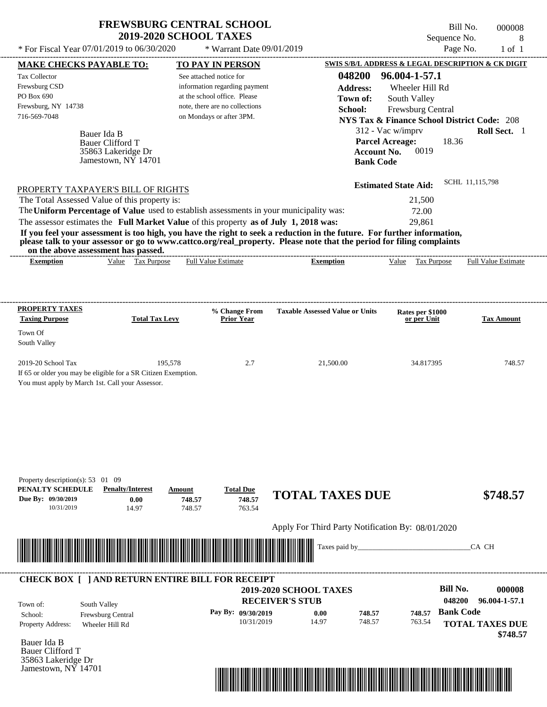| <b>FREWSBURG CENTRAL SCHOOL</b> |
|---------------------------------|
| <b>2019-2020 SCHOOL TAXES</b>   |

 $*$  For Fiscal Year 07/01/2019 to 06/30/2020

\* Warrant Date 09/01/2019

Bill No. 000008 Sequence No. 8<br>Page No. 1 of 1

| <b>MAKE CHECKS PAYABLE TO:</b>                                                                                               |                                           |                       |        | <b>TO PAY IN PERSON</b>            |                                                                                                                                                                                                                                                  |                                        | SWIS S/B/L ADDRESS & LEGAL DESCRIPTION & CK DIGIT      |                        |                            |
|------------------------------------------------------------------------------------------------------------------------------|-------------------------------------------|-----------------------|--------|------------------------------------|--------------------------------------------------------------------------------------------------------------------------------------------------------------------------------------------------------------------------------------------------|----------------------------------------|--------------------------------------------------------|------------------------|----------------------------|
| Tax Collector                                                                                                                |                                           |                       |        | See attached notice for            |                                                                                                                                                                                                                                                  | 048200                                 | 96.004-1-57.1                                          |                        |                            |
| Frewsburg CSD                                                                                                                |                                           |                       |        | information regarding payment      |                                                                                                                                                                                                                                                  | <b>Address:</b>                        | Wheeler Hill Rd                                        |                        |                            |
| PO Box 690                                                                                                                   |                                           |                       |        | at the school office. Please       |                                                                                                                                                                                                                                                  | Town of:                               | South Valley                                           |                        |                            |
| Frewsburg, NY 14738                                                                                                          |                                           |                       |        | note, there are no collections     |                                                                                                                                                                                                                                                  | School:                                | Frewsburg Central                                      |                        |                            |
| 716-569-7048                                                                                                                 |                                           |                       |        | on Mondays or after 3PM.           |                                                                                                                                                                                                                                                  |                                        | <b>NYS Tax &amp; Finance School District Code: 208</b> |                        |                            |
|                                                                                                                              |                                           |                       |        |                                    |                                                                                                                                                                                                                                                  |                                        |                                                        |                        |                            |
|                                                                                                                              | Bauer Ida B                               |                       |        |                                    |                                                                                                                                                                                                                                                  |                                        | 312 - Vac w/imprv                                      |                        | Roll Sect. 1               |
|                                                                                                                              | <b>Bauer Clifford T</b>                   |                       |        |                                    |                                                                                                                                                                                                                                                  |                                        | <b>Parcel Acreage:</b>                                 | 18.36                  |                            |
|                                                                                                                              | 35863 Lakeridge Dr<br>Jamestown, NY 14701 |                       |        |                                    |                                                                                                                                                                                                                                                  | <b>Account No.</b><br><b>Bank Code</b> | 0019                                                   |                        |                            |
|                                                                                                                              |                                           |                       |        |                                    |                                                                                                                                                                                                                                                  |                                        |                                                        |                        |                            |
| PROPERTY TAXPAYER'S BILL OF RIGHTS                                                                                           |                                           |                       |        |                                    |                                                                                                                                                                                                                                                  |                                        | <b>Estimated State Aid:</b>                            | SCHL 11,115,798        |                            |
| The Total Assessed Value of this property is:                                                                                |                                           |                       |        |                                    |                                                                                                                                                                                                                                                  |                                        | 21,500                                                 |                        |                            |
|                                                                                                                              |                                           |                       |        |                                    | The Uniform Percentage of Value used to establish assessments in your municipality was:                                                                                                                                                          |                                        | 72.00                                                  |                        |                            |
| The assessor estimates the Full Market Value of this property as of July 1, 2018 was:                                        |                                           |                       |        |                                    |                                                                                                                                                                                                                                                  |                                        | 29,861                                                 |                        |                            |
|                                                                                                                              |                                           |                       |        |                                    |                                                                                                                                                                                                                                                  |                                        |                                                        |                        |                            |
|                                                                                                                              |                                           |                       |        |                                    | If you feel your assessment is too high, you have the right to seek a reduction in the future. For further information,<br>please talk to your assessor or go to www.cattco.org/real_property. Please note that the period for filing complaints |                                        |                                                        |                        |                            |
| on the above assessment has passed.<br><b>Exemption</b>                                                                      |                                           | Value Tax Purpose     |        | <b>Full Value Estimate</b>         | <b>Exemption</b>                                                                                                                                                                                                                                 |                                        | Value Tax Purpose                                      |                        | <b>Full Value Estimate</b> |
|                                                                                                                              |                                           |                       |        |                                    |                                                                                                                                                                                                                                                  |                                        |                                                        |                        |                            |
|                                                                                                                              |                                           |                       |        |                                    |                                                                                                                                                                                                                                                  |                                        |                                                        |                        |                            |
| PROPERTY TAXES                                                                                                               |                                           |                       |        |                                    |                                                                                                                                                                                                                                                  |                                        |                                                        |                        |                            |
| <b>Taxing Purpose</b>                                                                                                        |                                           | <b>Total Tax Levy</b> |        | % Change From<br><b>Prior Year</b> | <b>Taxable Assessed Value or Units</b>                                                                                                                                                                                                           |                                        | Rates per \$1000<br>or per Unit                        |                        | <b>Tax Amount</b>          |
| Town Of                                                                                                                      |                                           |                       |        |                                    |                                                                                                                                                                                                                                                  |                                        |                                                        |                        |                            |
| South Valley                                                                                                                 |                                           |                       |        |                                    |                                                                                                                                                                                                                                                  |                                        |                                                        |                        |                            |
|                                                                                                                              |                                           |                       |        |                                    |                                                                                                                                                                                                                                                  |                                        |                                                        |                        |                            |
| 2019-20 School Tax                                                                                                           |                                           | 195,578               |        | 2.7                                | 21,500.00                                                                                                                                                                                                                                        |                                        | 34.817395                                              |                        | 748.57                     |
| If 65 or older you may be eligible for a SR Citizen Exemption.                                                               |                                           |                       |        |                                    |                                                                                                                                                                                                                                                  |                                        |                                                        |                        |                            |
| You must apply by March 1st. Call your Assessor.                                                                             |                                           |                       |        |                                    |                                                                                                                                                                                                                                                  |                                        |                                                        |                        |                            |
|                                                                                                                              |                                           |                       |        |                                    |                                                                                                                                                                                                                                                  |                                        |                                                        |                        |                            |
|                                                                                                                              |                                           |                       |        |                                    |                                                                                                                                                                                                                                                  |                                        |                                                        |                        |                            |
|                                                                                                                              |                                           |                       |        |                                    |                                                                                                                                                                                                                                                  |                                        |                                                        |                        |                            |
|                                                                                                                              |                                           |                       |        |                                    |                                                                                                                                                                                                                                                  |                                        |                                                        |                        |                            |
|                                                                                                                              |                                           |                       |        |                                    |                                                                                                                                                                                                                                                  |                                        |                                                        |                        |                            |
|                                                                                                                              |                                           |                       |        |                                    |                                                                                                                                                                                                                                                  |                                        |                                                        |                        |                            |
|                                                                                                                              |                                           |                       |        |                                    |                                                                                                                                                                                                                                                  |                                        |                                                        |                        |                            |
| Property description(s): 53 01 09<br>PENALTY SCHEDULE                                                                        | <b>Penalty/Interest</b>                   |                       | Amount | <b>Total Due</b>                   |                                                                                                                                                                                                                                                  |                                        |                                                        |                        |                            |
| Due By: 09/30/2019                                                                                                           | 0.00                                      |                       | 748.57 | 748.57                             | <b>TOTAL TAXES DUE</b>                                                                                                                                                                                                                           |                                        |                                                        |                        | \$748.57                   |
| 10/31/2019                                                                                                                   | 14.97                                     |                       | 748.57 | 763.54                             |                                                                                                                                                                                                                                                  |                                        |                                                        |                        |                            |
|                                                                                                                              |                                           |                       |        |                                    |                                                                                                                                                                                                                                                  |                                        |                                                        |                        |                            |
|                                                                                                                              |                                           |                       |        |                                    | Apply For Third Party Notification By: 08/01/2020                                                                                                                                                                                                |                                        |                                                        |                        |                            |
| <u> III de la construcción de la construcción de la construcción de la construcción de la construcción de la const</u>       |                                           |                       |        |                                    | Taxes paid by_                                                                                                                                                                                                                                   |                                        |                                                        | CA CH                  |                            |
|                                                                                                                              |                                           |                       |        |                                    |                                                                                                                                                                                                                                                  |                                        |                                                        |                        |                            |
|                                                                                                                              |                                           |                       |        |                                    |                                                                                                                                                                                                                                                  |                                        |                                                        |                        |                            |
| <b>CHECK BOX [ ] AND RETURN ENTIRE BILL FOR RECEIPT</b>                                                                      |                                           |                       |        |                                    | <b>2019-2020 SCHOOL TAXES</b>                                                                                                                                                                                                                    |                                        |                                                        | <b>Bill No.</b>        | 000008                     |
|                                                                                                                              |                                           |                       |        |                                    |                                                                                                                                                                                                                                                  |                                        |                                                        | 048200                 | 96.004-1-57.1              |
|                                                                                                                              |                                           |                       |        |                                    | <b>RECEIVER'S STUB</b>                                                                                                                                                                                                                           |                                        |                                                        |                        |                            |
|                                                                                                                              | South Valley                              |                       |        |                                    |                                                                                                                                                                                                                                                  |                                        |                                                        |                        |                            |
| School:                                                                                                                      | Frewsburg Central                         |                       |        | Pay By: 09/30/2019                 | 0.00                                                                                                                                                                                                                                             | 748.57                                 | 748.57                                                 | <b>Bank Code</b>       |                            |
|                                                                                                                              | Wheeler Hill Rd                           |                       |        | 10/31/2019                         | 14.97                                                                                                                                                                                                                                            | 748.57                                 | 763.54                                                 | <b>TOTAL TAXES DUE</b> |                            |
|                                                                                                                              |                                           |                       |        |                                    |                                                                                                                                                                                                                                                  |                                        |                                                        |                        |                            |
|                                                                                                                              |                                           |                       |        |                                    |                                                                                                                                                                                                                                                  |                                        |                                                        |                        |                            |
|                                                                                                                              |                                           |                       |        |                                    |                                                                                                                                                                                                                                                  |                                        |                                                        |                        | \$748.57                   |
| Town of:<br>Property Address:<br>Bauer Ida B<br><b>Bauer Clifford T</b><br>35863 Lakeridge Dr<br>Jamestown, $N\bar{Y}$ 14701 |                                           |                       |        |                                    |                                                                                                                                                                                                                                                  |                                        |                                                        |                        |                            |

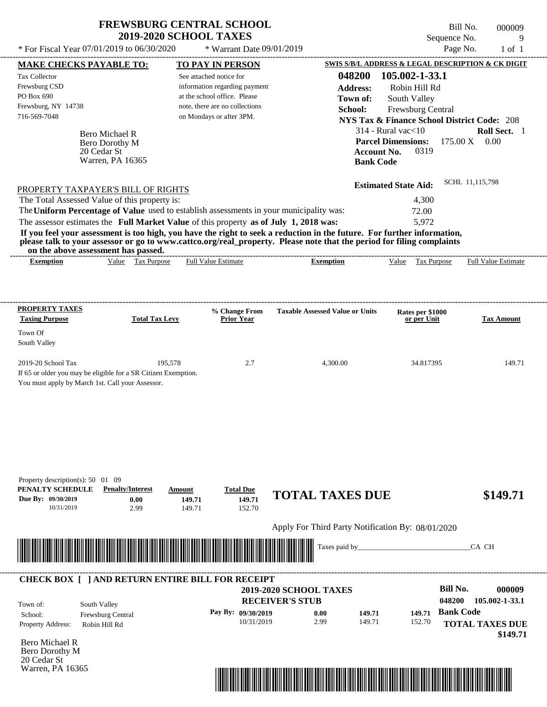\* Warrant Date 09/01/2019

---------------------------------------------------------------------------------------------------------------------------------------------------------------------------------------------------- Bero Michael R If 65 or older you may be eligible for a SR Citizen Exemption. You must apply by March 1st. Call your Assessor. \* For Fiscal Year  $07/01/2019$  to  $06/30/2020$  \* Warrant Date  $09/01/2019$  Page No. 1 of 1 **MAKE CHECKS PAYABLE TO: TO PAY IN PERSON SWIS S/B/L ADDRESS & LEGAL DESCRIPTION & CK DIGIT 048200 105.002-1-33.1 Address:** Robin Hill Rd South Valley **School:** Frewsburg Central **NYS Tax & Finance School District Code:** 208 314 - Rural vac<10 **Roll Sect.** 1 175.00 X 0.00 **Account No.** 0319 **Bank Code Estimated State Aid:** SCHL 11,115,798 PROPERTY TAXPAYER'S BILL OF RIGHTS The assessor estimates the **Full Market Value** of this property **as of July 1, 2018 was:** 5,972 The Total Assessed Value of this property is: 4,300 The **Uniform Percentage of Value** used to establish assessments in your municipality was: 72.00 **If you feel your assessment is too high, you have the right to seek a reduction in the future. For further information, please talk to your assessor or go to www.cattco.org/real\_property. Please note that the period for filing complaints on the above assessment has passed. Exemption** Value Tax Purpose **PROPERTY TAXES Taxing Purpose Total Tax Levy Prior Year % Change From Taxable Assessed Value or Units or per Unit Rates per \$1000 Tax Amount PENALTY SCHEDULE Penalty/Interest Amount Total Due Due By: 09/30/2019** 10/31/2019 2.99 **0.00** 149.71 **149.71** 152.70 **149.71 TOTAL TAXES DUE \$149.71** Apply For Third Party Notification By: 08/01/2020 **RECEIVER'S STUB Bill No. 000009 Bank Code** Property Address: Robin Hill Rd South Valley School: Frewsburg Central **TOTAL TAXES DUE \$149.71** See attached notice for information regarding payment at the school office. Please note, there are no collections Tax Collector Frewsburg CSD PO Box 690 Frewsburg, NY 14738  **2019-2020 SCHOOL TAXES** 716-569-7048 on Mondays or after 3PM. **Parcel Dimensions:** Town Of South Valley 2019-20 School Tax 195,578 195,578 2.7 4,300.00 34.817395 149.71 **048200 105.002-1-33.1 Pay By: 09/30/2019** 10/31/2019 2.99 **0.00** 149.71 **149.71** 152.70 **149.71** Bero Dorothy M Full Value Estimate Taxes paid by\_\_\_\_\_\_\_\_\_\_\_\_\_\_\_\_\_\_\_\_\_\_\_\_\_\_\_\_\_\_\_CA CH ---------------------------------------------------------------------------------------------------------------------------------------------------------------------------------------------------- ---------------------------------------------------------------------------------------------------------------------------------------------------------------------------------------------------- Property description(s): 50 01 09 Town of: **Town of:** 20 Cedar St Warren, PA 16365 **Exemption** Value Tax Purpose Full Value Estimate ---------------------------------------------------------------------------------------------------------------------------------------------------------------------------------------------------- **CHECK BOX [ ] AND RETURN ENTIRE BILL FOR RECEIPT** \*04820000000900000000014971\*

Bero Michael R Bero Dorothy M 20 Cedar St Warren, PA 16365



Bill No. 000009 Sequence No. 9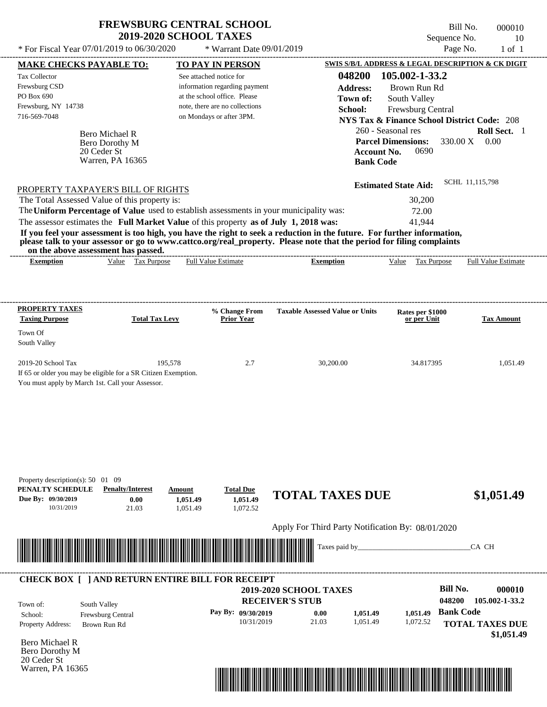| <b>FREWSBURG CENTRAL SCHOOL</b> |
|---------------------------------|
| <b>2019-2020 SCHOOL TAXES</b>   |

 $*$  For Fiscal Year 07/01/2019 to 06/30/2020  $*$  Warrant Date 09/01/2019 Page No. 1 of 1

Bill No. 000010 Sequence No. 10

---------------------------------------------------------------------------------------------------------------------------------------------------------------------------------------------------- Bero Michael R If 65 or older you may be eligible for a SR Citizen Exemption. You must apply by March 1st. Call your Assessor. **MAKE CHECKS PAYABLE TO: TO PAY IN PERSON SWIS S/B/L ADDRESS & LEGAL DESCRIPTION & CK DIGIT 048200 105.002-1-33.2 Address:** Brown Run Rd South Valley **School:** Frewsburg Central **NYS Tax & Finance School District Code:** 208 260 - Seasonal res **Roll Sect.** 1 330.00 X 0.00 **Account No.** 0690 **Bank Code Estimated State Aid:** SCHL 11,115,798 PROPERTY TAXPAYER'S BILL OF RIGHTS The assessor estimates the **Full Market Value** of this property **as of July 1, 2018 was:** 41,944 The Total Assessed Value of this property is: 30,200 The **Uniform Percentage of Value** used to establish assessments in your municipality was: 72.00 **If you feel your assessment is too high, you have the right to seek a reduction in the future. For further information, please talk to your assessor or go to www.cattco.org/real\_property. Please note that the period for filing complaints on the above assessment has passed. Exemption** Value Tax Purpose **PROPERTY TAXES Taxing Purpose Total Tax Levy Prior Year % Change From Taxable Assessed Value or Units or per Unit Rates per \$1000 Tax Amount PENALTY SCHEDULE Penalty/Interest Amount Total Due Due By: 09/30/2019** 10/31/2019 21.03 **0.00** 1,051.49 **1,051.49** 1,072.52 **1,051.49 TOTAL TAXES DUE \$1,051.49** Apply For Third Party Notification By: 08/01/2020 **RECEIVER'S STUB Bill No. 000010 Bank Code** Property Address: Brown Run Rd South Valley School: Frewsburg Central **TOTAL TAXES DUE \$1,051.49** See attached notice for information regarding payment at the school office. Please note, there are no collections Tax Collector Frewsburg CSD PO Box 690 Frewsburg, NY 14738  **2019-2020 SCHOOL TAXES** 716-569-7048 on Mondays or after 3PM. **Parcel Dimensions:** Town Of South Valley 2019-20 School Tax 195,578 195,578 2.7 30,200.00 34.817395 1,051.49 **048200 105.002-1-33.2 Pay By: 09/30/2019** 10/31/2019 21.03 **0.00** 1,051.49 **1,051.49** 1,072.52 **1,051.49** Bero Dorothy M Full Value Estimate Taxes paid by\_\_\_\_\_\_\_\_\_\_\_\_\_\_\_\_\_\_\_\_\_\_\_\_\_\_\_\_\_\_\_CA CH ---------------------------------------------------------------------------------------------------------------------------------------------------------------------------------------------------- ---------------------------------------------------------------------------------------------------------------------------------------------------------------------------------------------------- Property description(s): 50 01 09 Town of: **Town of:** 20 Ceder St Warren, PA 16365 **Exemption** Value Tax Purpose Full Value Estimate ---------------------------------------------------------------------------------------------------------------------------------------------------------------------------------------------------- **CHECK BOX [ ] AND RETURN ENTIRE BILL FOR RECEIPT** \*04820000001000000000105149\*

Bero Michael R Bero Dorothy M 20 Ceder St Warren, PA 16365

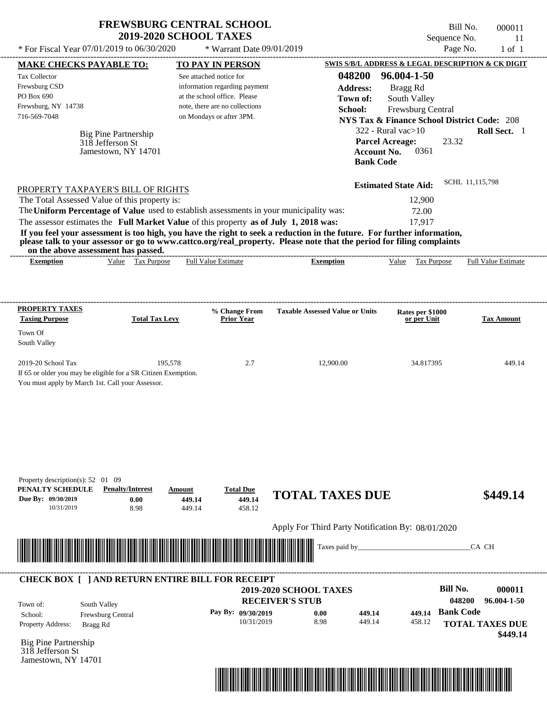| <b>FREWSBURG CENTRAL SCHOOL</b> |
|---------------------------------|
| <b>2019-2020 SCHOOL TAXES</b>   |

Bill No. 000011 Sequence No. 11

|                                                                                                                                                                                                                 |                                                                                                                                                                                                                                      |                                                                                                                                                                                  | * Warrant Date 09/01/2019                                                                                                                                                                                                                        |                                                                                                                                                                                            |                     |
|-----------------------------------------------------------------------------------------------------------------------------------------------------------------------------------------------------------------|--------------------------------------------------------------------------------------------------------------------------------------------------------------------------------------------------------------------------------------|----------------------------------------------------------------------------------------------------------------------------------------------------------------------------------|--------------------------------------------------------------------------------------------------------------------------------------------------------------------------------------------------------------------------------------------------|--------------------------------------------------------------------------------------------------------------------------------------------------------------------------------------------|---------------------|
|                                                                                                                                                                                                                 | <b>MAKE CHECKS PAYABLE TO:</b>                                                                                                                                                                                                       | <b>TO PAY IN PERSON</b>                                                                                                                                                          |                                                                                                                                                                                                                                                  | SWIS S/B/L ADDRESS & LEGAL DESCRIPTION & CK DIGIT                                                                                                                                          |                     |
| Tax Collector<br>Frewsburg CSD<br>PO Box 690<br>Frewsburg, NY 14738<br>716-569-7048                                                                                                                             | Big Pine Partnership<br>318 Jefferson St<br>Jamestown, NY 14701                                                                                                                                                                      | See attached notice for<br>information regarding payment<br>at the school office. Please<br>note, there are no collections<br>on Mondays or after 3PM.                           | 048200<br><b>Address:</b><br>Town of:<br>School:<br><b>Account No.</b><br><b>Bank Code</b>                                                                                                                                                       | 96.004-1-50<br>Bragg Rd<br>South Valley<br>Frewsburg Central<br><b>NYS Tax &amp; Finance School District Code: 208</b><br>322 - Rural vac $>10$<br><b>Parcel Acreage:</b><br>23.32<br>0361 | Roll Sect. 1        |
|                                                                                                                                                                                                                 | PROPERTY TAXPAYER'S BILL OF RIGHTS<br>The Total Assessed Value of this property is:<br>on the above assessment has passed.                                                                                                           | The Uniform Percentage of Value used to establish assessments in your municipality was:<br>The assessor estimates the Full Market Value of this property as of July 1, 2018 was: | If you feel your assessment is too high, you have the right to seek a reduction in the future. For further information,<br>please talk to your assessor or go to www.cattco.org/real_property. Please note that the period for filing complaints | SCHL 11,115,798<br><b>Estimated State Aid:</b><br>12,900<br>72.00<br>17,917                                                                                                                |                     |
| <b>Exemption</b>                                                                                                                                                                                                | Value Tax Purpose                                                                                                                                                                                                                    | <b>Full Value Estimate</b>                                                                                                                                                       | <b>Exemption</b>                                                                                                                                                                                                                                 | <b>Tax Purpose</b><br>Value                                                                                                                                                                | Full Value Estimate |
| <b>PROPERTY TAXES</b><br><b>Taxing Purpose</b>                                                                                                                                                                  | <b>Total Tax Levy</b>                                                                                                                                                                                                                | % Change From<br><b>Prior Year</b>                                                                                                                                               | <b>Taxable Assessed Value or Units</b>                                                                                                                                                                                                           | Rates per \$1000<br>or per Unit                                                                                                                                                            | <b>Tax Amount</b>   |
| Town Of<br>South Valley                                                                                                                                                                                         |                                                                                                                                                                                                                                      |                                                                                                                                                                                  |                                                                                                                                                                                                                                                  |                                                                                                                                                                                            |                     |
| 2019-20 School Tax                                                                                                                                                                                              | 195,578                                                                                                                                                                                                                              | 2.7                                                                                                                                                                              | 12,900.00                                                                                                                                                                                                                                        | 34.817395                                                                                                                                                                                  | 449.14              |
|                                                                                                                                                                                                                 |                                                                                                                                                                                                                                      |                                                                                                                                                                                  |                                                                                                                                                                                                                                                  |                                                                                                                                                                                            |                     |
| 10/31/2019                                                                                                                                                                                                      | <b>Penalty/Interest</b><br>0.00<br>8.98                                                                                                                                                                                              | <b>Total Due</b><br>Amount<br>449.14<br>449.14<br>449.14<br>458.12                                                                                                               | <b>TOTAL TAXES DUE</b>                                                                                                                                                                                                                           |                                                                                                                                                                                            | \$449.14            |
| If 65 or older you may be eligible for a SR Citizen Exemption.<br>You must apply by March 1st. Call your Assessor.<br>Property description(s): $52 \quad 01 \quad 09$<br>PENALTY SCHEDULE<br>Due By: 09/30/2019 | <u> Harry Harry Harry Harry Harry Harry Harry Harry Harry Harry Harry Harry Harry Harry Harry Harry Harry Harry Harry Harry Harry Harry Harry Harry Harry Harry Harry Harry Harry Harry Harry Harry Harry Harry Harry Harry Harr</u> |                                                                                                                                                                                  | Apply For Third Party Notification By: 08/01/2020<br>Taxes paid by_                                                                                                                                                                              |                                                                                                                                                                                            | CA CH               |

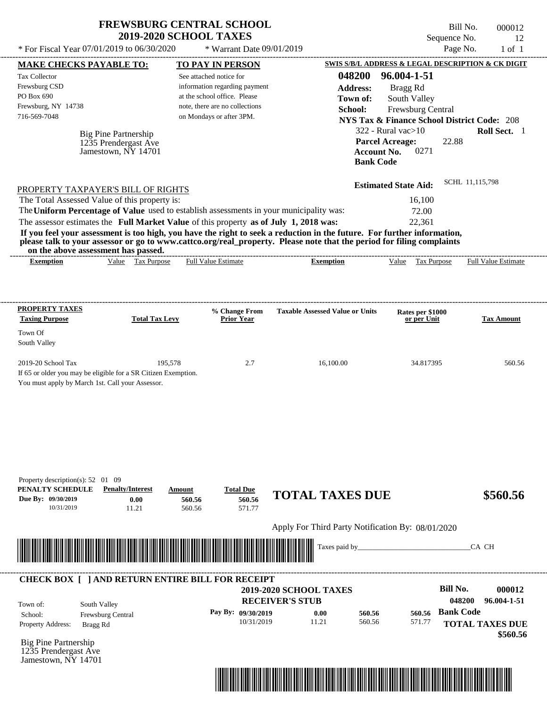| <b>FREWSBURG CENTRAL SCHOOL</b> |
|---------------------------------|
| <b>2019-2020 SCHOOL TAXES</b>   |

Bill No. 000012 Sequence No. 12

| * For Fiscal Year 07/01/2019 to 06/30/2020                                                                                               |                                                                        | * Warrant Date 09/01/2019                                     |                                                                                                                                                                                                                                                  |                                                                             | Page No.                  | $1$ of $1$                 |
|------------------------------------------------------------------------------------------------------------------------------------------|------------------------------------------------------------------------|---------------------------------------------------------------|--------------------------------------------------------------------------------------------------------------------------------------------------------------------------------------------------------------------------------------------------|-----------------------------------------------------------------------------|---------------------------|----------------------------|
| <b>MAKE CHECKS PAYABLE TO:</b>                                                                                                           |                                                                        | <b>TO PAY IN PERSON</b>                                       |                                                                                                                                                                                                                                                  | SWIS S/B/L ADDRESS & LEGAL DESCRIPTION & CK DIGIT                           |                           |                            |
| Tax Collector                                                                                                                            |                                                                        | See attached notice for                                       | 048200                                                                                                                                                                                                                                           | 96.004-1-51                                                                 |                           |                            |
| Frewsburg CSD<br>PO Box 690                                                                                                              |                                                                        | information regarding payment<br>at the school office. Please | <b>Address:</b>                                                                                                                                                                                                                                  | Bragg Rd                                                                    |                           |                            |
| Frewsburg, NY 14738                                                                                                                      |                                                                        | note, there are no collections                                | Town of:<br>School:                                                                                                                                                                                                                              | South Valley                                                                |                           |                            |
| 716-569-7048                                                                                                                             |                                                                        | on Mondays or after 3PM.                                      |                                                                                                                                                                                                                                                  | Frewsburg Central<br><b>NYS Tax &amp; Finance School District Code: 208</b> |                           |                            |
|                                                                                                                                          |                                                                        |                                                               |                                                                                                                                                                                                                                                  | $322$ - Rural vac $>10$                                                     |                           | Roll Sect. 1               |
| <b>Big Pine Partnership</b>                                                                                                              | 1235 Prendergast Ave                                                   |                                                               |                                                                                                                                                                                                                                                  | <b>Parcel Acreage:</b>                                                      | 22.88                     |                            |
|                                                                                                                                          | Jamestown, NY 14701                                                    |                                                               |                                                                                                                                                                                                                                                  | <b>Account No.</b><br>0271                                                  |                           |                            |
|                                                                                                                                          |                                                                        |                                                               | <b>Bank Code</b>                                                                                                                                                                                                                                 |                                                                             |                           |                            |
| PROPERTY TAXPAYER'S BILL OF RIGHTS                                                                                                       |                                                                        |                                                               |                                                                                                                                                                                                                                                  | <b>Estimated State Aid:</b>                                                 | SCHL 11,115,798           |                            |
| The Total Assessed Value of this property is:                                                                                            |                                                                        |                                                               |                                                                                                                                                                                                                                                  | 16,100                                                                      |                           |                            |
| The Uniform Percentage of Value used to establish assessments in your municipality was:                                                  |                                                                        |                                                               |                                                                                                                                                                                                                                                  | 72.00                                                                       |                           |                            |
| The assessor estimates the Full Market Value of this property as of July 1, 2018 was:                                                    |                                                                        |                                                               |                                                                                                                                                                                                                                                  | 22,361                                                                      |                           |                            |
|                                                                                                                                          |                                                                        |                                                               | If you feel your assessment is too high, you have the right to seek a reduction in the future. For further information,<br>please talk to your assessor or go to www.cattco.org/real_property. Please note that the period for filing complaints |                                                                             |                           |                            |
| on the above assessment has passed.<br><b>Exemption</b>                                                                                  | Value Tax Purpose                                                      | <b>Full Value Estimate</b>                                    | <b>Exemption</b>                                                                                                                                                                                                                                 | Value Tax Purpose                                                           |                           | <b>Full Value Estimate</b> |
|                                                                                                                                          |                                                                        |                                                               |                                                                                                                                                                                                                                                  |                                                                             |                           |                            |
| <b>PROPERTY TAXES</b>                                                                                                                    |                                                                        |                                                               |                                                                                                                                                                                                                                                  |                                                                             |                           |                            |
| <b>Taxing Purpose</b>                                                                                                                    | <b>Total Tax Levy</b>                                                  | % Change From<br><b>Prior Year</b>                            | <b>Taxable Assessed Value or Units</b>                                                                                                                                                                                                           | Rates per \$1000<br>or per Unit                                             |                           | <b>Tax Amount</b>          |
| Town Of<br>South Valley                                                                                                                  |                                                                        |                                                               |                                                                                                                                                                                                                                                  |                                                                             |                           |                            |
| 2019-20 School Tax<br>If 65 or older you may be eligible for a SR Citizen Exemption.<br>You must apply by March 1st. Call your Assessor. | 195,578                                                                | 2.7                                                           | 16,100.00                                                                                                                                                                                                                                        | 34.817395                                                                   |                           | 560.56                     |
| Property description(s): 52 01 09<br>PENALTY SCHEDULE<br>Due By: 09/30/2019<br>10/31/2019                                                | <b>Penalty/Interest</b><br>Amount<br>0.00<br>560.56<br>560.56<br>11.21 | <b>Total Due</b><br>560.56<br>571.77                          | <b>TOTAL TAXES DUE</b>                                                                                                                                                                                                                           |                                                                             |                           | \$560.56                   |
|                                                                                                                                          |                                                                        |                                                               | Apply For Third Party Notification By: 08/01/2020                                                                                                                                                                                                |                                                                             |                           |                            |
|                                                                                                                                          |                                                                        |                                                               | Taxes paid by_                                                                                                                                                                                                                                   |                                                                             | CA CH                     |                            |
| <b>CHECK BOX [ ] AND RETURN ENTIRE BILL FOR RECEIPT</b>                                                                                  |                                                                        |                                                               |                                                                                                                                                                                                                                                  |                                                                             |                           |                            |
|                                                                                                                                          |                                                                        |                                                               | 2019-2020 SCHOOL TAXES<br><b>RECEIVER'S STUB</b>                                                                                                                                                                                                 |                                                                             | <b>Bill No.</b><br>048200 | 000012<br>96.004-1-51      |
| South Valley<br>Town of:                                                                                                                 |                                                                        | Pay By: 09/30/2019                                            | 0.00<br>560.56                                                                                                                                                                                                                                   | 560.56                                                                      | <b>Bank Code</b>          |                            |
| Frewsburg Central<br>School:<br>Property Address:<br>Bragg Rd                                                                            |                                                                        | 10/31/2019                                                    | 11.21<br>560.56                                                                                                                                                                                                                                  | 571.77                                                                      | <b>TOTAL TAXES DUE</b>    |                            |
|                                                                                                                                          |                                                                        |                                                               |                                                                                                                                                                                                                                                  |                                                                             |                           | \$560.56                   |
| <b>Big Pine Partnership</b><br>1235 Prendergast Ave<br>Jamestown, NY 14701                                                               |                                                                        |                                                               |                                                                                                                                                                                                                                                  |                                                                             |                           |                            |
|                                                                                                                                          |                                                                        |                                                               |                                                                                                                                                                                                                                                  |                                                                             |                           |                            |
|                                                                                                                                          |                                                                        |                                                               |                                                                                                                                                                                                                                                  |                                                                             |                           |                            |
|                                                                                                                                          |                                                                        |                                                               |                                                                                                                                                                                                                                                  |                                                                             |                           |                            |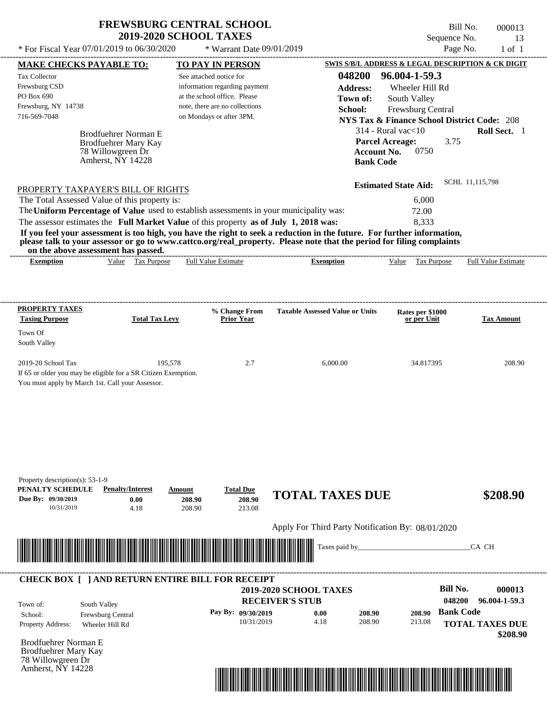Bill No. 000013 Sequence No. 13

| * For Fiscal Year 07/01/2019 to 06/30/2020                                                                                                                                       |                                              | * Warrant Date 09/01/2019                                     |                                                                                                                         | Page No.                                                                    | $1$ of $1$                 |
|----------------------------------------------------------------------------------------------------------------------------------------------------------------------------------|----------------------------------------------|---------------------------------------------------------------|-------------------------------------------------------------------------------------------------------------------------|-----------------------------------------------------------------------------|----------------------------|
| <b>MAKE CHECKS PAYABLE TO:</b>                                                                                                                                                   |                                              | <b>TO PAY IN PERSON</b>                                       |                                                                                                                         | SWIS S/B/L ADDRESS & LEGAL DESCRIPTION & CK DIGIT                           |                            |
| Tax Collector                                                                                                                                                                    |                                              | See attached notice for                                       | 048200                                                                                                                  | 96.004-1-59.3                                                               |                            |
| Frewsburg CSD<br>PO Box 690                                                                                                                                                      |                                              | information regarding payment<br>at the school office. Please | <b>Address:</b>                                                                                                         | Wheeler Hill Rd                                                             |                            |
| Frewsburg, NY 14738                                                                                                                                                              |                                              | note, there are no collections                                | Town of:                                                                                                                | South Valley                                                                |                            |
| 716-569-7048                                                                                                                                                                     |                                              | on Mondays or after 3PM.                                      | School:                                                                                                                 | Frewsburg Central<br><b>NYS Tax &amp; Finance School District Code: 208</b> |                            |
|                                                                                                                                                                                  |                                              |                                                               |                                                                                                                         | $314$ - Rural vac $<$ 10                                                    | Roll Sect. 1               |
|                                                                                                                                                                                  | Brodfuehrer Norman E<br>Brodfuehrer Mary Kay |                                                               |                                                                                                                         | <b>Parcel Acreage:</b><br>3.75                                              |                            |
| 78 Willowgreen Dr                                                                                                                                                                |                                              |                                                               |                                                                                                                         | <b>Account No.</b><br>0750                                                  |                            |
| Amherst, NY 14228                                                                                                                                                                |                                              |                                                               | <b>Bank Code</b>                                                                                                        |                                                                             |                            |
|                                                                                                                                                                                  |                                              |                                                               |                                                                                                                         |                                                                             | SCHL 11,115,798            |
| PROPERTY TAXPAYER'S BILL OF RIGHTS                                                                                                                                               |                                              |                                                               |                                                                                                                         | <b>Estimated State Aid:</b>                                                 |                            |
| The Total Assessed Value of this property is:                                                                                                                                    |                                              |                                                               |                                                                                                                         | 6,000                                                                       |                            |
| The Uniform Percentage of Value used to establish assessments in your municipality was:<br>The assessor estimates the Full Market Value of this property as of July 1, 2018 was: |                                              |                                                               |                                                                                                                         | 72.00<br>8,333                                                              |                            |
|                                                                                                                                                                                  |                                              |                                                               | If you feel your assessment is too high, you have the right to seek a reduction in the future. For further information, |                                                                             |                            |
|                                                                                                                                                                                  |                                              |                                                               | please talk to your assessor or go to www.cattco.org/real_property. Please note that the period for filing complaints   |                                                                             |                            |
| on the above assessment has passed.                                                                                                                                              |                                              |                                                               |                                                                                                                         |                                                                             |                            |
| <b>Exemption</b>                                                                                                                                                                 | Value Tax Purpose                            | <b>Full Value Estimate</b>                                    | <b>Exemption</b>                                                                                                        | Value Tax Purpose                                                           | <b>Full Value Estimate</b> |
|                                                                                                                                                                                  |                                              |                                                               |                                                                                                                         |                                                                             |                            |
|                                                                                                                                                                                  |                                              |                                                               |                                                                                                                         |                                                                             |                            |
| <b>PROPERTY TAXES</b><br><b>Taxing Purpose</b>                                                                                                                                   |                                              | % Change From                                                 | <b>Taxable Assessed Value or Units</b>                                                                                  | Rates per \$1000                                                            |                            |
|                                                                                                                                                                                  | <b>Total Tax Levy</b>                        | <b>Prior Year</b>                                             |                                                                                                                         | or per Unit                                                                 | <b>Tax Amount</b>          |
| Town Of<br>South Valley                                                                                                                                                          |                                              |                                                               |                                                                                                                         |                                                                             |                            |
|                                                                                                                                                                                  |                                              |                                                               |                                                                                                                         |                                                                             |                            |
| 2019-20 School Tax                                                                                                                                                               | 195,578                                      | 2.7                                                           | 6,000.00                                                                                                                | 34.817395                                                                   | 208.90                     |
| If 65 or older you may be eligible for a SR Citizen Exemption.                                                                                                                   |                                              |                                                               |                                                                                                                         |                                                                             |                            |
| You must apply by March 1st. Call your Assessor.                                                                                                                                 |                                              |                                                               |                                                                                                                         |                                                                             |                            |
|                                                                                                                                                                                  |                                              |                                                               |                                                                                                                         |                                                                             |                            |
|                                                                                                                                                                                  |                                              |                                                               |                                                                                                                         |                                                                             |                            |
|                                                                                                                                                                                  |                                              |                                                               |                                                                                                                         |                                                                             |                            |
|                                                                                                                                                                                  |                                              |                                                               |                                                                                                                         |                                                                             |                            |
|                                                                                                                                                                                  |                                              |                                                               |                                                                                                                         |                                                                             |                            |
|                                                                                                                                                                                  |                                              |                                                               |                                                                                                                         |                                                                             |                            |
| Property description(s): 53-1-9                                                                                                                                                  |                                              |                                                               |                                                                                                                         |                                                                             |                            |
| PENALTY SCHEDULE<br>Due By: 09/30/2019                                                                                                                                           | <b>Penalty/Interest</b><br>Amount            | <b>Total Due</b>                                              | <b>TOTAL TAXES DUE</b>                                                                                                  |                                                                             | \$208.90                   |
| 10/31/2019                                                                                                                                                                       | 0.00<br>4.18                                 | 208.90<br>208.90<br>208.90<br>213.08                          |                                                                                                                         |                                                                             |                            |
|                                                                                                                                                                                  |                                              |                                                               |                                                                                                                         |                                                                             |                            |
|                                                                                                                                                                                  |                                              |                                                               | Apply For Third Party Notification By: 08/01/2020                                                                       |                                                                             |                            |
|                                                                                                                                                                                  |                                              |                                                               | Taxes paid by_                                                                                                          |                                                                             | CA CH                      |
|                                                                                                                                                                                  |                                              |                                                               |                                                                                                                         |                                                                             |                            |
| <b>CHECK BOX [ ] AND RETURN ENTIRE BILL FOR RECEIPT</b>                                                                                                                          |                                              |                                                               |                                                                                                                         |                                                                             |                            |
|                                                                                                                                                                                  |                                              |                                                               | 2019-2020 SCHOOL TAXES                                                                                                  | <b>Bill No.</b>                                                             | 000013                     |
|                                                                                                                                                                                  |                                              |                                                               | <b>RECEIVER'S STUB</b>                                                                                                  | 048200                                                                      | 96.004-1-59.3              |
| South Valley<br>Town of:<br>Frewsburg Central<br>School:                                                                                                                         |                                              | Pay By: 09/30/2019                                            | 0.00<br>208.90                                                                                                          | <b>Bank Code</b><br>208.90                                                  |                            |
| Property Address:<br>Wheeler Hill Rd                                                                                                                                             |                                              | 10/31/2019                                                    | 4.18<br>208.90                                                                                                          | 213.08                                                                      | <b>TOTAL TAXES DUE</b>     |
|                                                                                                                                                                                  |                                              |                                                               |                                                                                                                         |                                                                             | \$208.90                   |
| <b>Brodfuehrer Norman E</b>                                                                                                                                                      |                                              |                                                               |                                                                                                                         |                                                                             |                            |
| Brodfuehrer Mary Kay<br>78 Willowgreen Dr                                                                                                                                        |                                              |                                                               |                                                                                                                         |                                                                             |                            |
| Amherst, NY 14228                                                                                                                                                                |                                              |                                                               |                                                                                                                         |                                                                             |                            |

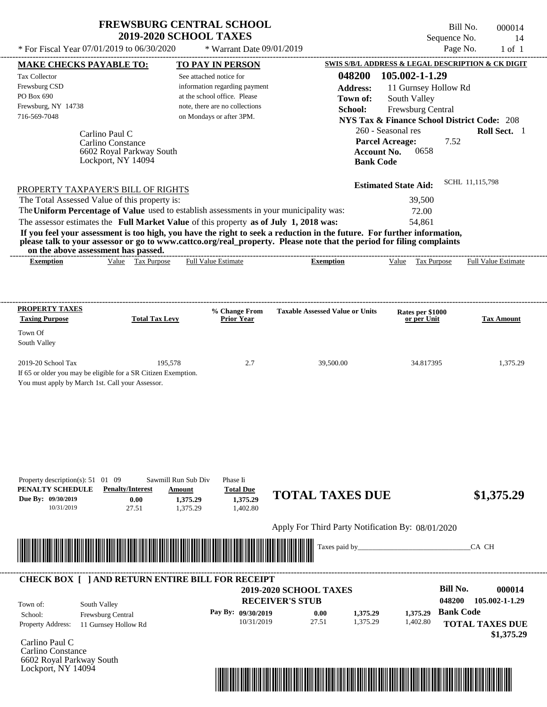$*$  For Fiscal Year 07/01/2019 to 06/30/2020

 $*$  Warrant Date 09/01/2019

Bill No. 000014 Sequence No. 14<br>Page No. 1 of 1

| <b>MAKE CHECKS PAYABLE TO:</b>                                                                                                                                                                                                                   |                                               |                      | <b>TO PAY IN PERSON</b>        |                                                   |                    | SWIS S/B/L ADDRESS & LEGAL DESCRIPTION & CK DIGIT      |                  |                            |
|--------------------------------------------------------------------------------------------------------------------------------------------------------------------------------------------------------------------------------------------------|-----------------------------------------------|----------------------|--------------------------------|---------------------------------------------------|--------------------|--------------------------------------------------------|------------------|----------------------------|
| <b>Tax Collector</b>                                                                                                                                                                                                                             |                                               |                      | See attached notice for        |                                                   |                    | 048200 105.002-1-1.29                                  |                  |                            |
| Frewsburg CSD                                                                                                                                                                                                                                    |                                               |                      | information regarding payment  |                                                   | <b>Address:</b>    | 11 Gurnsey Hollow Rd                                   |                  |                            |
| PO Box 690                                                                                                                                                                                                                                       |                                               |                      | at the school office. Please   |                                                   | Town of:           | South Valley                                           |                  |                            |
| Frewsburg, NY 14738                                                                                                                                                                                                                              |                                               |                      | note, there are no collections |                                                   | School:            | Frewsburg Central                                      |                  |                            |
| 716-569-7048                                                                                                                                                                                                                                     |                                               |                      | on Mondays or after 3PM.       |                                                   |                    | <b>NYS Tax &amp; Finance School District Code: 208</b> |                  |                            |
|                                                                                                                                                                                                                                                  |                                               |                      |                                |                                                   |                    | 260 - Seasonal res                                     |                  | Roll Sect. 1               |
|                                                                                                                                                                                                                                                  | Carlino Paul C                                |                      |                                |                                                   |                    | <b>Parcel Acreage:</b>                                 | 7.52             |                            |
|                                                                                                                                                                                                                                                  | Carlino Constance<br>6602 Royal Parkway South |                      |                                |                                                   | <b>Account No.</b> | 0658                                                   |                  |                            |
|                                                                                                                                                                                                                                                  | Lockport, NY 14094                            |                      |                                |                                                   | <b>Bank Code</b>   |                                                        |                  |                            |
|                                                                                                                                                                                                                                                  |                                               |                      |                                |                                                   |                    |                                                        |                  |                            |
| PROPERTY TAXPAYER'S BILL OF RIGHTS                                                                                                                                                                                                               |                                               |                      |                                |                                                   |                    | <b>Estimated State Aid:</b>                            |                  | SCHL 11,115,798            |
| The Total Assessed Value of this property is:                                                                                                                                                                                                    |                                               |                      |                                |                                                   |                    | 39,500                                                 |                  |                            |
| The Uniform Percentage of Value used to establish assessments in your municipality was:                                                                                                                                                          |                                               |                      |                                |                                                   |                    | 72.00                                                  |                  |                            |
|                                                                                                                                                                                                                                                  |                                               |                      |                                |                                                   |                    | 54,861                                                 |                  |                            |
| The assessor estimates the Full Market Value of this property as of July 1, 2018 was:                                                                                                                                                            |                                               |                      |                                |                                                   |                    |                                                        |                  |                            |
| If you feel your assessment is too high, you have the right to seek a reduction in the future. For further information,<br>please talk to your assessor or go to www.cattco.org/real_property. Please note that the period for filing complaints |                                               |                      |                                |                                                   |                    |                                                        |                  |                            |
| on the above assessment has passed.<br><b>Exemption</b>                                                                                                                                                                                          | Value Tax Purpose                             |                      | <b>Full Value Estimate</b>     | <b>Exemption</b>                                  |                    | Value Tax Purpose                                      |                  | <b>Full Value Estimate</b> |
|                                                                                                                                                                                                                                                  |                                               |                      |                                |                                                   |                    |                                                        |                  |                            |
|                                                                                                                                                                                                                                                  |                                               |                      |                                |                                                   |                    |                                                        |                  |                            |
| <b>PROPERTY TAXES</b><br><b>Taxing Purpose</b>                                                                                                                                                                                                   | <b>Total Tax Levy</b>                         |                      | % Change From<br>Prior Year    | <b>Taxable Assessed Value or Units</b>            |                    | Rates per \$1000<br>or per Unit                        |                  | <b>Tax Amount</b>          |
| Town Of                                                                                                                                                                                                                                          |                                               |                      |                                |                                                   |                    |                                                        |                  |                            |
| South Valley                                                                                                                                                                                                                                     |                                               |                      |                                |                                                   |                    |                                                        |                  |                            |
|                                                                                                                                                                                                                                                  |                                               | 195,578              |                                |                                                   |                    |                                                        |                  |                            |
| 2019-20 School Tax<br>If 65 or older you may be eligible for a SR Citizen Exemption.                                                                                                                                                             |                                               |                      | 2.7                            | 39,500.00                                         |                    | 34.817395                                              |                  | 1,375.29                   |
| You must apply by March 1st. Call your Assessor.                                                                                                                                                                                                 |                                               |                      |                                |                                                   |                    |                                                        |                  |                            |
|                                                                                                                                                                                                                                                  |                                               |                      |                                |                                                   |                    |                                                        |                  |                            |
|                                                                                                                                                                                                                                                  |                                               |                      |                                |                                                   |                    |                                                        |                  |                            |
|                                                                                                                                                                                                                                                  |                                               |                      |                                |                                                   |                    |                                                        |                  |                            |
|                                                                                                                                                                                                                                                  |                                               |                      |                                |                                                   |                    |                                                        |                  |                            |
|                                                                                                                                                                                                                                                  |                                               |                      |                                |                                                   |                    |                                                        |                  |                            |
|                                                                                                                                                                                                                                                  |                                               |                      |                                |                                                   |                    |                                                        |                  |                            |
|                                                                                                                                                                                                                                                  |                                               |                      |                                |                                                   |                    |                                                        |                  |                            |
| Property description(s): $51 \quad 01 \quad 09$                                                                                                                                                                                                  |                                               | Sawmill Run Sub Div  | Phase Ii                       |                                                   |                    |                                                        |                  |                            |
| PENALTY SCHEDULE                                                                                                                                                                                                                                 | <b>Penalty/Interest</b>                       | Amount               | <b>Total Due</b>               | <b>TOTAL TAXES DUE</b>                            |                    |                                                        |                  | \$1,375.29                 |
| Due By: 09/30/2019<br>10/31/2019                                                                                                                                                                                                                 | 0.00<br>27.51                                 | 1,375.29<br>1,375.29 | 1,375.29<br>1,402.80           |                                                   |                    |                                                        |                  |                            |
|                                                                                                                                                                                                                                                  |                                               |                      |                                |                                                   |                    |                                                        |                  |                            |
|                                                                                                                                                                                                                                                  |                                               |                      |                                | Apply For Third Party Notification By: 08/01/2020 |                    |                                                        |                  |                            |
|                                                                                                                                                                                                                                                  |                                               |                      |                                | Taxes paid by_                                    |                    |                                                        |                  | CA CH                      |
|                                                                                                                                                                                                                                                  |                                               |                      |                                |                                                   |                    |                                                        |                  |                            |
|                                                                                                                                                                                                                                                  |                                               |                      |                                |                                                   |                    |                                                        |                  |                            |
| <b>CHECK BOX [ ] AND RETURN ENTIRE BILL FOR RECEIPT</b>                                                                                                                                                                                          |                                               |                      |                                |                                                   |                    |                                                        | <b>Bill No.</b>  |                            |
|                                                                                                                                                                                                                                                  |                                               |                      |                                | 2019-2020 SCHOOL TAXES                            |                    |                                                        |                  | 000014                     |
| South Valley<br>Town of:                                                                                                                                                                                                                         |                                               |                      |                                | <b>RECEIVER'S STUB</b>                            |                    |                                                        | 048200           | 105.002-1-1.29             |
| School:                                                                                                                                                                                                                                          | Frewsburg Central                             |                      | Pay By: 09/30/2019             | 0.00                                              | 1,375.29           | 1,375.29                                               | <b>Bank Code</b> |                            |
| Property Address:                                                                                                                                                                                                                                | 11 Gurnsey Hollow Rd                          |                      | 10/31/2019                     | 27.51                                             | 1,375.29           | 1,402.80                                               |                  | <b>TOTAL TAXES DUE</b>     |
|                                                                                                                                                                                                                                                  |                                               |                      |                                |                                                   |                    |                                                        |                  | \$1,375.29                 |
|                                                                                                                                                                                                                                                  |                                               |                      |                                |                                                   |                    |                                                        |                  |                            |
|                                                                                                                                                                                                                                                  |                                               |                      |                                |                                                   |                    |                                                        |                  |                            |
|                                                                                                                                                                                                                                                  |                                               |                      |                                |                                                   |                    |                                                        |                  |                            |
| Carlino Paul C<br>Carlino Constance<br>6602 Royal Parkway South<br>Lockport, NY 14094                                                                                                                                                            |                                               |                      |                                |                                                   |                    |                                                        |                  |                            |

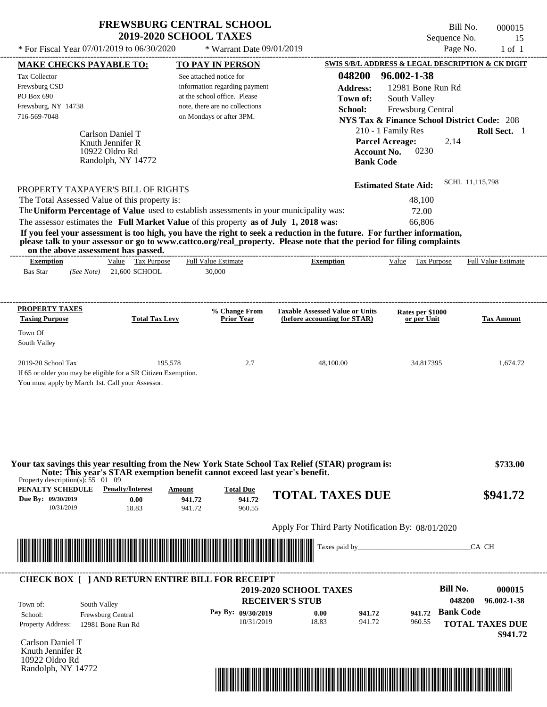\* For Fiscal Year  $07/01/2019$  to  $06/30/2020$  \* Warrant Date  $09/01/2019$  Page No. 1 of 1

\* Warrant Date 09/01/2019

| <b>MAKE CHECKS PAYABLE TO:</b>                                                                           |                                                                                                                                                                                                                                                                                         | <b>TO PAY IN PERSON</b>        |                                    |                                                                        |                    |                                                        |                  | <b>SWIS S/B/L ADDRESS &amp; LEGAL DESCRIPTION &amp; CK DIGIT</b> |
|----------------------------------------------------------------------------------------------------------|-----------------------------------------------------------------------------------------------------------------------------------------------------------------------------------------------------------------------------------------------------------------------------------------|--------------------------------|------------------------------------|------------------------------------------------------------------------|--------------------|--------------------------------------------------------|------------------|------------------------------------------------------------------|
| <b>Tax Collector</b>                                                                                     |                                                                                                                                                                                                                                                                                         | See attached notice for        |                                    |                                                                        | 048200             | 96.002-1-38                                            |                  |                                                                  |
| Frewsburg CSD                                                                                            |                                                                                                                                                                                                                                                                                         | information regarding payment  |                                    |                                                                        | <b>Address:</b>    | 12981 Bone Run Rd                                      |                  |                                                                  |
| PO Box 690                                                                                               |                                                                                                                                                                                                                                                                                         | at the school office. Please   |                                    |                                                                        | Town of:           | South Valley                                           |                  |                                                                  |
| Frewsburg, NY 14738                                                                                      |                                                                                                                                                                                                                                                                                         | note, there are no collections |                                    |                                                                        | School:            | Frewsburg Central                                      |                  |                                                                  |
| 716-569-7048                                                                                             |                                                                                                                                                                                                                                                                                         | on Mondays or after 3PM.       |                                    |                                                                        |                    | <b>NYS Tax &amp; Finance School District Code: 208</b> |                  |                                                                  |
|                                                                                                          |                                                                                                                                                                                                                                                                                         |                                |                                    |                                                                        |                    | 210 - 1 Family Res                                     |                  | Roll Sect. 1                                                     |
|                                                                                                          | Carlson Daniel T                                                                                                                                                                                                                                                                        |                                |                                    |                                                                        |                    | <b>Parcel Acreage:</b>                                 |                  |                                                                  |
|                                                                                                          | Knuth Jennifer R<br>10922 Oldro Rd                                                                                                                                                                                                                                                      |                                |                                    |                                                                        | <b>Account No.</b> | 0230                                                   | 2.14             |                                                                  |
|                                                                                                          | Randolph, NY 14772                                                                                                                                                                                                                                                                      |                                |                                    |                                                                        | <b>Bank Code</b>   |                                                        |                  |                                                                  |
|                                                                                                          |                                                                                                                                                                                                                                                                                         |                                |                                    |                                                                        |                    |                                                        |                  |                                                                  |
|                                                                                                          | PROPERTY TAXPAYER'S BILL OF RIGHTS                                                                                                                                                                                                                                                      |                                |                                    |                                                                        |                    | <b>Estimated State Aid:</b>                            | SCHL 11,115,798  |                                                                  |
|                                                                                                          | The Total Assessed Value of this property is:                                                                                                                                                                                                                                           |                                |                                    |                                                                        |                    | 48,100                                                 |                  |                                                                  |
| The Uniform Percentage of Value used to establish assessments in your municipality was:                  |                                                                                                                                                                                                                                                                                         |                                |                                    |                                                                        |                    | 72.00                                                  |                  |                                                                  |
|                                                                                                          | The assessor estimates the Full Market Value of this property as of July 1, 2018 was:                                                                                                                                                                                                   |                                |                                    |                                                                        |                    | 66,806                                                 |                  |                                                                  |
|                                                                                                          | If you feel your assessment is too high, you have the right to seek a reduction in the future. For further information,<br>please talk to your assessor or go to www.cattco.org/real_property. Please note that the period for filing complaints<br>on the above assessment has passed. |                                |                                    |                                                                        |                    |                                                        |                  |                                                                  |
| <b>Exemption</b>                                                                                         | Value Tax Purpose                                                                                                                                                                                                                                                                       | <b>Full Value Estimate</b>     |                                    | <b>Exemption</b>                                                       |                    | Value Tax Purpose                                      |                  | <b>Full Value Estimate</b>                                       |
| <b>Bas Star</b>                                                                                          | (See Note) 21,600 SCHOOL                                                                                                                                                                                                                                                                | 30,000                         |                                    |                                                                        |                    |                                                        |                  |                                                                  |
|                                                                                                          |                                                                                                                                                                                                                                                                                         |                                |                                    |                                                                        |                    |                                                        |                  |                                                                  |
| PROPERTY TAXES<br><b>Taxing Purpose</b>                                                                  | <b>Total Tax Levy</b>                                                                                                                                                                                                                                                                   |                                | % Change From<br><b>Prior Year</b> | <b>Taxable Assessed Value or Units</b><br>(before accounting for STAR) |                    | Rates per \$1000<br>or per Unit                        |                  | <b>Tax Amount</b>                                                |
|                                                                                                          |                                                                                                                                                                                                                                                                                         |                                |                                    |                                                                        |                    |                                                        |                  |                                                                  |
| Town Of<br>South Valley                                                                                  |                                                                                                                                                                                                                                                                                         |                                |                                    |                                                                        |                    |                                                        |                  |                                                                  |
|                                                                                                          |                                                                                                                                                                                                                                                                                         |                                |                                    |                                                                        |                    |                                                        |                  |                                                                  |
| 2019-20 School Tax                                                                                       | If 65 or older you may be eligible for a SR Citizen Exemption.<br>You must apply by March 1st. Call your Assessor.                                                                                                                                                                      | 195,578                        | 2.7                                | 48,100.00                                                              |                    | 34.817395                                              |                  | 1.674.72                                                         |
| Property description(s): $55 \quad 01 \quad 09$<br>PENALTY SCHEDULE                                      | Your tax savings this year resulting from the New York State School Tax Relief (STAR) program is:<br>Note: This year's STAR exemption benefit cannot exceed last year's benefit.<br><b>Penalty/Interest</b>                                                                             | Amount                         | <b>Total Due</b>                   | <b>TOTAL TAXES DUE</b>                                                 |                    |                                                        |                  | \$733.00<br>\$941.72                                             |
| Due By: 09/30/2019<br>10/31/2019                                                                         | 0.00<br>18.83                                                                                                                                                                                                                                                                           | 941.72<br>941.72               | 941.72<br>960.55                   |                                                                        |                    |                                                        |                  |                                                                  |
|                                                                                                          |                                                                                                                                                                                                                                                                                         |                                |                                    | Apply For Third Party Notification By: 08/01/2020                      |                    |                                                        |                  |                                                                  |
|                                                                                                          |                                                                                                                                                                                                                                                                                         |                                |                                    |                                                                        |                    |                                                        |                  |                                                                  |
|                                                                                                          | <u> Maria Alemania de Santiago de la contrada de la contrada de la contrada de la contrada de la contrada de la c</u>                                                                                                                                                                   |                                |                                    |                                                                        |                    |                                                        |                  | CA CH                                                            |
|                                                                                                          | <b>CHECK BOX [ ] AND RETURN ENTIRE BILL FOR RECEIPT</b>                                                                                                                                                                                                                                 |                                |                                    |                                                                        |                    |                                                        |                  |                                                                  |
|                                                                                                          |                                                                                                                                                                                                                                                                                         |                                |                                    | <b>2019-2020 SCHOOL TAXES</b>                                          |                    |                                                        | <b>Bill No.</b>  | 000015                                                           |
| Town of:                                                                                                 | South Valley                                                                                                                                                                                                                                                                            |                                | <b>RECEIVER'S STUB</b>             |                                                                        |                    |                                                        | 048200           | 96.002-1-38                                                      |
| School:                                                                                                  |                                                                                                                                                                                                                                                                                         |                                | Pay By: 09/30/2019                 | 0.00                                                                   | 941.72             | 941.72                                                 | <b>Bank Code</b> |                                                                  |
|                                                                                                          |                                                                                                                                                                                                                                                                                         |                                |                                    |                                                                        |                    |                                                        |                  |                                                                  |
|                                                                                                          | Frewsburg Central<br>12981 Bone Run Rd                                                                                                                                                                                                                                                  |                                | 10/31/2019                         | 18.83                                                                  | 941.72             | 960.55                                                 |                  |                                                                  |
|                                                                                                          |                                                                                                                                                                                                                                                                                         |                                |                                    |                                                                        |                    |                                                        |                  |                                                                  |
|                                                                                                          |                                                                                                                                                                                                                                                                                         |                                |                                    |                                                                        |                    |                                                        |                  | <b>TOTAL TAXES DUE</b><br>\$941.72                               |
|                                                                                                          |                                                                                                                                                                                                                                                                                         |                                |                                    |                                                                        |                    |                                                        |                  |                                                                  |
| <b>Property Address:</b><br>Carlson Daniel T<br>Knuth Jennifer R<br>10922 Oldro Rd<br>Randolph, NY 14772 |                                                                                                                                                                                                                                                                                         |                                |                                    |                                                                        |                    |                                                        |                  |                                                                  |

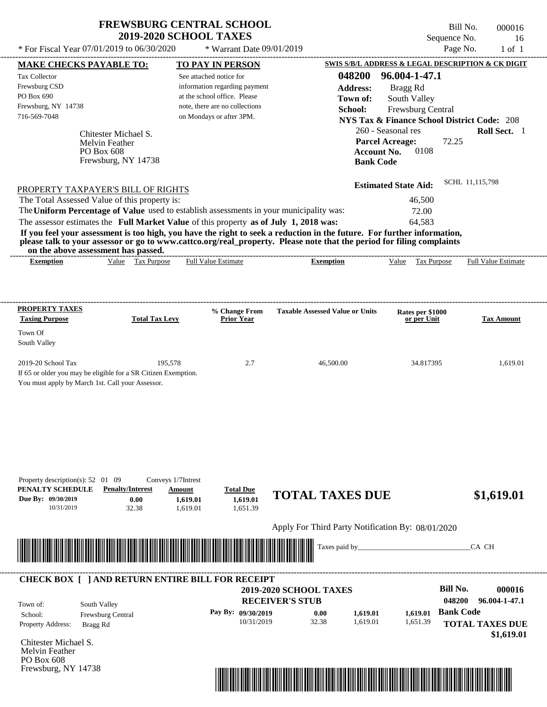Frewsburg, NY 14738

Bill No. 000016 Sequence No. 16<br>Page No. 1 of 1

| * For Fiscal Year 07/01/2019 to 06/30/2020                                                                                                                                                                                                                                                                     |                                                                                                  | * Warrant Date 09/01/2019                                                                                                                              |                                                                                                                                                                                                                                                  |                                                                                                                                                                             | Page No.<br>$1$ of $1$                                                                                           |
|----------------------------------------------------------------------------------------------------------------------------------------------------------------------------------------------------------------------------------------------------------------------------------------------------------------|--------------------------------------------------------------------------------------------------|--------------------------------------------------------------------------------------------------------------------------------------------------------|--------------------------------------------------------------------------------------------------------------------------------------------------------------------------------------------------------------------------------------------------|-----------------------------------------------------------------------------------------------------------------------------------------------------------------------------|------------------------------------------------------------------------------------------------------------------|
| <b>MAKE CHECKS PAYABLE TO:</b>                                                                                                                                                                                                                                                                                 |                                                                                                  | <b>TO PAY IN PERSON</b>                                                                                                                                |                                                                                                                                                                                                                                                  |                                                                                                                                                                             | SWIS S/B/L ADDRESS & LEGAL DESCRIPTION & CK DIGIT                                                                |
| Tax Collector<br>Frewsburg CSD<br>PO Box 690<br>Frewsburg, NY 14738<br>716-569-7048<br>Chitester Michael S.<br>Melvin Feather<br>PO Box 608<br>Frewsburg, NY 14738                                                                                                                                             |                                                                                                  | See attached notice for<br>information regarding payment<br>at the school office. Please<br>note, there are no collections<br>on Mondays or after 3PM. | 048200<br><b>Address:</b><br>Town of:<br>School:<br><b>Bank Code</b>                                                                                                                                                                             | 96.004-1-47.1<br>Bragg Rd<br>South Valley<br>Frewsburg Central<br>260 - Seasonal res<br><b>Parcel Acreage:</b><br>0108<br><b>Account No.</b><br><b>Estimated State Aid:</b> | <b>NYS Tax &amp; Finance School District Code: 208</b><br>Roll Sect. 1<br>72.25<br>SCHL 11,115,798               |
| PROPERTY TAXPAYER'S BILL OF RIGHTS<br>The Total Assessed Value of this property is:<br>The Uniform Percentage of Value used to establish assessments in your municipality was:<br>The assessor estimates the Full Market Value of this property as of July 1, 2018 was:<br>on the above assessment has passed. |                                                                                                  |                                                                                                                                                        | If you feel your assessment is too high, you have the right to seek a reduction in the future. For further information,<br>please talk to your assessor or go to www.cattco.org/real_property. Please note that the period for filing complaints | 46,500<br>72.00<br>64,583                                                                                                                                                   |                                                                                                                  |
| <b>Exemption</b>                                                                                                                                                                                                                                                                                               | Value Tax Purpose                                                                                | <b>Full Value Estimate</b>                                                                                                                             | <b>Exemption</b>                                                                                                                                                                                                                                 | Value Tax Purpose                                                                                                                                                           | <b>Full Value Estimate</b>                                                                                       |
| <b>PROPERTY TAXES</b>                                                                                                                                                                                                                                                                                          |                                                                                                  | % Change From                                                                                                                                          | <b>Taxable Assessed Value or Units</b>                                                                                                                                                                                                           | Rates per \$1000                                                                                                                                                            |                                                                                                                  |
| <b>Taxing Purpose</b><br>Town Of<br>South Valley                                                                                                                                                                                                                                                               | <b>Total Tax Levy</b>                                                                            | <b>Prior Year</b>                                                                                                                                      |                                                                                                                                                                                                                                                  | or per Unit                                                                                                                                                                 | <b>Tax Amount</b>                                                                                                |
| 2019-20 School Tax<br>If 65 or older you may be eligible for a SR Citizen Exemption.<br>You must apply by March 1st. Call your Assessor.                                                                                                                                                                       | 195,578                                                                                          | 2.7                                                                                                                                                    | 46,500.00                                                                                                                                                                                                                                        | 34.817395                                                                                                                                                                   | 1,619.01                                                                                                         |
| Property description(s): $52 \quad 01 \quad 09$<br>PENALTY SCHEDULE<br>Due By: 09/30/2019<br>10/31/2019                                                                                                                                                                                                        | Conveys 1/7Intrest<br><b>Penalty/Interest</b><br>Amount<br>0.00<br>1,619.01<br>32.38<br>1,619.01 | <b>Total Due</b><br>1,619.01<br>1,651.39                                                                                                               | <b>TOTAL TAXES DUE</b>                                                                                                                                                                                                                           |                                                                                                                                                                             | \$1,619.01                                                                                                       |
|                                                                                                                                                                                                                                                                                                                |                                                                                                  |                                                                                                                                                        | Apply For Third Party Notification By: 08/01/2020                                                                                                                                                                                                |                                                                                                                                                                             |                                                                                                                  |
| <u> III de la construcción de la construcción de la construcción de la construcción de la construcción de la const</u>                                                                                                                                                                                         |                                                                                                  |                                                                                                                                                        | Taxes paid by_                                                                                                                                                                                                                                   |                                                                                                                                                                             | CA CH                                                                                                            |
| <b>CHECK BOX [ ] AND RETURN ENTIRE BILL FOR RECEIPT</b><br>South Valley<br>Town of:<br>Frewsburg Central<br>School:<br>Property Address:<br>Bragg Rd                                                                                                                                                           |                                                                                                  | Pay By: 09/30/2019<br>10/31/2019                                                                                                                       | 2019-2020 SCHOOL TAXES<br><b>RECEIVER'S STUB</b><br>0.00<br>1,619.01<br>32.38<br>1,619.01                                                                                                                                                        | 1,619.01<br>1,651.39                                                                                                                                                        | <b>Bill No.</b><br>000016<br>048200<br>96.004-1-47.1<br><b>Bank Code</b><br><b>TOTAL TAXES DUE</b><br>\$1,619.01 |
| Chitester Michael S.<br>Melvin Feather<br>PO Box 608                                                                                                                                                                                                                                                           |                                                                                                  |                                                                                                                                                        |                                                                                                                                                                                                                                                  |                                                                                                                                                                             |                                                                                                                  |

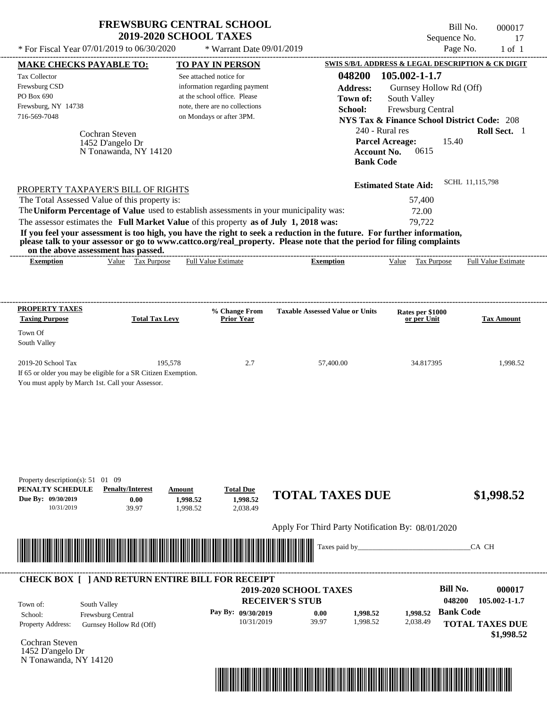| <b>FREWSBURG CENTRAL SCHOOL</b> |
|---------------------------------|
| <b>2019-2020 SCHOOL TAXES</b>   |

Bill No. 000017 Sequence No. 17

| * For Fiscal Year 07/01/2019 to 06/30/2020                                                                                                                                                                                                                                                                                                      |                                                             | * Warrant Date 09/01/2019                                                                                                                                                                                      |                                                                                                                                                                                                                                                                                                                |                                                                                                                                                                                                       | Page No.<br>$1$ of $1$                                                              |
|-------------------------------------------------------------------------------------------------------------------------------------------------------------------------------------------------------------------------------------------------------------------------------------------------------------------------------------------------|-------------------------------------------------------------|----------------------------------------------------------------------------------------------------------------------------------------------------------------------------------------------------------------|----------------------------------------------------------------------------------------------------------------------------------------------------------------------------------------------------------------------------------------------------------------------------------------------------------------|-------------------------------------------------------------------------------------------------------------------------------------------------------------------------------------------------------|-------------------------------------------------------------------------------------|
| <b>MAKE CHECKS PAYABLE TO:</b>                                                                                                                                                                                                                                                                                                                  |                                                             | <b>TO PAY IN PERSON</b>                                                                                                                                                                                        |                                                                                                                                                                                                                                                                                                                | SWIS S/B/L ADDRESS & LEGAL DESCRIPTION & CK DIGIT                                                                                                                                                     |                                                                                     |
| Tax Collector<br>Frewsburg CSD<br>PO Box 690<br>Frewsburg, NY 14738<br>716-569-7048                                                                                                                                                                                                                                                             | Cochran Steven<br>1452 D'angelo Dr<br>N Tonawanda, NY 14120 | See attached notice for<br>information regarding payment<br>at the school office. Please<br>note, there are no collections<br>on Mondays or after 3PM.                                                         | 048200<br><b>Address:</b><br>Town of:<br>School:<br><b>Account No.</b><br><b>Bank Code</b>                                                                                                                                                                                                                     | 105.002-1-1.7<br>Gurnsey Hollow Rd (Off)<br>South Valley<br>Frewsburg Central<br><b>NYS Tax &amp; Finance School District Code: 208</b><br>240 - Rural res<br><b>Parcel Acreage:</b><br>15.40<br>0615 | Roll Sect. 1                                                                        |
| PROPERTY TAXPAYER'S BILL OF RIGHTS<br>The Total Assessed Value of this property is:<br>on the above assessment has passed.<br><b>Exemption</b>                                                                                                                                                                                                  | Value Tax Purpose                                           | The Uniform Percentage of Value used to establish assessments in your municipality was:<br>The assessor estimates the Full Market Value of this property as of July 1, 2018 was:<br><b>Full Value Estimate</b> | If you feel your assessment is too high, you have the right to seek a reduction in the future. For further information,<br>please talk to your assessor or go to www.cattco.org/real_property. Please note that the period for filing complaints<br>--------------------------------------<br><b>Exemption</b> | <b>Estimated State Aid:</b><br>57,400<br>72.00<br>79,722<br>Value Tax Purpose                                                                                                                         | SCHL 11,115,798<br><b>Full Value Estimate</b>                                       |
|                                                                                                                                                                                                                                                                                                                                                 |                                                             |                                                                                                                                                                                                                |                                                                                                                                                                                                                                                                                                                |                                                                                                                                                                                                       |                                                                                     |
| <b>PROPERTY TAXES</b><br><b>Taxing Purpose</b><br>Town Of<br>South Valley                                                                                                                                                                                                                                                                       | <b>Total Tax Levy</b>                                       | % Change From<br><b>Prior Year</b>                                                                                                                                                                             | <b>Taxable Assessed Value or Units</b>                                                                                                                                                                                                                                                                         | Rates per \$1000<br>or per Unit                                                                                                                                                                       | <b>Tax Amount</b>                                                                   |
| 2019-20 School Tax<br>If 65 or older you may be eligible for a SR Citizen Exemption.<br>You must apply by March 1st. Call your Assessor.                                                                                                                                                                                                        | 195,578                                                     | 2.7                                                                                                                                                                                                            | 57,400.00                                                                                                                                                                                                                                                                                                      | 34.817395                                                                                                                                                                                             | 1,998.52                                                                            |
| Property description(s): $51 \quad 01 \quad 09$<br>PENALTY SCHEDULE<br>Due By: 09/30/2019<br>10/31/2019<br><u> Indian American State of Barbara and The Barbara and The Barbara and The Barbara and The Barbara and The Barbara and The Barbara and The Barbara and The Barbara and The Barbara and The Barbara and The Barbara and The Bar</u> | <b>Penalty/Interest</b><br>0.00<br>39.97                    | <b>Total Due</b><br>Amount<br>1,998.52<br>1,998.52<br>2,038.49<br>1,998.52                                                                                                                                     | <b>TOTAL TAXES DUE</b><br>Apply For Third Party Notification By: 08/01/2020<br>Taxes paid by_                                                                                                                                                                                                                  |                                                                                                                                                                                                       | \$1,998.52<br>CA CH                                                                 |
|                                                                                                                                                                                                                                                                                                                                                 |                                                             |                                                                                                                                                                                                                |                                                                                                                                                                                                                                                                                                                |                                                                                                                                                                                                       |                                                                                     |
| South Valley<br>Town of:<br>School:<br>Property Address:<br>Cochran Steven<br>1452 D'angelo Dr<br>N Tonawanda, NY 14120                                                                                                                                                                                                                         | Frewsburg Central<br>Gurnsey Hollow Rd (Off)                | <b>CHECK BOX [ ] AND RETURN ENTIRE BILL FOR RECEIPT</b><br>Pay By: 09/30/2019<br>10/31/2019                                                                                                                    | 2019-2020 SCHOOL TAXES<br><b>RECEIVER'S STUB</b><br>0.00<br>1,998.52<br>39.97<br>1,998.52                                                                                                                                                                                                                      | <b>Bill No.</b><br>048200<br>1.998.52<br>2,038.49                                                                                                                                                     | 000017<br>105.002-1-1.7<br><b>Bank Code</b><br><b>TOTAL TAXES DUE</b><br>\$1,998.52 |

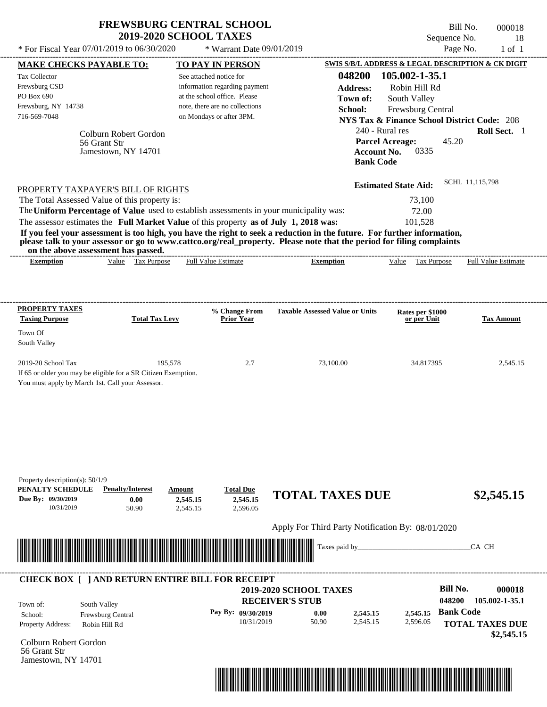| <b>FREWSBURG CENTRAL SCHOOL</b> |
|---------------------------------|
| <b>2019-2020 SCHOOL TAXES</b>   |

Bill No. 000018 Sequence No. 18  $*$  For Fiscal Year 07/01/2019 to 06/30/2020  $*$  Warrant Date 09/01/2019 Page No. 1 of 1

| <b>MAKE CHECKS PAYABLE TO:</b>                                                                                                                               |                                       | <b>TO PAY IN PERSON</b>        |                              |                                        | <b>SWIS S/B/L ADDRESS &amp; LEGAL DESCRIPTION &amp; CK DIGIT</b> |                            |                   |
|--------------------------------------------------------------------------------------------------------------------------------------------------------------|---------------------------------------|--------------------------------|------------------------------|----------------------------------------|------------------------------------------------------------------|----------------------------|-------------------|
| <b>Tax Collector</b>                                                                                                                                         |                                       | See attached notice for        |                              | 048200                                 | 105.002-1-35.1                                                   |                            |                   |
| Frewsburg CSD                                                                                                                                                |                                       | information regarding payment  |                              | <b>Address:</b>                        | Robin Hill Rd                                                    |                            |                   |
| PO Box 690                                                                                                                                                   |                                       | at the school office. Please   |                              | Town of:                               | South Valley                                                     |                            |                   |
| Frewsburg, NY 14738                                                                                                                                          |                                       | note, there are no collections |                              | School:                                | Frewsburg Central                                                |                            |                   |
| 716-569-7048                                                                                                                                                 |                                       | on Mondays or after 3PM.       |                              |                                        | <b>NYS Tax &amp; Finance School District Code: 208</b>           |                            |                   |
|                                                                                                                                                              |                                       |                                |                              |                                        | 240 - Rural res                                                  |                            | Roll Sect. 1      |
|                                                                                                                                                              | Colburn Robert Gordon<br>56 Grant Str |                                |                              |                                        | <b>Parcel Acreage:</b>                                           | 45.20                      |                   |
|                                                                                                                                                              | Jamestown, NY 14701                   |                                |                              |                                        | 0335<br><b>Account No.</b>                                       |                            |                   |
|                                                                                                                                                              |                                       |                                |                              |                                        | <b>Bank Code</b>                                                 |                            |                   |
|                                                                                                                                                              |                                       |                                |                              |                                        |                                                                  |                            |                   |
| PROPERTY TAXPAYER'S BILL OF RIGHTS                                                                                                                           |                                       |                                |                              |                                        | <b>Estimated State Aid:</b>                                      | SCHL 11,115,798            |                   |
| The Total Assessed Value of this property is:                                                                                                                |                                       |                                |                              |                                        | 73,100                                                           |                            |                   |
| The Uniform Percentage of Value used to establish assessments in your municipality was:                                                                      |                                       |                                |                              |                                        | 72.00                                                            |                            |                   |
| The assessor estimates the Full Market Value of this property as of July 1, 2018 was:                                                                        |                                       |                                |                              |                                        | 101,528                                                          |                            |                   |
| If you feel your assessment is too high, you have the right to seek a reduction in the future. For further information,                                      |                                       |                                |                              |                                        |                                                                  |                            |                   |
| please talk to your assessor or go to www.cattco.org/real_property. Please note that the period for filing complaints<br>on the above assessment has passed. |                                       |                                |                              |                                        |                                                                  |                            |                   |
| <b>Exemption</b>                                                                                                                                             | Value Tax Purpose                     | <b>Full Value Estimate</b>     |                              | <b>Exemption</b>                       | Value Tax Purpose                                                | <b>Full Value Estimate</b> |                   |
|                                                                                                                                                              |                                       |                                |                              |                                        |                                                                  |                            |                   |
|                                                                                                                                                              |                                       |                                |                              |                                        |                                                                  |                            |                   |
| PROPERTY TAXES                                                                                                                                               |                                       |                                | % Change From                | <b>Taxable Assessed Value or Units</b> | Rates per \$1000                                                 |                            |                   |
| <b>Taxing Purpose</b>                                                                                                                                        | <b>Total Tax Levy</b>                 |                                | <b>Prior Year</b>            |                                        | or per Unit                                                      |                            | <b>Tax Amount</b> |
| Town Of                                                                                                                                                      |                                       |                                |                              |                                        |                                                                  |                            |                   |
| South Valley                                                                                                                                                 |                                       |                                |                              |                                        |                                                                  |                            |                   |
|                                                                                                                                                              |                                       |                                |                              |                                        |                                                                  |                            |                   |
| 2019-20 School Tax<br>If 65 or older you may be eligible for a SR Citizen Exemption.                                                                         | 195,578                               |                                | 2.7                          | 73,100.00                              | 34.817395                                                        |                            | 2,545.15          |
| You must apply by March 1st. Call your Assessor.                                                                                                             |                                       |                                |                              |                                        |                                                                  |                            |                   |
|                                                                                                                                                              |                                       |                                |                              |                                        |                                                                  |                            |                   |
|                                                                                                                                                              |                                       |                                |                              |                                        |                                                                  |                            |                   |
|                                                                                                                                                              |                                       |                                |                              |                                        |                                                                  |                            |                   |
|                                                                                                                                                              |                                       |                                |                              |                                        |                                                                  |                            |                   |
|                                                                                                                                                              |                                       |                                |                              |                                        |                                                                  |                            |                   |
|                                                                                                                                                              |                                       |                                |                              |                                        |                                                                  |                            |                   |
|                                                                                                                                                              |                                       |                                |                              |                                        |                                                                  |                            |                   |
| Property description(s): $50/1/9$<br>PENALTY SCHEDULE                                                                                                        | <b>Penalty/Interest</b>               |                                |                              |                                        |                                                                  |                            |                   |
| Due By: 09/30/2019                                                                                                                                           | 0.00                                  | Amount<br>2,545.15             | <b>Total Due</b><br>2,545.15 | <b>TOTAL TAXES DUE</b>                 |                                                                  |                            | \$2,545.15        |
| 10/31/2019                                                                                                                                                   | 50.90                                 | 2,545.15                       | 2,596.05                     |                                        |                                                                  |                            |                   |
|                                                                                                                                                              |                                       |                                |                              |                                        |                                                                  |                            |                   |
|                                                                                                                                                              |                                       |                                |                              |                                        | Apply For Third Party Notification By: 08/01/2020                |                            |                   |
| <u> III de la contrada de la contrada de la contrada de la contrada de la contrada de la contrada de la contrada</u>                                         |                                       |                                |                              | Taxes paid by_                         |                                                                  | CA CH                      |                   |
|                                                                                                                                                              |                                       |                                |                              |                                        |                                                                  |                            |                   |
| <b>CHECK BOX [ ] AND RETURN ENTIRE BILL FOR RECEIPT</b>                                                                                                      |                                       |                                |                              |                                        |                                                                  |                            |                   |
|                                                                                                                                                              |                                       |                                |                              | <b>2019-2020 SCHOOL TAXES</b>          |                                                                  | <b>Bill No.</b>            | 000018            |
|                                                                                                                                                              |                                       |                                | <b>RECEIVER'S STUB</b>       |                                        |                                                                  | 048200<br>105.002-1-35.1   |                   |
| South Valley<br>Town of:<br>School:                                                                                                                          |                                       |                                | Pay By: 09/30/2019           | 0.00                                   | 2,545.15<br>2,545.15                                             | <b>Bank Code</b>           |                   |
| Property Address:                                                                                                                                            | Frewsburg Central<br>Robin Hill Rd    |                                | 10/31/2019                   | 50.90                                  | 2,545.15<br>2,596.05                                             | <b>TOTAL TAXES DUE</b>     |                   |
|                                                                                                                                                              |                                       |                                |                              |                                        |                                                                  |                            | \$2,545.15        |
| Colburn Robert Gordon                                                                                                                                        |                                       |                                |                              |                                        |                                                                  |                            |                   |
| 56 Grant Str                                                                                                                                                 |                                       |                                |                              |                                        |                                                                  |                            |                   |
|                                                                                                                                                              |                                       |                                |                              |                                        |                                                                  |                            |                   |
| Jamestown, NY 14701                                                                                                                                          |                                       |                                |                              |                                        |                                                                  |                            |                   |

\*04820000001800000000254515\*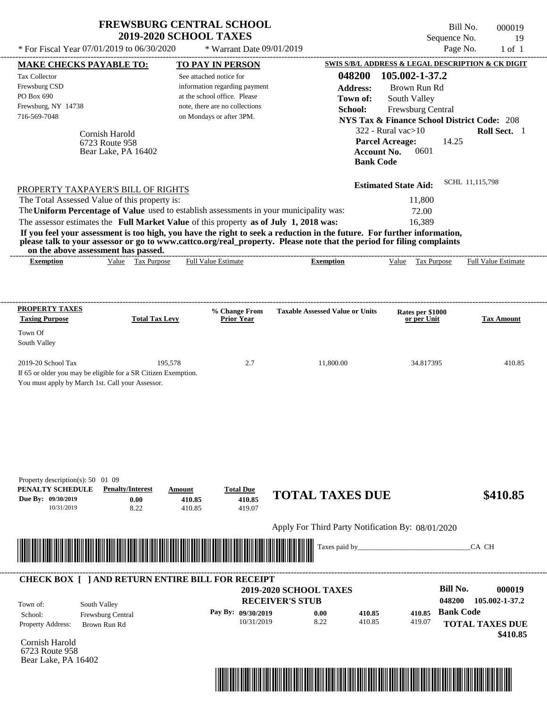|                                            | <b>FREWSBURG CENTRAL SCHOOL</b><br>Bill No.<br>000019<br><b>2019-2020 SCHOOL TAXES</b><br>Sequence No. |          |                 |  |
|--------------------------------------------|--------------------------------------------------------------------------------------------------------|----------|-----------------|--|
| * For Fiscal Year 07/01/2019 to 06/30/2020 | $*$ Warrant Date 09/01/2019                                                                            | Page No. | -- 19<br>1 of 1 |  |

| <b>MAKE CHECKS PAYABLE TO:</b>                                                        |                                                                | <b>TO PAY IN PERSON</b>      |                                |                                                                                                                         |                    |                             |                  | SWIS S/B/L ADDRESS & LEGAL DESCRIPTION & CK DIGIT      |
|---------------------------------------------------------------------------------------|----------------------------------------------------------------|------------------------------|--------------------------------|-------------------------------------------------------------------------------------------------------------------------|--------------------|-----------------------------|------------------|--------------------------------------------------------|
| <b>Tax Collector</b>                                                                  |                                                                | See attached notice for      |                                |                                                                                                                         | 048200             | 105.002-1-37.2              |                  |                                                        |
| Frewsburg CSD                                                                         |                                                                |                              | information regarding payment  |                                                                                                                         | <b>Address:</b>    | Brown Run Rd                |                  |                                                        |
| PO Box 690                                                                            |                                                                | at the school office. Please |                                |                                                                                                                         | Town of:           | South Valley                |                  |                                                        |
| Frewsburg, NY 14738                                                                   |                                                                |                              | note, there are no collections | School:                                                                                                                 |                    | Frewsburg Central           |                  |                                                        |
| 716-569-7048                                                                          |                                                                | on Mondays or after 3PM.     |                                |                                                                                                                         |                    |                             |                  | <b>NYS Tax &amp; Finance School District Code: 208</b> |
|                                                                                       | Cornish Harold                                                 |                              |                                |                                                                                                                         |                    | $322$ - Rural vac $>10$     |                  | Roll Sect. 1                                           |
|                                                                                       | 6723 Route 958                                                 |                              |                                |                                                                                                                         |                    | <b>Parcel Acreage:</b>      | 14.25            |                                                        |
|                                                                                       | Bear Lake, PA 16402                                            |                              |                                |                                                                                                                         | <b>Account No.</b> | 0601                        |                  |                                                        |
|                                                                                       |                                                                |                              |                                |                                                                                                                         | <b>Bank Code</b>   |                             |                  |                                                        |
| PROPERTY TAXPAYER'S BILL OF RIGHTS                                                    |                                                                |                              |                                |                                                                                                                         |                    | <b>Estimated State Aid:</b> |                  | SCHL 11,115,798                                        |
|                                                                                       | The Total Assessed Value of this property is:                  |                              |                                |                                                                                                                         |                    | 11,800                      |                  |                                                        |
|                                                                                       |                                                                |                              |                                | The Uniform Percentage of Value used to establish assessments in your municipality was:                                 |                    | 72.00                       |                  |                                                        |
| The assessor estimates the Full Market Value of this property as of July 1, 2018 was: |                                                                |                              |                                |                                                                                                                         |                    | 16,389                      |                  |                                                        |
|                                                                                       |                                                                |                              |                                | If you feel your assessment is too high, you have the right to seek a reduction in the future. For further information, |                    |                             |                  |                                                        |
|                                                                                       | on the above assessment has passed.                            |                              |                                | please talk to your assessor or go to www.cattco.org/real_property. Please note that the period for filing complaints   |                    |                             |                  |                                                        |
| <b>Exemption</b>                                                                      | Value Tax Purpose                                              | <b>Full Value Estimate</b>   |                                | <b>Exemption</b>                                                                                                        |                    | Value Tax Purpose           |                  | <b>Full Value Estimate</b>                             |
|                                                                                       |                                                                |                              |                                |                                                                                                                         |                    |                             |                  |                                                        |
| <b>PROPERTY TAXES</b>                                                                 |                                                                |                              | % Change From                  | <b>Taxable Assessed Value or Units</b>                                                                                  |                    | Rates per \$1000            |                  |                                                        |
| <b>Taxing Purpose</b>                                                                 | <b>Total Tax Levy</b>                                          |                              | <b>Prior Year</b>              |                                                                                                                         |                    | or per Unit                 |                  | <b>Tax Amount</b>                                      |
| Town Of                                                                               |                                                                |                              |                                |                                                                                                                         |                    |                             |                  |                                                        |
| South Valley                                                                          |                                                                |                              |                                |                                                                                                                         |                    |                             |                  |                                                        |
| 2019-20 School Tax                                                                    |                                                                | 195,578                      | 2.7                            | 11,800.00                                                                                                               |                    | 34.817395                   |                  | 410.85                                                 |
|                                                                                       | If 65 or older you may be eligible for a SR Citizen Exemption. |                              |                                |                                                                                                                         |                    |                             |                  |                                                        |
|                                                                                       | You must apply by March 1st. Call your Assessor.               |                              |                                |                                                                                                                         |                    |                             |                  |                                                        |
|                                                                                       |                                                                |                              |                                |                                                                                                                         |                    |                             |                  |                                                        |
|                                                                                       |                                                                |                              |                                |                                                                                                                         |                    |                             |                  |                                                        |
|                                                                                       |                                                                |                              |                                |                                                                                                                         |                    |                             |                  |                                                        |
|                                                                                       |                                                                |                              |                                |                                                                                                                         |                    |                             |                  |                                                        |
| Property description(s): 50 01 09                                                     |                                                                |                              |                                |                                                                                                                         |                    |                             |                  |                                                        |
| PENALTY SCHEDULE                                                                      | <b>Penalty/Interest</b>                                        | Amount                       | <b>Total Due</b>               | <b>TOTAL TAXES DUE</b>                                                                                                  |                    |                             |                  | \$410.85                                               |
| Due By: 09/30/2019<br>10/31/2019                                                      | 0.00<br>8.22                                                   | 410.85<br>410.85             | 410.85<br>419.07               |                                                                                                                         |                    |                             |                  |                                                        |
|                                                                                       |                                                                |                              |                                | Apply For Third Party Notification By: 08/01/2020                                                                       |                    |                             |                  |                                                        |
|                                                                                       |                                                                |                              |                                |                                                                                                                         |                    |                             |                  |                                                        |
|                                                                                       |                                                                |                              |                                | Taxes paid by_                                                                                                          |                    |                             |                  | CA CH                                                  |
|                                                                                       | <b>CHECK BOX [ ] AND RETURN ENTIRE BILL FOR RECEIPT</b>        |                              |                                |                                                                                                                         |                    |                             |                  |                                                        |
|                                                                                       |                                                                |                              |                                | <b>2019-2020 SCHOOL TAXES</b>                                                                                           |                    |                             | <b>Bill No.</b>  | 000019                                                 |
| Town of:                                                                              | South Valley                                                   |                              |                                | <b>RECEIVER'S STUB</b>                                                                                                  |                    |                             | 048200           | 105.002-1-37.2                                         |
| School:                                                                               | Frewsburg Central                                              |                              | Pay By: 09/30/2019             | 0.00                                                                                                                    | 410.85             | 410.85                      | <b>Bank Code</b> |                                                        |
| Property Address:                                                                     | Brown Run Rd                                                   |                              | 10/31/2019                     | 8.22                                                                                                                    | 410.85             | 419.07                      |                  | <b>TOTAL TAXES DUE</b>                                 |
|                                                                                       |                                                                |                              |                                |                                                                                                                         |                    |                             |                  | \$410.85                                               |
| Cornish Harold                                                                        |                                                                |                              |                                |                                                                                                                         |                    |                             |                  |                                                        |
| 6723 Route 958                                                                        |                                                                |                              |                                |                                                                                                                         |                    |                             |                  |                                                        |
| Bear Lake, PA 16402                                                                   |                                                                |                              |                                |                                                                                                                         |                    |                             |                  |                                                        |

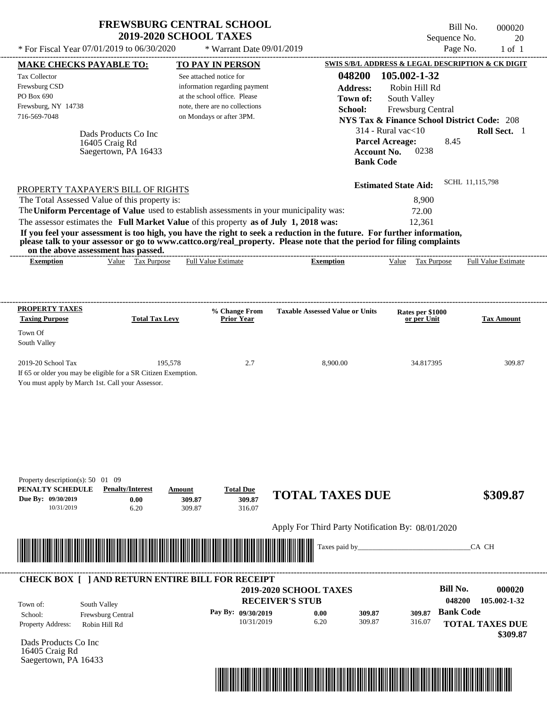| <b>FREWSBURG CENTRAL SCHOOL</b> |
|---------------------------------|
| <b>2019-2020 SCHOOL TAXES</b>   |

Bill No. 000020 Sequence No. 20

|                                                                                                         | * For Fiscal Year 07/01/2019 to 06/30/2020                                          | * Warrant Date 09/01/2019                                                                                                                                                        |                                                                                                                                                                                                                                                  | Page No.                                                                                                                                                                                                                                                | $1$ of $1$                                         |
|---------------------------------------------------------------------------------------------------------|-------------------------------------------------------------------------------------|----------------------------------------------------------------------------------------------------------------------------------------------------------------------------------|--------------------------------------------------------------------------------------------------------------------------------------------------------------------------------------------------------------------------------------------------|---------------------------------------------------------------------------------------------------------------------------------------------------------------------------------------------------------------------------------------------------------|----------------------------------------------------|
| <b>MAKE CHECKS PAYABLE TO:</b>                                                                          |                                                                                     | <b>TO PAY IN PERSON</b>                                                                                                                                                          |                                                                                                                                                                                                                                                  | SWIS S/B/L ADDRESS & LEGAL DESCRIPTION & CK DIGIT                                                                                                                                                                                                       |                                                    |
| Tax Collector<br>Frewsburg CSD<br>PO Box 690<br>Frewsburg, NY 14738<br>716-569-7048                     | Dads Products Co Inc<br>16405 Craig Rd<br>Saegertown, PA 16433                      | See attached notice for<br>information regarding payment<br>at the school office. Please<br>note, there are no collections<br>on Mondays or after 3PM.                           | 048200<br><b>Address:</b><br>Town of:<br>School:<br><b>Bank Code</b>                                                                                                                                                                             | 105.002-1-32<br>Robin Hill Rd<br>South Valley<br>Frewsburg Central<br><b>NYS Tax &amp; Finance School District Code: 208</b><br>$314$ - Rural vac $<$ 10<br><b>Parcel Acreage:</b><br>8.45<br><b>Account No.</b><br>0238<br><b>Estimated State Aid:</b> | Roll Sect. 1<br>SCHL 11,115,798                    |
|                                                                                                         | PROPERTY TAXPAYER'S BILL OF RIGHTS<br>The Total Assessed Value of this property is: | The Uniform Percentage of Value used to establish assessments in your municipality was:<br>The assessor estimates the Full Market Value of this property as of July 1, 2018 was: |                                                                                                                                                                                                                                                  | 8,900<br>72.00<br>12,361                                                                                                                                                                                                                                |                                                    |
|                                                                                                         | on the above assessment has passed.                                                 |                                                                                                                                                                                  | If you feel your assessment is too high, you have the right to seek a reduction in the future. For further information,<br>please talk to your assessor or go to www.cattco.org/real_property. Please note that the period for filing complaints |                                                                                                                                                                                                                                                         |                                                    |
| <b>Exemption</b>                                                                                        | Value Tax Purpose                                                                   | <b>Full Value Estimate</b>                                                                                                                                                       | <b>Exemption</b>                                                                                                                                                                                                                                 | Value Tax Purpose                                                                                                                                                                                                                                       | <b>Full Value Estimate</b>                         |
| <b>PROPERTY TAXES</b><br><b>Taxing Purpose</b>                                                          | <b>Total Tax Levy</b>                                                               | % Change From<br><b>Prior Year</b>                                                                                                                                               | <b>Taxable Assessed Value or Units</b>                                                                                                                                                                                                           | Rates per \$1000<br>or per Unit                                                                                                                                                                                                                         | <b>Tax Amount</b>                                  |
| Town Of<br>South Valley                                                                                 |                                                                                     |                                                                                                                                                                                  |                                                                                                                                                                                                                                                  |                                                                                                                                                                                                                                                         |                                                    |
| 2019-20 School Tax<br>You must apply by March 1st. Call your Assessor.                                  | 195,578<br>If 65 or older you may be eligible for a SR Citizen Exemption.           | 2.7                                                                                                                                                                              | 8,900.00                                                                                                                                                                                                                                         | 34.817395                                                                                                                                                                                                                                               | 309.87                                             |
| Property description(s): $50 \quad 01 \quad 09$<br>PENALTY SCHEDULE<br>Due By: 09/30/2019<br>10/31/2019 | <b>Penalty/Interest</b><br>0.00<br>6.20                                             | <b>Total Due</b><br>Amount<br>309.87<br>309.87<br>309.87<br>316.07                                                                                                               | <b>TOTAL TAXES DUE</b><br>Apply For Third Party Notification By: 08/01/2020                                                                                                                                                                      |                                                                                                                                                                                                                                                         | \$309.87                                           |
|                                                                                                         |                                                                                     | <u> III de la contrada de la contrada de la contrada de la contrada de la contrada de la contrada de la contrada</u>                                                             | Taxes paid by_                                                                                                                                                                                                                                   |                                                                                                                                                                                                                                                         | CA CH                                              |
|                                                                                                         |                                                                                     | <b>CHECK BOX [ ] AND RETURN ENTIRE BILL FOR RECEIPT</b>                                                                                                                          | 2019-2020 SCHOOL TAXES                                                                                                                                                                                                                           | <b>Bill No.</b>                                                                                                                                                                                                                                         | 000020                                             |
| Town of:<br>School:<br>Property Address:                                                                | South Valley<br>Frewsburg Central<br>Robin Hill Rd                                  | Pay By: 09/30/2019<br>10/31/2019                                                                                                                                                 | <b>RECEIVER'S STUB</b><br>0.00<br>309.87<br>6.20<br>309.87                                                                                                                                                                                       | 048200<br><b>Bank Code</b><br>309.87<br>316.07                                                                                                                                                                                                          | 105.002-1-32<br><b>TOTAL TAXES DUE</b><br>\$309.87 |
| Dads Products Co Inc<br>16405 Craig Rd<br>Saegertown, PA 16433                                          |                                                                                     |                                                                                                                                                                                  |                                                                                                                                                                                                                                                  |                                                                                                                                                                                                                                                         |                                                    |

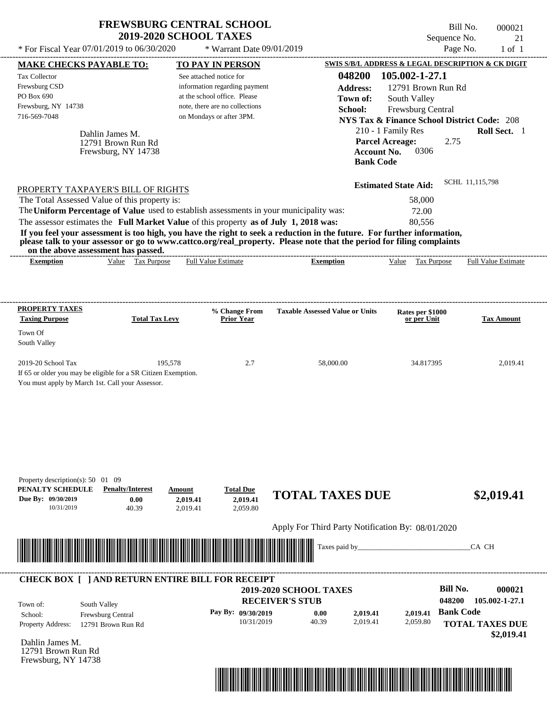|                                                                           |                                                          | <b>FREWSBURG CENTRAL SCHOOL</b><br><b>2019-2020 SCHOOL TAXES</b>                                                                                                                                                                                 |                                        |                                                        | Bill No.<br>000021<br>Sequence No.<br>21 |
|---------------------------------------------------------------------------|----------------------------------------------------------|--------------------------------------------------------------------------------------------------------------------------------------------------------------------------------------------------------------------------------------------------|----------------------------------------|--------------------------------------------------------|------------------------------------------|
| * For Fiscal Year $07/01/2019$ to $06/30/2020$                            |                                                          | * Warrant Date 09/01/2019                                                                                                                                                                                                                        |                                        |                                                        | Page No.<br>$1$ of $1$                   |
| <b>MAKE CHECKS PAYABLE TO:</b>                                            |                                                          | TO PAY IN PERSON                                                                                                                                                                                                                                 |                                        | SWIS S/B/L ADDRESS & LEGAL DESCRIPTION & CK DIGIT      |                                          |
| <b>Tax Collector</b>                                                      |                                                          | See attached notice for                                                                                                                                                                                                                          | 048200                                 | 105.002-1-27.1                                         |                                          |
| Frewsburg CSD                                                             |                                                          | information regarding payment                                                                                                                                                                                                                    | <b>Address:</b>                        | 12791 Brown Run Rd                                     |                                          |
| PO Box 690                                                                |                                                          | at the school office. Please                                                                                                                                                                                                                     | Town of:                               | South Valley                                           |                                          |
| Frewsburg, NY 14738                                                       |                                                          | note, there are no collections                                                                                                                                                                                                                   | School:                                | <b>Frewsburg Central</b>                               |                                          |
| 716-569-7048                                                              |                                                          | on Mondays or after 3PM.                                                                                                                                                                                                                         |                                        | <b>NYS Tax &amp; Finance School District Code: 208</b> |                                          |
|                                                                           | Dahlin James M.                                          |                                                                                                                                                                                                                                                  |                                        | 210 - 1 Family Res                                     | <b>Roll Sect.</b> 1                      |
|                                                                           | 12791 Brown Run Rd                                       |                                                                                                                                                                                                                                                  |                                        | <b>Parcel Acreage:</b>                                 | 2.75                                     |
|                                                                           | Frewsburg, NY 14738                                      |                                                                                                                                                                                                                                                  | <b>Bank Code</b>                       | 0306<br><b>Account No.</b>                             |                                          |
|                                                                           |                                                          |                                                                                                                                                                                                                                                  |                                        |                                                        | SCHL 11,115,798                          |
| PROPERTY TAXPAYER'S BILL OF RIGHTS                                        |                                                          |                                                                                                                                                                                                                                                  |                                        | <b>Estimated State Aid:</b>                            |                                          |
| The Total Assessed Value of this property is:                             |                                                          |                                                                                                                                                                                                                                                  |                                        | 58,000                                                 |                                          |
|                                                                           |                                                          | The Uniform Percentage of Value used to establish assessments in your municipality was:                                                                                                                                                          |                                        | 72.00                                                  |                                          |
|                                                                           |                                                          |                                                                                                                                                                                                                                                  |                                        |                                                        |                                          |
|                                                                           |                                                          | The assessor estimates the Full Market Value of this property as of July 1, 2018 was:                                                                                                                                                            |                                        | 80.556                                                 |                                          |
|                                                                           |                                                          | If you feel your assessment is too high, you have the right to seek a reduction in the future. For further information,<br>please talk to your assessor or go to www.cattco.org/real_property. Please note that the period for filing complaints |                                        |                                                        |                                          |
| <b>Exemption</b>                                                          | on the above assessment has passed.<br>Value Tax Purpose | <b>Full Value Estimate</b>                                                                                                                                                                                                                       | <b>Exemption</b>                       | Value Tax Purpose                                      | <b>Full Value Estimate</b>               |
| <b>PROPERTY TAXES</b><br><b>Taxing Purpose</b><br>Town Of<br>South Valley | <b>Total Tax Levy</b>                                    | <b>% Change From</b><br><b>Prior Year</b>                                                                                                                                                                                                        | <b>Taxable Assessed Value or Units</b> | Rates per \$1000<br>or per Unit                        | <b>Tax Amount</b>                        |

Apply For Third Party Notification By: 08/01/2020



#### **RECEIVER'S STUB Bill No. 000021 Pay By:**  $\begin{array}{cccc} 0.00 & 0.00 & 0.019, 41 & 2.019, 41 \end{array}$  Bank Code Property Address: 12791 Brown Run Rd South Valley School: Frewsburg Central **TOTAL TAXES DUE \$2,019.41 2019-2020 SCHOOL TAXES 048200 105.002-1-27.1** 10/31/2019 40.39 **0.00** 2,019.41 **2,019.41** 2,059.80 **2,019.41** Town of: ---------------------------------------------------------------------------------------------------------------------------------------------------------------------------------------------------- **CHECK BOX [ ] AND RETURN ENTIRE BILL FOR RECEIPT**

Dahlin James M. 12791 Brown Run Rd Frewsburg, NY 14738

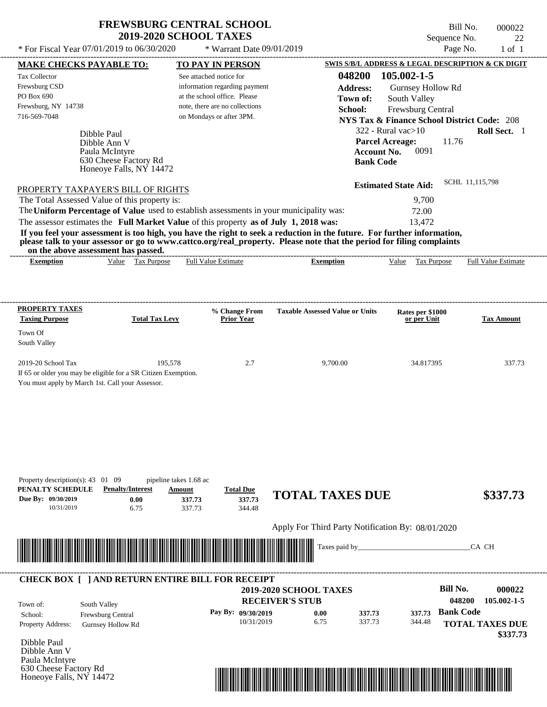$*$  For Fiscal Year 07/01/2019 to 06/30/2020  $*$  Warrant Date 09/01/2019 Page No. 1 of 1

Honeoye Falls, NY 14472

Bill No. 000022 Sequence No. 22<br>Page No. 22<br>1 of 1

| <b>MAKE CHECKS PAYABLE TO:</b>                                                                                                                                                                                                                   |                          | <b>TO PAY IN PERSON</b>        |                                    |                                                   |                    | <b>SWIS S/B/L ADDRESS &amp; LEGAL DESCRIPTION &amp; CK DIGIT</b> |                        |
|--------------------------------------------------------------------------------------------------------------------------------------------------------------------------------------------------------------------------------------------------|--------------------------|--------------------------------|------------------------------------|---------------------------------------------------|--------------------|------------------------------------------------------------------|------------------------|
| <b>Tax Collector</b>                                                                                                                                                                                                                             |                          | See attached notice for        |                                    |                                                   | 048200             | 105.002-1-5                                                      |                        |
| Frewsburg CSD                                                                                                                                                                                                                                    |                          | information regarding payment  |                                    |                                                   | <b>Address:</b>    | Gurnsey Hollow Rd                                                |                        |
| PO Box 690                                                                                                                                                                                                                                       |                          | at the school office. Please   |                                    |                                                   | Town of:           | South Valley                                                     |                        |
| Frewsburg, NY 14738                                                                                                                                                                                                                              |                          | note, there are no collections |                                    |                                                   | School:            | Frewsburg Central                                                |                        |
| 716-569-7048                                                                                                                                                                                                                                     |                          | on Mondays or after 3PM.       |                                    |                                                   |                    | <b>NYS Tax &amp; Finance School District Code: 208</b>           |                        |
|                                                                                                                                                                                                                                                  |                          |                                |                                    |                                                   |                    | $322$ - Rural vac $>10$                                          | Roll Sect. 1           |
| Dibble Paul                                                                                                                                                                                                                                      |                          |                                |                                    |                                                   |                    | <b>Parcel Acreage:</b><br>11.76                                  |                        |
| Dibble Ann V                                                                                                                                                                                                                                     | Paula McIntyre           |                                |                                    |                                                   | <b>Account No.</b> | 0091                                                             |                        |
|                                                                                                                                                                                                                                                  | 630 Cheese Factory Rd    |                                |                                    |                                                   | <b>Bank Code</b>   |                                                                  |                        |
|                                                                                                                                                                                                                                                  | Honeoye Falls, NY 14472  |                                |                                    |                                                   |                    |                                                                  |                        |
| PROPERTY TAXPAYER'S BILL OF RIGHTS                                                                                                                                                                                                               |                          |                                |                                    |                                                   |                    | <b>Estimated State Aid:</b>                                      | SCHL 11,115,798        |
| The Total Assessed Value of this property is:                                                                                                                                                                                                    |                          |                                |                                    |                                                   |                    | 9,700                                                            |                        |
| The Uniform Percentage of Value used to establish assessments in your municipality was:                                                                                                                                                          |                          |                                |                                    |                                                   |                    | 72.00                                                            |                        |
|                                                                                                                                                                                                                                                  |                          |                                |                                    |                                                   |                    |                                                                  |                        |
| The assessor estimates the Full Market Value of this property as of July 1, 2018 was:                                                                                                                                                            |                          |                                |                                    |                                                   |                    | 13,472                                                           |                        |
| If you feel your assessment is too high, you have the right to seek a reduction in the future. For further information,<br>please talk to your assessor or go to www.cattco.org/real_property. Please note that the period for filing complaints |                          |                                |                                    |                                                   |                    |                                                                  |                        |
| on the above assessment has passed.<br><b>Exemption</b>                                                                                                                                                                                          | Value Tax Purpose        | <b>Full Value Estimate</b>     |                                    | <b>Exemption</b>                                  |                    | Value Tax Purpose Full Value Estimate                            |                        |
|                                                                                                                                                                                                                                                  |                          |                                |                                    |                                                   |                    |                                                                  |                        |
|                                                                                                                                                                                                                                                  |                          |                                |                                    |                                                   |                    |                                                                  |                        |
|                                                                                                                                                                                                                                                  |                          |                                |                                    |                                                   |                    |                                                                  |                        |
| <b>PROPERTY TAXES</b><br><b>Taxing Purpose</b>                                                                                                                                                                                                   | <b>Total Tax Levy</b>    |                                | % Change From<br><b>Prior Year</b> | <b>Taxable Assessed Value or Units</b>            |                    | Rates per \$1000                                                 | <b>Tax Amount</b>      |
|                                                                                                                                                                                                                                                  |                          |                                |                                    |                                                   |                    | or per Unit                                                      |                        |
| Town Of                                                                                                                                                                                                                                          |                          |                                |                                    |                                                   |                    |                                                                  |                        |
| South Valley                                                                                                                                                                                                                                     |                          |                                |                                    |                                                   |                    |                                                                  |                        |
|                                                                                                                                                                                                                                                  |                          |                                |                                    |                                                   |                    |                                                                  |                        |
| 2019-20 School Tax                                                                                                                                                                                                                               |                          | 195,578                        | 2.7                                | 9,700.00                                          |                    | 34.817395                                                        | 337.73                 |
| If 65 or older you may be eligible for a SR Citizen Exemption.                                                                                                                                                                                   |                          |                                |                                    |                                                   |                    |                                                                  |                        |
| You must apply by March 1st. Call your Assessor.                                                                                                                                                                                                 |                          |                                |                                    |                                                   |                    |                                                                  |                        |
|                                                                                                                                                                                                                                                  |                          |                                |                                    |                                                   |                    |                                                                  |                        |
|                                                                                                                                                                                                                                                  |                          |                                |                                    |                                                   |                    |                                                                  |                        |
|                                                                                                                                                                                                                                                  |                          |                                |                                    |                                                   |                    |                                                                  |                        |
|                                                                                                                                                                                                                                                  |                          |                                |                                    |                                                   |                    |                                                                  |                        |
|                                                                                                                                                                                                                                                  |                          |                                |                                    |                                                   |                    |                                                                  |                        |
|                                                                                                                                                                                                                                                  |                          |                                |                                    |                                                   |                    |                                                                  |                        |
| Property description(s): $43 \quad 01 \quad 09$                                                                                                                                                                                                  |                          | pipeline takes 1.68 ac         |                                    |                                                   |                    |                                                                  |                        |
| PENALTY SCHEDULE                                                                                                                                                                                                                                 | <b>Penalty/Interest</b>  | Amount                         | <b>Total Due</b>                   |                                                   |                    |                                                                  |                        |
| Due By: 09/30/2019                                                                                                                                                                                                                               | 0.00                     | 337.73                         | 337.73                             | <b>TOTAL TAXES DUE</b>                            |                    |                                                                  | \$337.73               |
| 10/31/2019                                                                                                                                                                                                                                       | 6.75                     | 337.73                         | 344.48                             |                                                   |                    |                                                                  |                        |
|                                                                                                                                                                                                                                                  |                          |                                |                                    | Apply For Third Party Notification By: 08/01/2020 |                    |                                                                  |                        |
|                                                                                                                                                                                                                                                  |                          |                                |                                    |                                                   |                    |                                                                  |                        |
|                                                                                                                                                                                                                                                  |                          |                                |                                    | Taxes paid by_                                    |                    |                                                                  | CA CH                  |
|                                                                                                                                                                                                                                                  |                          |                                |                                    |                                                   |                    |                                                                  |                        |
| <b>CHECK BOX [ ] AND RETURN ENTIRE BILL FOR RECEIPT</b>                                                                                                                                                                                          |                          |                                |                                    |                                                   |                    |                                                                  |                        |
|                                                                                                                                                                                                                                                  |                          |                                |                                    | <b>2019-2020 SCHOOL TAXES</b>                     |                    | <b>Bill No.</b>                                                  | 000022                 |
|                                                                                                                                                                                                                                                  |                          |                                |                                    | <b>RECEIVER'S STUB</b>                            |                    |                                                                  | 048200<br>105.002-1-5  |
| South Valley<br>Town of:                                                                                                                                                                                                                         |                          |                                |                                    |                                                   |                    |                                                                  |                        |
| School:                                                                                                                                                                                                                                          | Frewsburg Central        |                                | Pay By: 09/30/2019                 | 0.00                                              | 337.73             | 337.73                                                           | <b>Bank Code</b>       |
| Property Address:                                                                                                                                                                                                                                | <b>Gurnsey Hollow Rd</b> |                                | 10/31/2019                         | 6.75                                              | 337.73             | 344.48                                                           | <b>TOTAL TAXES DUE</b> |
|                                                                                                                                                                                                                                                  |                          |                                |                                    |                                                   |                    |                                                                  | \$337.73               |
| Dibble Paul<br>Dibble Ann V                                                                                                                                                                                                                      |                          |                                |                                    |                                                   |                    |                                                                  |                        |
| Paula McIntyre                                                                                                                                                                                                                                   |                          |                                |                                    |                                                   |                    |                                                                  |                        |
| 630 Cheese Factory Rd                                                                                                                                                                                                                            |                          |                                |                                    |                                                   |                    |                                                                  |                        |

\*04820000002200000000033773\*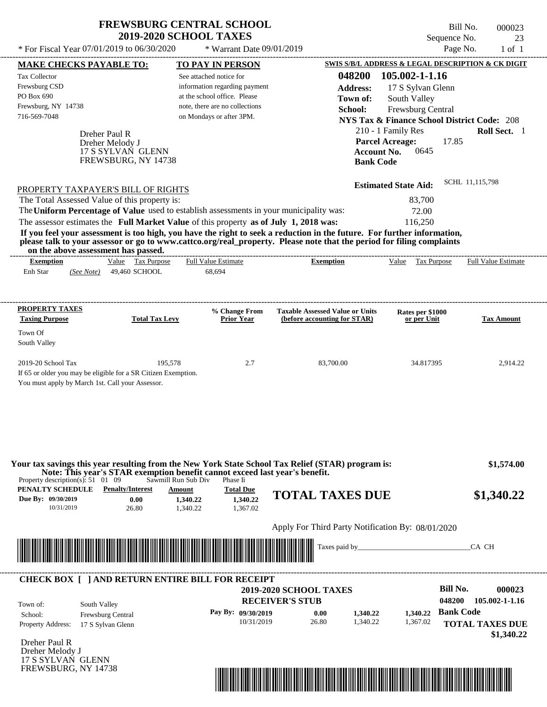\* For Fiscal Year  $07/01/2019$  to  $06/30/2020$  \* Warrant Date  $09/01/2019$  Page No. 1 of 1

\* Warrant Date 09/01/2019

Bill No. 000023 Sequence No. 23

| <b>MAKE CHECKS PAYABLE TO:</b>                  |                                                                                                                                                                                                                                                  |                         | <b>TO PAY IN PERSON</b>        |                                        |                 | SWIS S/B/L ADDRESS & LEGAL DESCRIPTION & CK DIGIT      |                  |                            |
|-------------------------------------------------|--------------------------------------------------------------------------------------------------------------------------------------------------------------------------------------------------------------------------------------------------|-------------------------|--------------------------------|----------------------------------------|-----------------|--------------------------------------------------------|------------------|----------------------------|
| <b>Tax Collector</b>                            |                                                                                                                                                                                                                                                  | See attached notice for |                                |                                        |                 | 048200 105.002-1-1.16                                  |                  |                            |
| Frewsburg CSD                                   |                                                                                                                                                                                                                                                  |                         | information regarding payment  |                                        | <b>Address:</b> | 17 S Sylvan Glenn                                      |                  |                            |
| PO Box 690                                      |                                                                                                                                                                                                                                                  |                         | at the school office. Please   |                                        | Town of:        | South Valley                                           |                  |                            |
| Frewsburg, NY 14738                             |                                                                                                                                                                                                                                                  |                         | note, there are no collections |                                        | School:         | Frewsburg Central                                      |                  |                            |
| 716-569-7048                                    |                                                                                                                                                                                                                                                  |                         | on Mondays or after 3PM.       |                                        |                 | <b>NYS Tax &amp; Finance School District Code: 208</b> |                  |                            |
|                                                 |                                                                                                                                                                                                                                                  |                         |                                |                                        |                 |                                                        |                  |                            |
|                                                 | Dreher Paul R                                                                                                                                                                                                                                    |                         |                                |                                        |                 | 210 - 1 Family Res                                     |                  | Roll Sect. 1               |
|                                                 | Dreher Melody J                                                                                                                                                                                                                                  |                         |                                |                                        |                 | <b>Parcel Acreage:</b>                                 | 17.85            |                            |
|                                                 | 17 S SYLVAN GLENN                                                                                                                                                                                                                                |                         |                                |                                        |                 | 0645<br><b>Account No.</b>                             |                  |                            |
|                                                 | FREWSBURG, NY 14738                                                                                                                                                                                                                              |                         |                                |                                        |                 | <b>Bank Code</b>                                       |                  |                            |
|                                                 | PROPERTY TAXPAYER'S BILL OF RIGHTS                                                                                                                                                                                                               |                         |                                |                                        |                 | <b>Estimated State Aid:</b>                            |                  | SCHL 11.115.798            |
|                                                 | The Total Assessed Value of this property is:                                                                                                                                                                                                    |                         |                                |                                        |                 | 83,700                                                 |                  |                            |
|                                                 |                                                                                                                                                                                                                                                  |                         |                                |                                        |                 |                                                        |                  |                            |
|                                                 | The Uniform Percentage of Value used to establish assessments in your municipality was:                                                                                                                                                          |                         |                                |                                        |                 | 72.00                                                  |                  |                            |
|                                                 | The assessor estimates the Full Market Value of this property as of July 1, 2018 was:                                                                                                                                                            |                         |                                |                                        |                 | 116,250                                                |                  |                            |
|                                                 | If you feel your assessment is too high, you have the right to seek a reduction in the future. For further information,<br>please talk to your assessor or go to www.cattco.org/real_property. Please note that the period for filing complaints |                         |                                |                                        |                 |                                                        |                  |                            |
| <b>Exemption</b>                                | on the above assessment has passed.<br>Value Tax Purpose                                                                                                                                                                                         |                         | <b>Full Value Estimate</b>     | <b>Exemption</b>                       |                 | Value Tax Purpose                                      |                  | <b>Full Value Estimate</b> |
| Enh Star                                        | 49,460 SCHOOL<br>(See Note)                                                                                                                                                                                                                      |                         | 68,694                         |                                        |                 |                                                        |                  |                            |
|                                                 |                                                                                                                                                                                                                                                  |                         |                                |                                        |                 |                                                        |                  |                            |
| <b>PROPERTY TAXES</b>                           |                                                                                                                                                                                                                                                  |                         | % Change From                  | <b>Taxable Assessed Value or Units</b> |                 | Rates per \$1000                                       |                  |                            |
| <b>Taxing Purpose</b>                           | <b>Total Tax Levy</b>                                                                                                                                                                                                                            |                         | <b>Prior Year</b>              | (before accounting for STAR)           |                 | or per Unit                                            |                  | <b>Tax Amount</b>          |
| Town Of<br>South Valley                         |                                                                                                                                                                                                                                                  |                         |                                |                                        |                 |                                                        |                  |                            |
|                                                 |                                                                                                                                                                                                                                                  |                         |                                |                                        |                 |                                                        |                  |                            |
| 2019-20 School Tax                              |                                                                                                                                                                                                                                                  | 195,578                 | 2.7                            |                                        | 83,700.00       | 34.817395                                              |                  | 2,914.22                   |
|                                                 | If 65 or older you may be eligible for a SR Citizen Exemption.                                                                                                                                                                                   |                         |                                |                                        |                 |                                                        |                  |                            |
|                                                 | You must apply by March 1st. Call your Assessor.                                                                                                                                                                                                 |                         |                                |                                        |                 |                                                        |                  |                            |
|                                                 |                                                                                                                                                                                                                                                  |                         |                                |                                        |                 |                                                        |                  |                            |
| Property description(s): $51 \quad 01 \quad 09$ | Your tax savings this year resulting from the New York State School Tax Relief (STAR) program is:<br>Note: This year's STAR exemption benefit cannot exceed last year's benefit.                                                                 | Sawmill Run Sub Div     | Phase Ii                       |                                        |                 |                                                        |                  | \$1,574.00                 |
| <b>PENALTY SCHEDULE</b> Penalty/Interest        |                                                                                                                                                                                                                                                  | Amount                  | <b>Total Due</b>               |                                        |                 |                                                        |                  |                            |
| Due By: 09/30/2019                              | 0.00                                                                                                                                                                                                                                             | 1,340.22                | 1,340.22                       | <b>TOTAL TAXES DUE</b>                 |                 |                                                        |                  | \$1,340.22                 |
| 10/31/2019                                      | 26.80                                                                                                                                                                                                                                            | 1,340.22                | 1,367.02                       |                                        |                 |                                                        |                  |                            |
|                                                 |                                                                                                                                                                                                                                                  |                         |                                |                                        |                 | Apply For Third Party Notification By: 08/01/2020      |                  |                            |
|                                                 |                                                                                                                                                                                                                                                  |                         |                                |                                        |                 |                                                        |                  |                            |
|                                                 |                                                                                                                                                                                                                                                  |                         |                                |                                        | Taxes paid by_  |                                                        |                  | CA CH                      |
|                                                 | <b>CHECK BOX [ ] AND RETURN ENTIRE BILL FOR RECEIPT</b>                                                                                                                                                                                          |                         |                                |                                        |                 |                                                        |                  |                            |
|                                                 |                                                                                                                                                                                                                                                  |                         |                                | <b>2019-2020 SCHOOL TAXES</b>          |                 |                                                        | <b>Bill No.</b>  | 000023                     |
| Town of:                                        | South Valley                                                                                                                                                                                                                                     |                         |                                | <b>RECEIVER'S STUB</b>                 |                 |                                                        | 048200           | 105.002-1-1.16             |
| School:                                         | Frewsburg Central                                                                                                                                                                                                                                |                         | Pay By: 09/30/2019             | 0.00                                   | 1,340.22        | 1,340.22                                               | <b>Bank Code</b> |                            |
| <b>Property Address:</b>                        | 17 S Sylvan Glenn                                                                                                                                                                                                                                |                         | 10/31/2019                     | 26.80                                  | 1,340.22        | 1,367.02                                               |                  | <b>TOTAL TAXES DUE</b>     |
|                                                 |                                                                                                                                                                                                                                                  |                         |                                |                                        |                 |                                                        |                  | \$1,340.22                 |
| Dreher Paul R                                   |                                                                                                                                                                                                                                                  |                         |                                |                                        |                 |                                                        |                  |                            |
| Dreher Melody J                                 |                                                                                                                                                                                                                                                  |                         |                                |                                        |                 |                                                        |                  |                            |
|                                                 |                                                                                                                                                                                                                                                  |                         |                                |                                        |                 |                                                        |                  |                            |
| 17 S SYLVAN GLENN                               |                                                                                                                                                                                                                                                  |                         |                                |                                        |                 |                                                        |                  |                            |

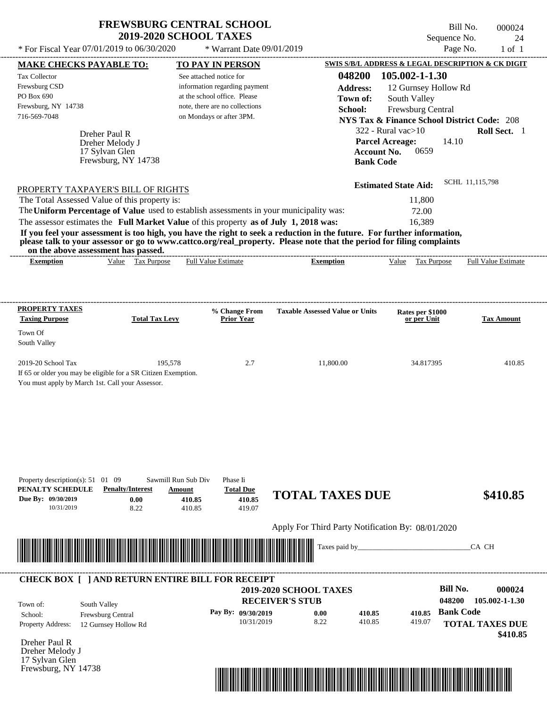| <b>FREWSBURG CENTRAL SCHOOL</b> |
|---------------------------------|
| <b>2019-2020 SCHOOL TAXES</b>   |

 $*$  For Fiscal Year 07/01/2019 to 06/30/2020

 $*$  Warrant Date  $09/01/2019$ 

Bill No. 000024 Sequence No. 24

| $1'01$ 1'1scal 1 cal $0''$ /01/2012 to 00/20/2020                                                                                                            |                         |                       |                                                   | $\frac{1}{2}$ W all allevate $\frac{1}{2}$ $\frac{1}{2}$ $\frac{1}{2}$ |                                                   |                  |                             | $1 \, \text{age}$ 1 v. | $1 \cup 1$                                             |
|--------------------------------------------------------------------------------------------------------------------------------------------------------------|-------------------------|-----------------------|---------------------------------------------------|------------------------------------------------------------------------|---------------------------------------------------|------------------|-----------------------------|------------------------|--------------------------------------------------------|
| <u>MAKE CHECKS PAYABLE TO:</u>                                                                                                                               |                         |                       |                                                   | <b>TO PAY IN PERSON</b>                                                |                                                   |                  |                             |                        | SWIS S/B/L ADDRESS & LEGAL DESCRIPTION & CK DIGIT      |
| Tax Collector                                                                                                                                                |                         |                       |                                                   | See attached notice for                                                |                                                   | 048200           | 105.002-1-1.30              |                        |                                                        |
| Frewsburg CSD                                                                                                                                                |                         |                       |                                                   | information regarding payment                                          |                                                   | <b>Address:</b>  |                             | 12 Gurnsey Hollow Rd   |                                                        |
| PO Box 690                                                                                                                                                   |                         |                       |                                                   | at the school office. Please                                           |                                                   | Town of:         | South Valley                |                        |                                                        |
| Frewsburg, NY 14738                                                                                                                                          |                         |                       |                                                   | note, there are no collections                                         |                                                   | School:          | Frewsburg Central           |                        |                                                        |
| 716-569-7048                                                                                                                                                 |                         |                       |                                                   | on Mondays or after 3PM.                                               |                                                   |                  |                             |                        | <b>NYS Tax &amp; Finance School District Code: 208</b> |
|                                                                                                                                                              | Dreher Paul R           |                       |                                                   |                                                                        |                                                   |                  | $322$ - Rural vac $>10$     |                        | Roll Sect. 1                                           |
|                                                                                                                                                              | Dreher Melody J         |                       |                                                   |                                                                        |                                                   |                  | <b>Parcel Acreage:</b>      | 14.10                  |                                                        |
|                                                                                                                                                              | 17 Sylvan Glen          |                       |                                                   |                                                                        |                                                   |                  | 0659<br>Account No.         |                        |                                                        |
|                                                                                                                                                              | Frewsburg, NY 14738     |                       |                                                   |                                                                        |                                                   |                  | <b>Bank Code</b>            |                        |                                                        |
|                                                                                                                                                              |                         |                       |                                                   |                                                                        |                                                   |                  |                             |                        | SCHL 11,115,798                                        |
| PROPERTY TAXPAYER'S BILL OF RIGHTS                                                                                                                           |                         |                       |                                                   |                                                                        |                                                   |                  | <b>Estimated State Aid:</b> |                        |                                                        |
| The Total Assessed Value of this property is:                                                                                                                |                         |                       |                                                   |                                                                        |                                                   |                  | 11,800                      |                        |                                                        |
| The Uniform Percentage of Value used to establish assessments in your municipality was:                                                                      |                         |                       |                                                   |                                                                        |                                                   |                  | 72.00                       |                        |                                                        |
| The assessor estimates the Full Market Value of this property as of July 1, 2018 was:                                                                        |                         |                       |                                                   |                                                                        |                                                   |                  | 16,389                      |                        |                                                        |
| If you feel your assessment is too high, you have the right to seek a reduction in the future. For further information,                                      |                         |                       |                                                   |                                                                        |                                                   |                  |                             |                        |                                                        |
| please talk to your assessor or go to www.cattco.org/real_property. Please note that the period for filing complaints<br>on the above assessment has passed. |                         |                       |                                                   |                                                                        |                                                   |                  |                             |                        |                                                        |
| <b>Exemption</b>                                                                                                                                             |                         | Value Tax Purpose     |                                                   | <b>Full Value Estimate</b>                                             |                                                   | <b>Exemption</b> | Value Tax Purpose           |                        | <b>Full Value Estimate</b>                             |
|                                                                                                                                                              |                         |                       |                                                   |                                                                        |                                                   |                  |                             |                        |                                                        |
| <b>PROPERTY TAXES</b>                                                                                                                                        |                         |                       |                                                   | % Change From                                                          | <b>Taxable Assessed Value or Units</b>            |                  | Rates per \$1000            |                        |                                                        |
| <b>Taxing Purpose</b>                                                                                                                                        |                         | <b>Total Tax Levy</b> |                                                   | <b>Prior Year</b>                                                      |                                                   |                  | or per Unit                 |                        | <b>Tax Amount</b>                                      |
| Town Of<br>South Valley                                                                                                                                      |                         |                       |                                                   |                                                                        |                                                   |                  |                             |                        |                                                        |
| 2019-20 School Tax<br>If 65 or older you may be eligible for a SR Citizen Exemption.<br>You must apply by March 1st. Call your Assessor.                     |                         | 195,578               |                                                   | 2.7                                                                    |                                                   | 11,800.00        |                             | 34.817395              | 410.85                                                 |
| Property description(s): 51 01 09<br>PENALTY SCHEDULE<br>Due By: 09/30/2019<br>10/31/2019                                                                    | <b>Penalty/Interest</b> | 0.00<br>8.22          | Sawmill Run Sub Div<br>Amount<br>410.85<br>410.85 | Phase Ii<br><b>Total Due</b><br>410.85<br>419.07                       | <b>TOTAL TAXES DUE</b>                            |                  |                             |                        | \$410.85                                               |
|                                                                                                                                                              |                         |                       |                                                   |                                                                        | Apply For Third Party Notification By: 08/01/2020 |                  |                             |                        |                                                        |
|                                                                                                                                                              |                         |                       |                                                   |                                                                        |                                                   | Taxes paid by_   |                             |                        | CA CH                                                  |
|                                                                                                                                                              |                         |                       |                                                   |                                                                        |                                                   |                  |                             |                        |                                                        |
| <b>CHECK BOX [ ] AND RETURN ENTIRE BILL FOR RECEIPT</b>                                                                                                      |                         |                       |                                                   |                                                                        |                                                   |                  |                             |                        |                                                        |
|                                                                                                                                                              |                         |                       |                                                   |                                                                        | 2019-2020 SCHOOL TAXES                            |                  |                             | <b>Bill No.</b>        | 000024                                                 |
| Town of:                                                                                                                                                     | South Valley            |                       |                                                   |                                                                        | <b>RECEIVER'S STUB</b>                            |                  |                             | 048200                 | 105.002-1-1.30                                         |
| School:                                                                                                                                                      | Frewsburg Central       |                       |                                                   | Pay By: 09/30/2019                                                     | 0.00                                              | 410.85           | 410.85                      | <b>Bank Code</b>       |                                                        |
| Property Address:                                                                                                                                            | 12 Gurnsey Hollow Rd    |                       |                                                   | 10/31/2019                                                             | 8.22                                              | 410.85           | 419.07                      |                        | <b>TOTAL TAXES DUE</b>                                 |
|                                                                                                                                                              |                         |                       |                                                   |                                                                        |                                                   |                  |                             |                        | \$410.85                                               |
| Dreher Paul R                                                                                                                                                |                         |                       |                                                   |                                                                        |                                                   |                  |                             |                        |                                                        |
| Dreher Melody J<br>17 Sylvan Glen                                                                                                                            |                         |                       |                                                   |                                                                        |                                                   |                  |                             |                        |                                                        |
| Frewsburg, NY 14738                                                                                                                                          |                         |                       |                                                   |                                                                        |                                                   |                  |                             |                        |                                                        |
|                                                                                                                                                              |                         |                       |                                                   |                                                                        |                                                   |                  |                             |                        |                                                        |

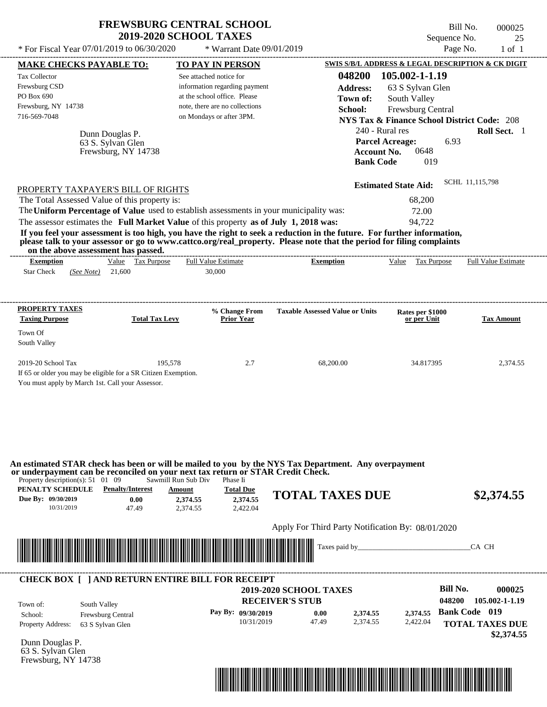| <b>FREWSBURG CENTRAL SCHOOL</b> |  |
|---------------------------------|--|
| <b>2019-2020 SCHOOL TAXES</b>   |  |

\* Warrant Date 09/01/2019

 $*$  For Fiscal Year 07/01/2019 to 06/30/2020

Bill No. 000025 Sequence No. 25<br>Page No. 25

| <b>MAKE CHECKS PAYABLE TO:</b>                                                      |                         | <b>TO PAY IN PERSON</b>                                                                                            | 048200                                                                                                                                                                                                                               | <b>SWIS S/B/L ADDRESS &amp; LEGAL DESCRIPTION &amp; CK DIGIT</b><br>105.002-1-1.19 |                            |
|-------------------------------------------------------------------------------------|-------------------------|--------------------------------------------------------------------------------------------------------------------|--------------------------------------------------------------------------------------------------------------------------------------------------------------------------------------------------------------------------------------|------------------------------------------------------------------------------------|----------------------------|
| <b>Tax Collector</b><br>Frewsburg CSD                                               |                         | See attached notice for<br>information regarding payment                                                           | <b>Address:</b>                                                                                                                                                                                                                      |                                                                                    |                            |
| PO Box 690                                                                          |                         | at the school office. Please                                                                                       | Town of:                                                                                                                                                                                                                             | 63 S Sylvan Glen<br>South Valley                                                   |                            |
| Frewsburg, NY 14738                                                                 |                         | note, there are no collections                                                                                     | School:                                                                                                                                                                                                                              | Frewsburg Central                                                                  |                            |
| 716-569-7048                                                                        |                         | on Mondays or after 3PM.                                                                                           |                                                                                                                                                                                                                                      | <b>NYS Tax &amp; Finance School District Code: 208</b>                             |                            |
|                                                                                     | Dunn Douglas P.         |                                                                                                                    | 240 - Rural res                                                                                                                                                                                                                      |                                                                                    | Roll Sect. 1               |
|                                                                                     | 63 S. Sylvan Glen       |                                                                                                                    |                                                                                                                                                                                                                                      | <b>Parcel Acreage:</b><br>6.93                                                     |                            |
|                                                                                     | Frewsburg, NY 14738     |                                                                                                                    | <b>Account No.</b>                                                                                                                                                                                                                   | 0648                                                                               |                            |
|                                                                                     |                         |                                                                                                                    | <b>Bank Code</b>                                                                                                                                                                                                                     | 019                                                                                |                            |
|                                                                                     |                         |                                                                                                                    |                                                                                                                                                                                                                                      | <b>Estimated State Aid:</b>                                                        | SCHL 11,115,798            |
| PROPERTY TAXPAYER'S BILL OF RIGHTS<br>The Total Assessed Value of this property is: |                         |                                                                                                                    |                                                                                                                                                                                                                                      | 68,200                                                                             |                            |
|                                                                                     |                         | The Uniform Percentage of Value used to establish assessments in your municipality was:                            |                                                                                                                                                                                                                                      | 72.00                                                                              |                            |
|                                                                                     |                         | The assessor estimates the Full Market Value of this property as of July 1, 2018 was:                              |                                                                                                                                                                                                                                      | 94,722                                                                             |                            |
|                                                                                     |                         |                                                                                                                    | If you feel your assessment is too high, you have the right to seek a reduction in the future. For further information,                                                                                                              |                                                                                    |                            |
| on the above assessment has passed.                                                 |                         |                                                                                                                    | please talk to your assessor or go to www.cattco.org/real_property. Please note that the period for filing complaints                                                                                                                |                                                                                    |                            |
| <b>Exemption</b>                                                                    | Value Tax Purpose       | <b>Full Value Estimate</b>                                                                                         | <b>Exemption</b>                                                                                                                                                                                                                     | Value Tax Purpose                                                                  | <b>Full Value Estimate</b> |
| <b>Star Check</b><br>(See Note) 21,600                                              |                         | 30,000                                                                                                             |                                                                                                                                                                                                                                      |                                                                                    |                            |
|                                                                                     |                         |                                                                                                                    |                                                                                                                                                                                                                                      |                                                                                    |                            |
| <b>PROPERTY TAXES</b>                                                               |                         |                                                                                                                    |                                                                                                                                                                                                                                      |                                                                                    |                            |
| <b>Taxing Purpose</b>                                                               | <b>Total Tax Levy</b>   | % Change From<br><b>Prior Year</b>                                                                                 | <b>Taxable Assessed Value or Units</b>                                                                                                                                                                                               | Rates per \$1000<br>or per Unit                                                    | Tax Amount                 |
| Town Of                                                                             |                         |                                                                                                                    |                                                                                                                                                                                                                                      |                                                                                    |                            |
| South Valley                                                                        |                         |                                                                                                                    |                                                                                                                                                                                                                                      |                                                                                    |                            |
| 2019-20 School Tax                                                                  | 195,578                 | 2.7                                                                                                                | 68,200.00                                                                                                                                                                                                                            | 34.817395                                                                          | 2,374.55                   |
| If 65 or older you may be eligible for a SR Citizen Exemption.                      |                         |                                                                                                                    |                                                                                                                                                                                                                                      |                                                                                    |                            |
| You must apply by March 1st. Call your Assessor.                                    |                         |                                                                                                                    |                                                                                                                                                                                                                                      |                                                                                    |                            |
|                                                                                     |                         |                                                                                                                    |                                                                                                                                                                                                                                      |                                                                                    |                            |
|                                                                                     |                         |                                                                                                                    |                                                                                                                                                                                                                                      |                                                                                    |                            |
|                                                                                     |                         |                                                                                                                    |                                                                                                                                                                                                                                      |                                                                                    |                            |
|                                                                                     |                         |                                                                                                                    |                                                                                                                                                                                                                                      |                                                                                    |                            |
|                                                                                     |                         |                                                                                                                    |                                                                                                                                                                                                                                      |                                                                                    |                            |
|                                                                                     |                         |                                                                                                                    | An estimated STAR check has been or will be mailed to you by the NYS Tax Department. Any overpayment                                                                                                                                 |                                                                                    |                            |
| Property description(s): $51 \quad 01 \quad 09$                                     |                         | or underpayment can be reconciled on your next tax return or STAR Credit Check.<br>Sawmill Run Sub Div<br>Phase Ii |                                                                                                                                                                                                                                      |                                                                                    |                            |
| PENALTY SCHEDULE                                                                    | <b>Penalty/Interest</b> | <b>Total Due</b><br><b>Amount</b>                                                                                  |                                                                                                                                                                                                                                      |                                                                                    |                            |
| Due By: 09/30/2019                                                                  | 0.00                    | 2,374.55<br>2,374.55                                                                                               | <b>TOTAL TAXES DUE</b>                                                                                                                                                                                                               |                                                                                    | \$2,374.55                 |
| 10/31/2019                                                                          | 47.49                   | 2,422.04<br>2,374.55                                                                                               |                                                                                                                                                                                                                                      |                                                                                    |                            |
|                                                                                     |                         |                                                                                                                    | Apply For Third Party Notification By: 08/01/2020                                                                                                                                                                                    |                                                                                    |                            |
|                                                                                     |                         |                                                                                                                    |                                                                                                                                                                                                                                      |                                                                                    | CA CH                      |
| <u> 1989 - Johann Stoff, Amerikaansk politiker (</u>                                |                         |                                                                                                                    |                                                                                                                                                                                                                                      |                                                                                    |                            |
|                                                                                     |                         |                                                                                                                    |                                                                                                                                                                                                                                      |                                                                                    |                            |
|                                                                                     |                         | <b>CHECK BOX [ ] AND RETURN ENTIRE BILL FOR RECEIPT</b>                                                            | <b>2019-2020 SCHOOL TAXES</b>                                                                                                                                                                                                        | <b>Bill No.</b>                                                                    | 000025                     |
| Town of:                                                                            |                         |                                                                                                                    | <b>RECEIVER'S STUB</b>                                                                                                                                                                                                               | 048200                                                                             | 105.002-1-1.19             |
| South Valley<br>School:                                                             | Frewsburg Central       | Pay By: 09/30/2019                                                                                                 | 0.00<br>2,374.55                                                                                                                                                                                                                     | 2,374.55                                                                           | <b>Bank Code 019</b>       |
| <b>Property Address:</b><br>63 S Sylvan Glen                                        |                         | 10/31/2019                                                                                                         | 47.49<br>2,374.55                                                                                                                                                                                                                    | 2,422.04                                                                           | <b>TOTAL TAXES DUE</b>     |
|                                                                                     |                         |                                                                                                                    |                                                                                                                                                                                                                                      |                                                                                    | \$2,374.55                 |
| Dunn Douglas P.<br>63 S. Sylvan Glen                                                |                         |                                                                                                                    |                                                                                                                                                                                                                                      |                                                                                    |                            |
| Frewsburg, NY 14738                                                                 |                         |                                                                                                                    |                                                                                                                                                                                                                                      |                                                                                    |                            |
|                                                                                     |                         |                                                                                                                    |                                                                                                                                                                                                                                      |                                                                                    |                            |
|                                                                                     |                         |                                                                                                                    |                                                                                                                                                                                                                                      |                                                                                    |                            |
|                                                                                     |                         |                                                                                                                    | <u> 1989 - Andrea Stadt British Stadt British Stadt British Stadt British Stadt British Stadt British Stadt British Stadt British Stadt British Stadt British Stadt British Stadt British Stadt British Stadt British Stadt Brit</u> |                                                                                    |                            |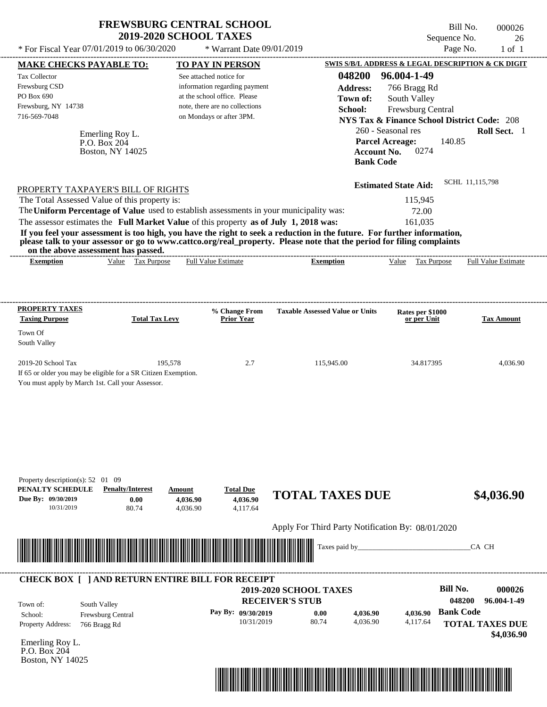| * For Fiscal Year $07/01/2019$ to $06/30/2020$         | <b>FREWSBURG CENTRAL SCHOOL</b><br><b>2019-2020 SCHOOL TAXES</b><br>$*$ Warrant Date 09/01/2019 | Bill No.<br>000026<br>Sequence No.<br>26<br>Page No.<br>$1$ of $1$                                                 |
|--------------------------------------------------------|-------------------------------------------------------------------------------------------------|--------------------------------------------------------------------------------------------------------------------|
| <b>MAKE CHECKS PAYABLE TO:</b><br><b>Tax Collector</b> | <b>TO PAY IN PERSON</b><br>See attached notice for                                              | SWIS S/B/L ADDRESS & LEGAL DESCRIPTION & CK DIGIT<br>96.004-1-49<br>048200                                         |
| Frewsburg CSD<br>PO Box 690                            | information regarding payment<br>at the school office. Please                                   | <b>Address:</b><br>766 Bragg Rd                                                                                    |
| Frewsburg, NY 14738<br>716-569-7048                    | note, there are no collections<br>on Mondays or after 3PM.                                      | South Valley<br>Town of:<br>School:<br>Frewsburg Central<br><b>NYS Tax &amp; Finance School District Code: 208</b> |
| Emerling Roy L.<br>P.O. Box 204                        |                                                                                                 | 260 - Seasonal res<br>Roll Sect. 1<br><b>Parcel Acreage:</b><br>140.85                                             |

|                                                                                                                         | <b>Bank Code</b>            |                 |
|-------------------------------------------------------------------------------------------------------------------------|-----------------------------|-----------------|
| PROPERTY TAXPAYER'S BILL OF RIGHTS                                                                                      | <b>Estimated State Aid:</b> | SCHL 11,115,798 |
| The Total Assessed Value of this property is:                                                                           | 115.945                     |                 |
| The Uniform Percentage of Value used to establish assessments in your municipality was:                                 | 72.00                       |                 |
| The assessor estimates the Full Market Value of this property as of July 1, 2018 was:                                   | 161.035                     |                 |
| If you feel your assessment is too high, you have the right to seek a reduction in the future. For further information, |                             |                 |

**Account No.** 0274

**please talk to your assessor or go to www.cattco.org/real\_property. Please note that the period for filing complaints**

Boston, NY 14025

| or<br>T.N6<br>анн | hor<br>passed<br>$\sim$<br>™^n^…<br>шак<br>ыш |                             |       |      |              |                          |
|-------------------|-----------------------------------------------|-----------------------------|-------|------|--------------|--------------------------|
| *xemptio.         | √alue<br>аx                                   | ∵etimor∟<br>Ful<br>. .<br>, | ption | alue | --<br>'urpos | Full<br>Estimate<br>41 L |
|                   |                                               |                             |       |      |              |                          |

| <b>PROPERTY TAXES</b><br><b>Taxing Purpose</b>                 | <b>Total Tax Levy</b> | % Change From<br><b>Prior Year</b> | <b>Taxable Assessed Value or Units</b> | Rates per \$1000<br>or per Unit | <b>Tax Amount</b> |
|----------------------------------------------------------------|-----------------------|------------------------------------|----------------------------------------|---------------------------------|-------------------|
| Town Of                                                        |                       |                                    |                                        |                                 |                   |
| South Valley                                                   |                       |                                    |                                        |                                 |                   |
| $2019-20$ School Tax                                           | 195.578               | 2.7                                | 115,945.00                             | 34.817395                       | 4,036.90          |
| If 65 or older you may be eligible for a SR Citizen Exemption. |                       |                                    |                                        |                                 |                   |
| You must apply by March 1st. Call your Assessor.               |                       |                                    |                                        |                                 |                   |

| PENALTY SCHEDULE<br>Due By: 09/30/2019<br>10/31/2019 | <b>Penalty/Interest</b><br>0.00<br>80.74         | Amount<br>4,036.90<br>4,036.90 | <b>Total Due</b><br>4,036.90<br>4,117.64 | <b>TOTAL TAXES DUE</b>                                  |          |          | \$4,036.90                          |
|------------------------------------------------------|--------------------------------------------------|--------------------------------|------------------------------------------|---------------------------------------------------------|----------|----------|-------------------------------------|
|                                                      |                                                  |                                |                                          | Apply For Third Party Notification By: 08/01/2020       |          |          |                                     |
|                                                      |                                                  |                                |                                          |                                                         |          |          | CA CH                               |
|                                                      |                                                  |                                |                                          |                                                         |          |          |                                     |
|                                                      | CHECK BOX [ ] AND RETURN ENTIRE BILL FOR RECEIPT |                                |                                          |                                                         |          |          |                                     |
|                                                      |                                                  |                                |                                          | <b>2019-2020 SCHOOL TAXES</b><br><b>RECEIVER'S STUB</b> |          |          | <b>Bill No.</b><br>000026<br>048200 |
|                                                      |                                                  |                                |                                          |                                                         |          |          | 96.004-1-49                         |
| Town of:<br>School:                                  | South Valley<br>Frewsburg Central                |                                | Pay By: 09/30/2019                       | 0.00                                                    | 4,036.90 | 4,036.90 | <b>Bank Code</b>                    |
| Property Address:                                    | 766 Bragg Rd                                     |                                | 10/31/2019                               | 80.74                                                   | 4,036.90 | 4,117.64 | <b>TOTAL TAXES DUE</b>              |
|                                                      |                                                  |                                |                                          |                                                         |          |          | \$4,036.90                          |
| Emerling Roy L.<br>P.O. Box 204<br>Boston, NY 14025  |                                                  |                                |                                          |                                                         |          |          |                                     |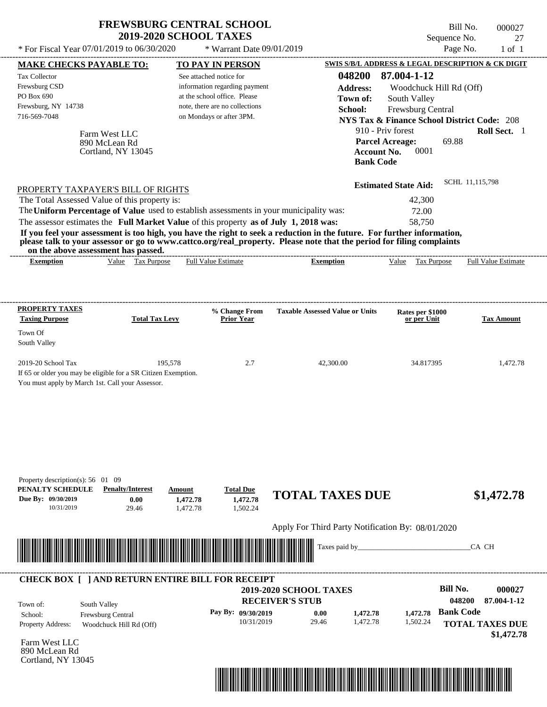| * For Fiscal Year $07/01/2019$ to $06/30/2020$         |                                                                | * Warrant Date 09/01/2019                                                               |                                                                                                                                                                                                                                                  | Page No.                                               | $1$ of $1$                 |
|--------------------------------------------------------|----------------------------------------------------------------|-----------------------------------------------------------------------------------------|--------------------------------------------------------------------------------------------------------------------------------------------------------------------------------------------------------------------------------------------------|--------------------------------------------------------|----------------------------|
|                                                        |                                                                |                                                                                         |                                                                                                                                                                                                                                                  | SWIS S/B/L ADDRESS & LEGAL DESCRIPTION & CK DIGIT      |                            |
| <b>MAKE CHECKS PAYABLE TO:</b><br><b>Tax Collector</b> |                                                                | TO PAY IN PERSON<br>See attached notice for                                             | 048200                                                                                                                                                                                                                                           | 87.004-1-12                                            |                            |
| Frewsburg CSD                                          |                                                                | information regarding payment                                                           |                                                                                                                                                                                                                                                  |                                                        |                            |
| PO Box 690                                             |                                                                | at the school office. Please                                                            | <b>Address:</b>                                                                                                                                                                                                                                  | Woodchuck Hill Rd (Off)                                |                            |
| Frewsburg, NY 14738                                    |                                                                | note, there are no collections                                                          | Town of:                                                                                                                                                                                                                                         | South Valley                                           |                            |
| 716-569-7048                                           |                                                                | on Mondays or after 3PM.                                                                | School:                                                                                                                                                                                                                                          | Frewsburg Central                                      |                            |
|                                                        |                                                                |                                                                                         |                                                                                                                                                                                                                                                  | <b>NYS Tax &amp; Finance School District Code: 208</b> |                            |
|                                                        | Farm West LLC                                                  |                                                                                         |                                                                                                                                                                                                                                                  | 910 - Priv forest                                      | Roll Sect. 1               |
|                                                        | 890 McLean Rd                                                  |                                                                                         |                                                                                                                                                                                                                                                  | <b>Parcel Acreage:</b><br>69.88                        |                            |
|                                                        | Cortland, NY 13045                                             |                                                                                         |                                                                                                                                                                                                                                                  | 0001<br><b>Account No.</b>                             |                            |
|                                                        |                                                                |                                                                                         |                                                                                                                                                                                                                                                  | <b>Bank Code</b>                                       |                            |
|                                                        |                                                                |                                                                                         |                                                                                                                                                                                                                                                  |                                                        | SCHL 11,115,798            |
| PROPERTY TAXPAYER'S BILL OF RIGHTS                     |                                                                |                                                                                         |                                                                                                                                                                                                                                                  | <b>Estimated State Aid:</b>                            |                            |
| The Total Assessed Value of this property is:          |                                                                |                                                                                         |                                                                                                                                                                                                                                                  | 42,300                                                 |                            |
|                                                        |                                                                |                                                                                         |                                                                                                                                                                                                                                                  |                                                        |                            |
|                                                        |                                                                | The Uniform Percentage of Value used to establish assessments in your municipality was: |                                                                                                                                                                                                                                                  | 72.00                                                  |                            |
| on the above assessment has passed.                    |                                                                | The assessor estimates the Full Market Value of this property as of July 1, 2018 was:   | If you feel your assessment is too high, you have the right to seek a reduction in the future. For further information,<br>please talk to your assessor or go to www.cattco.org/real_property. Please note that the period for filing complaints | 58.750                                                 |                            |
| <b>Exemption</b>                                       | Value Tax Purpose                                              | <b>Full Value Estimate</b>                                                              | <b>Exemption</b>                                                                                                                                                                                                                                 | Value Tax Purpose                                      | <b>Full Value Estimate</b> |
|                                                        |                                                                |                                                                                         |                                                                                                                                                                                                                                                  |                                                        |                            |
| <b>PROPERTY TAXES</b>                                  |                                                                |                                                                                         |                                                                                                                                                                                                                                                  |                                                        |                            |
|                                                        | <b>Total Tax Levy</b>                                          | % Change From<br><b>Prior Year</b>                                                      | <b>Taxable Assessed Value or Units</b>                                                                                                                                                                                                           | Rates per \$1000<br>or per Unit                        | <b>Tax Amount</b>          |
|                                                        |                                                                |                                                                                         |                                                                                                                                                                                                                                                  |                                                        |                            |
|                                                        |                                                                |                                                                                         |                                                                                                                                                                                                                                                  |                                                        |                            |
| <b>Taxing Purpose</b><br>Town Of<br>South Valley       |                                                                |                                                                                         |                                                                                                                                                                                                                                                  |                                                        |                            |
| 2019-20 School Tax                                     | 195.578                                                        | 2.7                                                                                     | 42,300.00                                                                                                                                                                                                                                        | 34.817395                                              |                            |
| You must apply by March 1st. Call your Assessor.       | If 65 or older you may be eligible for a SR Citizen Exemption. |                                                                                         |                                                                                                                                                                                                                                                  |                                                        | 1,472.78                   |

**1,472.78 TOTAL TAXES DUE \$1,472.78**

Apply For Third Party Notification By: 08/01/2020



1,472.78 **1,472.78**

### **RECEIVER'S STUB Bill No. 000027 Bank Code 1,472.78 1,472.78** Property Address: Woodchuck Hill Rd (Off) South Valley School: Frewsburg Central **TOTAL TAXES DUE \$1,472.78 2019-2020 SCHOOL TAXES 048200 87.004-1-12 Pay By: 09/30/2019** 10/31/2019 29.46 **0.00** 1,472.78 1,502.24 Town of: ---------------------------------------------------------------------------------------------------------------------------------------------------------------------------------------------------- **CHECK BOX [ ] AND RETURN ENTIRE BILL FOR RECEIPT**

1,502.24

Farm West LLC 890 McLean Rd Cortland, NY 13045

**Due By: 09/30/2019**

10/31/2019 29.46

**0.00**

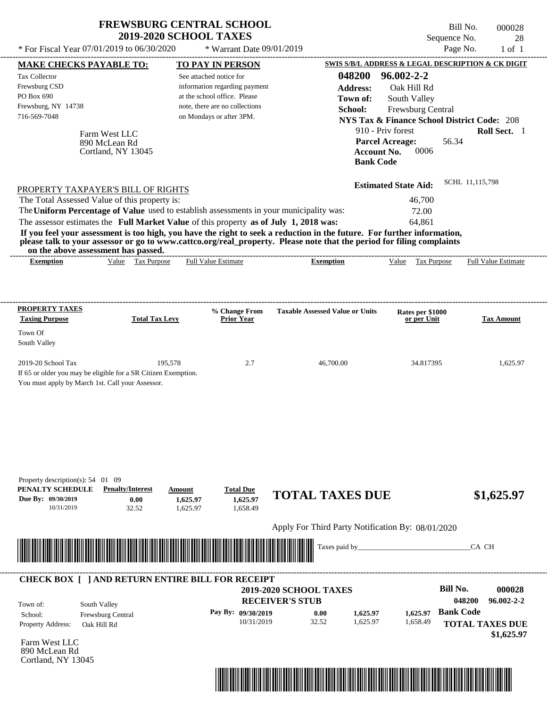|                                                                                                                                                                                                                                                                                                                                                                                                                                                                                                                             | <b>FREWSBURG CENTRAL SCHOOL</b><br><b>2019-2020 SCHOOL TAXES</b>                                                                                       |                                                                                            | Sequence No.                                                                                                                                                                                   | Bill No.<br>000028<br>28      |
|-----------------------------------------------------------------------------------------------------------------------------------------------------------------------------------------------------------------------------------------------------------------------------------------------------------------------------------------------------------------------------------------------------------------------------------------------------------------------------------------------------------------------------|--------------------------------------------------------------------------------------------------------------------------------------------------------|--------------------------------------------------------------------------------------------|------------------------------------------------------------------------------------------------------------------------------------------------------------------------------------------------|-------------------------------|
| * For Fiscal Year 07/01/2019 to 06/30/2020                                                                                                                                                                                                                                                                                                                                                                                                                                                                                  | * Warrant Date 09/01/2019                                                                                                                              |                                                                                            |                                                                                                                                                                                                | Page No.<br>$1$ of $1$        |
| <b>MAKE CHECKS PAYABLE TO:</b>                                                                                                                                                                                                                                                                                                                                                                                                                                                                                              | <b>TO PAY IN PERSON</b>                                                                                                                                |                                                                                            | SWIS S/B/L ADDRESS & LEGAL DESCRIPTION & CK DIGIT                                                                                                                                              |                               |
| <b>Tax Collector</b><br>Frewsburg CSD<br>PO Box 690<br>Frewsburg, NY 14738<br>716-569-7048<br>Farm West LLC<br>890 McLean Rd<br>Cortland, NY 13045                                                                                                                                                                                                                                                                                                                                                                          | See attached notice for<br>information regarding payment<br>at the school office. Please<br>note, there are no collections<br>on Mondays or after 3PM. | 048200<br><b>Address:</b><br>Town of:<br>School:<br><b>Account No.</b><br><b>Bank Code</b> | $96.002 - 2 - 2$<br>Oak Hill Rd<br>South Valley<br>Frewsburg Central<br><b>NYS Tax &amp; Finance School District Code: 208</b><br>910 - Priv forest<br><b>Parcel Acreage:</b><br>56.34<br>0006 | Roll Sect. 1                  |
| PROPERTY TAXPAYER'S BILL OF RIGHTS<br>The Total Assessed Value of this property is:<br>The Uniform Percentage of Value used to establish assessments in your municipality was:<br>The assessor estimates the Full Market Value of this property as of July 1, 2018 was:<br>If you feel your assessment is too high, you have the right to seek a reduction in the future. For further information,<br>please talk to your assessor or go to www.cattco.org/real_property. Please note that the period for filing complaints |                                                                                                                                                        |                                                                                            | <b>Estimated State Aid:</b><br>46,700<br>72.00<br>64,861                                                                                                                                       | SCHL 11,115,798               |
| on the above assessment has passed.<br>Value Tax Purpose<br><b>Exemption</b>                                                                                                                                                                                                                                                                                                                                                                                                                                                | <b>Full Value Estimate</b>                                                                                                                             | <b>Exemption</b>                                                                           | Value<br>Tax Purpose                                                                                                                                                                           | <b>Full Value Estimate</b>    |
| <b>PROPERTY TAXES</b><br><b>Total Tax Levy</b><br><b>Taxing Purpose</b><br>Town Of<br>South Valley<br>2019-20 School Tax                                                                                                                                                                                                                                                                                                                                                                                                    | % Change From<br><b>Prior Year</b><br>2.7<br>195,578                                                                                                   | <b>Taxable Assessed Value or Units</b><br>46,700.00                                        | Rates per \$1000<br>or per Unit<br>34.817395                                                                                                                                                   | <b>Tax Amount</b><br>1,625.97 |
| If 65 or older you may be eligible for a SR Citizen Exemption.<br>You must apply by March 1st. Call your Assessor.<br>Property description(s): 54 01 09                                                                                                                                                                                                                                                                                                                                                                     |                                                                                                                                                        |                                                                                            |                                                                                                                                                                                                |                               |
| PENALTY SCHEDULE<br><b>Penalty/Interest</b><br>Due By: 09/30/2019<br>0.00<br>32.52<br>10/31/2019                                                                                                                                                                                                                                                                                                                                                                                                                            | <b>Total Due</b><br>Amount<br>1,625.97<br>1,625.97<br>1,625.97<br>1,658.49                                                                             | <b>TOTAL TAXES DUE</b><br>Apply For Third Party Notification By: 08/01/2020                |                                                                                                                                                                                                | \$1,625.97                    |
| <u> 1989 - Johann Amerikaanse kommunister (* 1950)</u>                                                                                                                                                                                                                                                                                                                                                                                                                                                                      |                                                                                                                                                        | Taxes paid by_                                                                             |                                                                                                                                                                                                | CA CH                         |

|                                           | <b>CHECK BOX     AND RETURN ENTIRE BILL FOR RECEIPT</b> | <b>2019-2020 SCHOOL TAXES</b>                  |       |          |          | <b>Bill No.</b>            | 000028                               |
|-------------------------------------------|---------------------------------------------------------|------------------------------------------------|-------|----------|----------|----------------------------|--------------------------------------|
| Town of:<br>School:                       | South Valley<br><b>Frewsburg Central</b>                | <b>RECEIVER'S STUB</b><br>Pay By: $09/30/2019$ | 0.00  | 1,625.97 | 1.625.97 | 048200<br><b>Bank Code</b> | $96.002 - 2 - 2$                     |
| <b>Property Address:</b><br>$- - - - - -$ | Oak Hill Rd                                             | 10/31/2019                                     | 32.52 | 1.625.97 | 1,658.49 |                            | <b>TOTAL TAXES DUE</b><br>\$1,625.97 |

Farm West LLC 890 McLean Rd Cortland, NY 13045

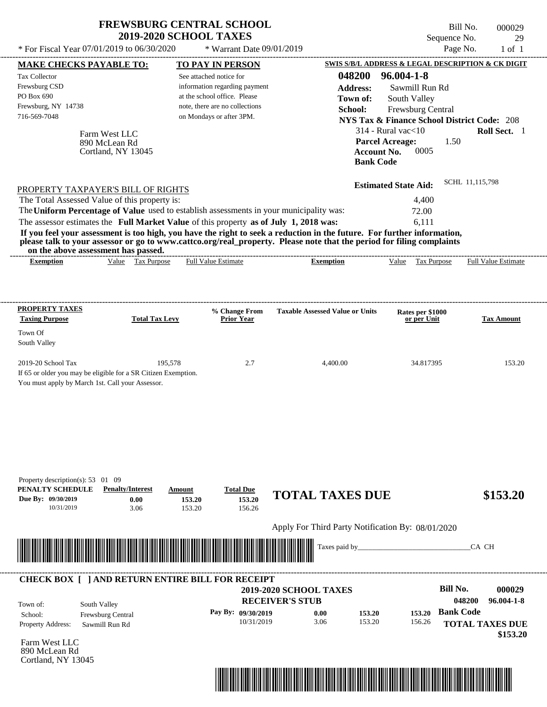|                                                                                                 |                                                                |                                                                                                                                                                                  |                                                                                                                                                                                                                                                                                   | Sequence No.                                           |                            |
|-------------------------------------------------------------------------------------------------|----------------------------------------------------------------|----------------------------------------------------------------------------------------------------------------------------------------------------------------------------------|-----------------------------------------------------------------------------------------------------------------------------------------------------------------------------------------------------------------------------------------------------------------------------------|--------------------------------------------------------|----------------------------|
|                                                                                                 | * For Fiscal Year 07/01/2019 to 06/30/2020                     | * Warrant Date 09/01/2019                                                                                                                                                        |                                                                                                                                                                                                                                                                                   |                                                        | Page No.<br>$1$ of $1$     |
| <b>MAKE CHECKS PAYABLE TO:</b>                                                                  |                                                                | <b>TO PAY IN PERSON</b>                                                                                                                                                          |                                                                                                                                                                                                                                                                                   | SWIS S/B/L ADDRESS & LEGAL DESCRIPTION & CK DIGIT      |                            |
| <b>Tax Collector</b>                                                                            |                                                                | See attached notice for                                                                                                                                                          | 048200                                                                                                                                                                                                                                                                            | $96.004 - 1 - 8$                                       |                            |
| Frewsburg CSD                                                                                   |                                                                | information regarding payment                                                                                                                                                    | <b>Address:</b>                                                                                                                                                                                                                                                                   | Sawmill Run Rd                                         |                            |
| PO Box 690                                                                                      |                                                                | at the school office. Please                                                                                                                                                     | Town of:                                                                                                                                                                                                                                                                          | South Valley                                           |                            |
| Frewsburg, NY 14738                                                                             |                                                                | note, there are no collections                                                                                                                                                   | School:                                                                                                                                                                                                                                                                           | Frewsburg Central                                      |                            |
| 716-569-7048                                                                                    |                                                                | on Mondays or after 3PM.                                                                                                                                                         |                                                                                                                                                                                                                                                                                   | <b>NYS Tax &amp; Finance School District Code: 208</b> |                            |
|                                                                                                 | Farm West LLC                                                  |                                                                                                                                                                                  |                                                                                                                                                                                                                                                                                   | $314$ - Rural vac $<$ 10                               | Roll Sect. 1               |
|                                                                                                 | 890 McLean Rd                                                  |                                                                                                                                                                                  |                                                                                                                                                                                                                                                                                   | <b>Parcel Acreage:</b>                                 | 1.50                       |
|                                                                                                 | Cortland, NY 13045                                             |                                                                                                                                                                                  |                                                                                                                                                                                                                                                                                   | 0005<br>Account No.                                    |                            |
|                                                                                                 |                                                                |                                                                                                                                                                                  |                                                                                                                                                                                                                                                                                   | <b>Bank Code</b>                                       |                            |
|                                                                                                 |                                                                |                                                                                                                                                                                  |                                                                                                                                                                                                                                                                                   | <b>Estimated State Aid:</b>                            | SCHL 11,115,798            |
| PROPERTY TAXPAYER'S BILL OF RIGHTS                                                              |                                                                |                                                                                                                                                                                  |                                                                                                                                                                                                                                                                                   | 4,400                                                  |                            |
|                                                                                                 |                                                                |                                                                                                                                                                                  |                                                                                                                                                                                                                                                                                   |                                                        |                            |
| The Total Assessed Value of this property is:                                                   |                                                                |                                                                                                                                                                                  |                                                                                                                                                                                                                                                                                   |                                                        |                            |
| on the above assessment has passed.                                                             |                                                                | The Uniform Percentage of Value used to establish assessments in your municipality was:<br>The assessor estimates the Full Market Value of this property as of July 1, 2018 was: | If you feel your assessment is too high, you have the right to seek a reduction in the future. For further information,<br>please talk to your assessor or go to www.cattco.org/real_property. Please note that the period for filing complaints<br>_____________________________ | 72.00<br>6.111                                         |                            |
| <b>Exemption</b>                                                                                | Value Tax Purpose                                              | <b>Full Value Estimate</b>                                                                                                                                                       | <b>Exemption</b>                                                                                                                                                                                                                                                                  | Value Tax Purpose                                      | <b>Full Value Estimate</b> |
|                                                                                                 |                                                                |                                                                                                                                                                                  |                                                                                                                                                                                                                                                                                   |                                                        |                            |
|                                                                                                 |                                                                | % Change From                                                                                                                                                                    | <b>Taxable Assessed Value or Units</b>                                                                                                                                                                                                                                            | Rates per \$1000                                       |                            |
|                                                                                                 | <b>Total Tax Levy</b>                                          | <b>Prior Year</b>                                                                                                                                                                |                                                                                                                                                                                                                                                                                   | or per Unit                                            | <b>Tax Amount</b>          |
|                                                                                                 |                                                                |                                                                                                                                                                                  |                                                                                                                                                                                                                                                                                   |                                                        |                            |
|                                                                                                 |                                                                |                                                                                                                                                                                  |                                                                                                                                                                                                                                                                                   |                                                        |                            |
| <b>PROPERTY TAXES</b><br><b>Taxing Purpose</b><br>Town Of<br>South Valley<br>2019-20 School Tax | 195,578                                                        | 2.7                                                                                                                                                                              | 4,400.00                                                                                                                                                                                                                                                                          | 34.817395                                              | 153.20                     |
|                                                                                                 | If 65 or older you may be eligible for a SR Citizen Exemption. |                                                                                                                                                                                  |                                                                                                                                                                                                                                                                                   |                                                        |                            |

156.26

**153.20 TOTAL TAXES DUE \$153.20**

Apply For Third Party Notification By: 08/01/2020



153.20 **153.20**

#### **RECEIVER'S STUB Bill No. 000029 Bank Code 153.20** Property Address: Sawmill Run Rd South Valley School: Frewsburg Central **TOTAL TAXES DUE \$153.20 2019-2020 SCHOOL TAXES 048200 96.004-1-8 Pay By: 09/30/2019** 10/31/2019 3.06 **0.00** 153.20 **153.20** 156.26 Town of: ---------------------------------------------------------------------------------------------------------------------------------------------------------------------------------------------------- **CHECK BOX [ ] AND RETURN ENTIRE BILL FOR RECEIPT**

Farm West LLC 890 McLean Rd Cortland, NY 13045

**Due By: 09/30/2019**

10/31/2019 3.06

**0.00**

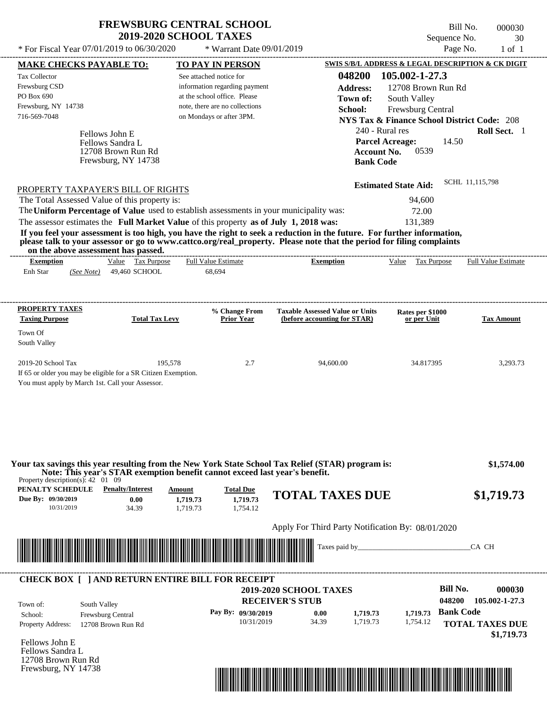---------------------------------------------------------------------------------------------------------------------------------------------------------------------------------------------------- Fellows John E If 65 or older you may be eligible for a SR Citizen Exemption. You must apply by March 1st. Call your Assessor. \* For Fiscal Year  $07/01/2019$  to  $06/30/2020$  \* Warrant Date  $09/01/2019$  Page No. 1 of 1 **MAKE CHECKS PAYABLE TO: TO PAY IN PERSON SWIS S/B/L ADDRESS & LEGAL DESCRIPTION & CK DIGIT 048200 105.002-1-27.3 Address:** 12708 Brown Run Rd South Valley **School:** Frewsburg Central **NYS Tax & Finance School District Code:** 208 240 - Rural res **Roll Sect.** 1 14.50 **Account No.** 0539 **Bank Code Estimated State Aid:** SCHL 11,115,798 PROPERTY TAXPAYER'S BILL OF RIGHTS The assessor estimates the **Full Market Value** of this property **as of July 1, 2018 was:** 131,389 The Total Assessed Value of this property is: 94,600 The **Uniform Percentage of Value** used to establish assessments in your municipality was: 72.00 **If you feel your assessment is too high, you have the right to seek a reduction in the future. For further information, please talk to your assessor or go to www.cattco.org/real\_property. Please note that the period for filing complaints on the above assessment has passed. Exemption** Value Tax Purpose **PROPERTY TAXES Taxing Purpose Total Tax Levy Prior Year % Change From (before accounting for STAR) Taxable Assessed Value or Units or per Unit Rates per \$1000 Tax Amount PENALTY SCHEDULE Penalty/Interest Amount Total Due Due By: 09/30/2019** 10/31/2019 34.39 **0.00** 1,719.73 **1,719.73** 1,754.12 **1,719.73 TOTAL TAXES DUE \$1,719.73** Apply For Third Party Notification By: 08/01/2020 **RECEIVER'S STUB Bill No. 000030 Bank Code** Property Address: 12708 Brown Run Rd South Valley School: Frewsburg Central **TOTAL TAXES DUE \$1,719.73** Enh Star (*See Note*) 49,460 SCHOOL 68,694 See attached notice for information regarding payment at the school office. Please note, there are no collections Tax Collector Frewsburg CSD PO Box 690 Frewsburg, NY 14738 \* Warrant Date 09/01/2019  **2019-2020 SCHOOL TAXES** 716-569-7048 on Mondays or after 3PM. **Parcel Acreage:** South Valley 2019-20 School Tax 2.93.73 195,578 2.7 94,600.00 34.817395 3,293.73  **\$1,574.00 048200 105.002-1-27.3 Pay By: 09/30/2019** 10/31/2019 34.39 **0.00** 1,719.73 **1,719.73** 1,754.12 **1,719.73** Fellows Sandra L Full Value Estimate Taxes paid by\_\_\_\_\_\_\_\_\_\_\_\_\_\_\_\_\_\_\_\_\_\_\_\_\_\_\_\_\_\_\_CA CH ---------------------------------------------------------------------------------------------------------------------------------------------------------------------------------------------------- ---------------------------------------------------------------------------------------------------------------------------------------------------------------------------------------------------- Property description(s): 42 01 09 **Town of:** 12708 Brown Run Rd Frewsburg, NY 14738 **Exemption** Value Tax Purpose Full Value Estimate **Your tax savings this year resulting from the New York State School Tax Relief (STAR) program is: Note: This year's STAR exemption benefit cannot exceed last year's benefit.** ---------------------------------------------------------------------------------------------------------------------------------------------------------------------------------------------------- **CHECK BOX [ ] AND RETURN ENTIRE BILL FOR RECEIPT** \*04820000003000000000171973\*

Fellows John E Fellows Sandra L 12708 Brown Run Rd Frewsburg, NY 14738

Town of:

Town Of



Bill No. 000030 Sequence No. 30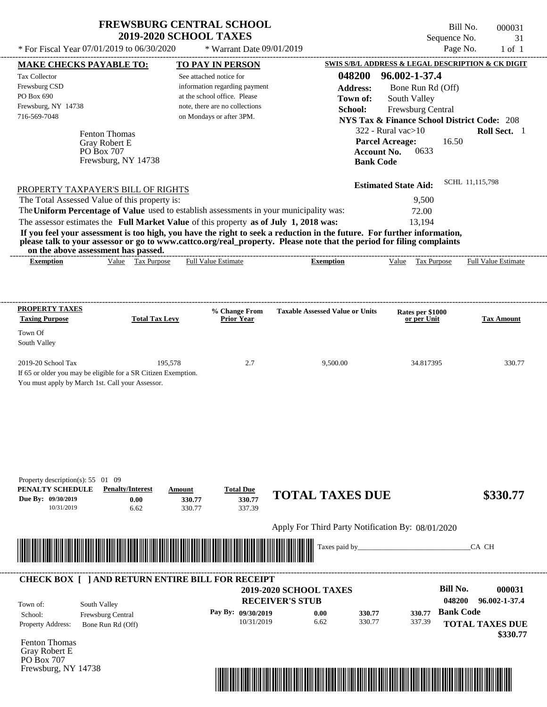$*$  For Fiscal Year 07/01/2019 to 06/30/2020

\* Warrant Date 09/01/2019

Bill No. 000031 Sequence No. 31<br>Page No. 31<br>of 1

| <b>MAKE CHECKS PAYABLE TO:</b>                                                                                     |                                   |         | <b>TO PAY IN PERSON</b>        |                                                                                                                                                                                                                                                  |                    | SWIS S/B/L ADDRESS & LEGAL DESCRIPTION & CK DIGIT      |                  |                            |
|--------------------------------------------------------------------------------------------------------------------|-----------------------------------|---------|--------------------------------|--------------------------------------------------------------------------------------------------------------------------------------------------------------------------------------------------------------------------------------------------|--------------------|--------------------------------------------------------|------------------|----------------------------|
| Tax Collector                                                                                                      |                                   |         | See attached notice for        |                                                                                                                                                                                                                                                  | 048200             | 96.002-1-37.4                                          |                  |                            |
| Frewsburg CSD                                                                                                      |                                   |         | information regarding payment  |                                                                                                                                                                                                                                                  | <b>Address:</b>    | Bone Run Rd (Off)                                      |                  |                            |
| PO Box 690                                                                                                         |                                   |         | at the school office. Please   |                                                                                                                                                                                                                                                  | Town of:           | South Valley                                           |                  |                            |
| Frewsburg, NY 14738                                                                                                |                                   |         | note, there are no collections |                                                                                                                                                                                                                                                  | School:            | Frewsburg Central                                      |                  |                            |
| 716-569-7048                                                                                                       |                                   |         | on Mondays or after 3PM.       |                                                                                                                                                                                                                                                  |                    |                                                        |                  |                            |
|                                                                                                                    |                                   |         |                                |                                                                                                                                                                                                                                                  |                    | <b>NYS Tax &amp; Finance School District Code: 208</b> |                  |                            |
|                                                                                                                    | Fenton Thomas                     |         |                                |                                                                                                                                                                                                                                                  |                    | $322$ - Rural vac $>10$                                |                  | Roll Sect. 1               |
|                                                                                                                    | Gray Robert E                     |         |                                |                                                                                                                                                                                                                                                  |                    | <b>Parcel Acreage:</b>                                 | 16.50            |                            |
|                                                                                                                    | PO Box 707<br>Frewsburg, NY 14738 |         |                                |                                                                                                                                                                                                                                                  | <b>Account No.</b> | 0633                                                   |                  |                            |
|                                                                                                                    |                                   |         |                                |                                                                                                                                                                                                                                                  | <b>Bank Code</b>   |                                                        |                  |                            |
| PROPERTY TAXPAYER'S BILL OF RIGHTS                                                                                 |                                   |         |                                |                                                                                                                                                                                                                                                  |                    | <b>Estimated State Aid:</b>                            |                  | SCHL 11,115,798            |
| The Total Assessed Value of this property is:                                                                      |                                   |         |                                |                                                                                                                                                                                                                                                  |                    | 9,500                                                  |                  |                            |
|                                                                                                                    |                                   |         |                                | The Uniform Percentage of Value used to establish assessments in your municipality was:                                                                                                                                                          |                    | 72.00                                                  |                  |                            |
|                                                                                                                    |                                   |         |                                |                                                                                                                                                                                                                                                  |                    |                                                        |                  |                            |
| The assessor estimates the Full Market Value of this property as of July 1, 2018 was:                              |                                   |         |                                |                                                                                                                                                                                                                                                  |                    | 13,194                                                 |                  |                            |
|                                                                                                                    |                                   |         |                                | If you feel your assessment is too high, you have the right to seek a reduction in the future. For further information,<br>please talk to your assessor or go to www.cattco.org/real_property. Please note that the period for filing complaints |                    |                                                        |                  |                            |
| on the above assessment has passed.<br><b>Exemption</b>                                                            | Value Tax Purpose                 |         | <b>Full Value Estimate</b>     | <b>Exemption</b>                                                                                                                                                                                                                                 |                    | Value Tax Purpose                                      |                  | <b>Full Value Estimate</b> |
|                                                                                                                    |                                   |         |                                |                                                                                                                                                                                                                                                  |                    |                                                        |                  |                            |
|                                                                                                                    |                                   |         |                                |                                                                                                                                                                                                                                                  |                    |                                                        |                  |                            |
| <b>PROPERTY TAXES</b>                                                                                              |                                   |         | % Change From                  | <b>Taxable Assessed Value or Units</b>                                                                                                                                                                                                           |                    | Rates per \$1000                                       |                  |                            |
| <b>Taxing Purpose</b>                                                                                              | <b>Total Tax Levy</b>             |         | Prior Year                     |                                                                                                                                                                                                                                                  |                    | or per Unit                                            |                  | <b>Tax Amount</b>          |
| Town Of                                                                                                            |                                   |         |                                |                                                                                                                                                                                                                                                  |                    |                                                        |                  |                            |
| South Valley                                                                                                       |                                   |         |                                |                                                                                                                                                                                                                                                  |                    |                                                        |                  |                            |
| 2019-20 School Tax                                                                                                 |                                   | 195,578 | 2.7                            | 9,500.00                                                                                                                                                                                                                                         |                    | 34.817395                                              |                  | 330.77                     |
|                                                                                                                    |                                   |         |                                |                                                                                                                                                                                                                                                  |                    |                                                        |                  |                            |
| If 65 or older you may be eligible for a SR Citizen Exemption.<br>You must apply by March 1st. Call your Assessor. |                                   |         |                                |                                                                                                                                                                                                                                                  |                    |                                                        |                  |                            |
|                                                                                                                    |                                   |         |                                |                                                                                                                                                                                                                                                  |                    |                                                        |                  |                            |
|                                                                                                                    |                                   |         |                                |                                                                                                                                                                                                                                                  |                    |                                                        |                  |                            |
|                                                                                                                    |                                   |         |                                |                                                                                                                                                                                                                                                  |                    |                                                        |                  |                            |
|                                                                                                                    |                                   |         |                                |                                                                                                                                                                                                                                                  |                    |                                                        |                  |                            |
|                                                                                                                    |                                   |         |                                |                                                                                                                                                                                                                                                  |                    |                                                        |                  |                            |
|                                                                                                                    |                                   |         |                                |                                                                                                                                                                                                                                                  |                    |                                                        |                  |                            |
|                                                                                                                    |                                   |         |                                |                                                                                                                                                                                                                                                  |                    |                                                        |                  |                            |
|                                                                                                                    |                                   |         |                                |                                                                                                                                                                                                                                                  |                    |                                                        |                  |                            |
| Property description(s): 55 01 09<br>PENALTY SCHEDULE                                                              | <b>Penalty/Interest</b>           | Amount  | <b>Total Due</b>               |                                                                                                                                                                                                                                                  |                    |                                                        |                  |                            |
| Due By: 09/30/2019                                                                                                 | 0.00                              | 330.77  | 330.77                         | <b>TOTAL TAXES DUE</b>                                                                                                                                                                                                                           |                    |                                                        |                  | \$330.77                   |
| 10/31/2019                                                                                                         | 6.62                              | 330.77  | 337.39                         |                                                                                                                                                                                                                                                  |                    |                                                        |                  |                            |
|                                                                                                                    |                                   |         |                                | Apply For Third Party Notification By: 08/01/2020                                                                                                                                                                                                |                    |                                                        |                  |                            |
|                                                                                                                    |                                   |         |                                |                                                                                                                                                                                                                                                  |                    |                                                        |                  |                            |
|                                                                                                                    |                                   |         |                                | Taxes paid by_                                                                                                                                                                                                                                   |                    |                                                        |                  | CA CH                      |
|                                                                                                                    |                                   |         |                                |                                                                                                                                                                                                                                                  |                    |                                                        |                  |                            |
| <b>CHECK BOX [ ] AND RETURN ENTIRE BILL FOR RECEIPT</b>                                                            |                                   |         |                                |                                                                                                                                                                                                                                                  |                    |                                                        |                  |                            |
|                                                                                                                    |                                   |         |                                | 2019-2020 SCHOOL TAXES                                                                                                                                                                                                                           |                    |                                                        | <b>Bill No.</b>  | 000031                     |
| Town of:                                                                                                           | South Valley                      |         |                                | <b>RECEIVER'S STUB</b>                                                                                                                                                                                                                           |                    |                                                        | 048200           | 96.002-1-37.4              |
| School:                                                                                                            | Frewsburg Central                 |         | Pay By: 09/30/2019             | 0.00                                                                                                                                                                                                                                             | 330.77             | 330.77                                                 | <b>Bank Code</b> |                            |
| Property Address:                                                                                                  | Bone Run Rd (Off)                 |         | 10/31/2019                     | 6.62                                                                                                                                                                                                                                             | 330.77             | 337.39                                                 |                  | <b>TOTAL TAXES DUE</b>     |
|                                                                                                                    |                                   |         |                                |                                                                                                                                                                                                                                                  |                    |                                                        |                  | \$330.77                   |
| Fenton Thomas                                                                                                      |                                   |         |                                |                                                                                                                                                                                                                                                  |                    |                                                        |                  |                            |
| Gray Robert E                                                                                                      |                                   |         |                                |                                                                                                                                                                                                                                                  |                    |                                                        |                  |                            |
|                                                                                                                    |                                   |         |                                |                                                                                                                                                                                                                                                  |                    |                                                        |                  |                            |
| PO Box 707<br>Frewsburg, NY 14738                                                                                  |                                   |         |                                |                                                                                                                                                                                                                                                  |                    |                                                        |                  |                            |

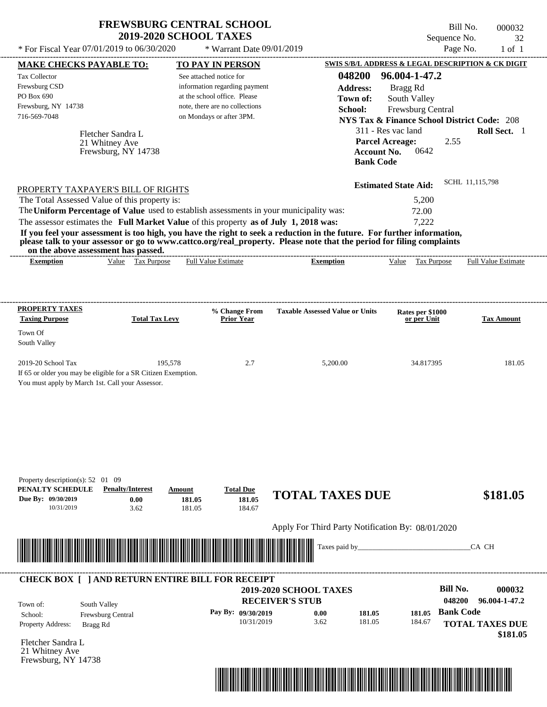| <b>FREWSBURG CENTRAL SCHOOL</b> |
|---------------------------------|
| <b>2019-2020 SCHOOL TAXES</b>   |

Bill No. 000032 Sequence No. 32<br>Page No. 1 of 1  $*$  For Fiscal Year 07/01/2019 to 06/30/2020  $*$  Warrant Date 09/01/2019 Page No. 1 of 1

| <b>MAKE CHECKS PAYABLE TO:</b>                                                                                                                               |                         |                       |                              | <b>TO PAY IN PERSON</b>            |                               |                                                   |                             |                   |                                 |                   | <b>SWIS S/B/L ADDRESS &amp; LEGAL DESCRIPTION &amp; CK DIGIT</b> |
|--------------------------------------------------------------------------------------------------------------------------------------------------------------|-------------------------|-----------------------|------------------------------|------------------------------------|-------------------------------|---------------------------------------------------|-----------------------------|-------------------|---------------------------------|-------------------|------------------------------------------------------------------|
| <b>Tax Collector</b>                                                                                                                                         |                         |                       | See attached notice for      |                                    |                               | 048200                                            |                             | 96.004-1-47.2     |                                 |                   |                                                                  |
| Frewsburg CSD                                                                                                                                                |                         |                       |                              | information regarding payment      |                               | <b>Address:</b>                                   |                             | Bragg Rd          |                                 |                   |                                                                  |
| PO Box 690                                                                                                                                                   |                         |                       | at the school office. Please |                                    |                               | Town of:                                          |                             | South Valley      |                                 |                   |                                                                  |
| Frewsburg, NY 14738                                                                                                                                          |                         |                       |                              | note, there are no collections     |                               | School:                                           |                             | Frewsburg Central |                                 |                   |                                                                  |
| 716-569-7048                                                                                                                                                 |                         |                       | on Mondays or after 3PM.     |                                    |                               |                                                   |                             |                   |                                 |                   | <b>NYS Tax &amp; Finance School District Code: 208</b>           |
|                                                                                                                                                              | Fletcher Sandra L       |                       |                              |                                    |                               |                                                   | 311 - Res vac land          |                   |                                 |                   | Roll Sect. 1                                                     |
|                                                                                                                                                              | 21 Whitney Ave          |                       |                              |                                    |                               |                                                   | <b>Parcel Acreage:</b>      |                   |                                 | 2.55              |                                                                  |
|                                                                                                                                                              | Frewsburg, NY 14738     |                       |                              |                                    |                               |                                                   | <b>Account No.</b>          |                   | 0642                            |                   |                                                                  |
|                                                                                                                                                              |                         |                       |                              |                                    |                               |                                                   | <b>Bank Code</b>            |                   |                                 |                   |                                                                  |
|                                                                                                                                                              |                         |                       |                              |                                    |                               |                                                   | <b>Estimated State Aid:</b> |                   |                                 |                   | SCHL 11,115,798                                                  |
| PROPERTY TAXPAYER'S BILL OF RIGHTS<br>The Total Assessed Value of this property is:                                                                          |                         |                       |                              |                                    |                               |                                                   |                             |                   | 5,200                           |                   |                                                                  |
| The Uniform Percentage of Value used to establish assessments in your municipality was:                                                                      |                         |                       |                              |                                    |                               |                                                   |                             |                   | 72.00                           |                   |                                                                  |
| The assessor estimates the Full Market Value of this property as of July 1, 2018 was:                                                                        |                         |                       |                              |                                    |                               |                                                   |                             |                   | 7,222                           |                   |                                                                  |
| If you feel your assessment is too high, you have the right to seek a reduction in the future. For further information,                                      |                         |                       |                              |                                    |                               |                                                   |                             |                   |                                 |                   |                                                                  |
| please talk to your assessor or go to www.cattco.org/real_property. Please note that the period for filing complaints<br>on the above assessment has passed. |                         |                       |                              |                                    |                               |                                                   |                             |                   |                                 |                   |                                                                  |
| <b>Exemption</b>                                                                                                                                             |                         | Value Tax Purpose     | <b>Full Value Estimate</b>   |                                    |                               | <b>Exemption</b>                                  |                             |                   |                                 | Value Tax Purpose | <b>Full Value Estimate</b>                                       |
|                                                                                                                                                              |                         |                       |                              |                                    |                               |                                                   |                             |                   |                                 |                   |                                                                  |
| <b>PROPERTY TAXES</b>                                                                                                                                        |                         |                       |                              |                                    |                               |                                                   |                             |                   |                                 |                   |                                                                  |
| <b>Taxing Purpose</b>                                                                                                                                        |                         | <b>Total Tax Levy</b> |                              | % Change From<br><b>Prior Year</b> |                               | <b>Taxable Assessed Value or Units</b>            |                             |                   | Rates per \$1000<br>or per Unit |                   | <b>Tax Amount</b>                                                |
| Town Of<br>South Valley                                                                                                                                      |                         |                       |                              |                                    |                               |                                                   |                             |                   |                                 |                   |                                                                  |
| 2019-20 School Tax                                                                                                                                           |                         | 195,578               |                              | 2.7                                |                               | 5,200.00                                          |                             |                   | 34.817395                       |                   | 181.05                                                           |
| If 65 or older you may be eligible for a SR Citizen Exemption.                                                                                               |                         |                       |                              |                                    |                               |                                                   |                             |                   |                                 |                   |                                                                  |
| You must apply by March 1st. Call your Assessor.                                                                                                             |                         |                       |                              |                                    |                               |                                                   |                             |                   |                                 |                   |                                                                  |
|                                                                                                                                                              |                         |                       |                              |                                    |                               |                                                   |                             |                   |                                 |                   |                                                                  |
|                                                                                                                                                              |                         |                       |                              |                                    |                               |                                                   |                             |                   |                                 |                   |                                                                  |
|                                                                                                                                                              |                         |                       |                              |                                    |                               |                                                   |                             |                   |                                 |                   |                                                                  |
|                                                                                                                                                              |                         |                       |                              |                                    |                               |                                                   |                             |                   |                                 |                   |                                                                  |
| Property description(s): $52 \quad 01 \quad 09$                                                                                                              |                         |                       |                              |                                    |                               |                                                   |                             |                   |                                 |                   |                                                                  |
| PENALTY SCHEDULE<br>Due By: 09/30/2019                                                                                                                       | <b>Penalty/Interest</b> | 0.00                  | Amount<br>181.05             | <b>Total Due</b><br>181.05         |                               | <b>TOTAL TAXES DUE</b>                            |                             |                   |                                 |                   | \$181.05                                                         |
| 10/31/2019                                                                                                                                                   |                         | 3.62                  | 181.05                       | 184.67                             |                               |                                                   |                             |                   |                                 |                   |                                                                  |
|                                                                                                                                                              |                         |                       |                              |                                    |                               | Apply For Third Party Notification By: 08/01/2020 |                             |                   |                                 |                   |                                                                  |
|                                                                                                                                                              |                         |                       |                              |                                    |                               | Taxes paid by                                     |                             |                   |                                 |                   | CA CH                                                            |
| <u> Handel van de Berger van de Berger van de Berger van de Berger van de Berger van de Berger van de Berger van</u>                                         |                         |                       |                              |                                    |                               |                                                   |                             |                   |                                 |                   |                                                                  |
| <b>CHECK BOX [ ] AND RETURN ENTIRE BILL FOR RECEIPT</b>                                                                                                      |                         |                       |                              |                                    |                               |                                                   |                             |                   |                                 |                   |                                                                  |
|                                                                                                                                                              |                         |                       |                              |                                    | <b>2019-2020 SCHOOL TAXES</b> |                                                   |                             |                   |                                 | <b>Bill No.</b>   | 000032                                                           |
| Town of:                                                                                                                                                     | South Valley            |                       |                              |                                    | <b>RECEIVER'S STUB</b>        |                                                   |                             |                   |                                 | 048200            | 96.004-1-47.2                                                    |
| School:                                                                                                                                                      | Frewsburg Central       |                       |                              | Pay By: 09/30/2019                 |                               | 0.00                                              | 181.05                      |                   | 181.05                          | <b>Bank Code</b>  |                                                                  |
| Property Address:                                                                                                                                            | Bragg Rd                |                       |                              | 10/31/2019                         |                               | 3.62                                              | 181.05                      |                   | 184.67                          |                   | <b>TOTAL TAXES DUE</b><br>\$181.05                               |
| Fletcher Sandra L                                                                                                                                            |                         |                       |                              |                                    |                               |                                                   |                             |                   |                                 |                   |                                                                  |
| 21 Whitney Ave                                                                                                                                               |                         |                       |                              |                                    |                               |                                                   |                             |                   |                                 |                   |                                                                  |
| Frewsburg, NY 14738                                                                                                                                          |                         |                       |                              |                                    |                               |                                                   |                             |                   |                                 |                   |                                                                  |

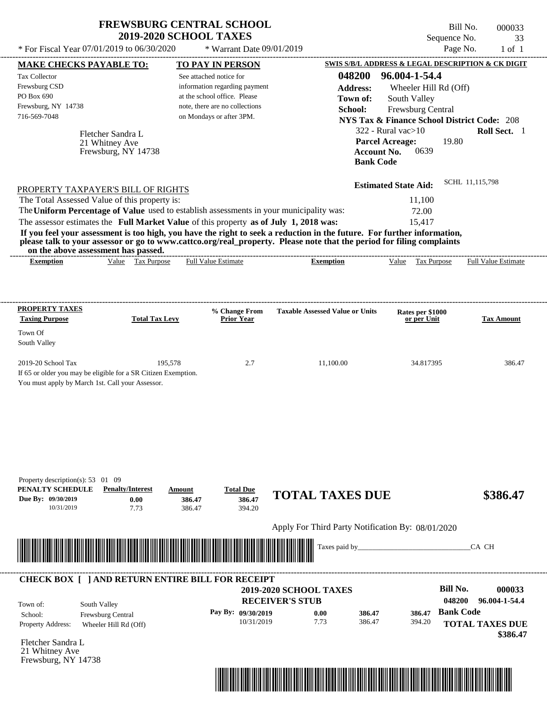| <b>FREWSBURG CENTRAL SCHOOL</b> |  |
|---------------------------------|--|
| <b>2019-2020 SCHOOL TAXES</b>   |  |

Bill No. 000033 Sequence No. 33

| SWIS S/B/L ADDRESS & LEGAL DESCRIPTION & CK DIGIT<br><b>MAKE CHECKS PAYABLE TO:</b><br><b>TO PAY IN PERSON</b><br>048200<br>96.004-1-54.4<br>See attached notice for<br>information regarding payment<br><b>Address:</b><br>Wheeler Hill Rd (Off)<br>PO Box 690<br>at the school office. Please<br>Town of:<br>South Valley<br>Frewsburg, NY 14738<br>note, there are no collections<br>Frewsburg Central<br>School:<br>716-569-7048<br>on Mondays or after 3PM.<br><b>NYS Tax &amp; Finance School District Code: 208</b><br>322 - Rural vac $>10$<br>Roll Sect. 1<br>Fletcher Sandra L<br><b>Parcel Acreage:</b><br>19.80<br>21 Whitney Ave<br>0639<br><b>Account No.</b><br>Frewsburg, NY 14738<br><b>Bank Code</b><br>SCHL 11,115,798<br><b>Estimated State Aid:</b><br>PROPERTY TAXPAYER'S BILL OF RIGHTS<br>The Total Assessed Value of this property is:<br>11,100<br>The Uniform Percentage of Value used to establish assessments in your municipality was:<br>72.00<br>The assessor estimates the Full Market Value of this property as of July 1, 2018 was:<br>15,417<br>If you feel your assessment is too high, you have the right to seek a reduction in the future. For further information,<br>please talk to your assessor or go to www.cattco.org/real_property. Please note that the period for filing complaints<br>on the above assessment has passed.<br><b>Full Value Estimate</b><br>Value Tax Purpose<br>Tax Purpose<br>Full Value Estimate<br><b>Exemption</b><br>Value<br><b>Exemption</b><br>% Change From<br><b>Taxable Assessed Value or Units</b><br>Rates per \$1000<br><b>Total Tax Levy</b><br><b>Prior Year</b><br><b>Tax Amount</b><br>or per Unit<br>195,578<br>2.7<br>11,100.00<br>386.47<br>34.817395<br>If 65 or older you may be eligible for a SR Citizen Exemption.<br>You must apply by March 1st. Call your Assessor.<br><b>Penalty/Interest</b><br><b>Total Due</b><br>Amount<br><b>TOTAL TAXES DUE</b><br>\$386.47<br>386.47<br>0.00<br>386.47<br>10/31/2019<br>394.20<br>7.73<br>386.47<br>Apply For Third Party Notification By: 08/01/2020<br>Taxes paid by_<br>CA CH<br><b>CHECK BOX [ ] AND RETURN ENTIRE BILL FOR RECEIPT</b><br><b>Bill No.</b><br>000033<br><b>2019-2020 SCHOOL TAXES</b><br>048200<br>96.004-1-54.4<br><b>RECEIVER'S STUB</b><br>South Valley<br><b>Bank Code</b><br>Pay By: 09/30/2019<br>0.00<br>386.47<br>386.47<br>Frewsburg Central<br>7.73<br>386.47<br>10/31/2019<br>394.20<br><b>TOTAL TAXES DUE</b><br>Property Address:<br>Wheeler Hill Rd (Off)<br>\$386.47<br>Fletcher Sandra L<br>21 Whitney Ave<br>Frewsburg, NY 14738 | * For Fiscal Year 07/01/2019 to 06/30/2020 | * Warrant Date 09/01/2019 |  | Page No.<br>$1$ of $1$ |
|--------------------------------------------------------------------------------------------------------------------------------------------------------------------------------------------------------------------------------------------------------------------------------------------------------------------------------------------------------------------------------------------------------------------------------------------------------------------------------------------------------------------------------------------------------------------------------------------------------------------------------------------------------------------------------------------------------------------------------------------------------------------------------------------------------------------------------------------------------------------------------------------------------------------------------------------------------------------------------------------------------------------------------------------------------------------------------------------------------------------------------------------------------------------------------------------------------------------------------------------------------------------------------------------------------------------------------------------------------------------------------------------------------------------------------------------------------------------------------------------------------------------------------------------------------------------------------------------------------------------------------------------------------------------------------------------------------------------------------------------------------------------------------------------------------------------------------------------------------------------------------------------------------------------------------------------------------------------------------------------------------------------------------------------------------------------------------------------------------------------------------------------------------------------------------------------------------------------------------------------------------------------------------------------------------------------------------------------------------------------------------------------------------------------------------------------------------------------------------------------------------------------------------------------------------------------------------------------------------------|--------------------------------------------|---------------------------|--|------------------------|
|                                                                                                                                                                                                                                                                                                                                                                                                                                                                                                                                                                                                                                                                                                                                                                                                                                                                                                                                                                                                                                                                                                                                                                                                                                                                                                                                                                                                                                                                                                                                                                                                                                                                                                                                                                                                                                                                                                                                                                                                                                                                                                                                                                                                                                                                                                                                                                                                                                                                                                                                                                                                              |                                            |                           |  |                        |
|                                                                                                                                                                                                                                                                                                                                                                                                                                                                                                                                                                                                                                                                                                                                                                                                                                                                                                                                                                                                                                                                                                                                                                                                                                                                                                                                                                                                                                                                                                                                                                                                                                                                                                                                                                                                                                                                                                                                                                                                                                                                                                                                                                                                                                                                                                                                                                                                                                                                                                                                                                                                              | Tax Collector                              |                           |  |                        |
|                                                                                                                                                                                                                                                                                                                                                                                                                                                                                                                                                                                                                                                                                                                                                                                                                                                                                                                                                                                                                                                                                                                                                                                                                                                                                                                                                                                                                                                                                                                                                                                                                                                                                                                                                                                                                                                                                                                                                                                                                                                                                                                                                                                                                                                                                                                                                                                                                                                                                                                                                                                                              | Frewsburg CSD                              |                           |  |                        |
|                                                                                                                                                                                                                                                                                                                                                                                                                                                                                                                                                                                                                                                                                                                                                                                                                                                                                                                                                                                                                                                                                                                                                                                                                                                                                                                                                                                                                                                                                                                                                                                                                                                                                                                                                                                                                                                                                                                                                                                                                                                                                                                                                                                                                                                                                                                                                                                                                                                                                                                                                                                                              |                                            |                           |  |                        |
|                                                                                                                                                                                                                                                                                                                                                                                                                                                                                                                                                                                                                                                                                                                                                                                                                                                                                                                                                                                                                                                                                                                                                                                                                                                                                                                                                                                                                                                                                                                                                                                                                                                                                                                                                                                                                                                                                                                                                                                                                                                                                                                                                                                                                                                                                                                                                                                                                                                                                                                                                                                                              |                                            |                           |  |                        |
|                                                                                                                                                                                                                                                                                                                                                                                                                                                                                                                                                                                                                                                                                                                                                                                                                                                                                                                                                                                                                                                                                                                                                                                                                                                                                                                                                                                                                                                                                                                                                                                                                                                                                                                                                                                                                                                                                                                                                                                                                                                                                                                                                                                                                                                                                                                                                                                                                                                                                                                                                                                                              |                                            |                           |  |                        |
|                                                                                                                                                                                                                                                                                                                                                                                                                                                                                                                                                                                                                                                                                                                                                                                                                                                                                                                                                                                                                                                                                                                                                                                                                                                                                                                                                                                                                                                                                                                                                                                                                                                                                                                                                                                                                                                                                                                                                                                                                                                                                                                                                                                                                                                                                                                                                                                                                                                                                                                                                                                                              |                                            |                           |  |                        |
|                                                                                                                                                                                                                                                                                                                                                                                                                                                                                                                                                                                                                                                                                                                                                                                                                                                                                                                                                                                                                                                                                                                                                                                                                                                                                                                                                                                                                                                                                                                                                                                                                                                                                                                                                                                                                                                                                                                                                                                                                                                                                                                                                                                                                                                                                                                                                                                                                                                                                                                                                                                                              |                                            |                           |  |                        |
|                                                                                                                                                                                                                                                                                                                                                                                                                                                                                                                                                                                                                                                                                                                                                                                                                                                                                                                                                                                                                                                                                                                                                                                                                                                                                                                                                                                                                                                                                                                                                                                                                                                                                                                                                                                                                                                                                                                                                                                                                                                                                                                                                                                                                                                                                                                                                                                                                                                                                                                                                                                                              |                                            |                           |  |                        |
|                                                                                                                                                                                                                                                                                                                                                                                                                                                                                                                                                                                                                                                                                                                                                                                                                                                                                                                                                                                                                                                                                                                                                                                                                                                                                                                                                                                                                                                                                                                                                                                                                                                                                                                                                                                                                                                                                                                                                                                                                                                                                                                                                                                                                                                                                                                                                                                                                                                                                                                                                                                                              |                                            |                           |  |                        |
|                                                                                                                                                                                                                                                                                                                                                                                                                                                                                                                                                                                                                                                                                                                                                                                                                                                                                                                                                                                                                                                                                                                                                                                                                                                                                                                                                                                                                                                                                                                                                                                                                                                                                                                                                                                                                                                                                                                                                                                                                                                                                                                                                                                                                                                                                                                                                                                                                                                                                                                                                                                                              |                                            |                           |  |                        |
|                                                                                                                                                                                                                                                                                                                                                                                                                                                                                                                                                                                                                                                                                                                                                                                                                                                                                                                                                                                                                                                                                                                                                                                                                                                                                                                                                                                                                                                                                                                                                                                                                                                                                                                                                                                                                                                                                                                                                                                                                                                                                                                                                                                                                                                                                                                                                                                                                                                                                                                                                                                                              |                                            |                           |  |                        |
|                                                                                                                                                                                                                                                                                                                                                                                                                                                                                                                                                                                                                                                                                                                                                                                                                                                                                                                                                                                                                                                                                                                                                                                                                                                                                                                                                                                                                                                                                                                                                                                                                                                                                                                                                                                                                                                                                                                                                                                                                                                                                                                                                                                                                                                                                                                                                                                                                                                                                                                                                                                                              |                                            |                           |  |                        |
|                                                                                                                                                                                                                                                                                                                                                                                                                                                                                                                                                                                                                                                                                                                                                                                                                                                                                                                                                                                                                                                                                                                                                                                                                                                                                                                                                                                                                                                                                                                                                                                                                                                                                                                                                                                                                                                                                                                                                                                                                                                                                                                                                                                                                                                                                                                                                                                                                                                                                                                                                                                                              |                                            |                           |  |                        |
|                                                                                                                                                                                                                                                                                                                                                                                                                                                                                                                                                                                                                                                                                                                                                                                                                                                                                                                                                                                                                                                                                                                                                                                                                                                                                                                                                                                                                                                                                                                                                                                                                                                                                                                                                                                                                                                                                                                                                                                                                                                                                                                                                                                                                                                                                                                                                                                                                                                                                                                                                                                                              |                                            |                           |  |                        |
|                                                                                                                                                                                                                                                                                                                                                                                                                                                                                                                                                                                                                                                                                                                                                                                                                                                                                                                                                                                                                                                                                                                                                                                                                                                                                                                                                                                                                                                                                                                                                                                                                                                                                                                                                                                                                                                                                                                                                                                                                                                                                                                                                                                                                                                                                                                                                                                                                                                                                                                                                                                                              |                                            |                           |  |                        |
|                                                                                                                                                                                                                                                                                                                                                                                                                                                                                                                                                                                                                                                                                                                                                                                                                                                                                                                                                                                                                                                                                                                                                                                                                                                                                                                                                                                                                                                                                                                                                                                                                                                                                                                                                                                                                                                                                                                                                                                                                                                                                                                                                                                                                                                                                                                                                                                                                                                                                                                                                                                                              |                                            |                           |  |                        |
|                                                                                                                                                                                                                                                                                                                                                                                                                                                                                                                                                                                                                                                                                                                                                                                                                                                                                                                                                                                                                                                                                                                                                                                                                                                                                                                                                                                                                                                                                                                                                                                                                                                                                                                                                                                                                                                                                                                                                                                                                                                                                                                                                                                                                                                                                                                                                                                                                                                                                                                                                                                                              |                                            |                           |  |                        |
|                                                                                                                                                                                                                                                                                                                                                                                                                                                                                                                                                                                                                                                                                                                                                                                                                                                                                                                                                                                                                                                                                                                                                                                                                                                                                                                                                                                                                                                                                                                                                                                                                                                                                                                                                                                                                                                                                                                                                                                                                                                                                                                                                                                                                                                                                                                                                                                                                                                                                                                                                                                                              |                                            |                           |  |                        |
|                                                                                                                                                                                                                                                                                                                                                                                                                                                                                                                                                                                                                                                                                                                                                                                                                                                                                                                                                                                                                                                                                                                                                                                                                                                                                                                                                                                                                                                                                                                                                                                                                                                                                                                                                                                                                                                                                                                                                                                                                                                                                                                                                                                                                                                                                                                                                                                                                                                                                                                                                                                                              |                                            |                           |  |                        |
|                                                                                                                                                                                                                                                                                                                                                                                                                                                                                                                                                                                                                                                                                                                                                                                                                                                                                                                                                                                                                                                                                                                                                                                                                                                                                                                                                                                                                                                                                                                                                                                                                                                                                                                                                                                                                                                                                                                                                                                                                                                                                                                                                                                                                                                                                                                                                                                                                                                                                                                                                                                                              | <b>PROPERTY TAXES</b>                      |                           |  |                        |
|                                                                                                                                                                                                                                                                                                                                                                                                                                                                                                                                                                                                                                                                                                                                                                                                                                                                                                                                                                                                                                                                                                                                                                                                                                                                                                                                                                                                                                                                                                                                                                                                                                                                                                                                                                                                                                                                                                                                                                                                                                                                                                                                                                                                                                                                                                                                                                                                                                                                                                                                                                                                              | <b>Taxing Purpose</b>                      |                           |  |                        |
|                                                                                                                                                                                                                                                                                                                                                                                                                                                                                                                                                                                                                                                                                                                                                                                                                                                                                                                                                                                                                                                                                                                                                                                                                                                                                                                                                                                                                                                                                                                                                                                                                                                                                                                                                                                                                                                                                                                                                                                                                                                                                                                                                                                                                                                                                                                                                                                                                                                                                                                                                                                                              | Town Of                                    |                           |  |                        |
|                                                                                                                                                                                                                                                                                                                                                                                                                                                                                                                                                                                                                                                                                                                                                                                                                                                                                                                                                                                                                                                                                                                                                                                                                                                                                                                                                                                                                                                                                                                                                                                                                                                                                                                                                                                                                                                                                                                                                                                                                                                                                                                                                                                                                                                                                                                                                                                                                                                                                                                                                                                                              | South Valley                               |                           |  |                        |
|                                                                                                                                                                                                                                                                                                                                                                                                                                                                                                                                                                                                                                                                                                                                                                                                                                                                                                                                                                                                                                                                                                                                                                                                                                                                                                                                                                                                                                                                                                                                                                                                                                                                                                                                                                                                                                                                                                                                                                                                                                                                                                                                                                                                                                                                                                                                                                                                                                                                                                                                                                                                              |                                            |                           |  |                        |
|                                                                                                                                                                                                                                                                                                                                                                                                                                                                                                                                                                                                                                                                                                                                                                                                                                                                                                                                                                                                                                                                                                                                                                                                                                                                                                                                                                                                                                                                                                                                                                                                                                                                                                                                                                                                                                                                                                                                                                                                                                                                                                                                                                                                                                                                                                                                                                                                                                                                                                                                                                                                              | 2019-20 School Tax                         |                           |  |                        |
|                                                                                                                                                                                                                                                                                                                                                                                                                                                                                                                                                                                                                                                                                                                                                                                                                                                                                                                                                                                                                                                                                                                                                                                                                                                                                                                                                                                                                                                                                                                                                                                                                                                                                                                                                                                                                                                                                                                                                                                                                                                                                                                                                                                                                                                                                                                                                                                                                                                                                                                                                                                                              |                                            |                           |  |                        |
|                                                                                                                                                                                                                                                                                                                                                                                                                                                                                                                                                                                                                                                                                                                                                                                                                                                                                                                                                                                                                                                                                                                                                                                                                                                                                                                                                                                                                                                                                                                                                                                                                                                                                                                                                                                                                                                                                                                                                                                                                                                                                                                                                                                                                                                                                                                                                                                                                                                                                                                                                                                                              |                                            |                           |  |                        |
|                                                                                                                                                                                                                                                                                                                                                                                                                                                                                                                                                                                                                                                                                                                                                                                                                                                                                                                                                                                                                                                                                                                                                                                                                                                                                                                                                                                                                                                                                                                                                                                                                                                                                                                                                                                                                                                                                                                                                                                                                                                                                                                                                                                                                                                                                                                                                                                                                                                                                                                                                                                                              | Property description(s): 53 01 09          |                           |  |                        |
|                                                                                                                                                                                                                                                                                                                                                                                                                                                                                                                                                                                                                                                                                                                                                                                                                                                                                                                                                                                                                                                                                                                                                                                                                                                                                                                                                                                                                                                                                                                                                                                                                                                                                                                                                                                                                                                                                                                                                                                                                                                                                                                                                                                                                                                                                                                                                                                                                                                                                                                                                                                                              | PENALTY SCHEDULE<br>Due By: 09/30/2019     |                           |  |                        |
|                                                                                                                                                                                                                                                                                                                                                                                                                                                                                                                                                                                                                                                                                                                                                                                                                                                                                                                                                                                                                                                                                                                                                                                                                                                                                                                                                                                                                                                                                                                                                                                                                                                                                                                                                                                                                                                                                                                                                                                                                                                                                                                                                                                                                                                                                                                                                                                                                                                                                                                                                                                                              |                                            |                           |  |                        |
|                                                                                                                                                                                                                                                                                                                                                                                                                                                                                                                                                                                                                                                                                                                                                                                                                                                                                                                                                                                                                                                                                                                                                                                                                                                                                                                                                                                                                                                                                                                                                                                                                                                                                                                                                                                                                                                                                                                                                                                                                                                                                                                                                                                                                                                                                                                                                                                                                                                                                                                                                                                                              |                                            |                           |  |                        |
|                                                                                                                                                                                                                                                                                                                                                                                                                                                                                                                                                                                                                                                                                                                                                                                                                                                                                                                                                                                                                                                                                                                                                                                                                                                                                                                                                                                                                                                                                                                                                                                                                                                                                                                                                                                                                                                                                                                                                                                                                                                                                                                                                                                                                                                                                                                                                                                                                                                                                                                                                                                                              |                                            |                           |  |                        |
|                                                                                                                                                                                                                                                                                                                                                                                                                                                                                                                                                                                                                                                                                                                                                                                                                                                                                                                                                                                                                                                                                                                                                                                                                                                                                                                                                                                                                                                                                                                                                                                                                                                                                                                                                                                                                                                                                                                                                                                                                                                                                                                                                                                                                                                                                                                                                                                                                                                                                                                                                                                                              |                                            |                           |  |                        |
|                                                                                                                                                                                                                                                                                                                                                                                                                                                                                                                                                                                                                                                                                                                                                                                                                                                                                                                                                                                                                                                                                                                                                                                                                                                                                                                                                                                                                                                                                                                                                                                                                                                                                                                                                                                                                                                                                                                                                                                                                                                                                                                                                                                                                                                                                                                                                                                                                                                                                                                                                                                                              |                                            |                           |  |                        |
|                                                                                                                                                                                                                                                                                                                                                                                                                                                                                                                                                                                                                                                                                                                                                                                                                                                                                                                                                                                                                                                                                                                                                                                                                                                                                                                                                                                                                                                                                                                                                                                                                                                                                                                                                                                                                                                                                                                                                                                                                                                                                                                                                                                                                                                                                                                                                                                                                                                                                                                                                                                                              | Town of:                                   |                           |  |                        |
|                                                                                                                                                                                                                                                                                                                                                                                                                                                                                                                                                                                                                                                                                                                                                                                                                                                                                                                                                                                                                                                                                                                                                                                                                                                                                                                                                                                                                                                                                                                                                                                                                                                                                                                                                                                                                                                                                                                                                                                                                                                                                                                                                                                                                                                                                                                                                                                                                                                                                                                                                                                                              | School:                                    |                           |  |                        |
|                                                                                                                                                                                                                                                                                                                                                                                                                                                                                                                                                                                                                                                                                                                                                                                                                                                                                                                                                                                                                                                                                                                                                                                                                                                                                                                                                                                                                                                                                                                                                                                                                                                                                                                                                                                                                                                                                                                                                                                                                                                                                                                                                                                                                                                                                                                                                                                                                                                                                                                                                                                                              |                                            |                           |  |                        |
|                                                                                                                                                                                                                                                                                                                                                                                                                                                                                                                                                                                                                                                                                                                                                                                                                                                                                                                                                                                                                                                                                                                                                                                                                                                                                                                                                                                                                                                                                                                                                                                                                                                                                                                                                                                                                                                                                                                                                                                                                                                                                                                                                                                                                                                                                                                                                                                                                                                                                                                                                                                                              |                                            |                           |  |                        |
|                                                                                                                                                                                                                                                                                                                                                                                                                                                                                                                                                                                                                                                                                                                                                                                                                                                                                                                                                                                                                                                                                                                                                                                                                                                                                                                                                                                                                                                                                                                                                                                                                                                                                                                                                                                                                                                                                                                                                                                                                                                                                                                                                                                                                                                                                                                                                                                                                                                                                                                                                                                                              |                                            |                           |  |                        |
|                                                                                                                                                                                                                                                                                                                                                                                                                                                                                                                                                                                                                                                                                                                                                                                                                                                                                                                                                                                                                                                                                                                                                                                                                                                                                                                                                                                                                                                                                                                                                                                                                                                                                                                                                                                                                                                                                                                                                                                                                                                                                                                                                                                                                                                                                                                                                                                                                                                                                                                                                                                                              |                                            |                           |  |                        |

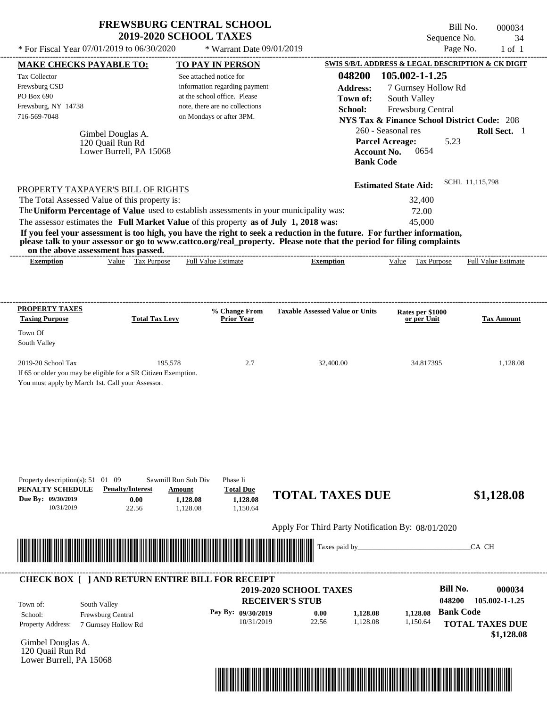Bill No. 000034 Sequence No. 34

| * For Fiscal Year 07/01/2019 to 06/30/2020                                                                                                     |                                                                  | * Warrant Date 09/01/2019                                                                                                                                                                                                               |                                                                                                                                                                                                                                                                      |                                                                                                                                                          | Page No.<br>$1$ of $1$                                                                                            |
|------------------------------------------------------------------------------------------------------------------------------------------------|------------------------------------------------------------------|-----------------------------------------------------------------------------------------------------------------------------------------------------------------------------------------------------------------------------------------|----------------------------------------------------------------------------------------------------------------------------------------------------------------------------------------------------------------------------------------------------------------------|----------------------------------------------------------------------------------------------------------------------------------------------------------|-------------------------------------------------------------------------------------------------------------------|
| <b>MAKE CHECKS PAYABLE TO:</b>                                                                                                                 |                                                                  | <b>TO PAY IN PERSON</b>                                                                                                                                                                                                                 |                                                                                                                                                                                                                                                                      |                                                                                                                                                          | SWIS S/B/L ADDRESS & LEGAL DESCRIPTION & CK DIGIT                                                                 |
| Tax Collector<br>Frewsburg CSD<br>PO Box 690<br>Frewsburg, NY 14738<br>716-569-7048                                                            | Gimbel Douglas A.<br>120 Quail Run Rd<br>Lower Burrell, PA 15068 | See attached notice for<br>information regarding payment<br>at the school office. Please<br>note, there are no collections<br>on Mondays or after 3PM.                                                                                  | 048200<br><b>Address:</b><br>Town of:<br>School:<br><b>Bank Code</b>                                                                                                                                                                                                 | 105.002-1-1.25<br>7 Gurnsey Hollow Rd<br>South Valley<br>Frewsburg Central<br>260 - Seasonal res<br><b>Parcel Acreage:</b><br><b>Account No.</b><br>0654 | <b>NYS Tax &amp; Finance School District Code: 208</b><br>Roll Sect. 1<br>5.23                                    |
| PROPERTY TAXPAYER'S BILL OF RIGHTS<br>The Total Assessed Value of this property is:<br>on the above assessment has passed.<br><b>Exemption</b> | Value Tax Purpose                                                | The Uniform Percentage of Value used to establish assessments in your municipality was:<br>The assessor estimates the Full Market Value of this property as of July 1, 2018 was:<br><b>Full Value Estimate</b>                          | If you feel your assessment is too high, you have the right to seek a reduction in the future. For further information,<br>please talk to your assessor or go to www.cattco.org/real_property. Please note that the period for filing complaints<br><b>Exemption</b> | <b>Estimated State Aid:</b><br>32,400<br>72.00<br>45,000<br>Value Tax Purpose                                                                            | SCHL 11,115,798<br><b>Full Value Estimate</b>                                                                     |
|                                                                                                                                                |                                                                  |                                                                                                                                                                                                                                         |                                                                                                                                                                                                                                                                      |                                                                                                                                                          |                                                                                                                   |
| <b>PROPERTY TAXES</b><br><b>Taxing Purpose</b><br>Town Of<br>South Valley                                                                      | <b>Total Tax Levy</b>                                            | % Change From<br><b>Prior Year</b>                                                                                                                                                                                                      | <b>Taxable Assessed Value or Units</b>                                                                                                                                                                                                                               | Rates per \$1000<br>or per Unit                                                                                                                          | <b>Tax Amount</b>                                                                                                 |
| 2019-20 School Tax<br>If 65 or older you may be eligible for a SR Citizen Exemption.<br>You must apply by March 1st. Call your Assessor.       | 195,578                                                          | 2.7                                                                                                                                                                                                                                     | 32,400.00                                                                                                                                                                                                                                                            | 34.817395                                                                                                                                                | 1,128.08                                                                                                          |
| Property description(s): $51 \quad 01 \quad 09$<br>PENALTY SCHEDULE<br>Due By: 09/30/2019<br>10/31/2019                                        | <b>Penalty/Interest</b><br>0.00<br>22.56                         | Sawmill Run Sub Div<br>Phase Ii<br><b>Total Due</b><br>Amount<br>1,128.08<br>1,128.08<br>1,128.08<br>1,150.64<br><u> I samua ka ka matsayin sa matsayin sa matsayin sa matsayin sa matsayin sa matsayin sa matsayin sa matsayin sa </u> | <b>TOTAL TAXES DUE</b><br>Apply For Third Party Notification By: 08/01/2020<br>Taxes paid by_                                                                                                                                                                        |                                                                                                                                                          | \$1,128.08<br>CA CH                                                                                               |
|                                                                                                                                                |                                                                  | <b>CHECK BOX [ ] AND RETURN ENTIRE BILL FOR RECEIPT</b>                                                                                                                                                                                 |                                                                                                                                                                                                                                                                      |                                                                                                                                                          |                                                                                                                   |
| South Valley<br>Town of:<br>School:<br>Property Address:<br>Gimbel Douglas A.<br>120 Quail Run Rd<br>Lower Burrell, PA 15068                   | Frewsburg Central<br>7 Gurnsey Hollow Rd                         | Pay By: 09/30/2019<br>10/31/2019                                                                                                                                                                                                        | 2019-2020 SCHOOL TAXES<br><b>RECEIVER'S STUB</b><br>0.00<br>1,128.08<br>22.56<br>1,128.08                                                                                                                                                                            | 1,128.08<br>1,150.64                                                                                                                                     | <b>Bill No.</b><br>000034<br>048200<br>105.002-1-1.25<br><b>Bank Code</b><br><b>TOTAL TAXES DUE</b><br>\$1,128.08 |

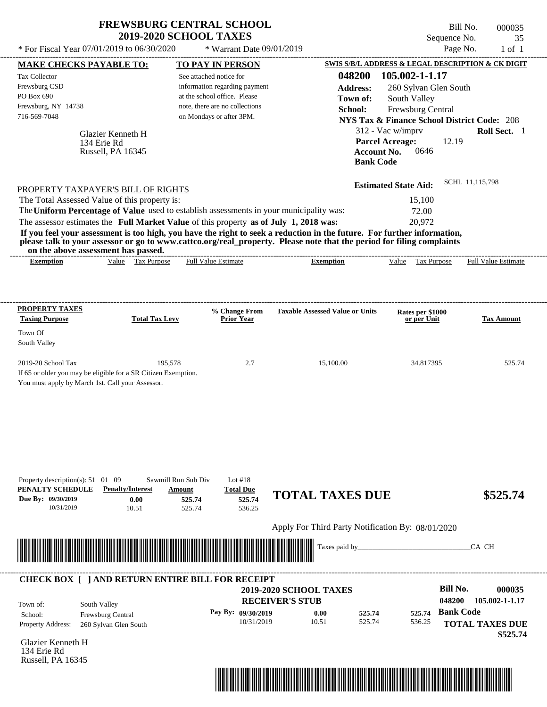| <b>FREWSBURG CENTRAL SCHOOL</b> |
|---------------------------------|
| <b>2019-2020 SCHOOL TAXES</b>   |

Bill No. 000035 Sequence No. 35

| * For Fiscal Year 07/01/2019 to 06/30/2020                                                                           |                                   | * Warrant Date 09/01/2019                                     |                                                                                                                                                                                                                                                  |                                                        | Page No.                   | $1$ of $1$        |
|----------------------------------------------------------------------------------------------------------------------|-----------------------------------|---------------------------------------------------------------|--------------------------------------------------------------------------------------------------------------------------------------------------------------------------------------------------------------------------------------------------|--------------------------------------------------------|----------------------------|-------------------|
| <b>MAKE CHECKS PAYABLE TO:</b>                                                                                       |                                   | <b>TO PAY IN PERSON</b>                                       |                                                                                                                                                                                                                                                  | SWIS S/B/L ADDRESS & LEGAL DESCRIPTION & CK DIGIT      |                            |                   |
| Tax Collector                                                                                                        |                                   | See attached notice for                                       | 048200                                                                                                                                                                                                                                           | 105.002-1-1.17                                         |                            |                   |
| Frewsburg CSD<br>PO Box 690                                                                                          |                                   | information regarding payment<br>at the school office. Please | <b>Address:</b>                                                                                                                                                                                                                                  | 260 Sylvan Glen South                                  |                            |                   |
| Frewsburg, NY 14738                                                                                                  |                                   | note, there are no collections                                | Town of:<br>School:                                                                                                                                                                                                                              | South Valley<br>Frewsburg Central                      |                            |                   |
| 716-569-7048                                                                                                         |                                   | on Mondays or after 3PM.                                      |                                                                                                                                                                                                                                                  | <b>NYS Tax &amp; Finance School District Code: 208</b> |                            |                   |
|                                                                                                                      | Glazier Kenneth H                 |                                                               |                                                                                                                                                                                                                                                  | 312 - Vac w/imprv                                      |                            | Roll Sect. 1      |
| 134 Erie Rd                                                                                                          |                                   |                                                               |                                                                                                                                                                                                                                                  | <b>Parcel Acreage:</b>                                 | 12.19                      |                   |
|                                                                                                                      | Russell, PA 16345                 |                                                               |                                                                                                                                                                                                                                                  | <b>Account No.</b><br>0646                             |                            |                   |
|                                                                                                                      |                                   |                                                               | <b>Bank Code</b>                                                                                                                                                                                                                                 |                                                        |                            |                   |
| PROPERTY TAXPAYER'S BILL OF RIGHTS                                                                                   |                                   |                                                               |                                                                                                                                                                                                                                                  | <b>Estimated State Aid:</b>                            | SCHL 11,115,798            |                   |
| The Total Assessed Value of this property is:                                                                        |                                   |                                                               |                                                                                                                                                                                                                                                  | 15,100                                                 |                            |                   |
| The Uniform Percentage of Value used to establish assessments in your municipality was:                              |                                   |                                                               |                                                                                                                                                                                                                                                  | 72.00                                                  |                            |                   |
| The assessor estimates the Full Market Value of this property as of July 1, 2018 was:                                |                                   |                                                               |                                                                                                                                                                                                                                                  | 20,972                                                 |                            |                   |
|                                                                                                                      |                                   |                                                               | If you feel your assessment is too high, you have the right to seek a reduction in the future. For further information,<br>please talk to your assessor or go to www.cattco.org/real_property. Please note that the period for filing complaints |                                                        |                            |                   |
| on the above assessment has passed.<br><b>Exemption</b>                                                              | Value Tax Purpose                 | <b>Full Value Estimate</b>                                    | <b>Exemption</b>                                                                                                                                                                                                                                 | Value Tax Purpose                                      | <b>Full Value Estimate</b> |                   |
|                                                                                                                      |                                   |                                                               |                                                                                                                                                                                                                                                  |                                                        |                            |                   |
|                                                                                                                      |                                   |                                                               |                                                                                                                                                                                                                                                  |                                                        |                            |                   |
| <b>PROPERTY TAXES</b><br><b>Taxing Purpose</b>                                                                       | <b>Total Tax Levy</b>             | % Change From<br><b>Prior Year</b>                            | <b>Taxable Assessed Value or Units</b>                                                                                                                                                                                                           | Rates per \$1000<br>or per Unit                        |                            | <b>Tax Amount</b> |
| Town Of                                                                                                              |                                   |                                                               |                                                                                                                                                                                                                                                  |                                                        |                            |                   |
| South Valley                                                                                                         |                                   |                                                               |                                                                                                                                                                                                                                                  |                                                        |                            |                   |
| 2019-20 School Tax                                                                                                   | 195,578                           | 2.7                                                           | 15,100.00                                                                                                                                                                                                                                        | 34.817395                                              |                            | 525.74            |
| If 65 or older you may be eligible for a SR Citizen Exemption.                                                       |                                   |                                                               |                                                                                                                                                                                                                                                  |                                                        |                            |                   |
| You must apply by March 1st. Call your Assessor.                                                                     |                                   |                                                               |                                                                                                                                                                                                                                                  |                                                        |                            |                   |
|                                                                                                                      |                                   |                                                               |                                                                                                                                                                                                                                                  |                                                        |                            |                   |
|                                                                                                                      |                                   |                                                               |                                                                                                                                                                                                                                                  |                                                        |                            |                   |
|                                                                                                                      |                                   |                                                               |                                                                                                                                                                                                                                                  |                                                        |                            |                   |
|                                                                                                                      |                                   |                                                               |                                                                                                                                                                                                                                                  |                                                        |                            |                   |
|                                                                                                                      |                                   |                                                               |                                                                                                                                                                                                                                                  |                                                        |                            |                   |
| Property description(s): $51 \quad 01 \quad 09$                                                                      | Sawmill Run Sub Div               | Lot $#18$                                                     |                                                                                                                                                                                                                                                  |                                                        |                            |                   |
| PENALTY SCHEDULE                                                                                                     | <b>Penalty/Interest</b><br>Amount | <b>Total Due</b>                                              | <b>TOTAL TAXES DUE</b>                                                                                                                                                                                                                           |                                                        |                            | \$525.74          |
| Due By: 09/30/2019<br>10/31/2019                                                                                     | 0.00<br>10.51                     | 525.74<br>525.74<br>525.74<br>536.25                          |                                                                                                                                                                                                                                                  |                                                        |                            |                   |
|                                                                                                                      |                                   |                                                               | Apply For Third Party Notification By: 08/01/2020                                                                                                                                                                                                |                                                        |                            |                   |
|                                                                                                                      |                                   |                                                               |                                                                                                                                                                                                                                                  |                                                        |                            |                   |
| <u> Harald Harald Harald Harald Harald Harald Harald Harald Harald Harald Harald Harald Harald Harald Harald Har</u> |                                   |                                                               | Taxes paid by_                                                                                                                                                                                                                                   |                                                        | CA CH                      |                   |
|                                                                                                                      |                                   |                                                               |                                                                                                                                                                                                                                                  |                                                        |                            |                   |
| <b>CHECK BOX [ ] AND RETURN ENTIRE BILL FOR RECEIPT</b>                                                              |                                   |                                                               | 2019-2020 SCHOOL TAXES                                                                                                                                                                                                                           |                                                        | <b>Bill No.</b>            | 000035            |
| South Valley<br>Town of:                                                                                             |                                   |                                                               | <b>RECEIVER'S STUB</b>                                                                                                                                                                                                                           |                                                        | 048200<br>105.002-1-1.17   |                   |
| Frewsburg Central<br>School:                                                                                         |                                   | Pay By: 09/30/2019                                            | 0.00<br>525.74                                                                                                                                                                                                                                   | 525.74                                                 | <b>Bank Code</b>           |                   |
| Property Address:                                                                                                    | 260 Sylvan Glen South             | 10/31/2019                                                    | 10.51<br>525.74                                                                                                                                                                                                                                  | 536.25                                                 | <b>TOTAL TAXES DUE</b>     |                   |
| Glazier Kenneth H                                                                                                    |                                   |                                                               |                                                                                                                                                                                                                                                  |                                                        |                            | \$525.74          |
| 134 Erie Rd                                                                                                          |                                   |                                                               |                                                                                                                                                                                                                                                  |                                                        |                            |                   |
| Russell, PA 16345                                                                                                    |                                   |                                                               |                                                                                                                                                                                                                                                  |                                                        |                            |                   |
|                                                                                                                      |                                   |                                                               |                                                                                                                                                                                                                                                  |                                                        |                            |                   |
|                                                                                                                      |                                   |                                                               |                                                                                                                                                                                                                                                  |                                                        |                            |                   |
|                                                                                                                      |                                   |                                                               |                                                                                                                                                                                                                                                  |                                                        |                            |                   |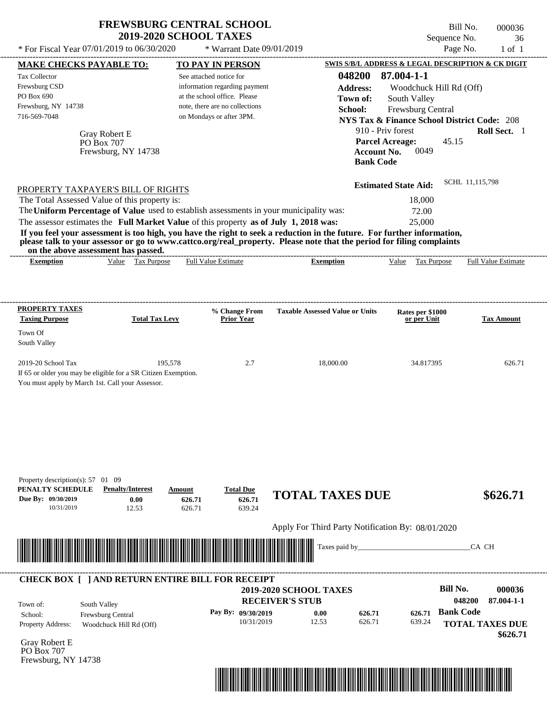| * For Fiscal Year $07/01/2019$ to $06/30/2020$                                                                                                                                                                                                                          | <b>FREWSBURG CENTRAL SCHOOL</b><br><b>2019-2020 SCHOOL TAXES</b> |                            | * Warrant Date 09/01/2019                                                                                                                                                         |                                                                                                                                                                                                                                                                                  | Sequence No.<br>Page No.                                                                                                                                                                                                                                  | Bill No.<br>000036<br>36<br>$1$ of $1$ |
|-------------------------------------------------------------------------------------------------------------------------------------------------------------------------------------------------------------------------------------------------------------------------|------------------------------------------------------------------|----------------------------|-----------------------------------------------------------------------------------------------------------------------------------------------------------------------------------|----------------------------------------------------------------------------------------------------------------------------------------------------------------------------------------------------------------------------------------------------------------------------------|-----------------------------------------------------------------------------------------------------------------------------------------------------------------------------------------------------------------------------------------------------------|----------------------------------------|
| <b>MAKE CHECKS PAYABLE TO:</b><br>Tax Collector<br>Frewsburg CSD<br>PO Box 690<br>Frewsburg, NY 14738<br>716-569-7048                                                                                                                                                   | Gray Robert E<br>PO Box 707<br>Frewsburg, NY 14738               |                            | <b>TO PAY IN PERSON</b><br>See attached notice for<br>information regarding payment<br>at the school office. Please<br>note, there are no collections<br>on Mondays or after 3PM. | 048200<br><b>Address:</b><br>Town of:<br>School:<br>Account No.<br><b>Bank Code</b>                                                                                                                                                                                              | SWIS S/B/L ADDRESS & LEGAL DESCRIPTION & CK DIGIT<br>87.004-1-1<br>Woodchuck Hill Rd (Off)<br>South Valley<br>Frewsburg Central<br><b>NYS Tax &amp; Finance School District Code: 208</b><br>910 - Priv forest<br><b>Parcel Acreage:</b><br>45.15<br>0049 | Roll Sect. 1                           |
| PROPERTY TAXPAYER'S BILL OF RIGHTS<br>The Total Assessed Value of this property is:<br>The Uniform Percentage of Value used to establish assessments in your municipality was:<br>The assessor estimates the Full Market Value of this property as of July 1, 2018 was: | on the above assessment has passed.                              |                            |                                                                                                                                                                                   | If you feel your assessment is too high, you have the right to seek a reduction in the future. For further information,<br>please talk to your assessor or go to www.cattco.org/real_property. Please note that the period for filing complaints<br>---------------------------- | <b>Estimated State Aid:</b><br>18,000<br>72.00<br>25,000                                                                                                                                                                                                  | SCHL 11,115,798                        |
| <b>Exemption</b><br><b>PROPERTY TAXES</b>                                                                                                                                                                                                                               | Value Tax Purpose                                                |                            | <b>Full Value Estimate</b>                                                                                                                                                        | <b>Exemption</b>                                                                                                                                                                                                                                                                 | Value Tax Purpose                                                                                                                                                                                                                                         | <b>Full Value Estimate</b>             |
| <b>Taxing Purpose</b><br>Town Of<br>South Valley                                                                                                                                                                                                                        | <b>Total Tax Levy</b>                                            |                            | % Change From<br><b>Prior Year</b>                                                                                                                                                | <b>Taxable Assessed Value or Units</b>                                                                                                                                                                                                                                           | Rates per \$1000<br>or per Unit                                                                                                                                                                                                                           | <b>Tax Amount</b>                      |
| 2019-20 School Tax<br>If 65 or older you may be eligible for a SR Citizen Exemption.<br>You must apply by March 1st. Call your Assessor.                                                                                                                                | 195,578                                                          |                            | 2.7                                                                                                                                                                               | 18,000.00                                                                                                                                                                                                                                                                        | 34.817395                                                                                                                                                                                                                                                 | 626.71                                 |
|                                                                                                                                                                                                                                                                         |                                                                  |                            |                                                                                                                                                                                   |                                                                                                                                                                                                                                                                                  |                                                                                                                                                                                                                                                           |                                        |
|                                                                                                                                                                                                                                                                         |                                                                  |                            |                                                                                                                                                                                   |                                                                                                                                                                                                                                                                                  |                                                                                                                                                                                                                                                           |                                        |
| Property description(s): 57 01 09<br>PENALTY SCHEDULE<br>Due By: 09/30/2019<br>10/31/2019                                                                                                                                                                               | <b>Penalty/Interest</b><br>0.00<br>12.53                         | Amount<br>626.71<br>626.71 | <b>Total Due</b><br>626.71<br>639.24                                                                                                                                              | <b>TOTAL TAXES DUE</b>                                                                                                                                                                                                                                                           |                                                                                                                                                                                                                                                           | \$626.71                               |



Gray Robert E PO Box 707 Frewsburg, NY 14738

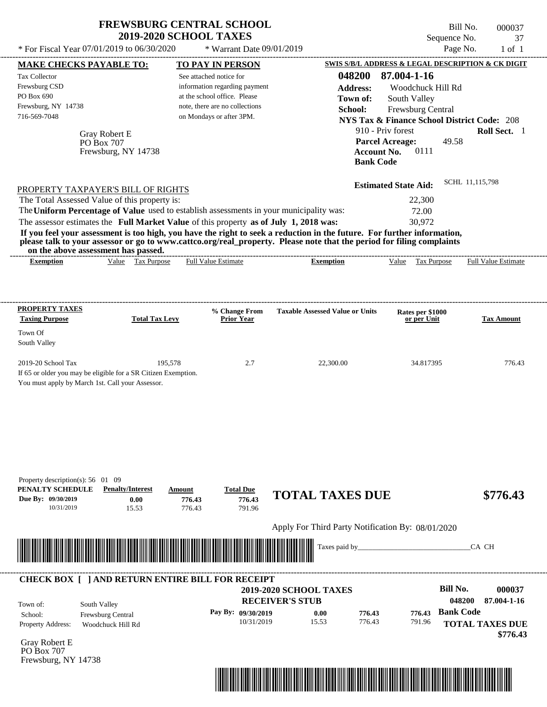| <b>FREWSBURG CENTRAL SCHOOL</b><br><b>2019-2020 SCHOOL TAXES</b>          | Bill No.<br>Sequence No.                         | 000037<br>- 37 |
|---------------------------------------------------------------------------|--------------------------------------------------|----------------|
| * For Fiscal Year 07/01/2019 to 06/30/2020<br>$*$ Warrant Date 09/01/2019 | Page No.                                         | 1 of 1         |
| маке снеске рауарі е то $\cdot$<br><b>TO PAV IN PERSON</b>                | SWIS S/B/L ADDRESS & LEGAL DESCRIPTION & CK DIGI |                |

|                                                                                                                                                                                                                                                                                                                | 2019-2020 SCHOOL TAXES                    |                                                                                                                                                        |                                                                                                                                                                                                                                                  | Sequence No.                                                                                                                                 | 37                         |
|----------------------------------------------------------------------------------------------------------------------------------------------------------------------------------------------------------------------------------------------------------------------------------------------------------------|-------------------------------------------|--------------------------------------------------------------------------------------------------------------------------------------------------------|--------------------------------------------------------------------------------------------------------------------------------------------------------------------------------------------------------------------------------------------------|----------------------------------------------------------------------------------------------------------------------------------------------|----------------------------|
| * For Fiscal Year 07/01/2019 to 06/30/2020                                                                                                                                                                                                                                                                     |                                           | * Warrant Date 09/01/2019                                                                                                                              |                                                                                                                                                                                                                                                  | Page No.                                                                                                                                     | $1$ of $1$                 |
| <b>MAKE CHECKS PAYABLE TO:</b>                                                                                                                                                                                                                                                                                 |                                           | <b>TO PAY IN PERSON</b>                                                                                                                                |                                                                                                                                                                                                                                                  | SWIS S/B/L ADDRESS & LEGAL DESCRIPTION & CK DIGIT                                                                                            |                            |
| <b>Tax Collector</b><br>Frewsburg CSD<br>PO Box 690<br>Frewsburg, NY 14738<br>716-569-7048                                                                                                                                                                                                                     |                                           | See attached notice for<br>information regarding payment<br>at the school office. Please<br>note, there are no collections<br>on Mondays or after 3PM. | 048200<br><b>Address:</b><br>Town of:<br>School:                                                                                                                                                                                                 | 87.004-1-16<br>Woodchuck Hill Rd<br>South Valley<br>Frewsburg Central                                                                        |                            |
| <b>Gray Robert E</b><br>PO Box 707                                                                                                                                                                                                                                                                             | Frewsburg, NY 14738                       |                                                                                                                                                        | <b>Bank Code</b>                                                                                                                                                                                                                                 | <b>NYS Tax &amp; Finance School District Code: 208</b><br>910 - Priv forest<br><b>Parcel Acreage:</b><br>49.58<br>0111<br><b>Account No.</b> | Roll Sect. 1               |
| PROPERTY TAXPAYER'S BILL OF RIGHTS<br>The Total Assessed Value of this property is:<br>The Uniform Percentage of Value used to establish assessments in your municipality was:<br>The assessor estimates the Full Market Value of this property as of July 1, 2018 was:<br>on the above assessment has passed. |                                           |                                                                                                                                                        | If you feel your assessment is too high, you have the right to seek a reduction in the future. For further information,<br>please talk to your assessor or go to www.cattco.org/real_property. Please note that the period for filing complaints | <b>Estimated State Aid:</b><br>22,300<br>72.00<br>30,972                                                                                     | SCHL 11,115,798            |
| <b>Exemption</b>                                                                                                                                                                                                                                                                                               | Value Tax Purpose                         | <b>Full Value Estimate</b>                                                                                                                             | <b>Exemption</b>                                                                                                                                                                                                                                 | Value Tax Purpose                                                                                                                            | <b>Full Value Estimate</b> |
| <b>PROPERTY TAXES</b><br><b>Taxing Purpose</b>                                                                                                                                                                                                                                                                 | <b>Total Tax Levy</b>                     | % Change From<br><b>Prior Year</b>                                                                                                                     | <b>Taxable Assessed Value or Units</b>                                                                                                                                                                                                           | Rates per \$1000<br>or per Unit                                                                                                              | <b>Tax Amount</b>          |
| Town Of<br>South Valley                                                                                                                                                                                                                                                                                        |                                           |                                                                                                                                                        |                                                                                                                                                                                                                                                  |                                                                                                                                              |                            |
| 2019-20 School Tax<br>If 65 or older you may be eligible for a SR Citizen Exemption.<br>You must apply by March 1st. Call your Assessor.                                                                                                                                                                       | 195,578                                   | 2.7                                                                                                                                                    | 22,300.00                                                                                                                                                                                                                                        | 34.817395                                                                                                                                    | 776.43                     |
| Property description(s): 56 01 09<br>PENALTY SCHEDULE<br>Due By: 09/30/2019                                                                                                                                                                                                                                    | <b>Penalty/Interest</b><br>Amount<br>0.00 | <b>Total Due</b><br>776.43<br>776.43                                                                                                                   | <b>TOTAL TAXES DUE</b>                                                                                                                                                                                                                           |                                                                                                                                              | \$776.43                   |
| 10/31/2019                                                                                                                                                                                                                                                                                                     | 15.53                                     | 776.43<br>791.96                                                                                                                                       |                                                                                                                                                                                                                                                  |                                                                                                                                              |                            |
|                                                                                                                                                                                                                                                                                                                |                                           |                                                                                                                                                        | Apply For Third Party Notification By: 08/01/2020                                                                                                                                                                                                |                                                                                                                                              |                            |
| <u> Harry Harry Harry Harry Harry Harry Harry Harry Harry Harry Harry Harry Harry Harry Harry Harry Harry Harry Harry Harry Harry Harry Harry Harry Harry Harry Harry Harry Harry Harry Harry Harry Harry Harry Harry Harry Harr</u>                                                                           |                                           |                                                                                                                                                        | Taxes paid by_                                                                                                                                                                                                                                   |                                                                                                                                              | CA CH                      |
| <b>CHECK BOX [ ] AND RETURN ENTIRE BILL FOR RECEIPT</b>                                                                                                                                                                                                                                                        |                                           |                                                                                                                                                        |                                                                                                                                                                                                                                                  | <b>Bill No.</b>                                                                                                                              | 000037                     |
| South Valley<br>Town of:                                                                                                                                                                                                                                                                                       |                                           |                                                                                                                                                        | <b>2019-2020 SCHOOL TAXES</b><br><b>RECEIVER'S STUB</b>                                                                                                                                                                                          |                                                                                                                                              | 87.004-1-16<br>048200      |

**Pay By: 09/30/2019**

10/31/2019 15.53

Property Address: Woodchuck Hill Rd School: Frewsburg Central Town of:

Gray Robert E PO Box 707 Frewsburg, NY 14738



776.43 **776.43**

**0.00**

**Bank Code 776.43**

791.96

**TOTAL TAXES DUE**

 **\$776.43**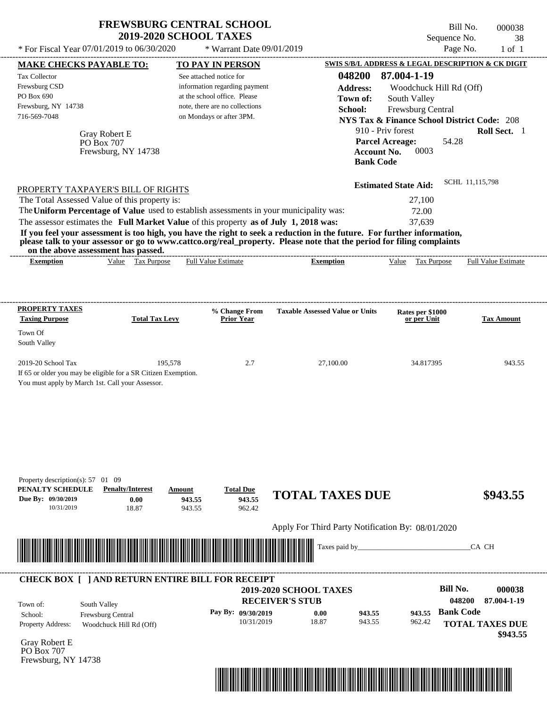|                                                                    |                                     | <b>FREWSBURG CENTRAL SCHOOL</b><br><b>2019-2020 SCHOOL TAXES</b>                        |                                                                                                                                                                                                                                                  | Sequence No.                                           | Bill No.<br>000038<br>38   |
|--------------------------------------------------------------------|-------------------------------------|-----------------------------------------------------------------------------------------|--------------------------------------------------------------------------------------------------------------------------------------------------------------------------------------------------------------------------------------------------|--------------------------------------------------------|----------------------------|
| * For Fiscal Year $07/01/2019$ to $06/30/2020$                     |                                     | * Warrant Date 09/01/2019                                                               |                                                                                                                                                                                                                                                  |                                                        | Page No.<br>$1$ of $1$     |
| <b>MAKE CHECKS PAYABLE TO:</b>                                     |                                     | <b>TO PAY IN PERSON</b>                                                                 |                                                                                                                                                                                                                                                  | SWIS S/B/L ADDRESS & LEGAL DESCRIPTION & CK DIGIT      |                            |
| <b>Tax Collector</b>                                               |                                     | See attached notice for                                                                 | 048200                                                                                                                                                                                                                                           | 87.004-1-19                                            |                            |
| Frewsburg CSD                                                      |                                     | information regarding payment                                                           | <b>Address:</b>                                                                                                                                                                                                                                  | Woodchuck Hill Rd (Off)                                |                            |
| PO Box 690                                                         |                                     | at the school office. Please                                                            | Town of:                                                                                                                                                                                                                                         | South Valley                                           |                            |
| Frewsburg, NY 14738                                                |                                     | note, there are no collections                                                          | School:                                                                                                                                                                                                                                          | Frewsburg Central                                      |                            |
| 716-569-7048                                                       |                                     | on Mondays or after 3PM.                                                                |                                                                                                                                                                                                                                                  | <b>NYS Tax &amp; Finance School District Code: 208</b> |                            |
|                                                                    | Gray Robert E                       |                                                                                         |                                                                                                                                                                                                                                                  | 910 - Priv forest                                      | <b>Roll Sect.</b> 1        |
|                                                                    | PO Box 707                          |                                                                                         |                                                                                                                                                                                                                                                  | <b>Parcel Acreage:</b><br>54.28                        |                            |
|                                                                    | Frewsburg, NY 14738                 |                                                                                         |                                                                                                                                                                                                                                                  | 0003<br><b>Account No.</b>                             |                            |
|                                                                    |                                     |                                                                                         |                                                                                                                                                                                                                                                  | <b>Bank Code</b>                                       |                            |
|                                                                    |                                     |                                                                                         |                                                                                                                                                                                                                                                  | <b>Estimated State Aid:</b>                            | SCHL 11,115,798            |
| PROPERTY TAXPAYER'S BILL OF RIGHTS                                 |                                     |                                                                                         |                                                                                                                                                                                                                                                  |                                                        |                            |
| The Total Assessed Value of this property is:                      |                                     |                                                                                         |                                                                                                                                                                                                                                                  | 27,100                                                 |                            |
|                                                                    |                                     | The Uniform Percentage of Value used to establish assessments in your municipality was: |                                                                                                                                                                                                                                                  | 72.00                                                  |                            |
|                                                                    |                                     | The assessor estimates the Full Market Value of this property as of July 1, 2018 was:   |                                                                                                                                                                                                                                                  | 37,639                                                 |                            |
|                                                                    | on the above assessment has passed. |                                                                                         | If you feel your assessment is too high, you have the right to seek a reduction in the future. For further information,<br>please talk to your assessor or go to www.cattco.org/real_property. Please note that the period for filing complaints |                                                        |                            |
| <b>Exemption</b>                                                   | Value Tax Purpose                   | <b>Full Value Estimate</b>                                                              | <b>Exemption</b>                                                                                                                                                                                                                                 | Tax Purpose<br>Value                                   | <b>Full Value Estimate</b> |
| PROPERTY TAXES<br><b>Taxing Purpose</b><br>Town Of<br>South Valley | <b>Total Tax Levy</b>               | % Change From<br>Prior Year                                                             | <b>Taxable Assessed Value or Units</b>                                                                                                                                                                                                           | Rates per \$1000<br>or per Unit                        | <b>Tax Amount</b>          |

Apply For Third Party Notification By: 08/01/2020



#### **RECEIVER'S STUB Bill No. 000038 Bank Code** Property Address: Woodchuck Hill Rd (Off) South Valley School: Frewsburg Central **TOTAL TAXES DUE \$943.55 2019-2020 SCHOOL TAXES 048200 87.004-1-19 Pay By: 09/30/2019** 10/31/2019 18.87 **0.00** 943.55 **943.55** 962.42 **943.55** Town of: ---------------------------------------------------------------------------------------------------------------------------------------------------------------------------------------------------- **CHECK BOX [ ] AND RETURN ENTIRE BILL FOR RECEIPT**

Gray Robert E PO Box 707 Frewsburg, NY 14738

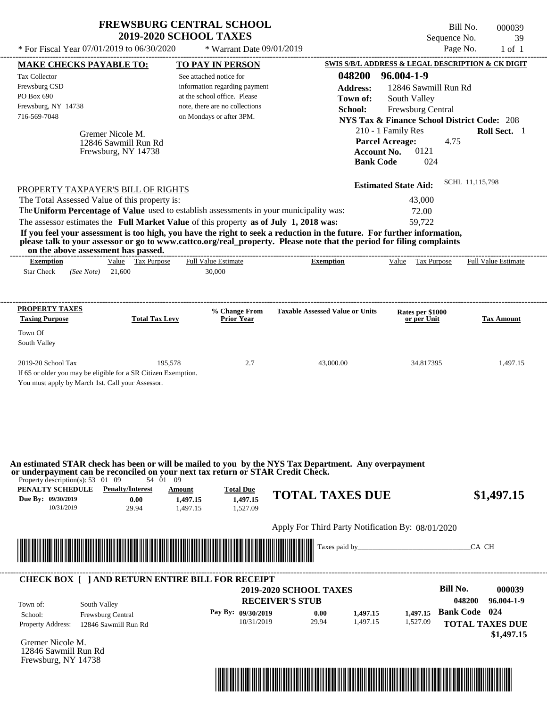| <b>FREWSBURG CENTRAL SCHOOL</b> |
|---------------------------------|
| <b>2019-2020 SCHOOL TAXES</b>   |

\* Warrant Date 09/01/2019

Bill No. 000039 Sequence No. 39<br>Page No. 1 of 1 \* For Fiscal Year  $07/01/2019$  to  $06/30/2020$  \* Warrant Date  $09/01/2019$  Page No. 1 of 1

| <b>MAKE CHECKS PAYABLE TO:</b>                                 |                         | <b>TO PAY IN PERSON</b>                                                                                                                                                                                                              |                                                                                                                                                                                                                                                  | SWIS S/B/L ADDRESS & LEGAL DESCRIPTION & CK DIGIT      |                                |
|----------------------------------------------------------------|-------------------------|--------------------------------------------------------------------------------------------------------------------------------------------------------------------------------------------------------------------------------------|--------------------------------------------------------------------------------------------------------------------------------------------------------------------------------------------------------------------------------------------------|--------------------------------------------------------|--------------------------------|
| <b>Tax Collector</b>                                           |                         | See attached notice for                                                                                                                                                                                                              | 048200                                                                                                                                                                                                                                           | 96.004-1-9                                             |                                |
| Frewsburg CSD                                                  |                         | information regarding payment                                                                                                                                                                                                        | <b>Address:</b>                                                                                                                                                                                                                                  | 12846 Sawmill Run Rd                                   |                                |
| PO Box 690                                                     |                         | at the school office. Please                                                                                                                                                                                                         | Town of:                                                                                                                                                                                                                                         | South Valley                                           |                                |
| Frewsburg, NY 14738                                            |                         | note, there are no collections                                                                                                                                                                                                       | School:                                                                                                                                                                                                                                          | Frewsburg Central                                      |                                |
| 716-569-7048                                                   |                         | on Mondays or after 3PM.                                                                                                                                                                                                             |                                                                                                                                                                                                                                                  | <b>NYS Tax &amp; Finance School District Code: 208</b> |                                |
|                                                                | Gremer Nicole M.        |                                                                                                                                                                                                                                      |                                                                                                                                                                                                                                                  | 210 - 1 Family Res                                     | Roll Sect. 1                   |
|                                                                | 12846 Sawmill Run Rd    |                                                                                                                                                                                                                                      |                                                                                                                                                                                                                                                  | <b>Parcel Acreage:</b><br>4.75                         |                                |
|                                                                | Frewsburg, NY 14738     |                                                                                                                                                                                                                                      | <b>Account No.</b>                                                                                                                                                                                                                               | 0121                                                   |                                |
|                                                                |                         |                                                                                                                                                                                                                                      | <b>Bank Code</b>                                                                                                                                                                                                                                 | 024                                                    |                                |
|                                                                |                         |                                                                                                                                                                                                                                      |                                                                                                                                                                                                                                                  | <b>Estimated State Aid:</b>                            | SCHL 11,115,798                |
| PROPERTY TAXPAYER'S BILL OF RIGHTS                             |                         |                                                                                                                                                                                                                                      |                                                                                                                                                                                                                                                  |                                                        |                                |
| The Total Assessed Value of this property is:                  |                         |                                                                                                                                                                                                                                      |                                                                                                                                                                                                                                                  | 43,000                                                 |                                |
|                                                                |                         | The Uniform Percentage of Value used to establish assessments in your municipality was:                                                                                                                                              |                                                                                                                                                                                                                                                  | 72.00                                                  |                                |
|                                                                |                         | The assessor estimates the Full Market Value of this property as of July 1, 2018 was:                                                                                                                                                |                                                                                                                                                                                                                                                  | 59,722                                                 |                                |
| on the above assessment has passed.                            |                         |                                                                                                                                                                                                                                      | If you feel your assessment is too high, you have the right to seek a reduction in the future. For further information,<br>please talk to your assessor or go to www.cattco.org/real_property. Please note that the period for filing complaints |                                                        |                                |
| <b>Exemption</b>                                               | Value Tax Purpose       | <b>Full Value Estimate</b>                                                                                                                                                                                                           | <b>Exemption</b>                                                                                                                                                                                                                                 | Value Tax Purpose Full Value Estimate                  |                                |
| <b>Star Check</b><br>(See Note) 21,600                         |                         | 30,000                                                                                                                                                                                                                               |                                                                                                                                                                                                                                                  |                                                        |                                |
|                                                                |                         |                                                                                                                                                                                                                                      |                                                                                                                                                                                                                                                  |                                                        |                                |
| <b>PROPERTY TAXES</b>                                          |                         | % Change From                                                                                                                                                                                                                        | <b>Taxable Assessed Value or Units</b>                                                                                                                                                                                                           | Rates per \$1000                                       |                                |
| <b>Taxing Purpose</b>                                          | <b>Total Tax Levy</b>   | <b>Prior Year</b>                                                                                                                                                                                                                    |                                                                                                                                                                                                                                                  | or per Unit                                            | <b>Tax Amount</b>              |
| Town Of                                                        |                         |                                                                                                                                                                                                                                      |                                                                                                                                                                                                                                                  |                                                        |                                |
| South Valley                                                   |                         |                                                                                                                                                                                                                                      |                                                                                                                                                                                                                                                  |                                                        |                                |
| 2019-20 School Tax                                             | 195,578                 | 2.7                                                                                                                                                                                                                                  | 43,000.00                                                                                                                                                                                                                                        | 34.817395                                              | 1,497.15                       |
| If 65 or older you may be eligible for a SR Citizen Exemption. |                         |                                                                                                                                                                                                                                      |                                                                                                                                                                                                                                                  |                                                        |                                |
| You must apply by March 1st. Call your Assessor.               |                         |                                                                                                                                                                                                                                      |                                                                                                                                                                                                                                                  |                                                        |                                |
|                                                                |                         |                                                                                                                                                                                                                                      |                                                                                                                                                                                                                                                  |                                                        |                                |
|                                                                |                         |                                                                                                                                                                                                                                      |                                                                                                                                                                                                                                                  |                                                        |                                |
|                                                                |                         |                                                                                                                                                                                                                                      |                                                                                                                                                                                                                                                  |                                                        |                                |
|                                                                |                         |                                                                                                                                                                                                                                      |                                                                                                                                                                                                                                                  |                                                        |                                |
|                                                                |                         |                                                                                                                                                                                                                                      | An estimated STAR check has been or will be mailed to you by the NYS Tax Department. Any overpayment                                                                                                                                             |                                                        |                                |
| Property description(s): 53 01 09                              | 54 01 09                | or underpayment can be reconciled on your next tax return or STAR Credit Check.                                                                                                                                                      |                                                                                                                                                                                                                                                  |                                                        |                                |
| PENALTY SCHEDULE                                               | <b>Penalty/Interest</b> | <b>Total Due</b><br>Amount                                                                                                                                                                                                           |                                                                                                                                                                                                                                                  |                                                        |                                |
| Due By: 09/30/2019                                             | 0.00                    | 1,497.15<br>1,497.15                                                                                                                                                                                                                 | <b>TOTAL TAXES DUE</b>                                                                                                                                                                                                                           |                                                        | \$1,497.15                     |
| 10/31/2019                                                     | 29.94                   | 1,527.09<br>1,497.15                                                                                                                                                                                                                 |                                                                                                                                                                                                                                                  |                                                        |                                |
|                                                                |                         |                                                                                                                                                                                                                                      | Apply For Third Party Notification By: 08/01/2020                                                                                                                                                                                                |                                                        |                                |
|                                                                |                         |                                                                                                                                                                                                                                      |                                                                                                                                                                                                                                                  |                                                        |                                |
|                                                                |                         | <u> Indian American State of Barbara and The Barbara and The Barbara and The Barbara and The Barbara and The Barbara and The Barbara and The Barbara and The Barbara and The Barbara and The Barbara and The Barbara and The Bar</u> |                                                                                                                                                                                                                                                  |                                                        | CA CH                          |
|                                                                |                         |                                                                                                                                                                                                                                      |                                                                                                                                                                                                                                                  |                                                        |                                |
|                                                                |                         | <b>CHECK BOX [ ] AND RETURN ENTIRE BILL FOR RECEIPT</b>                                                                                                                                                                              |                                                                                                                                                                                                                                                  | <b>Bill No.</b>                                        |                                |
|                                                                |                         |                                                                                                                                                                                                                                      | <b>2019-2020 SCHOOL TAXES</b>                                                                                                                                                                                                                    |                                                        | 000039<br>048200<br>96.004-1-9 |
| Town of:<br>South Valley                                       |                         |                                                                                                                                                                                                                                      | <b>RECEIVER'S STUB</b>                                                                                                                                                                                                                           |                                                        |                                |
| School:                                                        | Frewsburg Central       | Pay By: 09/30/2019                                                                                                                                                                                                                   | 0.00<br>1,497.15                                                                                                                                                                                                                                 | 1,497.15                                               | <b>Bank Code</b> 024           |
| <b>Property Address:</b>                                       | 12846 Sawmill Run Rd    | 10/31/2019                                                                                                                                                                                                                           | 29.94<br>1,497.15                                                                                                                                                                                                                                | 1,527.09                                               | <b>TOTAL TAXES DUE</b>         |
| Gremer Nicole M.                                               |                         |                                                                                                                                                                                                                                      |                                                                                                                                                                                                                                                  |                                                        | \$1,497.15                     |
| 12846 Sawmill Run Rd                                           |                         |                                                                                                                                                                                                                                      |                                                                                                                                                                                                                                                  |                                                        |                                |
| Frewsburg, NY 14738                                            |                         |                                                                                                                                                                                                                                      |                                                                                                                                                                                                                                                  |                                                        |                                |
|                                                                |                         |                                                                                                                                                                                                                                      |                                                                                                                                                                                                                                                  |                                                        |                                |
|                                                                |                         |                                                                                                                                                                                                                                      | <u> 1989 - Johann Stoff, Amerikaansk politiker (* 1989)</u>                                                                                                                                                                                      |                                                        |                                |
|                                                                |                         |                                                                                                                                                                                                                                      |                                                                                                                                                                                                                                                  |                                                        |                                |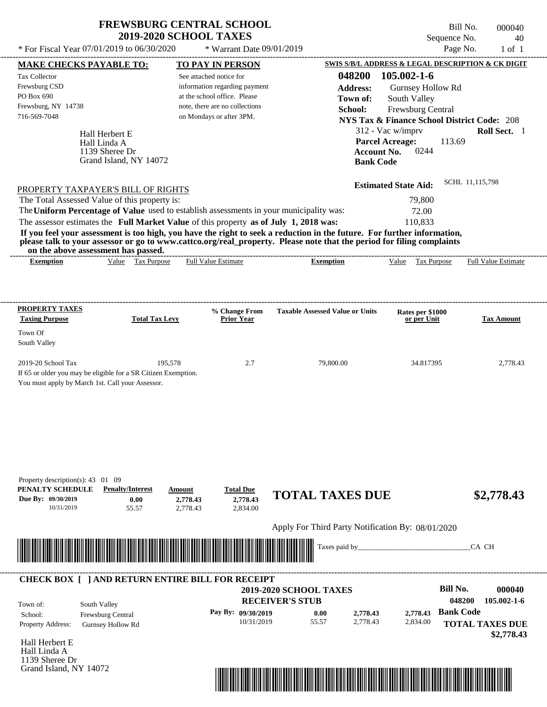Tax Collector

PO Box 690

Town Of South Valley

---------------------------------------------------------------------------------------------------------------------------------------------------------------------------------------------------- Hall Herbert E If 65 or older you may be eligible for a SR Citizen Exemption. You must apply by March 1st. Call your Assessor. Sequence No. 40 \* For Fiscal Year  $07/01/2019$  to  $06/30/2020$  \* Warrant Date  $09/01/2019$  Page No. 1 of 1 **MAKE CHECKS PAYABLE TO: TO PAY IN PERSON SWIS S/B/L ADDRESS & LEGAL DESCRIPTION & CK DIGIT 048200 105.002-1-6 Address:** Gurnsey Hollow Rd South Valley **School:** Frewsburg Central **NYS Tax & Finance School District Code:** 208 312 - Vac w/imprv **Roll Sect.** 1 113.69 **Account No.** 0244 **Bank Code Estimated State Aid:** SCHL 11,115,798 PROPERTY TAXPAYER'S BILL OF RIGHTS The assessor estimates the **Full Market Value** of this property **as of July 1, 2018 was:** 110,833 The Total Assessed Value of this property is: 79,800 The **Uniform Percentage of Value** used to establish assessments in your municipality was: 72.00 **If you feel your assessment is too high, you have the right to seek a reduction in the future. For further information, please talk to your assessor or go to www.cattco.org/real\_property. Please note that the period for filing complaints on the above assessment has passed. Exemption** Value Tax Purpose **PROPERTY TAXES Taxing Purpose Total Tax Levy Prior Year % Change From Taxable Assessed Value or Units or per Unit Rates per \$1000 Tax Amount PENALTY SCHEDULE Penalty/Interest Amount Total Due Due By: 09/30/2019** 10/31/2019 55.57 **0.00** 2,778.43 **2,778.43** 2,834.00 **2,778.43 TOTAL TAXES DUE \$2,778.43** Apply For Third Party Notification By: 08/01/2020 See attached notice for information regarding payment at the school office. Please note, there are no collections Frewsburg CSD Frewsburg, NY 14738 \* Warrant Date 09/01/2019 716-569-7048 on Mondays or after 3PM. **Parcel Acreage:** 2019-20 School Tax 2,778.43 195,578 2.7 2.7 2.7 2.7 2.7 34.817395 2,778.43 Hall Linda A Full Value Estimate Taxes paid by\_\_\_\_\_\_\_\_\_\_\_\_\_\_\_\_\_\_\_\_\_\_\_\_\_\_\_\_\_\_\_CA CH ---------------------------------------------------------------------------------------------------------------------------------------------------------------------------------------------------- ---------------------------------------------------------------------------------------------------------------------------------------------------------------------------------------------------- Property description(s): 43 01 09 **Town of:** 1139 Sheree Dr Grand Island, NY 14072 **Exemption** Value Tax Purpose Full Value Estimate ---------------------------------------------------------------------------------------------------------------------------------------------------------------------------------------------------- **CHECK BOX [ ] AND RETURN ENTIRE BILL FOR RECEIPT** \*04820000004000000000277843\*

Bill No. 000040

**RECEIVER'S STUB Bill No. 000040 Bank Code** Property Address: Gurnsey Hollow Rd South Valley School: Frewsburg Central **TOTAL TAXES DUE \$2,778.43 2019-2020 SCHOOL TAXES 048200 105.002-1-6 Pay By: 09/30/2019** 10/31/2019 55.57 **0.00** 2,778.43 **2,778.43** 2,834.00 **2,778.43** Town of:

Hall Herbert E Hall Linda A 1139 Sheree Dr Grand Island, NY 14072

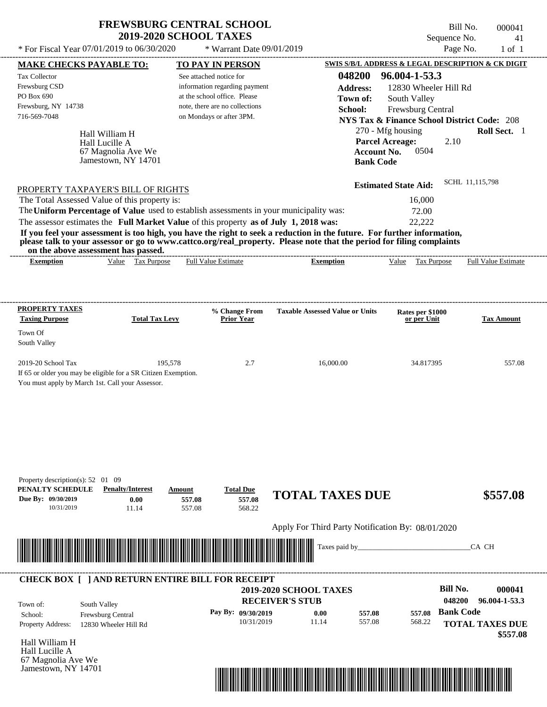| <b>FREWSBURG CENTRAL SCHOOL</b> |
|---------------------------------|
| <b>2019-2020 SCHOOL TAXES</b>   |

Bill No. 000041 Sequence No. 41

| * For Fiscal Year 07/01/2019 to 06/30/2020                                                                              |                       | * Warrant Date 09/01/2019                                      |                                                   |                                                        | Page No.               | $1$ of $1$                 |
|-------------------------------------------------------------------------------------------------------------------------|-----------------------|----------------------------------------------------------------|---------------------------------------------------|--------------------------------------------------------|------------------------|----------------------------|
| <b>MAKE CHECKS PAYABLE TO:</b>                                                                                          |                       | <b>TO PAY IN PERSON</b>                                        |                                                   | SWIS S/B/L ADDRESS & LEGAL DESCRIPTION & CK DIGIT      |                        |                            |
| Tax Collector                                                                                                           |                       | See attached notice for                                        | 048200                                            | 96.004-1-53.3                                          |                        |                            |
| Frewsburg CSD                                                                                                           |                       | information regarding payment                                  | <b>Address:</b>                                   | 12830 Wheeler Hill Rd                                  |                        |                            |
| PO Box 690                                                                                                              |                       | at the school office. Please<br>note, there are no collections | Town of:                                          | South Valley                                           |                        |                            |
| Frewsburg, NY 14738<br>716-569-7048                                                                                     |                       | on Mondays or after 3PM.                                       | School:                                           | Frewsburg Central                                      |                        |                            |
|                                                                                                                         |                       |                                                                |                                                   | <b>NYS Tax &amp; Finance School District Code: 208</b> |                        |                            |
| Hall William H                                                                                                          |                       |                                                                |                                                   | 270 - Mfg housing                                      |                        | Roll Sect. 1               |
| Hall Lucille A<br>67 Magnolia Ave We                                                                                    |                       |                                                                |                                                   | <b>Parcel Acreage:</b><br><b>Account No.</b><br>0504   | 2.10                   |                            |
| Jamestown, NY 14701                                                                                                     |                       |                                                                |                                                   | <b>Bank Code</b>                                       |                        |                            |
|                                                                                                                         |                       |                                                                |                                                   |                                                        |                        |                            |
|                                                                                                                         |                       |                                                                |                                                   | <b>Estimated State Aid:</b>                            | SCHL 11,115,798        |                            |
| PROPERTY TAXPAYER'S BILL OF RIGHTS<br>The Total Assessed Value of this property is:                                     |                       |                                                                |                                                   | 16,000                                                 |                        |                            |
| The Uniform Percentage of Value used to establish assessments in your municipality was:                                 |                       |                                                                |                                                   | 72.00                                                  |                        |                            |
| The assessor estimates the Full Market Value of this property as of July 1, 2018 was:                                   |                       |                                                                |                                                   | 22,222                                                 |                        |                            |
| If you feel your assessment is too high, you have the right to seek a reduction in the future. For further information, |                       |                                                                |                                                   |                                                        |                        |                            |
| please talk to your assessor or go to www.cattco.org/real_property. Please note that the period for filing complaints   |                       |                                                                |                                                   |                                                        |                        |                            |
| on the above assessment has passed.                                                                                     |                       |                                                                |                                                   |                                                        |                        |                            |
| Value Tax Purpose<br><b>Exemption</b>                                                                                   |                       | <b>Full Value Estimate</b>                                     | <b>Exemption</b>                                  | Value Tax Purpose                                      |                        | <b>Full Value Estimate</b> |
|                                                                                                                         |                       |                                                                |                                                   |                                                        |                        |                            |
|                                                                                                                         |                       |                                                                |                                                   |                                                        |                        |                            |
|                                                                                                                         |                       |                                                                |                                                   |                                                        |                        |                            |
| <b>PROPERTY TAXES</b><br><b>Taxing Purpose</b>                                                                          | <b>Total Tax Levy</b> | % Change From<br><b>Prior Year</b>                             | <b>Taxable Assessed Value or Units</b>            | Rates per \$1000<br>or per Unit                        |                        | <b>Tax Amount</b>          |
|                                                                                                                         |                       |                                                                |                                                   |                                                        |                        |                            |
| Town Of<br>South Valley                                                                                                 |                       |                                                                |                                                   |                                                        |                        |                            |
|                                                                                                                         |                       |                                                                |                                                   |                                                        |                        |                            |
| 2019-20 School Tax                                                                                                      | 195,578               | 2.7                                                            | 16,000.00                                         | 34.817395                                              |                        | 557.08                     |
| If 65 or older you may be eligible for a SR Citizen Exemption.                                                          |                       |                                                                |                                                   |                                                        |                        |                            |
| You must apply by March 1st. Call your Assessor.                                                                        |                       |                                                                |                                                   |                                                        |                        |                            |
|                                                                                                                         |                       |                                                                |                                                   |                                                        |                        |                            |
|                                                                                                                         |                       |                                                                |                                                   |                                                        |                        |                            |
|                                                                                                                         |                       |                                                                |                                                   |                                                        |                        |                            |
|                                                                                                                         |                       |                                                                |                                                   |                                                        |                        |                            |
|                                                                                                                         |                       |                                                                |                                                   |                                                        |                        |                            |
|                                                                                                                         |                       |                                                                |                                                   |                                                        |                        |                            |
|                                                                                                                         |                       |                                                                |                                                   |                                                        |                        |                            |
| Property description(s): $52 \quad 01 \quad 09$                                                                         |                       |                                                                |                                                   |                                                        |                        |                            |
| PENALTY SCHEDULE<br><b>Penalty/Interest</b>                                                                             | Amount                | <b>Total Due</b>                                               | <b>TOTAL TAXES DUE</b>                            |                                                        |                        | \$557.08                   |
| Due By: 09/30/2019<br>0.00                                                                                              | 557.08                | 557.08                                                         |                                                   |                                                        |                        |                            |
| 10/31/2019<br>11.14                                                                                                     | 557.08                | 568.22                                                         |                                                   |                                                        |                        |                            |
|                                                                                                                         |                       |                                                                | Apply For Third Party Notification By: 08/01/2020 |                                                        |                        |                            |
|                                                                                                                         |                       |                                                                |                                                   |                                                        |                        |                            |
|                                                                                                                         |                       |                                                                | Taxes paid by_                                    |                                                        | CA CH                  |                            |
|                                                                                                                         |                       |                                                                |                                                   |                                                        |                        |                            |
|                                                                                                                         |                       |                                                                |                                                   |                                                        |                        |                            |
| <b>CHECK BOX [ ] AND RETURN ENTIRE BILL FOR RECEIPT</b>                                                                 |                       |                                                                |                                                   |                                                        |                        |                            |
|                                                                                                                         |                       |                                                                | 2019-2020 SCHOOL TAXES                            |                                                        | <b>Bill No.</b>        | 000041                     |
| South Valley<br>Town of:                                                                                                |                       |                                                                | <b>RECEIVER'S STUB</b>                            |                                                        | 048200                 | 96.004-1-53.3              |
| Frewsburg Central<br>School:                                                                                            |                       | Pay By: 09/30/2019                                             | 0.00                                              | 557.08<br>557.08                                       | <b>Bank Code</b>       |                            |
| Property Address:<br>12830 Wheeler Hill Rd                                                                              |                       | 10/31/2019                                                     | 11.14                                             | 557.08<br>568.22                                       | <b>TOTAL TAXES DUE</b> |                            |
| Hall William H                                                                                                          |                       |                                                                |                                                   |                                                        |                        | \$557.08                   |
| Hall Lucille A                                                                                                          |                       |                                                                |                                                   |                                                        |                        |                            |
| 67 Magnolia Ave We                                                                                                      |                       |                                                                |                                                   |                                                        |                        |                            |
| Jamestown, NY 14701                                                                                                     |                       |                                                                |                                                   |                                                        |                        |                            |

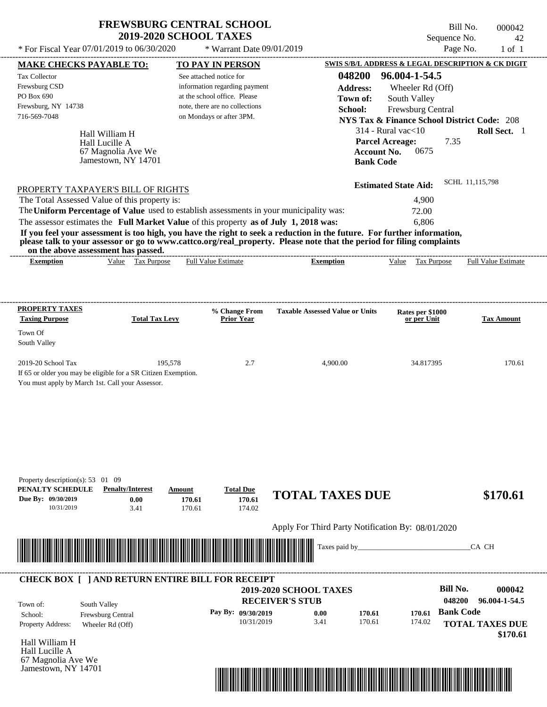| <b>FREWSBURG CENTRAL SCHOOL</b> |
|---------------------------------|
| <b>2019-2020 SCHOOL TAXES</b>   |

\* For Fiscal Year  $07/01/2019$  to  $06/30/2020$ 

\* Warrant Date 09/01/2019

Bill No. 000042 Sequence No. 42<br>Page No. 1 of 1

| <b>MAKE CHECKS PAYABLE TO:</b>    |                                                                                                                                                                                                                                      | <b>TO PAY IN PERSON</b>                                                                 |                                                                                                                         | <b>SWIS S/B/L ADDRESS &amp; LEGAL DESCRIPTION &amp; CK DIGIT</b>            |                            |
|-----------------------------------|--------------------------------------------------------------------------------------------------------------------------------------------------------------------------------------------------------------------------------------|-----------------------------------------------------------------------------------------|-------------------------------------------------------------------------------------------------------------------------|-----------------------------------------------------------------------------|----------------------------|
| <b>Tax Collector</b>              |                                                                                                                                                                                                                                      | See attached notice for                                                                 | 048200                                                                                                                  | 96.004-1-54.5                                                               |                            |
| Frewsburg CSD<br>PO Box 690       |                                                                                                                                                                                                                                      | information regarding payment                                                           | <b>Address:</b>                                                                                                         | Wheeler Rd (Off)                                                            |                            |
| Frewsburg, NY 14738               |                                                                                                                                                                                                                                      | at the school office. Please<br>note, there are no collections                          | Town of:                                                                                                                | South Valley                                                                |                            |
| 716-569-7048                      |                                                                                                                                                                                                                                      | on Mondays or after 3PM.                                                                | School:                                                                                                                 | Frewsburg Central<br><b>NYS Tax &amp; Finance School District Code: 208</b> |                            |
|                                   |                                                                                                                                                                                                                                      |                                                                                         |                                                                                                                         | $314$ - Rural vac $<$ 10                                                    | Roll Sect. 1               |
|                                   | Hall William H<br>Hall Lucille A                                                                                                                                                                                                     |                                                                                         |                                                                                                                         | <b>Parcel Acreage:</b><br>7.35                                              |                            |
|                                   | 67 Magnolia Ave We                                                                                                                                                                                                                   |                                                                                         | <b>Account No.</b>                                                                                                      | 0675                                                                        |                            |
|                                   | Jamestown, NY 14701                                                                                                                                                                                                                  |                                                                                         | <b>Bank Code</b>                                                                                                        |                                                                             |                            |
|                                   |                                                                                                                                                                                                                                      |                                                                                         |                                                                                                                         |                                                                             | SCHL 11,115,798            |
|                                   | PROPERTY TAXPAYER'S BILL OF RIGHTS                                                                                                                                                                                                   |                                                                                         |                                                                                                                         | <b>Estimated State Aid:</b>                                                 |                            |
|                                   | The Total Assessed Value of this property is:                                                                                                                                                                                        |                                                                                         |                                                                                                                         | 4,900                                                                       |                            |
|                                   |                                                                                                                                                                                                                                      | The Uniform Percentage of Value used to establish assessments in your municipality was: |                                                                                                                         | 72.00                                                                       |                            |
|                                   |                                                                                                                                                                                                                                      | The assessor estimates the Full Market Value of this property as of July 1, 2018 was:   | If you feel your assessment is too high, you have the right to seek a reduction in the future. For further information, | 6,806                                                                       |                            |
|                                   |                                                                                                                                                                                                                                      |                                                                                         | please talk to your assessor or go to www.cattco.org/real_property. Please note that the period for filing complaints   |                                                                             |                            |
| <b>Exemption</b>                  | on the above assessment has passed.<br>Value Tax Purpose                                                                                                                                                                             | <b>Full Value Estimate</b>                                                              | <b>Exemption</b>                                                                                                        | Value Tax Purpose                                                           | <b>Full Value Estimate</b> |
|                                   |                                                                                                                                                                                                                                      |                                                                                         |                                                                                                                         |                                                                             |                            |
|                                   |                                                                                                                                                                                                                                      |                                                                                         |                                                                                                                         |                                                                             |                            |
| <b>PROPERTY TAXES</b>             |                                                                                                                                                                                                                                      |                                                                                         |                                                                                                                         |                                                                             |                            |
| <b>Taxing Purpose</b>             | <b>Total Tax Levy</b>                                                                                                                                                                                                                | % Change From<br><b>Prior Year</b>                                                      | <b>Taxable Assessed Value or Units</b>                                                                                  | Rates per \$1000<br>or per Unit                                             | <b>Tax Amount</b>          |
| Town Of                           |                                                                                                                                                                                                                                      |                                                                                         |                                                                                                                         |                                                                             |                            |
| South Valley                      |                                                                                                                                                                                                                                      |                                                                                         |                                                                                                                         |                                                                             |                            |
| 2019-20 School Tax                | 195,578                                                                                                                                                                                                                              | 2.7                                                                                     | 4,900.00                                                                                                                | 34.817395                                                                   | 170.61                     |
|                                   | If 65 or older you may be eligible for a SR Citizen Exemption.                                                                                                                                                                       |                                                                                         |                                                                                                                         |                                                                             |                            |
|                                   | You must apply by March 1st. Call your Assessor.                                                                                                                                                                                     |                                                                                         |                                                                                                                         |                                                                             |                            |
|                                   |                                                                                                                                                                                                                                      |                                                                                         |                                                                                                                         |                                                                             |                            |
|                                   |                                                                                                                                                                                                                                      |                                                                                         |                                                                                                                         |                                                                             |                            |
|                                   |                                                                                                                                                                                                                                      |                                                                                         |                                                                                                                         |                                                                             |                            |
|                                   |                                                                                                                                                                                                                                      |                                                                                         |                                                                                                                         |                                                                             |                            |
|                                   |                                                                                                                                                                                                                                      |                                                                                         |                                                                                                                         |                                                                             |                            |
|                                   |                                                                                                                                                                                                                                      |                                                                                         |                                                                                                                         |                                                                             |                            |
| Property description(s): 53 01 09 |                                                                                                                                                                                                                                      |                                                                                         |                                                                                                                         |                                                                             |                            |
| PENALTY SCHEDULE                  | <b>Penalty/Interest</b>                                                                                                                                                                                                              | <b>Total Due</b><br>Amount                                                              | <b>TOTAL TAXES DUE</b>                                                                                                  |                                                                             | \$170.61                   |
| Due By: 09/30/2019<br>10/31/2019  | 0.00<br>3.41                                                                                                                                                                                                                         | 170.61<br>170.61<br>170.61<br>174.02                                                    |                                                                                                                         |                                                                             |                            |
|                                   |                                                                                                                                                                                                                                      |                                                                                         |                                                                                                                         |                                                                             |                            |
|                                   |                                                                                                                                                                                                                                      |                                                                                         | Apply For Third Party Notification By: 08/01/2020                                                                       |                                                                             |                            |
|                                   | <u> Harry Harry Harry Harry Harry Harry Harry Harry Harry Harry Harry Harry Harry Harry Harry Harry Harry Harry Harry Harry Harry Harry Harry Harry Harry Harry Harry Harry Harry Harry Harry Harry Harry Harry Harry Harry Harr</u> |                                                                                         | Taxes paid by                                                                                                           |                                                                             | CA CH                      |
|                                   |                                                                                                                                                                                                                                      |                                                                                         |                                                                                                                         |                                                                             |                            |
|                                   |                                                                                                                                                                                                                                      | <b>CHECK BOX [ ] AND RETURN ENTIRE BILL FOR RECEIPT</b>                                 |                                                                                                                         |                                                                             |                            |
|                                   |                                                                                                                                                                                                                                      |                                                                                         | <b>2019-2020 SCHOOL TAXES</b>                                                                                           | <b>Bill No.</b>                                                             | 000042                     |
| Town of:                          | South Valley                                                                                                                                                                                                                         |                                                                                         | <b>RECEIVER'S STUB</b>                                                                                                  | 048200                                                                      | 96.004-1-54.5              |
| School:                           | Frewsburg Central                                                                                                                                                                                                                    | Pay By: 09/30/2019                                                                      | 0.00<br>170.61                                                                                                          | <b>Bank Code</b><br>170.61                                                  |                            |
| Property Address:                 | Wheeler Rd (Off)                                                                                                                                                                                                                     | 10/31/2019                                                                              | 3.41<br>170.61                                                                                                          | 174.02                                                                      | <b>TOTAL TAXES DUE</b>     |
| Hall William H                    |                                                                                                                                                                                                                                      |                                                                                         |                                                                                                                         |                                                                             | \$170.61                   |
| Hall Lucille A                    |                                                                                                                                                                                                                                      |                                                                                         |                                                                                                                         |                                                                             |                            |
| 67 Magnolia Ave We                |                                                                                                                                                                                                                                      |                                                                                         |                                                                                                                         |                                                                             |                            |
| Jamestown, NY 14701               |                                                                                                                                                                                                                                      |                                                                                         |                                                                                                                         |                                                                             |                            |
|                                   |                                                                                                                                                                                                                                      |                                                                                         | <u> 1989 - Johann Stoff, Amerikaansk politiker (</u>                                                                    |                                                                             |                            |
|                                   |                                                                                                                                                                                                                                      |                                                                                         |                                                                                                                         |                                                                             |                            |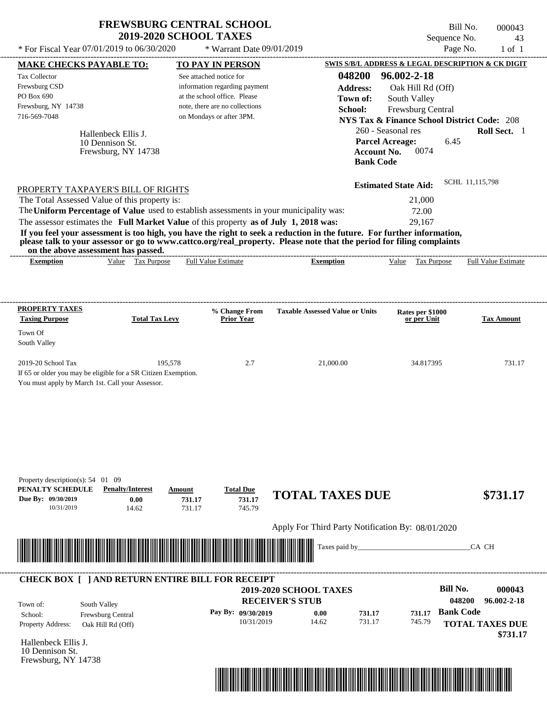| <b>FREWSBURG CENTRAL SCHOOL</b> |
|---------------------------------|
| <b>2019-2020 SCHOOL TAXES</b>   |

Bill No. 000043 Sequence No. 43

| * For Fiscal Year 07/01/2019 to 06/30/2020                                                                                                       |                                                                        | * Warrant Date 09/01/2019                                                                                                                              |                                                                                                                                                                                                                                                                      |                                                                                                                                                                                                 | Page No.<br>$1$ of $1$                              |
|--------------------------------------------------------------------------------------------------------------------------------------------------|------------------------------------------------------------------------|--------------------------------------------------------------------------------------------------------------------------------------------------------|----------------------------------------------------------------------------------------------------------------------------------------------------------------------------------------------------------------------------------------------------------------------|-------------------------------------------------------------------------------------------------------------------------------------------------------------------------------------------------|-----------------------------------------------------|
| <b>MAKE CHECKS PAYABLE TO:</b>                                                                                                                   |                                                                        | <b>TO PAY IN PERSON</b>                                                                                                                                |                                                                                                                                                                                                                                                                      | SWIS S/B/L ADDRESS & LEGAL DESCRIPTION & CK DIGIT                                                                                                                                               |                                                     |
| Tax Collector<br>Frewsburg CSD<br>PO Box 690<br>Frewsburg, NY 14738<br>716-569-7048<br>10 Dennison St.                                           | Hallenbeck Ellis J.<br>Frewsburg, NY 14738                             | See attached notice for<br>information regarding payment<br>at the school office. Please<br>note, there are no collections<br>on Mondays or after 3PM. | 048200<br><b>Address:</b><br>Town of:<br>School:<br><b>Account No.</b><br><b>Bank Code</b>                                                                                                                                                                           | 96.002-2-18<br>Oak Hill Rd (Off)<br>South Valley<br>Frewsburg Central<br><b>NYS Tax &amp; Finance School District Code: 208</b><br>260 - Seasonal res<br><b>Parcel Acreage:</b><br>6.45<br>0074 | Roll Sect. 1                                        |
| PROPERTY TAXPAYER'S BILL OF RIGHTS<br>The Total Assessed Value of this property is:                                                              |                                                                        |                                                                                                                                                        |                                                                                                                                                                                                                                                                      | <b>Estimated State Aid:</b><br>21,000                                                                                                                                                           | SCHL 11,115,798                                     |
| The Uniform Percentage of Value used to establish assessments in your municipality was:                                                          |                                                                        |                                                                                                                                                        |                                                                                                                                                                                                                                                                      | 72.00                                                                                                                                                                                           |                                                     |
| The assessor estimates the Full Market Value of this property as of July 1, 2018 was:<br>on the above assessment has passed.<br><b>Exemption</b> | Value Tax Purpose                                                      | <b>Full Value Estimate</b>                                                                                                                             | If you feel your assessment is too high, you have the right to seek a reduction in the future. For further information,<br>please talk to your assessor or go to www.cattco.org/real_property. Please note that the period for filing complaints<br><b>Exemption</b> | 29,167<br>Value Tax Purpose                                                                                                                                                                     | <b>Full Value Estimate</b>                          |
| <b>PROPERTY TAXES</b>                                                                                                                            |                                                                        | % Change From                                                                                                                                          | <b>Taxable Assessed Value or Units</b>                                                                                                                                                                                                                               | Rates per \$1000                                                                                                                                                                                |                                                     |
| <b>Taxing Purpose</b><br>Town Of<br>South Valley                                                                                                 | <b>Total Tax Levy</b>                                                  | <b>Prior Year</b>                                                                                                                                      |                                                                                                                                                                                                                                                                      | or per Unit                                                                                                                                                                                     | <b>Tax Amount</b>                                   |
| 2019-20 School Tax<br>If 65 or older you may be eligible for a SR Citizen Exemption.<br>You must apply by March 1st. Call your Assessor.         | 195,578                                                                | 2.7                                                                                                                                                    | 21,000.00                                                                                                                                                                                                                                                            | 34.817395                                                                                                                                                                                       | 731.17                                              |
| Property description(s): $54$ 01 09<br>PENALTY SCHEDULE<br>Due By: 09/30/2019<br>10/31/2019                                                      | <b>Penalty/Interest</b><br>Amount<br>0.00<br>731.17<br>14.62<br>731.17 | <b>Total Due</b><br>731.17<br>745.79                                                                                                                   | <b>TOTAL TAXES DUE</b><br>Apply For Third Party Notification By: 08/01/2020                                                                                                                                                                                          |                                                                                                                                                                                                 | \$731.17                                            |
|                                                                                                                                                  |                                                                        |                                                                                                                                                        | Taxes paid by_                                                                                                                                                                                                                                                       |                                                                                                                                                                                                 | CA CH                                               |
| <b>CHECK BOX [ ] AND RETURN ENTIRE BILL FOR RECEIPT</b><br>South Valley<br>Town of:<br>Frewsburg Central<br>School:                              |                                                                        | Pay By: 09/30/2019                                                                                                                                     | 2019-2020 SCHOOL TAXES<br><b>RECEIVER'S STUB</b><br>0.00<br>731.17                                                                                                                                                                                                   | <b>Bill No.</b><br>731.17                                                                                                                                                                       | 000043<br>048200<br>96.002-2-18<br><b>Bank Code</b> |
| Property Address:<br>Oak Hill Rd (Off)<br>Hallenbeck Ellis J.<br>10 Dennison St.<br>Frewsburg, NY 14738                                          |                                                                        | 10/31/2019                                                                                                                                             | 14.62<br>731.17                                                                                                                                                                                                                                                      | 745.79                                                                                                                                                                                          | <b>TOTAL TAXES DUE</b><br>\$731.17                  |

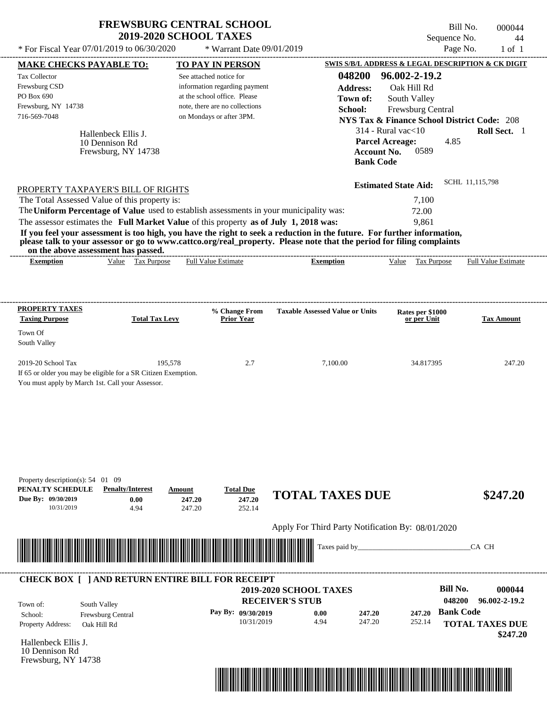| <b>FREWSBURG CENTRAL SCHOOL</b> |  |
|---------------------------------|--|
| <b>2019-2020 SCHOOL TAXES</b>   |  |

Bill No. 000044 Sequence No. 44

| * For Fiscal Year 07/01/2019 to 06/30/2020                                                               |                                                                                                                                                                                                                                             | * Warrant Date 09/01/2019                                                                                                                              |                                                                                                                                                                                                                                                                      |                                                                                                                                                                                                                         | Page No.<br>$1$ of $1$                        |
|----------------------------------------------------------------------------------------------------------|---------------------------------------------------------------------------------------------------------------------------------------------------------------------------------------------------------------------------------------------|--------------------------------------------------------------------------------------------------------------------------------------------------------|----------------------------------------------------------------------------------------------------------------------------------------------------------------------------------------------------------------------------------------------------------------------|-------------------------------------------------------------------------------------------------------------------------------------------------------------------------------------------------------------------------|-----------------------------------------------|
| <b>MAKE CHECKS PAYABLE TO:</b>                                                                           |                                                                                                                                                                                                                                             | <b>TO PAY IN PERSON</b>                                                                                                                                |                                                                                                                                                                                                                                                                      | SWIS S/B/L ADDRESS & LEGAL DESCRIPTION & CK DIGIT                                                                                                                                                                       |                                               |
| Tax Collector<br>Frewsburg CSD<br>PO Box 690<br>Frewsburg, NY 14738<br>716-569-7048                      | Hallenbeck Ellis J.<br>10 Dennison Rd<br>Frewsburg, NY 14738                                                                                                                                                                                | See attached notice for<br>information regarding payment<br>at the school office. Please<br>note, there are no collections<br>on Mondays or after 3PM. | 048200<br><b>Address:</b><br>Town of:<br>School:<br><b>Bank Code</b>                                                                                                                                                                                                 | 96.002-2-19.2<br>Oak Hill Rd<br>South Valley<br>Frewsburg Central<br><b>NYS Tax &amp; Finance School District Code: 208</b><br>$314$ - Rural vac $<$ 10<br><b>Parcel Acreage:</b><br>4.85<br><b>Account No.</b><br>0589 | Roll Sect. 1                                  |
| The Total Assessed Value of this property is:<br>on the above assessment has passed.<br><b>Exemption</b> | PROPERTY TAXPAYER'S BILL OF RIGHTS<br>The Uniform Percentage of Value used to establish assessments in your municipality was:<br>The assessor estimates the Full Market Value of this property as of July 1, 2018 was:<br>Value Tax Purpose | <b>Full Value Estimate</b>                                                                                                                             | If you feel your assessment is too high, you have the right to seek a reduction in the future. For further information,<br>please talk to your assessor or go to www.cattco.org/real_property. Please note that the period for filing complaints<br><b>Exemption</b> | <b>Estimated State Aid:</b><br>7,100<br>72.00<br>9,861<br>Value Tax Purpose                                                                                                                                             | SCHL 11,115,798<br><b>Full Value Estimate</b> |
|                                                                                                          |                                                                                                                                                                                                                                             |                                                                                                                                                        |                                                                                                                                                                                                                                                                      |                                                                                                                                                                                                                         |                                               |
| <b>PROPERTY TAXES</b><br><b>Taxing Purpose</b><br>Town Of                                                | <b>Total Tax Levy</b>                                                                                                                                                                                                                       | % Change From<br><b>Prior Year</b>                                                                                                                     | <b>Taxable Assessed Value or Units</b>                                                                                                                                                                                                                               | Rates per \$1000<br>or per Unit                                                                                                                                                                                         | <b>Tax Amount</b>                             |
| South Valley                                                                                             |                                                                                                                                                                                                                                             |                                                                                                                                                        |                                                                                                                                                                                                                                                                      |                                                                                                                                                                                                                         |                                               |
| 2019-20 School Tax<br>You must apply by March 1st. Call your Assessor.                                   | 195,578<br>If 65 or older you may be eligible for a SR Citizen Exemption.                                                                                                                                                                   | 2.7                                                                                                                                                    | 7,100.00                                                                                                                                                                                                                                                             | 34.817395                                                                                                                                                                                                               | 247.20                                        |
| Property description(s): $54 \quad 01 \quad 09$<br>PENALTY SCHEDULE<br>Due By: 09/30/2019<br>10/31/2019  | <b>Penalty/Interest</b><br>Amount<br>0.00<br>4.94                                                                                                                                                                                           | <b>Total Due</b><br>247.20<br>247.20<br>247.20<br>252.14                                                                                               | <b>TOTAL TAXES DUE</b>                                                                                                                                                                                                                                               |                                                                                                                                                                                                                         | \$247.20                                      |
|                                                                                                          |                                                                                                                                                                                                                                             |                                                                                                                                                        | Apply For Third Party Notification By: 08/01/2020                                                                                                                                                                                                                    |                                                                                                                                                                                                                         |                                               |
|                                                                                                          |                                                                                                                                                                                                                                             |                                                                                                                                                        | Taxes paid by_                                                                                                                                                                                                                                                       |                                                                                                                                                                                                                         | CA CH                                         |
| <b>CHECK BOX [ ] AND RETURN ENTIRE BILL FOR RECEIPT</b>                                                  |                                                                                                                                                                                                                                             |                                                                                                                                                        | 2019-2020 SCHOOL TAXES<br><b>RECEIVER'S STUB</b>                                                                                                                                                                                                                     | <b>Bill No.</b><br>048200                                                                                                                                                                                               | 000044<br>96.002-2-19.2                       |
| South Valley<br>Town of:<br>School:                                                                      | Frewsburg Central                                                                                                                                                                                                                           | Pay By: 09/30/2019                                                                                                                                     | 0.00<br>247.20                                                                                                                                                                                                                                                       | 247.20                                                                                                                                                                                                                  | <b>Bank Code</b>                              |
| Property Address:<br>Oak Hill Rd<br>Hallenbeck Ellis J.                                                  |                                                                                                                                                                                                                                             | 10/31/2019                                                                                                                                             | 4.94<br>247.20                                                                                                                                                                                                                                                       | 252.14                                                                                                                                                                                                                  | <b>TOTAL TAXES DUE</b><br>\$247.20            |
| 10 Dennison Rd<br>Frewsburg, NY 14738                                                                    |                                                                                                                                                                                                                                             |                                                                                                                                                        |                                                                                                                                                                                                                                                                      |                                                                                                                                                                                                                         |                                               |

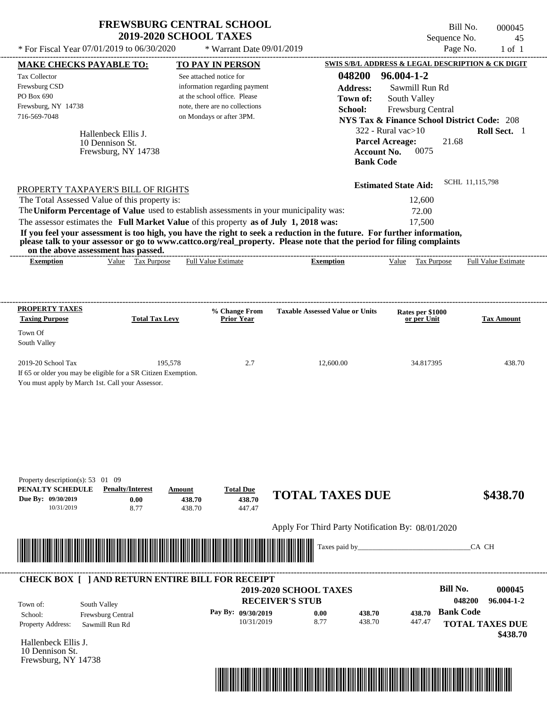| <b>FREWSBURG CENTRAL SCHOOL</b> |
|---------------------------------|
| <b>2019-2020 SCHOOL TAXES</b>   |

Bill No. 000045 Sequence No. 45

| * For Fiscal Year 07/01/2019 to 06/30/2020                                                                                                                                       |                                                               | * Warrant Date 09/01/2019                                                                                                                              |                                                                                                                                                                                                                                                                      |                                                                                                                                                                                                                         | Page No.<br>$1$ of $1$                   |
|----------------------------------------------------------------------------------------------------------------------------------------------------------------------------------|---------------------------------------------------------------|--------------------------------------------------------------------------------------------------------------------------------------------------------|----------------------------------------------------------------------------------------------------------------------------------------------------------------------------------------------------------------------------------------------------------------------|-------------------------------------------------------------------------------------------------------------------------------------------------------------------------------------------------------------------------|------------------------------------------|
| <b>MAKE CHECKS PAYABLE TO:</b>                                                                                                                                                   |                                                               | <b>TO PAY IN PERSON</b>                                                                                                                                |                                                                                                                                                                                                                                                                      | SWIS S/B/L ADDRESS & LEGAL DESCRIPTION & CK DIGIT                                                                                                                                                                       |                                          |
| Tax Collector<br>Frewsburg CSD<br>PO Box 690<br>Frewsburg, NY 14738<br>716-569-7048                                                                                              | Hallenbeck Ellis J.<br>10 Dennison St.<br>Frewsburg, NY 14738 | See attached notice for<br>information regarding payment<br>at the school office. Please<br>note, there are no collections<br>on Mondays or after 3PM. | 048200<br><b>Address:</b><br>Town of:<br>School:<br><b>Bank Code</b>                                                                                                                                                                                                 | 96.004-1-2<br>Sawmill Run Rd<br>South Valley<br>Frewsburg Central<br><b>NYS Tax &amp; Finance School District Code: 208</b><br>$322$ - Rural vac $>10$<br><b>Parcel Acreage:</b><br>21.68<br><b>Account No.</b><br>0075 | Roll Sect. 1                             |
| PROPERTY TAXPAYER'S BILL OF RIGHTS                                                                                                                                               |                                                               |                                                                                                                                                        |                                                                                                                                                                                                                                                                      | <b>Estimated State Aid:</b>                                                                                                                                                                                             | SCHL 11,115,798                          |
| The Total Assessed Value of this property is:                                                                                                                                    |                                                               |                                                                                                                                                        |                                                                                                                                                                                                                                                                      | 12,600                                                                                                                                                                                                                  |                                          |
| The Uniform Percentage of Value used to establish assessments in your municipality was:<br>The assessor estimates the Full Market Value of this property as of July 1, 2018 was: |                                                               |                                                                                                                                                        |                                                                                                                                                                                                                                                                      | 72.00<br>17,500                                                                                                                                                                                                         |                                          |
| on the above assessment has passed.<br><b>Exemption</b>                                                                                                                          | Value Tax Purpose                                             | <b>Full Value Estimate</b>                                                                                                                             | If you feel your assessment is too high, you have the right to seek a reduction in the future. For further information,<br>please talk to your assessor or go to www.cattco.org/real_property. Please note that the period for filing complaints<br><b>Exemption</b> | Value Tax Purpose                                                                                                                                                                                                       | <b>Full Value Estimate</b>               |
| <b>PROPERTY TAXES</b>                                                                                                                                                            |                                                               | % Change From                                                                                                                                          | <b>Taxable Assessed Value or Units</b>                                                                                                                                                                                                                               | Rates per \$1000                                                                                                                                                                                                        |                                          |
| <b>Taxing Purpose</b>                                                                                                                                                            | <b>Total Tax Levy</b>                                         | <b>Prior Year</b>                                                                                                                                      |                                                                                                                                                                                                                                                                      | or per Unit                                                                                                                                                                                                             | <b>Tax Amount</b>                        |
| Town Of<br>South Valley                                                                                                                                                          |                                                               |                                                                                                                                                        |                                                                                                                                                                                                                                                                      |                                                                                                                                                                                                                         |                                          |
| 2019-20 School Tax<br>If 65 or older you may be eligible for a SR Citizen Exemption.<br>You must apply by March 1st. Call your Assessor.                                         | 195,578                                                       | 2.7                                                                                                                                                    | 12,600.00                                                                                                                                                                                                                                                            | 34.817395                                                                                                                                                                                                               | 438.70                                   |
| Property description(s): $53 \quad 01 \quad 09$<br>PENALTY SCHEDULE<br>Due By: 09/30/2019<br>10/31/2019                                                                          | <b>Penalty/Interest</b><br>Amount<br>0.00<br>8.77             | <b>Total Due</b><br>438.70<br>438.70<br>438.70<br>447.47                                                                                               | <b>TOTAL TAXES DUE</b><br>Apply For Third Party Notification By: 08/01/2020                                                                                                                                                                                          |                                                                                                                                                                                                                         | \$438.70                                 |
|                                                                                                                                                                                  |                                                               |                                                                                                                                                        | Taxes paid by_                                                                                                                                                                                                                                                       |                                                                                                                                                                                                                         | CA CH                                    |
| <b>CHECK BOX [ ] AND RETURN ENTIRE BILL FOR RECEIPT</b>                                                                                                                          |                                                               |                                                                                                                                                        | 2019-2020 SCHOOL TAXES                                                                                                                                                                                                                                               | <b>Bill No.</b>                                                                                                                                                                                                         | 000045                                   |
| South Valley<br>Town of:                                                                                                                                                         |                                                               |                                                                                                                                                        | <b>RECEIVER'S STUB</b>                                                                                                                                                                                                                                               |                                                                                                                                                                                                                         | 048200<br>96.004-1-2<br><b>Bank Code</b> |
| School:<br>Property Address:                                                                                                                                                     | Frewsburg Central<br>Sawmill Run Rd                           | Pay By: 09/30/2019<br>10/31/2019                                                                                                                       | 0.00<br>438.70<br>8.77<br>438.70                                                                                                                                                                                                                                     | 438.70<br>447.47                                                                                                                                                                                                        | <b>TOTAL TAXES DUE</b><br>\$438.70       |
| Hallenbeck Ellis J.<br>10 Dennison St.<br>Frewsburg, NY 14738                                                                                                                    |                                                               |                                                                                                                                                        |                                                                                                                                                                                                                                                                      |                                                                                                                                                                                                                         |                                          |

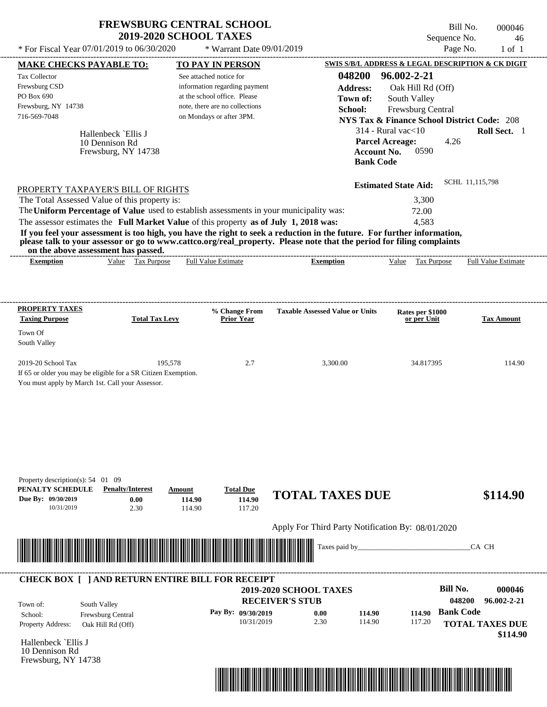| <b>FREWSBURG CENTRAL SCHOOL</b> |
|---------------------------------|
| <b>2019-2020 SCHOOL TAXES</b>   |

Bill No. 000046 Sequence No. 46

| * For Fiscal Year 07/01/2019 to 06/30/2020                                                                                                                                                                                                                               |                                                              | * Warrant Date 09/01/2019                                                                                                                              |                                                                                                                                                                                                                                                  |                                                                                                                                                                                          | Page No.<br>$1$ of $1$                                                                            |
|--------------------------------------------------------------------------------------------------------------------------------------------------------------------------------------------------------------------------------------------------------------------------|--------------------------------------------------------------|--------------------------------------------------------------------------------------------------------------------------------------------------------|--------------------------------------------------------------------------------------------------------------------------------------------------------------------------------------------------------------------------------------------------|------------------------------------------------------------------------------------------------------------------------------------------------------------------------------------------|---------------------------------------------------------------------------------------------------|
| <b>MAKE CHECKS PAYABLE TO:</b>                                                                                                                                                                                                                                           |                                                              | <b>TO PAY IN PERSON</b>                                                                                                                                |                                                                                                                                                                                                                                                  |                                                                                                                                                                                          | SWIS S/B/L ADDRESS & LEGAL DESCRIPTION & CK DIGIT                                                 |
| Tax Collector<br>Frewsburg CSD<br>PO Box 690<br>Frewsburg, NY 14738<br>716-569-7048<br>PROPERTY TAXPAYER'S BILL OF RIGHTS                                                                                                                                                | Hallenbeck `Ellis J<br>10 Dennison Rd<br>Frewsburg, NY 14738 | See attached notice for<br>information regarding payment<br>at the school office. Please<br>note, there are no collections<br>on Mondays or after 3PM. | 048200<br><b>Address:</b><br>Town of:<br>School:<br><b>Bank Code</b>                                                                                                                                                                             | 96.002-2-21<br>Oak Hill Rd (Off)<br>South Valley<br>Frewsburg Central<br>$314$ - Rural vac $<$ 10<br><b>Parcel Acreage:</b><br><b>Account No.</b><br>0590<br><b>Estimated State Aid:</b> | <b>NYS Tax &amp; Finance School District Code: 208</b><br>Roll Sect. 1<br>4.26<br>SCHL 11,115,798 |
| The Total Assessed Value of this property is:<br>The Uniform Percentage of Value used to establish assessments in your municipality was:<br>The assessor estimates the Full Market Value of this property as of July 1, 2018 was:<br>on the above assessment has passed. |                                                              |                                                                                                                                                        | If you feel your assessment is too high, you have the right to seek a reduction in the future. For further information,<br>please talk to your assessor or go to www.cattco.org/real_property. Please note that the period for filing complaints | 3,300<br>72.00<br>4,583                                                                                                                                                                  |                                                                                                   |
| <b>Exemption</b>                                                                                                                                                                                                                                                         | Value Tax Purpose                                            | <b>Full Value Estimate</b>                                                                                                                             | <b>Exemption</b>                                                                                                                                                                                                                                 | Value Tax Purpose                                                                                                                                                                        | <b>Full Value Estimate</b>                                                                        |
| <b>PROPERTY TAXES</b><br><b>Taxing Purpose</b>                                                                                                                                                                                                                           | <b>Total Tax Levy</b>                                        | % Change From<br><b>Prior Year</b>                                                                                                                     | <b>Taxable Assessed Value or Units</b>                                                                                                                                                                                                           | Rates per \$1000<br>or per Unit                                                                                                                                                          | <b>Tax Amount</b>                                                                                 |
| Town Of<br>South Valley                                                                                                                                                                                                                                                  |                                                              |                                                                                                                                                        |                                                                                                                                                                                                                                                  |                                                                                                                                                                                          |                                                                                                   |
| 2019-20 School Tax<br>If 65 or older you may be eligible for a SR Citizen Exemption.<br>You must apply by March 1st. Call your Assessor.                                                                                                                                 | 195,578                                                      | 2.7                                                                                                                                                    | 3,300.00                                                                                                                                                                                                                                         | 34.817395                                                                                                                                                                                | 114.90                                                                                            |
| Property description(s): $54$ 01 09<br>PENALTY SCHEDULE<br>Due By: 09/30/2019<br>10/31/2019                                                                                                                                                                              | <b>Penalty/Interest</b><br>Amount<br>0.00<br>2.30            | <b>Total Due</b><br>114.90<br>114.90<br>114.90<br>117.20                                                                                               | <b>TOTAL TAXES DUE</b>                                                                                                                                                                                                                           |                                                                                                                                                                                          | \$114.90                                                                                          |
|                                                                                                                                                                                                                                                                          |                                                              |                                                                                                                                                        | Apply For Third Party Notification By: 08/01/2020                                                                                                                                                                                                |                                                                                                                                                                                          |                                                                                                   |
|                                                                                                                                                                                                                                                                          |                                                              |                                                                                                                                                        | Taxes paid by_                                                                                                                                                                                                                                   |                                                                                                                                                                                          | CA CH                                                                                             |
| <b>CHECK BOX [ ] AND RETURN ENTIRE BILL FOR RECEIPT</b><br>South Valley<br>Town of:<br>School:<br>Frewsburg Central<br>Property Address:<br>Oak Hill Rd (Off)                                                                                                            |                                                              | Pay By: 09/30/2019<br>10/31/2019                                                                                                                       | 2019-2020 SCHOOL TAXES<br><b>RECEIVER'S STUB</b><br>114.90<br>0.00<br>2.30<br>114.90                                                                                                                                                             | 114.90<br>117.20                                                                                                                                                                         | <b>Bill No.</b><br>000046<br>96.002-2-21<br>048200<br><b>Bank Code</b><br><b>TOTAL TAXES DUE</b>  |
| Hallenbeck `Ellis J<br>10 Dennison Rd<br>Frewsburg, NY 14738                                                                                                                                                                                                             |                                                              |                                                                                                                                                        |                                                                                                                                                                                                                                                  |                                                                                                                                                                                          | \$114.90                                                                                          |

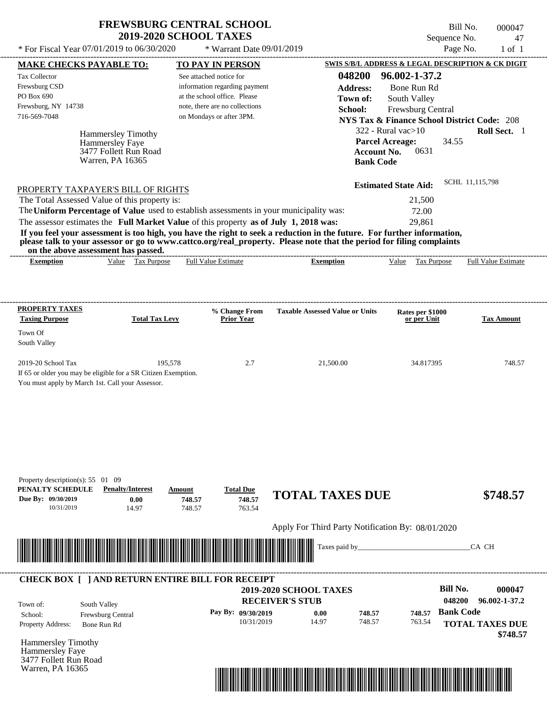$*$  For Fiscal Year 07/01/2019 to 06/30/2020

 $*$  Warrant Date  $09/01/2019$ 

Bill No. 000047 Sequence No. 47<br>Page No. 1 of 1

| <b>MAKE CHECKS PAYABLE TO:</b>                                                        |                                              |         | <b>TO PAY IN PERSON</b>        |                                                                                                                         |                    |                                                        |                  | SWIS S/B/L ADDRESS & LEGAL DESCRIPTION & CK DIGIT |
|---------------------------------------------------------------------------------------|----------------------------------------------|---------|--------------------------------|-------------------------------------------------------------------------------------------------------------------------|--------------------|--------------------------------------------------------|------------------|---------------------------------------------------|
| <b>Tax Collector</b>                                                                  |                                              |         | See attached notice for        |                                                                                                                         | 048200             | 96.002-1-37.2                                          |                  |                                                   |
| Frewsburg CSD                                                                         |                                              |         | information regarding payment  |                                                                                                                         | <b>Address:</b>    | Bone Run Rd                                            |                  |                                                   |
| PO Box 690                                                                            |                                              |         | at the school office. Please   |                                                                                                                         | Town of:           | South Valley                                           |                  |                                                   |
| Frewsburg, NY 14738                                                                   |                                              |         | note, there are no collections |                                                                                                                         | School:            | Frewsburg Central                                      |                  |                                                   |
| 716-569-7048                                                                          |                                              |         | on Mondays or after 3PM.       |                                                                                                                         |                    | <b>NYS Tax &amp; Finance School District Code: 208</b> |                  |                                                   |
|                                                                                       |                                              |         |                                |                                                                                                                         |                    | $322$ - Rural vac $>10$                                |                  | Roll Sect. 1                                      |
|                                                                                       | <b>Hammersley Timothy</b><br>Hammersley Faye |         |                                |                                                                                                                         |                    | <b>Parcel Acreage:</b>                                 | 34.55            |                                                   |
|                                                                                       | 3477 Follett Run Road                        |         |                                |                                                                                                                         | <b>Account No.</b> | 0631                                                   |                  |                                                   |
|                                                                                       | Warren, PA 16365                             |         |                                |                                                                                                                         | <b>Bank Code</b>   |                                                        |                  |                                                   |
|                                                                                       |                                              |         |                                |                                                                                                                         |                    |                                                        |                  |                                                   |
| PROPERTY TAXPAYER'S BILL OF RIGHTS                                                    |                                              |         |                                |                                                                                                                         |                    | <b>Estimated State Aid:</b>                            |                  | SCHL 11,115,798                                   |
| The Total Assessed Value of this property is:                                         |                                              |         |                                |                                                                                                                         |                    | 21,500                                                 |                  |                                                   |
|                                                                                       |                                              |         |                                | The Uniform Percentage of Value used to establish assessments in your municipality was:                                 |                    | 72.00                                                  |                  |                                                   |
| The assessor estimates the Full Market Value of this property as of July 1, 2018 was: |                                              |         |                                |                                                                                                                         |                    | 29,861                                                 |                  |                                                   |
|                                                                                       |                                              |         |                                | If you feel your assessment is too high, you have the right to seek a reduction in the future. For further information, |                    |                                                        |                  |                                                   |
|                                                                                       |                                              |         |                                | please talk to your assessor or go to www.cattco.org/real_property. Please note that the period for filing complaints   |                    |                                                        |                  |                                                   |
| on the above assessment has passed.<br><b>Exemption</b>                               | Value Tax Purpose                            |         | <b>Full Value Estimate</b>     | <b>Exemption</b>                                                                                                        |                    | Value Tax Purpose                                      |                  | <b>Full Value Estimate</b>                        |
|                                                                                       |                                              |         |                                |                                                                                                                         |                    |                                                        |                  |                                                   |
|                                                                                       |                                              |         |                                |                                                                                                                         |                    |                                                        |                  |                                                   |
| <b>PROPERTY TAXES</b>                                                                 |                                              |         | % Change From                  |                                                                                                                         |                    |                                                        |                  |                                                   |
| <b>Taxing Purpose</b>                                                                 | <b>Total Tax Levy</b>                        |         | <b>Prior Year</b>              | <b>Taxable Assessed Value or Units</b>                                                                                  |                    | Rates per \$1000<br>or per Unit                        |                  | <b>Tax Amount</b>                                 |
| Town Of                                                                               |                                              |         |                                |                                                                                                                         |                    |                                                        |                  |                                                   |
| South Valley                                                                          |                                              |         |                                |                                                                                                                         |                    |                                                        |                  |                                                   |
| 2019-20 School Tax                                                                    |                                              | 195,578 | 2.7                            | 21,500.00                                                                                                               |                    | 34.817395                                              |                  | 748.57                                            |
| If 65 or older you may be eligible for a SR Citizen Exemption.                        |                                              |         |                                |                                                                                                                         |                    |                                                        |                  |                                                   |
| You must apply by March 1st. Call your Assessor.                                      |                                              |         |                                |                                                                                                                         |                    |                                                        |                  |                                                   |
|                                                                                       |                                              |         |                                |                                                                                                                         |                    |                                                        |                  |                                                   |
|                                                                                       |                                              |         |                                |                                                                                                                         |                    |                                                        |                  |                                                   |
|                                                                                       |                                              |         |                                |                                                                                                                         |                    |                                                        |                  |                                                   |
|                                                                                       |                                              |         |                                |                                                                                                                         |                    |                                                        |                  |                                                   |
|                                                                                       |                                              |         |                                |                                                                                                                         |                    |                                                        |                  |                                                   |
|                                                                                       |                                              |         |                                |                                                                                                                         |                    |                                                        |                  |                                                   |
| Property description(s): $55 \quad 01 \quad 09$                                       |                                              |         |                                |                                                                                                                         |                    |                                                        |                  |                                                   |
| PENALTY SCHEDULE                                                                      | <b>Penalty/Interest</b>                      | Amount  | <b>Total Due</b>               | <b>TOTAL TAXES DUE</b>                                                                                                  |                    |                                                        |                  | \$748.57                                          |
| Due By: 09/30/2019                                                                    | 0.00                                         | 748.57  | 748.57                         |                                                                                                                         |                    |                                                        |                  |                                                   |
| 10/31/2019                                                                            | 14.97                                        | 748.57  | 763.54                         |                                                                                                                         |                    |                                                        |                  |                                                   |
|                                                                                       |                                              |         |                                | Apply For Third Party Notification By: 08/01/2020                                                                       |                    |                                                        |                  |                                                   |
|                                                                                       |                                              |         |                                |                                                                                                                         |                    |                                                        |                  |                                                   |
|                                                                                       |                                              |         |                                | Taxes paid by                                                                                                           |                    |                                                        |                  | CA CH                                             |
|                                                                                       |                                              |         |                                |                                                                                                                         |                    |                                                        |                  |                                                   |
| <b>CHECK BOX [ ] AND RETURN ENTIRE BILL FOR RECEIPT</b>                               |                                              |         |                                |                                                                                                                         |                    |                                                        |                  |                                                   |
|                                                                                       |                                              |         |                                | 2019-2020 SCHOOL TAXES                                                                                                  |                    |                                                        | <b>Bill No.</b>  | 000047                                            |
| Town of:                                                                              | South Valley                                 |         |                                | <b>RECEIVER'S STUB</b>                                                                                                  |                    |                                                        | 048200           | 96.002-1-37.2                                     |
| School:                                                                               | Frewsburg Central                            |         | Pay By: 09/30/2019             | 0.00                                                                                                                    | 748.57             | 748.57                                                 | <b>Bank Code</b> |                                                   |
| Property Address:                                                                     | Bone Run Rd                                  |         | 10/31/2019                     | 14.97                                                                                                                   | 748.57             | 763.54                                                 |                  | <b>TOTAL TAXES DUE</b>                            |
|                                                                                       |                                              |         |                                |                                                                                                                         |                    |                                                        |                  | \$748.57                                          |
| <b>Hammersley Timothy</b>                                                             |                                              |         |                                |                                                                                                                         |                    |                                                        |                  |                                                   |
| Hammersley Faye                                                                       |                                              |         |                                |                                                                                                                         |                    |                                                        |                  |                                                   |
|                                                                                       |                                              |         |                                |                                                                                                                         |                    |                                                        |                  |                                                   |
| 3477 Follett Run Road<br>Warren, PA 16365                                             |                                              |         |                                |                                                                                                                         |                    |                                                        |                  |                                                   |

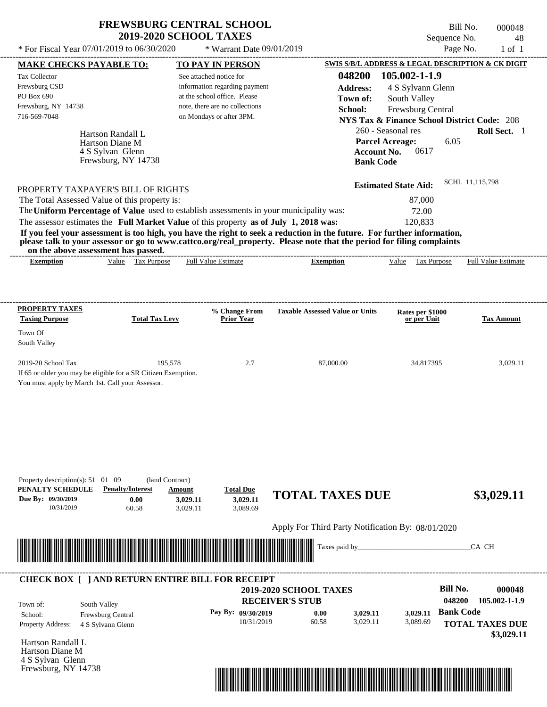| * For Fiscal Year 07/01/2019 to 06/30/2020                                              |                                                      | * Warrant Date 09/01/2019                                     |                                                                                                                         |                                                                             | Page No.<br>$1$ of $1$     |
|-----------------------------------------------------------------------------------------|------------------------------------------------------|---------------------------------------------------------------|-------------------------------------------------------------------------------------------------------------------------|-----------------------------------------------------------------------------|----------------------------|
| <b>MAKE CHECKS PAYABLE TO:</b>                                                          |                                                      | <b>TO PAY IN PERSON</b>                                       |                                                                                                                         | SWIS S/B/L ADDRESS & LEGAL DESCRIPTION & CK DIGIT                           |                            |
| Tax Collector                                                                           |                                                      | See attached notice for                                       | 048200                                                                                                                  | 105.002-1-1.9                                                               |                            |
| Frewsburg CSD<br>PO Box 690                                                             |                                                      | information regarding payment<br>at the school office. Please | <b>Address:</b>                                                                                                         | 4 S Sylvann Glenn                                                           |                            |
| Frewsburg, NY 14738                                                                     |                                                      | note, there are no collections                                | Town of:                                                                                                                | South Valley                                                                |                            |
| 716-569-7048                                                                            |                                                      | on Mondays or after 3PM.                                      | School:                                                                                                                 | Frewsburg Central<br><b>NYS Tax &amp; Finance School District Code: 208</b> |                            |
|                                                                                         |                                                      |                                                               |                                                                                                                         | 260 - Seasonal res                                                          | Roll Sect. 1               |
| Hartson Randall L<br>Hartson Diane M<br>4 S Sylvan Glenn                                |                                                      |                                                               |                                                                                                                         | <b>Parcel Acreage:</b><br>6.05<br><b>Account No.</b><br>0617                |                            |
|                                                                                         | Frewsburg, NY 14738                                  |                                                               | <b>Bank Code</b>                                                                                                        |                                                                             |                            |
| PROPERTY TAXPAYER'S BILL OF RIGHTS                                                      |                                                      |                                                               |                                                                                                                         | <b>Estimated State Aid:</b>                                                 | SCHL 11,115,798            |
| The Total Assessed Value of this property is:                                           |                                                      |                                                               |                                                                                                                         | 87,000                                                                      |                            |
| The Uniform Percentage of Value used to establish assessments in your municipality was: |                                                      |                                                               |                                                                                                                         | 72.00                                                                       |                            |
| The assessor estimates the Full Market Value of this property as of July 1, 2018 was:   |                                                      |                                                               |                                                                                                                         | 120,833                                                                     |                            |
|                                                                                         |                                                      |                                                               | If you feel your assessment is too high, you have the right to seek a reduction in the future. For further information, |                                                                             |                            |
|                                                                                         |                                                      |                                                               | please talk to your assessor or go to www.cattco.org/real_property. Please note that the period for filing complaints   |                                                                             |                            |
| on the above assessment has passed.                                                     | Value Tax Purpose                                    | <b>Full Value Estimate</b>                                    | --------------------------------------                                                                                  |                                                                             | <b>Full Value Estimate</b> |
| <b>Exemption</b>                                                                        |                                                      |                                                               | <b>Exemption</b>                                                                                                        | Value Tax Purpose                                                           |                            |
|                                                                                         |                                                      |                                                               |                                                                                                                         |                                                                             |                            |
| <b>PROPERTY TAXES</b>                                                                   |                                                      | % Change From                                                 | <b>Taxable Assessed Value or Units</b>                                                                                  | Rates per \$1000                                                            |                            |
| <b>Taxing Purpose</b>                                                                   | <b>Total Tax Levy</b>                                | <b>Prior Year</b>                                             |                                                                                                                         | or per Unit                                                                 | <b>Tax Amount</b>          |
| Town Of                                                                                 |                                                      |                                                               |                                                                                                                         |                                                                             |                            |
| South Valley                                                                            |                                                      |                                                               |                                                                                                                         |                                                                             |                            |
| 2019-20 School Tax                                                                      | 195,578                                              | 2.7                                                           | 87,000.00                                                                                                               | 34.817395                                                                   | 3,029.11                   |
| If 65 or older you may be eligible for a SR Citizen Exemption.                          |                                                      |                                                               |                                                                                                                         |                                                                             |                            |
| You must apply by March 1st. Call your Assessor.                                        |                                                      |                                                               |                                                                                                                         |                                                                             |                            |
|                                                                                         |                                                      |                                                               |                                                                                                                         |                                                                             |                            |
|                                                                                         |                                                      |                                                               |                                                                                                                         |                                                                             |                            |
|                                                                                         |                                                      |                                                               |                                                                                                                         |                                                                             |                            |
|                                                                                         |                                                      |                                                               |                                                                                                                         |                                                                             |                            |
|                                                                                         |                                                      |                                                               |                                                                                                                         |                                                                             |                            |
|                                                                                         |                                                      |                                                               |                                                                                                                         |                                                                             |                            |
|                                                                                         |                                                      |                                                               |                                                                                                                         |                                                                             |                            |
| Property description(s): $51 \quad 01 \quad 09$<br>PENALTY SCHEDULE                     | (land Contract)<br><b>Penalty/Interest</b><br>Amount | <b>Total Due</b>                                              |                                                                                                                         |                                                                             |                            |
| Due By: 09/30/2019                                                                      | 0.00                                                 | 3,029.11<br>3,029.11                                          | <b>TOTAL TAXES DUE</b>                                                                                                  |                                                                             | \$3,029.11                 |
| 10/31/2019                                                                              | 60.58                                                | 3,089.69<br>3,029.11                                          |                                                                                                                         |                                                                             |                            |
|                                                                                         |                                                      |                                                               | Apply For Third Party Notification By: 08/01/2020                                                                       |                                                                             |                            |
|                                                                                         |                                                      |                                                               |                                                                                                                         |                                                                             |                            |
|                                                                                         |                                                      |                                                               | Taxes paid by_                                                                                                          |                                                                             | CA CH                      |
|                                                                                         |                                                      |                                                               |                                                                                                                         |                                                                             |                            |
|                                                                                         |                                                      |                                                               |                                                                                                                         |                                                                             |                            |
| <b>CHECK BOX [ ] AND RETURN ENTIRE BILL FOR RECEIPT</b>                                 |                                                      |                                                               | 2019-2020 SCHOOL TAXES                                                                                                  | <b>Bill No.</b>                                                             | 000048                     |
|                                                                                         |                                                      |                                                               | <b>RECEIVER'S STUB</b>                                                                                                  | 048200                                                                      | 105.002-1-1.9              |
| South Valley<br>Town of:                                                                |                                                      | Pay By: 09/30/2019                                            |                                                                                                                         | 3,029.11                                                                    | <b>Bank Code</b>           |
| Frewsburg Central<br>School:<br>Property Address:                                       |                                                      | 10/31/2019                                                    | 0.00<br>3,029.11<br>60.58<br>3,029.11                                                                                   | 3,089.69                                                                    | <b>TOTAL TAXES DUE</b>     |
| 4 S Sylvann Glenn                                                                       |                                                      |                                                               |                                                                                                                         |                                                                             | \$3,029.11                 |
| Hartson Randall L                                                                       |                                                      |                                                               |                                                                                                                         |                                                                             |                            |
| Hartson Diane M                                                                         |                                                      |                                                               |                                                                                                                         |                                                                             |                            |
| 4 S Sylvan Glenn                                                                        |                                                      |                                                               |                                                                                                                         |                                                                             |                            |
| Frewsburg, NY 14738                                                                     |                                                      |                                                               |                                                                                                                         |                                                                             |                            |

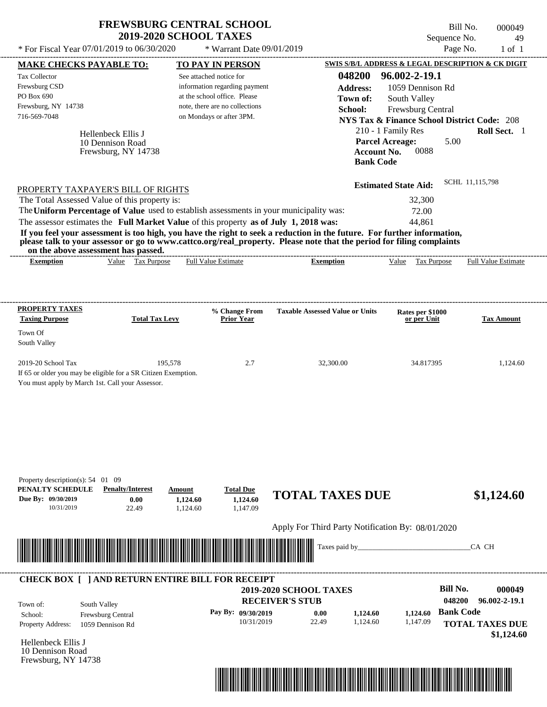| <b>FREWSBURG CENTRAL SCHOOL</b> |  |
|---------------------------------|--|
| <b>2019-2020 SCHOOL TAXES</b>   |  |

Bill No. 000049 Sequence No. 49

| * For Fiscal Year 07/01/2019 to 06/30/2020                                                                                                                                                                                                                                                                                                                                                                                                                                                                                                                                                                  |                                | * Warrant Date 09/01/2019                                                                                                                              |                                                                                     |                                                                                                                                                                                                  | Page No.<br>$1$ of $1$                            |
|-------------------------------------------------------------------------------------------------------------------------------------------------------------------------------------------------------------------------------------------------------------------------------------------------------------------------------------------------------------------------------------------------------------------------------------------------------------------------------------------------------------------------------------------------------------------------------------------------------------|--------------------------------|--------------------------------------------------------------------------------------------------------------------------------------------------------|-------------------------------------------------------------------------------------|--------------------------------------------------------------------------------------------------------------------------------------------------------------------------------------------------|---------------------------------------------------|
| <b>MAKE CHECKS PAYABLE TO:</b>                                                                                                                                                                                                                                                                                                                                                                                                                                                                                                                                                                              |                                | <b>TO PAY IN PERSON</b>                                                                                                                                |                                                                                     |                                                                                                                                                                                                  | SWIS S/B/L ADDRESS & LEGAL DESCRIPTION & CK DIGIT |
| Tax Collector<br>Frewsburg CSD<br>PO Box 690<br>Frewsburg, NY 14738<br>716-569-7048<br>Hellenbeck Ellis J<br>10 Dennison Road<br>Frewsburg, NY 14738                                                                                                                                                                                                                                                                                                                                                                                                                                                        |                                | See attached notice for<br>information regarding payment<br>at the school office. Please<br>note, there are no collections<br>on Mondays or after 3PM. | 048200<br><b>Address:</b><br>Town of:<br>School:<br>Account No.<br><b>Bank Code</b> | 96.002-2-19.1<br>1059 Dennison Rd<br>South Valley<br>Frewsburg Central<br><b>NYS Tax &amp; Finance School District Code: 208</b><br>210 - 1 Family Res<br><b>Parcel Acreage:</b><br>5.00<br>0088 | Roll Sect. 1                                      |
| PROPERTY TAXPAYER'S BILL OF RIGHTS<br>The Total Assessed Value of this property is:<br>The Uniform Percentage of Value used to establish assessments in your municipality was:<br>The assessor estimates the Full Market Value of this property as of July 1, 2018 was:<br>If you feel your assessment is too high, you have the right to seek a reduction in the future. For further information,<br>please talk to your assessor or go to www.cattco.org/real_property. Please note that the period for filing complaints<br>on the above assessment has passed.<br>Value Tax Purpose<br><b>Exemption</b> |                                | <b>Full Value Estimate</b>                                                                                                                             | <b>Exemption</b>                                                                    | <b>Estimated State Aid:</b><br>32,300<br>72.00<br>44,861<br>Value Tax Purpose                                                                                                                    | SCHL 11,115,798<br><b>Full Value Estimate</b>     |
|                                                                                                                                                                                                                                                                                                                                                                                                                                                                                                                                                                                                             |                                |                                                                                                                                                        |                                                                                     |                                                                                                                                                                                                  |                                                   |
| <b>PROPERTY TAXES</b><br><b>Taxing Purpose</b><br>Town Of                                                                                                                                                                                                                                                                                                                                                                                                                                                                                                                                                   | <b>Total Tax Levy</b>          | % Change From<br><b>Prior Year</b>                                                                                                                     | <b>Taxable Assessed Value or Units</b>                                              | Rates per \$1000<br>or per Unit                                                                                                                                                                  | <b>Tax Amount</b>                                 |
| South Valley<br>2019-20 School Tax<br>If 65 or older you may be eligible for a SR Citizen Exemption.<br>You must apply by March 1st. Call your Assessor.                                                                                                                                                                                                                                                                                                                                                                                                                                                    | 195,578                        | 2.7                                                                                                                                                    | 32,300.00                                                                           | 34.817395                                                                                                                                                                                        | 1,124.60                                          |
| Property description(s): $54$ 01 09<br>PENALTY SCHEDULE<br><b>Penalty/Interest</b><br>Due By: 09/30/2019<br>0.00<br>10/31/2019<br>22.49                                                                                                                                                                                                                                                                                                                                                                                                                                                                     | Amount<br>1,124.60<br>1.124.60 | <b>Total Due</b><br>1,124.60<br>1,147.09                                                                                                               | <b>TOTAL TAXES DUE</b>                                                              |                                                                                                                                                                                                  | \$1,124.60                                        |
|                                                                                                                                                                                                                                                                                                                                                                                                                                                                                                                                                                                                             |                                |                                                                                                                                                        | Apply For Third Party Notification By: 08/01/2020                                   |                                                                                                                                                                                                  |                                                   |
|                                                                                                                                                                                                                                                                                                                                                                                                                                                                                                                                                                                                             |                                |                                                                                                                                                        | Taxes paid by_                                                                      |                                                                                                                                                                                                  | CA CH                                             |

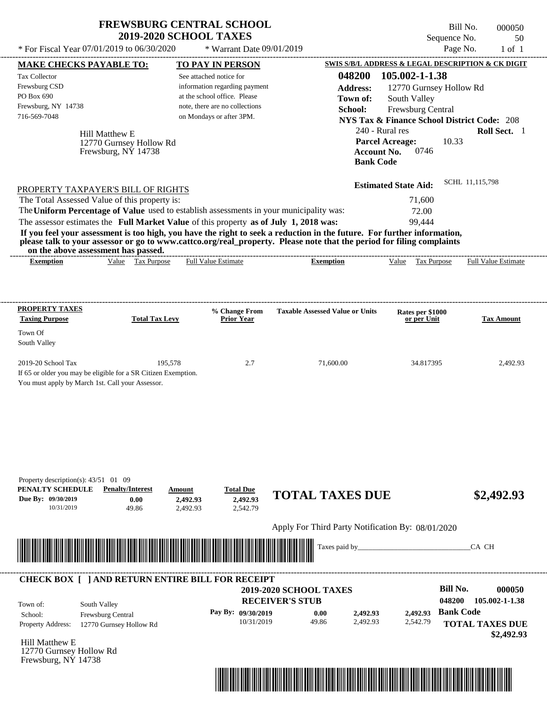| <b>FREWSBURG CENTRAL SCHOOL</b> |  |
|---------------------------------|--|
| <b>2019-2020 SCHOOL TAXES</b>   |  |

Bill No. 000050 Sequence No. 50

| <b>MAKE CHECKS PAYABLE TO:</b><br>Tax Collector                                                                                                                                                                                                                                                                                                                                                                           |                                                                            | * Warrant Date 09/01/2019                         | Page No.                                                                  | $1$ of $1$                 |
|---------------------------------------------------------------------------------------------------------------------------------------------------------------------------------------------------------------------------------------------------------------------------------------------------------------------------------------------------------------------------------------------------------------------------|----------------------------------------------------------------------------|---------------------------------------------------|---------------------------------------------------------------------------|----------------------------|
|                                                                                                                                                                                                                                                                                                                                                                                                                           | <b>TO PAY IN PERSON</b>                                                    |                                                   | SWIS S/B/L ADDRESS & LEGAL DESCRIPTION & CK DIGIT                         |                            |
| Frewsburg CSD                                                                                                                                                                                                                                                                                                                                                                                                             | See attached notice for<br>information regarding payment                   | 048200<br><b>Address:</b>                         | 105.002-1-1.38<br>12770 Gurnsey Hollow Rd                                 |                            |
| PO Box 690                                                                                                                                                                                                                                                                                                                                                                                                                | at the school office. Please                                               | Town of:                                          | South Valley                                                              |                            |
| Frewsburg, NY 14738<br>716-569-7048                                                                                                                                                                                                                                                                                                                                                                                       | note, there are no collections<br>on Mondays or after 3PM.                 | School:                                           | Frewsburg Central                                                         |                            |
|                                                                                                                                                                                                                                                                                                                                                                                                                           |                                                                            |                                                   | <b>NYS Tax &amp; Finance School District Code: 208</b><br>240 - Rural res | Roll Sect. 1               |
| Hill Matthew E<br>12770 Gurnsey Hollow Rd<br>Frewsburg, NY 14738                                                                                                                                                                                                                                                                                                                                                          |                                                                            | <b>Account No.</b><br><b>Bank Code</b>            | <b>Parcel Acreage:</b><br>10.33<br>0746                                   |                            |
| PROPERTY TAXPAYER'S BILL OF RIGHTS                                                                                                                                                                                                                                                                                                                                                                                        |                                                                            |                                                   | <b>Estimated State Aid:</b>                                               | SCHL 11,115,798            |
| The Total Assessed Value of this property is:                                                                                                                                                                                                                                                                                                                                                                             |                                                                            |                                                   | 71,600                                                                    |                            |
| The Uniform Percentage of Value used to establish assessments in your municipality was:                                                                                                                                                                                                                                                                                                                                   |                                                                            |                                                   | 72.00                                                                     |                            |
| The assessor estimates the Full Market Value of this property as of July 1, 2018 was:<br>If you feel your assessment is too high, you have the right to seek a reduction in the future. For further information,<br>please talk to your assessor or go to www.cattco.org/real_property. Please note that the period for filing complaints<br>on the above assessment has passed.<br>Value Tax Purpose<br><b>Exemption</b> | <b>Full Value Estimate</b>                                                 | <b>Exemption</b>                                  | 99,444<br>Value Tax Purpose                                               | <b>Full Value Estimate</b> |
|                                                                                                                                                                                                                                                                                                                                                                                                                           |                                                                            |                                                   |                                                                           |                            |
| <b>PROPERTY TAXES</b><br><b>Taxing Purpose</b><br><b>Total Tax Levy</b>                                                                                                                                                                                                                                                                                                                                                   | % Change From<br><b>Prior Year</b>                                         | <b>Taxable Assessed Value or Units</b>            | Rates per \$1000<br>or per Unit                                           | <b>Tax Amount</b>          |
| Town Of                                                                                                                                                                                                                                                                                                                                                                                                                   |                                                                            |                                                   |                                                                           |                            |
| South Valley                                                                                                                                                                                                                                                                                                                                                                                                              |                                                                            |                                                   |                                                                           |                            |
| 2019-20 School Tax<br>If 65 or older you may be eligible for a SR Citizen Exemption.<br>You must apply by March 1st. Call your Assessor.                                                                                                                                                                                                                                                                                  | 195,578<br>2.7                                                             | 71,600.00                                         | 34.817395                                                                 | 2,492.93                   |
| Property description(s): $43/51$ 01 09<br>PENALTY SCHEDULE<br><b>Penalty/Interest</b><br>Due By: 09/30/2019<br>0.00<br>10/31/2019<br>49.86                                                                                                                                                                                                                                                                                | <b>Total Due</b><br>Amount<br>2,492.93<br>2,492.93<br>2,542.79<br>2,492.93 | <b>TOTAL TAXES DUE</b>                            |                                                                           | \$2,492.93                 |
|                                                                                                                                                                                                                                                                                                                                                                                                                           |                                                                            | Apply For Third Party Notification By: 08/01/2020 |                                                                           |                            |
|                                                                                                                                                                                                                                                                                                                                                                                                                           |                                                                            | Taxes paid by_                                    |                                                                           | CA CH                      |
|                                                                                                                                                                                                                                                                                                                                                                                                                           |                                                                            |                                                   |                                                                           |                            |
|                                                                                                                                                                                                                                                                                                                                                                                                                           |                                                                            |                                                   |                                                                           |                            |
| <b>CHECK BOX [ ] AND RETURN ENTIRE BILL FOR RECEIPT</b><br>South Valley<br>Town of:                                                                                                                                                                                                                                                                                                                                       |                                                                            | 2019-2020 SCHOOL TAXES<br><b>RECEIVER'S STUB</b>  | <b>Bill No.</b><br>048200<br>2,492.93 Bank Code                           | 000050<br>105.002-1-1.38   |

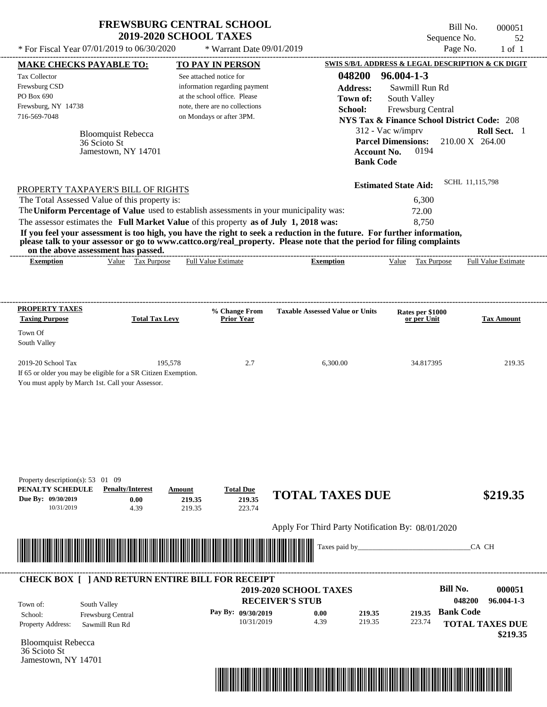| <b>FREWSBURG CENTRAL SCHOOL</b> |
|---------------------------------|
| <b>2019-2020 SCHOOL TAXES</b>   |

Bill No. 000051 Sequence No. 52

| * For Fiscal Year 07/01/2019 to 06/30/2020                                                                                                       |                                                                       | * Warrant Date 09/01/2019                                                                                                                              |                                                                                                                                                                                                                                                  | Page No.                                                                                                                          | $1$ of $1$                                |
|--------------------------------------------------------------------------------------------------------------------------------------------------|-----------------------------------------------------------------------|--------------------------------------------------------------------------------------------------------------------------------------------------------|--------------------------------------------------------------------------------------------------------------------------------------------------------------------------------------------------------------------------------------------------|-----------------------------------------------------------------------------------------------------------------------------------|-------------------------------------------|
| <b>MAKE CHECKS PAYABLE TO:</b>                                                                                                                   |                                                                       | <b>TO PAY IN PERSON</b>                                                                                                                                |                                                                                                                                                                                                                                                  | SWIS S/B/L ADDRESS & LEGAL DESCRIPTION & CK DIGIT                                                                                 |                                           |
| Tax Collector<br>Frewsburg CSD<br>PO Box 690<br>Frewsburg, NY 14738<br>716-569-7048                                                              |                                                                       | See attached notice for<br>information regarding payment<br>at the school office. Please<br>note, there are no collections<br>on Mondays or after 3PM. | 048200<br><b>Address:</b><br>Town of:<br>School:                                                                                                                                                                                                 | $96.004 - 1 - 3$<br>Sawmill Run Rd<br>South Valley<br>Frewsburg Central<br><b>NYS Tax &amp; Finance School District Code: 208</b> |                                           |
| 36 Scioto St                                                                                                                                     | <b>Bloomquist Rebecca</b><br>Jamestown, NY 14701                      |                                                                                                                                                        | <b>Account No.</b><br><b>Bank Code</b>                                                                                                                                                                                                           | 312 - Vac w/imprv<br><b>Parcel Dimensions:</b><br>0194                                                                            | Roll Sect. 1<br>$210.00 \text{ X}$ 264.00 |
| PROPERTY TAXPAYER'S BILL OF RIGHTS                                                                                                               |                                                                       |                                                                                                                                                        |                                                                                                                                                                                                                                                  | <b>Estimated State Aid:</b>                                                                                                       | SCHL 11,115,798                           |
| The Total Assessed Value of this property is:                                                                                                    |                                                                       |                                                                                                                                                        |                                                                                                                                                                                                                                                  | 6,300                                                                                                                             |                                           |
| The Uniform Percentage of Value used to establish assessments in your municipality was:                                                          |                                                                       |                                                                                                                                                        |                                                                                                                                                                                                                                                  | 72.00                                                                                                                             |                                           |
| The assessor estimates the Full Market Value of this property as of July 1, 2018 was:<br>on the above assessment has passed.<br><b>Exemption</b> | Value Tax Purpose                                                     | <b>Full Value Estimate</b>                                                                                                                             | If you feel your assessment is too high, you have the right to seek a reduction in the future. For further information,<br>please talk to your assessor or go to www.cattco.org/real_property. Please note that the period for filing complaints | 8,750<br><b>Tax Purpose</b><br>Value                                                                                              | Full Value Estimate                       |
|                                                                                                                                                  |                                                                       |                                                                                                                                                        | <b>Exemption</b>                                                                                                                                                                                                                                 |                                                                                                                                   |                                           |
| <b>PROPERTY TAXES</b><br><b>Taxing Purpose</b>                                                                                                   | <b>Total Tax Levy</b>                                                 | % Change From<br><b>Prior Year</b>                                                                                                                     | <b>Taxable Assessed Value or Units</b>                                                                                                                                                                                                           | Rates per \$1000<br>or per Unit                                                                                                   | <b>Tax Amount</b>                         |
| Town Of<br>South Valley                                                                                                                          |                                                                       |                                                                                                                                                        |                                                                                                                                                                                                                                                  |                                                                                                                                   |                                           |
| 2019-20 School Tax<br>If 65 or older you may be eligible for a SR Citizen Exemption.<br>You must apply by March 1st. Call your Assessor.         | 195,578                                                               | 2.7                                                                                                                                                    | 6,300.00                                                                                                                                                                                                                                         | 34.817395                                                                                                                         | 219.35                                    |
| Property description(s): $53 \quad 01 \quad 09$<br>PENALTY SCHEDULE<br>Due By: 09/30/2019<br>10/31/2019                                          | <b>Penalty/Interest</b><br>Amount<br>0.00<br>219.35<br>4.39<br>219.35 | <b>Total Due</b><br>219.35<br>223.74                                                                                                                   | <b>TOTAL TAXES DUE</b>                                                                                                                                                                                                                           |                                                                                                                                   | \$219.35                                  |
|                                                                                                                                                  |                                                                       |                                                                                                                                                        | Apply For Third Party Notification By: 08/01/2020                                                                                                                                                                                                |                                                                                                                                   |                                           |
|                                                                                                                                                  |                                                                       |                                                                                                                                                        | Taxes paid by_                                                                                                                                                                                                                                   |                                                                                                                                   | CA CH                                     |
| <b>CHECK BOX [ ] AND RETURN ENTIRE BILL FOR RECEIPT</b>                                                                                          |                                                                       |                                                                                                                                                        |                                                                                                                                                                                                                                                  |                                                                                                                                   |                                           |
|                                                                                                                                                  |                                                                       |                                                                                                                                                        | <b>2019-2020 SCHOOL TAXES</b><br><b>RECEIVER'S STUB</b>                                                                                                                                                                                          | <b>Bill No.</b>                                                                                                                   | 000051<br>048200<br>$96.004 - 1 - 3$      |
| South Valley<br>Town of:<br>School:<br>Frewsburg Central                                                                                         |                                                                       | Pay By: 09/30/2019                                                                                                                                     | 0.00<br>219.35                                                                                                                                                                                                                                   | <b>Bank Code</b><br>219.35                                                                                                        |                                           |
| <b>Property Address:</b><br>Sawmill Run Rd                                                                                                       |                                                                       | 10/31/2019                                                                                                                                             | 4.39<br>219.35                                                                                                                                                                                                                                   | 223.74                                                                                                                            | <b>TOTAL TAXES DUE</b><br>\$219.35        |
| <b>Bloomquist Rebecca</b><br>36 Scioto St<br>Jamestown, NY 14701                                                                                 |                                                                       |                                                                                                                                                        |                                                                                                                                                                                                                                                  |                                                                                                                                   |                                           |

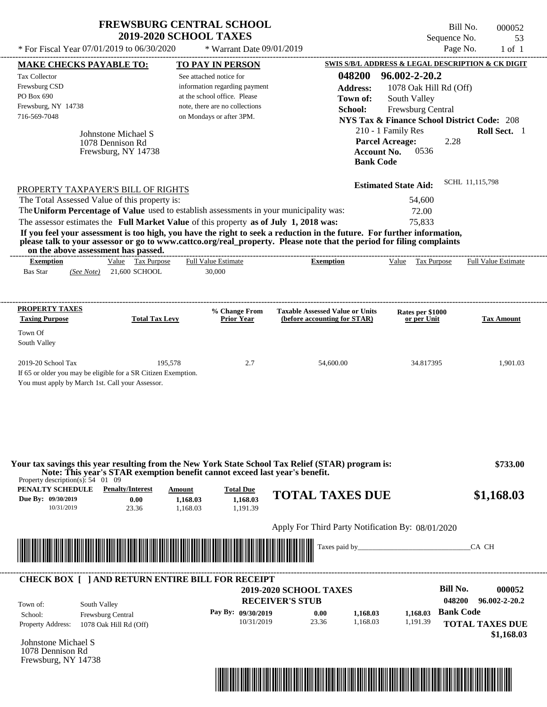| <b>FREWSBURG CENTRAL SCHOOL</b> |
|---------------------------------|
| <b>2019-2020 SCHOOL TAXES</b>   |

Bill No. 000052 Sequence No. 53

| * For Fiscal Year 07/01/2019 to 06/30/2020                                                                                                                                                                                                                                                                                                                                         | * Warrant Date 09/01/2019                                                                                                         |                                                   | Page No.                                                     | $1$ of $1$                           |
|------------------------------------------------------------------------------------------------------------------------------------------------------------------------------------------------------------------------------------------------------------------------------------------------------------------------------------------------------------------------------------|-----------------------------------------------------------------------------------------------------------------------------------|---------------------------------------------------|--------------------------------------------------------------|--------------------------------------|
| <b>MAKE CHECKS PAYABLE TO:</b>                                                                                                                                                                                                                                                                                                                                                     | <b>TO PAY IN PERSON</b>                                                                                                           |                                                   | SWIS S/B/L ADDRESS & LEGAL DESCRIPTION & CK DIGIT            |                                      |
| Tax Collector<br>Frewsburg CSD<br>PO Box 690                                                                                                                                                                                                                                                                                                                                       | See attached notice for<br>information regarding payment<br>at the school office. Please                                          | 048200<br><b>Address:</b><br>Town of:             | 96.002-2-20.2<br>1078 Oak Hill Rd (Off)<br>South Valley      |                                      |
| Frewsburg, NY 14738                                                                                                                                                                                                                                                                                                                                                                | note, there are no collections                                                                                                    | School:                                           | Frewsburg Central                                            |                                      |
| 716-569-7048                                                                                                                                                                                                                                                                                                                                                                       | on Mondays or after 3PM.                                                                                                          |                                                   | <b>NYS Tax &amp; Finance School District Code: 208</b>       |                                      |
| Johnstone Michael S<br>1078 Dennison Rd<br>Frewsburg, NY 14738                                                                                                                                                                                                                                                                                                                     |                                                                                                                                   | Account No.<br><b>Bank Code</b>                   | 210 - 1 Family Res<br><b>Parcel Acreage:</b><br>2.28<br>0536 | Roll Sect. 1                         |
| PROPERTY TAXPAYER'S BILL OF RIGHTS                                                                                                                                                                                                                                                                                                                                                 |                                                                                                                                   |                                                   | <b>Estimated State Aid:</b>                                  | SCHL 11,115,798                      |
| The Total Assessed Value of this property is:                                                                                                                                                                                                                                                                                                                                      |                                                                                                                                   |                                                   | 54,600                                                       |                                      |
| The Uniform Percentage of Value used to establish assessments in your municipality was:<br>The assessor estimates the Full Market Value of this property as of July 1, 2018 was:                                                                                                                                                                                                   |                                                                                                                                   |                                                   | 72.00<br>75,833                                              |                                      |
| If you feel your assessment is too high, you have the right to seek a reduction in the future. For further information,<br>please talk to your assessor or go to www.cattco.org/real_property. Please note that the period for filing complaints<br>on the above assessment has passed.<br>Value Tax Purpose<br><b>Exemption</b><br><b>Bas Star</b><br>21,600 SCHOOL<br>(See Note) | <b>Full Value Estimate</b><br>30,000                                                                                              | ----------------------------<br><b>Exemption</b>  | Value Tax Purpose                                            | <b>Full Value Estimate</b>           |
| <b>PROPERTY TAXES</b>                                                                                                                                                                                                                                                                                                                                                              | % Change From                                                                                                                     | <b>Taxable Assessed Value or Units</b>            | Rates per \$1000                                             |                                      |
| <b>Taxing Purpose</b>                                                                                                                                                                                                                                                                                                                                                              | <b>Total Tax Levy</b><br><b>Prior Year</b>                                                                                        | (before accounting for STAR)                      | or per Unit                                                  | <b>Tax Amount</b>                    |
| Town Of<br>South Valley                                                                                                                                                                                                                                                                                                                                                            |                                                                                                                                   |                                                   |                                                              |                                      |
| 2019-20 School Tax<br>If 65 or older you may be eligible for a SR Citizen Exemption.<br>You must apply by March 1st. Call your Assessor.                                                                                                                                                                                                                                           | 195,578<br>2.7                                                                                                                    | 54,600.00                                         | 34.817395                                                    | 1,901.03                             |
| Your tax savings this year resulting from the New York State School Tax Relief (STAR) program is:<br>Property description(s): $54 \quad 01 \quad 09$<br><b>PENALTY SCHEDULE</b> Penalty/Interest<br>Due By: 09/30/2019<br>0.00                                                                                                                                                     | Note: This year's STAR exemption benefit cannot exceed last year's benefit.<br><b>Total Due</b><br>Amount<br>1,168.03<br>1,168.03 | <b>TOTAL TAXES DUE</b>                            |                                                              | \$733.00<br>\$1,168.03               |
| 10/31/2019<br>23.36                                                                                                                                                                                                                                                                                                                                                                | 1,191.39<br>1,168.03                                                                                                              |                                                   |                                                              |                                      |
|                                                                                                                                                                                                                                                                                                                                                                                    |                                                                                                                                   | Apply For Third Party Notification By: 08/01/2020 |                                                              |                                      |
|                                                                                                                                                                                                                                                                                                                                                                                    |                                                                                                                                   |                                                   |                                                              | CA CH                                |
| <b>CHECK BOX [ ] AND RETURN ENTIRE BILL FOR RECEIPT</b><br>South Valley<br>Town of:                                                                                                                                                                                                                                                                                                |                                                                                                                                   | 2019-2020 SCHOOL TAXES<br><b>RECEIVER'S STUB</b>  | <b>Bill No.</b><br>048200                                    | 000052<br>96.002-2-20.2              |
| School:<br>Frewsburg Central<br><b>Property Address:</b><br>1078 Oak Hill Rd (Off)                                                                                                                                                                                                                                                                                                 | Pay By: 09/30/2019<br>10/31/2019                                                                                                  | 0.00<br>1,168.03<br>23.36<br>1,168.03             | <b>Bank Code</b><br>1,168.03<br>1,191.39                     | <b>TOTAL TAXES DUE</b><br>\$1,168.03 |
| Johnstone Michael S<br>1078 Dennison Rd<br>Frewsburg, NY 14738                                                                                                                                                                                                                                                                                                                     |                                                                                                                                   |                                                   |                                                              |                                      |
|                                                                                                                                                                                                                                                                                                                                                                                    |                                                                                                                                   |                                                   |                                                              |                                      |

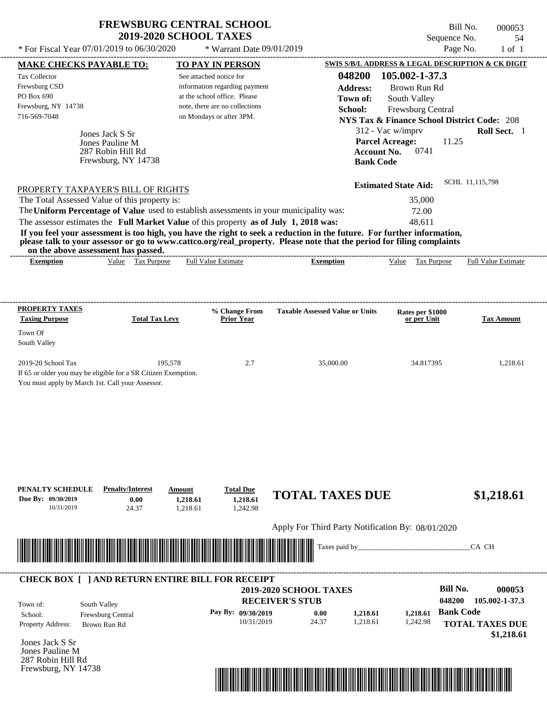Bill No. 000053 Sequence No. 54

| * For Fiscal Year 07/01/2019 to 06/30/2020                                                                                                                                                                                           |                                           | * Warrant Date 09/01/2019                                     |                                                                                                                         |                                                                             | Page No.<br>$1$ of $1$     |
|--------------------------------------------------------------------------------------------------------------------------------------------------------------------------------------------------------------------------------------|-------------------------------------------|---------------------------------------------------------------|-------------------------------------------------------------------------------------------------------------------------|-----------------------------------------------------------------------------|----------------------------|
| <b>MAKE CHECKS PAYABLE TO:</b>                                                                                                                                                                                                       |                                           | <b>TO PAY IN PERSON</b>                                       |                                                                                                                         | SWIS S/B/L ADDRESS & LEGAL DESCRIPTION & CK DIGIT                           |                            |
| Tax Collector                                                                                                                                                                                                                        |                                           | See attached notice for                                       | 048200                                                                                                                  | 105.002-1-37.3                                                              |                            |
| Frewsburg CSD<br>PO Box 690                                                                                                                                                                                                          |                                           | information regarding payment<br>at the school office. Please | <b>Address:</b>                                                                                                         | Brown Run Rd                                                                |                            |
| Frewsburg, NY 14738                                                                                                                                                                                                                  |                                           | note, there are no collections                                | Town of:                                                                                                                | South Valley                                                                |                            |
| 716-569-7048                                                                                                                                                                                                                         |                                           | on Mondays or after 3PM.                                      | School:                                                                                                                 | Frewsburg Central<br><b>NYS Tax &amp; Finance School District Code: 208</b> |                            |
|                                                                                                                                                                                                                                      |                                           |                                                               |                                                                                                                         | 312 - Vac w/imprv                                                           | Roll Sect. 1               |
| Jones Jack S Sr<br>Jones Pauline M<br>287 Robin Hill Rd<br>Frewsburg, NY 14738                                                                                                                                                       |                                           |                                                               | <b>Bank Code</b>                                                                                                        | <b>Parcel Acreage:</b><br>11.25<br>0741<br><b>Account No.</b>               |                            |
| PROPERTY TAXPAYER'S BILL OF RIGHTS                                                                                                                                                                                                   |                                           |                                                               |                                                                                                                         | <b>Estimated State Aid:</b>                                                 | SCHL 11,115,798            |
| The Total Assessed Value of this property is:                                                                                                                                                                                        |                                           |                                                               |                                                                                                                         | 35,000                                                                      |                            |
| The Uniform Percentage of Value used to establish assessments in your municipality was:                                                                                                                                              |                                           |                                                               |                                                                                                                         | 72.00                                                                       |                            |
| The assessor estimates the Full Market Value of this property as of July 1, 2018 was:                                                                                                                                                |                                           |                                                               |                                                                                                                         | 48,611                                                                      |                            |
|                                                                                                                                                                                                                                      |                                           |                                                               | If you feel your assessment is too high, you have the right to seek a reduction in the future. For further information, |                                                                             |                            |
| on the above assessment has passed.                                                                                                                                                                                                  |                                           |                                                               | please talk to your assessor or go to www.cattco.org/real_property. Please note that the period for filing complaints   |                                                                             |                            |
| <b>Exemption</b>                                                                                                                                                                                                                     | Value Tax Purpose                         | <b>Full Value Estimate</b>                                    | <b>Exemption</b>                                                                                                        | Value Tax Purpose                                                           | <b>Full Value Estimate</b> |
|                                                                                                                                                                                                                                      |                                           |                                                               |                                                                                                                         |                                                                             |                            |
|                                                                                                                                                                                                                                      |                                           |                                                               |                                                                                                                         |                                                                             |                            |
|                                                                                                                                                                                                                                      |                                           |                                                               |                                                                                                                         |                                                                             |                            |
| <b>PROPERTY TAXES</b>                                                                                                                                                                                                                |                                           | % Change From                                                 | <b>Taxable Assessed Value or Units</b>                                                                                  | Rates per \$1000                                                            |                            |
| <b>Taxing Purpose</b>                                                                                                                                                                                                                | <b>Total Tax Levy</b>                     | <b>Prior Year</b>                                             |                                                                                                                         | or per Unit                                                                 | <b>Tax Amount</b>          |
| Town Of                                                                                                                                                                                                                              |                                           |                                                               |                                                                                                                         |                                                                             |                            |
| South Valley                                                                                                                                                                                                                         |                                           |                                                               |                                                                                                                         |                                                                             |                            |
| 2019-20 School Tax                                                                                                                                                                                                                   | 195,578                                   | 2.7                                                           | 35,000.00                                                                                                               | 34.817395                                                                   | 1,218.61                   |
| If 65 or older you may be eligible for a SR Citizen Exemption.                                                                                                                                                                       |                                           |                                                               |                                                                                                                         |                                                                             |                            |
| You must apply by March 1st. Call your Assessor.                                                                                                                                                                                     |                                           |                                                               |                                                                                                                         |                                                                             |                            |
|                                                                                                                                                                                                                                      |                                           |                                                               |                                                                                                                         |                                                                             |                            |
|                                                                                                                                                                                                                                      |                                           |                                                               |                                                                                                                         |                                                                             |                            |
|                                                                                                                                                                                                                                      |                                           |                                                               |                                                                                                                         |                                                                             |                            |
| PENALTY SCHEDULE<br>Due By: 09/30/2019                                                                                                                                                                                               | <b>Penalty/Interest</b><br>Amount<br>0.00 | <b>Total Due</b><br>1,218.61<br>1,218.61                      | <b>TOTAL TAXES DUE</b>                                                                                                  |                                                                             | \$1,218.61                 |
| 10/31/2019                                                                                                                                                                                                                           | 24.37                                     | 1,242.98<br>1,218.61                                          |                                                                                                                         |                                                                             |                            |
|                                                                                                                                                                                                                                      |                                           |                                                               |                                                                                                                         |                                                                             |                            |
|                                                                                                                                                                                                                                      |                                           |                                                               | Apply For Third Party Notification By: 08/01/2020                                                                       |                                                                             |                            |
|                                                                                                                                                                                                                                      |                                           |                                                               | Taxes paid by_                                                                                                          |                                                                             | CA CH                      |
| <u> Indian American State of Barbara and The Barbara and The Barbara and The Barbara and The Barbara and The Barbara and The Barbara and The Barbara and The Barbara and The Barbara and The Barbara and The Barbara and The Bar</u> |                                           |                                                               |                                                                                                                         |                                                                             |                            |
|                                                                                                                                                                                                                                      |                                           |                                                               |                                                                                                                         |                                                                             |                            |
| <b>CHECK BOX [ ] AND RETURN ENTIRE BILL FOR RECEIPT</b>                                                                                                                                                                              |                                           |                                                               |                                                                                                                         |                                                                             |                            |
|                                                                                                                                                                                                                                      |                                           |                                                               | 2019-2020 SCHOOL TAXES                                                                                                  |                                                                             | <b>Bill No.</b><br>000053  |
| South Valley<br>Town of:                                                                                                                                                                                                             |                                           |                                                               | <b>RECEIVER'S STUB</b>                                                                                                  | 048200                                                                      | 105.002-1-37.3             |
| Frewsburg Central<br>School:                                                                                                                                                                                                         |                                           | Pay By: 09/30/2019                                            | 0.00<br>1,218.61                                                                                                        | 1,218.61                                                                    | <b>Bank Code</b>           |
| Property Address:<br>Brown Run Rd                                                                                                                                                                                                    |                                           | 10/31/2019                                                    | 24.37<br>1,218.61                                                                                                       | 1,242.98                                                                    | <b>TOTAL TAXES DUE</b>     |
| Jones Jack S Sr                                                                                                                                                                                                                      |                                           |                                                               |                                                                                                                         |                                                                             | \$1,218.61                 |
| Jones Pauline M                                                                                                                                                                                                                      |                                           |                                                               |                                                                                                                         |                                                                             |                            |
| 287 Robin Hill Rd                                                                                                                                                                                                                    |                                           |                                                               |                                                                                                                         |                                                                             |                            |
| Frewsburg, NY 14738                                                                                                                                                                                                                  |                                           |                                                               |                                                                                                                         |                                                                             |                            |

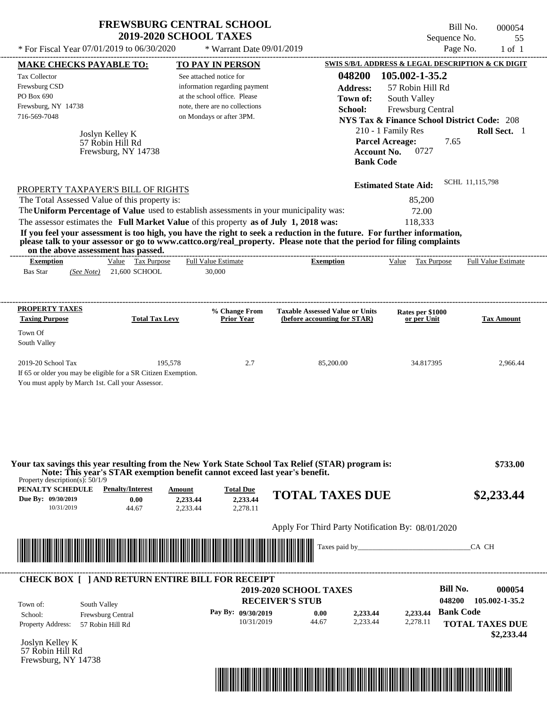|                                                                                                                                                                                                                                                                                                                                                                                                                                                                                                                                                                    | <b>FREWSBURG CENTRAL SCHOOL</b><br><b>2019-2020 SCHOOL TAXES</b>                                                                                       |                                                                                                                      | Bill No.<br>Sequence No.                                                                                                                                                | 000054<br>55               |
|--------------------------------------------------------------------------------------------------------------------------------------------------------------------------------------------------------------------------------------------------------------------------------------------------------------------------------------------------------------------------------------------------------------------------------------------------------------------------------------------------------------------------------------------------------------------|--------------------------------------------------------------------------------------------------------------------------------------------------------|----------------------------------------------------------------------------------------------------------------------|-------------------------------------------------------------------------------------------------------------------------------------------------------------------------|----------------------------|
| * For Fiscal Year 07/01/2019 to 06/30/2020                                                                                                                                                                                                                                                                                                                                                                                                                                                                                                                         | * Warrant Date 09/01/2019                                                                                                                              |                                                                                                                      | Page No.                                                                                                                                                                | $1$ of $1$                 |
| <b>MAKE CHECKS PAYABLE TO:</b>                                                                                                                                                                                                                                                                                                                                                                                                                                                                                                                                     | <b>TO PAY IN PERSON</b>                                                                                                                                |                                                                                                                      | SWIS S/B/L ADDRESS & LEGAL DESCRIPTION & CK DIGIT                                                                                                                       |                            |
| Tax Collector<br>Frewsburg CSD<br>PO Box 690<br>Frewsburg, NY 14738<br>716-569-7048<br>Joslyn Kelley K<br>57 Robin Hill Rd<br>Frewsburg, NY 14738                                                                                                                                                                                                                                                                                                                                                                                                                  | See attached notice for<br>information regarding payment<br>at the school office. Please<br>note, there are no collections<br>on Mondays or after 3PM. | 048200<br><b>Address:</b><br>Town of:<br>School:<br><b>Parcel Acreage:</b><br><b>Account No.</b><br><b>Bank Code</b> | 105.002-1-35.2<br>57 Robin Hill Rd<br>South Valley<br>Frewsburg Central<br><b>NYS Tax &amp; Finance School District Code: 208</b><br>210 - 1 Family Res<br>7.65<br>0727 | <b>Roll Sect.</b> 1        |
| PROPERTY TAXPAYER'S BILL OF RIGHTS<br>The Total Assessed Value of this property is:<br>The Uniform Percentage of Value used to establish assessments in your municipality was:<br>The assessor estimates the Full Market Value of this property as of July 1, 2018 was:<br>If you feel your assessment is too high, you have the right to seek a reduction in the future. For further information,<br>please talk to your assessor or go to www.cattco.org/real_property. Please note that the period for filing complaints<br>on the above assessment has passed. |                                                                                                                                                        |                                                                                                                      | <b>Estimated State Aid:</b><br>85,200<br>72.00<br>118,333                                                                                                               | SCHL 11,115,798            |
| Value Tax Purpose<br><b>Exemption</b><br>Bas Star<br>21,600 SCHOOL<br>(See Note)                                                                                                                                                                                                                                                                                                                                                                                                                                                                                   | <b>Full Value Estimate</b><br>30,000                                                                                                                   | <b>Exemption</b>                                                                                                     | Value<br>Tax Purpose                                                                                                                                                    | <b>Full Value Estimate</b> |
| <b>PROPERTY TAXES</b><br><b>Taxing Purpose</b><br><b>Total Tax Levy</b><br>Town Of<br>South Valley                                                                                                                                                                                                                                                                                                                                                                                                                                                                 | % Change From<br><b>Prior Year</b>                                                                                                                     | <b>Taxable Assessed Value or Units</b><br>(before accounting for STAR)                                               | Rates per \$1000<br>or per Unit                                                                                                                                         | <b>Tax Amount</b>          |
| 2019-20 School Tax<br>If 65 or older you may be eligible for a SR Citizen Exemption.<br>You must apply by March 1st. Call your Assessor.                                                                                                                                                                                                                                                                                                                                                                                                                           | 195,578<br>2.7                                                                                                                                         | 85,200.00                                                                                                            | 34.817395                                                                                                                                                               | 2,966.44                   |
|                                                                                                                                                                                                                                                                                                                                                                                                                                                                                                                                                                    |                                                                                                                                                        |                                                                                                                      |                                                                                                                                                                         |                            |
| Your tax savings this year resulting from the New York State School Tax Relief (STAR) program is:<br>Note: This year's STAR exemption benefit cannot exceed last year's benefit.<br>Property description(s): $50/1/9$<br>PENALTY SCHEDULE<br><b>Penalty/Interest</b><br>Due By: 09/30/2019<br>0.00<br>10/31/2019<br>44.67                                                                                                                                                                                                                                          | Amount<br><b>Total Due</b><br>2,233.44<br>2,233.44<br>2,278.11<br>2,233.44                                                                             | <b>TOTAL TAXES DUE</b>                                                                                               |                                                                                                                                                                         |                            |
|                                                                                                                                                                                                                                                                                                                                                                                                                                                                                                                                                                    |                                                                                                                                                        |                                                                                                                      |                                                                                                                                                                         | \$733.00<br>\$2,233.44     |
| <u> 1989 - Johann Stoff, Amerikaansk politiker (* 1958)</u>                                                                                                                                                                                                                                                                                                                                                                                                                                                                                                        |                                                                                                                                                        | Apply For Third Party Notification By: 08/01/2020                                                                    |                                                                                                                                                                         |                            |

| Town of:                 | South Valley             | <b>2019-2020 SCHOOL TAXES</b><br><b>RECEIVER'S STUB</b> |       |          |          | Bill No.<br>048200 | 000054<br>105.002-1-35.2             |
|--------------------------|--------------------------|---------------------------------------------------------|-------|----------|----------|--------------------|--------------------------------------|
| School:                  | <b>Frewsburg Central</b> | Pay By: $09/30/2019$                                    | 0.00  | 2,233.44 | 2,233,44 | <b>Bank Code</b>   |                                      |
| <b>Property Address:</b> | 57 Robin Hill Rd         | 10/31/2019                                              | 44.67 | 2,233.44 | 2,278.11 |                    | <b>TOTAL TAXES DUE</b><br>\$2,233,44 |

Joslyn Kelley K 57 Robin Hill Rd Frewsburg, NY 14738

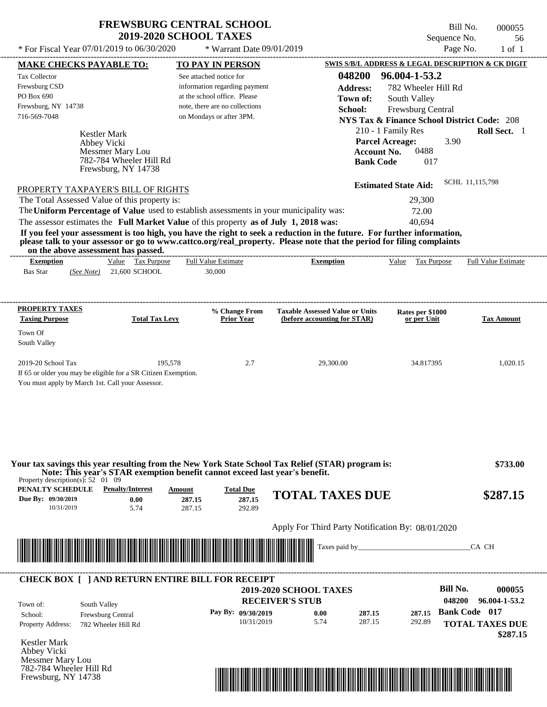\* For Fiscal Year  $07/01/2019$  to  $06/30/2020$  \* Warrant Date  $09/01/2019$  Page No. 1 of 1

\* Warrant Date 09/01/2019

Bill No. 000055 Sequence No. 56

| <b>MAKE CHECKS PAYABLE TO:</b>                          |                         |                                                                | <b>TO PAY IN PERSON</b>                                                                                                                                                                                                                          |                                      |                                                   |                 |                             |                   |                     | <b>SWIS S/B/L ADDRESS &amp; LEGAL DESCRIPTION &amp; CK DIGIT</b> |
|---------------------------------------------------------|-------------------------|----------------------------------------------------------------|--------------------------------------------------------------------------------------------------------------------------------------------------------------------------------------------------------------------------------------------------|--------------------------------------|---------------------------------------------------|-----------------|-----------------------------|-------------------|---------------------|------------------------------------------------------------------|
| <b>Tax Collector</b>                                    |                         |                                                                | See attached notice for                                                                                                                                                                                                                          |                                      |                                                   | 048200          | 96.004-1-53.2               |                   |                     |                                                                  |
| Frewsburg CSD                                           |                         |                                                                | information regarding payment                                                                                                                                                                                                                    |                                      |                                                   | <b>Address:</b> |                             |                   | 782 Wheeler Hill Rd |                                                                  |
| PO Box 690                                              |                         |                                                                | at the school office. Please                                                                                                                                                                                                                     |                                      |                                                   | Town of:        |                             | South Valley      |                     |                                                                  |
| Frewsburg, NY 14738                                     |                         |                                                                | note, there are no collections                                                                                                                                                                                                                   |                                      |                                                   | School:         |                             | Frewsburg Central |                     |                                                                  |
| 716-569-7048                                            |                         |                                                                | on Mondays or after 3PM.                                                                                                                                                                                                                         |                                      |                                                   |                 |                             |                   |                     | <b>NYS Tax &amp; Finance School District Code: 208</b>           |
|                                                         | Kestler Mark            |                                                                |                                                                                                                                                                                                                                                  |                                      |                                                   |                 | 210 - 1 Family Res          |                   |                     | Roll Sect. 1                                                     |
|                                                         | Abbey Vicki             |                                                                |                                                                                                                                                                                                                                                  |                                      |                                                   |                 | <b>Parcel Acreage:</b>      |                   | 3.90                |                                                                  |
|                                                         | <b>Messmer Mary Lou</b> |                                                                |                                                                                                                                                                                                                                                  |                                      |                                                   |                 | <b>Account No.</b>          | 0488              |                     |                                                                  |
|                                                         |                         | 782-784 Wheeler Hill Rd<br>Frewsburg, NY 14738                 |                                                                                                                                                                                                                                                  |                                      |                                                   |                 | <b>Bank Code</b>            | 017               |                     |                                                                  |
|                                                         |                         |                                                                |                                                                                                                                                                                                                                                  |                                      |                                                   |                 |                             |                   |                     | SCHL 11,115,798                                                  |
| PROPERTY TAXPAYER'S BILL OF RIGHTS                      |                         |                                                                |                                                                                                                                                                                                                                                  |                                      |                                                   |                 | <b>Estimated State Aid:</b> |                   |                     |                                                                  |
| The Total Assessed Value of this property is:           |                         |                                                                |                                                                                                                                                                                                                                                  |                                      |                                                   |                 |                             | 29,300            |                     |                                                                  |
|                                                         |                         |                                                                | The Uniform Percentage of Value used to establish assessments in your municipality was:                                                                                                                                                          |                                      |                                                   |                 |                             | 72.00             |                     |                                                                  |
|                                                         |                         |                                                                | The assessor estimates the Full Market Value of this property as of July 1, 2018 was:                                                                                                                                                            |                                      |                                                   |                 |                             | 40,694            |                     |                                                                  |
|                                                         |                         |                                                                | If you feel your assessment is too high, you have the right to seek a reduction in the future. For further information,<br>please talk to your assessor or go to www.cattco.org/real_property. Please note that the period for filing complaints |                                      |                                                   |                 |                             |                   |                     |                                                                  |
| on the above assessment has passed.<br><b>Exemption</b> |                         | Value Tax Purpose                                              | <b>Full Value Estimate</b>                                                                                                                                                                                                                       |                                      | <b>Exemption</b>                                  |                 |                             |                   |                     | Value Tax Purpose Full Value Estimate                            |
| <b>Bas Star</b>                                         |                         | (See Note) 21,600 SCHOOL                                       | 30,000                                                                                                                                                                                                                                           |                                      |                                                   |                 |                             |                   |                     |                                                                  |
|                                                         |                         |                                                                |                                                                                                                                                                                                                                                  |                                      |                                                   |                 |                             |                   |                     |                                                                  |
| <b>PROPERTY TAXES</b>                                   |                         |                                                                |                                                                                                                                                                                                                                                  | % Change From                        | <b>Taxable Assessed Value or Units</b>            |                 |                             | Rates per \$1000  |                     |                                                                  |
| <b>Taxing Purpose</b>                                   |                         | <b>Total Tax Levy</b>                                          |                                                                                                                                                                                                                                                  | <b>Prior Year</b>                    | (before accounting for STAR)                      |                 |                             | or per Unit       |                     | <b>Tax Amount</b>                                                |
| Town Of                                                 |                         |                                                                |                                                                                                                                                                                                                                                  |                                      |                                                   |                 |                             |                   |                     |                                                                  |
| South Valley                                            |                         |                                                                |                                                                                                                                                                                                                                                  |                                      |                                                   |                 |                             |                   |                     |                                                                  |
| 2019-20 School Tax                                      |                         | 195,578                                                        |                                                                                                                                                                                                                                                  | 2.7                                  | 29,300.00                                         |                 |                             | 34.817395         |                     | 1,020.15                                                         |
|                                                         |                         | If 65 or older you may be eligible for a SR Citizen Exemption. |                                                                                                                                                                                                                                                  |                                      |                                                   |                 |                             |                   |                     |                                                                  |
| You must apply by March 1st. Call your Assessor.        |                         |                                                                |                                                                                                                                                                                                                                                  |                                      |                                                   |                 |                             |                   |                     |                                                                  |
|                                                         |                         |                                                                | Your tax savings this year resulting from the New York State School Tax Relief (STAR) program is:                                                                                                                                                |                                      |                                                   |                 |                             |                   |                     | \$733.00                                                         |
| Property description(s): $52 \quad 01 \quad 09$         |                         |                                                                | Note: This year's STAR exemption benefit cannot exceed last year's benefit.                                                                                                                                                                      |                                      |                                                   |                 |                             |                   |                     |                                                                  |
| PENALTY SCHEDULE<br>Due By: 09/30/2019<br>10/31/2019    |                         | <b>Penalty/Interest</b><br>0.00<br>5.74                        | Amount<br>287.15<br>287.15                                                                                                                                                                                                                       | <b>Total Due</b><br>287.15<br>292.89 | <b>TOTAL TAXES DUE</b>                            |                 |                             |                   |                     | \$287.15                                                         |
|                                                         |                         |                                                                |                                                                                                                                                                                                                                                  |                                      | Apply For Third Party Notification By: 08/01/2020 |                 |                             |                   |                     |                                                                  |
|                                                         |                         |                                                                |                                                                                                                                                                                                                                                  |                                      |                                                   | Taxes paid by   |                             |                   |                     | CA CH                                                            |
|                                                         |                         |                                                                | <u> Indian American State of Barbara and The Barbara and The Barbara and The Barbara and The Barbara and The Barba</u>                                                                                                                           |                                      |                                                   |                 |                             |                   |                     |                                                                  |
|                                                         |                         |                                                                | <b>CHECK BOX [ ] AND RETURN ENTIRE BILL FOR RECEIPT</b>                                                                                                                                                                                          |                                      |                                                   |                 |                             |                   |                     |                                                                  |
|                                                         |                         |                                                                |                                                                                                                                                                                                                                                  |                                      | <b>2019-2020 SCHOOL TAXES</b>                     |                 |                             |                   | <b>Bill No.</b>     | 000055                                                           |
| Town of:                                                | South Valley            |                                                                |                                                                                                                                                                                                                                                  |                                      | <b>RECEIVER'S STUB</b>                            |                 |                             |                   | 048200              | 96.004-1-53.2                                                    |
| School:                                                 | Frewsburg Central       |                                                                |                                                                                                                                                                                                                                                  | Pay By: 09/30/2019                   | 0.00                                              | 287.15          |                             | 287.15            |                     | <b>Bank Code 017</b>                                             |
| Property Address:                                       | 782 Wheeler Hill Rd     |                                                                |                                                                                                                                                                                                                                                  | 10/31/2019                           | 5.74                                              | 287.15          |                             | 292.89            |                     | <b>TOTAL TAXES DUE</b>                                           |
|                                                         |                         |                                                                |                                                                                                                                                                                                                                                  |                                      |                                                   |                 |                             |                   |                     | \$287.15                                                         |
| <b>Kestler Mark</b><br>Abbey Vicki<br>Messmer Mary Lou  |                         |                                                                |                                                                                                                                                                                                                                                  |                                      |                                                   |                 |                             |                   |                     |                                                                  |

782-784 Wheeler Hill Rd Frewsburg, NY 14738

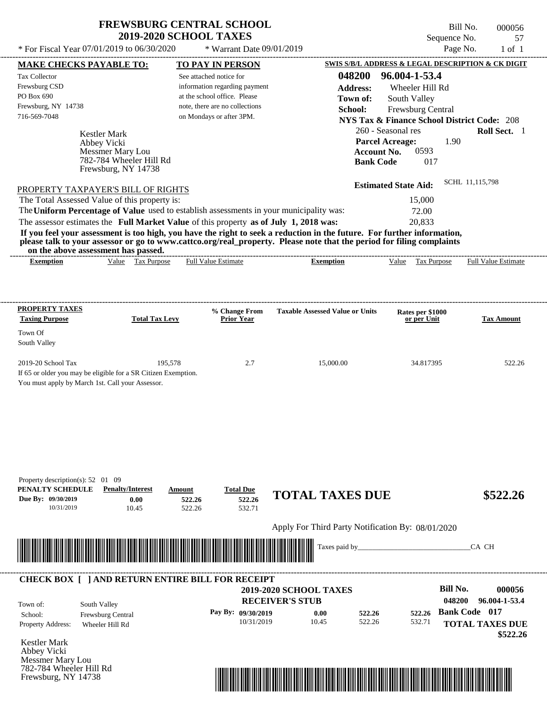Frewsburg, NY 14738

Bill No. 000056 Sequence No. 57<br>Page No. 1 of 1

| * For Fiscal Year 07/01/2019 to 06/30/2020                                                                                                                   |                                                |                            | * Warrant Date 09/01/2019                                      |                                                   |                  |                                                                              | Page No.             | $1$ of $1$                 |
|--------------------------------------------------------------------------------------------------------------------------------------------------------------|------------------------------------------------|----------------------------|----------------------------------------------------------------|---------------------------------------------------|------------------|------------------------------------------------------------------------------|----------------------|----------------------------|
| <b>MAKE CHECKS PAYABLE TO:</b>                                                                                                                               |                                                |                            | <b>TO PAY IN PERSON</b>                                        |                                                   |                  | SWIS S/B/L ADDRESS & LEGAL DESCRIPTION & CK DIGIT                            |                      |                            |
| Tax Collector                                                                                                                                                |                                                | See attached notice for    |                                                                |                                                   | 048200           | 96.004-1-53.4                                                                |                      |                            |
| Frewsburg CSD                                                                                                                                                |                                                |                            | information regarding payment                                  |                                                   | <b>Address:</b>  | Wheeler Hill Rd                                                              |                      |                            |
| PO Box 690<br>Frewsburg, NY 14738                                                                                                                            |                                                |                            | at the school office. Please<br>note, there are no collections |                                                   | Town of:         | South Valley                                                                 |                      |                            |
| 716-569-7048                                                                                                                                                 |                                                |                            | on Mondays or after 3PM.                                       |                                                   | School:          | Frewsburg Central                                                            |                      |                            |
|                                                                                                                                                              |                                                |                            |                                                                |                                                   |                  | <b>NYS Tax &amp; Finance School District Code: 208</b><br>260 - Seasonal res |                      | Roll Sect. 1               |
| <b>Kestler Mark</b>                                                                                                                                          |                                                |                            |                                                                |                                                   |                  | <b>Parcel Acreage:</b>                                                       | 1.90                 |                            |
| Abbey Vicki                                                                                                                                                  | Messmer Mary Lou                               |                            |                                                                |                                                   |                  | 0593<br>Account No.                                                          |                      |                            |
|                                                                                                                                                              | 782-784 Wheeler Hill Rd<br>Frewsburg, NY 14738 |                            |                                                                |                                                   | <b>Bank Code</b> | 017                                                                          |                      |                            |
| PROPERTY TAXPAYER'S BILL OF RIGHTS                                                                                                                           |                                                |                            |                                                                |                                                   |                  | <b>Estimated State Aid:</b>                                                  | SCHL 11,115,798      |                            |
| The Total Assessed Value of this property is:                                                                                                                |                                                |                            |                                                                |                                                   |                  | 15,000                                                                       |                      |                            |
| The Uniform Percentage of Value used to establish assessments in your municipality was:                                                                      |                                                |                            |                                                                |                                                   |                  | 72.00                                                                        |                      |                            |
| The assessor estimates the Full Market Value of this property as of July 1, 2018 was:                                                                        |                                                |                            |                                                                |                                                   |                  | 20,833                                                                       |                      |                            |
| If you feel your assessment is too high, you have the right to seek a reduction in the future. For further information,                                      |                                                |                            |                                                                |                                                   |                  |                                                                              |                      |                            |
| please talk to your assessor or go to www.cattco.org/real_property. Please note that the period for filing complaints<br>on the above assessment has passed. |                                                |                            |                                                                |                                                   |                  |                                                                              |                      |                            |
| <b>Exemption</b>                                                                                                                                             | Value Tax Purpose                              | <b>Full Value Estimate</b> |                                                                | <b>Exemption</b>                                  |                  | Value Tax Purpose                                                            |                      | <b>Full Value Estimate</b> |
|                                                                                                                                                              |                                                |                            |                                                                |                                                   |                  |                                                                              |                      |                            |
|                                                                                                                                                              |                                                |                            |                                                                |                                                   |                  |                                                                              |                      |                            |
|                                                                                                                                                              |                                                |                            |                                                                |                                                   |                  |                                                                              |                      |                            |
| <b>PROPERTY TAXES</b>                                                                                                                                        |                                                |                            | % Change From                                                  | <b>Taxable Assessed Value or Units</b>            |                  | Rates per \$1000                                                             |                      |                            |
| <b>Taxing Purpose</b>                                                                                                                                        | <b>Total Tax Levy</b>                          |                            | <b>Prior Year</b>                                              |                                                   |                  | or per Unit                                                                  |                      | <b>Tax Amount</b>          |
| Town Of                                                                                                                                                      |                                                |                            |                                                                |                                                   |                  |                                                                              |                      |                            |
| South Valley                                                                                                                                                 |                                                |                            |                                                                |                                                   |                  |                                                                              |                      |                            |
| 2019-20 School Tax                                                                                                                                           | 195,578                                        |                            | 2.7                                                            | 15,000.00                                         |                  | 34.817395                                                                    |                      | 522.26                     |
| If 65 or older you may be eligible for a SR Citizen Exemption.                                                                                               |                                                |                            |                                                                |                                                   |                  |                                                                              |                      |                            |
| You must apply by March 1st. Call your Assessor.                                                                                                             |                                                |                            |                                                                |                                                   |                  |                                                                              |                      |                            |
|                                                                                                                                                              |                                                |                            |                                                                |                                                   |                  |                                                                              |                      |                            |
|                                                                                                                                                              |                                                |                            |                                                                |                                                   |                  |                                                                              |                      |                            |
|                                                                                                                                                              |                                                |                            |                                                                |                                                   |                  |                                                                              |                      |                            |
|                                                                                                                                                              |                                                |                            |                                                                |                                                   |                  |                                                                              |                      |                            |
|                                                                                                                                                              |                                                |                            |                                                                |                                                   |                  |                                                                              |                      |                            |
|                                                                                                                                                              |                                                |                            |                                                                |                                                   |                  |                                                                              |                      |                            |
|                                                                                                                                                              |                                                |                            |                                                                |                                                   |                  |                                                                              |                      |                            |
| Property description(s): $52 \quad 01 \quad 09$                                                                                                              |                                                |                            |                                                                |                                                   |                  |                                                                              |                      |                            |
| PENALTY SCHEDULE                                                                                                                                             | <b>Penalty/Interest</b>                        | Amount                     | <b>Total Due</b>                                               | <b>TOTAL TAXES DUE</b>                            |                  |                                                                              |                      | \$522.26                   |
| Due By: 09/30/2019<br>10/31/2019                                                                                                                             | 0.00<br>10.45                                  | 522.26<br>522.26           | 522.26<br>532.71                                               |                                                   |                  |                                                                              |                      |                            |
|                                                                                                                                                              |                                                |                            |                                                                |                                                   |                  |                                                                              |                      |                            |
|                                                                                                                                                              |                                                |                            |                                                                | Apply For Third Party Notification By: 08/01/2020 |                  |                                                                              |                      |                            |
|                                                                                                                                                              |                                                |                            |                                                                | Taxes paid by                                     |                  |                                                                              |                      | CA CH                      |
|                                                                                                                                                              |                                                |                            |                                                                |                                                   |                  |                                                                              |                      |                            |
|                                                                                                                                                              |                                                |                            |                                                                |                                                   |                  |                                                                              |                      |                            |
| <b>CHECK BOX [ ] AND RETURN ENTIRE BILL FOR RECEIPT</b>                                                                                                      |                                                |                            |                                                                |                                                   |                  |                                                                              |                      |                            |
|                                                                                                                                                              |                                                |                            |                                                                | 2019-2020 SCHOOL TAXES                            |                  |                                                                              | <b>Bill No.</b>      | 000056                     |
| South Valley<br>Town of:                                                                                                                                     |                                                |                            |                                                                | <b>RECEIVER'S STUB</b>                            |                  |                                                                              | 048200               | 96.004-1-53.4              |
| School:                                                                                                                                                      | Frewsburg Central                              |                            | Pay By: 09/30/2019                                             | 0.00                                              | 522.26           | 522.26                                                                       | <b>Bank Code 017</b> |                            |
| Property Address:<br>Wheeler Hill Rd                                                                                                                         |                                                |                            | 10/31/2019                                                     | 10.45                                             | 522.26           | 532.71                                                                       |                      | <b>TOTAL TAXES DUE</b>     |
|                                                                                                                                                              |                                                |                            |                                                                |                                                   |                  |                                                                              |                      | \$522.26                   |
| Kestler Mark                                                                                                                                                 |                                                |                            |                                                                |                                                   |                  |                                                                              |                      |                            |
| Abbey Vicki                                                                                                                                                  |                                                |                            |                                                                |                                                   |                  |                                                                              |                      |                            |
| Messmer Mary Lou<br>782-784 Wheeler Hill Rd                                                                                                                  |                                                |                            |                                                                |                                                   |                  |                                                                              |                      |                            |
|                                                                                                                                                              |                                                |                            |                                                                |                                                   |                  |                                                                              |                      |                            |

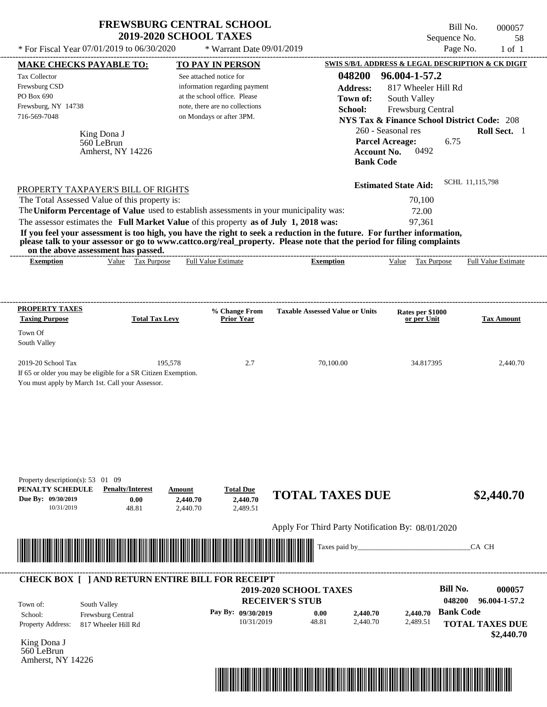| Page No.<br>* For Fiscal Year 07/01/2019 to 06/30/2020<br>* Warrant Date 09/01/2019<br>SWIS S/B/L ADDRESS & LEGAL DESCRIPTION & CK DIGIT<br>TO PAY IN PERSON<br><b>MAKE CHECKS PAYABLE TO:</b><br>048200<br>96.004-1-57.2<br><b>Tax Collector</b><br>See attached notice for<br>Frewsburg CSD<br>information regarding payment<br><b>Address:</b><br>817 Wheeler Hill Rd<br>PO Box 690<br>at the school office. Please<br>South Valley<br>Town of:<br>Frewsburg, NY 14738<br>note, there are no collections<br>Frewsburg Central<br>School:<br>716-569-7048<br>on Mondays or after 3PM.<br><b>NYS Tax &amp; Finance School District Code: 208</b><br>260 - Seasonal res<br>Roll Sect. 1<br>King Dona J<br>6.75<br><b>Parcel Acreage:</b><br>560 LeBrun<br>0492<br><b>Account No.</b><br>Amherst, NY 14226<br><b>Bank Code</b><br>SCHL 11,115,798<br><b>Estimated State Aid:</b><br>PROPERTY TAXPAYER'S BILL OF RIGHTS<br>The Total Assessed Value of this property is:<br>70,100<br>The Uniform Percentage of Value used to establish assessments in your municipality was:<br>72.00<br>The assessor estimates the Full Market Value of this property as of July 1, 2018 was:<br>97,361<br>If you feel your assessment is too high, you have the right to seek a reduction in the future. For further information,<br>please talk to your assessor or go to www.cattco.org/real_property. Please note that the period for filing complaints<br>on the above assessment has passed.<br>Value Tax Purpose<br><b>Full Value Estimate</b><br><b>Exemption</b><br>Value Tax Purpose<br><b>Full Value Estimate</b><br><b>Exemption</b><br><b>PROPERTY TAXES</b><br>% Change From<br><b>Taxable Assessed Value or Units</b><br>Rates per \$1000<br><b>Taxing Purpose</b><br><b>Total Tax Levy</b><br><b>Prior Year</b><br>or per Unit<br><b>Tax Amount</b><br>Town Of |              | <b>2019-2020 SCHOOL TAXES</b> | Sequence No. | 58         |
|----------------------------------------------------------------------------------------------------------------------------------------------------------------------------------------------------------------------------------------------------------------------------------------------------------------------------------------------------------------------------------------------------------------------------------------------------------------------------------------------------------------------------------------------------------------------------------------------------------------------------------------------------------------------------------------------------------------------------------------------------------------------------------------------------------------------------------------------------------------------------------------------------------------------------------------------------------------------------------------------------------------------------------------------------------------------------------------------------------------------------------------------------------------------------------------------------------------------------------------------------------------------------------------------------------------------------------------------------------------------------------------------------------------------------------------------------------------------------------------------------------------------------------------------------------------------------------------------------------------------------------------------------------------------------------------------------------------------------------------------------------------------------------------------------------------------------------------------------------------|--------------|-------------------------------|--------------|------------|
|                                                                                                                                                                                                                                                                                                                                                                                                                                                                                                                                                                                                                                                                                                                                                                                                                                                                                                                                                                                                                                                                                                                                                                                                                                                                                                                                                                                                                                                                                                                                                                                                                                                                                                                                                                                                                                                                |              |                               |              | $1$ of $1$ |
|                                                                                                                                                                                                                                                                                                                                                                                                                                                                                                                                                                                                                                                                                                                                                                                                                                                                                                                                                                                                                                                                                                                                                                                                                                                                                                                                                                                                                                                                                                                                                                                                                                                                                                                                                                                                                                                                |              |                               |              |            |
|                                                                                                                                                                                                                                                                                                                                                                                                                                                                                                                                                                                                                                                                                                                                                                                                                                                                                                                                                                                                                                                                                                                                                                                                                                                                                                                                                                                                                                                                                                                                                                                                                                                                                                                                                                                                                                                                |              |                               |              |            |
|                                                                                                                                                                                                                                                                                                                                                                                                                                                                                                                                                                                                                                                                                                                                                                                                                                                                                                                                                                                                                                                                                                                                                                                                                                                                                                                                                                                                                                                                                                                                                                                                                                                                                                                                                                                                                                                                |              |                               |              |            |
|                                                                                                                                                                                                                                                                                                                                                                                                                                                                                                                                                                                                                                                                                                                                                                                                                                                                                                                                                                                                                                                                                                                                                                                                                                                                                                                                                                                                                                                                                                                                                                                                                                                                                                                                                                                                                                                                |              |                               |              |            |
|                                                                                                                                                                                                                                                                                                                                                                                                                                                                                                                                                                                                                                                                                                                                                                                                                                                                                                                                                                                                                                                                                                                                                                                                                                                                                                                                                                                                                                                                                                                                                                                                                                                                                                                                                                                                                                                                |              |                               |              |            |
|                                                                                                                                                                                                                                                                                                                                                                                                                                                                                                                                                                                                                                                                                                                                                                                                                                                                                                                                                                                                                                                                                                                                                                                                                                                                                                                                                                                                                                                                                                                                                                                                                                                                                                                                                                                                                                                                |              |                               |              |            |
|                                                                                                                                                                                                                                                                                                                                                                                                                                                                                                                                                                                                                                                                                                                                                                                                                                                                                                                                                                                                                                                                                                                                                                                                                                                                                                                                                                                                                                                                                                                                                                                                                                                                                                                                                                                                                                                                |              |                               |              |            |
|                                                                                                                                                                                                                                                                                                                                                                                                                                                                                                                                                                                                                                                                                                                                                                                                                                                                                                                                                                                                                                                                                                                                                                                                                                                                                                                                                                                                                                                                                                                                                                                                                                                                                                                                                                                                                                                                |              |                               |              |            |
|                                                                                                                                                                                                                                                                                                                                                                                                                                                                                                                                                                                                                                                                                                                                                                                                                                                                                                                                                                                                                                                                                                                                                                                                                                                                                                                                                                                                                                                                                                                                                                                                                                                                                                                                                                                                                                                                |              |                               |              |            |
|                                                                                                                                                                                                                                                                                                                                                                                                                                                                                                                                                                                                                                                                                                                                                                                                                                                                                                                                                                                                                                                                                                                                                                                                                                                                                                                                                                                                                                                                                                                                                                                                                                                                                                                                                                                                                                                                |              |                               |              |            |
|                                                                                                                                                                                                                                                                                                                                                                                                                                                                                                                                                                                                                                                                                                                                                                                                                                                                                                                                                                                                                                                                                                                                                                                                                                                                                                                                                                                                                                                                                                                                                                                                                                                                                                                                                                                                                                                                |              |                               |              |            |
|                                                                                                                                                                                                                                                                                                                                                                                                                                                                                                                                                                                                                                                                                                                                                                                                                                                                                                                                                                                                                                                                                                                                                                                                                                                                                                                                                                                                                                                                                                                                                                                                                                                                                                                                                                                                                                                                |              |                               |              |            |
|                                                                                                                                                                                                                                                                                                                                                                                                                                                                                                                                                                                                                                                                                                                                                                                                                                                                                                                                                                                                                                                                                                                                                                                                                                                                                                                                                                                                                                                                                                                                                                                                                                                                                                                                                                                                                                                                |              |                               |              |            |
|                                                                                                                                                                                                                                                                                                                                                                                                                                                                                                                                                                                                                                                                                                                                                                                                                                                                                                                                                                                                                                                                                                                                                                                                                                                                                                                                                                                                                                                                                                                                                                                                                                                                                                                                                                                                                                                                |              |                               |              |            |
|                                                                                                                                                                                                                                                                                                                                                                                                                                                                                                                                                                                                                                                                                                                                                                                                                                                                                                                                                                                                                                                                                                                                                                                                                                                                                                                                                                                                                                                                                                                                                                                                                                                                                                                                                                                                                                                                |              |                               |              |            |
|                                                                                                                                                                                                                                                                                                                                                                                                                                                                                                                                                                                                                                                                                                                                                                                                                                                                                                                                                                                                                                                                                                                                                                                                                                                                                                                                                                                                                                                                                                                                                                                                                                                                                                                                                                                                                                                                |              |                               |              |            |
|                                                                                                                                                                                                                                                                                                                                                                                                                                                                                                                                                                                                                                                                                                                                                                                                                                                                                                                                                                                                                                                                                                                                                                                                                                                                                                                                                                                                                                                                                                                                                                                                                                                                                                                                                                                                                                                                |              |                               |              |            |
|                                                                                                                                                                                                                                                                                                                                                                                                                                                                                                                                                                                                                                                                                                                                                                                                                                                                                                                                                                                                                                                                                                                                                                                                                                                                                                                                                                                                                                                                                                                                                                                                                                                                                                                                                                                                                                                                |              |                               |              |            |
| 2019-20 School Tax<br>195.578<br>70,100.00<br>2.7<br>34.817395                                                                                                                                                                                                                                                                                                                                                                                                                                                                                                                                                                                                                                                                                                                                                                                                                                                                                                                                                                                                                                                                                                                                                                                                                                                                                                                                                                                                                                                                                                                                                                                                                                                                                                                                                                                                 | South Valley |                               |              |            |
| If 65 or older you may be eligible for a SR Citizen Exemption.                                                                                                                                                                                                                                                                                                                                                                                                                                                                                                                                                                                                                                                                                                                                                                                                                                                                                                                                                                                                                                                                                                                                                                                                                                                                                                                                                                                                                                                                                                                                                                                                                                                                                                                                                                                                 |              |                               |              |            |
| You must apply by March 1st. Call your Assessor.                                                                                                                                                                                                                                                                                                                                                                                                                                                                                                                                                                                                                                                                                                                                                                                                                                                                                                                                                                                                                                                                                                                                                                                                                                                                                                                                                                                                                                                                                                                                                                                                                                                                                                                                                                                                               |              |                               |              |            |
|                                                                                                                                                                                                                                                                                                                                                                                                                                                                                                                                                                                                                                                                                                                                                                                                                                                                                                                                                                                                                                                                                                                                                                                                                                                                                                                                                                                                                                                                                                                                                                                                                                                                                                                                                                                                                                                                |              |                               |              | 2,440.70   |

| PENALTY SCHEDULE<br>Due By: 09/30/2019<br>10/31/2019 | <b>Penalty/Interest</b><br>0.00<br>48.81                 | Amount<br>2,440.70<br>2,440.70  | <b>Total Due</b><br>2,440.70<br>2,489.51 | <b>TOTAL TAXES DUE</b>                                  |                      |                      | \$2,440.70                                               |
|------------------------------------------------------|----------------------------------------------------------|---------------------------------|------------------------------------------|---------------------------------------------------------|----------------------|----------------------|----------------------------------------------------------|
|                                                      |                                                          |                                 |                                          | Apply For Third Party Notification By: 08/01/2020       |                      |                      |                                                          |
|                                                      |                                                          | <u> Harry Harry Harry Harry</u> |                                          | Taxes paid by_                                          |                      |                      | CA CH                                                    |
|                                                      | <b>CHECK BOX [ ] AND RETURN ENTIRE BILL FOR RECEIPT</b>  |                                 |                                          | <b>2019-2020 SCHOOL TAXES</b><br><b>RECEIVER'S STUB</b> |                      |                      | <b>Bill No.</b><br>000057<br>048200<br>96.004-1-57.2     |
| Town of:<br>School:<br>Property Address:             | South Valley<br>Frewsburg Central<br>817 Wheeler Hill Rd |                                 | Pay By: 09/30/2019<br>10/31/2019         | 0.00<br>48.81                                           | 2,440.70<br>2,440.70 | 2,440.70<br>2,489.51 | <b>Bank Code</b><br><b>TOTAL TAXES DUE</b><br>\$2,440.70 |
| King Dona J<br>560 LeBrun<br>Amherst, NY 14226       |                                                          |                                 |                                          |                                                         |                      |                      |                                                          |
|                                                      |                                                          |                                 |                                          | Ⅲ                                                       |                      |                      |                                                          |

Property description(s): 53 01 09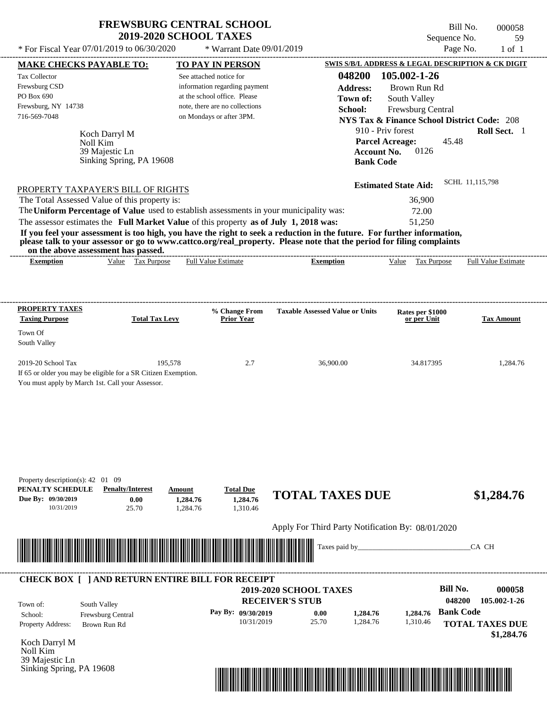$*$  For Fiscal Year 07/01/2019 to 06/30/2020

 $*$  Warrant Date  $09/01/2019$ 

Bill No. 000058 Sequence No. 59<br>Page No. 1 of 1

| <b>MAKE CHECKS PAYABLE TO:</b>                                                                                                   |                                   |                       |          | <b>TO PAY IN PERSON</b>          |                                                                                                                         |                             | SWIS S/B/L ADDRESS & LEGAL DESCRIPTION & CK DIGIT      |
|----------------------------------------------------------------------------------------------------------------------------------|-----------------------------------|-----------------------|----------|----------------------------------|-------------------------------------------------------------------------------------------------------------------------|-----------------------------|--------------------------------------------------------|
| Tax Collector                                                                                                                    |                                   |                       |          | See attached notice for          | 048200                                                                                                                  | 105.002-1-26                |                                                        |
| Frewsburg CSD                                                                                                                    |                                   |                       |          | information regarding payment    | <b>Address:</b>                                                                                                         | Brown Run Rd                |                                                        |
| PO Box 690                                                                                                                       |                                   |                       |          | at the school office. Please     | Town of:                                                                                                                | South Valley                |                                                        |
| Frewsburg, NY 14738                                                                                                              |                                   |                       |          | note, there are no collections   | School:                                                                                                                 | Frewsburg Central           |                                                        |
| 716-569-7048                                                                                                                     |                                   |                       |          | on Mondays or after 3PM.         |                                                                                                                         |                             | <b>NYS Tax &amp; Finance School District Code: 208</b> |
|                                                                                                                                  |                                   |                       |          |                                  |                                                                                                                         | 910 - Priv forest           | Roll Sect. 1                                           |
|                                                                                                                                  | Koch Darryl M<br>Noll Kim         |                       |          |                                  |                                                                                                                         | <b>Parcel Acreage:</b>      | 45.48                                                  |
|                                                                                                                                  | 39 Majestic Ln                    |                       |          |                                  |                                                                                                                         | Account No.<br>0126         |                                                        |
|                                                                                                                                  | Sinking Spring, PA 19608          |                       |          |                                  |                                                                                                                         | <b>Bank Code</b>            |                                                        |
|                                                                                                                                  |                                   |                       |          |                                  |                                                                                                                         |                             |                                                        |
| PROPERTY TAXPAYER'S BILL OF RIGHTS                                                                                               |                                   |                       |          |                                  |                                                                                                                         | <b>Estimated State Aid:</b> | SCHL 11,115,798                                        |
| The Total Assessed Value of this property is:                                                                                    |                                   |                       |          |                                  |                                                                                                                         | 36,900                      |                                                        |
|                                                                                                                                  |                                   |                       |          |                                  | The Uniform Percentage of Value used to establish assessments in your municipality was:                                 | 72.00                       |                                                        |
|                                                                                                                                  |                                   |                       |          |                                  | The assessor estimates the Full Market Value of this property as of July 1, 2018 was:                                   | 51,250                      |                                                        |
|                                                                                                                                  |                                   |                       |          |                                  | If you feel your assessment is too high, you have the right to seek a reduction in the future. For further information, |                             |                                                        |
|                                                                                                                                  |                                   |                       |          |                                  | please talk to your assessor or go to www.cattco.org/real_property. Please note that the period for filing complaints   |                             |                                                        |
| on the above assessment has passed.                                                                                              |                                   |                       |          | -------------------------------- |                                                                                                                         |                             |                                                        |
| <b>Exemption</b>                                                                                                                 |                                   | Value Tax Purpose     |          | <b>Full Value Estimate</b>       | <b>Exemption</b>                                                                                                        | Value Tax Purpose           | <b>Full Value Estimate</b>                             |
|                                                                                                                                  |                                   |                       |          |                                  |                                                                                                                         |                             |                                                        |
|                                                                                                                                  |                                   |                       |          |                                  |                                                                                                                         |                             |                                                        |
| <b>PROPERTY TAXES</b>                                                                                                            |                                   |                       |          | % Change From                    | <b>Taxable Assessed Value or Units</b>                                                                                  | Rates per \$1000            |                                                        |
| <b>Taxing Purpose</b>                                                                                                            |                                   | <b>Total Tax Levy</b> |          | <b>Prior Year</b>                |                                                                                                                         | or per Unit                 | <b>Tax Amount</b>                                      |
| Town Of                                                                                                                          |                                   |                       |          |                                  |                                                                                                                         |                             |                                                        |
| South Valley                                                                                                                     |                                   |                       |          |                                  |                                                                                                                         |                             |                                                        |
|                                                                                                                                  |                                   |                       |          |                                  |                                                                                                                         |                             |                                                        |
| 2019-20 School Tax                                                                                                               |                                   |                       | 195,578  | 2.7                              | 36,900.00                                                                                                               | 34.817395                   | 1,284.76                                               |
| If 65 or older you may be eligible for a SR Citizen Exemption.<br>You must apply by March 1st. Call your Assessor.               |                                   |                       |          |                                  |                                                                                                                         |                             |                                                        |
|                                                                                                                                  |                                   |                       |          |                                  |                                                                                                                         |                             |                                                        |
|                                                                                                                                  |                                   |                       |          |                                  |                                                                                                                         |                             |                                                        |
|                                                                                                                                  |                                   |                       |          |                                  |                                                                                                                         |                             |                                                        |
|                                                                                                                                  |                                   |                       |          |                                  |                                                                                                                         |                             |                                                        |
|                                                                                                                                  |                                   |                       |          |                                  |                                                                                                                         |                             |                                                        |
|                                                                                                                                  |                                   |                       |          |                                  |                                                                                                                         |                             |                                                        |
|                                                                                                                                  |                                   |                       |          |                                  |                                                                                                                         |                             |                                                        |
|                                                                                                                                  |                                   |                       |          |                                  |                                                                                                                         |                             |                                                        |
| Property description(s): $42 \quad 01 \quad 09$<br>PENALTY SCHEDULE                                                              | <b>Penalty/Interest</b>           |                       | Amount   | <b>Total Due</b>                 |                                                                                                                         |                             |                                                        |
| Due By: 09/30/2019                                                                                                               |                                   | 0.00                  | 1,284.76 | 1,284.76                         | <b>TOTAL TAXES DUE</b>                                                                                                  |                             | \$1,284.76                                             |
| 10/31/2019                                                                                                                       |                                   | 25.70                 | 1,284.76 | 1,310.46                         |                                                                                                                         |                             |                                                        |
|                                                                                                                                  |                                   |                       |          |                                  |                                                                                                                         |                             |                                                        |
|                                                                                                                                  |                                   |                       |          |                                  | Apply For Third Party Notification By: 08/01/2020                                                                       |                             |                                                        |
|                                                                                                                                  |                                   |                       |          |                                  | Taxes paid by_                                                                                                          |                             | CA CH                                                  |
|                                                                                                                                  |                                   |                       |          |                                  |                                                                                                                         |                             |                                                        |
|                                                                                                                                  |                                   |                       |          |                                  |                                                                                                                         |                             |                                                        |
|                                                                                                                                  |                                   |                       |          |                                  |                                                                                                                         |                             |                                                        |
|                                                                                                                                  |                                   |                       |          |                                  | 2019-2020 SCHOOL TAXES                                                                                                  |                             | <b>Bill No.</b><br>000058                              |
|                                                                                                                                  |                                   |                       |          |                                  | <b>RECEIVER'S STUB</b>                                                                                                  |                             | 048200<br>105.002-1-26                                 |
|                                                                                                                                  |                                   |                       |          |                                  |                                                                                                                         |                             |                                                        |
|                                                                                                                                  | South Valley<br>Frewsburg Central |                       |          | Pay By: 09/30/2019               | 1,284.76<br>0.00                                                                                                        | 1,284.76                    | <b>Bank Code</b>                                       |
|                                                                                                                                  | Brown Run Rd                      |                       |          | 10/31/2019                       | 25.70<br>1,284.76                                                                                                       | 1,310.46                    | <b>TOTAL TAXES DUE</b>                                 |
|                                                                                                                                  |                                   |                       |          |                                  |                                                                                                                         |                             | \$1,284.76                                             |
|                                                                                                                                  |                                   |                       |          |                                  |                                                                                                                         |                             |                                                        |
| <b>CHECK BOX [ ] AND RETURN ENTIRE BILL FOR RECEIPT</b><br>Town of:<br>School:<br>Property Address:<br>Koch Darryl M<br>Noll Kim |                                   |                       |          |                                  |                                                                                                                         |                             |                                                        |
| 39 Majestic Ln<br>Sinking Spring, PA 19608                                                                                       |                                   |                       |          |                                  |                                                                                                                         |                             |                                                        |

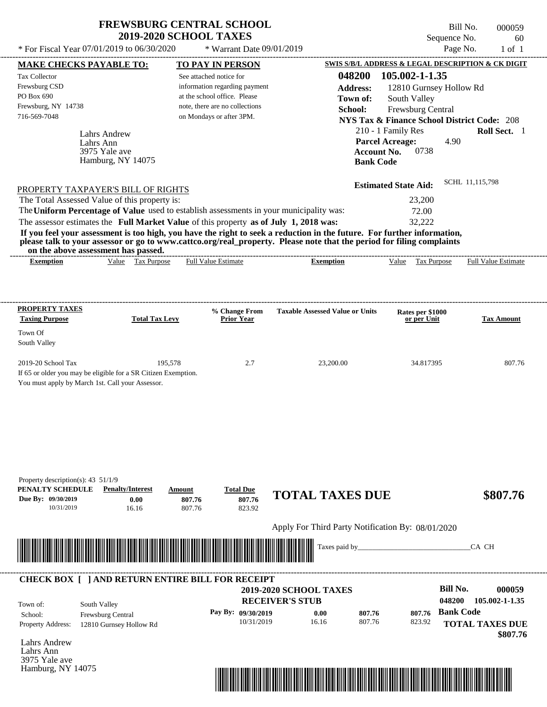\* Warrant Date 09/01/2019

Bill No. 000059 Sequence No. 60

---------------------------------------------------------------------------------------------------------------------------------------------------------------------------------------------------- Lahrs Andrew If 65 or older you may be eligible for a SR Citizen Exemption. You must apply by March 1st. Call your Assessor. \* For Fiscal Year  $07/01/2019$  to  $06/30/2020$  \* Warrant Date  $09/01/2019$  Page No. 1 of 1 **MAKE CHECKS PAYABLE TO: TO PAY IN PERSON SWIS S/B/L ADDRESS & LEGAL DESCRIPTION & CK DIGIT 048200 105.002-1-1.35 Address:** 12810 Gurnsey Hollow Rd South Valley **School:** Frewsburg Central **NYS Tax & Finance School District Code:** 208 210 - 1 Family Res **Roll Sect.** 1 4.90 **Account No.** 0738 **Bank Code Estimated State Aid:** SCHL 11,115,798 PROPERTY TAXPAYER'S BILL OF RIGHTS The assessor estimates the **Full Market Value** of this property **as of July 1, 2018 was:** 32,222 The Total Assessed Value of this property is: 23,200 The **Uniform Percentage of Value** used to establish assessments in your municipality was: 72.00 **If you feel your assessment is too high, you have the right to seek a reduction in the future. For further information, please talk to your assessor or go to www.cattco.org/real\_property. Please note that the period for filing complaints on the above assessment has passed. Exemption** Value Tax Purpose **PROPERTY TAXES Taxing Purpose Total Tax Levy Prior Year % Change From Taxable Assessed Value or Units or per Unit Rates per \$1000 Tax Amount PENALTY SCHEDULE Penalty/Interest Amount Total Due Due By: 09/30/2019** 10/31/2019 16.16 **0.00** 807.76 **807.76** 823.92 **807.76 TOTAL TAXES DUE \$807.76** Apply For Third Party Notification By: 08/01/2020 **RECEIVER'S STUB Bill No. 000059 Bank Code** Property Address: 12810 Gurnsey Hollow Rd South Valley School: Frewsburg Central **TOTAL TAXES DUE \$807.76** See attached notice for information regarding payment at the school office. Please note, there are no collections Tax Collector Frewsburg CSD PO Box 690 Frewsburg, NY 14738  **2019-2020 SCHOOL TAXES** 716-569-7048 on Mondays or after 3PM. **Parcel Acreage:** Town Of South Valley 2019-20 School Tax 195,578 2.7 23,200.00 34.817395 807.76 **048200 105.002-1-1.35 Pay By: 09/30/2019** 10/31/2019 16.16 **0.00** 807.76 **807.76** 823.92 **807.76** Lahrs Ann Full Value Estimate Taxes paid by\_\_\_\_\_\_\_\_\_\_\_\_\_\_\_\_\_\_\_\_\_\_\_\_\_\_\_\_\_\_\_CA CH ---------------------------------------------------------------------------------------------------------------------------------------------------------------------------------------------------- ---------------------------------------------------------------------------------------------------------------------------------------------------------------------------------------------------- Property description(s): 43 51/1/9 Town of: **Town of:** 3975 Yale ave Hamburg, NY 14075 **Exemption** Value Tax Purpose Full Value Estimate ---------------------------------------------------------------------------------------------------------------------------------------------------------------------------------------------------- **CHECK BOX [ ] AND RETURN ENTIRE BILL FOR RECEIPT** \*04820000005900000000080776\*

Lahrs Andrew Lahrs Ann 3975 Yale ave Hamburg, NY 14075

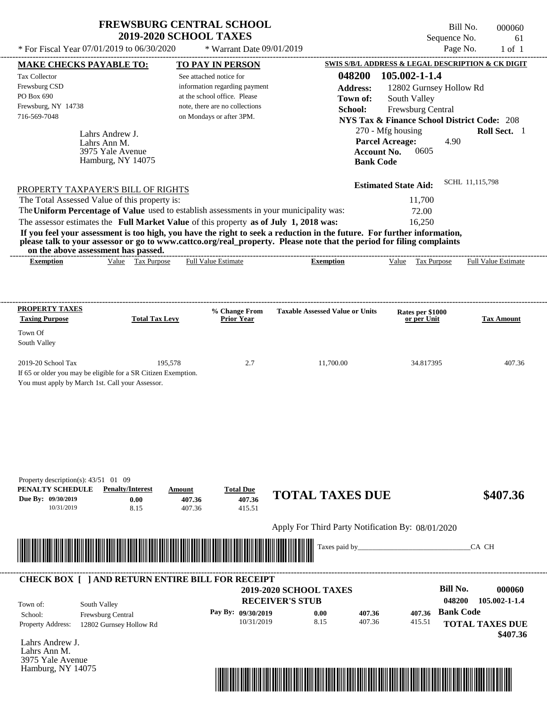\* Warrant Date 09/01/2019

Bill No. 000060 Sequence No. 61

---------------------------------------------------------------------------------------------------------------------------------------------------------------------------------------------------- Lahrs Andrew J. If 65 or older you may be eligible for a SR Citizen Exemption. You must apply by March 1st. Call your Assessor. \* For Fiscal Year  $07/01/2019$  to  $06/30/2020$  \* Warrant Date  $09/01/2019$  Page No. 1 of 1 **MAKE CHECKS PAYABLE TO: TO PAY IN PERSON SWIS S/B/L ADDRESS & LEGAL DESCRIPTION & CK DIGIT 048200 105.002-1-1.4 Address:** 12802 Gurnsey Hollow Rd South Valley **School:** Frewsburg Central **NYS Tax & Finance School District Code:** 208 270 - Mfg housing **Roll Sect.** 1 4.90 **Account No. 0605 Bank Code Estimated State Aid:** SCHL 11,115,798 PROPERTY TAXPAYER'S BILL OF RIGHTS The assessor estimates the **Full Market Value** of this property **as of July 1, 2018 was:** 16,250 The Total Assessed Value of this property is: 11,700 The **Uniform Percentage of Value** used to establish assessments in your municipality was: 72.00 **If you feel your assessment is too high, you have the right to seek a reduction in the future. For further information, please talk to your assessor or go to www.cattco.org/real\_property. Please note that the period for filing complaints on the above assessment has passed. Exemption** Value Tax Purpose **PROPERTY TAXES Taxing Purpose Total Tax Levy Prior Year % Change From Taxable Assessed Value or Units or per Unit Rates per \$1000 Tax Amount PENALTY SCHEDULE Penalty/Interest Amount Total Due Due By: 09/30/2019** 10/31/2019 8.15 **0.00** 407.36 **407.36** 415.51 **407.36 TOTAL TAXES DUE \$407.36** Apply For Third Party Notification By: 08/01/2020 Lahrs Andrew J. **RECEIVER'S STUB Bill No. 000060 Bank Code** Property Address: 12802 Gurnsey Hollow Rd South Valley School: Frewsburg Central **TOTAL TAXES DUE \$407.36** See attached notice for information regarding payment at the school office. Please note, there are no collections Tax Collector Frewsburg CSD PO Box 690 Frewsburg, NY 14738  **2019-2020 SCHOOL TAXES** 716-569-7048 on Mondays or after 3PM. **Parcel Acreage:** Town Of South Valley 2019-20 School Tax 195,578 2.7 11,700.00 34.817395 407.36 **048200 105.002-1-1.4 Pay By: 09/30/2019** 10/31/2019 8.15 **0.00** 407.36 **407.36** 415.51 **407.36** Lahrs Ann M. Full Value Estimate Taxes paid by\_\_\_\_\_\_\_\_\_\_\_\_\_\_\_\_\_\_\_\_\_\_\_\_\_\_\_\_\_\_\_CA CH ---------------------------------------------------------------------------------------------------------------------------------------------------------------------------------------------------- ---------------------------------------------------------------------------------------------------------------------------------------------------------------------------------------------------- Property description(s): 43/51 01 09 Town of: **Town of:** 3975 Yale Avenue Hamburg, NY 14075 **Exemption** Value Tax Purpose Full Value Estimate ---------------------------------------------------------------------------------------------------------------------------------------------------------------------------------------------------- **CHECK BOX [ ] AND RETURN ENTIRE BILL FOR RECEIPT** \*04820000006000000000040736\*

Lahrs Ann M. 3975 Yale Avenue Hamburg, NY 14075

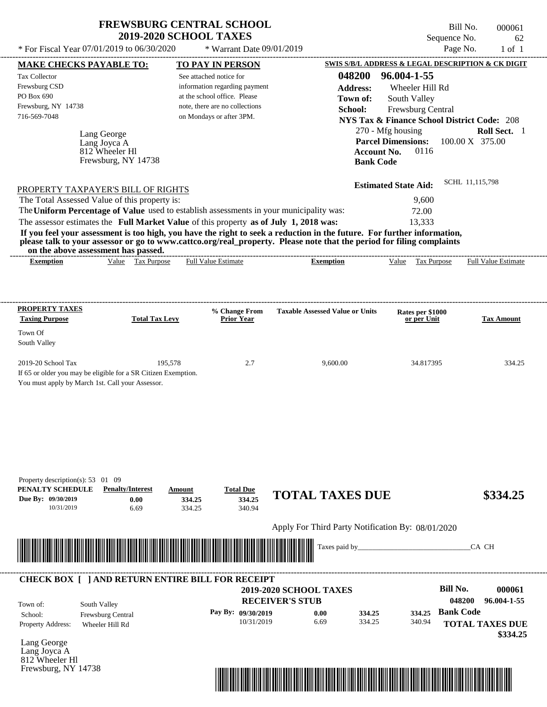Bill No. 000061 Sequence No. 62<br>Page No. 1 of 1

| * For Fiscal Year 07/01/2019 to 06/30/2020                                                                              |                       | * Warrant Date 09/01/2019                                  |                                                   |                                                        | Page No.<br>$1$ of $1$     |
|-------------------------------------------------------------------------------------------------------------------------|-----------------------|------------------------------------------------------------|---------------------------------------------------|--------------------------------------------------------|----------------------------|
| <b>MAKE CHECKS PAYABLE TO:</b>                                                                                          |                       | <b>TO PAY IN PERSON</b>                                    |                                                   | SWIS S/B/L ADDRESS & LEGAL DESCRIPTION & CK DIGIT      |                            |
| Tax Collector                                                                                                           |                       | See attached notice for                                    | 048200                                            | 96.004-1-55                                            |                            |
| Frewsburg CSD                                                                                                           |                       | information regarding payment                              | <b>Address:</b>                                   | Wheeler Hill Rd                                        |                            |
| PO Box 690                                                                                                              |                       | at the school office. Please                               | Town of:                                          | South Valley                                           |                            |
| Frewsburg, NY 14738<br>716-569-7048                                                                                     |                       | note, there are no collections<br>on Mondays or after 3PM. | School:                                           | Frewsburg Central                                      |                            |
|                                                                                                                         |                       |                                                            |                                                   | <b>NYS Tax &amp; Finance School District Code: 208</b> |                            |
| Lang George                                                                                                             |                       |                                                            |                                                   | 270 - Mfg housing                                      | Roll Sect. 1               |
| Lang Joyca A<br>812 Wheeler Hl                                                                                          |                       |                                                            |                                                   | <b>Parcel Dimensions:</b><br>Account No.<br>0116       | 100.00 X 375.00            |
| Frewsburg, NY 14738                                                                                                     |                       |                                                            |                                                   | <b>Bank Code</b>                                       |                            |
|                                                                                                                         |                       |                                                            |                                                   |                                                        |                            |
|                                                                                                                         |                       |                                                            |                                                   | <b>Estimated State Aid:</b>                            | SCHL 11,115,798            |
| PROPERTY TAXPAYER'S BILL OF RIGHTS<br>The Total Assessed Value of this property is:                                     |                       |                                                            |                                                   |                                                        |                            |
| The Uniform Percentage of Value used to establish assessments in your municipality was:                                 |                       |                                                            |                                                   | 9,600<br>72.00                                         |                            |
| The assessor estimates the Full Market Value of this property as of July 1, 2018 was:                                   |                       |                                                            |                                                   | 13,333                                                 |                            |
| If you feel your assessment is too high, you have the right to seek a reduction in the future. For further information, |                       |                                                            |                                                   |                                                        |                            |
| please talk to your assessor or go to www.cattco.org/real_property. Please note that the period for filing complaints   |                       |                                                            |                                                   |                                                        |                            |
| on the above assessment has passed.                                                                                     |                       |                                                            |                                                   |                                                        |                            |
| Value Tax Purpose<br><b>Exemption</b>                                                                                   |                       | Full Value Estimate                                        | <b>Exemption</b>                                  | Value Tax Purpose                                      | <b>Full Value Estimate</b> |
|                                                                                                                         |                       |                                                            |                                                   |                                                        |                            |
|                                                                                                                         |                       |                                                            |                                                   |                                                        |                            |
| <b>PROPERTY TAXES</b>                                                                                                   |                       |                                                            |                                                   |                                                        |                            |
| <b>Taxing Purpose</b>                                                                                                   | <b>Total Tax Levy</b> | % Change From<br><b>Prior Year</b>                         | <b>Taxable Assessed Value or Units</b>            | Rates per \$1000<br>or per Unit                        | <b>Tax Amount</b>          |
| Town Of                                                                                                                 |                       |                                                            |                                                   |                                                        |                            |
| South Valley                                                                                                            |                       |                                                            |                                                   |                                                        |                            |
|                                                                                                                         |                       |                                                            |                                                   |                                                        |                            |
| 2019-20 School Tax                                                                                                      | 195,578               | 2.7                                                        | 9,600.00                                          | 34.817395                                              | 334.25                     |
| If 65 or older you may be eligible for a SR Citizen Exemption.                                                          |                       |                                                            |                                                   |                                                        |                            |
| You must apply by March 1st. Call your Assessor.                                                                        |                       |                                                            |                                                   |                                                        |                            |
|                                                                                                                         |                       |                                                            |                                                   |                                                        |                            |
|                                                                                                                         |                       |                                                            |                                                   |                                                        |                            |
|                                                                                                                         |                       |                                                            |                                                   |                                                        |                            |
|                                                                                                                         |                       |                                                            |                                                   |                                                        |                            |
|                                                                                                                         |                       |                                                            |                                                   |                                                        |                            |
|                                                                                                                         |                       |                                                            |                                                   |                                                        |                            |
|                                                                                                                         |                       |                                                            |                                                   |                                                        |                            |
| Property description(s): 53 01 09                                                                                       |                       |                                                            |                                                   |                                                        |                            |
| PENALTY SCHEDULE<br><b>Penalty/Interest</b>                                                                             | Amount                | <b>Total Due</b>                                           | <b>TOTAL TAXES DUE</b>                            |                                                        | \$334.25                   |
| Due By: 09/30/2019<br>0.00                                                                                              | 334.25                | 334.25                                                     |                                                   |                                                        |                            |
| 10/31/2019<br>6.69                                                                                                      | 334.25                | 340.94                                                     |                                                   |                                                        |                            |
|                                                                                                                         |                       |                                                            | Apply For Third Party Notification By: 08/01/2020 |                                                        |                            |
|                                                                                                                         |                       |                                                            |                                                   |                                                        |                            |
|                                                                                                                         |                       |                                                            | Taxes paid by_                                    |                                                        | CA CH                      |
|                                                                                                                         |                       |                                                            |                                                   |                                                        |                            |
|                                                                                                                         |                       |                                                            |                                                   |                                                        |                            |
| <b>CHECK BOX [ ] AND RETURN ENTIRE BILL FOR RECEIPT</b>                                                                 |                       |                                                            |                                                   | <b>Bill No.</b>                                        |                            |
|                                                                                                                         |                       |                                                            | 2019-2020 SCHOOL TAXES                            |                                                        | 000061                     |
| South Valley<br>Town of:                                                                                                |                       |                                                            | <b>RECEIVER'S STUB</b>                            |                                                        | 048200<br>96.004-1-55      |
| Frewsburg Central<br>School:                                                                                            |                       | Pay By: 09/30/2019                                         | 0.00<br>334.25                                    | 334.25                                                 | <b>Bank Code</b>           |
| <b>Property Address:</b><br>Wheeler Hill Rd                                                                             |                       | 10/31/2019                                                 | 6.69<br>334.25                                    | 340.94                                                 | <b>TOTAL TAXES DUE</b>     |
| Lang George                                                                                                             |                       |                                                            |                                                   |                                                        | \$334.25                   |
| Lang Joyca A                                                                                                            |                       |                                                            |                                                   |                                                        |                            |
| 812 Wheeler Hl                                                                                                          |                       |                                                            |                                                   |                                                        |                            |
| Frewsburg, NY 14738                                                                                                     |                       |                                                            |                                                   |                                                        |                            |

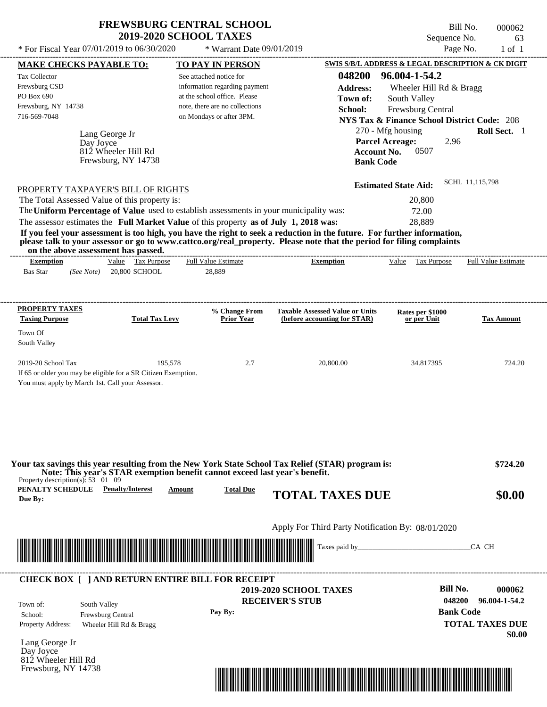| <b>FREWSBURG CENTRAL SCHOOL</b> |
|---------------------------------|
| <b>2019-2020 SCHOOL TAXES</b>   |

\* For Fiscal Year  $07/01/2019$  to  $06/30/2020$  \* Warrant Date  $09/01/2019$  Page No. 1 of 1

\* Warrant Date 09/01/2019

Bill No. 000062 Sequence No. 63<br>Page No. 1 of 1

| <b>MAKE CHECKS PAYABLE TO:</b>                                                                                                                                                                                                                                                                                                                                                   | <b>TO PAY IN PERSON</b>                                                                                                    |                                                                        | <b>SWIS S/B/L ADDRESS &amp; LEGAL DESCRIPTION &amp; CK DIGIT</b>                                                      |                                                             |
|----------------------------------------------------------------------------------------------------------------------------------------------------------------------------------------------------------------------------------------------------------------------------------------------------------------------------------------------------------------------------------|----------------------------------------------------------------------------------------------------------------------------|------------------------------------------------------------------------|-----------------------------------------------------------------------------------------------------------------------|-------------------------------------------------------------|
| <b>Tax Collector</b><br>Frewsburg CSD<br>PO Box 690<br>Frewsburg, NY 14738                                                                                                                                                                                                                                                                                                       | See attached notice for<br>information regarding payment<br>at the school office. Please<br>note, there are no collections | 048200<br><b>Address:</b><br>Town of:<br>School:                       | 96.004-1-54.2<br>Wheeler Hill Rd & Bragg<br>South Valley<br>Frewsburg Central                                         |                                                             |
| 716-569-7048<br>Lang George Jr<br>Day Joyce<br>812 Wheeler Hill Rd<br>Frewsburg, NY 14738                                                                                                                                                                                                                                                                                        | on Mondays or after 3PM.                                                                                                   | <b>Account No.</b><br><b>Bank Code</b>                                 | <b>NYS Tax &amp; Finance School District Code: 208</b><br>270 - Mfg housing<br><b>Parcel Acreage:</b><br>2.96<br>0507 | Roll Sect. 1                                                |
| PROPERTY TAXPAYER'S BILL OF RIGHTS                                                                                                                                                                                                                                                                                                                                               |                                                                                                                            |                                                                        | <b>Estimated State Aid:</b>                                                                                           | SCHL 11,115,798                                             |
| The Total Assessed Value of this property is:<br>The Uniform Percentage of Value used to establish assessments in your municipality was:                                                                                                                                                                                                                                         |                                                                                                                            |                                                                        | 20,800<br>72.00                                                                                                       |                                                             |
| The assessor estimates the Full Market Value of this property as of July 1, 2018 was:<br>If you feel your assessment is too high, you have the right to seek a reduction in the future. For further information,<br>please talk to your assessor or go to www.cattco.org/real_property. Please note that the period for filing complaints<br>on the above assessment has passed. |                                                                                                                            |                                                                        | 28,889                                                                                                                |                                                             |
| Value Tax Purpose<br><b>Exemption</b><br><b>Bas Star</b><br>(See Note) 20,800 SCHOOL                                                                                                                                                                                                                                                                                             | <b>Full Value Estimate</b><br>28,889                                                                                       | <b>Exemption</b>                                                       | Value Tax Purpose Full Value Estimate                                                                                 |                                                             |
| <b>PROPERTY TAXES</b><br><b>Total Tax Levy</b><br><b>Taxing Purpose</b>                                                                                                                                                                                                                                                                                                          | % Change From<br><b>Prior Year</b>                                                                                         | <b>Taxable Assessed Value or Units</b><br>(before accounting for STAR) | Rates per \$1000<br>or per Unit                                                                                       | <b>Tax Amount</b>                                           |
| Town Of<br>South Valley                                                                                                                                                                                                                                                                                                                                                          |                                                                                                                            |                                                                        |                                                                                                                       |                                                             |
| 2019-20 School Tax<br>If 65 or older you may be eligible for a SR Citizen Exemption.<br>You must apply by March 1st. Call your Assessor.                                                                                                                                                                                                                                         | 195,578<br>2.7                                                                                                             | 20,800.00                                                              | 34.817395                                                                                                             | 724.20                                                      |
| Your tax savings this year resulting from the New York State School Tax Relief (STAR) program is:<br>Note: This year's STAR exemption benefit cannot exceed last year's benefit.<br>Property description(s): $53 \quad 01 \quad 09$<br>PENALTY SCHEDULE<br><b>Penalty/Interest</b><br>Due By:                                                                                    | <b>Total Due</b><br><b>Amount</b>                                                                                          | <b>TOTAL TAXES DUE</b>                                                 |                                                                                                                       | \$724.20<br>\$0.00                                          |
|                                                                                                                                                                                                                                                                                                                                                                                  |                                                                                                                            | Apply For Third Party Notification By: 08/01/2020                      |                                                                                                                       |                                                             |
| <u> 1989 - Johann Stoff, Amerikaansk politiker (* 1958)</u>                                                                                                                                                                                                                                                                                                                      |                                                                                                                            |                                                                        |                                                                                                                       | CA CH                                                       |
| <b>CHECK BOX [ ] AND RETURN ENTIRE BILL FOR RECEIPT</b>                                                                                                                                                                                                                                                                                                                          |                                                                                                                            | <b>2019-2020 SCHOOL TAXES</b>                                          | <b>Bill No.</b>                                                                                                       | 000062                                                      |
| South Valley<br>Town of:<br>Frewsburg Central<br>School:<br><b>Property Address:</b><br>Wheeler Hill Rd & Bragg                                                                                                                                                                                                                                                                  | Pay By:                                                                                                                    | <b>RECEIVER'S STUB</b>                                                 | 048200                                                                                                                | 96.004-1-54.2<br><b>Bank Code</b><br><b>TOTAL TAXES DUE</b> |
| Lang George Jr<br>Day Joyce<br>812 Wheeler Hill Rd                                                                                                                                                                                                                                                                                                                               |                                                                                                                            |                                                                        |                                                                                                                       | \$0.00                                                      |
| Frewsburg, NY 14738                                                                                                                                                                                                                                                                                                                                                              |                                                                                                                            | <u> 1989 - Johann Stoff, Amerikaansk politiker († 1989)</u>            |                                                                                                                       |                                                             |
|                                                                                                                                                                                                                                                                                                                                                                                  |                                                                                                                            |                                                                        |                                                                                                                       |                                                             |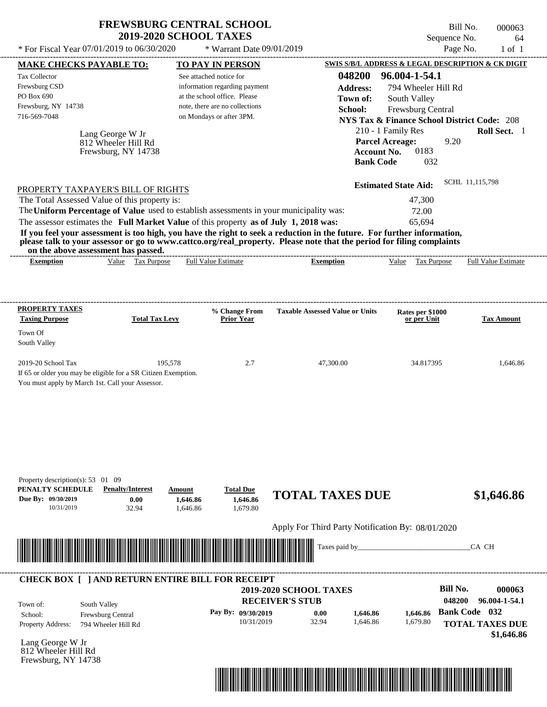| <b>FREWSBURG CENTRAL SCHOOL</b> |
|---------------------------------|
| <b>2019-2020 SCHOOL TAXES</b>   |

Bill No. 000063 Sequence No. 64

| <b>MAKE CHECKS PAYABLE TO:</b>                                                                                                                                             |                                                                |                                                                                                                                                                                  |                                                                                                                                                                                                                                                  |                                                                                                                                                                                                                                                     | Page No.                        |
|----------------------------------------------------------------------------------------------------------------------------------------------------------------------------|----------------------------------------------------------------|----------------------------------------------------------------------------------------------------------------------------------------------------------------------------------|--------------------------------------------------------------------------------------------------------------------------------------------------------------------------------------------------------------------------------------------------|-----------------------------------------------------------------------------------------------------------------------------------------------------------------------------------------------------------------------------------------------------|---------------------------------|
|                                                                                                                                                                            |                                                                | <b>TO PAY IN PERSON</b>                                                                                                                                                          |                                                                                                                                                                                                                                                  | SWIS S/B/L ADDRESS & LEGAL DESCRIPTION & CK DIGIT                                                                                                                                                                                                   |                                 |
| Tax Collector<br>Frewsburg CSD<br>PO Box 690<br>Frewsburg, NY 14738<br>716-569-7048<br>PROPERTY TAXPAYER'S BILL OF RIGHTS<br>The Total Assessed Value of this property is: | Lang George W Jr<br>812 Wheeler Hill Rd<br>Frewsburg, NY 14738 | See attached notice for<br>information regarding payment<br>at the school office. Please<br>note, there are no collections<br>on Mondays or after 3PM.                           | 048200<br><b>Address:</b><br>Town of:<br>School:<br>Account No.<br><b>Bank Code</b>                                                                                                                                                              | 96.004-1-54.1<br>794 Wheeler Hill Rd<br>South Valley<br>Frewsburg Central<br><b>NYS Tax &amp; Finance School District Code: 208</b><br>210 - 1 Family Res<br>9.20<br><b>Parcel Acreage:</b><br>0183<br>032<br><b>Estimated State Aid:</b><br>47,300 | Roll Sect. 1<br>SCHL 11,115,798 |
| on the above assessment has passed.                                                                                                                                        |                                                                | The Uniform Percentage of Value used to establish assessments in your municipality was:<br>The assessor estimates the Full Market Value of this property as of July 1, 2018 was: | If you feel your assessment is too high, you have the right to seek a reduction in the future. For further information,<br>please talk to your assessor or go to www.cattco.org/real_property. Please note that the period for filing complaints | 72.00<br>65,694                                                                                                                                                                                                                                     |                                 |
| <b>Exemption</b>                                                                                                                                                           | Value Tax Purpose                                              | <b>Full Value Estimate</b>                                                                                                                                                       | <b>Exemption</b>                                                                                                                                                                                                                                 | Value Tax Purpose                                                                                                                                                                                                                                   | <b>Full Value Estimate</b>      |
| <b>PROPERTY TAXES</b><br><b>Taxing Purpose</b><br>Town Of<br>South Valley                                                                                                  | <b>Total Tax Levy</b>                                          | % Change From<br><b>Prior Year</b>                                                                                                                                               | <b>Taxable Assessed Value or Units</b>                                                                                                                                                                                                           | Rates per \$1000<br>or per Unit                                                                                                                                                                                                                     | <b>Tax Amount</b>               |
| 2019-20 School Tax<br>If 65 or older you may be eligible for a SR Citizen Exemption.<br>You must apply by March 1st. Call your Assessor.                                   | 195,578                                                        | 2.7                                                                                                                                                                              | 47,300.00                                                                                                                                                                                                                                        | 34.817395                                                                                                                                                                                                                                           | 1,646.86                        |
|                                                                                                                                                                            |                                                                |                                                                                                                                                                                  |                                                                                                                                                                                                                                                  |                                                                                                                                                                                                                                                     |                                 |
| Property description(s): 53 01 09<br>Due By: 09/30/2019<br>10/31/2019                                                                                                      | <b>Penalty/Interest</b><br>0.00<br>32.94                       | <b>Total Due</b><br>Amount<br>1,646.86<br>1.646.86<br>1,679.80<br>1,646.86                                                                                                       | <b>TOTAL TAXES DUE</b>                                                                                                                                                                                                                           |                                                                                                                                                                                                                                                     | \$1,646.86                      |
| PENALTY SCHEDULE<br><u> III de la contrada de la contrada de la contrada de la contrada de la contrada de la contrada de la contrada</u>                                   |                                                                |                                                                                                                                                                                  | Apply For Third Party Notification By: 08/01/2020<br>Taxes paid by_                                                                                                                                                                              |                                                                                                                                                                                                                                                     | CA CH                           |

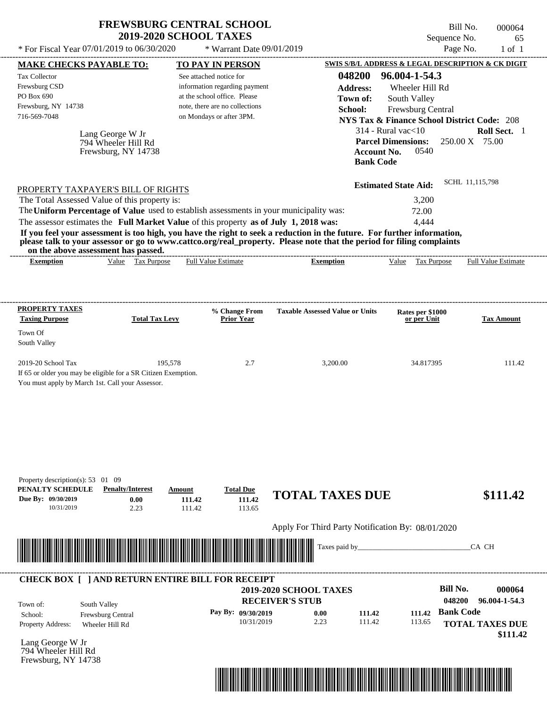| <b>FREWSBURG CENTRAL SCHOOL</b> |  |
|---------------------------------|--|
| <b>2019-2020 SCHOOL TAXES</b>   |  |

Bill No. 000064 Sequence No. 65

| * For Fiscal Year 07/01/2019 to 06/30/2020                                                                                                                                                                       |                            | * Warrant Date 09/01/2019            |                                                   |                                                                                     | Page No.<br>$1$ of $1$                                 |
|------------------------------------------------------------------------------------------------------------------------------------------------------------------------------------------------------------------|----------------------------|--------------------------------------|---------------------------------------------------|-------------------------------------------------------------------------------------|--------------------------------------------------------|
| <b>MAKE CHECKS PAYABLE TO:</b>                                                                                                                                                                                   |                            | <b>TO PAY IN PERSON</b>              |                                                   |                                                                                     | SWIS S/B/L ADDRESS & LEGAL DESCRIPTION & CK DIGIT      |
| Tax Collector                                                                                                                                                                                                    |                            | See attached notice for              | 048200                                            | 96.004-1-54.3                                                                       |                                                        |
| Frewsburg CSD                                                                                                                                                                                                    |                            | information regarding payment        | <b>Address:</b>                                   | Wheeler Hill Rd                                                                     |                                                        |
| PO Box 690                                                                                                                                                                                                       |                            | at the school office. Please         | Town of:                                          | South Valley                                                                        |                                                        |
| Frewsburg, NY 14738                                                                                                                                                                                              |                            | note, there are no collections       | School:                                           | Frewsburg Central                                                                   |                                                        |
| 716-569-7048                                                                                                                                                                                                     |                            | on Mondays or after 3PM.             |                                                   | <b>NYS Tax &amp; Finance School District Code: 208</b>                              |                                                        |
| Lang George W Jr<br>794 Wheeler Hill Rd<br>Frewsburg, NY 14738                                                                                                                                                   |                            |                                      | <b>Bank Code</b>                                  | $314$ - Rural vac $<$ 10<br><b>Parcel Dimensions:</b><br><b>Account No.</b><br>0540 | Roll Sect. 1<br>$250.00 \text{ X}$ 75.00               |
|                                                                                                                                                                                                                  |                            |                                      |                                                   | <b>Estimated State Aid:</b>                                                         | SCHL 11,115,798                                        |
| PROPERTY TAXPAYER'S BILL OF RIGHTS                                                                                                                                                                               |                            |                                      |                                                   |                                                                                     |                                                        |
| The Total Assessed Value of this property is:                                                                                                                                                                    |                            |                                      |                                                   | 3,200                                                                               |                                                        |
| The Uniform Percentage of Value used to establish assessments in your municipality was:                                                                                                                          |                            |                                      |                                                   | 72.00                                                                               |                                                        |
| The assessor estimates the Full Market Value of this property as of July 1, 2018 was:<br>If you feel your assessment is too high, you have the right to seek a reduction in the future. For further information, |                            |                                      |                                                   | 4,444                                                                               |                                                        |
| please talk to your assessor or go to www.cattco.org/real_property. Please note that the period for filing complaints<br>on the above assessment has passed.<br>Value Tax Purpose<br><b>Exemption</b>            |                            | <b>Full Value Estimate</b>           | <b>Exemption</b>                                  | <b>Tax Purpose</b><br>Value                                                         | Full Value Estimate                                    |
| <b>PROPERTY TAXES</b>                                                                                                                                                                                            |                            | % Change From                        | <b>Taxable Assessed Value or Units</b>            | Rates per \$1000                                                                    |                                                        |
| <b>Taxing Purpose</b>                                                                                                                                                                                            | <b>Total Tax Levy</b>      | <b>Prior Year</b>                    |                                                   | or per Unit                                                                         | <b>Tax Amount</b>                                      |
| Town Of<br>South Valley                                                                                                                                                                                          |                            |                                      |                                                   |                                                                                     |                                                        |
| 2019-20 School Tax<br>If 65 or older you may be eligible for a SR Citizen Exemption.<br>You must apply by March 1st. Call your Assessor.                                                                         | 195,578                    | 2.7                                  | 3,200.00                                          | 34.817395                                                                           | 111.42                                                 |
| Property description(s): $53 \quad 01 \quad 09$<br>PENALTY SCHEDULE<br><b>Penalty/Interest</b><br>Due By: 09/30/2019<br>0.00<br>10/31/2019<br>2.23                                                               | Amount<br>111.42<br>111.42 | <b>Total Due</b><br>111.42<br>113.65 | <b>TOTAL TAXES DUE</b>                            |                                                                                     | \$111.42                                               |
|                                                                                                                                                                                                                  |                            |                                      | Apply For Third Party Notification By: 08/01/2020 |                                                                                     |                                                        |
|                                                                                                                                                                                                                  |                            |                                      | Taxes paid by_                                    |                                                                                     | CA CH                                                  |
| <b>CHECK BOX [ ] AND RETURN ENTIRE BILL FOR RECEIPT</b>                                                                                                                                                          |                            |                                      |                                                   |                                                                                     | <b>Bill No.</b><br>000064                              |
|                                                                                                                                                                                                                  |                            |                                      | <b>2019-2020 SCHOOL TAXES</b>                     |                                                                                     | 048200<br>96.004-1-54.3                                |
| South Valley<br>Town of:                                                                                                                                                                                         |                            |                                      | <b>RECEIVER'S STUB</b>                            |                                                                                     |                                                        |
| Frewsburg Central<br>School:<br><b>Property Address:</b><br>Wheeler Hill Rd                                                                                                                                      |                            | Pay By: 09/30/2019<br>10/31/2019     | 0.00<br>111.42<br>111.42<br>2.23                  | 111.42<br>113.65                                                                    | <b>Bank Code</b><br><b>TOTAL TAXES DUE</b><br>\$111.42 |
| Lang George W Jr<br>794 Wheeler Hill Rd<br>Frewsburg, NY 14738                                                                                                                                                   |                            |                                      |                                                   |                                                                                     |                                                        |

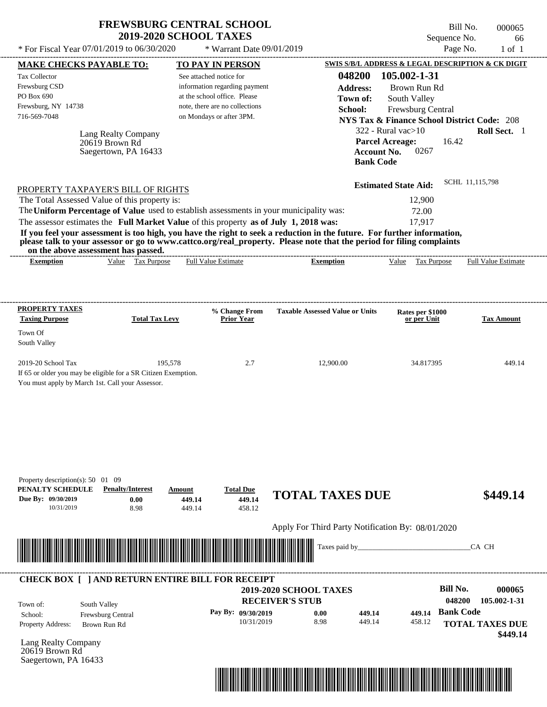| <b>FREWSBURG CENTRAL SCHOOL</b> |
|---------------------------------|
| <b>2019-2020 SCHOOL TAXES</b>   |

Bill No. 000065 Sequence No. 66

| * For Fiscal Year 07/01/2019 to 06/30/2020                                                                                               |                                                                       | * Warrant Date 09/01/2019            |                                                                                                                                                                                                                                                                      |                                                                  | Page No.<br>$1$ of $1$             |
|------------------------------------------------------------------------------------------------------------------------------------------|-----------------------------------------------------------------------|--------------------------------------|----------------------------------------------------------------------------------------------------------------------------------------------------------------------------------------------------------------------------------------------------------------------|------------------------------------------------------------------|------------------------------------|
| <b>MAKE CHECKS PAYABLE TO:</b>                                                                                                           |                                                                       | <b>TO PAY IN PERSON</b>              |                                                                                                                                                                                                                                                                      | SWIS S/B/L ADDRESS & LEGAL DESCRIPTION & CK DIGIT                |                                    |
| Tax Collector                                                                                                                            |                                                                       | See attached notice for              | 048200                                                                                                                                                                                                                                                               | 105.002-1-31                                                     |                                    |
| Frewsburg CSD                                                                                                                            |                                                                       | information regarding payment        | <b>Address:</b>                                                                                                                                                                                                                                                      | Brown Run Rd                                                     |                                    |
| PO Box 690                                                                                                                               |                                                                       | at the school office. Please         | Town of:                                                                                                                                                                                                                                                             | South Valley                                                     |                                    |
| Frewsburg, NY 14738                                                                                                                      |                                                                       | note, there are no collections       | School:                                                                                                                                                                                                                                                              | Frewsburg Central                                                |                                    |
| 716-569-7048                                                                                                                             |                                                                       | on Mondays or after 3PM.             |                                                                                                                                                                                                                                                                      | <b>NYS Tax &amp; Finance School District Code: 208</b>           |                                    |
| 20619 Brown Rd                                                                                                                           | Lang Realty Company<br>Saegertown, PA 16433                           |                                      | <b>Account No.</b><br><b>Bank Code</b>                                                                                                                                                                                                                               | 322 - Rural vac $>10$<br><b>Parcel Acreage:</b><br>16.42<br>0267 | Roll Sect. 1                       |
| PROPERTY TAXPAYER'S BILL OF RIGHTS                                                                                                       |                                                                       |                                      |                                                                                                                                                                                                                                                                      | <b>Estimated State Aid:</b>                                      | SCHL 11,115,798                    |
| The Total Assessed Value of this property is:                                                                                            |                                                                       |                                      |                                                                                                                                                                                                                                                                      | 12,900                                                           |                                    |
| The Uniform Percentage of Value used to establish assessments in your municipality was:                                                  |                                                                       |                                      |                                                                                                                                                                                                                                                                      | 72.00                                                            |                                    |
| The assessor estimates the Full Market Value of this property as of July 1, 2018 was:                                                    |                                                                       |                                      |                                                                                                                                                                                                                                                                      | 17,917                                                           |                                    |
| on the above assessment has passed.<br><b>Exemption</b>                                                                                  | Value Tax Purpose                                                     | <b>Full Value Estimate</b>           | If you feel your assessment is too high, you have the right to seek a reduction in the future. For further information,<br>please talk to your assessor or go to www.cattco.org/real_property. Please note that the period for filing complaints<br><b>Exemption</b> | Tax Purpose<br>Value                                             | Full Value Estimate                |
| <b>PROPERTY TAXES</b><br><b>Taxing Purpose</b>                                                                                           | <b>Total Tax Levy</b>                                                 | % Change From<br><b>Prior Year</b>   | <b>Taxable Assessed Value or Units</b>                                                                                                                                                                                                                               | Rates per \$1000<br>or per Unit                                  | <b>Tax Amount</b>                  |
| Town Of<br>South Valley                                                                                                                  |                                                                       |                                      |                                                                                                                                                                                                                                                                      |                                                                  |                                    |
| 2019-20 School Tax<br>If 65 or older you may be eligible for a SR Citizen Exemption.<br>You must apply by March 1st. Call your Assessor. | 195,578                                                               | 2.7                                  | 12,900.00                                                                                                                                                                                                                                                            | 34.817395                                                        | 449.14                             |
| Property description(s): $50 \quad 01 \quad 09$<br>PENALTY SCHEDULE<br>Due By: 09/30/2019<br>10/31/2019                                  | <b>Penalty/Interest</b><br>Amount<br>0.00<br>449.14<br>8.98<br>449.14 | <b>Total Due</b><br>449.14<br>458.12 | <b>TOTAL TAXES DUE</b><br>Apply For Third Party Notification By: 08/01/2020                                                                                                                                                                                          |                                                                  | \$449.14                           |
|                                                                                                                                          |                                                                       |                                      | Taxes paid by_                                                                                                                                                                                                                                                       |                                                                  | CA CH                              |
| <b>CHECK BOX [ ] AND RETURN ENTIRE BILL FOR RECEIPT</b>                                                                                  |                                                                       |                                      |                                                                                                                                                                                                                                                                      |                                                                  |                                    |
|                                                                                                                                          |                                                                       |                                      | <b>2019-2020 SCHOOL TAXES</b>                                                                                                                                                                                                                                        | <b>Bill No.</b>                                                  | 000065                             |
| South Valley<br>Town of:                                                                                                                 |                                                                       |                                      | <b>RECEIVER'S STUB</b>                                                                                                                                                                                                                                               |                                                                  | 048200<br>105.002-1-31             |
| School:<br>Frewsburg Central                                                                                                             |                                                                       | Pay By: 09/30/2019                   | 0.00<br>449.14                                                                                                                                                                                                                                                       | 449.14                                                           | <b>Bank Code</b>                   |
| Property Address:<br>Brown Run Rd                                                                                                        |                                                                       | 10/31/2019                           | 8.98<br>449.14                                                                                                                                                                                                                                                       | 458.12                                                           | <b>TOTAL TAXES DUE</b><br>\$449.14 |
| Lang Realty Company<br>20619 Brown Rd<br>Saegertown, PA 16433                                                                            |                                                                       |                                      |                                                                                                                                                                                                                                                                      |                                                                  |                                    |

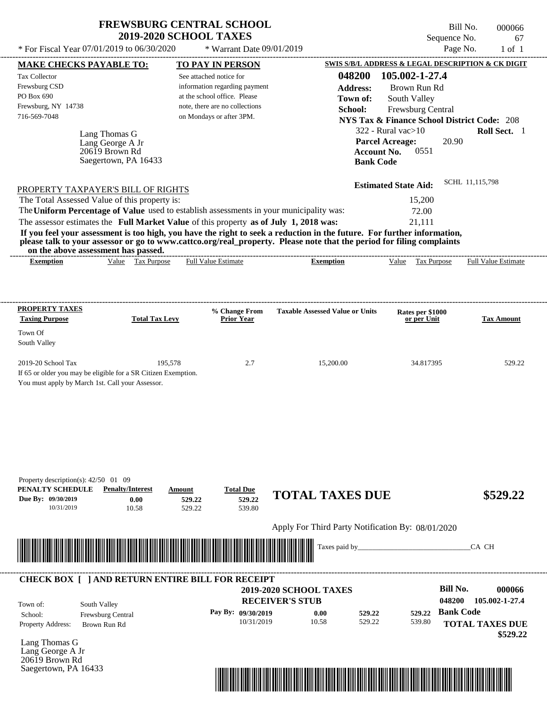Bill No. 000066 Sequence No. 67<br>Page No. 1 of 1

| * For Fiscal Year 07/01/2019 to 06/30/2020                                                                                               |                                   | * Warrant Date 09/01/2019                                      |                                                                                                                         |                                                      | Page No.<br>$1$ of $1$                                 |
|------------------------------------------------------------------------------------------------------------------------------------------|-----------------------------------|----------------------------------------------------------------|-------------------------------------------------------------------------------------------------------------------------|------------------------------------------------------|--------------------------------------------------------|
| <b>MAKE CHECKS PAYABLE TO:</b>                                                                                                           |                                   | <b>TO PAY IN PERSON</b>                                        |                                                                                                                         |                                                      | SWIS S/B/L ADDRESS & LEGAL DESCRIPTION & CK DIGIT      |
| Tax Collector                                                                                                                            |                                   | See attached notice for                                        | 048200                                                                                                                  | 105.002-1-27.4                                       |                                                        |
| Frewsburg CSD                                                                                                                            |                                   | information regarding payment                                  | <b>Address:</b>                                                                                                         | Brown Run Rd                                         |                                                        |
| PO Box 690                                                                                                                               |                                   | at the school office. Please<br>note, there are no collections | Town of:                                                                                                                | South Valley                                         |                                                        |
| Frewsburg, NY 14738<br>716-569-7048                                                                                                      |                                   | on Mondays or after 3PM.                                       | School:                                                                                                                 | Frewsburg Central                                    |                                                        |
|                                                                                                                                          |                                   |                                                                |                                                                                                                         |                                                      | <b>NYS Tax &amp; Finance School District Code: 208</b> |
| Lang Thomas G                                                                                                                            |                                   |                                                                |                                                                                                                         | $322$ - Rural vac $>10$                              | Roll Sect. 1                                           |
| Lang George A Jr<br>20619 Brown Rd                                                                                                       |                                   |                                                                |                                                                                                                         | <b>Parcel Acreage:</b><br><b>Account No.</b><br>0551 | 20.90                                                  |
|                                                                                                                                          | Saegertown, PA 16433              |                                                                |                                                                                                                         | <b>Bank Code</b>                                     |                                                        |
|                                                                                                                                          |                                   |                                                                |                                                                                                                         |                                                      |                                                        |
|                                                                                                                                          |                                   |                                                                |                                                                                                                         | <b>Estimated State Aid:</b>                          | SCHL 11,115,798                                        |
| PROPERTY TAXPAYER'S BILL OF RIGHTS                                                                                                       |                                   |                                                                |                                                                                                                         |                                                      |                                                        |
| The Total Assessed Value of this property is:<br>The Uniform Percentage of Value used to establish assessments in your municipality was: |                                   |                                                                |                                                                                                                         | 15,200<br>72.00                                      |                                                        |
| The assessor estimates the Full Market Value of this property as of July 1, 2018 was:                                                    |                                   |                                                                |                                                                                                                         | 21,111                                               |                                                        |
|                                                                                                                                          |                                   |                                                                | If you feel your assessment is too high, you have the right to seek a reduction in the future. For further information, |                                                      |                                                        |
|                                                                                                                                          |                                   |                                                                | please talk to your assessor or go to www.cattco.org/real_property. Please note that the period for filing complaints   |                                                      |                                                        |
| on the above assessment has passed.                                                                                                      |                                   |                                                                |                                                                                                                         |                                                      |                                                        |
| <b>Exemption</b>                                                                                                                         | Value Tax Purpose                 | <b>Full Value Estimate</b>                                     | <b>Exemption</b>                                                                                                        | Value Tax Purpose                                    | <b>Full Value Estimate</b>                             |
|                                                                                                                                          |                                   |                                                                |                                                                                                                         |                                                      |                                                        |
|                                                                                                                                          |                                   |                                                                |                                                                                                                         |                                                      |                                                        |
|                                                                                                                                          |                                   |                                                                |                                                                                                                         |                                                      |                                                        |
| <b>PROPERTY TAXES</b><br><b>Taxing Purpose</b>                                                                                           | <b>Total Tax Levy</b>             | % Change From<br><b>Prior Year</b>                             | <b>Taxable Assessed Value or Units</b>                                                                                  | Rates per \$1000<br>or per Unit                      | <b>Tax Amount</b>                                      |
|                                                                                                                                          |                                   |                                                                |                                                                                                                         |                                                      |                                                        |
| Town Of<br>South Valley                                                                                                                  |                                   |                                                                |                                                                                                                         |                                                      |                                                        |
|                                                                                                                                          |                                   |                                                                |                                                                                                                         |                                                      |                                                        |
| 2019-20 School Tax                                                                                                                       | 195,578                           | 2.7                                                            | 15,200.00                                                                                                               | 34.817395                                            | 529.22                                                 |
| If 65 or older you may be eligible for a SR Citizen Exemption.                                                                           |                                   |                                                                |                                                                                                                         |                                                      |                                                        |
| You must apply by March 1st. Call your Assessor.                                                                                         |                                   |                                                                |                                                                                                                         |                                                      |                                                        |
|                                                                                                                                          |                                   |                                                                |                                                                                                                         |                                                      |                                                        |
|                                                                                                                                          |                                   |                                                                |                                                                                                                         |                                                      |                                                        |
|                                                                                                                                          |                                   |                                                                |                                                                                                                         |                                                      |                                                        |
|                                                                                                                                          |                                   |                                                                |                                                                                                                         |                                                      |                                                        |
|                                                                                                                                          |                                   |                                                                |                                                                                                                         |                                                      |                                                        |
|                                                                                                                                          |                                   |                                                                |                                                                                                                         |                                                      |                                                        |
|                                                                                                                                          |                                   |                                                                |                                                                                                                         |                                                      |                                                        |
| Property description(s): $42/50$ 01 09                                                                                                   |                                   |                                                                |                                                                                                                         |                                                      |                                                        |
| PENALTY SCHEDULE                                                                                                                         | <b>Penalty/Interest</b><br>Amount | <b>Total Due</b>                                               |                                                                                                                         |                                                      |                                                        |
| Due By: 09/30/2019                                                                                                                       | 0.00                              | 529.22<br>529.22                                               | <b>TOTAL TAXES DUE</b>                                                                                                  |                                                      | \$529.22                                               |
| 10/31/2019                                                                                                                               | 10.58<br>529.22                   | 539.80                                                         |                                                                                                                         |                                                      |                                                        |
|                                                                                                                                          |                                   |                                                                | Apply For Third Party Notification By: 08/01/2020                                                                       |                                                      |                                                        |
|                                                                                                                                          |                                   |                                                                |                                                                                                                         |                                                      |                                                        |
|                                                                                                                                          |                                   |                                                                | Taxes paid by_                                                                                                          |                                                      | CA CH                                                  |
|                                                                                                                                          |                                   |                                                                |                                                                                                                         |                                                      |                                                        |
|                                                                                                                                          |                                   |                                                                |                                                                                                                         |                                                      |                                                        |
| <b>CHECK BOX [ ] AND RETURN ENTIRE BILL FOR RECEIPT</b>                                                                                  |                                   |                                                                |                                                                                                                         |                                                      |                                                        |
|                                                                                                                                          |                                   |                                                                | 2019-2020 SCHOOL TAXES                                                                                                  |                                                      | <b>Bill No.</b><br>000066                              |
| South Valley<br>Town of:                                                                                                                 |                                   |                                                                | <b>RECEIVER'S STUB</b>                                                                                                  |                                                      | 048200<br>105.002-1-27.4                               |
| Frewsburg Central<br>School:                                                                                                             |                                   | Pay By: 09/30/2019                                             | 0.00<br>529.22                                                                                                          | 529.22                                               | <b>Bank Code</b>                                       |
| Property Address:<br>Brown Run Rd                                                                                                        |                                   | 10/31/2019                                                     | 10.58<br>529.22                                                                                                         | 539.80                                               | <b>TOTAL TAXES DUE</b>                                 |
|                                                                                                                                          |                                   |                                                                |                                                                                                                         |                                                      | \$529.22                                               |
| Lang Thomas G                                                                                                                            |                                   |                                                                |                                                                                                                         |                                                      |                                                        |
| Lang George A Jr<br>20619 Brown Rd                                                                                                       |                                   |                                                                |                                                                                                                         |                                                      |                                                        |
| Saegertown, PA 16433                                                                                                                     |                                   |                                                                |                                                                                                                         |                                                      |                                                        |
|                                                                                                                                          |                                   |                                                                |                                                                                                                         |                                                      |                                                        |

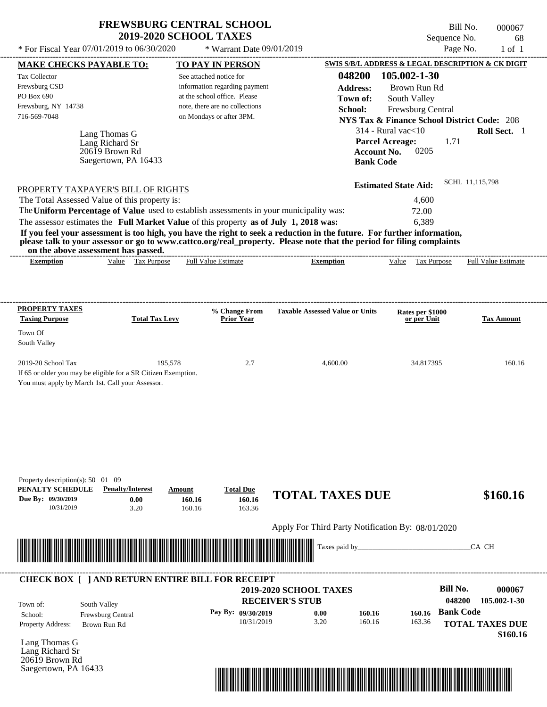$*$  For Fiscal Year 07/01/2019 to 06/30/2020

 $*$  Warrant Date 09/01/2019

Bill No. 000067 Sequence No. 68<br>Page No. 1 of 1

| 105.002-1-30<br>048200<br>Tax Collector<br>See attached notice for<br>Frewsburg CSD<br>information regarding payment<br><b>Address:</b><br>Brown Run Rd<br>PO Box 690<br>at the school office. Please<br>South Valley<br>Town of:<br>Frewsburg, NY 14738<br>note, there are no collections<br>School:<br>Frewsburg Central<br>716-569-7048<br>on Mondays or after 3PM.<br><b>NYS Tax &amp; Finance School District Code: 208</b><br>$314$ - Rural vac $<$ 10<br>Roll Sect. 1<br>Lang Thomas G<br><b>Parcel Acreage:</b><br>1.71<br>Lang Richard Sr<br>20619 Brown Rd<br><b>Account No.</b><br>0205<br>Saegertown, PA 16433<br><b>Bank Code</b><br>SCHL 11,115,798<br><b>Estimated State Aid:</b><br>PROPERTY TAXPAYER'S BILL OF RIGHTS<br>The Total Assessed Value of this property is:<br>4,600<br>The Uniform Percentage of Value used to establish assessments in your municipality was:<br>72.00<br>The assessor estimates the Full Market Value of this property as of July 1, 2018 was:<br>6,389<br>If you feel your assessment is too high, you have the right to seek a reduction in the future. For further information,<br>please talk to your assessor or go to www.cattco.org/real_property. Please note that the period for filing complaints<br>on the above assessment has passed.<br>-------------------------------<br>Value Tax Purpose<br><b>Full Value Estimate</b><br><b>Exemption</b><br><b>Exemption</b><br>Value Tax Purpose<br><b>Full Value Estimate</b><br><b>PROPERTY TAXES</b><br>% Change From<br><b>Taxable Assessed Value or Units</b><br>Rates per \$1000<br><b>Taxing Purpose</b><br><b>Total Tax Levy</b><br><b>Prior Year</b><br>or per Unit<br><b>Tax Amount</b><br>Town Of<br>South Valley<br>2019-20 School Tax<br>195,578<br>2.7<br>4,600.00<br>34.817395<br>160.16<br>If 65 or older you may be eligible for a SR Citizen Exemption.<br>You must apply by March 1st. Call your Assessor. |
|-----------------------------------------------------------------------------------------------------------------------------------------------------------------------------------------------------------------------------------------------------------------------------------------------------------------------------------------------------------------------------------------------------------------------------------------------------------------------------------------------------------------------------------------------------------------------------------------------------------------------------------------------------------------------------------------------------------------------------------------------------------------------------------------------------------------------------------------------------------------------------------------------------------------------------------------------------------------------------------------------------------------------------------------------------------------------------------------------------------------------------------------------------------------------------------------------------------------------------------------------------------------------------------------------------------------------------------------------------------------------------------------------------------------------------------------------------------------------------------------------------------------------------------------------------------------------------------------------------------------------------------------------------------------------------------------------------------------------------------------------------------------------------------------------------------------------------------------------------------------------------------------------------------------------------------|
|                                                                                                                                                                                                                                                                                                                                                                                                                                                                                                                                                                                                                                                                                                                                                                                                                                                                                                                                                                                                                                                                                                                                                                                                                                                                                                                                                                                                                                                                                                                                                                                                                                                                                                                                                                                                                                                                                                                                   |
|                                                                                                                                                                                                                                                                                                                                                                                                                                                                                                                                                                                                                                                                                                                                                                                                                                                                                                                                                                                                                                                                                                                                                                                                                                                                                                                                                                                                                                                                                                                                                                                                                                                                                                                                                                                                                                                                                                                                   |
|                                                                                                                                                                                                                                                                                                                                                                                                                                                                                                                                                                                                                                                                                                                                                                                                                                                                                                                                                                                                                                                                                                                                                                                                                                                                                                                                                                                                                                                                                                                                                                                                                                                                                                                                                                                                                                                                                                                                   |
|                                                                                                                                                                                                                                                                                                                                                                                                                                                                                                                                                                                                                                                                                                                                                                                                                                                                                                                                                                                                                                                                                                                                                                                                                                                                                                                                                                                                                                                                                                                                                                                                                                                                                                                                                                                                                                                                                                                                   |
|                                                                                                                                                                                                                                                                                                                                                                                                                                                                                                                                                                                                                                                                                                                                                                                                                                                                                                                                                                                                                                                                                                                                                                                                                                                                                                                                                                                                                                                                                                                                                                                                                                                                                                                                                                                                                                                                                                                                   |
|                                                                                                                                                                                                                                                                                                                                                                                                                                                                                                                                                                                                                                                                                                                                                                                                                                                                                                                                                                                                                                                                                                                                                                                                                                                                                                                                                                                                                                                                                                                                                                                                                                                                                                                                                                                                                                                                                                                                   |
|                                                                                                                                                                                                                                                                                                                                                                                                                                                                                                                                                                                                                                                                                                                                                                                                                                                                                                                                                                                                                                                                                                                                                                                                                                                                                                                                                                                                                                                                                                                                                                                                                                                                                                                                                                                                                                                                                                                                   |
|                                                                                                                                                                                                                                                                                                                                                                                                                                                                                                                                                                                                                                                                                                                                                                                                                                                                                                                                                                                                                                                                                                                                                                                                                                                                                                                                                                                                                                                                                                                                                                                                                                                                                                                                                                                                                                                                                                                                   |
|                                                                                                                                                                                                                                                                                                                                                                                                                                                                                                                                                                                                                                                                                                                                                                                                                                                                                                                                                                                                                                                                                                                                                                                                                                                                                                                                                                                                                                                                                                                                                                                                                                                                                                                                                                                                                                                                                                                                   |
|                                                                                                                                                                                                                                                                                                                                                                                                                                                                                                                                                                                                                                                                                                                                                                                                                                                                                                                                                                                                                                                                                                                                                                                                                                                                                                                                                                                                                                                                                                                                                                                                                                                                                                                                                                                                                                                                                                                                   |
|                                                                                                                                                                                                                                                                                                                                                                                                                                                                                                                                                                                                                                                                                                                                                                                                                                                                                                                                                                                                                                                                                                                                                                                                                                                                                                                                                                                                                                                                                                                                                                                                                                                                                                                                                                                                                                                                                                                                   |
|                                                                                                                                                                                                                                                                                                                                                                                                                                                                                                                                                                                                                                                                                                                                                                                                                                                                                                                                                                                                                                                                                                                                                                                                                                                                                                                                                                                                                                                                                                                                                                                                                                                                                                                                                                                                                                                                                                                                   |
|                                                                                                                                                                                                                                                                                                                                                                                                                                                                                                                                                                                                                                                                                                                                                                                                                                                                                                                                                                                                                                                                                                                                                                                                                                                                                                                                                                                                                                                                                                                                                                                                                                                                                                                                                                                                                                                                                                                                   |
|                                                                                                                                                                                                                                                                                                                                                                                                                                                                                                                                                                                                                                                                                                                                                                                                                                                                                                                                                                                                                                                                                                                                                                                                                                                                                                                                                                                                                                                                                                                                                                                                                                                                                                                                                                                                                                                                                                                                   |
|                                                                                                                                                                                                                                                                                                                                                                                                                                                                                                                                                                                                                                                                                                                                                                                                                                                                                                                                                                                                                                                                                                                                                                                                                                                                                                                                                                                                                                                                                                                                                                                                                                                                                                                                                                                                                                                                                                                                   |
|                                                                                                                                                                                                                                                                                                                                                                                                                                                                                                                                                                                                                                                                                                                                                                                                                                                                                                                                                                                                                                                                                                                                                                                                                                                                                                                                                                                                                                                                                                                                                                                                                                                                                                                                                                                                                                                                                                                                   |
|                                                                                                                                                                                                                                                                                                                                                                                                                                                                                                                                                                                                                                                                                                                                                                                                                                                                                                                                                                                                                                                                                                                                                                                                                                                                                                                                                                                                                                                                                                                                                                                                                                                                                                                                                                                                                                                                                                                                   |
|                                                                                                                                                                                                                                                                                                                                                                                                                                                                                                                                                                                                                                                                                                                                                                                                                                                                                                                                                                                                                                                                                                                                                                                                                                                                                                                                                                                                                                                                                                                                                                                                                                                                                                                                                                                                                                                                                                                                   |
|                                                                                                                                                                                                                                                                                                                                                                                                                                                                                                                                                                                                                                                                                                                                                                                                                                                                                                                                                                                                                                                                                                                                                                                                                                                                                                                                                                                                                                                                                                                                                                                                                                                                                                                                                                                                                                                                                                                                   |
|                                                                                                                                                                                                                                                                                                                                                                                                                                                                                                                                                                                                                                                                                                                                                                                                                                                                                                                                                                                                                                                                                                                                                                                                                                                                                                                                                                                                                                                                                                                                                                                                                                                                                                                                                                                                                                                                                                                                   |
|                                                                                                                                                                                                                                                                                                                                                                                                                                                                                                                                                                                                                                                                                                                                                                                                                                                                                                                                                                                                                                                                                                                                                                                                                                                                                                                                                                                                                                                                                                                                                                                                                                                                                                                                                                                                                                                                                                                                   |
|                                                                                                                                                                                                                                                                                                                                                                                                                                                                                                                                                                                                                                                                                                                                                                                                                                                                                                                                                                                                                                                                                                                                                                                                                                                                                                                                                                                                                                                                                                                                                                                                                                                                                                                                                                                                                                                                                                                                   |
|                                                                                                                                                                                                                                                                                                                                                                                                                                                                                                                                                                                                                                                                                                                                                                                                                                                                                                                                                                                                                                                                                                                                                                                                                                                                                                                                                                                                                                                                                                                                                                                                                                                                                                                                                                                                                                                                                                                                   |
|                                                                                                                                                                                                                                                                                                                                                                                                                                                                                                                                                                                                                                                                                                                                                                                                                                                                                                                                                                                                                                                                                                                                                                                                                                                                                                                                                                                                                                                                                                                                                                                                                                                                                                                                                                                                                                                                                                                                   |
|                                                                                                                                                                                                                                                                                                                                                                                                                                                                                                                                                                                                                                                                                                                                                                                                                                                                                                                                                                                                                                                                                                                                                                                                                                                                                                                                                                                                                                                                                                                                                                                                                                                                                                                                                                                                                                                                                                                                   |
|                                                                                                                                                                                                                                                                                                                                                                                                                                                                                                                                                                                                                                                                                                                                                                                                                                                                                                                                                                                                                                                                                                                                                                                                                                                                                                                                                                                                                                                                                                                                                                                                                                                                                                                                                                                                                                                                                                                                   |
|                                                                                                                                                                                                                                                                                                                                                                                                                                                                                                                                                                                                                                                                                                                                                                                                                                                                                                                                                                                                                                                                                                                                                                                                                                                                                                                                                                                                                                                                                                                                                                                                                                                                                                                                                                                                                                                                                                                                   |
|                                                                                                                                                                                                                                                                                                                                                                                                                                                                                                                                                                                                                                                                                                                                                                                                                                                                                                                                                                                                                                                                                                                                                                                                                                                                                                                                                                                                                                                                                                                                                                                                                                                                                                                                                                                                                                                                                                                                   |
|                                                                                                                                                                                                                                                                                                                                                                                                                                                                                                                                                                                                                                                                                                                                                                                                                                                                                                                                                                                                                                                                                                                                                                                                                                                                                                                                                                                                                                                                                                                                                                                                                                                                                                                                                                                                                                                                                                                                   |
|                                                                                                                                                                                                                                                                                                                                                                                                                                                                                                                                                                                                                                                                                                                                                                                                                                                                                                                                                                                                                                                                                                                                                                                                                                                                                                                                                                                                                                                                                                                                                                                                                                                                                                                                                                                                                                                                                                                                   |
|                                                                                                                                                                                                                                                                                                                                                                                                                                                                                                                                                                                                                                                                                                                                                                                                                                                                                                                                                                                                                                                                                                                                                                                                                                                                                                                                                                                                                                                                                                                                                                                                                                                                                                                                                                                                                                                                                                                                   |
|                                                                                                                                                                                                                                                                                                                                                                                                                                                                                                                                                                                                                                                                                                                                                                                                                                                                                                                                                                                                                                                                                                                                                                                                                                                                                                                                                                                                                                                                                                                                                                                                                                                                                                                                                                                                                                                                                                                                   |
|                                                                                                                                                                                                                                                                                                                                                                                                                                                                                                                                                                                                                                                                                                                                                                                                                                                                                                                                                                                                                                                                                                                                                                                                                                                                                                                                                                                                                                                                                                                                                                                                                                                                                                                                                                                                                                                                                                                                   |
|                                                                                                                                                                                                                                                                                                                                                                                                                                                                                                                                                                                                                                                                                                                                                                                                                                                                                                                                                                                                                                                                                                                                                                                                                                                                                                                                                                                                                                                                                                                                                                                                                                                                                                                                                                                                                                                                                                                                   |
|                                                                                                                                                                                                                                                                                                                                                                                                                                                                                                                                                                                                                                                                                                                                                                                                                                                                                                                                                                                                                                                                                                                                                                                                                                                                                                                                                                                                                                                                                                                                                                                                                                                                                                                                                                                                                                                                                                                                   |
| Property description(s): 50 01 09                                                                                                                                                                                                                                                                                                                                                                                                                                                                                                                                                                                                                                                                                                                                                                                                                                                                                                                                                                                                                                                                                                                                                                                                                                                                                                                                                                                                                                                                                                                                                                                                                                                                                                                                                                                                                                                                                                 |
| PENALTY SCHEDULE<br><b>Penalty/Interest</b><br><b>Total Due</b><br>Amount<br><b>TOTAL TAXES DUE</b><br>\$160.16                                                                                                                                                                                                                                                                                                                                                                                                                                                                                                                                                                                                                                                                                                                                                                                                                                                                                                                                                                                                                                                                                                                                                                                                                                                                                                                                                                                                                                                                                                                                                                                                                                                                                                                                                                                                                   |
| Due By: 09/30/2019<br>160.16<br>0.00<br>160.16<br>10/31/2019<br>3.20<br>160.16<br>163.36                                                                                                                                                                                                                                                                                                                                                                                                                                                                                                                                                                                                                                                                                                                                                                                                                                                                                                                                                                                                                                                                                                                                                                                                                                                                                                                                                                                                                                                                                                                                                                                                                                                                                                                                                                                                                                          |
|                                                                                                                                                                                                                                                                                                                                                                                                                                                                                                                                                                                                                                                                                                                                                                                                                                                                                                                                                                                                                                                                                                                                                                                                                                                                                                                                                                                                                                                                                                                                                                                                                                                                                                                                                                                                                                                                                                                                   |
| Apply For Third Party Notification By: 08/01/2020                                                                                                                                                                                                                                                                                                                                                                                                                                                                                                                                                                                                                                                                                                                                                                                                                                                                                                                                                                                                                                                                                                                                                                                                                                                                                                                                                                                                                                                                                                                                                                                                                                                                                                                                                                                                                                                                                 |
|                                                                                                                                                                                                                                                                                                                                                                                                                                                                                                                                                                                                                                                                                                                                                                                                                                                                                                                                                                                                                                                                                                                                                                                                                                                                                                                                                                                                                                                                                                                                                                                                                                                                                                                                                                                                                                                                                                                                   |
| Taxes paid by_<br>CA CH                                                                                                                                                                                                                                                                                                                                                                                                                                                                                                                                                                                                                                                                                                                                                                                                                                                                                                                                                                                                                                                                                                                                                                                                                                                                                                                                                                                                                                                                                                                                                                                                                                                                                                                                                                                                                                                                                                           |
|                                                                                                                                                                                                                                                                                                                                                                                                                                                                                                                                                                                                                                                                                                                                                                                                                                                                                                                                                                                                                                                                                                                                                                                                                                                                                                                                                                                                                                                                                                                                                                                                                                                                                                                                                                                                                                                                                                                                   |
| <b>CHECK BOX [ ] AND RETURN ENTIRE BILL FOR RECEIPT</b>                                                                                                                                                                                                                                                                                                                                                                                                                                                                                                                                                                                                                                                                                                                                                                                                                                                                                                                                                                                                                                                                                                                                                                                                                                                                                                                                                                                                                                                                                                                                                                                                                                                                                                                                                                                                                                                                           |
|                                                                                                                                                                                                                                                                                                                                                                                                                                                                                                                                                                                                                                                                                                                                                                                                                                                                                                                                                                                                                                                                                                                                                                                                                                                                                                                                                                                                                                                                                                                                                                                                                                                                                                                                                                                                                                                                                                                                   |
| <b>Bill No.</b><br>000067                                                                                                                                                                                                                                                                                                                                                                                                                                                                                                                                                                                                                                                                                                                                                                                                                                                                                                                                                                                                                                                                                                                                                                                                                                                                                                                                                                                                                                                                                                                                                                                                                                                                                                                                                                                                                                                                                                         |
| 2019-2020 SCHOOL TAXES                                                                                                                                                                                                                                                                                                                                                                                                                                                                                                                                                                                                                                                                                                                                                                                                                                                                                                                                                                                                                                                                                                                                                                                                                                                                                                                                                                                                                                                                                                                                                                                                                                                                                                                                                                                                                                                                                                            |
| <b>RECEIVER'S STUB</b><br>048200<br>105.002-1-30<br>South Valley                                                                                                                                                                                                                                                                                                                                                                                                                                                                                                                                                                                                                                                                                                                                                                                                                                                                                                                                                                                                                                                                                                                                                                                                                                                                                                                                                                                                                                                                                                                                                                                                                                                                                                                                                                                                                                                                  |
| <b>Bank Code</b><br>Pay By: 09/30/2019<br>0.00<br>160.16<br>160.16<br>Frewsburg Central                                                                                                                                                                                                                                                                                                                                                                                                                                                                                                                                                                                                                                                                                                                                                                                                                                                                                                                                                                                                                                                                                                                                                                                                                                                                                                                                                                                                                                                                                                                                                                                                                                                                                                                                                                                                                                           |
| 10/31/2019<br>3.20<br>160.16<br>163.36<br><b>TOTAL TAXES DUE</b><br>Brown Run Rd                                                                                                                                                                                                                                                                                                                                                                                                                                                                                                                                                                                                                                                                                                                                                                                                                                                                                                                                                                                                                                                                                                                                                                                                                                                                                                                                                                                                                                                                                                                                                                                                                                                                                                                                                                                                                                                  |
| \$160.16                                                                                                                                                                                                                                                                                                                                                                                                                                                                                                                                                                                                                                                                                                                                                                                                                                                                                                                                                                                                                                                                                                                                                                                                                                                                                                                                                                                                                                                                                                                                                                                                                                                                                                                                                                                                                                                                                                                          |
|                                                                                                                                                                                                                                                                                                                                                                                                                                                                                                                                                                                                                                                                                                                                                                                                                                                                                                                                                                                                                                                                                                                                                                                                                                                                                                                                                                                                                                                                                                                                                                                                                                                                                                                                                                                                                                                                                                                                   |
| Town of:<br>School:<br>Property Address:<br>Lang Thomas G<br>Lang Richard Sr<br>20619 Brown Rd                                                                                                                                                                                                                                                                                                                                                                                                                                                                                                                                                                                                                                                                                                                                                                                                                                                                                                                                                                                                                                                                                                                                                                                                                                                                                                                                                                                                                                                                                                                                                                                                                                                                                                                                                                                                                                    |

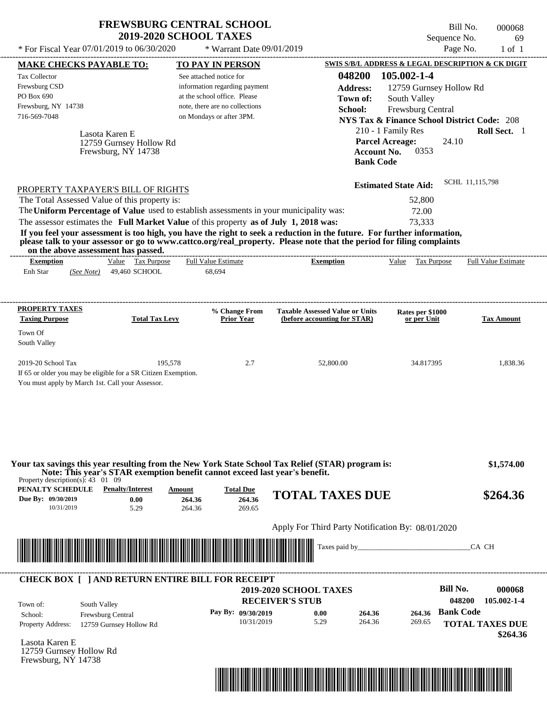\* For Fiscal Year  $07/01/2019$  to  $06/30/2020$  \* Warrant Date  $09/01/2019$  Page No. 1 of 1

\* Warrant Date 09/01/2019

Bill No. 000068 Sequence No. 69

|                                                                                                                                                                                                                                      | <b>MAKE CHECKS PAYABLE TO:</b>            | <b>TO PAY IN PERSON</b>                                                     |                                                                                                                         |                                                   | SWIS S/B/L ADDRESS & LEGAL DESCRIPTION & CK DIGIT      |
|--------------------------------------------------------------------------------------------------------------------------------------------------------------------------------------------------------------------------------------|-------------------------------------------|-----------------------------------------------------------------------------|-------------------------------------------------------------------------------------------------------------------------|---------------------------------------------------|--------------------------------------------------------|
| <b>Tax Collector</b>                                                                                                                                                                                                                 |                                           | See attached notice for                                                     |                                                                                                                         | 048200<br>105.002-1-4                             |                                                        |
| Frewsburg CSD                                                                                                                                                                                                                        |                                           | information regarding payment                                               |                                                                                                                         | <b>Address:</b>                                   | 12759 Gurnsey Hollow Rd                                |
| PO Box 690                                                                                                                                                                                                                           |                                           | at the school office. Please                                                |                                                                                                                         | South Valley<br>Town of:                          |                                                        |
| Frewsburg, NY 14738                                                                                                                                                                                                                  |                                           | note, there are no collections                                              |                                                                                                                         | School:<br>Frewsburg Central                      |                                                        |
| 716-569-7048                                                                                                                                                                                                                         |                                           | on Mondays or after 3PM.                                                    |                                                                                                                         |                                                   | <b>NYS Tax &amp; Finance School District Code: 208</b> |
|                                                                                                                                                                                                                                      |                                           |                                                                             |                                                                                                                         | 210 - 1 Family Res                                | Roll Sect. 1                                           |
|                                                                                                                                                                                                                                      | Lasota Karen E<br>12759 Gurnsey Hollow Rd |                                                                             |                                                                                                                         | <b>Parcel Acreage:</b>                            | 24.10                                                  |
|                                                                                                                                                                                                                                      | Frewsburg, NY 14738                       |                                                                             |                                                                                                                         | 0353<br><b>Account No.</b>                        |                                                        |
|                                                                                                                                                                                                                                      |                                           |                                                                             |                                                                                                                         | <b>Bank Code</b>                                  |                                                        |
|                                                                                                                                                                                                                                      |                                           |                                                                             |                                                                                                                         |                                                   |                                                        |
| PROPERTY TAXPAYER'S BILL OF RIGHTS                                                                                                                                                                                                   |                                           |                                                                             |                                                                                                                         | <b>Estimated State Aid:</b>                       | SCHL 11,115,798                                        |
| The Total Assessed Value of this property is:                                                                                                                                                                                        |                                           |                                                                             |                                                                                                                         | 52,800                                            |                                                        |
|                                                                                                                                                                                                                                      |                                           |                                                                             | The Uniform Percentage of Value used to establish assessments in your municipality was:                                 | 72.00                                             |                                                        |
|                                                                                                                                                                                                                                      |                                           |                                                                             | The assessor estimates the Full Market Value of this property as of July 1, 2018 was:                                   | 73,333                                            |                                                        |
|                                                                                                                                                                                                                                      |                                           |                                                                             | If you feel your assessment is too high, you have the right to seek a reduction in the future. For further information, |                                                   |                                                        |
| on the above assessment has passed.                                                                                                                                                                                                  |                                           |                                                                             | please talk to your assessor or go to www.cattco.org/real_property. Please note that the period for filing complaints   |                                                   |                                                        |
| <b>Exemption</b>                                                                                                                                                                                                                     | Value Tax Purpose                         | <b>Full Value Estimate</b>                                                  | <b>Exemption</b>                                                                                                        | Value Tax Purpose                                 | <b>Full Value Estimate</b>                             |
| Enh Star                                                                                                                                                                                                                             | (See Note) 49,460 SCHOOL                  | 68,694                                                                      |                                                                                                                         |                                                   |                                                        |
|                                                                                                                                                                                                                                      |                                           |                                                                             |                                                                                                                         |                                                   |                                                        |
| <b>PROPERTY TAXES</b>                                                                                                                                                                                                                |                                           | % Change From                                                               | <b>Taxable Assessed Value or Units</b>                                                                                  | Rates per \$1000                                  |                                                        |
| <b>Taxing Purpose</b>                                                                                                                                                                                                                | <b>Total Tax Levy</b>                     | <b>Prior Year</b>                                                           | (before accounting for STAR)                                                                                            | or per Unit                                       | <b>Tax Amount</b>                                      |
| Town Of                                                                                                                                                                                                                              |                                           |                                                                             |                                                                                                                         |                                                   |                                                        |
| South Valley                                                                                                                                                                                                                         |                                           |                                                                             |                                                                                                                         |                                                   |                                                        |
|                                                                                                                                                                                                                                      |                                           |                                                                             |                                                                                                                         |                                                   |                                                        |
|                                                                                                                                                                                                                                      |                                           |                                                                             |                                                                                                                         |                                                   |                                                        |
| 2019-20 School Tax                                                                                                                                                                                                                   | 195,578                                   | 2.7                                                                         | 52,800.00                                                                                                               | 34.817395                                         | 1,838.36                                               |
| If 65 or older you may be eligible for a SR Citizen Exemption.<br>You must apply by March 1st. Call your Assessor.                                                                                                                   |                                           |                                                                             |                                                                                                                         |                                                   |                                                        |
|                                                                                                                                                                                                                                      |                                           |                                                                             |                                                                                                                         |                                                   |                                                        |
|                                                                                                                                                                                                                                      |                                           |                                                                             |                                                                                                                         |                                                   |                                                        |
|                                                                                                                                                                                                                                      |                                           |                                                                             |                                                                                                                         |                                                   |                                                        |
|                                                                                                                                                                                                                                      |                                           |                                                                             |                                                                                                                         |                                                   |                                                        |
|                                                                                                                                                                                                                                      |                                           |                                                                             |                                                                                                                         |                                                   |                                                        |
|                                                                                                                                                                                                                                      |                                           |                                                                             | Your tax savings this year resulting from the New York State School Tax Relief (STAR) program is:                       |                                                   | \$1,574.00                                             |
| Property description(s): $43 \quad 01 \quad 09$                                                                                                                                                                                      | <b>Penalty/Interest</b>                   | Note: This year's STAR exemption benefit cannot exceed last year's benefit. |                                                                                                                         |                                                   |                                                        |
|                                                                                                                                                                                                                                      | 0.00                                      | <b>Total Due</b><br>Amount<br>264.36<br>264.36                              | <b>TOTAL TAXES DUE</b>                                                                                                  |                                                   | \$264.36                                               |
| PENALTY SCHEDULE<br>Due By: 09/30/2019<br>10/31/2019                                                                                                                                                                                 | 5.29                                      | 264.36<br>269.65                                                            |                                                                                                                         |                                                   |                                                        |
|                                                                                                                                                                                                                                      |                                           |                                                                             |                                                                                                                         |                                                   |                                                        |
|                                                                                                                                                                                                                                      |                                           |                                                                             |                                                                                                                         | Apply For Third Party Notification By: 08/01/2020 |                                                        |
|                                                                                                                                                                                                                                      |                                           |                                                                             | Taxes paid by_                                                                                                          |                                                   | CA CH                                                  |
| <u> Indian American State of Barbara and The Barbara and The Barbara and The Barbara and The Barbara and The Barbara and The Barbara and The Barbara and The Barbara and The Barbara and The Barbara and The Barbara and The Bar</u> |                                           |                                                                             |                                                                                                                         |                                                   |                                                        |
|                                                                                                                                                                                                                                      |                                           | <b>CHECK BOX [ ] AND RETURN ENTIRE BILL FOR RECEIPT</b>                     |                                                                                                                         |                                                   |                                                        |
|                                                                                                                                                                                                                                      |                                           |                                                                             | <b>2019-2020 SCHOOL TAXES</b>                                                                                           |                                                   | <b>Bill No.</b>                                        |
| Town of:<br>South Valley                                                                                                                                                                                                             |                                           |                                                                             | <b>RECEIVER'S STUB</b>                                                                                                  |                                                   | 048200                                                 |
| School:                                                                                                                                                                                                                              | Frewsburg Central                         | Pay By: 09/30/2019                                                          | 0.00                                                                                                                    | 264.36<br>264.36                                  | 000068<br>105.002-1-4<br><b>Bank Code</b>              |
| <b>Property Address:</b>                                                                                                                                                                                                             | 12759 Gurnsey Hollow Rd                   |                                                                             | 5.29<br>10/31/2019                                                                                                      | 264.36<br>269.65                                  | <b>TOTAL TAXES DUE</b>                                 |
|                                                                                                                                                                                                                                      |                                           |                                                                             |                                                                                                                         |                                                   | \$264.36                                               |
| Lasota Karen E<br>12759 Gurnsey Hollow Rd                                                                                                                                                                                            |                                           |                                                                             |                                                                                                                         |                                                   |                                                        |

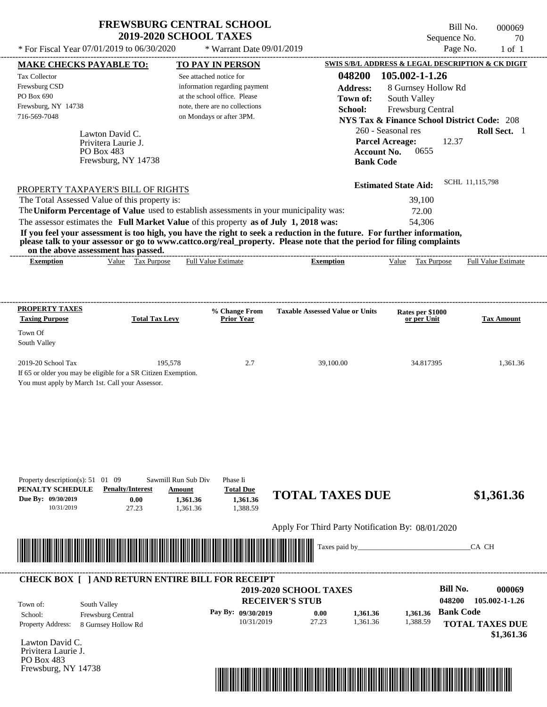$*$  For Fiscal Year 07/01/2019 to 06/30/2020

 $*$  Warrant Date 09/01/2019

Bill No. 000069 Sequence No. 70<br>Page No. 1 of 1

| <b>MAKE CHECKS PAYABLE TO:</b>                                                                                                                                                                                                                   |                         | <b>TO PAY IN PERSON</b>                                 |                                                                                                                          | SWIS S/B/L ADDRESS & LEGAL DESCRIPTION & CK DIGIT      |                            |
|--------------------------------------------------------------------------------------------------------------------------------------------------------------------------------------------------------------------------------------------------|-------------------------|---------------------------------------------------------|--------------------------------------------------------------------------------------------------------------------------|--------------------------------------------------------|----------------------------|
| Tax Collector                                                                                                                                                                                                                                    | See attached notice for |                                                         | 048200                                                                                                                   | 105.002-1-1.26                                         |                            |
| Frewsburg CSD                                                                                                                                                                                                                                    |                         | information regarding payment                           | <b>Address:</b>                                                                                                          | 8 Gurnsey Hollow Rd                                    |                            |
| PO Box 690                                                                                                                                                                                                                                       |                         | at the school office. Please                            | Town of:                                                                                                                 | South Valley                                           |                            |
| Frewsburg, NY 14738                                                                                                                                                                                                                              |                         | note, there are no collections                          | School:                                                                                                                  |                                                        |                            |
| 716-569-7048                                                                                                                                                                                                                                     |                         | on Mondays or after 3PM.                                |                                                                                                                          | Frewsburg Central                                      |                            |
|                                                                                                                                                                                                                                                  |                         |                                                         |                                                                                                                          | <b>NYS Tax &amp; Finance School District Code: 208</b> |                            |
| Lawton David C.                                                                                                                                                                                                                                  |                         |                                                         |                                                                                                                          | 260 - Seasonal res                                     | Roll Sect. 1               |
| Privitera Laurie J.                                                                                                                                                                                                                              |                         |                                                         |                                                                                                                          | <b>Parcel Acreage:</b><br>12.37                        |                            |
| PO Box 483                                                                                                                                                                                                                                       |                         |                                                         | <b>Account No.</b>                                                                                                       | 0655                                                   |                            |
| Frewsburg, NY 14738                                                                                                                                                                                                                              |                         |                                                         | <b>Bank Code</b>                                                                                                         |                                                        |                            |
|                                                                                                                                                                                                                                                  |                         |                                                         |                                                                                                                          |                                                        |                            |
| PROPERTY TAXPAYER'S BILL OF RIGHTS                                                                                                                                                                                                               |                         |                                                         |                                                                                                                          | <b>Estimated State Aid:</b>                            | SCHL 11,115,798            |
| The Total Assessed Value of this property is:                                                                                                                                                                                                    |                         |                                                         |                                                                                                                          | 39,100                                                 |                            |
| The Uniform Percentage of Value used to establish assessments in your municipality was:                                                                                                                                                          |                         |                                                         |                                                                                                                          | 72.00                                                  |                            |
| The assessor estimates the Full Market Value of this property as of July 1, 2018 was:                                                                                                                                                            |                         |                                                         |                                                                                                                          | 54,306                                                 |                            |
|                                                                                                                                                                                                                                                  |                         |                                                         |                                                                                                                          |                                                        |                            |
| If you feel your assessment is too high, you have the right to seek a reduction in the future. For further information,<br>please talk to your assessor or go to www.cattco.org/real_property. Please note that the period for filing complaints |                         |                                                         |                                                                                                                          |                                                        |                            |
| on the above assessment has passed.<br>Value Tax Purpose<br><b>Exemption</b>                                                                                                                                                                     |                         | --------------------------------<br>Full Value Estimate | <b>Exemption</b>                                                                                                         | Value Tax Purpose                                      | <b>Full Value Estimate</b> |
|                                                                                                                                                                                                                                                  |                         |                                                         |                                                                                                                          |                                                        |                            |
|                                                                                                                                                                                                                                                  |                         |                                                         |                                                                                                                          |                                                        |                            |
|                                                                                                                                                                                                                                                  |                         |                                                         |                                                                                                                          |                                                        |                            |
| <b>PROPERTY TAXES</b>                                                                                                                                                                                                                            |                         | % Change From                                           | <b>Taxable Assessed Value or Units</b>                                                                                   | Rates per \$1000                                       |                            |
| <b>Taxing Purpose</b>                                                                                                                                                                                                                            | <b>Total Tax Levy</b>   | <b>Prior Year</b>                                       |                                                                                                                          | or per Unit                                            | <b>Tax Amount</b>          |
| Town Of                                                                                                                                                                                                                                          |                         |                                                         |                                                                                                                          |                                                        |                            |
| South Valley                                                                                                                                                                                                                                     |                         |                                                         |                                                                                                                          |                                                        |                            |
|                                                                                                                                                                                                                                                  |                         |                                                         |                                                                                                                          |                                                        |                            |
| 2019-20 School Tax                                                                                                                                                                                                                               | 195,578                 | 2.7                                                     | 39,100.00                                                                                                                | 34.817395                                              | 1,361.36                   |
| If 65 or older you may be eligible for a SR Citizen Exemption.                                                                                                                                                                                   |                         |                                                         |                                                                                                                          |                                                        |                            |
| You must apply by March 1st. Call your Assessor.                                                                                                                                                                                                 |                         |                                                         |                                                                                                                          |                                                        |                            |
|                                                                                                                                                                                                                                                  |                         |                                                         |                                                                                                                          |                                                        |                            |
|                                                                                                                                                                                                                                                  |                         |                                                         |                                                                                                                          |                                                        |                            |
| Property description(s): 51 01 09                                                                                                                                                                                                                | Sawmill Run Sub Div     | Phase Ii                                                |                                                                                                                          |                                                        |                            |
| PENALTY SCHEDULE<br><b>Penalty/Interest</b>                                                                                                                                                                                                      | Amount                  | <b>Total Due</b>                                        | <b>TOTAL TAXES DUE</b>                                                                                                   |                                                        | \$1,361.36                 |
| Due By: 09/30/2019<br>0.00<br>10/31/2019<br>27.23                                                                                                                                                                                                | 1.361.36<br>1.361.36    | 1.361.36<br>1,388.59                                    |                                                                                                                          |                                                        |                            |
|                                                                                                                                                                                                                                                  |                         |                                                         |                                                                                                                          |                                                        |                            |
|                                                                                                                                                                                                                                                  |                         |                                                         | Apply For Third Party Notification By: 08/01/2020                                                                        |                                                        |                            |
|                                                                                                                                                                                                                                                  |                         |                                                         | Taxes paid by_                                                                                                           |                                                        | CA CH                      |
|                                                                                                                                                                                                                                                  |                         |                                                         |                                                                                                                          |                                                        |                            |
|                                                                                                                                                                                                                                                  |                         |                                                         |                                                                                                                          |                                                        |                            |
| <b>CHECK BOX [ ] AND RETURN ENTIRE BILL FOR RECEIPT</b>                                                                                                                                                                                          |                         |                                                         | 2019-2020 SCHOOL TAXES                                                                                                   | <b>Bill No.</b>                                        | 000069                     |
|                                                                                                                                                                                                                                                  |                         |                                                         | <b>RECEIVER'S STUB</b>                                                                                                   | 048200                                                 | 105.002-1-1.26             |
| South Valley<br>Town of:                                                                                                                                                                                                                         |                         |                                                         |                                                                                                                          |                                                        |                            |
| School:<br>Frewsburg Central                                                                                                                                                                                                                     |                         | Pay By: 09/30/2019                                      | 1,361.36<br>0.00                                                                                                         | 1,361.36                                               | <b>Bank Code</b>           |
|                                                                                                                                                                                                                                                  |                         |                                                         |                                                                                                                          | 1,388.59                                               | <b>TOTAL TAXES DUE</b>     |
| 8 Gurnsey Hollow Rd                                                                                                                                                                                                                              |                         | 10/31/2019                                              | 27.23<br>1.361.36                                                                                                        |                                                        |                            |
| Property Address:                                                                                                                                                                                                                                |                         |                                                         |                                                                                                                          |                                                        |                            |
|                                                                                                                                                                                                                                                  |                         |                                                         |                                                                                                                          |                                                        |                            |
|                                                                                                                                                                                                                                                  |                         |                                                         |                                                                                                                          |                                                        |                            |
|                                                                                                                                                                                                                                                  |                         |                                                         |                                                                                                                          |                                                        | \$1,361.36                 |
|                                                                                                                                                                                                                                                  |                         |                                                         |                                                                                                                          |                                                        |                            |
| Lawton David C.<br>Privitera Laurie J.<br>PO Box 483<br>Frewsburg, NY 14738                                                                                                                                                                      |                         |                                                         | <u> III di kacamatan ing Kabupatèn III di Kabupatèn III di Kabupatèn III di Kabupatèn III di Kabupatèn III di Kabupa</u> |                                                        |                            |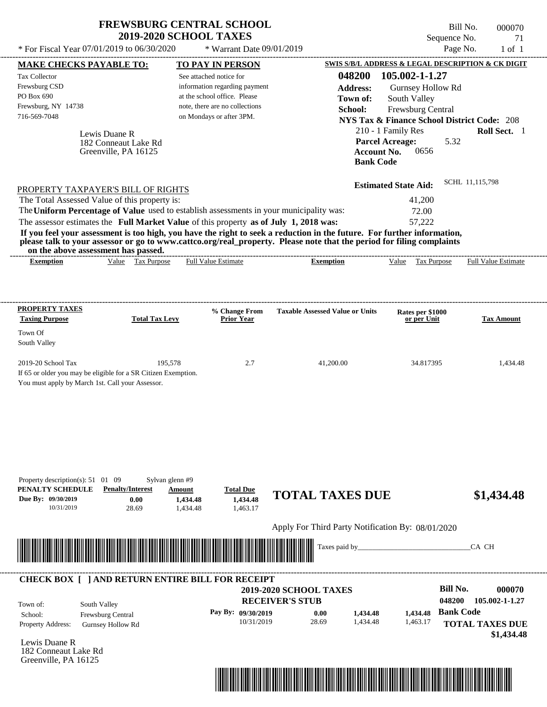| <b>FREWSBURG CENTRAL SCHOOL</b> |  |
|---------------------------------|--|
| <b>2019-2020 SCHOOL TAXES</b>   |  |

Bill No. 000070 Sequence No. 21

| * For Fiscal Year 07/01/2019 to 06/30/2020                                                                                               |                                                               | * Warrant Date 09/01/2019                                                                                                                                                        |                                                                                                                                                                                                                                                  | Page No.                                                                                                                                                                                           | $1$ of $1$                           |
|------------------------------------------------------------------------------------------------------------------------------------------|---------------------------------------------------------------|----------------------------------------------------------------------------------------------------------------------------------------------------------------------------------|--------------------------------------------------------------------------------------------------------------------------------------------------------------------------------------------------------------------------------------------------|----------------------------------------------------------------------------------------------------------------------------------------------------------------------------------------------------|--------------------------------------|
| <b>MAKE CHECKS PAYABLE TO:</b>                                                                                                           |                                                               | <b>TO PAY IN PERSON</b>                                                                                                                                                          |                                                                                                                                                                                                                                                  | SWIS S/B/L ADDRESS & LEGAL DESCRIPTION & CK DIGIT                                                                                                                                                  |                                      |
| Tax Collector<br>Frewsburg CSD<br>PO Box 690<br>Frewsburg, NY 14738<br>716-569-7048                                                      | Lewis Duane R<br>182 Conneaut Lake Rd<br>Greenville, PA 16125 | See attached notice for<br>information regarding payment<br>at the school office. Please<br>note, there are no collections<br>on Mondays or after 3PM.                           | 048200<br><b>Address:</b><br>Town of:<br>School:<br><b>Account No.</b><br><b>Bank Code</b>                                                                                                                                                       | 105.002-1-1.27<br>Gurnsey Hollow Rd<br>South Valley<br>Frewsburg Central<br><b>NYS Tax &amp; Finance School District Code: 208</b><br>210 - 1 Family Res<br><b>Parcel Acreage:</b><br>5.32<br>0656 | Roll Sect. 1                         |
| PROPERTY TAXPAYER'S BILL OF RIGHTS<br>The Total Assessed Value of this property is:<br>on the above assessment has passed.               |                                                               | The Uniform Percentage of Value used to establish assessments in your municipality was:<br>The assessor estimates the Full Market Value of this property as of July 1, 2018 was: | If you feel your assessment is too high, you have the right to seek a reduction in the future. For further information,<br>please talk to your assessor or go to www.cattco.org/real_property. Please note that the period for filing complaints | <b>Estimated State Aid:</b><br>41,200<br>72.00<br>57,222                                                                                                                                           | SCHL 11,115,798                      |
| <b>Exemption</b>                                                                                                                         | Value Tax Purpose                                             | <b>Full Value Estimate</b>                                                                                                                                                       | <b>Exemption</b>                                                                                                                                                                                                                                 | Value Tax Purpose                                                                                                                                                                                  | <b>Full Value Estimate</b>           |
| <b>PROPERTY TAXES</b><br><b>Taxing Purpose</b>                                                                                           | <b>Total Tax Levy</b>                                         | % Change From<br><b>Prior Year</b>                                                                                                                                               | <b>Taxable Assessed Value or Units</b>                                                                                                                                                                                                           | Rates per \$1000<br>or per Unit                                                                                                                                                                    | <b>Tax Amount</b>                    |
| Town Of<br>South Valley                                                                                                                  |                                                               |                                                                                                                                                                                  |                                                                                                                                                                                                                                                  |                                                                                                                                                                                                    |                                      |
| 2019-20 School Tax<br>If 65 or older you may be eligible for a SR Citizen Exemption.<br>You must apply by March 1st. Call your Assessor. | 195,578                                                       | 2.7                                                                                                                                                                              | 41,200.00                                                                                                                                                                                                                                        | 34.817395                                                                                                                                                                                          | 1,434.48                             |
| Property description(s): 51 01 09<br>PENALTY SCHEDULE<br>Due By: 09/30/2019<br>10/31/2019                                                | Sylvan glenn #9<br><b>Penalty/Interest</b><br>0.00<br>28.69   | <b>Total Due</b><br>Amount<br>1,434.48<br>1,434.48<br>1,434.48<br>1,463.17                                                                                                       | <b>TOTAL TAXES DUE</b>                                                                                                                                                                                                                           |                                                                                                                                                                                                    | \$1,434.48                           |
|                                                                                                                                          |                                                               |                                                                                                                                                                                  | Apply For Third Party Notification By: 08/01/2020                                                                                                                                                                                                |                                                                                                                                                                                                    |                                      |
| <u> Handel al III de la construcció de la construcció de la construcció de la construcció de la construcció de la </u>                   |                                                               |                                                                                                                                                                                  | Taxes paid by_                                                                                                                                                                                                                                   |                                                                                                                                                                                                    | CA CH                                |
|                                                                                                                                          |                                                               | <b>CHECK BOX [ ] AND RETURN ENTIRE BILL FOR RECEIPT</b>                                                                                                                          |                                                                                                                                                                                                                                                  | <b>Bill No.</b>                                                                                                                                                                                    |                                      |
| Town of:                                                                                                                                 | South Valley                                                  |                                                                                                                                                                                  | 2019-2020 SCHOOL TAXES<br><b>RECEIVER'S STUB</b>                                                                                                                                                                                                 | 048200<br>1,434.48 Bank Code                                                                                                                                                                       | 000070<br>105.002-1-1.27             |
| School:                                                                                                                                  |                                                               | Pay By: 09/30/2019                                                                                                                                                               | 0.00<br>1,434.48                                                                                                                                                                                                                                 |                                                                                                                                                                                                    |                                      |
| Property Address:<br>Lewis Duane R                                                                                                       | Frewsburg Central<br><b>Gurnsey Hollow Rd</b>                 | 10/31/2019                                                                                                                                                                       | 28.69<br>1,434.48                                                                                                                                                                                                                                | 1,463.17                                                                                                                                                                                           | <b>TOTAL TAXES DUE</b><br>\$1,434.48 |

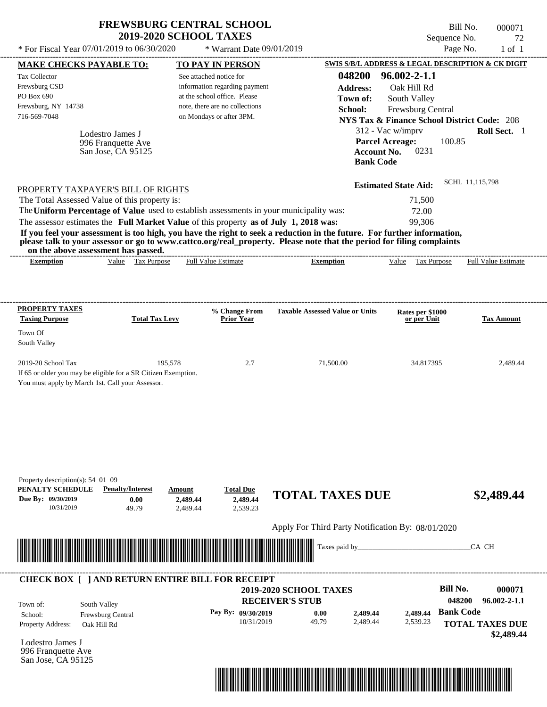| <b>FREWSBURG CENTRAL SCHOOL</b> |  |
|---------------------------------|--|
| <b>2019-2020 SCHOOL TAXES</b>   |  |

Bill No. 000071 Sequence No. 22

| * For Fiscal Year 07/01/2019 to 06/30/2020                                                                                                                                       |                                                 | * Warrant Date 09/01/2019                |                                                   |                                                                           | Page No.<br>$1$ of $1$                                 |
|----------------------------------------------------------------------------------------------------------------------------------------------------------------------------------|-------------------------------------------------|------------------------------------------|---------------------------------------------------|---------------------------------------------------------------------------|--------------------------------------------------------|
| <b>MAKE CHECKS PAYABLE TO:</b>                                                                                                                                                   |                                                 | <b>TO PAY IN PERSON</b>                  |                                                   |                                                                           | SWIS S/B/L ADDRESS & LEGAL DESCRIPTION & CK DIGIT      |
| Tax Collector                                                                                                                                                                    |                                                 | See attached notice for                  | 048200                                            | $96.002 - 2 - 1.1$                                                        |                                                        |
| Frewsburg CSD                                                                                                                                                                    |                                                 | information regarding payment            | <b>Address:</b>                                   | Oak Hill Rd                                                               |                                                        |
| PO Box 690                                                                                                                                                                       |                                                 | at the school office. Please             | Town of:                                          | South Valley                                                              |                                                        |
| Frewsburg, NY 14738                                                                                                                                                              |                                                 | note, there are no collections           | School:                                           | Frewsburg Central                                                         |                                                        |
| 716-569-7048                                                                                                                                                                     |                                                 | on Mondays or after 3PM.                 |                                                   |                                                                           | <b>NYS Tax &amp; Finance School District Code: 208</b> |
| Lodestro James J<br>996 Franquette Ave<br>San Jose, CA 95125                                                                                                                     |                                                 |                                          | <b>Bank Code</b>                                  | 312 - Vac w/imprv<br><b>Parcel Acreage:</b><br>0231<br><b>Account No.</b> | Roll Sect. 1<br>100.85                                 |
|                                                                                                                                                                                  |                                                 |                                          |                                                   |                                                                           |                                                        |
| PROPERTY TAXPAYER'S BILL OF RIGHTS                                                                                                                                               |                                                 |                                          |                                                   | <b>Estimated State Aid:</b>                                               | SCHL 11,115,798                                        |
| The Total Assessed Value of this property is:                                                                                                                                    |                                                 |                                          |                                                   | 71,500                                                                    |                                                        |
| The Uniform Percentage of Value used to establish assessments in your municipality was:                                                                                          |                                                 |                                          |                                                   | 72.00                                                                     |                                                        |
| The assessor estimates the Full Market Value of this property as of July 1, 2018 was:                                                                                            |                                                 |                                          |                                                   | 99.306                                                                    |                                                        |
| please talk to your assessor or go to www.cattco.org/real_property. Please note that the period for filing complaints<br>on the above assessment has passed.<br><b>Exemption</b> | Value Tax Purpose                               | Full Value Estimate                      | <b>Exemption</b>                                  | Tax Purpose<br>Value                                                      | Full Value Estimate                                    |
|                                                                                                                                                                                  |                                                 |                                          |                                                   |                                                                           |                                                        |
| <b>PROPERTY TAXES</b><br><b>Taxing Purpose</b>                                                                                                                                   | <b>Total Tax Levy</b>                           | % Change From<br><b>Prior Year</b>       | <b>Taxable Assessed Value or Units</b>            | Rates per \$1000<br>or per Unit                                           | <b>Tax Amount</b>                                      |
|                                                                                                                                                                                  |                                                 |                                          |                                                   |                                                                           |                                                        |
| Town Of                                                                                                                                                                          |                                                 |                                          |                                                   |                                                                           |                                                        |
| South Valley                                                                                                                                                                     |                                                 |                                          |                                                   |                                                                           |                                                        |
| 2019-20 School Tax<br>If 65 or older you may be eligible for a SR Citizen Exemption.<br>You must apply by March 1st. Call your Assessor.                                         | 195,578                                         | 2.7                                      | 71,500.00                                         | 34.817395                                                                 | 2,489.44                                               |
| Property description(s): 54 01 09<br>PENALTY SCHEDULE<br><b>Penalty/Interest</b><br>Due By: 09/30/2019<br>10/31/2019                                                             | Amount<br>0.00<br>2,489.44<br>49.79<br>2,489.44 | <b>Total Due</b><br>2,489.44<br>2,539.23 | <b>TOTAL TAXES DUE</b>                            |                                                                           | \$2,489.44                                             |
|                                                                                                                                                                                  |                                                 |                                          | Apply For Third Party Notification By: 08/01/2020 |                                                                           |                                                        |
|                                                                                                                                                                                  |                                                 |                                          | Taxes paid by_                                    |                                                                           | CA CH                                                  |
| <b>CHECK BOX [ ] AND RETURN ENTIRE BILL FOR RECEIPT</b>                                                                                                                          |                                                 |                                          |                                                   |                                                                           |                                                        |
|                                                                                                                                                                                  |                                                 |                                          | <b>2019-2020 SCHOOL TAXES</b>                     |                                                                           | <b>Bill No.</b><br>000071                              |
| South Valley<br>Town of:                                                                                                                                                         |                                                 |                                          | <b>RECEIVER'S STUB</b>                            |                                                                           | 048200<br>$96.002 - 2 - 1.1$                           |
| School:<br>Frewsburg Central                                                                                                                                                     |                                                 | Pay By: 09/30/2019                       | 2,489.44<br>0.00                                  | 2,489.44                                                                  | <b>Bank Code</b>                                       |
| Property Address:<br>Oak Hill Rd<br>Lodestro James J                                                                                                                             |                                                 | 10/31/2019                               | 49.79<br>2,489.44                                 | 2,539.23                                                                  | <b>TOTAL TAXES DUE</b><br>\$2,489.44                   |
| 996 Franquette Ave<br>San Jose, CA 95125                                                                                                                                         |                                                 |                                          |                                                   |                                                                           |                                                        |

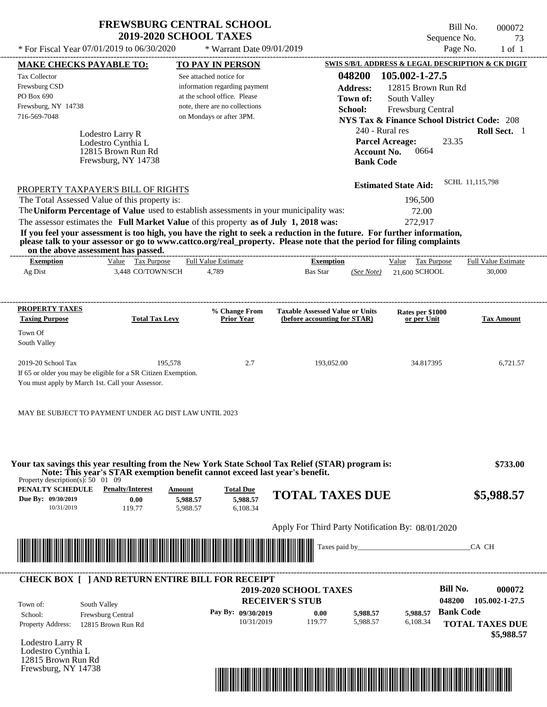| <b>FREWSBURG CENTRAL SCHOOL</b> |
|---------------------------------|
| <b>2019-2020 SCHOOL TAXES</b>   |

See attached notice for information regarding payment at the school office. Please note, there are no collections

Tax Collector Frewsburg CSD PO Box 690

Frewsburg, NY 14738

Lodestro Larry R

Lodestro Cynthia L

12815 Brown Run Rd

716-569-7048 on Mondays or after 3PM.

\* Warrant Date 09/01/2019

---------------------------------------------------------------------------------------------------------------------------------------------------------------------------------------------------- Bill No. 000072 Sequence No. 23 \* For Fiscal Year  $07/01/2019$  to  $06/30/2020$  \* Warrant Date  $09/01/2019$  Page No. 1 of 1 **MAKE CHECKS PAYABLE TO: TO PAY IN PERSON SWIS S/B/L ADDRESS & LEGAL DESCRIPTION & CK DIGIT 048200 105.002-1-27.5 Address:** 12815 Brown Run Rd South Valley **School:** Frewsburg Central **NYS Tax & Finance School District Code:** 208 240 - Rural res **Roll Sect.** 1 23.35 **Parcel Acreage: Town of:**

**Account No.** 0664

| Frewsburg, NY 14738                                                                                                   | <b>Bank Code</b>            |                 |
|-----------------------------------------------------------------------------------------------------------------------|-----------------------------|-----------------|
| PROPERTY TAXPAYER'S BILL OF RIGHTS                                                                                    | <b>Estimated State Aid:</b> | SCHL 11,115,798 |
| The Total Assessed Value of this property is:                                                                         | 196.500                     |                 |
| The Uniform Percentage of Value used to establish assessments in your municipality was:                               | 72.00                       |                 |
| The assessor estimates the Full Market Value of this property as of July 1, 2018 was:                                 | 272.917                     |                 |
| If you feel your assessment is too high you have the right to seek a reduction in the future. For further information |                             |                 |

**If you feel your assessment is too high, you have the right to seek a reduction in the future. For further information, please talk to your assessor or go to www.cattco.org/real\_property. Please note that the period for filing complaints on the above assessment has passed.**

| <b>Exemption</b>                                               | Value | Tax Purpose           | <b>Full Value Estimate</b>         | <b>Exemption</b>                                                       |            | Value | Tax Purpose                     | <b>Full Value Estimate</b> |
|----------------------------------------------------------------|-------|-----------------------|------------------------------------|------------------------------------------------------------------------|------------|-------|---------------------------------|----------------------------|
| Ag Dist                                                        |       | 3,448 CO/TOWN/SCH     | 4,789                              | <b>Bas Star</b>                                                        | (See Note) |       | 21,600 SCHOOL                   | 30,000                     |
|                                                                |       |                       |                                    |                                                                        |            |       |                                 |                            |
| <b>PROPERTY TAXES</b><br><b>Taxing Purpose</b>                 |       | <b>Total Tax Levy</b> | % Change From<br><b>Prior Year</b> | <b>Taxable Assessed Value or Units</b><br>(before accounting for STAR) |            |       | Rates per \$1000<br>or per Unit | <b>Tax Amount</b>          |
| Town Of<br>South Valley                                        |       |                       |                                    |                                                                        |            |       |                                 |                            |
| $2019-20$ School Tax                                           |       | 195.578               | 2.7                                | 193,052.00                                                             |            |       | 34.817395                       | 6.721.57                   |
| If 65 or older you may be eligible for a SR Citizen Exemption. |       |                       |                                    |                                                                        |            |       |                                 |                            |
| You must apply by March 1st. Call your Assessor.               |       |                       |                                    |                                                                        |            |       |                                 |                            |

| MAY BE SUBJECT TO PAYMENT UNDER AG DIST LAW UNTIL 2023 |  |
|--------------------------------------------------------|--|
|--------------------------------------------------------|--|

Frewsburg, NY 14738

| Property description(s): $50 \quad 01 \quad 09$      |                                                                                                                      |                                |                                          |                                                         |  |                                                |
|------------------------------------------------------|----------------------------------------------------------------------------------------------------------------------|--------------------------------|------------------------------------------|---------------------------------------------------------|--|------------------------------------------------|
| PENALTY SCHEDULE<br>Due By: 09/30/2019<br>10/31/2019 | <b>Penalty/Interest</b><br>0.00<br>119.77                                                                            | Amount<br>5,988.57<br>5,988.57 | <b>Total Due</b><br>5.988.57<br>6,108.34 | <b>TOTAL TAXES DUE</b>                                  |  | \$5,988.57                                     |
|                                                      |                                                                                                                      |                                |                                          | Apply For Third Party Notification By: 08/01/2020       |  |                                                |
|                                                      |                                                                                                                      |                                |                                          |                                                         |  |                                                |
|                                                      | <u> Martin Barbara (Barbara) da kasas da shekara 1999 da kasas da kasas da kasas da kasas da kasas da kasas da k</u> |                                |                                          | '   <b>                     </b><br>Taxes paid by       |  | CA CH                                          |
| Town of:                                             | <b>CHECK BOX [ ] AND RETURN ENTIRE BILL FOR RECEIPT</b><br>South Valley                                              |                                |                                          | <b>2019-2020 SCHOOL TAXES</b><br><b>RECEIVER'S STUB</b> |  | Bill No.<br>000072<br>105.002-1-27.5<br>048200 |

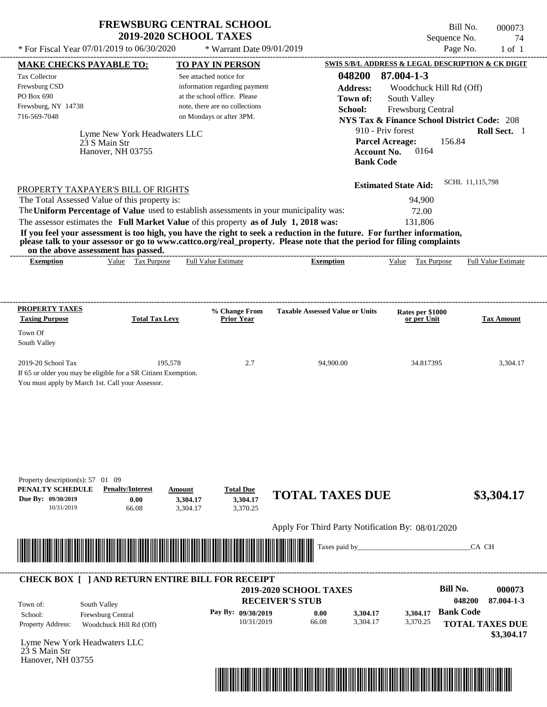| <b>FREWSBURG CENTRAL SCHOOL</b> |
|---------------------------------|
| <b>2019-2020 SCHOOL TAXES</b>   |

Bill No. 000073 Sequence No. 74

| * For Fiscal Year 07/01/2019 to 06/30/2020                                                                                                                                                                                                                                              |                                                            | * Warrant Date 09/01/2019                         |                  |                                                                           | Page No.                | $1$ of $1$          |
|-----------------------------------------------------------------------------------------------------------------------------------------------------------------------------------------------------------------------------------------------------------------------------------------|------------------------------------------------------------|---------------------------------------------------|------------------|---------------------------------------------------------------------------|-------------------------|---------------------|
| <b>MAKE CHECKS PAYABLE TO:</b>                                                                                                                                                                                                                                                          | <b>TO PAY IN PERSON</b>                                    |                                                   |                  | SWIS S/B/L ADDRESS & LEGAL DESCRIPTION & CK DIGIT                         |                         |                     |
| Tax Collector                                                                                                                                                                                                                                                                           | See attached notice for                                    |                                                   | 048200           | 87.004-1-3                                                                |                         |                     |
| Frewsburg CSD                                                                                                                                                                                                                                                                           | information regarding payment                              |                                                   | <b>Address:</b>  |                                                                           | Woodchuck Hill Rd (Off) |                     |
| PO Box 690                                                                                                                                                                                                                                                                              | at the school office. Please                               |                                                   | Town of:         | South Valley                                                              |                         |                     |
| Frewsburg, NY 14738<br>716-569-7048                                                                                                                                                                                                                                                     | note, there are no collections<br>on Mondays or after 3PM. |                                                   | School:          | Frewsburg Central                                                         |                         |                     |
|                                                                                                                                                                                                                                                                                         |                                                            |                                                   |                  | <b>NYS Tax &amp; Finance School District Code: 208</b>                    |                         |                     |
| Lyme New York Headwaters LLC<br>23 S Main Str<br>Hanover, NH 03755                                                                                                                                                                                                                      |                                                            |                                                   | <b>Bank Code</b> | 910 - Priv forest<br><b>Parcel Acreage:</b><br>0164<br><b>Account No.</b> | 156.84                  | Roll Sect. 1        |
| PROPERTY TAXPAYER'S BILL OF RIGHTS                                                                                                                                                                                                                                                      |                                                            |                                                   |                  | <b>Estimated State Aid:</b>                                               | SCHL 11,115,798         |                     |
| The Total Assessed Value of this property is:                                                                                                                                                                                                                                           |                                                            |                                                   |                  | 94,900                                                                    |                         |                     |
| The Uniform Percentage of Value used to establish assessments in your municipality was:                                                                                                                                                                                                 |                                                            |                                                   |                  | 72.00                                                                     |                         |                     |
| The assessor estimates the Full Market Value of this property as of July 1, 2018 was:                                                                                                                                                                                                   |                                                            |                                                   |                  | 131,806                                                                   |                         |                     |
| If you feel your assessment is too high, you have the right to seek a reduction in the future. For further information,<br>please talk to your assessor or go to www.cattco.org/real_property. Please note that the period for filing complaints<br>on the above assessment has passed. |                                                            |                                                   |                  |                                                                           |                         |                     |
| Value Tax Purpose<br><b>Exemption</b>                                                                                                                                                                                                                                                   | <b>Full Value Estimate</b>                                 | <b>Exemption</b>                                  |                  | Tax Purpose<br>Value                                                      |                         | Full Value Estimate |
|                                                                                                                                                                                                                                                                                         |                                                            |                                                   |                  |                                                                           |                         |                     |
| <b>PROPERTY TAXES</b><br><b>Taxing Purpose</b><br><b>Total Tax Levy</b><br>Town Of                                                                                                                                                                                                      | % Change From<br><b>Prior Year</b>                         | <b>Taxable Assessed Value or Units</b>            |                  | Rates per \$1000<br>or per Unit                                           |                         | <b>Tax Amount</b>   |
| South Valley                                                                                                                                                                                                                                                                            |                                                            |                                                   |                  |                                                                           |                         |                     |
| 2019-20 School Tax<br>If 65 or older you may be eligible for a SR Citizen Exemption.<br>You must apply by March 1st. Call your Assessor.                                                                                                                                                | 195,578                                                    | 2.7<br>94,900.00                                  |                  | 34.817395                                                                 |                         | 3,304.17            |
| Property description(s): 57 01 09<br>PENALTY SCHEDULE<br><b>Penalty/Interest</b><br>Due By: 09/30/2019<br>0.00<br>66.08<br>10/31/2019                                                                                                                                                   | <b>Total Due</b><br>Amount<br>3,304.17<br>3,304.17         | <b>TOTAL TAXES DUE</b><br>3,304.17<br>3,370.25    |                  |                                                                           |                         | \$3,304.17          |
|                                                                                                                                                                                                                                                                                         |                                                            |                                                   |                  |                                                                           |                         |                     |
|                                                                                                                                                                                                                                                                                         |                                                            | Apply For Third Party Notification By: 08/01/2020 |                  |                                                                           |                         |                     |
| <u> Indian American State of Barbara and The Barbara and The Barbara and The Barbara and The Barbara and The Barbara and The Barbara and The Barbara and The Barbara and The Barbara and The Barbara and The Barbara and The Bar</u>                                                    |                                                            |                                                   | Taxes paid by_   |                                                                           | CA CH                   |                     |
| <b>CHECK BOX [ ] AND RETURN ENTIRE BILL FOR RECEIPT</b>                                                                                                                                                                                                                                 |                                                            |                                                   |                  |                                                                           |                         |                     |
|                                                                                                                                                                                                                                                                                         |                                                            | <b>2019-2020 SCHOOL TAXES</b>                     |                  |                                                                           | <b>Bill No.</b>         | 000073              |
| South Valley<br>Town of:                                                                                                                                                                                                                                                                |                                                            | <b>RECEIVER'S STUB</b>                            |                  |                                                                           | 048200                  | 87.004-1-3          |
| School:<br>Frewsburg Central                                                                                                                                                                                                                                                            | Pay By: 09/30/2019                                         | 0.00                                              | 3,304.17         | 3,304.17                                                                  | <b>Bank Code</b>        |                     |
| Property Address:<br>Woodchuck Hill Rd (Off)                                                                                                                                                                                                                                            |                                                            | 10/31/2019<br>66.08                               | 3,304.17         | 3,370.25                                                                  | <b>TOTAL TAXES DUE</b>  |                     |
| Lyme New York Headwaters LLC<br>23 S Main Str<br>Hanover, NH 03755                                                                                                                                                                                                                      |                                                            |                                                   |                  |                                                                           |                         | \$3,304.17          |
|                                                                                                                                                                                                                                                                                         |                                                            |                                                   |                  |                                                                           |                         |                     |
|                                                                                                                                                                                                                                                                                         |                                                            |                                                   |                  |                                                                           |                         |                     |
|                                                                                                                                                                                                                                                                                         |                                                            |                                                   |                  |                                                                           |                         |                     |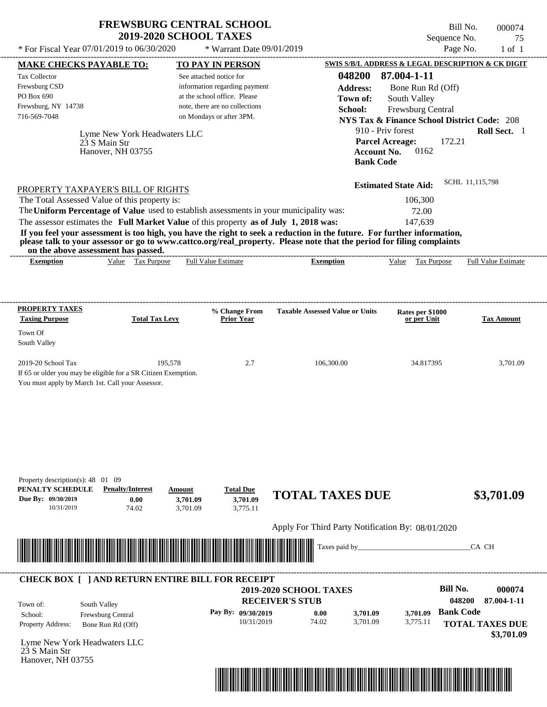| <b>FREWSBURG CENTRAL SCHOOL</b> |
|---------------------------------|
| <b>2019-2020 SCHOOL TAXES</b>   |

Bill No. 000074 Sequence No. 75  $*$  For Fiscal Year 07/01/2019 to 06/30/2020  $*$  Warrant Date 09/01/2019 Page No. 1 of 1

| <b>MAKE CHECKS PAYABLE TO:</b>                                 |                              | <b>TO PAY IN PERSON</b>                                 |                                                                                                                                                                                                                                                  |                             |                                 | <b>SWIS S/B/L ADDRESS &amp; LEGAL DESCRIPTION &amp; CK DIGIT</b> |
|----------------------------------------------------------------|------------------------------|---------------------------------------------------------|--------------------------------------------------------------------------------------------------------------------------------------------------------------------------------------------------------------------------------------------------|-----------------------------|---------------------------------|------------------------------------------------------------------|
| <b>Tax Collector</b>                                           |                              | See attached notice for                                 |                                                                                                                                                                                                                                                  | 048200                      | 87.004-1-11                     |                                                                  |
| Frewsburg CSD                                                  |                              | information regarding payment                           |                                                                                                                                                                                                                                                  | <b>Address:</b>             | Bone Run Rd (Off)               |                                                                  |
| PO Box 690                                                     |                              | at the school office. Please                            |                                                                                                                                                                                                                                                  | Town of:                    | South Valley                    |                                                                  |
| Frewsburg, NY 14738                                            |                              | note, there are no collections                          |                                                                                                                                                                                                                                                  | School:                     | Frewsburg Central               |                                                                  |
| 716-569-7048                                                   |                              | on Mondays or after 3PM.                                |                                                                                                                                                                                                                                                  |                             |                                 | <b>NYS Tax &amp; Finance School District Code: 208</b>           |
|                                                                | Lyme New York Headwaters LLC |                                                         |                                                                                                                                                                                                                                                  | 910 - Priv forest           |                                 | Roll Sect. 1                                                     |
|                                                                | 23 S Main Str                |                                                         |                                                                                                                                                                                                                                                  | <b>Parcel Acreage:</b>      |                                 | 172.21                                                           |
|                                                                | Hanover, NH 03755            |                                                         |                                                                                                                                                                                                                                                  | <b>Account No.</b>          | 0162                            |                                                                  |
|                                                                |                              |                                                         |                                                                                                                                                                                                                                                  | <b>Bank Code</b>            |                                 |                                                                  |
|                                                                |                              |                                                         |                                                                                                                                                                                                                                                  | <b>Estimated State Aid:</b> |                                 | SCHL 11,115,798                                                  |
| PROPERTY TAXPAYER'S BILL OF RIGHTS                             |                              |                                                         |                                                                                                                                                                                                                                                  |                             |                                 |                                                                  |
| The Total Assessed Value of this property is:                  |                              |                                                         |                                                                                                                                                                                                                                                  |                             | 106,300                         |                                                                  |
|                                                                |                              |                                                         | The Uniform Percentage of Value used to establish assessments in your municipality was:                                                                                                                                                          |                             | 72.00                           |                                                                  |
|                                                                |                              |                                                         | The assessor estimates the Full Market Value of this property as of July 1, 2018 was:                                                                                                                                                            |                             | 147,639                         |                                                                  |
|                                                                |                              |                                                         | If you feel your assessment is too high, you have the right to seek a reduction in the future. For further information,<br>please talk to your assessor or go to www.cattco.org/real_property. Please note that the period for filing complaints |                             |                                 |                                                                  |
| on the above assessment has passed.<br><b>Exemption</b>        | Value Tax Purpose            | <b>Full Value Estimate</b>                              | <b>Exemption</b>                                                                                                                                                                                                                                 |                             | Value Tax Purpose               | <b>Full Value Estimate</b>                                       |
|                                                                |                              |                                                         |                                                                                                                                                                                                                                                  |                             |                                 |                                                                  |
|                                                                |                              |                                                         |                                                                                                                                                                                                                                                  |                             |                                 |                                                                  |
| <b>PROPERTY TAXES</b>                                          |                              |                                                         | <b>Taxable Assessed Value or Units</b>                                                                                                                                                                                                           |                             |                                 |                                                                  |
| <b>Taxing Purpose</b>                                          | <b>Total Tax Levy</b>        | % Change From<br><b>Prior Year</b>                      |                                                                                                                                                                                                                                                  |                             | Rates per \$1000<br>or per Unit | <b>Tax Amount</b>                                                |
| Town Of                                                        |                              |                                                         |                                                                                                                                                                                                                                                  |                             |                                 |                                                                  |
| South Valley                                                   |                              |                                                         |                                                                                                                                                                                                                                                  |                             |                                 |                                                                  |
| 2019-20 School Tax                                             | 195,578                      | 2.7                                                     | 106,300.00                                                                                                                                                                                                                                       |                             | 34.817395                       | 3,701.09                                                         |
| If 65 or older you may be eligible for a SR Citizen Exemption. |                              |                                                         |                                                                                                                                                                                                                                                  |                             |                                 |                                                                  |
| You must apply by March 1st. Call your Assessor.               |                              |                                                         |                                                                                                                                                                                                                                                  |                             |                                 |                                                                  |
|                                                                |                              |                                                         |                                                                                                                                                                                                                                                  |                             |                                 |                                                                  |
|                                                                |                              |                                                         |                                                                                                                                                                                                                                                  |                             |                                 |                                                                  |
|                                                                |                              |                                                         |                                                                                                                                                                                                                                                  |                             |                                 |                                                                  |
|                                                                |                              |                                                         |                                                                                                                                                                                                                                                  |                             |                                 |                                                                  |
|                                                                |                              |                                                         |                                                                                                                                                                                                                                                  |                             |                                 |                                                                  |
|                                                                |                              |                                                         |                                                                                                                                                                                                                                                  |                             |                                 |                                                                  |
|                                                                |                              |                                                         |                                                                                                                                                                                                                                                  |                             |                                 |                                                                  |
| Property description(s): 48 01 09<br>PENALTY SCHEDULE          | <b>Penalty/Interest</b>      | <b>Total Due</b><br>Amount                              |                                                                                                                                                                                                                                                  |                             |                                 |                                                                  |
| Due By: 09/30/2019                                             | 0.00                         | 3,701.09<br>3,701.09                                    | <b>TOTAL TAXES DUE</b>                                                                                                                                                                                                                           |                             |                                 | \$3,701.09                                                       |
| 10/31/2019                                                     | 74.02                        | 3,775.11<br>3,701.09                                    |                                                                                                                                                                                                                                                  |                             |                                 |                                                                  |
|                                                                |                              |                                                         | Apply For Third Party Notification By: 08/01/2020                                                                                                                                                                                                |                             |                                 |                                                                  |
|                                                                |                              |                                                         |                                                                                                                                                                                                                                                  |                             |                                 |                                                                  |
|                                                                |                              |                                                         |                                                                                                                                                                                                                                                  | Taxes paid by_              |                                 | CA CH                                                            |
|                                                                |                              |                                                         |                                                                                                                                                                                                                                                  |                             |                                 |                                                                  |
|                                                                |                              | <b>CHECK BOX [ ] AND RETURN ENTIRE BILL FOR RECEIPT</b> | 2019-2020 SCHOOL TAXES                                                                                                                                                                                                                           |                             |                                 | <b>Bill No.</b><br>000074                                        |
|                                                                |                              |                                                         | <b>RECEIVER'S STUB</b>                                                                                                                                                                                                                           |                             |                                 | 048200<br>87.004-1-11                                            |
| Town of:                                                       | South Valley                 |                                                         |                                                                                                                                                                                                                                                  |                             |                                 |                                                                  |
| School:                                                        | Frewsburg Central            | Pay By: 09/30/2019                                      | 0.00<br>74.02<br>10/31/2019                                                                                                                                                                                                                      | 3,701.09<br>3,701.09        | 3,701.09                        | <b>Bank Code</b>                                                 |
| Property Address:                                              | Bone Run Rd (Off)            |                                                         |                                                                                                                                                                                                                                                  |                             | 3,775.11                        | <b>TOTAL TAXES DUE</b>                                           |
| Lyme New York Headwaters LLC                                   |                              |                                                         |                                                                                                                                                                                                                                                  |                             |                                 | \$3,701.09                                                       |
| 23 S Main Str                                                  |                              |                                                         |                                                                                                                                                                                                                                                  |                             |                                 |                                                                  |
| Hanover, NH 03755                                              |                              |                                                         |                                                                                                                                                                                                                                                  |                             |                                 |                                                                  |
|                                                                |                              |                                                         |                                                                                                                                                                                                                                                  |                             |                                 |                                                                  |
|                                                                |                              |                                                         | <u> 1989 - Andrea Stadt British, martin bir shekarar 1989 - Andrea Stadt British, martin bir shekarar 1981 - Andrea</u>                                                                                                                          |                             |                                 |                                                                  |
|                                                                |                              |                                                         |                                                                                                                                                                                                                                                  |                             |                                 |                                                                  |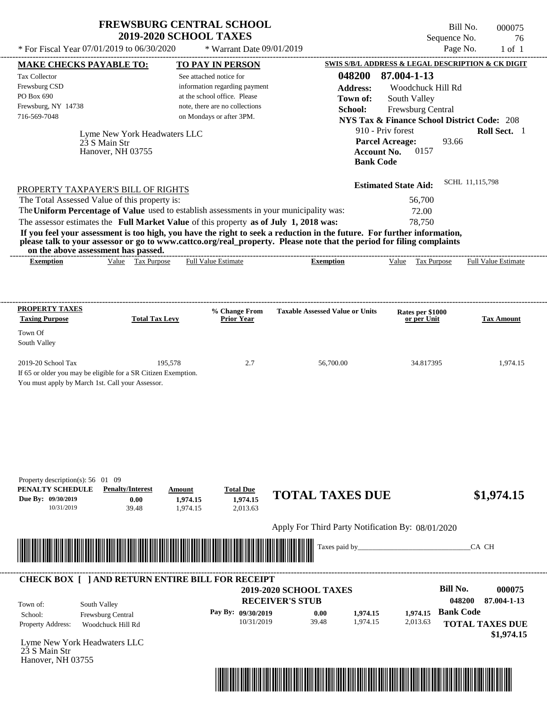Bill No. 000075 Sequence No. 76<br>Page No. 1 of 1

| * For Fiscal Year 07/01/2019 to 06/30/2020                                                                                                                                                                                                                                                                                         |                                                                            | * Warrant Date 09/01/2019                                                                                                                              |                                                                                                                                                                                                                                                                      |                                                                                                                                                                                        | Page No.<br>$1$ of $1$                                                                                         |
|------------------------------------------------------------------------------------------------------------------------------------------------------------------------------------------------------------------------------------------------------------------------------------------------------------------------------------|----------------------------------------------------------------------------|--------------------------------------------------------------------------------------------------------------------------------------------------------|----------------------------------------------------------------------------------------------------------------------------------------------------------------------------------------------------------------------------------------------------------------------|----------------------------------------------------------------------------------------------------------------------------------------------------------------------------------------|----------------------------------------------------------------------------------------------------------------|
| <b>MAKE CHECKS PAYABLE TO:</b>                                                                                                                                                                                                                                                                                                     |                                                                            | <b>TO PAY IN PERSON</b>                                                                                                                                |                                                                                                                                                                                                                                                                      |                                                                                                                                                                                        | SWIS S/B/L ADDRESS & LEGAL DESCRIPTION & CK DIGIT                                                              |
| Tax Collector<br>Frewsburg CSD<br>PO Box 690<br>Frewsburg, NY 14738<br>716-569-7048<br>23 S Main Str                                                                                                                                                                                                                               | Lyme New York Headwaters LLC<br>Hanover, NH 03755                          | See attached notice for<br>information regarding payment<br>at the school office. Please<br>note, there are no collections<br>on Mondays or after 3PM. | 048200<br><b>Address:</b><br>Town of:<br>School:<br><b>Account No.</b><br><b>Bank Code</b>                                                                                                                                                                           | 87.004-1-13<br>Woodchuck Hill Rd<br>South Valley<br>Frewsburg Central<br><b>NYS Tax &amp; Finance School District Code: 208</b><br>910 - Priv forest<br><b>Parcel Acreage:</b><br>0157 | Roll Sect. 1<br>93.66                                                                                          |
| PROPERTY TAXPAYER'S BILL OF RIGHTS<br>The Total Assessed Value of this property is:<br>The Uniform Percentage of Value used to establish assessments in your municipality was:<br>The assessor estimates the Full Market Value of this property as of July 1, 2018 was:<br>on the above assessment has passed.<br><b>Exemption</b> | Value Tax Purpose                                                          | <b>Full Value Estimate</b>                                                                                                                             | If you feel your assessment is too high, you have the right to seek a reduction in the future. For further information,<br>please talk to your assessor or go to www.cattco.org/real_property. Please note that the period for filing complaints<br><b>Exemption</b> | <b>Estimated State Aid:</b><br>56,700<br>72.00<br>78,750<br>Value Tax Purpose                                                                                                          | SCHL 11,115,798<br><b>Full Value Estimate</b>                                                                  |
|                                                                                                                                                                                                                                                                                                                                    |                                                                            |                                                                                                                                                        |                                                                                                                                                                                                                                                                      |                                                                                                                                                                                        |                                                                                                                |
| <b>PROPERTY TAXES</b><br><b>Taxing Purpose</b><br>Town Of                                                                                                                                                                                                                                                                          | <b>Total Tax Levy</b>                                                      | % Change From<br><b>Prior Year</b>                                                                                                                     | <b>Taxable Assessed Value or Units</b>                                                                                                                                                                                                                               | Rates per \$1000<br>or per Unit                                                                                                                                                        | <b>Tax Amount</b>                                                                                              |
| South Valley<br>2019-20 School Tax<br>If 65 or older you may be eligible for a SR Citizen Exemption.<br>You must apply by March 1st. Call your Assessor.                                                                                                                                                                           | 195,578                                                                    | 2.7                                                                                                                                                    | 56,700.00                                                                                                                                                                                                                                                            | 34.817395                                                                                                                                                                              | 1,974.15                                                                                                       |
| Property description(s): $56 \quad 01 \quad 09$<br>PENALTY SCHEDULE<br>Due By: 09/30/2019<br>10/31/2019                                                                                                                                                                                                                            | <b>Penalty/Interest</b><br>Amount<br>0.00<br>1,974.15<br>39.48<br>1,974.15 | <b>Total Due</b><br>1.974.15<br>2,013.63                                                                                                               | <b>TOTAL TAXES DUE</b>                                                                                                                                                                                                                                               |                                                                                                                                                                                        | \$1,974.15                                                                                                     |
|                                                                                                                                                                                                                                                                                                                                    |                                                                            |                                                                                                                                                        | Apply For Third Party Notification By: 08/01/2020                                                                                                                                                                                                                    |                                                                                                                                                                                        |                                                                                                                |
|                                                                                                                                                                                                                                                                                                                                    |                                                                            |                                                                                                                                                        | Taxes paid by_                                                                                                                                                                                                                                                       |                                                                                                                                                                                        | CA CH                                                                                                          |
| <b>CHECK BOX [ ] AND RETURN ENTIRE BILL FOR RECEIPT</b><br>South Valley<br>Town of:<br>Frewsburg Central<br>School:<br>Property Address:<br>Lyme New York Headwaters LLC<br>23 S Main Str<br>Hanover, NH 03755                                                                                                                     | Woodchuck Hill Rd                                                          | Pay By: 09/30/2019<br>10/31/2019                                                                                                                       | 2019-2020 SCHOOL TAXES<br><b>RECEIVER'S STUB</b><br>0.00<br>1,974.15<br>39.48<br>1,974.15                                                                                                                                                                            | 1.974.15<br>2,013.63                                                                                                                                                                   | <b>Bill No.</b><br>000075<br>048200<br>87.004-1-13<br><b>Bank Code</b><br><b>TOTAL TAXES DUE</b><br>\$1,974.15 |

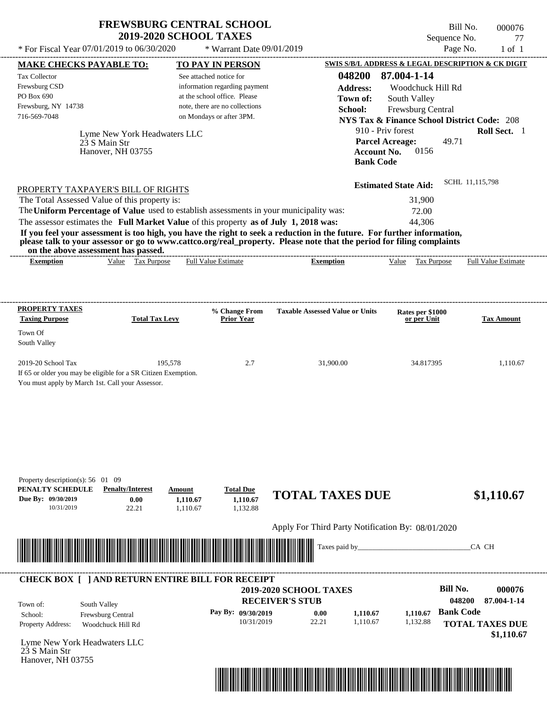Bill No. 000076 Sequence No. 77

| * For Fiscal Year 07/01/2019 to 06/30/2020                                                                           |                                                       | * Warrant Date 09/01/2019                                     |                                                                                                                                                                                                                                                  |                                                                             | Page No.                   | $1$ of $1$                 |
|----------------------------------------------------------------------------------------------------------------------|-------------------------------------------------------|---------------------------------------------------------------|--------------------------------------------------------------------------------------------------------------------------------------------------------------------------------------------------------------------------------------------------|-----------------------------------------------------------------------------|----------------------------|----------------------------|
| <b>MAKE CHECKS PAYABLE TO:</b>                                                                                       |                                                       | <b>TO PAY IN PERSON</b>                                       |                                                                                                                                                                                                                                                  | SWIS S/B/L ADDRESS & LEGAL DESCRIPTION & CK DIGIT                           |                            |                            |
| Tax Collector                                                                                                        |                                                       | See attached notice for                                       | 048200                                                                                                                                                                                                                                           | 87.004-1-14                                                                 |                            |                            |
| Frewsburg CSD<br>PO Box 690                                                                                          |                                                       | information regarding payment<br>at the school office. Please | <b>Address:</b>                                                                                                                                                                                                                                  | Woodchuck Hill Rd                                                           |                            |                            |
| Frewsburg, NY 14738                                                                                                  |                                                       | note, there are no collections                                | Town of:<br>School:                                                                                                                                                                                                                              | South Valley                                                                |                            |                            |
| 716-569-7048                                                                                                         |                                                       | on Mondays or after 3PM.                                      |                                                                                                                                                                                                                                                  | Frewsburg Central<br><b>NYS Tax &amp; Finance School District Code: 208</b> |                            |                            |
|                                                                                                                      | Lyme New York Headwaters LLC                          |                                                               |                                                                                                                                                                                                                                                  | 910 - Priv forest                                                           |                            | Roll Sect. 1               |
| 23 S Main Str                                                                                                        |                                                       |                                                               |                                                                                                                                                                                                                                                  | <b>Parcel Acreage:</b>                                                      | 49.71                      |                            |
| Hanover, NH 03755                                                                                                    |                                                       |                                                               |                                                                                                                                                                                                                                                  | <b>Account No.</b><br>0156                                                  |                            |                            |
|                                                                                                                      |                                                       |                                                               | <b>Bank Code</b>                                                                                                                                                                                                                                 |                                                                             |                            |                            |
| PROPERTY TAXPAYER'S BILL OF RIGHTS                                                                                   |                                                       |                                                               |                                                                                                                                                                                                                                                  | <b>Estimated State Aid:</b>                                                 | SCHL 11,115,798            |                            |
| The Total Assessed Value of this property is:                                                                        |                                                       |                                                               |                                                                                                                                                                                                                                                  | 31,900                                                                      |                            |                            |
| The Uniform Percentage of Value used to establish assessments in your municipality was:                              |                                                       |                                                               |                                                                                                                                                                                                                                                  | 72.00                                                                       |                            |                            |
| The assessor estimates the Full Market Value of this property as of July 1, 2018 was:                                |                                                       |                                                               |                                                                                                                                                                                                                                                  | 44,306                                                                      |                            |                            |
|                                                                                                                      |                                                       |                                                               | If you feel your assessment is too high, you have the right to seek a reduction in the future. For further information,<br>please talk to your assessor or go to www.cattco.org/real_property. Please note that the period for filing complaints |                                                                             |                            |                            |
| on the above assessment has passed.<br><b>Exemption</b>                                                              | Value Tax Purpose                                     | <b>Full Value Estimate</b>                                    | <b>Exemption</b>                                                                                                                                                                                                                                 | Value Tax Purpose                                                           |                            | <b>Full Value Estimate</b> |
|                                                                                                                      |                                                       |                                                               |                                                                                                                                                                                                                                                  |                                                                             |                            |                            |
|                                                                                                                      |                                                       |                                                               |                                                                                                                                                                                                                                                  |                                                                             |                            |                            |
| <b>PROPERTY TAXES</b>                                                                                                |                                                       | % Change From                                                 | <b>Taxable Assessed Value or Units</b>                                                                                                                                                                                                           | Rates per \$1000                                                            |                            |                            |
| <b>Taxing Purpose</b>                                                                                                | <b>Total Tax Levy</b>                                 | <b>Prior Year</b>                                             |                                                                                                                                                                                                                                                  | or per Unit                                                                 |                            | <b>Tax Amount</b>          |
| Town Of                                                                                                              |                                                       |                                                               |                                                                                                                                                                                                                                                  |                                                                             |                            |                            |
| South Valley                                                                                                         |                                                       |                                                               |                                                                                                                                                                                                                                                  |                                                                             |                            |                            |
| 2019-20 School Tax                                                                                                   | 195,578                                               | 2.7                                                           | 31,900.00                                                                                                                                                                                                                                        | 34.817395                                                                   |                            | 1,110.67                   |
| If 65 or older you may be eligible for a SR Citizen Exemption.<br>You must apply by March 1st. Call your Assessor.   |                                                       |                                                               |                                                                                                                                                                                                                                                  |                                                                             |                            |                            |
|                                                                                                                      |                                                       |                                                               |                                                                                                                                                                                                                                                  |                                                                             |                            |                            |
|                                                                                                                      |                                                       |                                                               |                                                                                                                                                                                                                                                  |                                                                             |                            |                            |
|                                                                                                                      |                                                       |                                                               |                                                                                                                                                                                                                                                  |                                                                             |                            |                            |
|                                                                                                                      |                                                       |                                                               |                                                                                                                                                                                                                                                  |                                                                             |                            |                            |
|                                                                                                                      |                                                       |                                                               |                                                                                                                                                                                                                                                  |                                                                             |                            |                            |
|                                                                                                                      |                                                       |                                                               |                                                                                                                                                                                                                                                  |                                                                             |                            |                            |
| Property description(s): 56 01 09<br>PENALTY SCHEDULE                                                                |                                                       |                                                               |                                                                                                                                                                                                                                                  |                                                                             |                            |                            |
| Due By: 09/30/2019                                                                                                   | <b>Penalty/Interest</b><br>Amount<br>0.00<br>1,110.67 | <b>Total Due</b><br>1,110.67                                  | <b>TOTAL TAXES DUE</b>                                                                                                                                                                                                                           |                                                                             |                            | \$1,110.67                 |
| 10/31/2019                                                                                                           | 22.21<br>1,110.67                                     | 1,132.88                                                      |                                                                                                                                                                                                                                                  |                                                                             |                            |                            |
|                                                                                                                      |                                                       |                                                               | Apply For Third Party Notification By: 08/01/2020                                                                                                                                                                                                |                                                                             |                            |                            |
| <u> 1989 - Andrea Stadt British Andrew Maria Stadt British Andrew Maria Stadt British Andrew Maria Stadt British</u> |                                                       |                                                               | Taxes paid by_                                                                                                                                                                                                                                   |                                                                             | CA CH                      |                            |
|                                                                                                                      |                                                       |                                                               |                                                                                                                                                                                                                                                  |                                                                             |                            |                            |
| <b>CHECK BOX [ ] AND RETURN ENTIRE BILL FOR RECEIPT</b>                                                              |                                                       |                                                               |                                                                                                                                                                                                                                                  |                                                                             |                            |                            |
|                                                                                                                      |                                                       |                                                               | 2019-2020 SCHOOL TAXES                                                                                                                                                                                                                           |                                                                             | <b>Bill No.</b>            | 000076                     |
| South Valley<br>Town of:                                                                                             |                                                       |                                                               | <b>RECEIVER'S STUB</b>                                                                                                                                                                                                                           |                                                                             | 048200<br><b>Bank Code</b> | 87.004-1-14                |
| Frewsburg Central<br>School:<br>Property Address:<br>Woodchuck Hill Rd                                               |                                                       | Pay By: 09/30/2019<br>10/31/2019                              | 0.00<br>1,110.67<br>22.21<br>1,110.67                                                                                                                                                                                                            | 1,110.67<br>1,132.88                                                        | <b>TOTAL TAXES DUE</b>     |                            |
|                                                                                                                      |                                                       |                                                               |                                                                                                                                                                                                                                                  |                                                                             |                            | \$1,110.67                 |
| Lyme New York Headwaters LLC                                                                                         |                                                       |                                                               |                                                                                                                                                                                                                                                  |                                                                             |                            |                            |
| 23 S Main Str<br>Hanover, NH 03755                                                                                   |                                                       |                                                               |                                                                                                                                                                                                                                                  |                                                                             |                            |                            |
|                                                                                                                      |                                                       |                                                               |                                                                                                                                                                                                                                                  |                                                                             |                            |                            |
|                                                                                                                      |                                                       |                                                               |                                                                                                                                                                                                                                                  |                                                                             |                            |                            |
|                                                                                                                      |                                                       |                                                               |                                                                                                                                                                                                                                                  |                                                                             |                            |                            |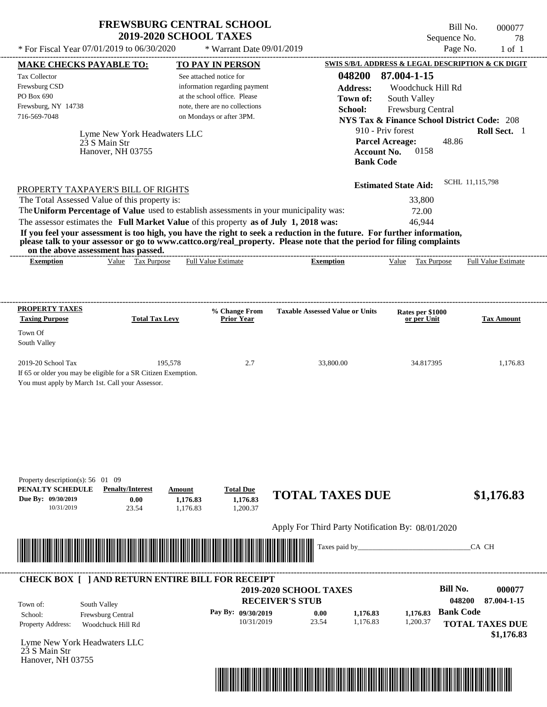Bill No. 000077 Sequence No. 78<br>Page No. 1 of 1

|                                                                                           |                                                                                                                            | * For Fiscal Year 07/01/2019 to 06/30/2020                                                                                                                                       | * Warrant Date 09/01/2019                                                                                                                                                                                                                        | Page No.                                                                                                                                         | $1$ of $1$          |
|-------------------------------------------------------------------------------------------|----------------------------------------------------------------------------------------------------------------------------|----------------------------------------------------------------------------------------------------------------------------------------------------------------------------------|--------------------------------------------------------------------------------------------------------------------------------------------------------------------------------------------------------------------------------------------------|--------------------------------------------------------------------------------------------------------------------------------------------------|---------------------|
|                                                                                           | <b>MAKE CHECKS PAYABLE TO:</b>                                                                                             | <b>TO PAY IN PERSON</b>                                                                                                                                                          |                                                                                                                                                                                                                                                  | SWIS S/B/L ADDRESS & LEGAL DESCRIPTION & CK DIGIT                                                                                                |                     |
| Tax Collector<br>Frewsburg CSD<br>PO Box 690<br>Frewsburg, NY 14738<br>716-569-7048       | Lyme New York Headwaters LLC<br>23 S Main Str<br>Hanover, NH 03755                                                         | See attached notice for<br>information regarding payment<br>at the school office. Please<br>note, there are no collections<br>on Mondays or after 3PM.                           | 048200<br><b>Address:</b><br>Town of:<br>School:<br>910 - Priv forest<br><b>Parcel Acreage:</b><br><b>Account No.</b><br><b>Bank Code</b>                                                                                                        | 87.004-1-15<br>Woodchuck Hill Rd<br>South Valley<br>Frewsburg Central<br><b>NYS Tax &amp; Finance School District Code: 208</b><br>48.86<br>0158 | Roll Sect. 1        |
|                                                                                           | PROPERTY TAXPAYER'S BILL OF RIGHTS<br>The Total Assessed Value of this property is:<br>on the above assessment has passed. | The Uniform Percentage of Value used to establish assessments in your municipality was:<br>The assessor estimates the Full Market Value of this property as of July 1, 2018 was: | If you feel your assessment is too high, you have the right to seek a reduction in the future. For further information,<br>please talk to your assessor or go to www.cattco.org/real_property. Please note that the period for filing complaints | <b>Estimated State Aid:</b><br>33,800<br>72.00<br>46.944                                                                                         | SCHL 11,115,798     |
| <b>Exemption</b>                                                                          | Value Tax Purpose                                                                                                          | <b>Full Value Estimate</b>                                                                                                                                                       | <b>Exemption</b>                                                                                                                                                                                                                                 | Tax Purpose<br>Value                                                                                                                             | Full Value Estimate |
| <b>PROPERTY TAXES</b><br><b>Taxing Purpose</b>                                            | <b>Total Tax Levy</b>                                                                                                      | % Change From<br><b>Prior Year</b>                                                                                                                                               | <b>Taxable Assessed Value or Units</b>                                                                                                                                                                                                           | Rates per \$1000<br>or per Unit                                                                                                                  | <b>Tax Amount</b>   |
| Town Of<br>South Valley                                                                   |                                                                                                                            |                                                                                                                                                                                  |                                                                                                                                                                                                                                                  |                                                                                                                                                  |                     |
| 2019-20 School Tax<br>You must apply by March 1st. Call your Assessor.                    | 195,578<br>If 65 or older you may be eligible for a SR Citizen Exemption.                                                  | 2.7                                                                                                                                                                              | 33,800.00                                                                                                                                                                                                                                        | 34.817395                                                                                                                                        | 1,176.83            |
|                                                                                           |                                                                                                                            |                                                                                                                                                                                  |                                                                                                                                                                                                                                                  |                                                                                                                                                  |                     |
| Property description(s): 56 01 09<br>PENALTY SCHEDULE<br>Due By: 09/30/2019<br>10/31/2019 | <b>Penalty/Interest</b><br>0.00<br>23.54                                                                                   | <b>Total Due</b><br>Amount<br>1,176.83<br>1,176.83<br>1,200.37<br>1.176.83                                                                                                       | <b>TOTAL TAXES DUE</b>                                                                                                                                                                                                                           |                                                                                                                                                  | \$1,176.83          |
|                                                                                           |                                                                                                                            |                                                                                                                                                                                  | Apply For Third Party Notification By: 08/01/2020<br>Taxes paid by_                                                                                                                                                                              |                                                                                                                                                  | CA CH               |

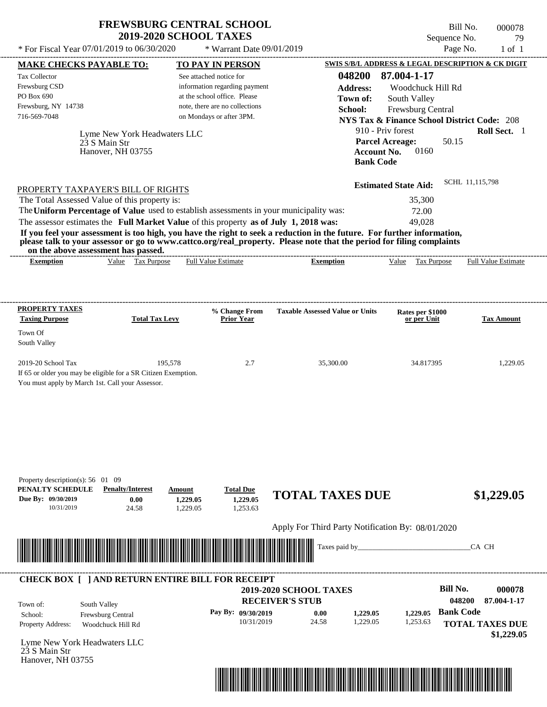Bill No. 000078 Sequence No. 29

| * For Fiscal Year 07/01/2019 to 06/30/2020                                                                                                                                                                                                                                                                                                                                                                                                                                                                                                                                                                  |                                | * Warrant Date 09/01/2019                                                                                                                              |                                                                                           |                                                                                                                                                    | Page No.<br>$1$ of $1$                                                                                         |
|-------------------------------------------------------------------------------------------------------------------------------------------------------------------------------------------------------------------------------------------------------------------------------------------------------------------------------------------------------------------------------------------------------------------------------------------------------------------------------------------------------------------------------------------------------------------------------------------------------------|--------------------------------|--------------------------------------------------------------------------------------------------------------------------------------------------------|-------------------------------------------------------------------------------------------|----------------------------------------------------------------------------------------------------------------------------------------------------|----------------------------------------------------------------------------------------------------------------|
| <b>MAKE CHECKS PAYABLE TO:</b>                                                                                                                                                                                                                                                                                                                                                                                                                                                                                                                                                                              |                                | <b>TO PAY IN PERSON</b>                                                                                                                                |                                                                                           |                                                                                                                                                    | SWIS S/B/L ADDRESS & LEGAL DESCRIPTION & CK DIGIT                                                              |
| Tax Collector<br>Frewsburg CSD<br>PO Box 690<br>Frewsburg, NY 14738<br>716-569-7048<br>Lyme New York Headwaters LLC<br>23 S Main Str<br>Hanover, NH 03755                                                                                                                                                                                                                                                                                                                                                                                                                                                   |                                | See attached notice for<br>information regarding payment<br>at the school office. Please<br>note, there are no collections<br>on Mondays or after 3PM. | 048200<br><b>Address:</b><br>Town of:<br>School:<br><b>Bank Code</b>                      | 87.004-1-17<br>Woodchuck Hill Rd<br>South Valley<br>Frewsburg Central<br>910 - Priv forest<br><b>Parcel Acreage:</b><br><b>Account No.</b><br>0160 | <b>NYS Tax &amp; Finance School District Code: 208</b><br>Roll Sect. 1<br>50.15                                |
| PROPERTY TAXPAYER'S BILL OF RIGHTS<br>The Total Assessed Value of this property is:<br>The Uniform Percentage of Value used to establish assessments in your municipality was:<br>The assessor estimates the Full Market Value of this property as of July 1, 2018 was:<br>If you feel your assessment is too high, you have the right to seek a reduction in the future. For further information,<br>please talk to your assessor or go to www.cattco.org/real_property. Please note that the period for filing complaints<br>on the above assessment has passed.<br>Value Tax Purpose<br><b>Exemption</b> |                                | <b>Full Value Estimate</b>                                                                                                                             | <b>Exemption</b>                                                                          | <b>Estimated State Aid:</b><br>35,300<br>72.00<br>49,028<br>Value Tax Purpose                                                                      | SCHL 11,115,798<br><b>Full Value Estimate</b>                                                                  |
|                                                                                                                                                                                                                                                                                                                                                                                                                                                                                                                                                                                                             |                                |                                                                                                                                                        |                                                                                           |                                                                                                                                                    |                                                                                                                |
| <b>PROPERTY TAXES</b><br><b>Taxing Purpose</b><br>Town Of<br>South Valley                                                                                                                                                                                                                                                                                                                                                                                                                                                                                                                                   | <b>Total Tax Levy</b>          | % Change From<br><b>Prior Year</b>                                                                                                                     | <b>Taxable Assessed Value or Units</b>                                                    | Rates per \$1000<br>or per Unit                                                                                                                    | <b>Tax Amount</b>                                                                                              |
| 2019-20 School Tax<br>If 65 or older you may be eligible for a SR Citizen Exemption.<br>You must apply by March 1st. Call your Assessor.                                                                                                                                                                                                                                                                                                                                                                                                                                                                    | 195,578                        | 2.7                                                                                                                                                    | 35,300.00                                                                                 | 34.817395                                                                                                                                          | 1,229.05                                                                                                       |
| Property description(s): $56 \quad 01 \quad 09$<br>PENALTY SCHEDULE<br><b>Penalty/Interest</b><br>Due By: 09/30/2019<br>0.00<br>10/31/2019<br>24.58                                                                                                                                                                                                                                                                                                                                                                                                                                                         | Amount<br>1,229.05<br>1,229.05 | <b>Total Due</b><br>1,229.05<br>1,253.63                                                                                                               | <b>TOTAL TAXES DUE</b><br>Apply For Third Party Notification By: 08/01/2020               |                                                                                                                                                    | \$1,229.05                                                                                                     |
|                                                                                                                                                                                                                                                                                                                                                                                                                                                                                                                                                                                                             |                                |                                                                                                                                                        | Taxes paid by_                                                                            |                                                                                                                                                    | CA CH                                                                                                          |
| <b>CHECK BOX [ ] AND RETURN ENTIRE BILL FOR RECEIPT</b><br>South Valley<br>Town of:<br>Frewsburg Central<br>School:<br>Property Address:<br>Woodchuck Hill Rd<br>Lyme New York Headwaters LLC<br>23 S Main Str                                                                                                                                                                                                                                                                                                                                                                                              |                                | Pay By: 09/30/2019<br>10/31/2019                                                                                                                       | 2019-2020 SCHOOL TAXES<br><b>RECEIVER'S STUB</b><br>0.00<br>1,229.05<br>24.58<br>1,229.05 | 1.229.05<br>1,253.63                                                                                                                               | <b>Bill No.</b><br>000078<br>048200<br>87.004-1-17<br><b>Bank Code</b><br><b>TOTAL TAXES DUE</b><br>\$1,229.05 |

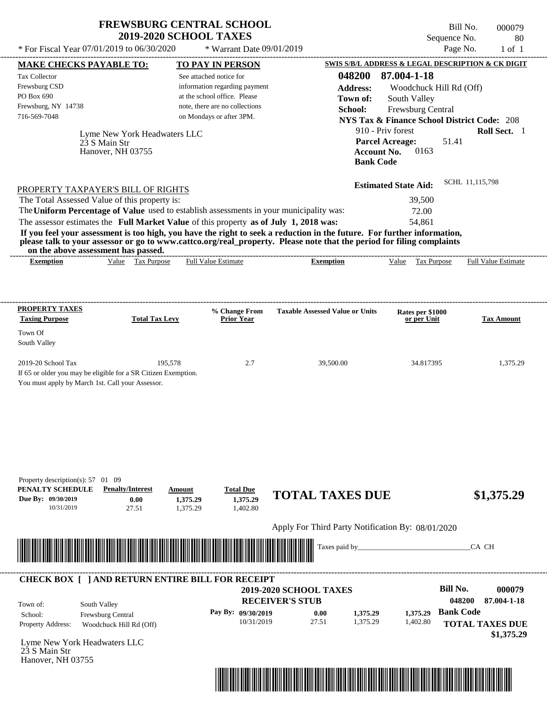| <b>FREWSBURG CENTRAL SCHOOL</b> |
|---------------------------------|
| <b>2019-2020 SCHOOL TAXES</b>   |

Bill No. 000079 Sequence No. 80

| * For Fiscal Year 07/01/2019 to 06/30/2020                                                                                                                                                                                                                                                                                                                                                           |                                                 | * Warrant Date 09/01/2019                                  |                                                   |                                                                             | Page No.<br>$1$ of $1$               |
|------------------------------------------------------------------------------------------------------------------------------------------------------------------------------------------------------------------------------------------------------------------------------------------------------------------------------------------------------------------------------------------------------|-------------------------------------------------|------------------------------------------------------------|---------------------------------------------------|-----------------------------------------------------------------------------|--------------------------------------|
| <b>MAKE CHECKS PAYABLE TO:</b>                                                                                                                                                                                                                                                                                                                                                                       |                                                 | <b>TO PAY IN PERSON</b>                                    |                                                   | SWIS S/B/L ADDRESS & LEGAL DESCRIPTION & CK DIGIT                           |                                      |
| Tax Collector<br>Frewsburg CSD                                                                                                                                                                                                                                                                                                                                                                       |                                                 | See attached notice for<br>information regarding payment   | 048200<br><b>Address:</b>                         | 87.004-1-18<br>Woodchuck Hill Rd (Off)                                      |                                      |
| PO Box 690                                                                                                                                                                                                                                                                                                                                                                                           |                                                 | at the school office. Please                               | Town of:                                          | South Valley                                                                |                                      |
| Frewsburg, NY 14738<br>716-569-7048                                                                                                                                                                                                                                                                                                                                                                  |                                                 | note, there are no collections<br>on Mondays or after 3PM. | School:                                           | Frewsburg Central                                                           |                                      |
|                                                                                                                                                                                                                                                                                                                                                                                                      |                                                 |                                                            |                                                   | <b>NYS Tax &amp; Finance School District Code: 208</b><br>910 - Priv forest | Roll Sect. 1                         |
| 23 S Main Str<br>Hanover, NH 03755                                                                                                                                                                                                                                                                                                                                                                   | Lyme New York Headwaters LLC                    |                                                            | <b>Bank Code</b>                                  | <b>Parcel Acreage:</b><br>51.41<br><b>Account No.</b><br>0163               |                                      |
| PROPERTY TAXPAYER'S BILL OF RIGHTS                                                                                                                                                                                                                                                                                                                                                                   |                                                 |                                                            |                                                   | <b>Estimated State Aid:</b>                                                 | SCHL 11,115,798                      |
| The Total Assessed Value of this property is:                                                                                                                                                                                                                                                                                                                                                        |                                                 |                                                            |                                                   | 39,500                                                                      |                                      |
| The Uniform Percentage of Value used to establish assessments in your municipality was:                                                                                                                                                                                                                                                                                                              |                                                 |                                                            |                                                   | 72.00                                                                       |                                      |
| The assessor estimates the Full Market Value of this property as of July 1, 2018 was:<br>If you feel your assessment is too high, you have the right to seek a reduction in the future. For further information,<br>please talk to your assessor or go to www.cattco.org/real_property. Please note that the period for filing complaints<br>on the above assessment has passed.<br><b>Exemption</b> | Value Tax Purpose                               | <b>Full Value Estimate</b>                                 | <b>Exemption</b>                                  | 54,861<br>Value Tax Purpose                                                 | <b>Full Value Estimate</b>           |
|                                                                                                                                                                                                                                                                                                                                                                                                      |                                                 |                                                            |                                                   |                                                                             |                                      |
| <b>PROPERTY TAXES</b><br><b>Taxing Purpose</b>                                                                                                                                                                                                                                                                                                                                                       | <b>Total Tax Levy</b>                           | % Change From<br><b>Prior Year</b>                         | <b>Taxable Assessed Value or Units</b>            | Rates per \$1000<br>or per Unit                                             | <b>Tax Amount</b>                    |
| Town Of<br>South Valley                                                                                                                                                                                                                                                                                                                                                                              |                                                 |                                                            |                                                   |                                                                             |                                      |
|                                                                                                                                                                                                                                                                                                                                                                                                      |                                                 |                                                            |                                                   |                                                                             |                                      |
| 2019-20 School Tax<br>If 65 or older you may be eligible for a SR Citizen Exemption.<br>You must apply by March 1st. Call your Assessor.                                                                                                                                                                                                                                                             | 195,578                                         | 2.7                                                        | 39,500.00                                         | 34.817395                                                                   | 1,375.29                             |
| Property description(s): $57 \quad 01 \quad 09$<br>PENALTY SCHEDULE<br><b>Penalty/Interest</b><br>Due By: 09/30/2019<br>10/31/2019                                                                                                                                                                                                                                                                   | Amount<br>0.00<br>1,375.29<br>27.51<br>1,375.29 | <b>Total Due</b><br>1,375.29<br>1,402.80                   | <b>TOTAL TAXES DUE</b>                            |                                                                             | \$1,375.29                           |
|                                                                                                                                                                                                                                                                                                                                                                                                      |                                                 |                                                            | Apply For Third Party Notification By: 08/01/2020 |                                                                             |                                      |
|                                                                                                                                                                                                                                                                                                                                                                                                      |                                                 |                                                            | Taxes paid by_                                    |                                                                             | CA CH                                |
| <b>CHECK BOX [ ] AND RETURN ENTIRE BILL FOR RECEIPT</b>                                                                                                                                                                                                                                                                                                                                              |                                                 |                                                            |                                                   |                                                                             |                                      |
| South Valley<br>Town of:                                                                                                                                                                                                                                                                                                                                                                             |                                                 |                                                            | 2019-2020 SCHOOL TAXES<br><b>RECEIVER'S STUB</b>  | <b>Bill No.</b>                                                             | 000079<br>048200<br>87.004-1-18      |
| Frewsburg Central<br>School:                                                                                                                                                                                                                                                                                                                                                                         |                                                 | Pay By: 09/30/2019                                         | 0.00<br>1,375.29                                  | 1,375.29                                                                    | <b>Bank Code</b>                     |
| Property Address:<br>Woodchuck Hill Rd (Off)                                                                                                                                                                                                                                                                                                                                                         |                                                 | 10/31/2019                                                 | 27.51<br>1,375.29                                 | 1,402.80                                                                    | <b>TOTAL TAXES DUE</b><br>\$1,375.29 |
| Lyme New York Headwaters LLC<br>23 S Main Str<br>Hanover, NH 03755                                                                                                                                                                                                                                                                                                                                   |                                                 |                                                            |                                                   |                                                                             |                                      |
|                                                                                                                                                                                                                                                                                                                                                                                                      |                                                 |                                                            |                                                   |                                                                             |                                      |

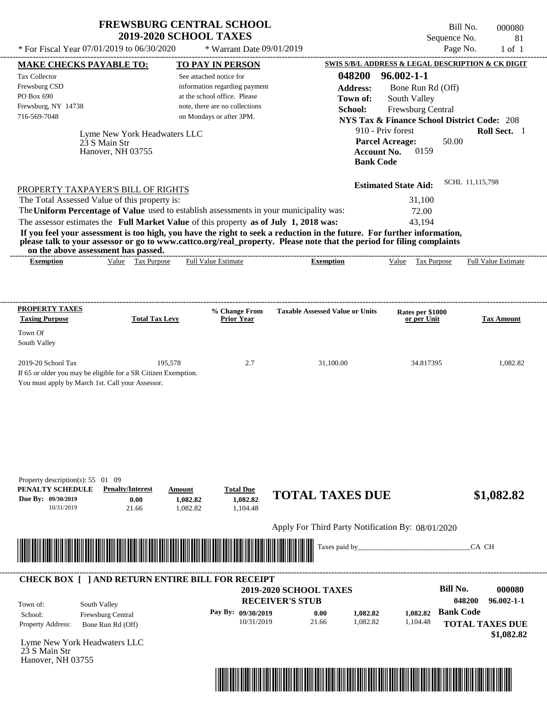Bill No. 000080 Sequence No. 81

| * For Fiscal Year 07/01/2019 to 06/30/2020                                                                                                                                                                                                       |                                       | * Warrant Date 09/01/2019                                |                                                   |                                                        | Page No.         | $1$ of $1$                           |
|--------------------------------------------------------------------------------------------------------------------------------------------------------------------------------------------------------------------------------------------------|---------------------------------------|----------------------------------------------------------|---------------------------------------------------|--------------------------------------------------------|------------------|--------------------------------------|
| <b>MAKE CHECKS PAYABLE TO:</b>                                                                                                                                                                                                                   |                                       | <b>TO PAY IN PERSON</b>                                  |                                                   | SWIS S/B/L ADDRESS & LEGAL DESCRIPTION & CK DIGIT      |                  |                                      |
| Tax Collector<br>Frewsburg CSD                                                                                                                                                                                                                   |                                       | See attached notice for<br>information regarding payment | 048200<br><b>Address:</b>                         | $96.002 - 1 - 1$<br>Bone Run Rd (Off)                  |                  |                                      |
| PO Box 690                                                                                                                                                                                                                                       |                                       | at the school office. Please                             | Town of:                                          | South Valley                                           |                  |                                      |
| Frewsburg, NY 14738                                                                                                                                                                                                                              |                                       | note, there are no collections                           | School:                                           | Frewsburg Central                                      |                  |                                      |
| 716-569-7048                                                                                                                                                                                                                                     |                                       | on Mondays or after 3PM.                                 |                                                   | <b>NYS Tax &amp; Finance School District Code: 208</b> |                  |                                      |
|                                                                                                                                                                                                                                                  | Lyme New York Headwaters LLC          |                                                          |                                                   | 910 - Priv forest                                      |                  | Roll Sect. 1                         |
| 23 S Main Str                                                                                                                                                                                                                                    |                                       |                                                          |                                                   | <b>Parcel Acreage:</b>                                 | 50.00            |                                      |
| Hanover, NH 03755                                                                                                                                                                                                                                |                                       |                                                          | <b>Bank Code</b>                                  | <b>Account No.</b><br>0159                             |                  |                                      |
|                                                                                                                                                                                                                                                  |                                       |                                                          |                                                   |                                                        |                  |                                      |
| PROPERTY TAXPAYER'S BILL OF RIGHTS                                                                                                                                                                                                               |                                       |                                                          |                                                   | <b>Estimated State Aid:</b>                            | SCHL 11,115,798  |                                      |
| The Total Assessed Value of this property is:                                                                                                                                                                                                    |                                       |                                                          |                                                   | 31,100                                                 |                  |                                      |
| The Uniform Percentage of Value used to establish assessments in your municipality was:                                                                                                                                                          |                                       |                                                          |                                                   | 72.00                                                  |                  |                                      |
| The assessor estimates the Full Market Value of this property as of July 1, 2018 was:                                                                                                                                                            |                                       |                                                          |                                                   | 43,194                                                 |                  |                                      |
| If you feel your assessment is too high, you have the right to seek a reduction in the future. For further information,<br>please talk to your assessor or go to www.cattco.org/real_property. Please note that the period for filing complaints |                                       |                                                          |                                                   |                                                        |                  |                                      |
| on the above assessment has passed.<br><b>Exemption</b>                                                                                                                                                                                          | Value Tax Purpose                     | <b>Full Value Estimate</b>                               | <b>Exemption</b>                                  | Value Tax Purpose                                      |                  | <b>Full Value Estimate</b>           |
|                                                                                                                                                                                                                                                  |                                       |                                                          |                                                   |                                                        |                  |                                      |
|                                                                                                                                                                                                                                                  |                                       |                                                          |                                                   |                                                        |                  |                                      |
| <b>PROPERTY TAXES</b>                                                                                                                                                                                                                            |                                       | % Change From                                            | <b>Taxable Assessed Value or Units</b>            |                                                        |                  |                                      |
| <b>Taxing Purpose</b>                                                                                                                                                                                                                            | <b>Total Tax Levy</b>                 | <b>Prior Year</b>                                        |                                                   | Rates per \$1000<br>or per Unit                        |                  | <b>Tax Amount</b>                    |
| Town Of                                                                                                                                                                                                                                          |                                       |                                                          |                                                   |                                                        |                  |                                      |
| South Valley                                                                                                                                                                                                                                     |                                       |                                                          |                                                   |                                                        |                  |                                      |
| 2019-20 School Tax                                                                                                                                                                                                                               | 195,578                               | 2.7                                                      | 31,100.00                                         | 34.817395                                              |                  | 1,082.82                             |
| If 65 or older you may be eligible for a SR Citizen Exemption.                                                                                                                                                                                   |                                       |                                                          |                                                   |                                                        |                  |                                      |
| You must apply by March 1st. Call your Assessor.                                                                                                                                                                                                 |                                       |                                                          |                                                   |                                                        |                  |                                      |
|                                                                                                                                                                                                                                                  |                                       |                                                          |                                                   |                                                        |                  |                                      |
|                                                                                                                                                                                                                                                  |                                       |                                                          |                                                   |                                                        |                  |                                      |
|                                                                                                                                                                                                                                                  |                                       |                                                          |                                                   |                                                        |                  |                                      |
|                                                                                                                                                                                                                                                  |                                       |                                                          |                                                   |                                                        |                  |                                      |
|                                                                                                                                                                                                                                                  |                                       |                                                          |                                                   |                                                        |                  |                                      |
| Property description(s): $55 \quad 01 \quad 09$                                                                                                                                                                                                  |                                       |                                                          |                                                   |                                                        |                  |                                      |
| PENALTY SCHEDULE<br><b>Penalty/Interest</b>                                                                                                                                                                                                      | Amount                                | <b>Total Due</b>                                         | <b>TOTAL TAXES DUE</b>                            |                                                        |                  |                                      |
| Due By: 09/30/2019<br>10/31/2019                                                                                                                                                                                                                 | 0.00<br>1,082.82<br>21.66<br>1,082.82 | 1,082.82<br>1,104.48                                     |                                                   |                                                        |                  | \$1,082.82                           |
|                                                                                                                                                                                                                                                  |                                       |                                                          |                                                   |                                                        |                  |                                      |
|                                                                                                                                                                                                                                                  |                                       |                                                          | Apply For Third Party Notification By: 08/01/2020 |                                                        |                  |                                      |
| <u> 1999 - Andrew Maria Maria Maria Maria Maria Maria Maria Maria Maria Maria Maria Maria Maria Maria Maria Ma</u>                                                                                                                               |                                       |                                                          | Taxes paid by_                                    |                                                        | CA CH            |                                      |
|                                                                                                                                                                                                                                                  |                                       |                                                          |                                                   |                                                        |                  |                                      |
| <b>CHECK BOX [ ] AND RETURN ENTIRE BILL FOR RECEIPT</b>                                                                                                                                                                                          |                                       |                                                          |                                                   |                                                        |                  |                                      |
|                                                                                                                                                                                                                                                  |                                       |                                                          | 2019-2020 SCHOOL TAXES                            |                                                        | <b>Bill No.</b>  | 000080                               |
| South Valley<br>Town of:                                                                                                                                                                                                                         |                                       |                                                          | <b>RECEIVER'S STUB</b>                            |                                                        | 048200           | $96.002 - 1 - 1$                     |
| Frewsburg Central<br>School:                                                                                                                                                                                                                     |                                       | Pay By: 09/30/2019<br>10/31/2019                         | 0.00<br>1,082.82<br>21.66<br>1,082.82             | 1.082.82<br>1,104.48                                   | <b>Bank Code</b> |                                      |
| Property Address:<br>Bone Run Rd (Off)                                                                                                                                                                                                           |                                       |                                                          |                                                   |                                                        |                  | <b>TOTAL TAXES DUE</b><br>\$1,082.82 |
| Lyme New York Headwaters LLC                                                                                                                                                                                                                     |                                       |                                                          |                                                   |                                                        |                  |                                      |
| 23 S Main Str<br>Hanover, NH 03755                                                                                                                                                                                                               |                                       |                                                          |                                                   |                                                        |                  |                                      |
|                                                                                                                                                                                                                                                  |                                       |                                                          |                                                   |                                                        |                  |                                      |
|                                                                                                                                                                                                                                                  |                                       |                                                          |                                                   |                                                        |                  |                                      |
|                                                                                                                                                                                                                                                  |                                       |                                                          |                                                   |                                                        |                  |                                      |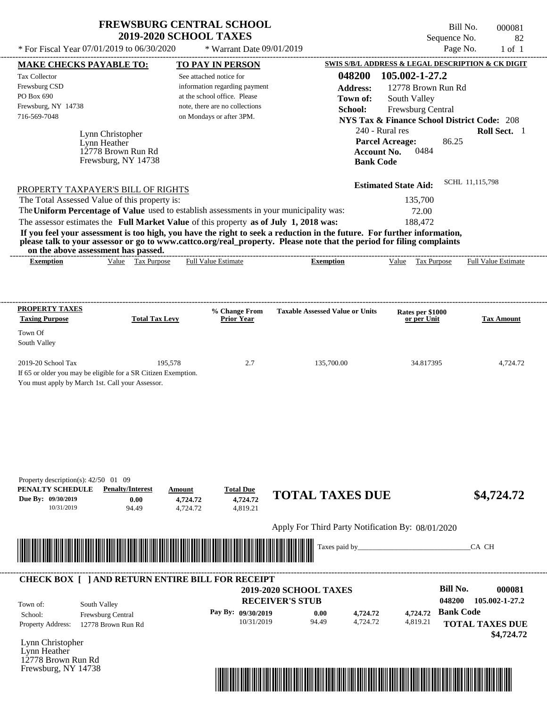| <b>FREWSBURG CENTRAL SCHOOL</b> |
|---------------------------------|
| <b>2019-2020 SCHOOL TAXES</b>   |

---------------------------------------------------------------------------------------------------------------------------------------------------------------------------------------------------- Lynn Christopher If 65 or older you may be eligible for a SR Citizen Exemption. You must apply by March 1st. Call your Assessor.  $*$  For Fiscal Year 07/01/2019 to 06/30/2020  $*$  Warrant Date 09/01/2019 Page No. 1 of 1 **MAKE CHECKS PAYABLE TO: TO PAY IN PERSON SWIS S/B/L ADDRESS & LEGAL DESCRIPTION & CK DIGIT 048200 105.002-1-27.2 Address:** 12778 Brown Run Rd South Valley **School:** Frewsburg Central **NYS Tax & Finance School District Code:** 208 240 - Rural res **Roll Sect.** 1 86.25 **Account No.** 0484 **Bank Code Estimated State Aid:** SCHL 11,115,798 PROPERTY TAXPAYER'S BILL OF RIGHTS The assessor estimates the **Full Market Value** of this property **as of July 1, 2018 was:** 188,472 The Total Assessed Value of this property is: 135,700 The **Uniform Percentage of Value** used to establish assessments in your municipality was: 72.00 **If you feel your assessment is too high, you have the right to seek a reduction in the future. For further information, please talk to your assessor or go to www.cattco.org/real\_property. Please note that the period for filing complaints on the above assessment has passed. Exemption** Value Tax Purpose **PROPERTY TAXES Taxing Purpose Total Tax Levy Prior Year % Change From Taxable Assessed Value or Units or per Unit Rates per \$1000 Tax Amount PENALTY SCHEDULE Penalty/Interest Amount Total Due Due By: 09/30/2019** 10/31/2019 94.49 **0.00** 4,724.72 **4,724.72** 4,819.21 **4,724.72 TOTAL TAXES DUE \$4,724.72** Apply For Third Party Notification By: 08/01/2020 Lynn Christopher **RECEIVER'S STUB Bill No. 000081 Bank Code** Property Address: 12778 Brown Run Rd South Valley School: Frewsburg Central **TOTAL TAXES DUE \$4,724.72** See attached notice for information regarding payment at the school office. Please note, there are no collections Tax Collector Frewsburg CSD PO Box 690 Frewsburg, NY 14738  **2019-2020 SCHOOL TAXES** 716-569-7048 on Mondays or after 3PM. **Parcel Acreage:** Town Of South Valley 2019-20 School Tax 195,578 135,700.00 34.817395 4,724.72 **048200 105.002-1-27.2 Pay By: 09/30/2019** 10/31/2019 94.49 **0.00** 4,724.72 **4,724.72** 4,819.21 **4,724.72** Lynn Heather Full Value Estimate Taxes paid by\_\_\_\_\_\_\_\_\_\_\_\_\_\_\_\_\_\_\_\_\_\_\_\_\_\_\_\_\_\_\_CA CH ---------------------------------------------------------------------------------------------------------------------------------------------------------------------------------------------------- ---------------------------------------------------------------------------------------------------------------------------------------------------------------------------------------------------- Property description(s):  $42/50$  01 09 Town of: **Town of:** 12778 Brown Run Rd Frewsburg, NY 14738 **Exemption** Value Tax Purpose Full Value Estimate ---------------------------------------------------------------------------------------------------------------------------------------------------------------------------------------------------- **CHECK BOX [ ] AND RETURN ENTIRE BILL FOR RECEIPT** \*04820000008100000000472472\*

Lynn Heather 12778 Brown Run Rd Frewsburg, NY 14738



Sequence No. 82

Bill No. 000081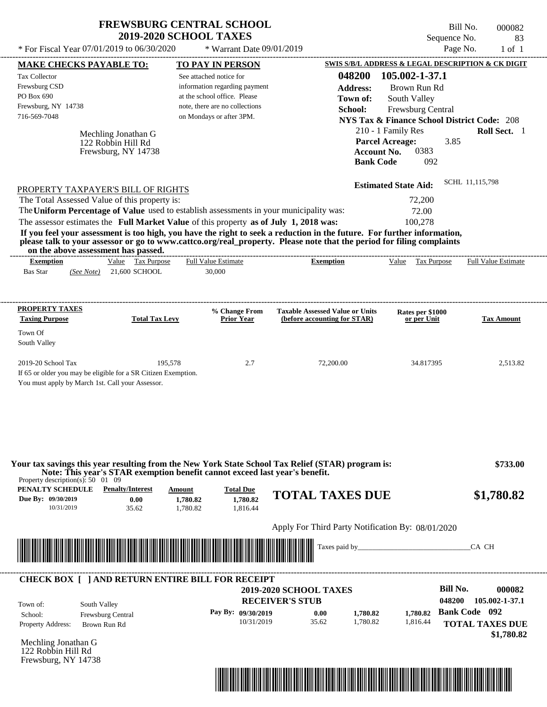| <b>FREWSBURG CENTRAL SCHOOL</b> |
|---------------------------------|
| <b>2019-2020 SCHOOL TAXES</b>   |

Bill No. 000082 Sequence No. 83

| <b>TO PAY IN PERSON</b>                                                                                                                                                                                                              |                                                                                                                                                                                                                                                                        |                                                                                                                                                                                                                                |                                                                                                                                                                                                                                                                                                                                                                                                                                                                                                                                                  |
|--------------------------------------------------------------------------------------------------------------------------------------------------------------------------------------------------------------------------------------|------------------------------------------------------------------------------------------------------------------------------------------------------------------------------------------------------------------------------------------------------------------------|--------------------------------------------------------------------------------------------------------------------------------------------------------------------------------------------------------------------------------|--------------------------------------------------------------------------------------------------------------------------------------------------------------------------------------------------------------------------------------------------------------------------------------------------------------------------------------------------------------------------------------------------------------------------------------------------------------------------------------------------------------------------------------------------|
| See attached notice for                                                                                                                                                                                                              | 048200                                                                                                                                                                                                                                                                 |                                                                                                                                                                                                                                |                                                                                                                                                                                                                                                                                                                                                                                                                                                                                                                                                  |
| information regarding payment                                                                                                                                                                                                        | <b>Address:</b>                                                                                                                                                                                                                                                        | Brown Run Rd                                                                                                                                                                                                                   |                                                                                                                                                                                                                                                                                                                                                                                                                                                                                                                                                  |
|                                                                                                                                                                                                                                      |                                                                                                                                                                                                                                                                        |                                                                                                                                                                                                                                |                                                                                                                                                                                                                                                                                                                                                                                                                                                                                                                                                  |
|                                                                                                                                                                                                                                      | School:                                                                                                                                                                                                                                                                |                                                                                                                                                                                                                                |                                                                                                                                                                                                                                                                                                                                                                                                                                                                                                                                                  |
|                                                                                                                                                                                                                                      |                                                                                                                                                                                                                                                                        |                                                                                                                                                                                                                                |                                                                                                                                                                                                                                                                                                                                                                                                                                                                                                                                                  |
|                                                                                                                                                                                                                                      |                                                                                                                                                                                                                                                                        |                                                                                                                                                                                                                                | Roll Sect. 1                                                                                                                                                                                                                                                                                                                                                                                                                                                                                                                                     |
|                                                                                                                                                                                                                                      |                                                                                                                                                                                                                                                                        | 0383                                                                                                                                                                                                                           |                                                                                                                                                                                                                                                                                                                                                                                                                                                                                                                                                  |
|                                                                                                                                                                                                                                      |                                                                                                                                                                                                                                                                        | 092                                                                                                                                                                                                                            |                                                                                                                                                                                                                                                                                                                                                                                                                                                                                                                                                  |
|                                                                                                                                                                                                                                      |                                                                                                                                                                                                                                                                        |                                                                                                                                                                                                                                |                                                                                                                                                                                                                                                                                                                                                                                                                                                                                                                                                  |
|                                                                                                                                                                                                                                      |                                                                                                                                                                                                                                                                        |                                                                                                                                                                                                                                | SCHL 11,115,798                                                                                                                                                                                                                                                                                                                                                                                                                                                                                                                                  |
|                                                                                                                                                                                                                                      |                                                                                                                                                                                                                                                                        | 72,200                                                                                                                                                                                                                         |                                                                                                                                                                                                                                                                                                                                                                                                                                                                                                                                                  |
|                                                                                                                                                                                                                                      |                                                                                                                                                                                                                                                                        | 72.00                                                                                                                                                                                                                          |                                                                                                                                                                                                                                                                                                                                                                                                                                                                                                                                                  |
|                                                                                                                                                                                                                                      |                                                                                                                                                                                                                                                                        | 100,278                                                                                                                                                                                                                        |                                                                                                                                                                                                                                                                                                                                                                                                                                                                                                                                                  |
|                                                                                                                                                                                                                                      |                                                                                                                                                                                                                                                                        |                                                                                                                                                                                                                                |                                                                                                                                                                                                                                                                                                                                                                                                                                                                                                                                                  |
|                                                                                                                                                                                                                                      |                                                                                                                                                                                                                                                                        |                                                                                                                                                                                                                                |                                                                                                                                                                                                                                                                                                                                                                                                                                                                                                                                                  |
| <b>Full Value Estimate</b>                                                                                                                                                                                                           | <b>Exemption</b>                                                                                                                                                                                                                                                       | Value Tax Purpose                                                                                                                                                                                                              | <b>Full Value Estimate</b>                                                                                                                                                                                                                                                                                                                                                                                                                                                                                                                       |
| 30,000                                                                                                                                                                                                                               |                                                                                                                                                                                                                                                                        |                                                                                                                                                                                                                                |                                                                                                                                                                                                                                                                                                                                                                                                                                                                                                                                                  |
|                                                                                                                                                                                                                                      |                                                                                                                                                                                                                                                                        |                                                                                                                                                                                                                                |                                                                                                                                                                                                                                                                                                                                                                                                                                                                                                                                                  |
|                                                                                                                                                                                                                                      |                                                                                                                                                                                                                                                                        |                                                                                                                                                                                                                                |                                                                                                                                                                                                                                                                                                                                                                                                                                                                                                                                                  |
| % Change From                                                                                                                                                                                                                        | <b>Taxable Assessed Value or Units</b>                                                                                                                                                                                                                                 | Rates per \$1000                                                                                                                                                                                                               |                                                                                                                                                                                                                                                                                                                                                                                                                                                                                                                                                  |
| <b>Prior Year</b>                                                                                                                                                                                                                    | (before accounting for STAR)                                                                                                                                                                                                                                           | or per Unit                                                                                                                                                                                                                    | <b>Tax Amount</b>                                                                                                                                                                                                                                                                                                                                                                                                                                                                                                                                |
|                                                                                                                                                                                                                                      |                                                                                                                                                                                                                                                                        |                                                                                                                                                                                                                                |                                                                                                                                                                                                                                                                                                                                                                                                                                                                                                                                                  |
|                                                                                                                                                                                                                                      |                                                                                                                                                                                                                                                                        |                                                                                                                                                                                                                                |                                                                                                                                                                                                                                                                                                                                                                                                                                                                                                                                                  |
|                                                                                                                                                                                                                                      |                                                                                                                                                                                                                                                                        |                                                                                                                                                                                                                                |                                                                                                                                                                                                                                                                                                                                                                                                                                                                                                                                                  |
|                                                                                                                                                                                                                                      |                                                                                                                                                                                                                                                                        |                                                                                                                                                                                                                                |                                                                                                                                                                                                                                                                                                                                                                                                                                                                                                                                                  |
| 195,578<br>2.7                                                                                                                                                                                                                       | 72,200.00                                                                                                                                                                                                                                                              | 34.817395                                                                                                                                                                                                                      | 2,513.82                                                                                                                                                                                                                                                                                                                                                                                                                                                                                                                                         |
| If 65 or older you may be eligible for a SR Citizen Exemption.<br>You must apply by March 1st. Call your Assessor.                                                                                                                   |                                                                                                                                                                                                                                                                        |                                                                                                                                                                                                                                |                                                                                                                                                                                                                                                                                                                                                                                                                                                                                                                                                  |
|                                                                                                                                                                                                                                      |                                                                                                                                                                                                                                                                        |                                                                                                                                                                                                                                |                                                                                                                                                                                                                                                                                                                                                                                                                                                                                                                                                  |
|                                                                                                                                                                                                                                      |                                                                                                                                                                                                                                                                        |                                                                                                                                                                                                                                |                                                                                                                                                                                                                                                                                                                                                                                                                                                                                                                                                  |
|                                                                                                                                                                                                                                      |                                                                                                                                                                                                                                                                        |                                                                                                                                                                                                                                |                                                                                                                                                                                                                                                                                                                                                                                                                                                                                                                                                  |
|                                                                                                                                                                                                                                      |                                                                                                                                                                                                                                                                        |                                                                                                                                                                                                                                |                                                                                                                                                                                                                                                                                                                                                                                                                                                                                                                                                  |
|                                                                                                                                                                                                                                      |                                                                                                                                                                                                                                                                        |                                                                                                                                                                                                                                |                                                                                                                                                                                                                                                                                                                                                                                                                                                                                                                                                  |
|                                                                                                                                                                                                                                      |                                                                                                                                                                                                                                                                        |                                                                                                                                                                                                                                |                                                                                                                                                                                                                                                                                                                                                                                                                                                                                                                                                  |
|                                                                                                                                                                                                                                      | Your tax savings this year resulting from the New York State School Tax Relief (STAR) program is:                                                                                                                                                                      |                                                                                                                                                                                                                                | \$733.00                                                                                                                                                                                                                                                                                                                                                                                                                                                                                                                                         |
| Note: This year's STAR exemption benefit cannot exceed last year's benefit.                                                                                                                                                          |                                                                                                                                                                                                                                                                        |                                                                                                                                                                                                                                |                                                                                                                                                                                                                                                                                                                                                                                                                                                                                                                                                  |
| <b>Total Due</b><br>Amount                                                                                                                                                                                                           |                                                                                                                                                                                                                                                                        |                                                                                                                                                                                                                                |                                                                                                                                                                                                                                                                                                                                                                                                                                                                                                                                                  |
| 1,780.82<br>1,780.82                                                                                                                                                                                                                 | <b>TOTAL TAXES DUE</b>                                                                                                                                                                                                                                                 |                                                                                                                                                                                                                                | \$1,780.82                                                                                                                                                                                                                                                                                                                                                                                                                                                                                                                                       |
| 1,780.82<br>1,816.44                                                                                                                                                                                                                 |                                                                                                                                                                                                                                                                        |                                                                                                                                                                                                                                |                                                                                                                                                                                                                                                                                                                                                                                                                                                                                                                                                  |
|                                                                                                                                                                                                                                      | Apply For Third Party Notification By: 08/01/2020                                                                                                                                                                                                                      |                                                                                                                                                                                                                                |                                                                                                                                                                                                                                                                                                                                                                                                                                                                                                                                                  |
|                                                                                                                                                                                                                                      |                                                                                                                                                                                                                                                                        |                                                                                                                                                                                                                                |                                                                                                                                                                                                                                                                                                                                                                                                                                                                                                                                                  |
|                                                                                                                                                                                                                                      |                                                                                                                                                                                                                                                                        |                                                                                                                                                                                                                                | CA CH                                                                                                                                                                                                                                                                                                                                                                                                                                                                                                                                            |
| <u> Indian State of the Community of the Community of the Community of the Community of the Community of the Community of the Community of the Community of the Community of the Community of the Community of the Community of </u> |                                                                                                                                                                                                                                                                        |                                                                                                                                                                                                                                |                                                                                                                                                                                                                                                                                                                                                                                                                                                                                                                                                  |
|                                                                                                                                                                                                                                      |                                                                                                                                                                                                                                                                        |                                                                                                                                                                                                                                |                                                                                                                                                                                                                                                                                                                                                                                                                                                                                                                                                  |
| <b>CHECK BOX [ ] AND RETURN ENTIRE BILL FOR RECEIPT</b>                                                                                                                                                                              | 2019-2020 SCHOOL TAXES                                                                                                                                                                                                                                                 | <b>Bill No.</b>                                                                                                                                                                                                                | 000082                                                                                                                                                                                                                                                                                                                                                                                                                                                                                                                                           |
|                                                                                                                                                                                                                                      | <b>RECEIVER'S STUB</b>                                                                                                                                                                                                                                                 | 048200                                                                                                                                                                                                                         | 105.002-1-37.1                                                                                                                                                                                                                                                                                                                                                                                                                                                                                                                                   |
| Pay By: 09/30/2019                                                                                                                                                                                                                   | 0.00<br>1,780.82                                                                                                                                                                                                                                                       | 1,780.82                                                                                                                                                                                                                       | <b>Bank Code</b> 092                                                                                                                                                                                                                                                                                                                                                                                                                                                                                                                             |
| 10/31/2019                                                                                                                                                                                                                           | 35.62<br>1,780.82                                                                                                                                                                                                                                                      | 1,816.44                                                                                                                                                                                                                       | <b>TOTAL TAXES DUE</b>                                                                                                                                                                                                                                                                                                                                                                                                                                                                                                                           |
|                                                                                                                                                                                                                                      |                                                                                                                                                                                                                                                                        |                                                                                                                                                                                                                                | \$1,780.82                                                                                                                                                                                                                                                                                                                                                                                                                                                                                                                                       |
|                                                                                                                                                                                                                                      |                                                                                                                                                                                                                                                                        |                                                                                                                                                                                                                                |                                                                                                                                                                                                                                                                                                                                                                                                                                                                                                                                                  |
| 21,600 SCHOOL                                                                                                                                                                                                                        | at the school office. Please<br>note, there are no collections<br>on Mondays or after 3PM.<br>PROPERTY TAXPAYER'S BILL OF RIGHTS<br>The Total Assessed Value of this property is:<br>on the above assessment has passed.<br>Value Tax Purpose<br><b>Total Tax Levy</b> | Town of:<br>The Uniform Percentage of Value used to establish assessments in your municipality was:<br>The assessor estimates the Full Market Value of this property as of July 1, 2018 was:<br>______________________________ | SWIS S/B/L ADDRESS & LEGAL DESCRIPTION & CK DIGIT<br>105.002-1-37.1<br>South Valley<br>Frewsburg Central<br><b>NYS Tax &amp; Finance School District Code: 208</b><br>210 - 1 Family Res<br><b>Parcel Acreage:</b><br>3.85<br>Account No.<br><b>Bank Code</b><br><b>Estimated State Aid:</b><br>If you feel your assessment is too high, you have the right to seek a reduction in the future. For further information,<br>please talk to your assessor or go to www.cattco.org/real_property. Please note that the period for filing complaints |

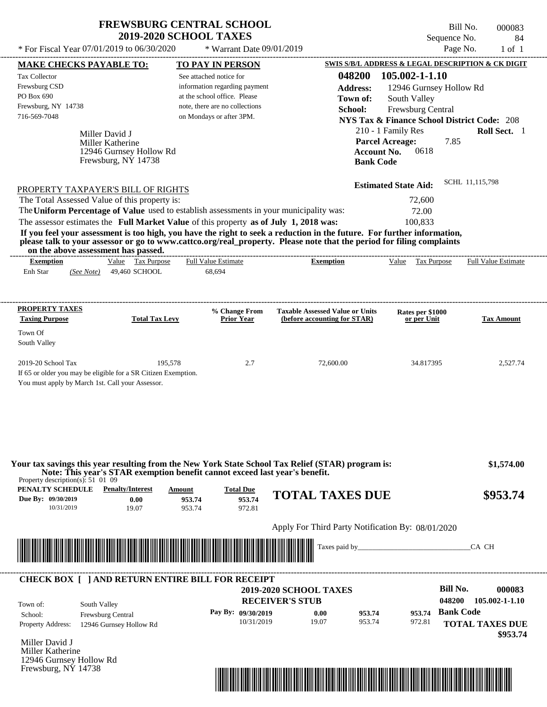$*$  For Fiscal Year 07/01/2019 to 06/30/2020

\* Warrant Date 09/01/2019

Bill No. 000083 Sequence No. 84<br>Page No. 1 of 1

| 048200 105.002-1-1.10<br>Tax Collector<br>See attached notice for<br>Frewsburg CSD<br>information regarding payment<br><b>Address:</b><br>12946 Gurnsey Hollow Rd<br>PO Box 690<br>at the school office. Please<br>Town of:<br>South Valley<br>Frewsburg, NY 14738<br>note, there are no collections<br>School:<br>Frewsburg Central<br>716-569-7048<br>on Mondays or after 3PM.<br><b>NYS Tax &amp; Finance School District Code: 208</b><br>210 - 1 Family Res<br>Miller David J<br><b>Parcel Acreage:</b><br>7.85<br>Miller Katherine<br>0618<br>12946 Gurnsey Hollow Rd<br><b>Account No.</b><br>Frewsburg, NY 14738<br><b>Bank Code</b><br>SCHL 11,115,798<br><b>Estimated State Aid:</b><br>PROPERTY TAXPAYER'S BILL OF RIGHTS<br>The Total Assessed Value of this property is:<br>72,600<br>The Uniform Percentage of Value used to establish assessments in your municipality was:<br>72.00<br>The assessor estimates the Full Market Value of this property as of July 1, 2018 was:<br>100,833<br>If you feel your assessment is too high, you have the right to seek a reduction in the future. For further information,<br>please talk to your assessor or go to www.cattco.org/real_property. Please note that the period for filing complaints<br>on the above assessment has passed.<br>Value Tax Purpose<br><b>Full Value Estimate</b><br><b>Exemption</b><br>Value Tax Purpose<br><b>Full Value Estimate</b><br><b>Exemption</b><br>Enh Star<br>49,460 SCHOOL<br>68,694<br>(See Note)<br><b>PROPERTY TAXES</b><br>% Change From<br><b>Taxable Assessed Value or Units</b><br>Rates per \$1000<br><b>Taxing Purpose</b><br><b>Total Tax Levy</b><br><b>Prior Year</b><br>or per Unit<br>(before accounting for STAR)<br>Town Of<br>South Valley<br>2019-20 School Tax<br>195,578<br>2.7<br>72,600.00<br>34.817395<br>If 65 or older you may be eligible for a SR Citizen Exemption.<br>You must apply by March 1st. Call your Assessor.<br>Your tax savings this year resulting from the New York State School Tax Relief (STAR) program is:<br>Note: This year's STAR exemption benefit cannot exceed last year's benefit.<br>Property description(s): $51\,01\,09$<br><b>Penalty/Interest</b><br><b>PENALTY SCHEDULE</b><br><b>Total Due</b><br>Amount<br><b>TOTAL TAXES DUE</b><br>953.74<br>Due By: 09/30/2019<br>0.00<br>953.74<br>10/31/2019<br>19.07<br>953.74<br>972.81<br>Apply For Third Party Notification By: 08/01/2020<br><u> Tanzania di Baratta di Baratta di Baratta di Baratta di Baratta di Baratta di Baratta di Baratta di Baratta </u><br>Taxes paid by_<br>CA CH |                         |                        |
|--------------------------------------------------------------------------------------------------------------------------------------------------------------------------------------------------------------------------------------------------------------------------------------------------------------------------------------------------------------------------------------------------------------------------------------------------------------------------------------------------------------------------------------------------------------------------------------------------------------------------------------------------------------------------------------------------------------------------------------------------------------------------------------------------------------------------------------------------------------------------------------------------------------------------------------------------------------------------------------------------------------------------------------------------------------------------------------------------------------------------------------------------------------------------------------------------------------------------------------------------------------------------------------------------------------------------------------------------------------------------------------------------------------------------------------------------------------------------------------------------------------------------------------------------------------------------------------------------------------------------------------------------------------------------------------------------------------------------------------------------------------------------------------------------------------------------------------------------------------------------------------------------------------------------------------------------------------------------------------------------------------------------------------------------------------------------------------------------------------------------------------------------------------------------------------------------------------------------------------------------------------------------------------------------------------------------------------------------------------------------------------------------------------------------------------------------------------------------------------------------------------------------------------------------------------------------------------------------------|-------------------------|------------------------|
|                                                                                                                                                                                                                                                                                                                                                                                                                                                                                                                                                                                                                                                                                                                                                                                                                                                                                                                                                                                                                                                                                                                                                                                                                                                                                                                                                                                                                                                                                                                                                                                                                                                                                                                                                                                                                                                                                                                                                                                                                                                                                                                                                                                                                                                                                                                                                                                                                                                                                                                                                                                                        |                         |                        |
|                                                                                                                                                                                                                                                                                                                                                                                                                                                                                                                                                                                                                                                                                                                                                                                                                                                                                                                                                                                                                                                                                                                                                                                                                                                                                                                                                                                                                                                                                                                                                                                                                                                                                                                                                                                                                                                                                                                                                                                                                                                                                                                                                                                                                                                                                                                                                                                                                                                                                                                                                                                                        |                         |                        |
|                                                                                                                                                                                                                                                                                                                                                                                                                                                                                                                                                                                                                                                                                                                                                                                                                                                                                                                                                                                                                                                                                                                                                                                                                                                                                                                                                                                                                                                                                                                                                                                                                                                                                                                                                                                                                                                                                                                                                                                                                                                                                                                                                                                                                                                                                                                                                                                                                                                                                                                                                                                                        |                         |                        |
|                                                                                                                                                                                                                                                                                                                                                                                                                                                                                                                                                                                                                                                                                                                                                                                                                                                                                                                                                                                                                                                                                                                                                                                                                                                                                                                                                                                                                                                                                                                                                                                                                                                                                                                                                                                                                                                                                                                                                                                                                                                                                                                                                                                                                                                                                                                                                                                                                                                                                                                                                                                                        |                         |                        |
|                                                                                                                                                                                                                                                                                                                                                                                                                                                                                                                                                                                                                                                                                                                                                                                                                                                                                                                                                                                                                                                                                                                                                                                                                                                                                                                                                                                                                                                                                                                                                                                                                                                                                                                                                                                                                                                                                                                                                                                                                                                                                                                                                                                                                                                                                                                                                                                                                                                                                                                                                                                                        |                         |                        |
|                                                                                                                                                                                                                                                                                                                                                                                                                                                                                                                                                                                                                                                                                                                                                                                                                                                                                                                                                                                                                                                                                                                                                                                                                                                                                                                                                                                                                                                                                                                                                                                                                                                                                                                                                                                                                                                                                                                                                                                                                                                                                                                                                                                                                                                                                                                                                                                                                                                                                                                                                                                                        |                         | Roll Sect. 1           |
|                                                                                                                                                                                                                                                                                                                                                                                                                                                                                                                                                                                                                                                                                                                                                                                                                                                                                                                                                                                                                                                                                                                                                                                                                                                                                                                                                                                                                                                                                                                                                                                                                                                                                                                                                                                                                                                                                                                                                                                                                                                                                                                                                                                                                                                                                                                                                                                                                                                                                                                                                                                                        |                         |                        |
|                                                                                                                                                                                                                                                                                                                                                                                                                                                                                                                                                                                                                                                                                                                                                                                                                                                                                                                                                                                                                                                                                                                                                                                                                                                                                                                                                                                                                                                                                                                                                                                                                                                                                                                                                                                                                                                                                                                                                                                                                                                                                                                                                                                                                                                                                                                                                                                                                                                                                                                                                                                                        |                         |                        |
|                                                                                                                                                                                                                                                                                                                                                                                                                                                                                                                                                                                                                                                                                                                                                                                                                                                                                                                                                                                                                                                                                                                                                                                                                                                                                                                                                                                                                                                                                                                                                                                                                                                                                                                                                                                                                                                                                                                                                                                                                                                                                                                                                                                                                                                                                                                                                                                                                                                                                                                                                                                                        |                         |                        |
|                                                                                                                                                                                                                                                                                                                                                                                                                                                                                                                                                                                                                                                                                                                                                                                                                                                                                                                                                                                                                                                                                                                                                                                                                                                                                                                                                                                                                                                                                                                                                                                                                                                                                                                                                                                                                                                                                                                                                                                                                                                                                                                                                                                                                                                                                                                                                                                                                                                                                                                                                                                                        |                         |                        |
|                                                                                                                                                                                                                                                                                                                                                                                                                                                                                                                                                                                                                                                                                                                                                                                                                                                                                                                                                                                                                                                                                                                                                                                                                                                                                                                                                                                                                                                                                                                                                                                                                                                                                                                                                                                                                                                                                                                                                                                                                                                                                                                                                                                                                                                                                                                                                                                                                                                                                                                                                                                                        |                         |                        |
|                                                                                                                                                                                                                                                                                                                                                                                                                                                                                                                                                                                                                                                                                                                                                                                                                                                                                                                                                                                                                                                                                                                                                                                                                                                                                                                                                                                                                                                                                                                                                                                                                                                                                                                                                                                                                                                                                                                                                                                                                                                                                                                                                                                                                                                                                                                                                                                                                                                                                                                                                                                                        |                         |                        |
|                                                                                                                                                                                                                                                                                                                                                                                                                                                                                                                                                                                                                                                                                                                                                                                                                                                                                                                                                                                                                                                                                                                                                                                                                                                                                                                                                                                                                                                                                                                                                                                                                                                                                                                                                                                                                                                                                                                                                                                                                                                                                                                                                                                                                                                                                                                                                                                                                                                                                                                                                                                                        |                         |                        |
|                                                                                                                                                                                                                                                                                                                                                                                                                                                                                                                                                                                                                                                                                                                                                                                                                                                                                                                                                                                                                                                                                                                                                                                                                                                                                                                                                                                                                                                                                                                                                                                                                                                                                                                                                                                                                                                                                                                                                                                                                                                                                                                                                                                                                                                                                                                                                                                                                                                                                                                                                                                                        |                         |                        |
|                                                                                                                                                                                                                                                                                                                                                                                                                                                                                                                                                                                                                                                                                                                                                                                                                                                                                                                                                                                                                                                                                                                                                                                                                                                                                                                                                                                                                                                                                                                                                                                                                                                                                                                                                                                                                                                                                                                                                                                                                                                                                                                                                                                                                                                                                                                                                                                                                                                                                                                                                                                                        |                         |                        |
|                                                                                                                                                                                                                                                                                                                                                                                                                                                                                                                                                                                                                                                                                                                                                                                                                                                                                                                                                                                                                                                                                                                                                                                                                                                                                                                                                                                                                                                                                                                                                                                                                                                                                                                                                                                                                                                                                                                                                                                                                                                                                                                                                                                                                                                                                                                                                                                                                                                                                                                                                                                                        |                         |                        |
|                                                                                                                                                                                                                                                                                                                                                                                                                                                                                                                                                                                                                                                                                                                                                                                                                                                                                                                                                                                                                                                                                                                                                                                                                                                                                                                                                                                                                                                                                                                                                                                                                                                                                                                                                                                                                                                                                                                                                                                                                                                                                                                                                                                                                                                                                                                                                                                                                                                                                                                                                                                                        |                         |                        |
|                                                                                                                                                                                                                                                                                                                                                                                                                                                                                                                                                                                                                                                                                                                                                                                                                                                                                                                                                                                                                                                                                                                                                                                                                                                                                                                                                                                                                                                                                                                                                                                                                                                                                                                                                                                                                                                                                                                                                                                                                                                                                                                                                                                                                                                                                                                                                                                                                                                                                                                                                                                                        |                         |                        |
|                                                                                                                                                                                                                                                                                                                                                                                                                                                                                                                                                                                                                                                                                                                                                                                                                                                                                                                                                                                                                                                                                                                                                                                                                                                                                                                                                                                                                                                                                                                                                                                                                                                                                                                                                                                                                                                                                                                                                                                                                                                                                                                                                                                                                                                                                                                                                                                                                                                                                                                                                                                                        |                         |                        |
|                                                                                                                                                                                                                                                                                                                                                                                                                                                                                                                                                                                                                                                                                                                                                                                                                                                                                                                                                                                                                                                                                                                                                                                                                                                                                                                                                                                                                                                                                                                                                                                                                                                                                                                                                                                                                                                                                                                                                                                                                                                                                                                                                                                                                                                                                                                                                                                                                                                                                                                                                                                                        |                         |                        |
|                                                                                                                                                                                                                                                                                                                                                                                                                                                                                                                                                                                                                                                                                                                                                                                                                                                                                                                                                                                                                                                                                                                                                                                                                                                                                                                                                                                                                                                                                                                                                                                                                                                                                                                                                                                                                                                                                                                                                                                                                                                                                                                                                                                                                                                                                                                                                                                                                                                                                                                                                                                                        |                         |                        |
|                                                                                                                                                                                                                                                                                                                                                                                                                                                                                                                                                                                                                                                                                                                                                                                                                                                                                                                                                                                                                                                                                                                                                                                                                                                                                                                                                                                                                                                                                                                                                                                                                                                                                                                                                                                                                                                                                                                                                                                                                                                                                                                                                                                                                                                                                                                                                                                                                                                                                                                                                                                                        |                         | <b>Tax Amount</b>      |
|                                                                                                                                                                                                                                                                                                                                                                                                                                                                                                                                                                                                                                                                                                                                                                                                                                                                                                                                                                                                                                                                                                                                                                                                                                                                                                                                                                                                                                                                                                                                                                                                                                                                                                                                                                                                                                                                                                                                                                                                                                                                                                                                                                                                                                                                                                                                                                                                                                                                                                                                                                                                        |                         |                        |
|                                                                                                                                                                                                                                                                                                                                                                                                                                                                                                                                                                                                                                                                                                                                                                                                                                                                                                                                                                                                                                                                                                                                                                                                                                                                                                                                                                                                                                                                                                                                                                                                                                                                                                                                                                                                                                                                                                                                                                                                                                                                                                                                                                                                                                                                                                                                                                                                                                                                                                                                                                                                        |                         |                        |
|                                                                                                                                                                                                                                                                                                                                                                                                                                                                                                                                                                                                                                                                                                                                                                                                                                                                                                                                                                                                                                                                                                                                                                                                                                                                                                                                                                                                                                                                                                                                                                                                                                                                                                                                                                                                                                                                                                                                                                                                                                                                                                                                                                                                                                                                                                                                                                                                                                                                                                                                                                                                        |                         |                        |
|                                                                                                                                                                                                                                                                                                                                                                                                                                                                                                                                                                                                                                                                                                                                                                                                                                                                                                                                                                                                                                                                                                                                                                                                                                                                                                                                                                                                                                                                                                                                                                                                                                                                                                                                                                                                                                                                                                                                                                                                                                                                                                                                                                                                                                                                                                                                                                                                                                                                                                                                                                                                        |                         | 2,527.74               |
|                                                                                                                                                                                                                                                                                                                                                                                                                                                                                                                                                                                                                                                                                                                                                                                                                                                                                                                                                                                                                                                                                                                                                                                                                                                                                                                                                                                                                                                                                                                                                                                                                                                                                                                                                                                                                                                                                                                                                                                                                                                                                                                                                                                                                                                                                                                                                                                                                                                                                                                                                                                                        |                         |                        |
|                                                                                                                                                                                                                                                                                                                                                                                                                                                                                                                                                                                                                                                                                                                                                                                                                                                                                                                                                                                                                                                                                                                                                                                                                                                                                                                                                                                                                                                                                                                                                                                                                                                                                                                                                                                                                                                                                                                                                                                                                                                                                                                                                                                                                                                                                                                                                                                                                                                                                                                                                                                                        |                         |                        |
|                                                                                                                                                                                                                                                                                                                                                                                                                                                                                                                                                                                                                                                                                                                                                                                                                                                                                                                                                                                                                                                                                                                                                                                                                                                                                                                                                                                                                                                                                                                                                                                                                                                                                                                                                                                                                                                                                                                                                                                                                                                                                                                                                                                                                                                                                                                                                                                                                                                                                                                                                                                                        |                         |                        |
|                                                                                                                                                                                                                                                                                                                                                                                                                                                                                                                                                                                                                                                                                                                                                                                                                                                                                                                                                                                                                                                                                                                                                                                                                                                                                                                                                                                                                                                                                                                                                                                                                                                                                                                                                                                                                                                                                                                                                                                                                                                                                                                                                                                                                                                                                                                                                                                                                                                                                                                                                                                                        |                         |                        |
|                                                                                                                                                                                                                                                                                                                                                                                                                                                                                                                                                                                                                                                                                                                                                                                                                                                                                                                                                                                                                                                                                                                                                                                                                                                                                                                                                                                                                                                                                                                                                                                                                                                                                                                                                                                                                                                                                                                                                                                                                                                                                                                                                                                                                                                                                                                                                                                                                                                                                                                                                                                                        |                         |                        |
|                                                                                                                                                                                                                                                                                                                                                                                                                                                                                                                                                                                                                                                                                                                                                                                                                                                                                                                                                                                                                                                                                                                                                                                                                                                                                                                                                                                                                                                                                                                                                                                                                                                                                                                                                                                                                                                                                                                                                                                                                                                                                                                                                                                                                                                                                                                                                                                                                                                                                                                                                                                                        |                         |                        |
|                                                                                                                                                                                                                                                                                                                                                                                                                                                                                                                                                                                                                                                                                                                                                                                                                                                                                                                                                                                                                                                                                                                                                                                                                                                                                                                                                                                                                                                                                                                                                                                                                                                                                                                                                                                                                                                                                                                                                                                                                                                                                                                                                                                                                                                                                                                                                                                                                                                                                                                                                                                                        |                         |                        |
|                                                                                                                                                                                                                                                                                                                                                                                                                                                                                                                                                                                                                                                                                                                                                                                                                                                                                                                                                                                                                                                                                                                                                                                                                                                                                                                                                                                                                                                                                                                                                                                                                                                                                                                                                                                                                                                                                                                                                                                                                                                                                                                                                                                                                                                                                                                                                                                                                                                                                                                                                                                                        |                         | \$1,574.00             |
|                                                                                                                                                                                                                                                                                                                                                                                                                                                                                                                                                                                                                                                                                                                                                                                                                                                                                                                                                                                                                                                                                                                                                                                                                                                                                                                                                                                                                                                                                                                                                                                                                                                                                                                                                                                                                                                                                                                                                                                                                                                                                                                                                                                                                                                                                                                                                                                                                                                                                                                                                                                                        |                         |                        |
|                                                                                                                                                                                                                                                                                                                                                                                                                                                                                                                                                                                                                                                                                                                                                                                                                                                                                                                                                                                                                                                                                                                                                                                                                                                                                                                                                                                                                                                                                                                                                                                                                                                                                                                                                                                                                                                                                                                                                                                                                                                                                                                                                                                                                                                                                                                                                                                                                                                                                                                                                                                                        |                         | \$953.74               |
|                                                                                                                                                                                                                                                                                                                                                                                                                                                                                                                                                                                                                                                                                                                                                                                                                                                                                                                                                                                                                                                                                                                                                                                                                                                                                                                                                                                                                                                                                                                                                                                                                                                                                                                                                                                                                                                                                                                                                                                                                                                                                                                                                                                                                                                                                                                                                                                                                                                                                                                                                                                                        |                         |                        |
|                                                                                                                                                                                                                                                                                                                                                                                                                                                                                                                                                                                                                                                                                                                                                                                                                                                                                                                                                                                                                                                                                                                                                                                                                                                                                                                                                                                                                                                                                                                                                                                                                                                                                                                                                                                                                                                                                                                                                                                                                                                                                                                                                                                                                                                                                                                                                                                                                                                                                                                                                                                                        |                         |                        |
|                                                                                                                                                                                                                                                                                                                                                                                                                                                                                                                                                                                                                                                                                                                                                                                                                                                                                                                                                                                                                                                                                                                                                                                                                                                                                                                                                                                                                                                                                                                                                                                                                                                                                                                                                                                                                                                                                                                                                                                                                                                                                                                                                                                                                                                                                                                                                                                                                                                                                                                                                                                                        |                         |                        |
|                                                                                                                                                                                                                                                                                                                                                                                                                                                                                                                                                                                                                                                                                                                                                                                                                                                                                                                                                                                                                                                                                                                                                                                                                                                                                                                                                                                                                                                                                                                                                                                                                                                                                                                                                                                                                                                                                                                                                                                                                                                                                                                                                                                                                                                                                                                                                                                                                                                                                                                                                                                                        |                         |                        |
|                                                                                                                                                                                                                                                                                                                                                                                                                                                                                                                                                                                                                                                                                                                                                                                                                                                                                                                                                                                                                                                                                                                                                                                                                                                                                                                                                                                                                                                                                                                                                                                                                                                                                                                                                                                                                                                                                                                                                                                                                                                                                                                                                                                                                                                                                                                                                                                                                                                                                                                                                                                                        |                         |                        |
|                                                                                                                                                                                                                                                                                                                                                                                                                                                                                                                                                                                                                                                                                                                                                                                                                                                                                                                                                                                                                                                                                                                                                                                                                                                                                                                                                                                                                                                                                                                                                                                                                                                                                                                                                                                                                                                                                                                                                                                                                                                                                                                                                                                                                                                                                                                                                                                                                                                                                                                                                                                                        |                         |                        |
| <b>CHECK BOX [ ] AND RETURN ENTIRE BILL FOR RECEIPT</b>                                                                                                                                                                                                                                                                                                                                                                                                                                                                                                                                                                                                                                                                                                                                                                                                                                                                                                                                                                                                                                                                                                                                                                                                                                                                                                                                                                                                                                                                                                                                                                                                                                                                                                                                                                                                                                                                                                                                                                                                                                                                                                                                                                                                                                                                                                                                                                                                                                                                                                                                                |                         |                        |
| <b>Bill No.</b><br><b>2019-2020 SCHOOL TAXES</b>                                                                                                                                                                                                                                                                                                                                                                                                                                                                                                                                                                                                                                                                                                                                                                                                                                                                                                                                                                                                                                                                                                                                                                                                                                                                                                                                                                                                                                                                                                                                                                                                                                                                                                                                                                                                                                                                                                                                                                                                                                                                                                                                                                                                                                                                                                                                                                                                                                                                                                                                                       |                         | 000083                 |
| <b>RECEIVER'S STUB</b><br>048200<br>Town of:<br>South Valley                                                                                                                                                                                                                                                                                                                                                                                                                                                                                                                                                                                                                                                                                                                                                                                                                                                                                                                                                                                                                                                                                                                                                                                                                                                                                                                                                                                                                                                                                                                                                                                                                                                                                                                                                                                                                                                                                                                                                                                                                                                                                                                                                                                                                                                                                                                                                                                                                                                                                                                                           |                         | 105.002-1-1.10         |
| <b>Bank Code</b><br>Pay By: 09/30/2019<br>953.74<br>0.00<br>953.74<br>School:<br>Frewsburg Central                                                                                                                                                                                                                                                                                                                                                                                                                                                                                                                                                                                                                                                                                                                                                                                                                                                                                                                                                                                                                                                                                                                                                                                                                                                                                                                                                                                                                                                                                                                                                                                                                                                                                                                                                                                                                                                                                                                                                                                                                                                                                                                                                                                                                                                                                                                                                                                                                                                                                                     |                         |                        |
| 10/31/2019<br>19.07<br>953.74<br>972.81<br>Property Address:                                                                                                                                                                                                                                                                                                                                                                                                                                                                                                                                                                                                                                                                                                                                                                                                                                                                                                                                                                                                                                                                                                                                                                                                                                                                                                                                                                                                                                                                                                                                                                                                                                                                                                                                                                                                                                                                                                                                                                                                                                                                                                                                                                                                                                                                                                                                                                                                                                                                                                                                           |                         |                        |
|                                                                                                                                                                                                                                                                                                                                                                                                                                                                                                                                                                                                                                                                                                                                                                                                                                                                                                                                                                                                                                                                                                                                                                                                                                                                                                                                                                                                                                                                                                                                                                                                                                                                                                                                                                                                                                                                                                                                                                                                                                                                                                                                                                                                                                                                                                                                                                                                                                                                                                                                                                                                        | 12946 Gurnsey Hollow Rd | <b>TOTAL TAXES DUE</b> |
|                                                                                                                                                                                                                                                                                                                                                                                                                                                                                                                                                                                                                                                                                                                                                                                                                                                                                                                                                                                                                                                                                                                                                                                                                                                                                                                                                                                                                                                                                                                                                                                                                                                                                                                                                                                                                                                                                                                                                                                                                                                                                                                                                                                                                                                                                                                                                                                                                                                                                                                                                                                                        |                         | \$953.74               |
| Miller David J                                                                                                                                                                                                                                                                                                                                                                                                                                                                                                                                                                                                                                                                                                                                                                                                                                                                                                                                                                                                                                                                                                                                                                                                                                                                                                                                                                                                                                                                                                                                                                                                                                                                                                                                                                                                                                                                                                                                                                                                                                                                                                                                                                                                                                                                                                                                                                                                                                                                                                                                                                                         |                         |                        |
| Miller Katherine<br>12946 Gurnsey Hollow Rd                                                                                                                                                                                                                                                                                                                                                                                                                                                                                                                                                                                                                                                                                                                                                                                                                                                                                                                                                                                                                                                                                                                                                                                                                                                                                                                                                                                                                                                                                                                                                                                                                                                                                                                                                                                                                                                                                                                                                                                                                                                                                                                                                                                                                                                                                                                                                                                                                                                                                                                                                            |                         |                        |

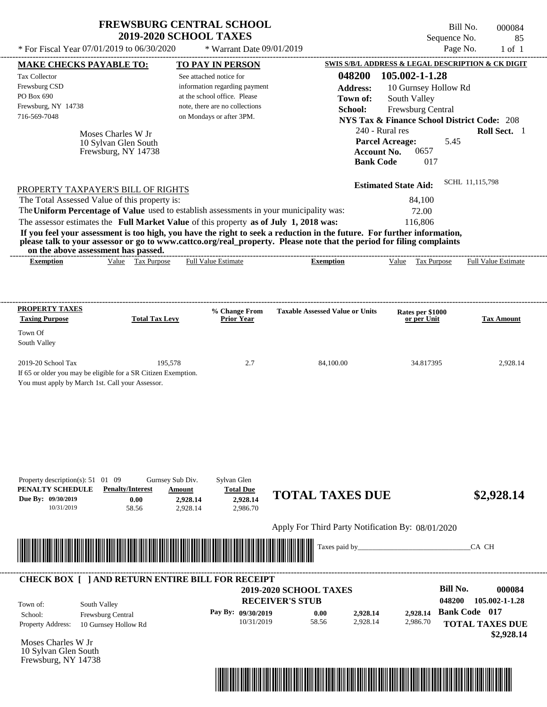| <b>FREWSBURG CENTRAL SCHOOL</b> |
|---------------------------------|
| <b>2019-2020 SCHOOL TAXES</b>   |

Bill No. 000084 Sequence No. 85

| * For Fiscal Year 07/01/2019 to 06/30/2020                                                                                                                                                                                                                                                                                                                                                                                                                                                                                                                         |                                                    | * Warrant Date 09/01/2019                                                                                                                              |                                                   |                                                                                                                                                                                   | Page No.<br>$1$ of $1$                                                         |
|--------------------------------------------------------------------------------------------------------------------------------------------------------------------------------------------------------------------------------------------------------------------------------------------------------------------------------------------------------------------------------------------------------------------------------------------------------------------------------------------------------------------------------------------------------------------|----------------------------------------------------|--------------------------------------------------------------------------------------------------------------------------------------------------------|---------------------------------------------------|-----------------------------------------------------------------------------------------------------------------------------------------------------------------------------------|--------------------------------------------------------------------------------|
| <b>MAKE CHECKS PAYABLE TO:</b>                                                                                                                                                                                                                                                                                                                                                                                                                                                                                                                                     |                                                    | <b>TO PAY IN PERSON</b>                                                                                                                                |                                                   |                                                                                                                                                                                   | SWIS S/B/L ADDRESS & LEGAL DESCRIPTION & CK DIGIT                              |
| Tax Collector<br>Frewsburg CSD<br>PO Box 690<br>Frewsburg, NY 14738<br>716-569-7048<br>Moses Charles W Jr<br>10 Sylvan Glen South<br>Frewsburg, NY 14738                                                                                                                                                                                                                                                                                                                                                                                                           |                                                    | See attached notice for<br>information regarding payment<br>at the school office. Please<br>note, there are no collections<br>on Mondays or after 3PM. | 048200<br><b>Address:</b><br>Town of:<br>School:  | 105.002-1-1.28<br>10 Gurnsey Hollow Rd<br>South Valley<br>Frewsburg Central<br>240 - Rural res<br><b>Parcel Acreage:</b><br>0657<br><b>Account No.</b><br><b>Bank Code</b><br>017 | <b>NYS Tax &amp; Finance School District Code: 208</b><br>Roll Sect. 1<br>5.45 |
| PROPERTY TAXPAYER'S BILL OF RIGHTS<br>The Total Assessed Value of this property is:<br>The Uniform Percentage of Value used to establish assessments in your municipality was:<br>The assessor estimates the Full Market Value of this property as of July 1, 2018 was:<br>If you feel your assessment is too high, you have the right to seek a reduction in the future. For further information,<br>please talk to your assessor or go to www.cattco.org/real_property. Please note that the period for filing complaints<br>on the above assessment has passed. |                                                    |                                                                                                                                                        | --------------------------------------            | <b>Estimated State Aid:</b><br>84,100<br>72.00<br>116,806                                                                                                                         | SCHL 11,115,798                                                                |
| Value Tax Purpose<br><b>Exemption</b>                                                                                                                                                                                                                                                                                                                                                                                                                                                                                                                              |                                                    | <b>Full Value Estimate</b>                                                                                                                             | <b>Exemption</b>                                  | Value Tax Purpose                                                                                                                                                                 | <b>Full Value Estimate</b>                                                     |
| <b>PROPERTY TAXES</b><br><b>Taxing Purpose</b>                                                                                                                                                                                                                                                                                                                                                                                                                                                                                                                     | <b>Total Tax Levy</b>                              | % Change From<br><b>Prior Year</b>                                                                                                                     | <b>Taxable Assessed Value or Units</b>            | Rates per \$1000<br>or per Unit                                                                                                                                                   | <b>Tax Amount</b>                                                              |
| Town Of<br>South Valley                                                                                                                                                                                                                                                                                                                                                                                                                                                                                                                                            |                                                    |                                                                                                                                                        |                                                   |                                                                                                                                                                                   |                                                                                |
| 2019-20 School Tax<br>If 65 or older you may be eligible for a SR Citizen Exemption.<br>You must apply by March 1st. Call your Assessor.                                                                                                                                                                                                                                                                                                                                                                                                                           | 195,578                                            | 2.7                                                                                                                                                    | 84,100.00                                         | 34.817395                                                                                                                                                                         | 2,928.14                                                                       |
| Property description(s): $51 \quad 01 \quad 09$<br>PENALTY SCHEDULE<br><b>Penalty/Interest</b><br>Due By: 09/30/2019<br>0.00<br>10/31/2019<br>58.56                                                                                                                                                                                                                                                                                                                                                                                                                | Gurnsey Sub Div.<br>Amount<br>2,928.14<br>2,928.14 | Sylvan Glen<br><b>Total Due</b><br>2,928.14<br>2,986.70                                                                                                | <b>TOTAL TAXES DUE</b>                            |                                                                                                                                                                                   | \$2,928.14                                                                     |
|                                                                                                                                                                                                                                                                                                                                                                                                                                                                                                                                                                    |                                                    |                                                                                                                                                        | Apply For Third Party Notification By: 08/01/2020 |                                                                                                                                                                                   |                                                                                |
|                                                                                                                                                                                                                                                                                                                                                                                                                                                                                                                                                                    |                                                    |                                                                                                                                                        | Taxes paid by_                                    |                                                                                                                                                                                   | CA CH                                                                          |
| <b>CHECK BOX [ ] AND RETURN ENTIRE BILL FOR RECEIPT</b>                                                                                                                                                                                                                                                                                                                                                                                                                                                                                                            |                                                    |                                                                                                                                                        | 2019-2020 SCHOOL TAXES<br><b>RECEIVER'S STUB</b>  |                                                                                                                                                                                   | <b>Bill No.</b><br>000084<br>048200<br>105.002-1-1.28                          |

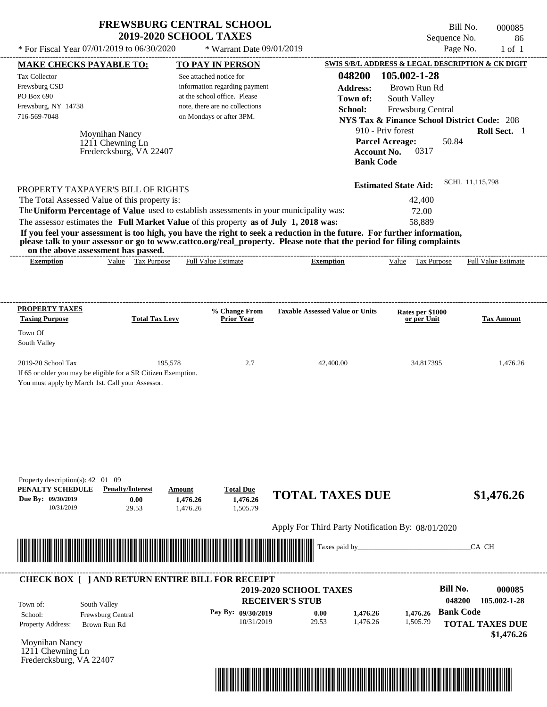| <b>FREWSBURG CENTRAL SCHOOL</b> |
|---------------------------------|
| <b>2019-2020 SCHOOL TAXES</b>   |

 $*$  For Fiscal Year 07/01/2019 to 06/30/2020

 $*$  Warrant Date 09/01/2019

Bill No. 000085 Sequence No. 86<br>Page No. 1 of 1

|                                                                                                                       | <b>MAKE CHECKS PAYABLE TO:</b>  |                            | <b>TO PAY IN PERSON</b>        |                                                                                                                                                                                                                                                  |                             | SWIS S/B/L ADDRESS & LEGAL DESCRIPTION & CK DIGIT      |
|-----------------------------------------------------------------------------------------------------------------------|---------------------------------|----------------------------|--------------------------------|--------------------------------------------------------------------------------------------------------------------------------------------------------------------------------------------------------------------------------------------------|-----------------------------|--------------------------------------------------------|
| Tax Collector                                                                                                         |                                 | See attached notice for    |                                |                                                                                                                                                                                                                                                  | 048200 105.002-1-28         |                                                        |
| Frewsburg CSD                                                                                                         |                                 |                            | information regarding payment  | <b>Address:</b>                                                                                                                                                                                                                                  | Brown Run Rd                |                                                        |
| PO Box 690                                                                                                            |                                 |                            | at the school office. Please   | Town of:                                                                                                                                                                                                                                         | South Valley                |                                                        |
| Frewsburg, NY 14738                                                                                                   |                                 |                            | note, there are no collections | School:                                                                                                                                                                                                                                          | Frewsburg Central           |                                                        |
| 716-569-7048                                                                                                          |                                 | on Mondays or after 3PM.   |                                |                                                                                                                                                                                                                                                  |                             | <b>NYS Tax &amp; Finance School District Code: 208</b> |
|                                                                                                                       |                                 |                            |                                |                                                                                                                                                                                                                                                  |                             |                                                        |
|                                                                                                                       | Moynihan Nancy                  |                            |                                |                                                                                                                                                                                                                                                  | 910 - Priv forest           | Roll Sect. 1                                           |
|                                                                                                                       | 1211 Chewning Ln                |                            |                                |                                                                                                                                                                                                                                                  | <b>Parcel Acreage:</b>      | 50.84                                                  |
|                                                                                                                       | Fredercksburg, VA 22407         |                            |                                | <b>Account No.</b>                                                                                                                                                                                                                               | 0317                        |                                                        |
|                                                                                                                       |                                 |                            |                                | <b>Bank Code</b>                                                                                                                                                                                                                                 |                             |                                                        |
|                                                                                                                       |                                 |                            |                                |                                                                                                                                                                                                                                                  | <b>Estimated State Aid:</b> | SCHL 11,115,798                                        |
| PROPERTY TAXPAYER'S BILL OF RIGHTS<br>The Total Assessed Value of this property is:                                   |                                 |                            |                                |                                                                                                                                                                                                                                                  | 42,400                      |                                                        |
|                                                                                                                       |                                 |                            |                                | The Uniform Percentage of Value used to establish assessments in your municipality was:                                                                                                                                                          | 72.00                       |                                                        |
|                                                                                                                       |                                 |                            |                                |                                                                                                                                                                                                                                                  |                             |                                                        |
| The assessor estimates the Full Market Value of this property as of July 1, 2018 was:                                 |                                 |                            |                                |                                                                                                                                                                                                                                                  | 58,889                      |                                                        |
|                                                                                                                       |                                 |                            |                                | If you feel your assessment is too high, you have the right to seek a reduction in the future. For further information,<br>please talk to your assessor or go to www.cattco.org/real_property. Please note that the period for filing complaints |                             |                                                        |
| on the above assessment has passed.                                                                                   |                                 |                            |                                |                                                                                                                                                                                                                                                  |                             |                                                        |
| <b>Exemption</b>                                                                                                      | Value Tax Purpose               | <b>Full Value Estimate</b> |                                | <b>Exemption</b>                                                                                                                                                                                                                                 | Value Tax Purpose           | <b>Full Value Estimate</b>                             |
|                                                                                                                       |                                 |                            |                                |                                                                                                                                                                                                                                                  |                             |                                                        |
|                                                                                                                       |                                 |                            |                                |                                                                                                                                                                                                                                                  |                             |                                                        |
| <b>PROPERTY TAXES</b>                                                                                                 |                                 |                            | % Change From<br>Prior Year    | <b>Taxable Assessed Value or Units</b>                                                                                                                                                                                                           | Rates per \$1000            |                                                        |
| <b>Taxing Purpose</b>                                                                                                 | <b>Total Tax Levy</b>           |                            |                                |                                                                                                                                                                                                                                                  | or per Unit                 | <b>Tax Amount</b>                                      |
| Town Of<br>South Valley                                                                                               |                                 |                            |                                |                                                                                                                                                                                                                                                  |                             |                                                        |
| 2019-20 School Tax                                                                                                    |                                 | 195,578                    | 2.7                            | 42,400.00                                                                                                                                                                                                                                        | 34.817395                   | 1,476.26                                               |
|                                                                                                                       |                                 |                            |                                |                                                                                                                                                                                                                                                  |                             |                                                        |
| If 65 or older you may be eligible for a SR Citizen Exemption.<br>You must apply by March 1st. Call your Assessor.    |                                 |                            |                                |                                                                                                                                                                                                                                                  |                             |                                                        |
| Property description(s): 42 01 09<br>PENALTY SCHEDULE<br>Due By: 09/30/2019<br>10/31/2019                             | <b>Penalty/Interest</b><br>0.00 | Amount<br>1,476.26         | <b>Total Due</b><br>1,476.26   | <b>TOTAL TAXES DUE</b>                                                                                                                                                                                                                           |                             |                                                        |
|                                                                                                                       | 29.53                           | 1,476.26                   | 1,505.79                       |                                                                                                                                                                                                                                                  |                             | \$1,476.26                                             |
|                                                                                                                       |                                 |                            |                                | Apply For Third Party Notification By: 08/01/2020                                                                                                                                                                                                |                             |                                                        |
| <u> Haria da Barat da Barat da Barat da Barat da Barat da Barat da Barat da Barat da Barat da Barat da Barat da B</u> |                                 |                            |                                | Taxes paid by_                                                                                                                                                                                                                                   |                             | CA CH                                                  |
|                                                                                                                       |                                 |                            |                                |                                                                                                                                                                                                                                                  |                             |                                                        |
| <b>CHECK BOX [ ] AND RETURN ENTIRE BILL FOR RECEIPT</b>                                                               |                                 |                            |                                | 2019-2020 SCHOOL TAXES                                                                                                                                                                                                                           |                             | <b>Bill No.</b><br>000085                              |
| Town of:                                                                                                              |                                 |                            |                                | <b>RECEIVER'S STUB</b>                                                                                                                                                                                                                           |                             | 048200                                                 |
| School:                                                                                                               | South Valley                    |                            | Pay By: 09/30/2019             | 0.00<br>1,476.26                                                                                                                                                                                                                                 | 1,476.26                    | <b>Bank Code</b>                                       |
|                                                                                                                       | Frewsburg Central               |                            | 10/31/2019                     | 29.53<br>1,476.26                                                                                                                                                                                                                                | 1,505.79                    |                                                        |
|                                                                                                                       | Brown Run Rd                    |                            |                                |                                                                                                                                                                                                                                                  |                             |                                                        |
| Property Address:<br>Moynihan Nancy                                                                                   |                                 |                            |                                |                                                                                                                                                                                                                                                  |                             | 105.002-1-28<br><b>TOTAL TAXES DUE</b><br>\$1,476.26   |

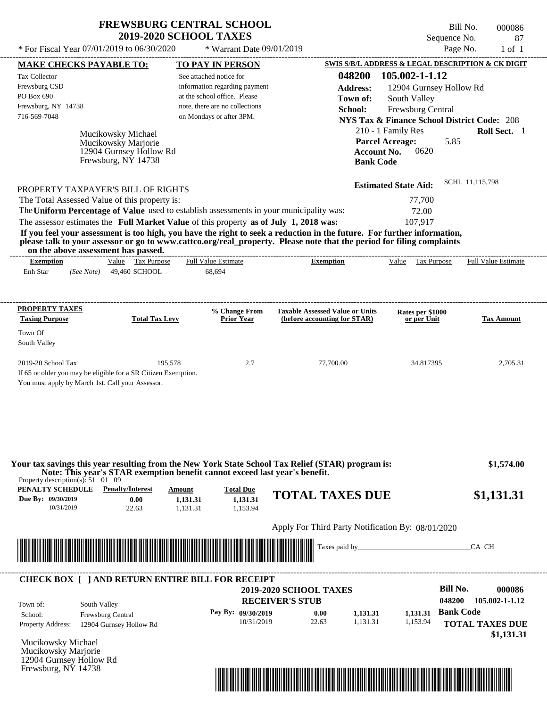\* For Fiscal Year  $07/01/2019$  to  $06/30/2020$  \* Warrant Date  $09/01/2019$  Page No. 1 of 1

\* Warrant Date 09/01/2019

Bill No. 000086 Sequence No. 87

| <b>MAKE CHECKS PAYABLE TO:</b>                                                                                                                                                                                                                                                        | <b>TO PAY IN PERSON</b>            |                                                                        |                                                        | <b>SWIS S/B/L ADDRESS &amp; LEGAL DESCRIPTION &amp; CK DIGIT</b> |
|---------------------------------------------------------------------------------------------------------------------------------------------------------------------------------------------------------------------------------------------------------------------------------------|------------------------------------|------------------------------------------------------------------------|--------------------------------------------------------|------------------------------------------------------------------|
| <b>Tax Collector</b>                                                                                                                                                                                                                                                                  | See attached notice for            | 048200                                                                 | 105.002-1-1.12                                         |                                                                  |
| Frewsburg CSD                                                                                                                                                                                                                                                                         | information regarding payment      | <b>Address:</b>                                                        | 12904 Gurnsey Hollow Rd                                |                                                                  |
| PO Box 690                                                                                                                                                                                                                                                                            | at the school office. Please       | Town of:                                                               | South Valley                                           |                                                                  |
| Frewsburg, NY 14738                                                                                                                                                                                                                                                                   | note, there are no collections     | School:                                                                | Frewsburg Central                                      |                                                                  |
| 716-569-7048                                                                                                                                                                                                                                                                          | on Mondays or after 3PM.           |                                                                        | <b>NYS Tax &amp; Finance School District Code: 208</b> |                                                                  |
| Mucikowsky Michael                                                                                                                                                                                                                                                                    |                                    |                                                                        | 210 - 1 Family Res                                     | Roll Sect. 1                                                     |
| Mucikowsky Marjorie                                                                                                                                                                                                                                                                   |                                    | <b>Parcel Acreage:</b>                                                 | 5.85                                                   |                                                                  |
| 12904 Gurnsey Hollow Rd                                                                                                                                                                                                                                                               |                                    | <b>Account No.</b>                                                     | 0620                                                   |                                                                  |
| Frewsburg, NY 14738                                                                                                                                                                                                                                                                   |                                    | <b>Bank Code</b>                                                       |                                                        |                                                                  |
|                                                                                                                                                                                                                                                                                       |                                    |                                                                        | <b>Estimated State Aid:</b>                            | SCHL 11,115,798                                                  |
| PROPERTY TAXPAYER'S BILL OF RIGHTS<br>The Total Assessed Value of this property is:                                                                                                                                                                                                   |                                    |                                                                        | 77,700                                                 |                                                                  |
| The Uniform Percentage of Value used to establish assessments in your municipality was:                                                                                                                                                                                               |                                    |                                                                        | 72.00                                                  |                                                                  |
| The assessor estimates the Full Market Value of this property as of July 1, 2018 was:                                                                                                                                                                                                 |                                    |                                                                        | 107,917                                                |                                                                  |
| If you feel your assessment is too high, you have the right to seek a reduction in the future. For further information,                                                                                                                                                               |                                    |                                                                        |                                                        |                                                                  |
| please talk to your assessor or go to www.cattco.org/real_property. Please note that the period for filing complaints<br>on the above assessment has passed.                                                                                                                          |                                    |                                                                        |                                                        |                                                                  |
| Value Tax Purpose<br><b>Exemption</b>                                                                                                                                                                                                                                                 | <b>Full Value Estimate</b>         | <b>Exemption</b>                                                       | Value Tax Purpose                                      | <b>Full Value Estimate</b>                                       |
| Enh Star<br>(See Note) 49,460 SCHOOL                                                                                                                                                                                                                                                  | 68,694                             |                                                                        |                                                        |                                                                  |
|                                                                                                                                                                                                                                                                                       |                                    |                                                                        |                                                        |                                                                  |
| <b>PROPERTY TAXES</b>                                                                                                                                                                                                                                                                 |                                    |                                                                        |                                                        |                                                                  |
| <b>Total Tax Levy</b><br><b>Taxing Purpose</b>                                                                                                                                                                                                                                        | % Change From<br><b>Prior Year</b> | <b>Taxable Assessed Value or Units</b><br>(before accounting for STAR) | Rates per \$1000<br>or per Unit                        | <b>Tax Amount</b>                                                |
| Town Of                                                                                                                                                                                                                                                                               |                                    |                                                                        |                                                        |                                                                  |
| South Valley                                                                                                                                                                                                                                                                          |                                    |                                                                        |                                                        |                                                                  |
|                                                                                                                                                                                                                                                                                       |                                    |                                                                        |                                                        |                                                                  |
| 2019-20 School Tax                                                                                                                                                                                                                                                                    | 195,578<br>2.7                     | 77,700.00                                                              | 34.817395                                              | 2,705.31                                                         |
| If 65 or older you may be eligible for a SR Citizen Exemption.                                                                                                                                                                                                                        |                                    |                                                                        |                                                        |                                                                  |
| You must apply by March 1st. Call your Assessor.                                                                                                                                                                                                                                      |                                    |                                                                        |                                                        |                                                                  |
|                                                                                                                                                                                                                                                                                       |                                    |                                                                        |                                                        |                                                                  |
|                                                                                                                                                                                                                                                                                       |                                    |                                                                        |                                                        |                                                                  |
|                                                                                                                                                                                                                                                                                       |                                    |                                                                        |                                                        |                                                                  |
|                                                                                                                                                                                                                                                                                       |                                    |                                                                        |                                                        |                                                                  |
|                                                                                                                                                                                                                                                                                       |                                    |                                                                        |                                                        |                                                                  |
|                                                                                                                                                                                                                                                                                       |                                    |                                                                        |                                                        | \$1,574.00                                                       |
| Note: This year's STAR exemption benefit cannot exceed last year's benefit.                                                                                                                                                                                                           |                                    |                                                                        |                                                        |                                                                  |
| <b>Penalty/Interest</b>                                                                                                                                                                                                                                                               | <b>Total Due</b><br>Amount         |                                                                        |                                                        |                                                                  |
| 0.00                                                                                                                                                                                                                                                                                  | 1,131.31<br>1,131.31               | <b>TOTAL TAXES DUE</b>                                                 |                                                        | \$1,131.31                                                       |
| 10/31/2019<br>22.63                                                                                                                                                                                                                                                                   | 1,153.94<br>1,131.31               |                                                                        |                                                        |                                                                  |
|                                                                                                                                                                                                                                                                                       |                                    | Apply For Third Party Notification By: 08/01/2020                      |                                                        |                                                                  |
|                                                                                                                                                                                                                                                                                       |                                    |                                                                        |                                                        |                                                                  |
|                                                                                                                                                                                                                                                                                       |                                    |                                                                        |                                                        | CA CH                                                            |
|                                                                                                                                                                                                                                                                                       |                                    |                                                                        |                                                        |                                                                  |
|                                                                                                                                                                                                                                                                                       |                                    |                                                                        | <b>Bill No.</b>                                        |                                                                  |
|                                                                                                                                                                                                                                                                                       |                                    | <b>2019-2020 SCHOOL TAXES</b>                                          | 048200                                                 |                                                                  |
| Your tax savings this year resulting from the New York State School Tax Relief (STAR) program is:<br>Property description(s): $51 \quad 01 \quad 09$<br>PENALTY SCHEDULE<br>Due By: 09/30/2019<br><b>CHECK BOX [ ] AND RETURN ENTIRE BILL FOR RECEIPT</b><br>South Valley<br>Town of: | <b>RECEIVER'S STUB</b>             |                                                                        |                                                        |                                                                  |
| Frewsburg Central<br>School:                                                                                                                                                                                                                                                          | Pay By: 09/30/2019                 | 0.00<br>1,131.31                                                       | <b>Bank Code</b><br>1,131.31                           |                                                                  |
| <b>Property Address:</b><br>12904 Gurnsey Hollow Rd                                                                                                                                                                                                                                   | 10/31/2019                         | 22.63<br>1,131.31                                                      | 1,153.94                                               |                                                                  |
|                                                                                                                                                                                                                                                                                       |                                    |                                                                        |                                                        | 000086<br>105.002-1-1.12                                         |
|                                                                                                                                                                                                                                                                                       |                                    |                                                                        |                                                        |                                                                  |
| Mucikowsky Michael<br>Mucikowsky Marjorie<br>12904 Gurnsey Hollow Rd<br>Frewsburg, NY 14738                                                                                                                                                                                           |                                    |                                                                        |                                                        | <b>TOTAL TAXES DUE</b><br>\$1,131.31                             |

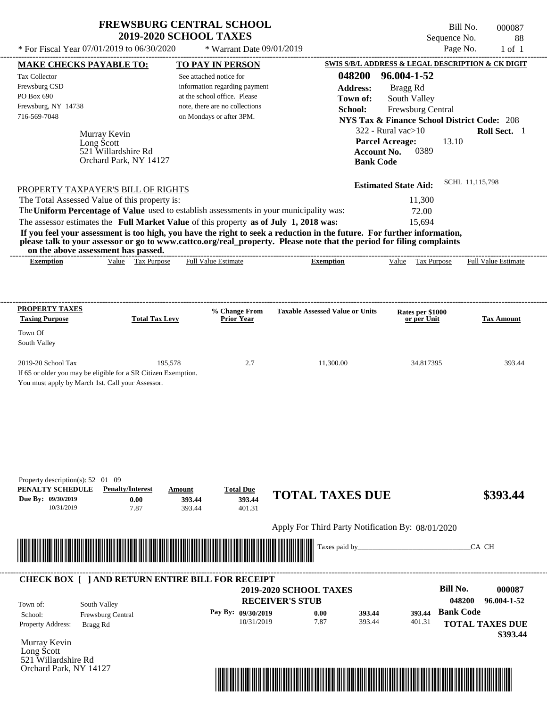$*$  For Fiscal Year 07/01/2019 to 06/30/2020

 $*$  Warrant Date 09/01/2019

Bill No. 000087 Sequence No. 88<br>Page No. 1 of 1

| <b>MAKE CHECKS PAYABLE TO:</b>                                                          |                                   | <b>TO PAY IN PERSON</b>        |                                                                                                                                                                                                                                                  | SWIS S/B/L ADDRESS & LEGAL DESCRIPTION & CK DIGIT      |                            |
|-----------------------------------------------------------------------------------------|-----------------------------------|--------------------------------|--------------------------------------------------------------------------------------------------------------------------------------------------------------------------------------------------------------------------------------------------|--------------------------------------------------------|----------------------------|
| Tax Collector                                                                           |                                   | See attached notice for        | 048200                                                                                                                                                                                                                                           | 96.004-1-52                                            |                            |
| Frewsburg CSD                                                                           |                                   | information regarding payment  | <b>Address:</b>                                                                                                                                                                                                                                  | Bragg Rd                                               |                            |
| PO Box 690                                                                              |                                   | at the school office. Please   | Town of:                                                                                                                                                                                                                                         | South Valley                                           |                            |
| Frewsburg, NY 14738                                                                     |                                   | note, there are no collections | School:                                                                                                                                                                                                                                          | Frewsburg Central                                      |                            |
| 716-569-7048                                                                            |                                   | on Mondays or after 3PM.       |                                                                                                                                                                                                                                                  | <b>NYS Tax &amp; Finance School District Code: 208</b> |                            |
|                                                                                         |                                   |                                |                                                                                                                                                                                                                                                  |                                                        |                            |
| Murray Kevin                                                                            |                                   |                                |                                                                                                                                                                                                                                                  | $322$ - Rural vac $>10$                                | Roll Sect. 1               |
| Long Scott                                                                              |                                   |                                |                                                                                                                                                                                                                                                  | <b>Parcel Acreage:</b><br>13.10                        |                            |
| 521 Willardshire Rd                                                                     | Orchard Park, NY 14127            |                                | <b>Account No.</b>                                                                                                                                                                                                                               | 0389                                                   |                            |
|                                                                                         |                                   |                                | <b>Bank Code</b>                                                                                                                                                                                                                                 |                                                        |                            |
|                                                                                         |                                   |                                |                                                                                                                                                                                                                                                  | <b>Estimated State Aid:</b>                            | SCHL 11,115,798            |
| PROPERTY TAXPAYER'S BILL OF RIGHTS<br>The Total Assessed Value of this property is:     |                                   |                                |                                                                                                                                                                                                                                                  | 11,300                                                 |                            |
|                                                                                         |                                   |                                |                                                                                                                                                                                                                                                  |                                                        |                            |
| The Uniform Percentage of Value used to establish assessments in your municipality was: |                                   |                                |                                                                                                                                                                                                                                                  | 72.00                                                  |                            |
| The assessor estimates the Full Market Value of this property as of July 1, 2018 was:   |                                   |                                |                                                                                                                                                                                                                                                  | 15,694                                                 |                            |
| on the above assessment has passed.                                                     |                                   |                                | If you feel your assessment is too high, you have the right to seek a reduction in the future. For further information,<br>please talk to your assessor or go to www.cattco.org/real_property. Please note that the period for filing complaints |                                                        |                            |
| <b>Exemption</b>                                                                        | Value Tax Purpose                 | <b>Full Value Estimate</b>     | <b>Exemption</b>                                                                                                                                                                                                                                 | Value Tax Purpose                                      | <b>Full Value Estimate</b> |
|                                                                                         |                                   |                                |                                                                                                                                                                                                                                                  |                                                        |                            |
|                                                                                         |                                   |                                |                                                                                                                                                                                                                                                  |                                                        |                            |
| <b>PROPERTY TAXES</b>                                                                   |                                   | % Change From                  | <b>Taxable Assessed Value or Units</b>                                                                                                                                                                                                           | Rates per \$1000                                       |                            |
| <b>Taxing Purpose</b>                                                                   | <b>Total Tax Levy</b>             | <b>Prior Year</b>              |                                                                                                                                                                                                                                                  | or per Unit                                            | <b>Tax Amount</b>          |
| Town Of                                                                                 |                                   |                                |                                                                                                                                                                                                                                                  |                                                        |                            |
| South Valley                                                                            |                                   |                                |                                                                                                                                                                                                                                                  |                                                        |                            |
| 2019-20 School Tax                                                                      | 195,578                           | 2.7                            | 11,300.00                                                                                                                                                                                                                                        | 34.817395                                              | 393.44                     |
| If 65 or older you may be eligible for a SR Citizen Exemption.                          |                                   |                                |                                                                                                                                                                                                                                                  |                                                        |                            |
| You must apply by March 1st. Call your Assessor.                                        |                                   |                                |                                                                                                                                                                                                                                                  |                                                        |                            |
|                                                                                         |                                   |                                |                                                                                                                                                                                                                                                  |                                                        |                            |
|                                                                                         |                                   |                                |                                                                                                                                                                                                                                                  |                                                        |                            |
|                                                                                         |                                   |                                |                                                                                                                                                                                                                                                  |                                                        |                            |
|                                                                                         |                                   |                                |                                                                                                                                                                                                                                                  |                                                        |                            |
|                                                                                         |                                   |                                |                                                                                                                                                                                                                                                  |                                                        |                            |
|                                                                                         |                                   |                                |                                                                                                                                                                                                                                                  |                                                        |                            |
|                                                                                         |                                   |                                |                                                                                                                                                                                                                                                  |                                                        |                            |
| Property description(s): 52 01 09                                                       |                                   |                                |                                                                                                                                                                                                                                                  |                                                        |                            |
| PENALTY SCHEDULE                                                                        | <b>Penalty/Interest</b><br>Amount | <b>Total Due</b>               | <b>TOTAL TAXES DUE</b>                                                                                                                                                                                                                           |                                                        | \$393.44                   |
| Due By: 09/30/2019                                                                      | 0.00<br>393.44                    | 393.44                         |                                                                                                                                                                                                                                                  |                                                        |                            |
| 10/31/2019                                                                              | 7.87<br>393.44                    | 401.31                         |                                                                                                                                                                                                                                                  |                                                        |                            |
|                                                                                         |                                   |                                | Apply For Third Party Notification By: 08/01/2020                                                                                                                                                                                                |                                                        |                            |
|                                                                                         |                                   |                                | Taxes paid by_                                                                                                                                                                                                                                   |                                                        | CA CH                      |
|                                                                                         |                                   |                                |                                                                                                                                                                                                                                                  |                                                        |                            |
|                                                                                         |                                   |                                |                                                                                                                                                                                                                                                  |                                                        |                            |
| <b>CHECK BOX [ ] AND RETURN ENTIRE BILL FOR RECEIPT</b>                                 |                                   |                                |                                                                                                                                                                                                                                                  |                                                        |                            |
|                                                                                         |                                   |                                | 2019-2020 SCHOOL TAXES                                                                                                                                                                                                                           | <b>Bill No.</b>                                        | 000087                     |
| South Valley<br>Town of:                                                                |                                   |                                | <b>RECEIVER'S STUB</b>                                                                                                                                                                                                                           | 048200                                                 | 96.004-1-52                |
| Frewsburg Central<br>School:                                                            |                                   | Pay By: 09/30/2019             | 393.44<br>0.00                                                                                                                                                                                                                                   | <b>Bank Code</b><br>393.44                             |                            |
| Property Address:<br>Bragg Rd                                                           |                                   | 10/31/2019                     | 7.87<br>393.44                                                                                                                                                                                                                                   | 401.31                                                 | <b>TOTAL TAXES DUE</b>     |
|                                                                                         |                                   |                                |                                                                                                                                                                                                                                                  |                                                        | \$393.44                   |
| Murray Kevin                                                                            |                                   |                                |                                                                                                                                                                                                                                                  |                                                        |                            |
| Long Scott                                                                              |                                   |                                |                                                                                                                                                                                                                                                  |                                                        |                            |
| 521 Willardshire Rd                                                                     |                                   |                                |                                                                                                                                                                                                                                                  |                                                        |                            |
| Orchard Park, NY 14127                                                                  |                                   |                                |                                                                                                                                                                                                                                                  |                                                        |                            |
|                                                                                         |                                   |                                |                                                                                                                                                                                                                                                  |                                                        |                            |
|                                                                                         |                                   |                                |                                                                                                                                                                                                                                                  |                                                        |                            |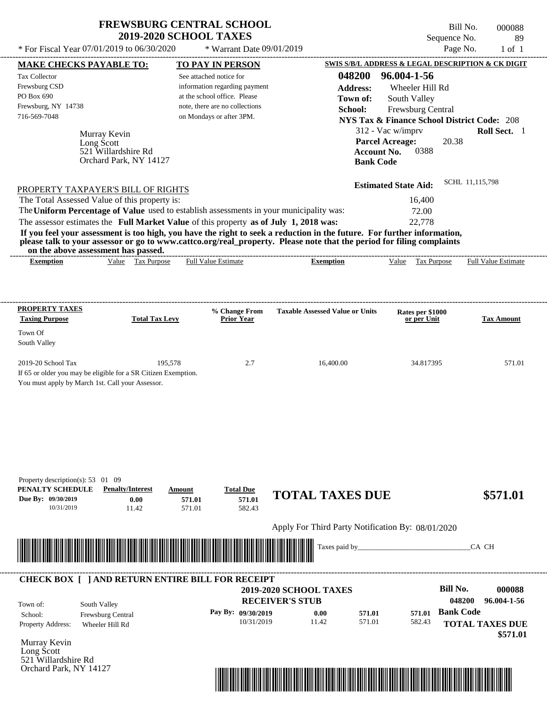\* For Fiscal Year 07/01/2019 to 06/30/2020  $\rightarrow$  Warrant Date 09/01/2019

Bill No. 000088 Sequence No. 89

| * For Fiscal Year 07/01/2019 to 06/30/2020                                                                                                                   |                         |        | * Warrant Date 09/01/2019                                     |                                                   |                  |                                                                             | Page No.         | $1$ of $1$                 |
|--------------------------------------------------------------------------------------------------------------------------------------------------------------|-------------------------|--------|---------------------------------------------------------------|---------------------------------------------------|------------------|-----------------------------------------------------------------------------|------------------|----------------------------|
| <b>MAKE CHECKS PAYABLE TO:</b>                                                                                                                               |                         |        | <b>TO PAY IN PERSON</b>                                       |                                                   |                  | SWIS S/B/L ADDRESS & LEGAL DESCRIPTION & CK DIGIT                           |                  |                            |
| Tax Collector                                                                                                                                                |                         |        | See attached notice for                                       |                                                   | 048200           | 96.004-1-56                                                                 |                  |                            |
| Frewsburg CSD<br>PO Box 690                                                                                                                                  |                         |        | information regarding payment<br>at the school office. Please |                                                   | <b>Address:</b>  | Wheeler Hill Rd                                                             |                  |                            |
| Frewsburg, NY 14738                                                                                                                                          |                         |        | note, there are no collections                                |                                                   | Town of:         | South Valley                                                                |                  |                            |
| 716-569-7048                                                                                                                                                 |                         |        | on Mondays or after 3PM.                                      |                                                   | School:          | Frewsburg Central<br><b>NYS Tax &amp; Finance School District Code: 208</b> |                  |                            |
|                                                                                                                                                              |                         |        |                                                               |                                                   |                  | 312 - Vac w/imprv                                                           |                  | Roll Sect. 1               |
| Murray Kevin<br>Long Scott                                                                                                                                   |                         |        |                                                               |                                                   |                  | <b>Parcel Acreage:</b>                                                      | 20.38            |                            |
|                                                                                                                                                              | 521 Willardshire Rd     |        |                                                               |                                                   |                  | 0388<br><b>Account No.</b>                                                  |                  |                            |
|                                                                                                                                                              | Orchard Park, NY 14127  |        |                                                               |                                                   |                  | <b>Bank Code</b>                                                            |                  |                            |
|                                                                                                                                                              |                         |        |                                                               |                                                   |                  |                                                                             |                  |                            |
| PROPERTY TAXPAYER'S BILL OF RIGHTS                                                                                                                           |                         |        |                                                               |                                                   |                  | <b>Estimated State Aid:</b>                                                 | SCHL 11,115,798  |                            |
| The Total Assessed Value of this property is:                                                                                                                |                         |        |                                                               |                                                   |                  | 16,400                                                                      |                  |                            |
| The Uniform Percentage of Value used to establish assessments in your municipality was:                                                                      |                         |        |                                                               |                                                   |                  | 72.00                                                                       |                  |                            |
| The assessor estimates the Full Market Value of this property as of July 1, 2018 was:                                                                        |                         |        |                                                               |                                                   |                  | 22,778                                                                      |                  |                            |
| If you feel your assessment is too high, you have the right to seek a reduction in the future. For further information,                                      |                         |        |                                                               |                                                   |                  |                                                                             |                  |                            |
| please talk to your assessor or go to www.cattco.org/real_property. Please note that the period for filing complaints<br>on the above assessment has passed. |                         |        |                                                               |                                                   |                  |                                                                             |                  |                            |
| <b>Exemption</b>                                                                                                                                             | Value Tax Purpose       |        | <b>Full Value Estimate</b>                                    | <b>Exemption</b>                                  |                  | Value Tax Purpose                                                           |                  | <b>Full Value Estimate</b> |
|                                                                                                                                                              |                         |        |                                                               |                                                   |                  |                                                                             |                  |                            |
|                                                                                                                                                              |                         |        |                                                               |                                                   |                  |                                                                             |                  |                            |
|                                                                                                                                                              |                         |        |                                                               |                                                   |                  |                                                                             |                  |                            |
| <b>PROPERTY TAXES</b>                                                                                                                                        |                         |        | % Change From                                                 | <b>Taxable Assessed Value or Units</b>            |                  | Rates per \$1000                                                            |                  |                            |
| <b>Taxing Purpose</b>                                                                                                                                        | <b>Total Tax Levy</b>   |        | <b>Prior Year</b>                                             |                                                   |                  | or per Unit                                                                 |                  | <b>Tax Amount</b>          |
| Town Of                                                                                                                                                      |                         |        |                                                               |                                                   |                  |                                                                             |                  |                            |
| South Valley                                                                                                                                                 |                         |        |                                                               |                                                   |                  |                                                                             |                  |                            |
| 2019-20 School Tax                                                                                                                                           | 195,578                 |        | 2.7                                                           | 16,400.00                                         |                  | 34.817395                                                                   |                  | 571.01                     |
| If 65 or older you may be eligible for a SR Citizen Exemption.                                                                                               |                         |        |                                                               |                                                   |                  |                                                                             |                  |                            |
| You must apply by March 1st. Call your Assessor.                                                                                                             |                         |        |                                                               |                                                   |                  |                                                                             |                  |                            |
|                                                                                                                                                              |                         |        |                                                               |                                                   |                  |                                                                             |                  |                            |
|                                                                                                                                                              |                         |        |                                                               |                                                   |                  |                                                                             |                  |                            |
|                                                                                                                                                              |                         |        |                                                               |                                                   |                  |                                                                             |                  |                            |
|                                                                                                                                                              |                         |        |                                                               |                                                   |                  |                                                                             |                  |                            |
|                                                                                                                                                              |                         |        |                                                               |                                                   |                  |                                                                             |                  |                            |
|                                                                                                                                                              |                         |        |                                                               |                                                   |                  |                                                                             |                  |                            |
|                                                                                                                                                              |                         |        |                                                               |                                                   |                  |                                                                             |                  |                            |
| Property description(s): 53 01 09<br>PENALTY SCHEDULE                                                                                                        | <b>Penalty/Interest</b> | Amount | <b>Total Due</b>                                              |                                                   |                  |                                                                             |                  |                            |
| Due By: 09/30/2019                                                                                                                                           | 0.00                    | 571.01 | 571.01                                                        | <b>TOTAL TAXES DUE</b>                            |                  |                                                                             |                  | \$571.01                   |
| 10/31/2019                                                                                                                                                   | 11.42                   | 571.01 | 582.43                                                        |                                                   |                  |                                                                             |                  |                            |
|                                                                                                                                                              |                         |        |                                                               |                                                   |                  |                                                                             |                  |                            |
|                                                                                                                                                              |                         |        |                                                               | Apply For Third Party Notification By: 08/01/2020 |                  |                                                                             |                  |                            |
|                                                                                                                                                              |                         |        |                                                               |                                                   | Taxes paid by_   |                                                                             |                  | CA CH                      |
|                                                                                                                                                              |                         |        |                                                               |                                                   |                  |                                                                             |                  |                            |
|                                                                                                                                                              |                         |        |                                                               |                                                   |                  |                                                                             |                  |                            |
| <b>CHECK BOX [ ] AND RETURN ENTIRE BILL FOR RECEIPT</b>                                                                                                      |                         |        |                                                               |                                                   |                  |                                                                             |                  |                            |
|                                                                                                                                                              |                         |        |                                                               | 2019-2020 SCHOOL TAXES                            |                  |                                                                             | <b>Bill No.</b>  | 000088                     |
| South Valley<br>Town of:                                                                                                                                     |                         |        |                                                               | <b>RECEIVER'S STUB</b>                            |                  |                                                                             | 048200           | 96.004-1-56                |
| School:                                                                                                                                                      | Frewsburg Central       |        | Pay By: 09/30/2019                                            | 0.00                                              | 571.01<br>571.01 | 571.01                                                                      | <b>Bank Code</b> |                            |
| Property Address:<br>Wheeler Hill Rd                                                                                                                         |                         |        | 10/31/2019                                                    | 11.42                                             |                  | 582.43                                                                      |                  | <b>TOTAL TAXES DUE</b>     |
| Murray Kevin                                                                                                                                                 |                         |        |                                                               |                                                   |                  |                                                                             |                  | \$571.01                   |
| Long Scott                                                                                                                                                   |                         |        |                                                               |                                                   |                  |                                                                             |                  |                            |
| 521 Willardshire Rd                                                                                                                                          |                         |        |                                                               |                                                   |                  |                                                                             |                  |                            |
| Orchard Park, NY 14127                                                                                                                                       |                         |        |                                                               |                                                   |                  |                                                                             |                  |                            |

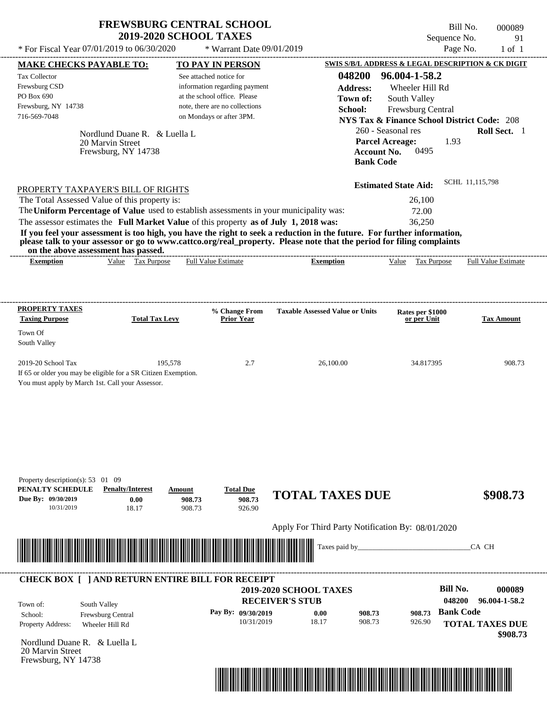Bill No. 000089 Sequence No. 91<br>Page No. 1 of 1

| * For Fiscal Year 07/01/2019 to 06/30/2020                                                              |                                                                                                                     | * Warrant Date 09/01/2019            |                                                                                                                                           |                                                              | Page No.<br>$1$ of $1$  |
|---------------------------------------------------------------------------------------------------------|---------------------------------------------------------------------------------------------------------------------|--------------------------------------|-------------------------------------------------------------------------------------------------------------------------------------------|--------------------------------------------------------------|-------------------------|
| <b>MAKE CHECKS PAYABLE TO:</b>                                                                          |                                                                                                                     | <b>TO PAY IN PERSON</b>              |                                                                                                                                           | SWIS S/B/L ADDRESS & LEGAL DESCRIPTION & CK DIGIT            |                         |
| Tax Collector                                                                                           |                                                                                                                     | See attached notice for              | 048200                                                                                                                                    | 96.004-1-58.2                                                |                         |
| Frewsburg CSD                                                                                           |                                                                                                                     | information regarding payment        | <b>Address:</b>                                                                                                                           | Wheeler Hill Rd                                              |                         |
| PO Box 690                                                                                              |                                                                                                                     | at the school office. Please         | Town of:                                                                                                                                  | South Valley                                                 |                         |
| Frewsburg, NY 14738                                                                                     |                                                                                                                     | note, there are no collections       | School:                                                                                                                                   | Frewsburg Central                                            |                         |
| 716-569-7048                                                                                            |                                                                                                                     | on Mondays or after 3PM.             |                                                                                                                                           | <b>NYS Tax &amp; Finance School District Code: 208</b>       |                         |
|                                                                                                         | Nordlund Duane R. & Luella L.<br>20 Marvin Street<br>Frewsburg, NY 14738                                            |                                      | <b>Account No.</b><br><b>Bank Code</b>                                                                                                    | 260 - Seasonal res<br><b>Parcel Acreage:</b><br>1.93<br>0495 | Roll Sect. 1            |
|                                                                                                         |                                                                                                                     |                                      |                                                                                                                                           | <b>Estimated State Aid:</b>                                  | SCHL 11,115,798         |
| The Total Assessed Value of this property is:                                                           | PROPERTY TAXPAYER'S BILL OF RIGHTS                                                                                  |                                      |                                                                                                                                           | 26,100                                                       |                         |
|                                                                                                         | The Uniform Percentage of Value used to establish assessments in your municipality was:                             |                                      |                                                                                                                                           | 72.00                                                        |                         |
|                                                                                                         |                                                                                                                     |                                      |                                                                                                                                           |                                                              |                         |
|                                                                                                         | The assessor estimates the Full Market Value of this property as of July 1, 2018 was:                               |                                      | If you feel your assessment is too high, you have the right to seek a reduction in the future. For further information,                   | 36,250                                                       |                         |
| on the above assessment has passed.<br><b>Exemption</b>                                                 | Value Tax Purpose                                                                                                   | <b>Full Value Estimate</b>           | please talk to your assessor or go to www.cattco.org/real_property. Please note that the period for filing complaints<br><b>Exemption</b> | Tax Purpose<br>Value                                         | Full Value Estimate     |
| <b>PROPERTY TAXES</b><br><b>Taxing Purpose</b>                                                          | <b>Total Tax Levy</b>                                                                                               | % Change From<br><b>Prior Year</b>   | <b>Taxable Assessed Value or Units</b>                                                                                                    | Rates per \$1000<br>or per Unit                              | <b>Tax Amount</b>       |
|                                                                                                         |                                                                                                                     |                                      |                                                                                                                                           |                                                              |                         |
| Town Of<br>South Valley                                                                                 |                                                                                                                     |                                      |                                                                                                                                           |                                                              |                         |
| 2019-20 School Tax<br>You must apply by March 1st. Call your Assessor.                                  | 195,578<br>If 65 or older you may be eligible for a SR Citizen Exemption.                                           | 2.7                                  | 26,100.00                                                                                                                                 | 34.817395                                                    | 908.73                  |
| Property description(s): $53 \quad 01 \quad 09$<br>PENALTY SCHEDULE<br>Due By: 09/30/2019<br>10/31/2019 | <b>Penalty/Interest</b><br>Amount<br>0.00<br>908.73<br>908.73<br>18.17                                              | <b>Total Due</b><br>908.73<br>926.90 | <b>TOTAL TAXES DUE</b>                                                                                                                    |                                                              | \$908.73                |
|                                                                                                         |                                                                                                                     |                                      | Apply For Third Party Notification By: 08/01/2020                                                                                         |                                                              |                         |
|                                                                                                         | <u> 1999 - Andrew Maria Maria Maria Maria Maria Maria Maria Maria Maria Maria Maria Maria Maria Maria Maria Mar</u> |                                      | Taxes paid by                                                                                                                             |                                                              | CA CH                   |
|                                                                                                         | <b>CHECK BOX [ ] AND RETURN ENTIRE BILL FOR RECEIPT</b>                                                             |                                      |                                                                                                                                           | <b>Bill No.</b>                                              | 000089                  |
|                                                                                                         |                                                                                                                     |                                      | <b>2019-2020 SCHOOL TAXES</b>                                                                                                             |                                                              |                         |
| South Valley<br>Town of:                                                                                |                                                                                                                     |                                      | <b>RECEIVER'S STUB</b>                                                                                                                    |                                                              | 048200<br>96.004-1-58.2 |
| School:                                                                                                 | Frewsburg Central                                                                                                   | Pay By: 09/30/2019                   | 0.00<br>908.73                                                                                                                            | 908.73                                                       | <b>Bank Code</b>        |
| Property Address:                                                                                       | Wheeler Hill Rd                                                                                                     | 10/31/2019                           | 18.17<br>908.73                                                                                                                           | 926.90                                                       | <b>TOTAL TAXES DUE</b>  |
| Nordlund Duane R. & Luella L<br>20 Marvin Street<br>Frewsburg, NY 14738                                 |                                                                                                                     |                                      |                                                                                                                                           |                                                              | \$908.73                |

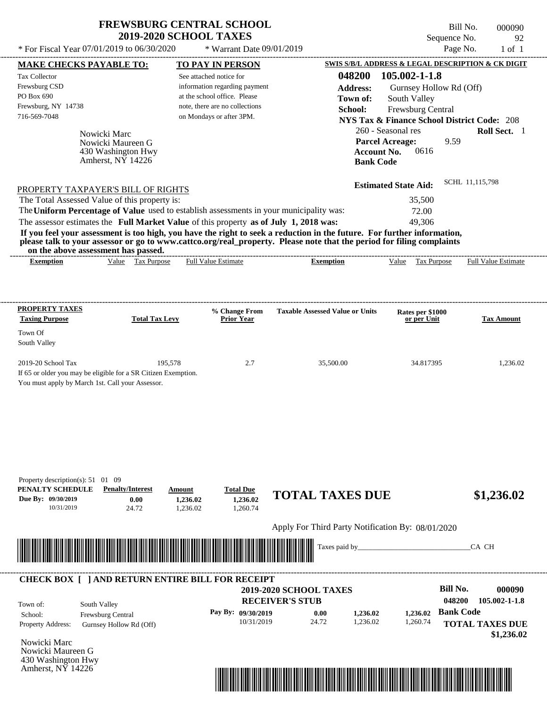| <b>FREWSBURG CENTRAL SCHOOL</b> |
|---------------------------------|
| <b>2019-2020 SCHOOL TAXES</b>   |

 $*$  For Fiscal Year 07/01/2019 to 06/30/2020

 $*$  Warrant Date 09/01/2019

Bill No. 000090 Sequence No. 92

| <u>MAKE CHECKS PAYABLE TO:</u>                                 |                                                 |                       |          | <b>TO PAY IN PERSON</b>                                    |                                                                                                                         |                  |                             |                   |                         | SWIS S/B/L ADDRESS & LEGAL DESCRIPTION & CK DIGIT      |
|----------------------------------------------------------------|-------------------------------------------------|-----------------------|----------|------------------------------------------------------------|-------------------------------------------------------------------------------------------------------------------------|------------------|-----------------------------|-------------------|-------------------------|--------------------------------------------------------|
| Tax Collector                                                  |                                                 |                       |          | See attached notice for                                    |                                                                                                                         | 048200           | 105.002-1-1.8               |                   |                         |                                                        |
| Frewsburg CSD                                                  |                                                 |                       |          | information regarding payment                              |                                                                                                                         | <b>Address:</b>  |                             |                   | Gurnsey Hollow Rd (Off) |                                                        |
| PO Box 690                                                     |                                                 |                       |          | at the school office. Please                               |                                                                                                                         | Town of:         | South Valley                |                   |                         |                                                        |
| Frewsburg, NY 14738<br>716-569-7048                            |                                                 |                       |          | note, there are no collections<br>on Mondays or after 3PM. |                                                                                                                         | School:          |                             | Frewsburg Central |                         |                                                        |
|                                                                |                                                 |                       |          |                                                            |                                                                                                                         |                  |                             |                   |                         | <b>NYS Tax &amp; Finance School District Code: 208</b> |
|                                                                | Nowicki Marc                                    |                       |          |                                                            |                                                                                                                         |                  | 260 - Seasonal res          |                   |                         | Roll Sect. 1                                           |
|                                                                | Nowicki Maureen G                               |                       |          |                                                            |                                                                                                                         |                  | <b>Parcel Acreage:</b>      |                   | 9.59                    |                                                        |
|                                                                | 430 Washington Hwy<br>Amherst, $N\bar{Y}$ 14226 |                       |          |                                                            |                                                                                                                         | <b>Bank Code</b> | Account No.                 | 0616              |                         |                                                        |
|                                                                |                                                 |                       |          |                                                            |                                                                                                                         |                  |                             |                   |                         |                                                        |
| PROPERTY TAXPAYER'S BILL OF RIGHTS                             |                                                 |                       |          |                                                            |                                                                                                                         |                  | <b>Estimated State Aid:</b> |                   |                         | SCHL 11,115,798                                        |
| The Total Assessed Value of this property is:                  |                                                 |                       |          |                                                            |                                                                                                                         |                  |                             | 35,500            |                         |                                                        |
|                                                                |                                                 |                       |          |                                                            | The Uniform Percentage of Value used to establish assessments in your municipality was:                                 |                  |                             | 72.00             |                         |                                                        |
|                                                                |                                                 |                       |          |                                                            | The assessor estimates the Full Market Value of this property as of July 1, 2018 was:                                   |                  |                             | 49,306            |                         |                                                        |
|                                                                |                                                 |                       |          |                                                            | If you feel your assessment is too high, you have the right to seek a reduction in the future. For further information, |                  |                             |                   |                         |                                                        |
| on the above assessment has passed.                            |                                                 |                       |          |                                                            | please talk to your assessor or go to www.cattco.org/real_property. Please note that the period for filing complaints   |                  |                             |                   |                         |                                                        |
| <b>Exemption</b>                                               |                                                 | Value Tax Purpose     |          | <b>Full Value Estimate</b>                                 | <b>Exemption</b>                                                                                                        |                  |                             | Value Tax Purpose |                         | <b>Full Value Estimate</b>                             |
|                                                                |                                                 |                       |          |                                                            |                                                                                                                         |                  |                             |                   |                         |                                                        |
|                                                                |                                                 |                       |          |                                                            |                                                                                                                         |                  |                             |                   |                         |                                                        |
| <b>PROPERTY TAXES</b>                                          |                                                 |                       |          | % Change From                                              | <b>Taxable Assessed Value or Units</b>                                                                                  |                  |                             | Rates per \$1000  |                         |                                                        |
| <b>Taxing Purpose</b>                                          |                                                 | <b>Total Tax Levy</b> |          | <b>Prior Year</b>                                          |                                                                                                                         |                  |                             | or per Unit       |                         | <b>Tax Amount</b>                                      |
| Town Of                                                        |                                                 |                       |          |                                                            |                                                                                                                         |                  |                             |                   |                         |                                                        |
| South Valley                                                   |                                                 |                       |          |                                                            |                                                                                                                         |                  |                             |                   |                         |                                                        |
| 2019-20 School Tax                                             |                                                 |                       | 195,578  | 2.7                                                        | 35,500.00                                                                                                               |                  |                             | 34.817395         |                         | 1,236.02                                               |
| If 65 or older you may be eligible for a SR Citizen Exemption. |                                                 |                       |          |                                                            |                                                                                                                         |                  |                             |                   |                         |                                                        |
| You must apply by March 1st. Call your Assessor.               |                                                 |                       |          |                                                            |                                                                                                                         |                  |                             |                   |                         |                                                        |
|                                                                |                                                 |                       |          |                                                            |                                                                                                                         |                  |                             |                   |                         |                                                        |
|                                                                |                                                 |                       |          |                                                            |                                                                                                                         |                  |                             |                   |                         |                                                        |
|                                                                |                                                 |                       |          |                                                            |                                                                                                                         |                  |                             |                   |                         |                                                        |
|                                                                |                                                 |                       |          |                                                            |                                                                                                                         |                  |                             |                   |                         |                                                        |
|                                                                |                                                 |                       |          |                                                            |                                                                                                                         |                  |                             |                   |                         |                                                        |
|                                                                |                                                 |                       |          |                                                            |                                                                                                                         |                  |                             |                   |                         |                                                        |
| Property description(s): $51 \quad 01 \quad 09$                |                                                 |                       |          |                                                            |                                                                                                                         |                  |                             |                   |                         |                                                        |
| PENALTY SCHEDULE                                               | <b>Penalty/Interest</b>                         |                       | Amount   | <b>Total Due</b>                                           |                                                                                                                         |                  |                             |                   |                         |                                                        |
| Due By: 09/30/2019                                             |                                                 | 0.00                  | 1,236.02 | 1,236.02                                                   | <b>TOTAL TAXES DUE</b>                                                                                                  |                  |                             |                   |                         | \$1,236.02                                             |
| 10/31/2019                                                     |                                                 | 24.72                 | 1,236.02 | 1,260.74                                                   |                                                                                                                         |                  |                             |                   |                         |                                                        |
|                                                                |                                                 |                       |          |                                                            | Apply For Third Party Notification By: 08/01/2020                                                                       |                  |                             |                   |                         |                                                        |
|                                                                |                                                 |                       |          |                                                            |                                                                                                                         |                  |                             |                   |                         |                                                        |
|                                                                |                                                 |                       |          |                                                            | Taxes paid by_                                                                                                          |                  |                             |                   |                         | CA CH                                                  |
|                                                                |                                                 |                       |          |                                                            |                                                                                                                         |                  |                             |                   |                         |                                                        |
|                                                                |                                                 |                       |          | <b>CHECK BOX [ ] AND RETURN ENTIRE BILL FOR RECEIPT</b>    |                                                                                                                         |                  |                             |                   |                         |                                                        |
|                                                                |                                                 |                       |          |                                                            | <b>2019-2020 SCHOOL TAXES</b>                                                                                           |                  |                             |                   | <b>Bill No.</b>         | 000090                                                 |
| Town of:                                                       | South Valley                                    |                       |          |                                                            | <b>RECEIVER'S STUB</b>                                                                                                  |                  |                             |                   | 048200                  | 105.002-1-1.8                                          |
| School:                                                        | Frewsburg Central                               |                       |          | Pay By: 09/30/2019                                         | 0.00                                                                                                                    | 1,236.02         |                             | 1,236.02          | <b>Bank Code</b>        |                                                        |
| Property Address:                                              | Gurnsey Hollow Rd (Off)                         |                       |          | 10/31/2019                                                 | 24.72                                                                                                                   | 1,236.02         |                             | 1,260.74          |                         | <b>TOTAL TAXES DUE</b>                                 |
|                                                                |                                                 |                       |          |                                                            |                                                                                                                         |                  |                             |                   |                         | \$1,236.02                                             |
| Nowicki Marc<br>Nowicki Maureen G                              |                                                 |                       |          |                                                            |                                                                                                                         |                  |                             |                   |                         |                                                        |
|                                                                |                                                 |                       |          |                                                            |                                                                                                                         |                  |                             |                   |                         |                                                        |
| 430 Washington Hwy<br>Amherst, NY 14226                        |                                                 |                       |          |                                                            |                                                                                                                         |                  |                             |                   |                         |                                                        |

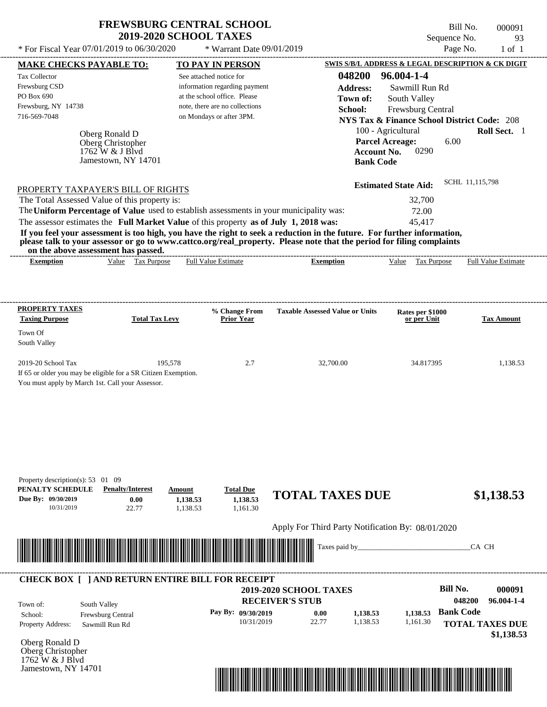$*$  For Fiscal Year 07/01/2019 to 06/30/2020

 $*$  Warrant Date 09/01/2019

Bill No. 000091 Sequence No. 93<br>Page No. 1 of 1

|                                                                                         | <b>MAKE CHECKS PAYABLE TO:</b>      |                       |          | <b>TO PAY IN PERSON</b>        |                                                                                                                         |                    | SWIS S/B/L ADDRESS & LEGAL DESCRIPTION & CK DIGIT      |                  |                                      |
|-----------------------------------------------------------------------------------------|-------------------------------------|-----------------------|----------|--------------------------------|-------------------------------------------------------------------------------------------------------------------------|--------------------|--------------------------------------------------------|------------------|--------------------------------------|
| Tax Collector                                                                           |                                     |                       |          | See attached notice for        |                                                                                                                         |                    | 048200 96.004-1-4                                      |                  |                                      |
| Frewsburg CSD                                                                           |                                     |                       |          | information regarding payment  |                                                                                                                         | <b>Address:</b>    | Sawmill Run Rd                                         |                  |                                      |
| PO Box 690                                                                              |                                     |                       |          | at the school office. Please   |                                                                                                                         | Town of:           | South Valley                                           |                  |                                      |
| Frewsburg, NY 14738                                                                     |                                     |                       |          | note, there are no collections |                                                                                                                         | School:            | Frewsburg Central                                      |                  |                                      |
| 716-569-7048                                                                            |                                     |                       |          | on Mondays or after 3PM.       |                                                                                                                         |                    | <b>NYS Tax &amp; Finance School District Code: 208</b> |                  |                                      |
|                                                                                         | Oberg Ronald D                      |                       |          |                                |                                                                                                                         |                    | 100 - Agricultural                                     |                  | Roll Sect. 1                         |
|                                                                                         | Oberg Christopher                   |                       |          |                                |                                                                                                                         |                    | <b>Parcel Acreage:</b>                                 | 6.00             |                                      |
|                                                                                         | $1762$ W & J Blvd                   |                       |          |                                |                                                                                                                         | <b>Account No.</b> | 0290                                                   |                  |                                      |
|                                                                                         | Jamestown, NY 14701                 |                       |          |                                |                                                                                                                         | <b>Bank Code</b>   |                                                        |                  |                                      |
|                                                                                         |                                     |                       |          |                                |                                                                                                                         |                    | <b>Estimated State Aid:</b>                            | SCHL 11,115,798  |                                      |
| PROPERTY TAXPAYER'S BILL OF RIGHTS<br>The Total Assessed Value of this property is:     |                                     |                       |          |                                |                                                                                                                         |                    | 32,700                                                 |                  |                                      |
| The Uniform Percentage of Value used to establish assessments in your municipality was: |                                     |                       |          |                                |                                                                                                                         |                    | 72.00                                                  |                  |                                      |
| The assessor estimates the Full Market Value of this property as of July 1, 2018 was:   |                                     |                       |          |                                |                                                                                                                         |                    | 45,417                                                 |                  |                                      |
|                                                                                         |                                     |                       |          |                                | If you feel your assessment is too high, you have the right to seek a reduction in the future. For further information, |                    |                                                        |                  |                                      |
|                                                                                         |                                     |                       |          |                                | please talk to your assessor or go to www.cattco.org/real_property. Please note that the period for filing complaints   |                    |                                                        |                  |                                      |
| on the above assessment has passed.<br><b>Exemption</b>                                 |                                     | Value Tax Purpose     |          | Full Value Estimate            | <b>Exemption</b>                                                                                                        |                    | Value Tax Purpose                                      |                  | <b>Full Value Estimate</b>           |
|                                                                                         |                                     |                       |          |                                |                                                                                                                         |                    |                                                        |                  |                                      |
|                                                                                         |                                     |                       |          |                                |                                                                                                                         |                    |                                                        |                  |                                      |
| <b>PROPERTY TAXES</b>                                                                   |                                     |                       |          | % Change From                  | <b>Taxable Assessed Value or Units</b>                                                                                  |                    | Rates per \$1000                                       |                  |                                      |
| <b>Taxing Purpose</b>                                                                   |                                     | <b>Total Tax Levy</b> |          | <b>Prior Year</b>              |                                                                                                                         |                    | or per Unit                                            |                  | <b>Tax Amount</b>                    |
| Town Of                                                                                 |                                     |                       |          |                                |                                                                                                                         |                    |                                                        |                  |                                      |
| South Valley                                                                            |                                     |                       |          |                                |                                                                                                                         |                    |                                                        |                  |                                      |
| 2019-20 School Tax                                                                      |                                     | 195,578               |          | 2.7                            | 32,700.00                                                                                                               |                    | 34.817395                                              |                  | 1,138.53                             |
| If 65 or older you may be eligible for a SR Citizen Exemption.                          |                                     |                       |          |                                |                                                                                                                         |                    |                                                        |                  |                                      |
| You must apply by March 1st. Call your Assessor.                                        |                                     |                       |          |                                |                                                                                                                         |                    |                                                        |                  |                                      |
|                                                                                         |                                     |                       |          |                                |                                                                                                                         |                    |                                                        |                  |                                      |
|                                                                                         |                                     |                       |          |                                |                                                                                                                         |                    |                                                        |                  |                                      |
|                                                                                         |                                     |                       |          |                                |                                                                                                                         |                    |                                                        |                  |                                      |
|                                                                                         |                                     |                       |          |                                |                                                                                                                         |                    |                                                        |                  |                                      |
|                                                                                         |                                     |                       |          |                                |                                                                                                                         |                    |                                                        |                  |                                      |
|                                                                                         |                                     |                       |          |                                |                                                                                                                         |                    |                                                        |                  |                                      |
| Property description(s): $53 \quad 01 \quad 09$<br>PENALTY SCHEDULE                     | <b>Penalty/Interest</b>             |                       | Amount   | <b>Total Due</b>               |                                                                                                                         |                    |                                                        |                  |                                      |
| Due By: 09/30/2019                                                                      |                                     | 0.00                  | 1.138.53 | 1,138.53                       | <b>TOTAL TAXES DUE</b>                                                                                                  |                    |                                                        |                  | \$1,138.53                           |
| 10/31/2019                                                                              |                                     | 22.77                 | 1,138.53 | 1,161.30                       |                                                                                                                         |                    |                                                        |                  |                                      |
|                                                                                         |                                     |                       |          |                                | Apply For Third Party Notification By: 08/01/2020                                                                       |                    |                                                        |                  |                                      |
|                                                                                         |                                     |                       |          |                                |                                                                                                                         |                    |                                                        |                  |                                      |
|                                                                                         |                                     |                       |          |                                | Taxes paid by                                                                                                           |                    |                                                        |                  | CA CH                                |
|                                                                                         |                                     |                       |          |                                |                                                                                                                         |                    |                                                        |                  |                                      |
| <b>CHECK BOX [ ] AND RETURN ENTIRE BILL FOR RECEIPT</b>                                 |                                     |                       |          |                                |                                                                                                                         |                    |                                                        |                  |                                      |
|                                                                                         |                                     |                       |          |                                | 2019-2020 SCHOOL TAXES                                                                                                  |                    |                                                        | <b>Bill No.</b>  | 000091                               |
|                                                                                         | South Valley                        |                       |          |                                | <b>RECEIVER'S STUB</b>                                                                                                  |                    |                                                        | 048200           | 96.004-1-4                           |
| Town of:                                                                                |                                     |                       |          | Pay By: 09/30/2019             | 0.00                                                                                                                    | 1,138.53           | 1,138.53                                               | <b>Bank Code</b> |                                      |
|                                                                                         |                                     |                       |          | 10/31/2019                     | 22.77                                                                                                                   | 1,138.53           | 1,161.30                                               |                  |                                      |
|                                                                                         | Frewsburg Central<br>Sawmill Run Rd |                       |          |                                |                                                                                                                         |                    |                                                        |                  |                                      |
|                                                                                         |                                     |                       |          |                                |                                                                                                                         |                    |                                                        |                  |                                      |
|                                                                                         |                                     |                       |          |                                |                                                                                                                         |                    |                                                        |                  |                                      |
| School:<br><b>Property Address:</b><br>Oberg Ronald D<br>Oberg Christopher              |                                     |                       |          |                                |                                                                                                                         |                    |                                                        |                  | <b>TOTAL TAXES DUE</b><br>\$1,138.53 |
| 1762 W & J Blvd<br>Jamestown, NY 14701                                                  |                                     |                       |          |                                |                                                                                                                         |                    |                                                        |                  |                                      |

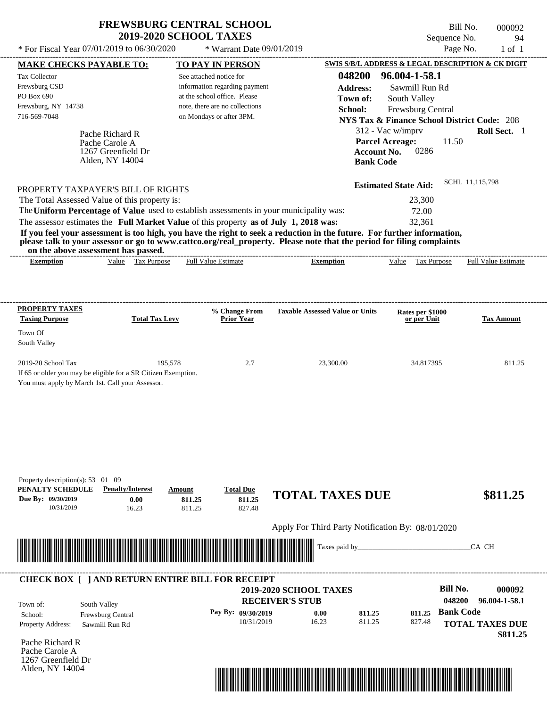\* For Fiscal Year  $07/01/2019$  to  $06/30/2020$  \* Warrant Date  $09/01/2019$  Page No. 1 of 1

\* Warrant Date 09/01/2019

Bill No. 000092 Sequence No. 94

| <b>MAKE CHECKS PAYABLE TO:</b>                                                                                                                                                                                                       |                                       | <b>TO PAY IN PERSON</b>                                                                 |                                                                                                                                                                                                                                      | SWIS S/B/L ADDRESS & LEGAL DESCRIPTION & CK DIGIT      |                            |
|--------------------------------------------------------------------------------------------------------------------------------------------------------------------------------------------------------------------------------------|---------------------------------------|-----------------------------------------------------------------------------------------|--------------------------------------------------------------------------------------------------------------------------------------------------------------------------------------------------------------------------------------|--------------------------------------------------------|----------------------------|
| Tax Collector                                                                                                                                                                                                                        |                                       | See attached notice for                                                                 |                                                                                                                                                                                                                                      | 048200 96.004-1-58.1                                   |                            |
| Frewsburg CSD                                                                                                                                                                                                                        |                                       | information regarding payment                                                           | <b>Address:</b>                                                                                                                                                                                                                      | Sawmill Run Rd                                         |                            |
| PO Box 690                                                                                                                                                                                                                           |                                       | at the school office. Please<br>note, there are no collections                          | Town of:                                                                                                                                                                                                                             | South Valley                                           |                            |
| Frewsburg, NY 14738<br>716-569-7048                                                                                                                                                                                                  |                                       | on Mondays or after 3PM.                                                                | School:                                                                                                                                                                                                                              | Frewsburg Central                                      |                            |
|                                                                                                                                                                                                                                      |                                       |                                                                                         |                                                                                                                                                                                                                                      | <b>NYS Tax &amp; Finance School District Code: 208</b> |                            |
|                                                                                                                                                                                                                                      | Pache Richard R                       |                                                                                         |                                                                                                                                                                                                                                      | 312 - Vac w/imprv                                      | Roll Sect. 1               |
|                                                                                                                                                                                                                                      | Pache Carole A                        |                                                                                         |                                                                                                                                                                                                                                      | <b>Parcel Acreage:</b><br>11.50                        |                            |
|                                                                                                                                                                                                                                      | 1267 Greenfield Dr<br>Alden, NY 14004 |                                                                                         | <b>Account No.</b><br><b>Bank Code</b>                                                                                                                                                                                               | 0286                                                   |                            |
|                                                                                                                                                                                                                                      |                                       |                                                                                         |                                                                                                                                                                                                                                      |                                                        |                            |
| PROPERTY TAXPAYER'S BILL OF RIGHTS                                                                                                                                                                                                   |                                       |                                                                                         |                                                                                                                                                                                                                                      | <b>Estimated State Aid:</b>                            | SCHL 11,115,798            |
| The Total Assessed Value of this property is:                                                                                                                                                                                        |                                       |                                                                                         |                                                                                                                                                                                                                                      | 23,300                                                 |                            |
|                                                                                                                                                                                                                                      |                                       | The Uniform Percentage of Value used to establish assessments in your municipality was: |                                                                                                                                                                                                                                      | 72.00                                                  |                            |
|                                                                                                                                                                                                                                      |                                       | The assessor estimates the Full Market Value of this property as of July 1, 2018 was:   |                                                                                                                                                                                                                                      | 32,361                                                 |                            |
|                                                                                                                                                                                                                                      |                                       |                                                                                         | If you feel your assessment is too high, you have the right to seek a reduction in the future. For further information,                                                                                                              |                                                        |                            |
| on the above assessment has passed.                                                                                                                                                                                                  |                                       |                                                                                         | please talk to your assessor or go to www.cattco.org/real_property. Please note that the period for filing complaints                                                                                                                |                                                        |                            |
| <b>Exemption</b>                                                                                                                                                                                                                     | Value Tax Purpose                     | <b>Full Value Estimate</b>                                                              | <b>Exemption</b>                                                                                                                                                                                                                     | Value Tax Purpose                                      | <b>Full Value Estimate</b> |
|                                                                                                                                                                                                                                      |                                       |                                                                                         |                                                                                                                                                                                                                                      |                                                        |                            |
|                                                                                                                                                                                                                                      |                                       |                                                                                         |                                                                                                                                                                                                                                      |                                                        |                            |
|                                                                                                                                                                                                                                      |                                       |                                                                                         |                                                                                                                                                                                                                                      |                                                        |                            |
| <b>PROPERTY TAXES</b><br><b>Taxing Purpose</b>                                                                                                                                                                                       | <b>Total Tax Levy</b>                 | % Change From<br><b>Prior Year</b>                                                      | <b>Taxable Assessed Value or Units</b>                                                                                                                                                                                               | Rates per \$1000<br>or per Unit                        | <b>Tax Amount</b>          |
| Town Of                                                                                                                                                                                                                              |                                       |                                                                                         |                                                                                                                                                                                                                                      |                                                        |                            |
| South Valley                                                                                                                                                                                                                         |                                       |                                                                                         |                                                                                                                                                                                                                                      |                                                        |                            |
| 2019-20 School Tax                                                                                                                                                                                                                   | 195,578                               | 2.7                                                                                     | 23,300.00                                                                                                                                                                                                                            | 34.817395                                              | 811.25                     |
| If 65 or older you may be eligible for a SR Citizen Exemption.                                                                                                                                                                       |                                       |                                                                                         |                                                                                                                                                                                                                                      |                                                        |                            |
| You must apply by March 1st. Call your Assessor.                                                                                                                                                                                     |                                       |                                                                                         |                                                                                                                                                                                                                                      |                                                        |                            |
|                                                                                                                                                                                                                                      |                                       |                                                                                         |                                                                                                                                                                                                                                      |                                                        |                            |
|                                                                                                                                                                                                                                      |                                       |                                                                                         |                                                                                                                                                                                                                                      |                                                        |                            |
|                                                                                                                                                                                                                                      |                                       |                                                                                         |                                                                                                                                                                                                                                      |                                                        |                            |
|                                                                                                                                                                                                                                      |                                       |                                                                                         |                                                                                                                                                                                                                                      |                                                        |                            |
|                                                                                                                                                                                                                                      |                                       |                                                                                         |                                                                                                                                                                                                                                      |                                                        |                            |
|                                                                                                                                                                                                                                      |                                       |                                                                                         |                                                                                                                                                                                                                                      |                                                        |                            |
|                                                                                                                                                                                                                                      |                                       |                                                                                         |                                                                                                                                                                                                                                      |                                                        |                            |
| Property description(s): 53 01 09<br>PENALTY SCHEDULE                                                                                                                                                                                | <b>Penalty/Interest</b>               | <b>Total Due</b><br><b>Amount</b>                                                       |                                                                                                                                                                                                                                      |                                                        |                            |
| Due By: 09/30/2019                                                                                                                                                                                                                   | 0.00                                  | 811.25<br>811.25                                                                        | <b>TOTAL TAXES DUE</b>                                                                                                                                                                                                               |                                                        | \$811.25                   |
| 10/31/2019                                                                                                                                                                                                                           | 16.23                                 | 827.48<br>811.25                                                                        |                                                                                                                                                                                                                                      |                                                        |                            |
|                                                                                                                                                                                                                                      |                                       |                                                                                         | Apply For Third Party Notification By: 08/01/2020                                                                                                                                                                                    |                                                        |                            |
|                                                                                                                                                                                                                                      |                                       |                                                                                         |                                                                                                                                                                                                                                      |                                                        |                            |
| <u> Harry Harry Harry Harry Harry Harry Harry Harry Harry Harry Harry Harry Harry Harry Harry Harry Harry Harry Harry Harry Harry Harry Harry Harry Harry Harry Harry Harry Harry Harry Harry Harry Harry Harry Harry Harry Harr</u> |                                       |                                                                                         | Taxes paid by                                                                                                                                                                                                                        |                                                        | CA CH                      |
|                                                                                                                                                                                                                                      |                                       |                                                                                         |                                                                                                                                                                                                                                      |                                                        |                            |
|                                                                                                                                                                                                                                      |                                       | <b>CHECK BOX [ ] AND RETURN ENTIRE BILL FOR RECEIPT</b>                                 |                                                                                                                                                                                                                                      |                                                        |                            |
|                                                                                                                                                                                                                                      |                                       |                                                                                         | <b>2019-2020 SCHOOL TAXES</b>                                                                                                                                                                                                        | <b>Bill No.</b>                                        | 000092                     |
| South Valley<br>Town of:                                                                                                                                                                                                             |                                       |                                                                                         | <b>RECEIVER'S STUB</b>                                                                                                                                                                                                               | 048200                                                 | 96.004-1-58.1              |
| School:                                                                                                                                                                                                                              | Frewsburg Central                     | Pay By: 09/30/2019                                                                      | 0.00<br>811.25                                                                                                                                                                                                                       | <b>Bank Code</b><br>811.25                             |                            |
| Property Address:                                                                                                                                                                                                                    | Sawmill Run Rd                        | 10/31/2019                                                                              | 16.23<br>811.25                                                                                                                                                                                                                      | 827.48                                                 | <b>TOTAL TAXES DUE</b>     |
|                                                                                                                                                                                                                                      |                                       |                                                                                         |                                                                                                                                                                                                                                      |                                                        | \$811.25                   |
| Pache Richard R                                                                                                                                                                                                                      |                                       |                                                                                         |                                                                                                                                                                                                                                      |                                                        |                            |
| Pache Carole A<br>1267 Greenfield Dr                                                                                                                                                                                                 |                                       |                                                                                         |                                                                                                                                                                                                                                      |                                                        |                            |
|                                                                                                                                                                                                                                      |                                       |                                                                                         |                                                                                                                                                                                                                                      |                                                        |                            |
|                                                                                                                                                                                                                                      |                                       |                                                                                         |                                                                                                                                                                                                                                      |                                                        |                            |
| Alden, NY 14004                                                                                                                                                                                                                      |                                       |                                                                                         | <u> 1989 - Andrea Stadt British, mark ar strí british ar breithinn ar breithinn ar breithinn ar breithinn ar breithinn ar breithinn ar breithinn ar breithinn ar breithinn ar breithinn ar breithinn ar breithinn ar breithinn a</u> |                                                        |                            |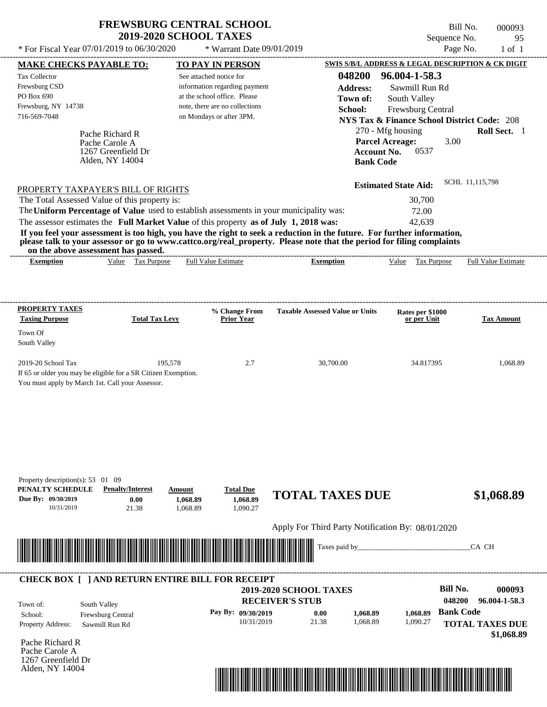| <b>FREWSBURG CENTRAL SCHOOL</b> |
|---------------------------------|
| <b>2019-2020 SCHOOL TAXES</b>   |

\* For Fiscal Year  $07/01/2019$  to  $06/30/2020$  \* Warrant Date  $09/01/2019$  Page No. 1 of 1

\* Warrant Date 09/01/2019

| <b>MAKE CHECKS PAYABLE TO:</b>                                 |                         | <b>TO PAY IN PERSON</b>                                                                                                                                                                                                              |                                                                                                                         | <b>SWIS S/B/L ADDRESS &amp; LEGAL DESCRIPTION &amp; CK DIGIT</b> |                            |
|----------------------------------------------------------------|-------------------------|--------------------------------------------------------------------------------------------------------------------------------------------------------------------------------------------------------------------------------------|-------------------------------------------------------------------------------------------------------------------------|------------------------------------------------------------------|----------------------------|
| <b>Tax Collector</b>                                           |                         | See attached notice for                                                                                                                                                                                                              | 048200                                                                                                                  | 96.004-1-58.3                                                    |                            |
| Frewsburg CSD                                                  |                         | information regarding payment                                                                                                                                                                                                        | <b>Address:</b>                                                                                                         | Sawmill Run Rd                                                   |                            |
| PO Box 690                                                     |                         | at the school office. Please                                                                                                                                                                                                         | Town of:                                                                                                                | South Valley                                                     |                            |
| Frewsburg, NY 14738                                            |                         | note, there are no collections                                                                                                                                                                                                       | School:                                                                                                                 | Frewsburg Central                                                |                            |
| 716-569-7048                                                   |                         | on Mondays or after 3PM.                                                                                                                                                                                                             |                                                                                                                         | <b>NYS Tax &amp; Finance School District Code: 208</b>           |                            |
|                                                                | Pache Richard R         |                                                                                                                                                                                                                                      |                                                                                                                         | 270 - Mfg housing                                                | Roll Sect. 1               |
|                                                                | Pache Carole A          |                                                                                                                                                                                                                                      |                                                                                                                         | <b>Parcel Acreage:</b><br>3.00                                   |                            |
|                                                                | 1267 Greenfield Dr      |                                                                                                                                                                                                                                      | <b>Account No.</b>                                                                                                      | 0537                                                             |                            |
|                                                                | Alden, NY 14004         |                                                                                                                                                                                                                                      | <b>Bank Code</b>                                                                                                        |                                                                  |                            |
|                                                                |                         |                                                                                                                                                                                                                                      |                                                                                                                         | <b>Estimated State Aid:</b>                                      | SCHL 11,115,798            |
| PROPERTY TAXPAYER'S BILL OF RIGHTS                             |                         |                                                                                                                                                                                                                                      |                                                                                                                         | 30,700                                                           |                            |
| The Total Assessed Value of this property is:                  |                         | The Uniform Percentage of Value used to establish assessments in your municipality was:                                                                                                                                              |                                                                                                                         | 72.00                                                            |                            |
|                                                                |                         | The assessor estimates the Full Market Value of this property as of July 1, 2018 was:                                                                                                                                                |                                                                                                                         | 42,639                                                           |                            |
|                                                                |                         |                                                                                                                                                                                                                                      | If you feel your assessment is too high, you have the right to seek a reduction in the future. For further information, |                                                                  |                            |
|                                                                |                         |                                                                                                                                                                                                                                      | please talk to your assessor or go to www.cattco.org/real_property. Please note that the period for filing complaints   |                                                                  |                            |
| on the above assessment has passed.<br><b>Exemption</b>        | Value Tax Purpose       | <b>Full Value Estimate</b>                                                                                                                                                                                                           | <b>Exemption</b>                                                                                                        | Value Tax Purpose                                                | <b>Full Value Estimate</b> |
|                                                                |                         |                                                                                                                                                                                                                                      |                                                                                                                         |                                                                  |                            |
|                                                                |                         |                                                                                                                                                                                                                                      |                                                                                                                         |                                                                  |                            |
|                                                                |                         |                                                                                                                                                                                                                                      |                                                                                                                         |                                                                  |                            |
| <b>PROPERTY TAXES</b><br><b>Taxing Purpose</b>                 | <b>Total Tax Levy</b>   | % Change From<br><b>Prior Year</b>                                                                                                                                                                                                   | <b>Taxable Assessed Value or Units</b>                                                                                  | Rates per \$1000<br>or per Unit                                  | <b>Tax Amount</b>          |
| Town Of                                                        |                         |                                                                                                                                                                                                                                      |                                                                                                                         |                                                                  |                            |
| South Valley                                                   |                         |                                                                                                                                                                                                                                      |                                                                                                                         |                                                                  |                            |
| 2019-20 School Tax                                             | 195,578                 | 2.7                                                                                                                                                                                                                                  | 30,700.00                                                                                                               | 34.817395                                                        | 1,068.89                   |
| If 65 or older you may be eligible for a SR Citizen Exemption. |                         |                                                                                                                                                                                                                                      |                                                                                                                         |                                                                  |                            |
| You must apply by March 1st. Call your Assessor.               |                         |                                                                                                                                                                                                                                      |                                                                                                                         |                                                                  |                            |
|                                                                |                         |                                                                                                                                                                                                                                      |                                                                                                                         |                                                                  |                            |
|                                                                |                         |                                                                                                                                                                                                                                      |                                                                                                                         |                                                                  |                            |
|                                                                |                         |                                                                                                                                                                                                                                      |                                                                                                                         |                                                                  |                            |
|                                                                |                         |                                                                                                                                                                                                                                      |                                                                                                                         |                                                                  |                            |
|                                                                |                         |                                                                                                                                                                                                                                      |                                                                                                                         |                                                                  |                            |
|                                                                |                         |                                                                                                                                                                                                                                      |                                                                                                                         |                                                                  |                            |
|                                                                |                         |                                                                                                                                                                                                                                      |                                                                                                                         |                                                                  |                            |
| Property description(s): 53 01 09<br>PENALTY SCHEDULE          | <b>Penalty/Interest</b> |                                                                                                                                                                                                                                      |                                                                                                                         |                                                                  |                            |
| Due By: 09/30/2019                                             | 0.00                    | <b>Total Due</b><br>Amount<br>1,068.89<br>1,068.89                                                                                                                                                                                   | <b>TOTAL TAXES DUE</b>                                                                                                  |                                                                  | \$1,068.89                 |
| 10/31/2019                                                     | 21.38                   | 1,090.27<br>1,068.89                                                                                                                                                                                                                 |                                                                                                                         |                                                                  |                            |
|                                                                |                         |                                                                                                                                                                                                                                      | Apply For Third Party Notification By: 08/01/2020                                                                       |                                                                  |                            |
|                                                                |                         |                                                                                                                                                                                                                                      |                                                                                                                         |                                                                  |                            |
|                                                                |                         | <u> In the second control of the second control of the second control of the second control of the second control of the second control of the second control of the second control of the second control of the second control </u> | Taxes paid by_                                                                                                          |                                                                  | CA CH                      |
|                                                                |                         |                                                                                                                                                                                                                                      |                                                                                                                         |                                                                  |                            |
|                                                                |                         | <b>CHECK BOX [ ] AND RETURN ENTIRE BILL FOR RECEIPT</b>                                                                                                                                                                              |                                                                                                                         |                                                                  |                            |
|                                                                |                         |                                                                                                                                                                                                                                      | 2019-2020 SCHOOL TAXES                                                                                                  | <b>Bill No.</b>                                                  | 000093                     |
| Town of:                                                       | South Valley            |                                                                                                                                                                                                                                      | <b>RECEIVER'S STUB</b>                                                                                                  | 048200                                                           | 96.004-1-58.3              |
| School:                                                        | Frewsburg Central       | Pay By: 09/30/2019                                                                                                                                                                                                                   | 0.00<br>1,068.89                                                                                                        | <b>Bank Code</b><br>1,068.89                                     |                            |
| Property Address:                                              | Sawmill Run Rd          | 10/31/2019                                                                                                                                                                                                                           | 21.38<br>1,068.89                                                                                                       | 1,090.27                                                         | <b>TOTAL TAXES DUE</b>     |
|                                                                |                         |                                                                                                                                                                                                                                      |                                                                                                                         |                                                                  | \$1,068.89                 |
| Pache Richard R                                                |                         |                                                                                                                                                                                                                                      |                                                                                                                         |                                                                  |                            |
| Pache Carole A<br>1267 Greenfield Dr                           |                         |                                                                                                                                                                                                                                      |                                                                                                                         |                                                                  |                            |
| Alden, NY 14004                                                |                         |                                                                                                                                                                                                                                      |                                                                                                                         |                                                                  |                            |
|                                                                |                         |                                                                                                                                                                                                                                      | <u> 1989 - Johann Stoff, fransk politik formuler (d. 1989)</u>                                                          |                                                                  |                            |
|                                                                |                         |                                                                                                                                                                                                                                      |                                                                                                                         |                                                                  |                            |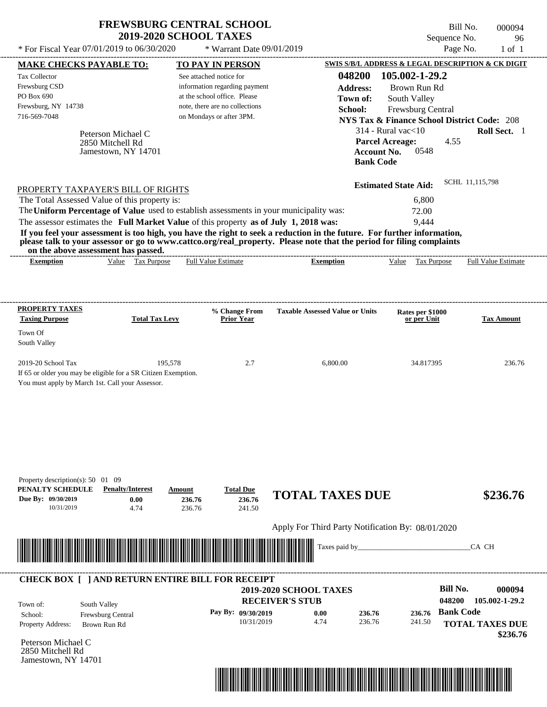| <b>FREWSBURG CENTRAL SCHOOL</b> |
|---------------------------------|
| <b>2019-2020 SCHOOL TAXES</b>   |

Bill No. 000094 Sequence No. 96

| * For Fiscal Year 07/01/2019 to 06/30/2020                                                                                               |                                                               | * Warrant Date 09/01/2019                                                                                                                                                        |                                                                                                                                                                                                                                                  | Page No.                                                                                                                                                                                                                                                 | $1$ of $1$                         |
|------------------------------------------------------------------------------------------------------------------------------------------|---------------------------------------------------------------|----------------------------------------------------------------------------------------------------------------------------------------------------------------------------------|--------------------------------------------------------------------------------------------------------------------------------------------------------------------------------------------------------------------------------------------------|----------------------------------------------------------------------------------------------------------------------------------------------------------------------------------------------------------------------------------------------------------|------------------------------------|
| <b>MAKE CHECKS PAYABLE TO:</b>                                                                                                           |                                                               | <b>TO PAY IN PERSON</b>                                                                                                                                                          |                                                                                                                                                                                                                                                  | SWIS S/B/L ADDRESS & LEGAL DESCRIPTION & CK DIGIT                                                                                                                                                                                                        |                                    |
| Tax Collector<br>Frewsburg CSD<br>PO Box 690<br>Frewsburg, NY 14738<br>716-569-7048<br>PROPERTY TAXPAYER'S BILL OF RIGHTS                | Peterson Michael C<br>2850 Mitchell Rd<br>Jamestown, NY 14701 | See attached notice for<br>information regarding payment<br>at the school office. Please<br>note, there are no collections<br>on Mondays or after 3PM.                           | 048200<br><b>Address:</b><br>Town of:<br>School:<br><b>Bank Code</b>                                                                                                                                                                             | 105.002-1-29.2<br>Brown Run Rd<br>South Valley<br>Frewsburg Central<br><b>NYS Tax &amp; Finance School District Code: 208</b><br>$314$ - Rural vac $<$ 10<br><b>Parcel Acreage:</b><br>4.55<br><b>Account No.</b><br>0548<br><b>Estimated State Aid:</b> | Roll Sect. 1<br>SCHL 11,115,798    |
| The Total Assessed Value of this property is:<br>on the above assessment has passed.                                                     |                                                               | The Uniform Percentage of Value used to establish assessments in your municipality was:<br>The assessor estimates the Full Market Value of this property as of July 1, 2018 was: | If you feel your assessment is too high, you have the right to seek a reduction in the future. For further information,<br>please talk to your assessor or go to www.cattco.org/real_property. Please note that the period for filing complaints | 6,800<br>72.00<br>9,444                                                                                                                                                                                                                                  |                                    |
| <b>Exemption</b>                                                                                                                         | Value Tax Purpose                                             | <b>Full Value Estimate</b>                                                                                                                                                       | <b>Exemption</b>                                                                                                                                                                                                                                 | Value Tax Purpose                                                                                                                                                                                                                                        | <b>Full Value Estimate</b>         |
| <b>PROPERTY TAXES</b><br><b>Taxing Purpose</b>                                                                                           | <b>Total Tax Levy</b>                                         | % Change From<br><b>Prior Year</b>                                                                                                                                               | <b>Taxable Assessed Value or Units</b>                                                                                                                                                                                                           | Rates per \$1000<br>or per Unit                                                                                                                                                                                                                          | <b>Tax Amount</b>                  |
| Town Of<br>South Valley                                                                                                                  |                                                               |                                                                                                                                                                                  |                                                                                                                                                                                                                                                  |                                                                                                                                                                                                                                                          |                                    |
| 2019-20 School Tax<br>If 65 or older you may be eligible for a SR Citizen Exemption.<br>You must apply by March 1st. Call your Assessor. | 195,578                                                       | 2.7                                                                                                                                                                              | 6,800.00                                                                                                                                                                                                                                         | 34.817395                                                                                                                                                                                                                                                | 236.76                             |
| Property description(s): 50 01 09<br>PENALTY SCHEDULE<br>Due By: 09/30/2019<br>10/31/2019                                                | <b>Penalty/Interest</b><br>0.00<br>4.74                       | <b>Total Due</b><br>Amount<br>236.76<br>236.76<br>236.76<br>241.50                                                                                                               | <b>TOTAL TAXES DUE</b>                                                                                                                                                                                                                           |                                                                                                                                                                                                                                                          | \$236.76                           |
|                                                                                                                                          |                                                               |                                                                                                                                                                                  | Apply For Third Party Notification By: 08/01/2020                                                                                                                                                                                                |                                                                                                                                                                                                                                                          |                                    |
|                                                                                                                                          |                                                               |                                                                                                                                                                                  | Taxes paid by_                                                                                                                                                                                                                                   |                                                                                                                                                                                                                                                          | CA CH                              |
|                                                                                                                                          |                                                               | <b>CHECK BOX [ ] AND RETURN ENTIRE BILL FOR RECEIPT</b>                                                                                                                          |                                                                                                                                                                                                                                                  | <b>Bill No.</b>                                                                                                                                                                                                                                          |                                    |
| South Valley<br>Town of:                                                                                                                 |                                                               |                                                                                                                                                                                  | 2019-2020 SCHOOL TAXES<br><b>RECEIVER'S STUB</b>                                                                                                                                                                                                 | 048200                                                                                                                                                                                                                                                   | 000094<br>105.002-1-29.2           |
| School:<br>Property Address:                                                                                                             | Frewsburg Central<br>Brown Run Rd                             | Pay By: 09/30/2019<br>10/31/2019                                                                                                                                                 | 0.00<br>236.76<br>4.74<br>236.76                                                                                                                                                                                                                 | 236.76 Bank Code<br>241.50                                                                                                                                                                                                                               | <b>TOTAL TAXES DUE</b><br>\$236.76 |
| Peterson Michael C<br>2850 Mitchell Rd<br>Jamestown, NY 14701                                                                            |                                                               |                                                                                                                                                                                  |                                                                                                                                                                                                                                                  |                                                                                                                                                                                                                                                          |                                    |

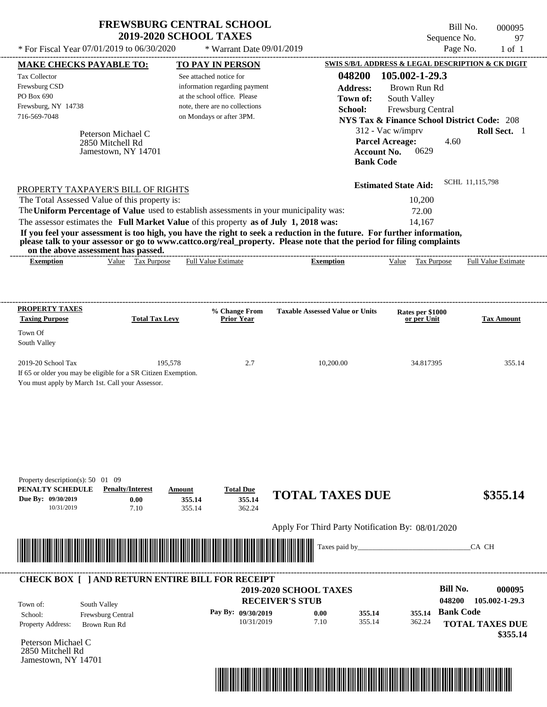| <b>FREWSBURG CENTRAL SCHOOL</b> |
|---------------------------------|
| <b>2019-2020 SCHOOL TAXES</b>   |

Bill No. 000095 Sequence No. 97  $*$  For Fiscal Year 07/01/2019 to 06/30/2020  $*$  Warrant Date 09/01/2019 Page No. 1 of 1

| <b>MAKE CHECKS PAYABLE TO:</b>                                                                                                                                                                                                       |                         |                       |                          | <b>TO PAY IN PERSON</b>          |                        |                                                                                                                        |                                        |                   |                           | SWIS S/B/L ADDRESS & LEGAL DESCRIPTION & CK DIGIT      |
|--------------------------------------------------------------------------------------------------------------------------------------------------------------------------------------------------------------------------------------|-------------------------|-----------------------|--------------------------|----------------------------------|------------------------|------------------------------------------------------------------------------------------------------------------------|----------------------------------------|-------------------|---------------------------|--------------------------------------------------------|
| <b>Tax Collector</b>                                                                                                                                                                                                                 |                         |                       | See attached notice for  |                                  |                        | 048200                                                                                                                 |                                        | 105.002-1-29.3    |                           |                                                        |
| Frewsburg CSD                                                                                                                                                                                                                        |                         |                       |                          | information regarding payment    |                        | <b>Address:</b>                                                                                                        |                                        | Brown Run Rd      |                           |                                                        |
| PO Box 690                                                                                                                                                                                                                           |                         |                       |                          | at the school office. Please     |                        | Town of:                                                                                                               |                                        | South Valley      |                           |                                                        |
| Frewsburg, NY 14738<br>716-569-7048                                                                                                                                                                                                  |                         |                       |                          | note, there are no collections   |                        | School:                                                                                                                |                                        | Frewsburg Central |                           |                                                        |
|                                                                                                                                                                                                                                      |                         |                       | on Mondays or after 3PM. |                                  |                        |                                                                                                                        |                                        |                   |                           | <b>NYS Tax &amp; Finance School District Code: 208</b> |
|                                                                                                                                                                                                                                      | Peterson Michael C      |                       |                          |                                  |                        |                                                                                                                        | 312 - Vac w/imprv                      |                   |                           | Roll Sect. 1                                           |
|                                                                                                                                                                                                                                      | 2850 Mitchell Rd        |                       |                          |                                  |                        |                                                                                                                        | <b>Parcel Acreage:</b>                 | 0629              | 4.60                      |                                                        |
|                                                                                                                                                                                                                                      | Jamestown, NY 14701     |                       |                          |                                  |                        |                                                                                                                        | <b>Account No.</b><br><b>Bank Code</b> |                   |                           |                                                        |
|                                                                                                                                                                                                                                      |                         |                       |                          |                                  |                        |                                                                                                                        |                                        |                   |                           |                                                        |
|                                                                                                                                                                                                                                      |                         |                       |                          |                                  |                        |                                                                                                                        | <b>Estimated State Aid:</b>            |                   |                           | SCHL 11,115,798                                        |
| PROPERTY TAXPAYER'S BILL OF RIGHTS<br>The Total Assessed Value of this property is:                                                                                                                                                  |                         |                       |                          |                                  |                        |                                                                                                                        |                                        | 10,200            |                           |                                                        |
| The Uniform Percentage of Value used to establish assessments in your municipality was:                                                                                                                                              |                         |                       |                          |                                  |                        |                                                                                                                        |                                        | 72.00             |                           |                                                        |
| The assessor estimates the Full Market Value of this property as of July 1, 2018 was:                                                                                                                                                |                         |                       |                          |                                  |                        |                                                                                                                        |                                        | 14,167            |                           |                                                        |
| If you feel your assessment is too high, you have the right to seek a reduction in the future. For further information,                                                                                                              |                         |                       |                          |                                  |                        |                                                                                                                        |                                        |                   |                           |                                                        |
| please talk to your assessor or go to www.cattco.org/real_property. Please note that the period for filing complaints<br>on the above assessment has passed.                                                                         |                         |                       |                          |                                  |                        |                                                                                                                        |                                        |                   |                           |                                                        |
| <b>Exemption</b>                                                                                                                                                                                                                     |                         | Value Tax Purpose     |                          | <b>Full Value Estimate</b>       |                        | <b>Exemption</b>                                                                                                       |                                        | Value Tax Purpose |                           | <b>Full Value Estimate</b>                             |
|                                                                                                                                                                                                                                      |                         |                       |                          |                                  |                        |                                                                                                                        |                                        |                   |                           |                                                        |
|                                                                                                                                                                                                                                      |                         |                       |                          |                                  |                        |                                                                                                                        |                                        |                   |                           |                                                        |
|                                                                                                                                                                                                                                      |                         |                       |                          |                                  |                        |                                                                                                                        |                                        |                   |                           |                                                        |
| <b>PROPERTY TAXES</b>                                                                                                                                                                                                                |                         |                       |                          | % Change From                    |                        | <b>Taxable Assessed Value or Units</b>                                                                                 |                                        | Rates per \$1000  |                           |                                                        |
| <b>Taxing Purpose</b>                                                                                                                                                                                                                |                         | <b>Total Tax Levy</b> |                          | <b>Prior Year</b>                |                        |                                                                                                                        |                                        | or per Unit       |                           | <b>Tax Amount</b>                                      |
| Town Of<br>South Valley                                                                                                                                                                                                              |                         |                       |                          |                                  |                        |                                                                                                                        |                                        |                   |                           |                                                        |
|                                                                                                                                                                                                                                      |                         |                       |                          |                                  |                        |                                                                                                                        |                                        |                   |                           |                                                        |
| 2019-20 School Tax                                                                                                                                                                                                                   |                         | 195,578               |                          | 2.7                              |                        | 10,200.00                                                                                                              |                                        | 34.817395         |                           | 355.14                                                 |
| If 65 or older you may be eligible for a SR Citizen Exemption.<br>You must apply by March 1st. Call your Assessor.                                                                                                                   |                         |                       |                          |                                  |                        |                                                                                                                        |                                        |                   |                           |                                                        |
|                                                                                                                                                                                                                                      |                         |                       |                          |                                  |                        |                                                                                                                        |                                        |                   |                           |                                                        |
|                                                                                                                                                                                                                                      |                         |                       |                          |                                  |                        |                                                                                                                        |                                        |                   |                           |                                                        |
|                                                                                                                                                                                                                                      |                         |                       |                          |                                  |                        |                                                                                                                        |                                        |                   |                           |                                                        |
|                                                                                                                                                                                                                                      |                         |                       |                          |                                  |                        |                                                                                                                        |                                        |                   |                           |                                                        |
|                                                                                                                                                                                                                                      |                         |                       |                          |                                  |                        |                                                                                                                        |                                        |                   |                           |                                                        |
|                                                                                                                                                                                                                                      |                         |                       |                          |                                  |                        |                                                                                                                        |                                        |                   |                           |                                                        |
|                                                                                                                                                                                                                                      |                         |                       |                          |                                  |                        |                                                                                                                        |                                        |                   |                           |                                                        |
| Property description(s): 50 01 09                                                                                                                                                                                                    |                         |                       |                          |                                  |                        |                                                                                                                        |                                        |                   |                           |                                                        |
| PENALTY SCHEDULE                                                                                                                                                                                                                     | <b>Penalty/Interest</b> |                       | Amount                   | <b>Total Due</b>                 |                        | <b>TOTAL TAXES DUE</b>                                                                                                 |                                        |                   |                           | \$355.14                                               |
| Due By: 09/30/2019<br>10/31/2019                                                                                                                                                                                                     |                         | 0.00<br>7.10          | 355.14<br>355.14         | 355.14<br>362.24                 |                        |                                                                                                                        |                                        |                   |                           |                                                        |
|                                                                                                                                                                                                                                      |                         |                       |                          |                                  |                        |                                                                                                                        |                                        |                   |                           |                                                        |
|                                                                                                                                                                                                                                      |                         |                       |                          |                                  |                        | Apply For Third Party Notification By: 08/01/2020                                                                      |                                        |                   |                           |                                                        |
|                                                                                                                                                                                                                                      |                         |                       |                          |                                  |                        | Taxes paid by_                                                                                                         |                                        |                   |                           | CA CH                                                  |
| <u> Harry Harry Harry Harry Harry Harry Harry Harry Harry Harry Harry Harry Harry Harry Harry Harry Harry Harry Harry Harry Harry Harry Harry Harry Harry Harry Harry Harry Harry Harry Harry Harry Harry Harry Harry Harry Harr</u> |                         |                       |                          |                                  |                        |                                                                                                                        |                                        |                   |                           |                                                        |
|                                                                                                                                                                                                                                      |                         |                       |                          |                                  |                        |                                                                                                                        |                                        |                   |                           |                                                        |
| <b>CHECK BOX [ ] AND RETURN ENTIRE BILL FOR RECEIPT</b>                                                                                                                                                                              |                         |                       |                          |                                  |                        |                                                                                                                        |                                        |                   |                           |                                                        |
|                                                                                                                                                                                                                                      |                         |                       |                          |                                  | 2019-2020 SCHOOL TAXES |                                                                                                                        |                                        |                   | <b>Bill No.</b><br>048200 | 000095<br>105.002-1-29.3                               |
| Town of:                                                                                                                                                                                                                             | South Valley            |                       |                          |                                  | <b>RECEIVER'S STUB</b> |                                                                                                                        |                                        |                   |                           |                                                        |
| School:                                                                                                                                                                                                                              | Frewsburg Central       |                       |                          | Pay By: 09/30/2019<br>10/31/2019 |                        | 0.00<br>355.14<br>7.10<br>355.14                                                                                       |                                        | 355.14<br>362.24  | <b>Bank Code</b>          |                                                        |
| Property Address:                                                                                                                                                                                                                    | Brown Run Rd            |                       |                          |                                  |                        |                                                                                                                        |                                        |                   |                           | <b>TOTAL TAXES DUE</b><br>\$355.14                     |
| Peterson Michael C                                                                                                                                                                                                                   |                         |                       |                          |                                  |                        |                                                                                                                        |                                        |                   |                           |                                                        |
| 2850 Mitchell Rd                                                                                                                                                                                                                     |                         |                       |                          |                                  |                        |                                                                                                                        |                                        |                   |                           |                                                        |
| Jamestown, NY 14701                                                                                                                                                                                                                  |                         |                       |                          |                                  |                        |                                                                                                                        |                                        |                   |                           |                                                        |
|                                                                                                                                                                                                                                      |                         |                       |                          |                                  |                        | <u> 1989 - Andrea Stadt British, mars ann an t-Èireann an t-Èireann an t-Èireann an t-Èireann an t-Èireann an t-Èi</u> |                                        |                   |                           |                                                        |
|                                                                                                                                                                                                                                      |                         |                       |                          |                                  |                        |                                                                                                                        |                                        |                   |                           |                                                        |
|                                                                                                                                                                                                                                      |                         |                       |                          |                                  |                        |                                                                                                                        |                                        |                   |                           |                                                        |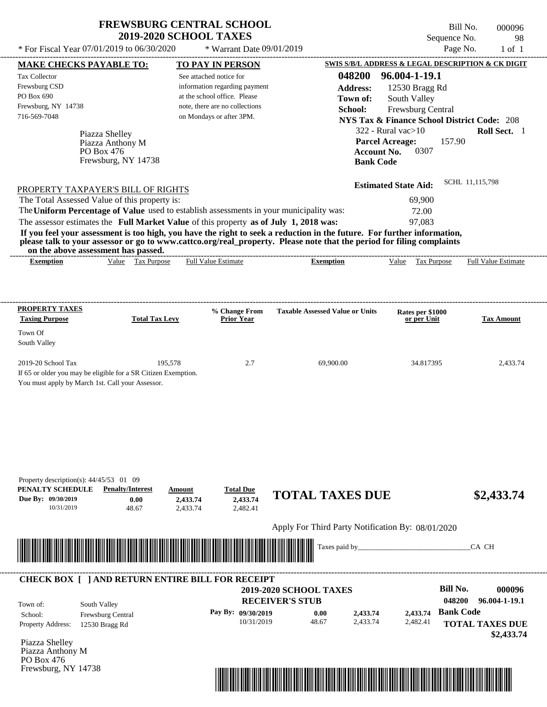Frewsburg, NY 14738

Bill No. 000096 Sequence No. 98<br>Page No. 1 of 1

| * For Fiscal Year 07/01/2019 to 06/30/2020                                                                                                                                                                                                                                                                                                       |                                                 | * Warrant Date 09/01/2019                                                                                                                              |                                                                                            |                                                                                                                                                                                     | Page No.<br>$1$ of $1$                                                                              |
|--------------------------------------------------------------------------------------------------------------------------------------------------------------------------------------------------------------------------------------------------------------------------------------------------------------------------------------------------|-------------------------------------------------|--------------------------------------------------------------------------------------------------------------------------------------------------------|--------------------------------------------------------------------------------------------|-------------------------------------------------------------------------------------------------------------------------------------------------------------------------------------|-----------------------------------------------------------------------------------------------------|
| <b>MAKE CHECKS PAYABLE TO:</b>                                                                                                                                                                                                                                                                                                                   |                                                 | <b>TO PAY IN PERSON</b>                                                                                                                                |                                                                                            |                                                                                                                                                                                     | SWIS S/B/L ADDRESS & LEGAL DESCRIPTION & CK DIGIT                                                   |
| Tax Collector<br>Frewsburg CSD<br>PO Box 690<br>Frewsburg, NY 14738<br>716-569-7048<br>Piazza Shelley<br>Piazza Anthony M<br>PO Box 476<br>Frewsburg, NY 14738<br>PROPERTY TAXPAYER'S BILL OF RIGHTS<br>The Total Assessed Value of this property is:<br>The Uniform Percentage of Value used to establish assessments in your municipality was: |                                                 | See attached notice for<br>information regarding payment<br>at the school office. Please<br>note, there are no collections<br>on Mondays or after 3PM. | 048200<br><b>Address:</b><br>Town of:<br>School:<br><b>Account No.</b><br><b>Bank Code</b> | 96.004-1-19.1<br>12530 Bragg Rd<br>South Valley<br>Frewsburg Central<br>$322$ - Rural vac $>10$<br><b>Parcel Acreage:</b><br>0307<br><b>Estimated State Aid:</b><br>69,900<br>72.00 | <b>NYS Tax &amp; Finance School District Code: 208</b><br>Roll Sect. 1<br>157.90<br>SCHL 11,115,798 |
| The assessor estimates the Full Market Value of this property as of July 1, 2018 was:<br>If you feel your assessment is too high, you have the right to seek a reduction in the future. For further information,                                                                                                                                 |                                                 |                                                                                                                                                        |                                                                                            | 97,083                                                                                                                                                                              |                                                                                                     |
| please talk to your assessor or go to www.cattco.org/real_property. Please note that the period for filing complaints<br>on the above assessment has passed.                                                                                                                                                                                     |                                                 |                                                                                                                                                        |                                                                                            |                                                                                                                                                                                     |                                                                                                     |
| <b>Exemption</b>                                                                                                                                                                                                                                                                                                                                 | Value Tax Purpose                               | <b>Full Value Estimate</b>                                                                                                                             | -------------------------------------<br><b>Exemption</b>                                  | Value Tax Purpose                                                                                                                                                                   | <b>Full Value Estimate</b>                                                                          |
|                                                                                                                                                                                                                                                                                                                                                  |                                                 |                                                                                                                                                        |                                                                                            |                                                                                                                                                                                     |                                                                                                     |
| <b>PROPERTY TAXES</b><br><b>Taxing Purpose</b>                                                                                                                                                                                                                                                                                                   | <b>Total Tax Levy</b>                           | % Change From<br><b>Prior Year</b>                                                                                                                     | <b>Taxable Assessed Value or Units</b>                                                     | Rates per \$1000<br>or per Unit                                                                                                                                                     | <b>Tax Amount</b>                                                                                   |
| Town Of<br>South Valley                                                                                                                                                                                                                                                                                                                          |                                                 |                                                                                                                                                        |                                                                                            |                                                                                                                                                                                     |                                                                                                     |
| 2019-20 School Tax<br>If 65 or older you may be eligible for a SR Citizen Exemption.<br>You must apply by March 1st. Call your Assessor.                                                                                                                                                                                                         | 195,578                                         | 2.7                                                                                                                                                    | 69,900.00                                                                                  | 34.817395                                                                                                                                                                           | 2,433.74                                                                                            |
| Property description(s): $44/45/53$ 01 09<br>PENALTY SCHEDULE<br><b>Penalty/Interest</b><br>Due By: 09/30/2019<br>10/31/2019                                                                                                                                                                                                                     | Amount<br>0.00<br>2,433.74<br>48.67<br>2,433.74 | <b>Total Due</b><br>2,433.74<br>2,482.41                                                                                                               | <b>TOTAL TAXES DUE</b><br>Apply For Third Party Notification By: 08/01/2020                |                                                                                                                                                                                     | \$2,433.74                                                                                          |
|                                                                                                                                                                                                                                                                                                                                                  |                                                 |                                                                                                                                                        | Taxes paid by_                                                                             |                                                                                                                                                                                     | CA CH                                                                                               |
|                                                                                                                                                                                                                                                                                                                                                  |                                                 |                                                                                                                                                        |                                                                                            |                                                                                                                                                                                     |                                                                                                     |
| <b>CHECK BOX [ ] AND RETURN ENTIRE BILL FOR RECEIPT</b><br>South Valley<br>Town of:<br>Frewsburg Central<br>School:                                                                                                                                                                                                                              |                                                 | Pay By: 09/30/2019                                                                                                                                     | 2019-2020 SCHOOL TAXES<br><b>RECEIVER'S STUB</b><br>0.00<br>2,433.74                       | 2.433.74                                                                                                                                                                            | <b>Bill No.</b><br>000096<br>048200<br>96.004-1-19.1<br><b>Bank Code</b>                            |
| <b>Property Address:</b><br>12530 Bragg Rd<br>Piazza Shelley<br>Piazza Anthony M<br>PO Box 476                                                                                                                                                                                                                                                   |                                                 | 10/31/2019                                                                                                                                             | 48.67<br>2,433.74                                                                          | 2,482.41                                                                                                                                                                            | <b>TOTAL TAXES DUE</b><br>\$2,433.74                                                                |

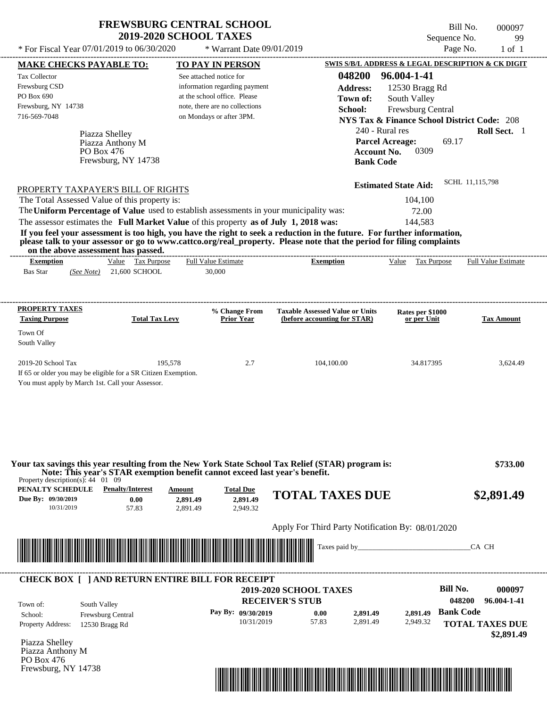| <b>FREWSBURG CENTRAL SCHOOL</b> |
|---------------------------------|
| <b>2019-2020 SCHOOL TAXES</b>   |

 $*$  For Fiscal Year 07/01/2019 to 06/30/2020

 $*$  Warrant Date  $09/01/2019$ 

Bill No. 000097 Sequence No. 99<br>Page No. 1 of 1

| Tax Collector                                                  | <b>MAKE CHECKS PAYABLE TO:</b>                                                                                                                                                                                                                   |                         | <b>TO PAY IN PERSON</b>            |                                                                        |                    |                                                        |                  | SWIS S/B/L ADDRESS & LEGAL DESCRIPTION & CK DIGIT |
|----------------------------------------------------------------|--------------------------------------------------------------------------------------------------------------------------------------------------------------------------------------------------------------------------------------------------|-------------------------|------------------------------------|------------------------------------------------------------------------|--------------------|--------------------------------------------------------|------------------|---------------------------------------------------|
|                                                                |                                                                                                                                                                                                                                                  | See attached notice for |                                    |                                                                        | 048200             | 96.004-1-41                                            |                  |                                                   |
| Frewsburg CSD                                                  |                                                                                                                                                                                                                                                  |                         | information regarding payment      |                                                                        | <b>Address:</b>    | 12530 Bragg Rd                                         |                  |                                                   |
| PO Box 690                                                     |                                                                                                                                                                                                                                                  |                         | at the school office. Please       |                                                                        | Town of:           | South Valley                                           |                  |                                                   |
| Frewsburg, NY 14738                                            |                                                                                                                                                                                                                                                  |                         | note, there are no collections     |                                                                        | School:            | Frewsburg Central                                      |                  |                                                   |
| 716-569-7048                                                   |                                                                                                                                                                                                                                                  |                         | on Mondays or after 3PM.           |                                                                        |                    | <b>NYS Tax &amp; Finance School District Code: 208</b> |                  |                                                   |
|                                                                |                                                                                                                                                                                                                                                  |                         |                                    |                                                                        |                    | 240 - Rural res                                        |                  | Roll Sect. 1                                      |
|                                                                | Piazza Shelley                                                                                                                                                                                                                                   |                         |                                    |                                                                        |                    |                                                        |                  |                                                   |
|                                                                | Piazza Anthony M                                                                                                                                                                                                                                 |                         |                                    |                                                                        |                    | <b>Parcel Acreage:</b>                                 | 69.17            |                                                   |
|                                                                | PO Box 476<br>Frewsburg, NY 14738                                                                                                                                                                                                                |                         |                                    |                                                                        | <b>Account No.</b> | 0309                                                   |                  |                                                   |
|                                                                |                                                                                                                                                                                                                                                  |                         |                                    |                                                                        | <b>Bank Code</b>   |                                                        |                  |                                                   |
|                                                                | PROPERTY TAXPAYER'S BILL OF RIGHTS                                                                                                                                                                                                               |                         |                                    |                                                                        |                    | <b>Estimated State Aid:</b>                            | SCHL 11,115,798  |                                                   |
|                                                                | The Total Assessed Value of this property is:                                                                                                                                                                                                    |                         |                                    |                                                                        |                    | 104,100                                                |                  |                                                   |
|                                                                | The Uniform Percentage of Value used to establish assessments in your municipality was:                                                                                                                                                          |                         |                                    |                                                                        |                    | 72.00                                                  |                  |                                                   |
|                                                                |                                                                                                                                                                                                                                                  |                         |                                    |                                                                        |                    |                                                        |                  |                                                   |
|                                                                | The assessor estimates the Full Market Value of this property as of July 1, 2018 was:                                                                                                                                                            |                         |                                    |                                                                        |                    | 144,583                                                |                  |                                                   |
|                                                                | If you feel your assessment is too high, you have the right to seek a reduction in the future. For further information,<br>please talk to your assessor or go to www.cattco.org/real_property. Please note that the period for filing complaints |                         |                                    |                                                                        |                    |                                                        |                  |                                                   |
| <b>Exemption</b>                                               | on the above assessment has passed.<br>Value Tax Purpose                                                                                                                                                                                         |                         | <b>Full Value Estimate</b>         | <b>Exemption</b>                                                       |                    | Value Tax Purpose                                      |                  | <b>Full Value Estimate</b>                        |
| <b>Bas Star</b>                                                | $(See Note)$ 21,600 SCHOOL                                                                                                                                                                                                                       |                         | 30,000                             |                                                                        |                    |                                                        |                  |                                                   |
|                                                                |                                                                                                                                                                                                                                                  |                         |                                    |                                                                        |                    |                                                        |                  |                                                   |
| <b>PROPERTY TAXES</b>                                          |                                                                                                                                                                                                                                                  |                         |                                    |                                                                        |                    |                                                        |                  |                                                   |
| <b>Taxing Purpose</b>                                          | <b>Total Tax Levy</b>                                                                                                                                                                                                                            |                         | % Change From<br><b>Prior Year</b> | <b>Taxable Assessed Value or Units</b><br>(before accounting for STAR) |                    | Rates per \$1000<br>or per Unit                        |                  | <b>Tax Amount</b>                                 |
| Town Of                                                        |                                                                                                                                                                                                                                                  |                         |                                    |                                                                        |                    |                                                        |                  |                                                   |
| South Valley                                                   |                                                                                                                                                                                                                                                  |                         |                                    |                                                                        |                    |                                                        |                  |                                                   |
|                                                                |                                                                                                                                                                                                                                                  |                         |                                    |                                                                        |                    |                                                        |                  |                                                   |
| 2019-20 School Tax                                             |                                                                                                                                                                                                                                                  | 195,578                 | 2.7                                | 104,100.00                                                             |                    | 34.817395                                              |                  | 3,624.49                                          |
|                                                                | If 65 or older you may be eligible for a SR Citizen Exemption.                                                                                                                                                                                   |                         |                                    |                                                                        |                    |                                                        |                  |                                                   |
|                                                                | You must apply by March 1st. Call your Assessor.                                                                                                                                                                                                 |                         |                                    |                                                                        |                    |                                                        |                  |                                                   |
|                                                                |                                                                                                                                                                                                                                                  |                         |                                    |                                                                        |                    |                                                        |                  |                                                   |
|                                                                |                                                                                                                                                                                                                                                  |                         |                                    |                                                                        |                    |                                                        |                  |                                                   |
|                                                                |                                                                                                                                                                                                                                                  |                         |                                    |                                                                        |                    |                                                        |                  |                                                   |
|                                                                |                                                                                                                                                                                                                                                  |                         |                                    |                                                                        |                    |                                                        |                  |                                                   |
|                                                                |                                                                                                                                                                                                                                                  |                         |                                    |                                                                        |                    |                                                        |                  |                                                   |
|                                                                |                                                                                                                                                                                                                                                  |                         |                                    |                                                                        |                    |                                                        |                  |                                                   |
|                                                                |                                                                                                                                                                                                                                                  |                         |                                    |                                                                        |                    |                                                        |                  |                                                   |
|                                                                | Your tax savings this year resulting from the New York State School Tax Relief (STAR) program is:                                                                                                                                                |                         |                                    |                                                                        |                    |                                                        |                  | \$733.00                                          |
| Property description(s): $44 \quad 01 \quad 09$                | Note: This year's STAR exemption benefit cannot exceed last year's benefit.                                                                                                                                                                      |                         |                                    |                                                                        |                    |                                                        |                  |                                                   |
|                                                                | <b>PENALTY SCHEDULE</b> Penalty/Interest<br>0.00                                                                                                                                                                                                 | Amount                  | <b>Total Due</b>                   | <b>TOTAL TAXES DUE</b>                                                 |                    |                                                        |                  | \$2,891.49                                        |
| 10/31/2019                                                     | 57.83                                                                                                                                                                                                                                            | 2,891.49<br>2,891.49    | 2,891.49<br>2,949.32               |                                                                        |                    |                                                        |                  |                                                   |
|                                                                |                                                                                                                                                                                                                                                  |                         |                                    |                                                                        |                    |                                                        |                  |                                                   |
| Due By: 09/30/2019                                             |                                                                                                                                                                                                                                                  |                         |                                    | Apply For Third Party Notification By: 08/01/2020                      |                    |                                                        |                  |                                                   |
|                                                                |                                                                                                                                                                                                                                                  |                         |                                    | Taxes paid by_                                                         |                    |                                                        |                  | CA CH                                             |
|                                                                |                                                                                                                                                                                                                                                  |                         |                                    |                                                                        |                    |                                                        |                  |                                                   |
|                                                                |                                                                                                                                                                                                                                                  |                         |                                    |                                                                        |                    |                                                        |                  |                                                   |
|                                                                | <b>CHECK BOX [ ] AND RETURN ENTIRE BILL FOR RECEIPT</b>                                                                                                                                                                                          |                         |                                    | <b>2019-2020 SCHOOL TAXES</b>                                          |                    |                                                        | <b>Bill No.</b>  | 000097                                            |
|                                                                |                                                                                                                                                                                                                                                  |                         |                                    |                                                                        |                    |                                                        | 048200           |                                                   |
| Town of:                                                       | South Valley                                                                                                                                                                                                                                     |                         |                                    | <b>RECEIVER'S STUB</b>                                                 |                    |                                                        |                  |                                                   |
| School:                                                        | Frewsburg Central                                                                                                                                                                                                                                |                         | Pay By: 09/30/2019                 | 0.00                                                                   | 2,891.49           | 2,891.49                                               | <b>Bank Code</b> |                                                   |
|                                                                | 12530 Bragg Rd                                                                                                                                                                                                                                   |                         | 10/31/2019                         | 57.83                                                                  | 2,891.49           | 2,949.32                                               |                  | 96.004-1-41                                       |
|                                                                |                                                                                                                                                                                                                                                  |                         |                                    |                                                                        |                    |                                                        |                  |                                                   |
|                                                                |                                                                                                                                                                                                                                                  |                         |                                    |                                                                        |                    |                                                        |                  |                                                   |
| <b>Property Address:</b><br>Piazza Shelley<br>Piazza Anthony M |                                                                                                                                                                                                                                                  |                         |                                    |                                                                        |                    |                                                        |                  | <b>TOTAL TAXES DUE</b><br>\$2,891.49              |
| PO Box 476<br>Frewsburg, NY 14738                              |                                                                                                                                                                                                                                                  |                         |                                    |                                                                        |                    |                                                        |                  |                                                   |

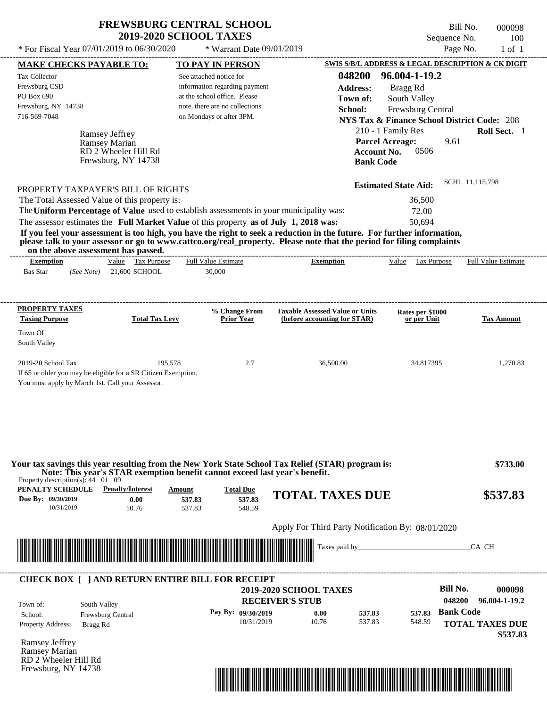\* For Fiscal Year  $07/01/2019$  to  $06/30/2020$  \* Warrant Date  $09/01/2019$  Page No. 1 of 1

\* Warrant Date 09/01/2019

Bill No. 000098 Sequence No. 100<br>Page No. 1 of 1

| <b>MAKE CHECKS PAYABLE TO:</b>                                                              |                                                                                                                                                                                  | <b>TO PAY IN PERSON</b>        |                                    |                                                                        |                    | <b>SWIS S/B/L ADDRESS &amp; LEGAL DESCRIPTION &amp; CK DIGIT</b> |                  |                            |
|---------------------------------------------------------------------------------------------|----------------------------------------------------------------------------------------------------------------------------------------------------------------------------------|--------------------------------|------------------------------------|------------------------------------------------------------------------|--------------------|------------------------------------------------------------------|------------------|----------------------------|
| Tax Collector                                                                               |                                                                                                                                                                                  | See attached notice for        |                                    |                                                                        | 048200             | 96.004-1-19.2                                                    |                  |                            |
| Frewsburg CSD                                                                               |                                                                                                                                                                                  | information regarding payment  |                                    |                                                                        | <b>Address:</b>    | Bragg Rd                                                         |                  |                            |
| PO Box 690                                                                                  |                                                                                                                                                                                  | at the school office. Please   |                                    |                                                                        | Town of:           | South Valley                                                     |                  |                            |
| Frewsburg, NY 14738                                                                         |                                                                                                                                                                                  | note, there are no collections |                                    |                                                                        | School:            | Frewsburg Central                                                |                  |                            |
| 716-569-7048                                                                                |                                                                                                                                                                                  | on Mondays or after 3PM.       |                                    |                                                                        |                    | <b>NYS Tax &amp; Finance School District Code: 208</b>           |                  |                            |
|                                                                                             |                                                                                                                                                                                  |                                |                                    |                                                                        |                    | 210 - 1 Family Res                                               |                  | Roll Sect. 1               |
|                                                                                             | <b>Ramsey Jeffrey</b><br>Ramsey Marian                                                                                                                                           |                                |                                    |                                                                        |                    | <b>Parcel Acreage:</b>                                           | 9.61             |                            |
|                                                                                             | RD 2 Wheeler Hill Rd                                                                                                                                                             |                                |                                    |                                                                        | <b>Account No.</b> | 0506                                                             |                  |                            |
|                                                                                             | Frewsburg, NY 14738                                                                                                                                                              |                                |                                    |                                                                        | <b>Bank Code</b>   |                                                                  |                  |                            |
|                                                                                             |                                                                                                                                                                                  |                                |                                    |                                                                        |                    |                                                                  |                  |                            |
|                                                                                             | PROPERTY TAXPAYER'S BILL OF RIGHTS                                                                                                                                               |                                |                                    |                                                                        |                    | <b>Estimated State Aid:</b>                                      |                  | SCHL 11,115,798            |
|                                                                                             | The Total Assessed Value of this property is:                                                                                                                                    |                                |                                    |                                                                        |                    | 36,500                                                           |                  |                            |
|                                                                                             | The Uniform Percentage of Value used to establish assessments in your municipality was:                                                                                          |                                |                                    |                                                                        |                    | 72.00                                                            |                  |                            |
|                                                                                             | The assessor estimates the Full Market Value of this property as of July 1, 2018 was:                                                                                            |                                |                                    |                                                                        |                    | 50,694                                                           |                  |                            |
|                                                                                             | If you feel your assessment is too high, you have the right to seek a reduction in the future. For further information,                                                          |                                |                                    |                                                                        |                    |                                                                  |                  |                            |
|                                                                                             | please talk to your assessor or go to www.cattco.org/real_property. Please note that the period for filing complaints                                                            |                                |                                    |                                                                        |                    |                                                                  |                  |                            |
| <b>Exemption</b>                                                                            | on the above assessment has passed.<br>Value Tax Purpose                                                                                                                         | <b>Full Value Estimate</b>     |                                    | <b>Exemption</b>                                                       |                    | Value Tax Purpose                                                |                  | <b>Full Value Estimate</b> |
| <b>Bas Star</b>                                                                             | $(See Note)$ 21,600 SCHOOL                                                                                                                                                       | 30,000                         |                                    |                                                                        |                    |                                                                  |                  |                            |
|                                                                                             |                                                                                                                                                                                  |                                |                                    |                                                                        |                    |                                                                  |                  |                            |
|                                                                                             |                                                                                                                                                                                  |                                |                                    |                                                                        |                    |                                                                  |                  |                            |
| <b>PROPERTY TAXES</b><br><b>Taxing Purpose</b>                                              | <b>Total Tax Levy</b>                                                                                                                                                            |                                | % Change From<br><b>Prior Year</b> | <b>Taxable Assessed Value or Units</b><br>(before accounting for STAR) |                    | Rates per \$1000<br>or per Unit                                  |                  | <b>Tax Amount</b>          |
|                                                                                             |                                                                                                                                                                                  |                                |                                    |                                                                        |                    |                                                                  |                  |                            |
| Town Of<br>South Valley                                                                     |                                                                                                                                                                                  |                                |                                    |                                                                        |                    |                                                                  |                  |                            |
| 2019-20 School Tax                                                                          | If 65 or older you may be eligible for a SR Citizen Exemption.<br>You must apply by March 1st. Call your Assessor.                                                               | 195,578                        | 2.7                                | 36,500.00                                                              |                    | 34.817395                                                        |                  | 1,270.83                   |
| Property description(s): $44 \quad 01 \quad 09$<br><b>PENALTY SCHEDULE</b> Penalty/Interest | Your tax savings this year resulting from the New York State School Tax Relief (STAR) program is:<br>Note: This year's STAR exemption benefit cannot exceed last year's benefit. | Amount                         | <b>Total Due</b>                   | <b>TOTAL TAXES DUE</b>                                                 |                    |                                                                  |                  | \$733.00<br>\$537.83       |
| Due By: 09/30/2019<br>10/31/2019                                                            | 0.00<br>10.76                                                                                                                                                                    | 537.83<br>537.83               | 537.83<br>548.59                   |                                                                        |                    |                                                                  |                  |                            |
|                                                                                             |                                                                                                                                                                                  |                                |                                    | Apply For Third Party Notification By: 08/01/2020                      |                    |                                                                  |                  |                            |
|                                                                                             |                                                                                                                                                                                  |                                |                                    |                                                                        |                    |                                                                  |                  |                            |
|                                                                                             |                                                                                                                                                                                  |                                |                                    |                                                                        |                    | Taxes paid by                                                    |                  | CA CH                      |
|                                                                                             | <b>CHECK BOX [ ] AND RETURN ENTIRE BILL FOR RECEIPT</b>                                                                                                                          |                                |                                    |                                                                        |                    |                                                                  |                  |                            |
|                                                                                             |                                                                                                                                                                                  |                                |                                    | <b>2019-2020 SCHOOL TAXES</b>                                          |                    |                                                                  | <b>Bill No.</b>  | 000098                     |
| Town of:                                                                                    | South Valley                                                                                                                                                                     |                                | <b>RECEIVER'S STUB</b>             |                                                                        |                    |                                                                  | 048200           | 96.004-1-19.2              |
| School:                                                                                     | Frewsburg Central                                                                                                                                                                |                                | Pay By: 09/30/2019                 | 0.00                                                                   | 537.83             | 537.83                                                           | <b>Bank Code</b> |                            |
| Property Address:                                                                           | Bragg Rd                                                                                                                                                                         |                                | 10/31/2019                         | 10.76                                                                  | 537.83             | 548.59                                                           |                  | <b>TOTAL TAXES DUE</b>     |
|                                                                                             |                                                                                                                                                                                  |                                |                                    |                                                                        |                    |                                                                  |                  | \$537.83                   |
|                                                                                             |                                                                                                                                                                                  |                                |                                    |                                                                        |                    |                                                                  |                  |                            |
| <b>Ramsey Jeffrey</b>                                                                       |                                                                                                                                                                                  |                                |                                    |                                                                        |                    |                                                                  |                  |                            |
|                                                                                             |                                                                                                                                                                                  |                                |                                    |                                                                        |                    |                                                                  |                  |                            |
| Ramsey Marian<br>RD 2 Wheeler Hill Rd<br>Frewsburg, NY 14738                                |                                                                                                                                                                                  |                                |                                    |                                                                        |                    |                                                                  |                  |                            |

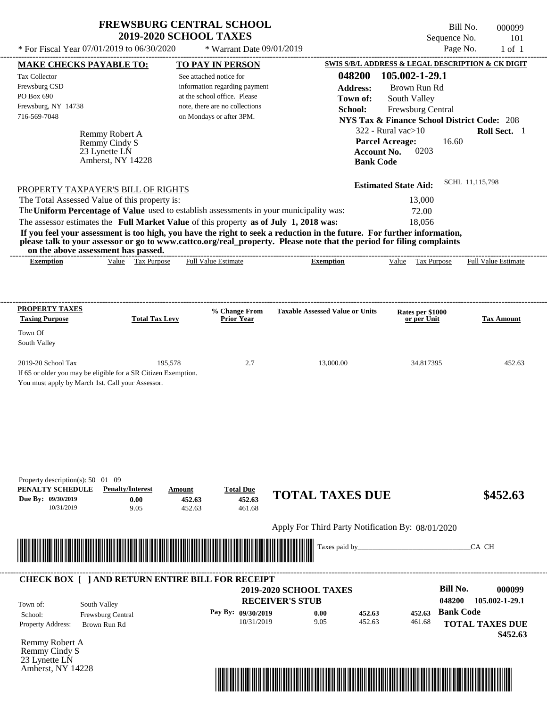| <b>FREWSBURG CENTRAL SCHOOL</b> |
|---------------------------------|
| <b>2019-2020 SCHOOL TAXES</b>   |

\* For Fiscal Year  $07/01/2019$  to  $06/30/2020$  \* Warrant Date  $09/01/2019$  Page No. 1 of 1

\* Warrant Date 09/01/2019

Bill No. 000099 Sequence No. 101<br>Page No. 1 of 1

| <b>MAKE CHECKS PAYABLE TO:</b>                                                                                                                                                                                                       |                                    | <b>TO PAY IN PERSON</b>                                                                 |                                                                                                                         | SWIS S/B/L ADDRESS & LEGAL DESCRIPTION & CK DIGIT      |                        |
|--------------------------------------------------------------------------------------------------------------------------------------------------------------------------------------------------------------------------------------|------------------------------------|-----------------------------------------------------------------------------------------|-------------------------------------------------------------------------------------------------------------------------|--------------------------------------------------------|------------------------|
| <b>Tax Collector</b>                                                                                                                                                                                                                 |                                    | See attached notice for                                                                 | 048200                                                                                                                  | 105.002-1-29.1                                         |                        |
| Frewsburg CSD                                                                                                                                                                                                                        |                                    | information regarding payment                                                           | <b>Address:</b>                                                                                                         | Brown Run Rd                                           |                        |
| PO Box 690                                                                                                                                                                                                                           |                                    | at the school office. Please                                                            | Town of:                                                                                                                | South Valley                                           |                        |
| Frewsburg, NY 14738<br>716-569-7048                                                                                                                                                                                                  |                                    | note, there are no collections                                                          | School:                                                                                                                 | Frewsburg Central                                      |                        |
|                                                                                                                                                                                                                                      |                                    | on Mondays or after 3PM.                                                                |                                                                                                                         | <b>NYS Tax &amp; Finance School District Code: 208</b> |                        |
|                                                                                                                                                                                                                                      | Remmy Robert A                     |                                                                                         |                                                                                                                         | $322$ - Rural vac $>10$                                | Roll Sect. 1           |
|                                                                                                                                                                                                                                      | Remmy Cindy S                      |                                                                                         |                                                                                                                         | <b>Parcel Acreage:</b><br>16.60<br>0203                |                        |
|                                                                                                                                                                                                                                      | 23 Lynette LN<br>Amherst, NY 14228 |                                                                                         | <b>Account No.</b><br><b>Bank Code</b>                                                                                  |                                                        |                        |
|                                                                                                                                                                                                                                      |                                    |                                                                                         |                                                                                                                         |                                                        |                        |
|                                                                                                                                                                                                                                      |                                    |                                                                                         |                                                                                                                         | <b>Estimated State Aid:</b>                            | SCHL 11,115,798        |
| PROPERTY TAXPAYER'S BILL OF RIGHTS<br>The Total Assessed Value of this property is:                                                                                                                                                  |                                    |                                                                                         |                                                                                                                         | 13,000                                                 |                        |
|                                                                                                                                                                                                                                      |                                    | The Uniform Percentage of Value used to establish assessments in your municipality was: |                                                                                                                         | 72.00                                                  |                        |
|                                                                                                                                                                                                                                      |                                    | The assessor estimates the Full Market Value of this property as of July 1, 2018 was:   |                                                                                                                         | 18,056                                                 |                        |
|                                                                                                                                                                                                                                      |                                    |                                                                                         | If you feel your assessment is too high, you have the right to seek a reduction in the future. For further information, |                                                        |                        |
|                                                                                                                                                                                                                                      |                                    |                                                                                         | please talk to your assessor or go to www.cattco.org/real_property. Please note that the period for filing complaints   |                                                        |                        |
| on the above assessment has passed.<br><b>Exemption</b>                                                                                                                                                                              | Value Tax Purpose                  | <b>Full Value Estimate</b>                                                              | <b>Exemption</b>                                                                                                        | Value Tax Purpose Full Value Estimate                  |                        |
|                                                                                                                                                                                                                                      |                                    |                                                                                         |                                                                                                                         |                                                        |                        |
|                                                                                                                                                                                                                                      |                                    |                                                                                         |                                                                                                                         |                                                        |                        |
|                                                                                                                                                                                                                                      |                                    |                                                                                         |                                                                                                                         |                                                        |                        |
| <b>PROPERTY TAXES</b><br><b>Taxing Purpose</b>                                                                                                                                                                                       | <b>Total Tax Levy</b>              | % Change From<br><b>Prior Year</b>                                                      | <b>Taxable Assessed Value or Units</b>                                                                                  | Rates per \$1000<br>or per Unit                        | <b>Tax Amount</b>      |
| Town Of                                                                                                                                                                                                                              |                                    |                                                                                         |                                                                                                                         |                                                        |                        |
| South Valley                                                                                                                                                                                                                         |                                    |                                                                                         |                                                                                                                         |                                                        |                        |
| 2019-20 School Tax                                                                                                                                                                                                                   | 195,578                            | 2.7                                                                                     | 13,000.00                                                                                                               | 34.817395                                              | 452.63                 |
| If 65 or older you may be eligible for a SR Citizen Exemption.                                                                                                                                                                       |                                    |                                                                                         |                                                                                                                         |                                                        |                        |
| You must apply by March 1st. Call your Assessor.                                                                                                                                                                                     |                                    |                                                                                         |                                                                                                                         |                                                        |                        |
|                                                                                                                                                                                                                                      |                                    |                                                                                         |                                                                                                                         |                                                        |                        |
|                                                                                                                                                                                                                                      |                                    |                                                                                         |                                                                                                                         |                                                        |                        |
|                                                                                                                                                                                                                                      |                                    |                                                                                         |                                                                                                                         |                                                        |                        |
|                                                                                                                                                                                                                                      |                                    |                                                                                         |                                                                                                                         |                                                        |                        |
|                                                                                                                                                                                                                                      |                                    |                                                                                         |                                                                                                                         |                                                        |                        |
|                                                                                                                                                                                                                                      |                                    |                                                                                         |                                                                                                                         |                                                        |                        |
| Property description(s): 50 01 09                                                                                                                                                                                                    |                                    |                                                                                         |                                                                                                                         |                                                        |                        |
| PENALTY SCHEDULE                                                                                                                                                                                                                     | <b>Penalty/Interest</b>            | <b>Total Due</b><br>Amount                                                              | <b>TOTAL TAXES DUE</b>                                                                                                  |                                                        | \$452.63               |
| Due By: 09/30/2019<br>10/31/2019                                                                                                                                                                                                     | 0.00<br>9.05                       | 452.63<br>452.63<br>452.63<br>461.68                                                    |                                                                                                                         |                                                        |                        |
|                                                                                                                                                                                                                                      |                                    |                                                                                         |                                                                                                                         |                                                        |                        |
|                                                                                                                                                                                                                                      |                                    |                                                                                         | Apply For Third Party Notification By: 08/01/2020                                                                       |                                                        |                        |
| <u> In the second control of the second control of the second control of the second control of the second control of the second control of the second control of the second control of the second control of the second control </u> |                                    |                                                                                         | Taxes paid by_                                                                                                          |                                                        | CA CH                  |
|                                                                                                                                                                                                                                      |                                    |                                                                                         |                                                                                                                         |                                                        |                        |
|                                                                                                                                                                                                                                      |                                    | <b>CHECK BOX [ ] AND RETURN ENTIRE BILL FOR RECEIPT</b>                                 |                                                                                                                         |                                                        |                        |
|                                                                                                                                                                                                                                      |                                    |                                                                                         | 2019-2020 SCHOOL TAXES                                                                                                  | <b>Bill No.</b>                                        | 000099                 |
| South Valley<br>Town of:                                                                                                                                                                                                             |                                    |                                                                                         | <b>RECEIVER'S STUB</b>                                                                                                  | 048200                                                 | 105.002-1-29.1         |
| School:                                                                                                                                                                                                                              | Frewsburg Central                  | Pay By: 09/30/2019                                                                      | 0.00<br>452.63                                                                                                          | <b>Bank Code</b><br>452.63                             |                        |
| <b>Property Address:</b>                                                                                                                                                                                                             | Brown Run Rd                       | 10/31/2019                                                                              | 9.05<br>452.63                                                                                                          | 461.68                                                 | <b>TOTAL TAXES DUE</b> |
|                                                                                                                                                                                                                                      |                                    |                                                                                         |                                                                                                                         |                                                        | \$452.63               |
| Remmy Robert A                                                                                                                                                                                                                       |                                    |                                                                                         |                                                                                                                         |                                                        |                        |
| Remmy Cindy S<br>23 Lynette LN                                                                                                                                                                                                       |                                    |                                                                                         |                                                                                                                         |                                                        |                        |
| Amherst, NY 14228                                                                                                                                                                                                                    |                                    |                                                                                         |                                                                                                                         |                                                        |                        |
|                                                                                                                                                                                                                                      |                                    |                                                                                         | <u> 1989 - Johann Stoff, Amerikaansk politiker (</u>                                                                    |                                                        |                        |
|                                                                                                                                                                                                                                      |                                    |                                                                                         |                                                                                                                         |                                                        |                        |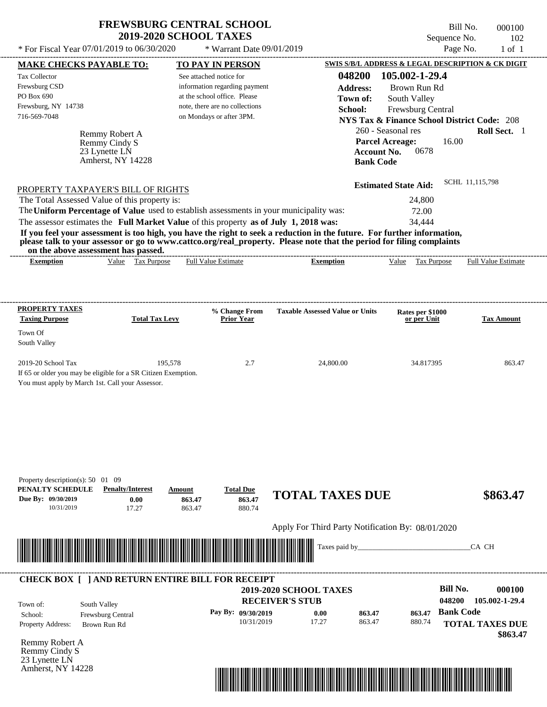See attached notice for

Full Value Estimate

Tax Collector Frewsburg CSD PO Box 690

Frewsburg, NY 14738

Remmy Robert A

Remmy Cindy S

23 Lynette LN Amherst, NY 14228

PROPERTY TAXPAYER'S BILL OF RIGHTS

**on the above assessment has passed. Exemption** Value Tax Purpose \* Warrant Date 09/01/2019

---------------------------------------------------------------------------------------------------------------------------------------------------------------------------------------------------- Bill No. 000100 Sequence No. 102 \* For Fiscal Year  $07/01/2019$  to  $06/30/2020$  \* Warrant Date  $09/01/2019$  Page No. 1 of 1 **MAKE CHECKS PAYABLE TO: TO PAY IN PERSON SWIS S/B/L ADDRESS & LEGAL DESCRIPTION & CK DIGIT 048200 105.002-1-29.4 Address:** Brown Run Rd South Valley **School:** Frewsburg Central **NYS Tax & Finance School District Code:** 208 260 - Seasonal res **Roll Sect.** 1 16.00 **Account No.** 0678 **Bank Code Estimated State Aid:** SCHL 11,115,798 The assessor estimates the **Full Market Value** of this property **as of July 1, 2018 was:** 34,444 The Total Assessed Value of this property is: 24,800 The **Uniform Percentage of Value** used to establish assessments in your municipality was: 72.00 **If you feel your assessment is too high, you have the right to seek a reduction in the future. For further information, please talk to your assessor or go to www.cattco.org/real\_property. Please note that the period for filing complaints** information regarding payment at the school office. Please note, there are no collections 716-569-7048 on Mondays or after 3PM. **Parcel Acreage:** ---------------------------------------------------------------------------------------------------------------------------------------------------------------------------------------------------- **Town of: Exemption** Value Tax Purpose Full Value Estimate

| <b>PROPERTY TAXES</b><br><b>Taxing Purpose</b>   | <b>Total Tax Levy</b>                                          | % Change From<br><b>Prior Year</b> | <b>Taxable Assessed Value or Units</b> | Rates per \$1000<br>or per Unit | <b>Tax Amount</b> |
|--------------------------------------------------|----------------------------------------------------------------|------------------------------------|----------------------------------------|---------------------------------|-------------------|
| Town Of                                          |                                                                |                                    |                                        |                                 |                   |
| South Valley                                     |                                                                |                                    |                                        |                                 |                   |
| $2019-20$ School Tax                             | 195,578                                                        | 2.7                                | 24,800.00                              | 34.817395                       | 863.47            |
|                                                  | If 65 or older you may be eligible for a SR Citizen Exemption. |                                    |                                        |                                 |                   |
| You must apply by March 1st. Call your Assessor. |                                                                |                                    |                                        |                                 |                   |

| Property description(s): $50$      | 09<br>01                                                |                                                                                                                        |                    |                                                   |                                                                                                                                                                                                                                |        |                           |
|------------------------------------|---------------------------------------------------------|------------------------------------------------------------------------------------------------------------------------|--------------------|---------------------------------------------------|--------------------------------------------------------------------------------------------------------------------------------------------------------------------------------------------------------------------------------|--------|---------------------------|
| PENALTY SCHEDULE                   | <b>Penalty/Interest</b>                                 | Amount                                                                                                                 | <b>Total Due</b>   | <b>TOTAL TAXES DUE</b>                            |                                                                                                                                                                                                                                |        | \$863.47                  |
| Due By: 09/30/2019                 | 0.00                                                    | 863.47                                                                                                                 | 863.47             |                                                   |                                                                                                                                                                                                                                |        |                           |
| 10/31/2019                         | 17.27                                                   | 863.47                                                                                                                 | 880.74             |                                                   |                                                                                                                                                                                                                                |        |                           |
|                                    |                                                         |                                                                                                                        |                    | Apply For Third Party Notification By: 08/01/2020 |                                                                                                                                                                                                                                |        |                           |
|                                    |                                                         |                                                                                                                        |                    |                                                   | Taxes paid by Taxes and the Taxes and the Taxes and the Taxes are the Taxes and the Taxes and the Taxes and the Taxes and the Taxes and the Taxes and the Taxes and the Taxes and the Taxes and the Taxes and the Taxes and th |        | CA CH                     |
|                                    |                                                         | <u> Andrew Maria (1989), provincia de la provincia de la provincia de la provincia de la provincia de la provincia</u> |                    |                                                   |                                                                                                                                                                                                                                |        |                           |
|                                    |                                                         |                                                                                                                        |                    |                                                   |                                                                                                                                                                                                                                |        |                           |
|                                    | <b>CHECK BOX [ ] AND RETURN ENTIRE BILL FOR RECEIPT</b> |                                                                                                                        |                    |                                                   |                                                                                                                                                                                                                                |        |                           |
|                                    |                                                         |                                                                                                                        |                    | <b>2019-2020 SCHOOL TAXES</b>                     |                                                                                                                                                                                                                                |        | <b>Bill No.</b><br>000100 |
| Town of:                           | South Valley                                            |                                                                                                                        |                    | <b>RECEIVER'S STUB</b>                            |                                                                                                                                                                                                                                |        | 105.002-1-29.4<br>048200  |
| School:                            | Frewsburg Central                                       |                                                                                                                        | Pay By: 09/30/2019 | 0.00                                              | 863.47                                                                                                                                                                                                                         | 863.47 | <b>Bank Code</b>          |
| Property Address:                  | Brown Run Rd                                            |                                                                                                                        | 10/31/2019         | 17.27                                             | 863.47                                                                                                                                                                                                                         | 880.74 | <b>TOTAL TAXES DUE</b>    |
|                                    |                                                         |                                                                                                                        |                    |                                                   |                                                                                                                                                                                                                                |        | \$863.47                  |
| Remmy Robert A                     |                                                         |                                                                                                                        |                    |                                                   |                                                                                                                                                                                                                                |        |                           |
| Remmy Cindy S                      |                                                         |                                                                                                                        |                    |                                                   |                                                                                                                                                                                                                                |        |                           |
| 23 Lynette LN<br>Amherst, NY 14228 |                                                         |                                                                                                                        |                    |                                                   |                                                                                                                                                                                                                                |        |                           |
|                                    |                                                         |                                                                                                                        |                    |                                                   |                                                                                                                                                                                                                                |        |                           |
|                                    |                                                         |                                                                                                                        |                    |                                                   |                                                                                                                                                                                                                                |        |                           |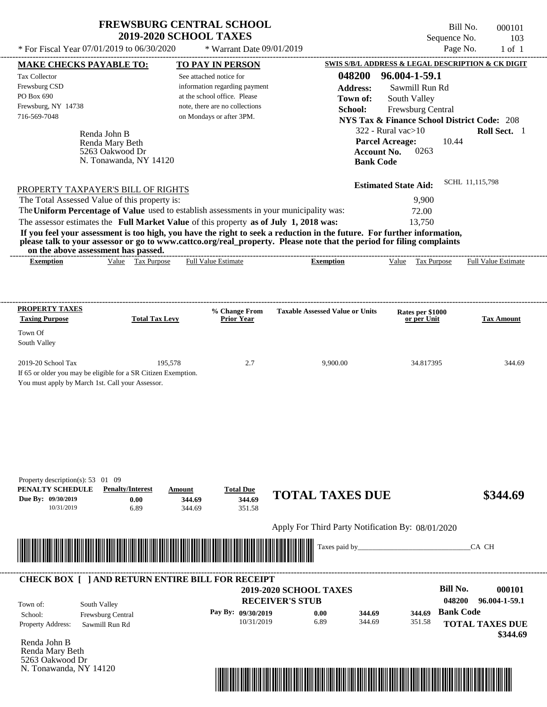$*$  For Fiscal Year 07/01/2019 to 06/30/2020

 $*$  Warrant Date  $09/01/2019$ 

Bill No. 000101 Sequence No. 103<br>Page No. 1 of 1

| <b>MAKE CHECKS PAYABLE TO:</b>                                                                                          |                                 |                        |                            | <b>TO PAY IN PERSON</b>              |                                                   |                      |                             |                                 |                  | SWIS S/B/L ADDRESS & LEGAL DESCRIPTION & CK DIGIT      |
|-------------------------------------------------------------------------------------------------------------------------|---------------------------------|------------------------|----------------------------|--------------------------------------|---------------------------------------------------|----------------------|-----------------------------|---------------------------------|------------------|--------------------------------------------------------|
| <b>Tax Collector</b>                                                                                                    |                                 |                        | See attached notice for    |                                      |                                                   | 048200 96.004-1-59.1 |                             |                                 |                  |                                                        |
| Frewsburg CSD                                                                                                           |                                 |                        |                            | information regarding payment        |                                                   | <b>Address:</b>      |                             | Sawmill Run Rd                  |                  |                                                        |
| PO Box 690                                                                                                              |                                 |                        |                            | at the school office. Please         |                                                   | Town of:             |                             | South Valley                    |                  |                                                        |
| Frewsburg, NY 14738                                                                                                     |                                 |                        |                            | note, there are no collections       |                                                   | School:              |                             | Frewsburg Central               |                  |                                                        |
| 716-569-7048                                                                                                            |                                 |                        |                            | on Mondays or after 3PM.             |                                                   |                      |                             |                                 |                  | <b>NYS Tax &amp; Finance School District Code: 208</b> |
|                                                                                                                         |                                 |                        |                            |                                      |                                                   |                      | $322$ - Rural vac $>10$     |                                 |                  | Roll Sect. 1                                           |
|                                                                                                                         | Renda John B<br>Renda Mary Beth |                        |                            |                                      |                                                   |                      | <b>Parcel Acreage:</b>      |                                 | 10.44            |                                                        |
|                                                                                                                         | 5263 Oakwood Dr                 |                        |                            |                                      |                                                   |                      | <b>Account No.</b>          | 0263                            |                  |                                                        |
|                                                                                                                         |                                 | N. Tonawanda, NY 14120 |                            |                                      |                                                   |                      | <b>Bank Code</b>            |                                 |                  |                                                        |
|                                                                                                                         |                                 |                        |                            |                                      |                                                   |                      |                             |                                 |                  |                                                        |
| PROPERTY TAXPAYER'S BILL OF RIGHTS                                                                                      |                                 |                        |                            |                                      |                                                   |                      | <b>Estimated State Aid:</b> |                                 |                  | SCHL 11,115,798                                        |
| The Total Assessed Value of this property is:                                                                           |                                 |                        |                            |                                      |                                                   |                      |                             | 9,900                           |                  |                                                        |
| The Uniform Percentage of Value used to establish assessments in your municipality was:                                 |                                 |                        |                            |                                      |                                                   |                      |                             | 72.00                           |                  |                                                        |
| The assessor estimates the Full Market Value of this property as of July 1, 2018 was:                                   |                                 |                        |                            |                                      |                                                   |                      |                             | 13,750                          |                  |                                                        |
| If you feel your assessment is too high, you have the right to seek a reduction in the future. For further information, |                                 |                        |                            |                                      |                                                   |                      |                             |                                 |                  |                                                        |
| please talk to your assessor or go to www.cattco.org/real_property. Please note that the period for filing complaints   |                                 |                        |                            |                                      |                                                   |                      |                             |                                 |                  |                                                        |
| on the above assessment has passed.<br><b>Exemption</b>                                                                 |                                 | Value Tax Purpose      |                            | <b>Full Value Estimate</b>           | <b>Exemption</b>                                  |                      |                             | Value Tax Purpose               |                  | <b>Full Value Estimate</b>                             |
|                                                                                                                         |                                 |                        |                            |                                      |                                                   |                      |                             |                                 |                  |                                                        |
|                                                                                                                         |                                 |                        |                            |                                      |                                                   |                      |                             |                                 |                  |                                                        |
|                                                                                                                         |                                 |                        |                            |                                      |                                                   |                      |                             |                                 |                  |                                                        |
| <b>PROPERTY TAXES</b><br><b>Taxing Purpose</b>                                                                          |                                 | <b>Total Tax Levy</b>  |                            | % Change From<br><b>Prior Year</b>   | <b>Taxable Assessed Value or Units</b>            |                      |                             | Rates per \$1000<br>or per Unit |                  | <b>Tax Amount</b>                                      |
|                                                                                                                         |                                 |                        |                            |                                      |                                                   |                      |                             |                                 |                  |                                                        |
| Town Of<br>South Valley                                                                                                 |                                 |                        |                            |                                      |                                                   |                      |                             |                                 |                  |                                                        |
| 2019-20 School Tax<br>If 65 or older you may be eligible for a SR Citizen Exemption.                                    |                                 | 195,578                |                            | 2.7                                  |                                                   | 9,900.00             |                             | 34.817395                       |                  | 344.69                                                 |
| You must apply by March 1st. Call your Assessor.                                                                        |                                 |                        |                            |                                      |                                                   |                      |                             |                                 |                  |                                                        |
| Property description(s): $53 \quad 01 \quad 09$<br>PENALTY SCHEDULE<br>Due By: 09/30/2019<br>10/31/2019                 | <b>Penalty/Interest</b>         | 0.00<br>6.89           | Amount<br>344.69<br>344.69 | <b>Total Due</b><br>344.69<br>351.58 | <b>TOTAL TAXES DUE</b>                            |                      |                             |                                 |                  | \$344.69                                               |
|                                                                                                                         |                                 |                        |                            |                                      | Apply For Third Party Notification By: 08/01/2020 |                      |                             |                                 |                  |                                                        |
|                                                                                                                         |                                 |                        |                            |                                      |                                                   | Taxes paid by        |                             |                                 |                  |                                                        |
|                                                                                                                         |                                 |                        |                            |                                      |                                                   |                      |                             |                                 |                  | CA CH                                                  |
| <b>CHECK BOX [ ] AND RETURN ENTIRE BILL FOR RECEIPT</b>                                                                 |                                 |                        |                            |                                      |                                                   |                      |                             |                                 |                  |                                                        |
|                                                                                                                         |                                 |                        |                            |                                      | 2019-2020 SCHOOL TAXES                            |                      |                             |                                 | <b>Bill No.</b>  | 000101                                                 |
| Town of:                                                                                                                | South Valley                    |                        |                            |                                      | <b>RECEIVER'S STUB</b>                            |                      |                             |                                 | 048200           | 96.004-1-59.1                                          |
| School:                                                                                                                 | Frewsburg Central               |                        |                            | Pay By: 09/30/2019                   | 0.00                                              | 344.69               |                             | 344.69                          | <b>Bank Code</b> |                                                        |
| Property Address:                                                                                                       | Sawmill Run Rd                  |                        |                            | 10/31/2019                           | 6.89                                              | 344.69               |                             | 351.58                          |                  | <b>TOTAL TAXES DUE</b>                                 |
|                                                                                                                         |                                 |                        |                            |                                      |                                                   |                      |                             |                                 |                  | \$344.69                                               |
| Renda John B<br>Renda Mary Beth                                                                                         |                                 |                        |                            |                                      |                                                   |                      |                             |                                 |                  |                                                        |
| 5263 Oakwood Dr                                                                                                         |                                 |                        |                            |                                      |                                                   |                      |                             |                                 |                  |                                                        |
| N. Tonawanda, NY 14120                                                                                                  |                                 |                        |                            |                                      |                                                   |                      |                             |                                 |                  |                                                        |

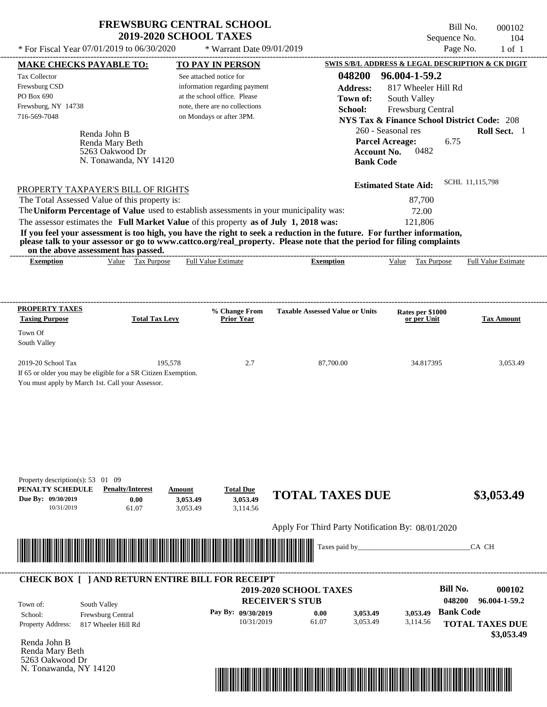\* For Fiscal Year  $07/01/2019$  to  $06/30/2020$  \* Warrant Date  $09/01/2019$  Page No. 1 of 1

\* Warrant Date 09/01/2019

Bill No. 000102 Sequence No. 104<br>Page No. 1 of 1

| <b>MAKE CHECKS PAYABLE TO:</b>                                                          |                                   | <b>TO PAY IN PERSON</b>        |                                                                                                                         | SWIS S/B/L ADDRESS & LEGAL DESCRIPTION & CK DIGIT      |                            |
|-----------------------------------------------------------------------------------------|-----------------------------------|--------------------------------|-------------------------------------------------------------------------------------------------------------------------|--------------------------------------------------------|----------------------------|
| Tax Collector                                                                           |                                   | See attached notice for        | 048200                                                                                                                  | 96.004-1-59.2                                          |                            |
| Frewsburg CSD                                                                           |                                   | information regarding payment  | <b>Address:</b>                                                                                                         | 817 Wheeler Hill Rd                                    |                            |
| PO Box 690                                                                              |                                   | at the school office. Please   | Town of:                                                                                                                | South Valley                                           |                            |
| Frewsburg, NY 14738                                                                     |                                   | note, there are no collections | School:                                                                                                                 | Frewsburg Central                                      |                            |
| 716-569-7048                                                                            |                                   | on Mondays or after 3PM.       |                                                                                                                         | <b>NYS Tax &amp; Finance School District Code: 208</b> |                            |
| Renda John B                                                                            |                                   |                                |                                                                                                                         | 260 - Seasonal res                                     | Roll Sect. 1               |
| Renda Mary Beth                                                                         |                                   |                                | <b>Parcel Acreage:</b>                                                                                                  | 6.75                                                   |                            |
| 5263 Oakwood Dr                                                                         |                                   |                                | <b>Account No.</b>                                                                                                      | 0482                                                   |                            |
|                                                                                         | N. Tonawanda, NY 14120            |                                | <b>Bank Code</b>                                                                                                        |                                                        |                            |
|                                                                                         |                                   |                                |                                                                                                                         | <b>Estimated State Aid:</b>                            | SCHL 11,115,798            |
| PROPERTY TAXPAYER'S BILL OF RIGHTS<br>The Total Assessed Value of this property is:     |                                   |                                |                                                                                                                         | 87,700                                                 |                            |
| The Uniform Percentage of Value used to establish assessments in your municipality was: |                                   |                                |                                                                                                                         | 72.00                                                  |                            |
| The assessor estimates the Full Market Value of this property as of July 1, 2018 was:   |                                   |                                |                                                                                                                         | 121,806                                                |                            |
|                                                                                         |                                   |                                | If you feel your assessment is too high, you have the right to seek a reduction in the future. For further information, |                                                        |                            |
|                                                                                         |                                   |                                | please talk to your assessor or go to www.cattco.org/real_property. Please note that the period for filing complaints   |                                                        |                            |
| on the above assessment has passed.<br><b>Exemption</b>                                 | Value Tax Purpose                 | <b>Full Value Estimate</b>     | <b>Exemption</b>                                                                                                        | Value Tax Purpose                                      | <b>Full Value Estimate</b> |
|                                                                                         |                                   |                                |                                                                                                                         |                                                        |                            |
|                                                                                         |                                   |                                |                                                                                                                         |                                                        |                            |
|                                                                                         |                                   |                                |                                                                                                                         |                                                        |                            |
| <b>PROPERTY TAXES</b>                                                                   |                                   | % Change From                  | <b>Taxable Assessed Value or Units</b>                                                                                  | Rates per \$1000                                       |                            |
| <b>Taxing Purpose</b>                                                                   | <b>Total Tax Levy</b>             | Prior Year                     |                                                                                                                         | or per Unit                                            | <b>Tax Amount</b>          |
| Town Of                                                                                 |                                   |                                |                                                                                                                         |                                                        |                            |
| South Valley                                                                            |                                   |                                |                                                                                                                         |                                                        |                            |
| 2019-20 School Tax                                                                      | 195,578                           | 2.7                            | 87,700.00                                                                                                               | 34.817395                                              | 3,053.49                   |
| If 65 or older you may be eligible for a SR Citizen Exemption.                          |                                   |                                |                                                                                                                         |                                                        |                            |
| You must apply by March 1st. Call your Assessor.                                        |                                   |                                |                                                                                                                         |                                                        |                            |
|                                                                                         |                                   |                                |                                                                                                                         |                                                        |                            |
|                                                                                         |                                   |                                |                                                                                                                         |                                                        |                            |
|                                                                                         |                                   |                                |                                                                                                                         |                                                        |                            |
|                                                                                         |                                   |                                |                                                                                                                         |                                                        |                            |
|                                                                                         |                                   |                                |                                                                                                                         |                                                        |                            |
|                                                                                         |                                   |                                |                                                                                                                         |                                                        |                            |
|                                                                                         |                                   |                                |                                                                                                                         |                                                        |                            |
| Property description(s): 53 01 09                                                       |                                   |                                |                                                                                                                         |                                                        |                            |
| PENALTY SCHEDULE                                                                        | <b>Penalty/Interest</b><br>Amount | <b>Total Due</b>               | <b>TOTAL TAXES DUE</b>                                                                                                  |                                                        | \$3,053.49                 |
| Due By: 09/30/2019                                                                      | 0.00                              | 3,053.49<br>3,053.49           |                                                                                                                         |                                                        |                            |
| 10/31/2019                                                                              | 61.07                             | 3,053.49<br>3,114.56           |                                                                                                                         |                                                        |                            |
|                                                                                         |                                   |                                | Apply For Third Party Notification By: 08/01/2020                                                                       |                                                        |                            |
|                                                                                         |                                   |                                | Taxes paid by_                                                                                                          |                                                        | CA CH                      |
|                                                                                         |                                   |                                |                                                                                                                         |                                                        |                            |
|                                                                                         |                                   |                                |                                                                                                                         |                                                        |                            |
| <b>CHECK BOX [ ] AND RETURN ENTIRE BILL FOR RECEIPT</b>                                 |                                   |                                |                                                                                                                         |                                                        |                            |
|                                                                                         |                                   |                                | 2019-2020 SCHOOL TAXES                                                                                                  | <b>Bill No.</b>                                        | 000102                     |
| South Valley<br>Town of:                                                                |                                   |                                | <b>RECEIVER'S STUB</b>                                                                                                  | 048200                                                 | 96.004-1-59.2              |
| Frewsburg Central<br>School:                                                            |                                   | Pay By: 09/30/2019             | 0.00<br>3,053.49                                                                                                        | <b>Bank Code</b><br>3,053.49                           |                            |
| Property Address:<br>817 Wheeler Hill Rd                                                |                                   | 10/31/2019                     | 61.07<br>3,053.49                                                                                                       | 3,114.56                                               | <b>TOTAL TAXES DUE</b>     |
|                                                                                         |                                   |                                |                                                                                                                         |                                                        | \$3,053.49                 |
| Renda John B<br>Renda Mary Beth                                                         |                                   |                                |                                                                                                                         |                                                        |                            |
| 5263 Oakwood Dr                                                                         |                                   |                                |                                                                                                                         |                                                        |                            |
| N. Tonawanda, NY 14120                                                                  |                                   |                                |                                                                                                                         |                                                        |                            |
|                                                                                         |                                   |                                |                                                                                                                         |                                                        |                            |
|                                                                                         |                                   |                                |                                                                                                                         |                                                        |                            |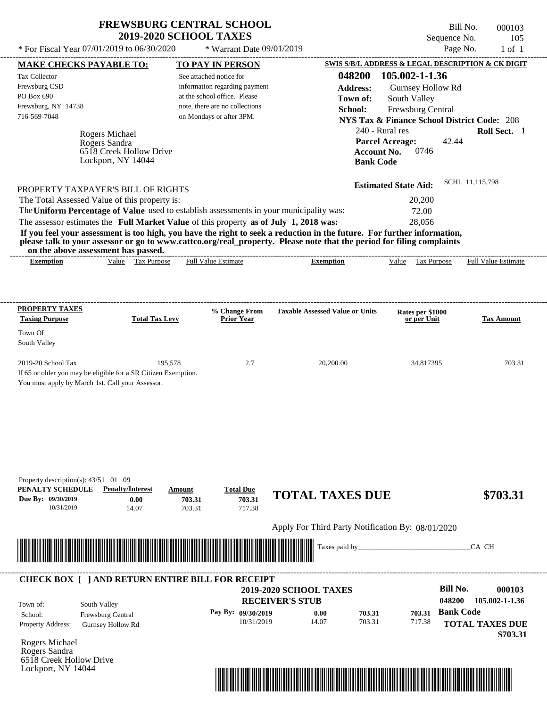\* For Fiscal Year  $07/01/2019$  to  $06/30/2020$  \* Warrant Date  $09/01/2019$  Page No. 1 of 1

\* Warrant Date 09/01/2019

Bill No. 000103 Sequence No. 105

| <b>MAKE CHECKS PAYABLE TO:</b>                                                                                                                                                                                                                   |                                               |                  | <b>TO PAY IN PERSON</b>            |                                                   |                  | SWIS S/B/L ADDRESS & LEGAL DESCRIPTION & CK DIGIT      |                  |                            |
|--------------------------------------------------------------------------------------------------------------------------------------------------------------------------------------------------------------------------------------------------|-----------------------------------------------|------------------|------------------------------------|---------------------------------------------------|------------------|--------------------------------------------------------|------------------|----------------------------|
| Tax Collector                                                                                                                                                                                                                                    |                                               |                  | See attached notice for            |                                                   |                  | 048200 105.002-1-1.36                                  |                  |                            |
| Frewsburg CSD                                                                                                                                                                                                                                    |                                               |                  | information regarding payment      |                                                   | <b>Address:</b>  | Gurnsey Hollow Rd                                      |                  |                            |
| PO Box 690                                                                                                                                                                                                                                       |                                               |                  | at the school office. Please       |                                                   | Town of:         | South Valley                                           |                  |                            |
| Frewsburg, NY 14738                                                                                                                                                                                                                              |                                               |                  | note, there are no collections     |                                                   | School:          | Frewsburg Central                                      |                  |                            |
| 716-569-7048                                                                                                                                                                                                                                     |                                               |                  | on Mondays or after 3PM.           |                                                   |                  | <b>NYS Tax &amp; Finance School District Code: 208</b> |                  |                            |
|                                                                                                                                                                                                                                                  |                                               |                  |                                    |                                                   |                  |                                                        |                  |                            |
|                                                                                                                                                                                                                                                  | Rogers Michael                                |                  |                                    |                                                   |                  | 240 - Rural res                                        |                  | Roll Sect. 1               |
|                                                                                                                                                                                                                                                  | Rogers Sandra                                 |                  |                                    |                                                   |                  | <b>Parcel Acreage:</b>                                 | 42.44            |                            |
|                                                                                                                                                                                                                                                  | 6518 Creek Hollow Drive<br>Lockport, NY 14044 |                  |                                    |                                                   |                  | <b>Account No.</b><br>0746                             |                  |                            |
|                                                                                                                                                                                                                                                  |                                               |                  |                                    |                                                   | <b>Bank Code</b> |                                                        |                  |                            |
| PROPERTY TAXPAYER'S BILL OF RIGHTS                                                                                                                                                                                                               |                                               |                  |                                    |                                                   |                  | <b>Estimated State Aid:</b>                            |                  | SCHL 11.115.798            |
| The Total Assessed Value of this property is:                                                                                                                                                                                                    |                                               |                  |                                    |                                                   |                  | 20,200                                                 |                  |                            |
| The Uniform Percentage of Value used to establish assessments in your municipality was:                                                                                                                                                          |                                               |                  |                                    |                                                   |                  | 72.00                                                  |                  |                            |
|                                                                                                                                                                                                                                                  |                                               |                  |                                    |                                                   |                  |                                                        |                  |                            |
| The assessor estimates the Full Market Value of this property as of July 1, 2018 was:                                                                                                                                                            |                                               |                  |                                    |                                                   |                  | 28,056                                                 |                  |                            |
| If you feel your assessment is too high, you have the right to seek a reduction in the future. For further information,<br>please talk to your assessor or go to www.cattco.org/real_property. Please note that the period for filing complaints |                                               |                  |                                    |                                                   |                  |                                                        |                  |                            |
| on the above assessment has passed.<br><b>Exemption</b>                                                                                                                                                                                          | Value Tax Purpose                             |                  | Full Value Estimate                | <b>Exemption</b>                                  |                  | Value Tax Purpose                                      |                  | <b>Full Value Estimate</b> |
|                                                                                                                                                                                                                                                  |                                               |                  |                                    |                                                   |                  |                                                        |                  |                            |
|                                                                                                                                                                                                                                                  |                                               |                  |                                    |                                                   |                  |                                                        |                  |                            |
| <b>PROPERTY TAXES</b><br><b>Taxing Purpose</b>                                                                                                                                                                                                   | <b>Total Tax Levy</b>                         |                  | % Change From<br><b>Prior Year</b> | <b>Taxable Assessed Value or Units</b>            |                  | Rates per \$1000<br>or per Unit                        |                  | <b>Tax Amount</b>          |
| Town Of                                                                                                                                                                                                                                          |                                               |                  |                                    |                                                   |                  |                                                        |                  |                            |
| South Valley                                                                                                                                                                                                                                     |                                               |                  |                                    |                                                   |                  |                                                        |                  |                            |
| 2019-20 School Tax                                                                                                                                                                                                                               |                                               | 195,578          | 2.7                                | 20,200.00                                         |                  | 34.817395                                              |                  | 703.31                     |
| If 65 or older you may be eligible for a SR Citizen Exemption.                                                                                                                                                                                   |                                               |                  |                                    |                                                   |                  |                                                        |                  |                            |
| You must apply by March 1st. Call your Assessor.                                                                                                                                                                                                 |                                               |                  |                                    |                                                   |                  |                                                        |                  |                            |
|                                                                                                                                                                                                                                                  |                                               |                  |                                    |                                                   |                  |                                                        |                  |                            |
|                                                                                                                                                                                                                                                  |                                               |                  |                                    |                                                   |                  |                                                        |                  |                            |
|                                                                                                                                                                                                                                                  |                                               |                  |                                    |                                                   |                  |                                                        |                  |                            |
|                                                                                                                                                                                                                                                  |                                               |                  |                                    |                                                   |                  |                                                        |                  |                            |
|                                                                                                                                                                                                                                                  |                                               |                  |                                    |                                                   |                  |                                                        |                  |                            |
|                                                                                                                                                                                                                                                  |                                               |                  |                                    |                                                   |                  |                                                        |                  |                            |
|                                                                                                                                                                                                                                                  |                                               |                  |                                    |                                                   |                  |                                                        |                  |                            |
| Property description(s): $43/51$ 01 09                                                                                                                                                                                                           |                                               |                  |                                    |                                                   |                  |                                                        |                  |                            |
| PENALTY SCHEDULE                                                                                                                                                                                                                                 | <b>Penalty/Interest</b>                       | Amount           | <b>Total Due</b>                   | <b>TOTAL TAXES DUE</b>                            |                  |                                                        |                  | \$703.31                   |
| Due By: 09/30/2019<br>10/31/2019                                                                                                                                                                                                                 | 0.00<br>14.07                                 | 703.31<br>703.31 | 703.31<br>717.38                   |                                                   |                  |                                                        |                  |                            |
|                                                                                                                                                                                                                                                  |                                               |                  |                                    |                                                   |                  |                                                        |                  |                            |
|                                                                                                                                                                                                                                                  |                                               |                  |                                    | Apply For Third Party Notification By: 08/01/2020 |                  |                                                        |                  |                            |
|                                                                                                                                                                                                                                                  |                                               |                  |                                    |                                                   | Taxes paid by_   |                                                        |                  | CA CH                      |
| <u> Maria Maria Maria Maria Maria Maria Maria Maria Maria Maria Maria Maria Maria Maria Maria Maria Maria Maria </u>                                                                                                                             |                                               |                  |                                    |                                                   |                  |                                                        |                  |                            |
|                                                                                                                                                                                                                                                  |                                               |                  |                                    |                                                   |                  |                                                        |                  |                            |
| <b>CHECK BOX [ ] AND RETURN ENTIRE BILL FOR RECEIPT</b>                                                                                                                                                                                          |                                               |                  |                                    |                                                   |                  |                                                        |                  |                            |
|                                                                                                                                                                                                                                                  |                                               |                  |                                    | 2019-2020 SCHOOL TAXES                            |                  |                                                        | <b>Bill No.</b>  | 000103                     |
| Town of:                                                                                                                                                                                                                                         | South Valley                                  |                  |                                    | <b>RECEIVER'S STUB</b>                            |                  |                                                        | 048200           | 105.002-1-1.36             |
| School:                                                                                                                                                                                                                                          | Frewsburg Central                             |                  | Pay By: 09/30/2019                 | 0.00                                              | 703.31           | 703.31                                                 | <b>Bank Code</b> |                            |
| <b>Property Address:</b>                                                                                                                                                                                                                         | Gurnsey Hollow Rd                             |                  | 10/31/2019                         | 14.07                                             | 703.31           | 717.38                                                 |                  | <b>TOTAL TAXES DUE</b>     |
|                                                                                                                                                                                                                                                  |                                               |                  |                                    |                                                   |                  |                                                        |                  | \$703.31                   |
| Rogers Michael                                                                                                                                                                                                                                   |                                               |                  |                                    |                                                   |                  |                                                        |                  |                            |
| Rogers Sandra                                                                                                                                                                                                                                    |                                               |                  |                                    |                                                   |                  |                                                        |                  |                            |
| 6518 Creek Hollow Drive                                                                                                                                                                                                                          |                                               |                  |                                    |                                                   |                  |                                                        |                  |                            |
| Lockport, NY 14044                                                                                                                                                                                                                               |                                               |                  |                                    |                                                   |                  |                                                        |                  |                            |

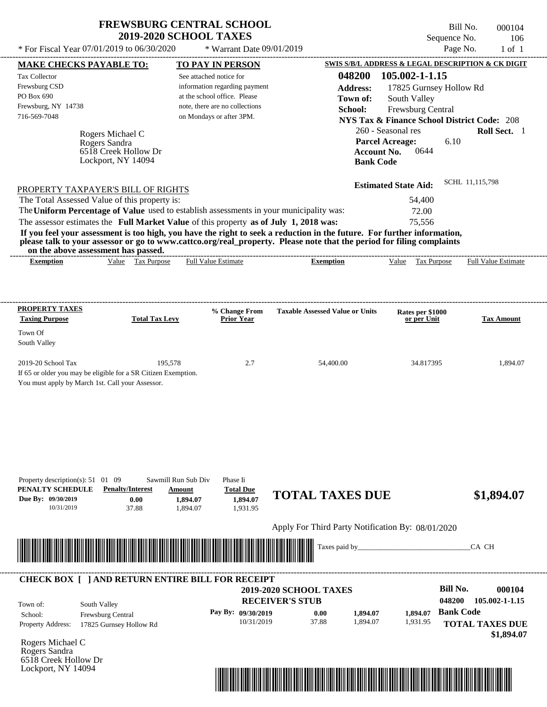Bill No. 000104 Sequence No. 106<br>Page No. 1 of 1

| * For Fiscal Year 07/01/2019 to 06/30/2020                                                                                                                                                                                           |                                                          | * Warrant Date 09/01/2019                                     |                                                                                                                         |                             | Page No.<br>$1$ of $1$                                 |
|--------------------------------------------------------------------------------------------------------------------------------------------------------------------------------------------------------------------------------------|----------------------------------------------------------|---------------------------------------------------------------|-------------------------------------------------------------------------------------------------------------------------|-----------------------------|--------------------------------------------------------|
| <b>MAKE CHECKS PAYABLE TO:</b>                                                                                                                                                                                                       |                                                          | <b>TO PAY IN PERSON</b>                                       |                                                                                                                         |                             | SWIS S/B/L ADDRESS & LEGAL DESCRIPTION & CK DIGIT      |
| Tax Collector                                                                                                                                                                                                                        |                                                          | See attached notice for                                       | 048200                                                                                                                  | 105.002-1-1.15              |                                                        |
| Frewsburg CSD<br>PO Box 690                                                                                                                                                                                                          |                                                          | information regarding payment<br>at the school office. Please | <b>Address:</b>                                                                                                         | 17825 Gurnsey Hollow Rd     |                                                        |
| Frewsburg, NY 14738                                                                                                                                                                                                                  |                                                          | note, there are no collections                                | Town of:                                                                                                                | South Valley                |                                                        |
| 716-569-7048                                                                                                                                                                                                                         |                                                          | on Mondays or after 3PM.                                      | School:                                                                                                                 | Frewsburg Central           | <b>NYS Tax &amp; Finance School District Code: 208</b> |
|                                                                                                                                                                                                                                      |                                                          |                                                               |                                                                                                                         | 260 - Seasonal res          | Roll Sect. 1                                           |
| Rogers Michael C<br>Rogers Sandra                                                                                                                                                                                                    |                                                          |                                                               |                                                                                                                         | <b>Parcel Acreage:</b>      | 6.10                                                   |
| 6518 Creek Hollow Dr                                                                                                                                                                                                                 |                                                          |                                                               |                                                                                                                         | <b>Account No.</b><br>0644  |                                                        |
| Lockport, NY 14094                                                                                                                                                                                                                   |                                                          |                                                               |                                                                                                                         | <b>Bank Code</b>            |                                                        |
|                                                                                                                                                                                                                                      |                                                          |                                                               |                                                                                                                         |                             | SCHL 11,115,798                                        |
| PROPERTY TAXPAYER'S BILL OF RIGHTS                                                                                                                                                                                                   |                                                          |                                                               |                                                                                                                         | <b>Estimated State Aid:</b> |                                                        |
| The Total Assessed Value of this property is:                                                                                                                                                                                        |                                                          |                                                               |                                                                                                                         | 54,400                      |                                                        |
| The Uniform Percentage of Value used to establish assessments in your municipality was:                                                                                                                                              |                                                          |                                                               |                                                                                                                         | 72.00                       |                                                        |
| The assessor estimates the Full Market Value of this property as of July 1, 2018 was:                                                                                                                                                |                                                          |                                                               | If you feel your assessment is too high, you have the right to seek a reduction in the future. For further information, | 75,556                      |                                                        |
| please talk to your assessor or go to www.cattco.org/real_property. Please note that the period for filing complaints                                                                                                                |                                                          |                                                               |                                                                                                                         |                             |                                                        |
| on the above assessment has passed.                                                                                                                                                                                                  |                                                          |                                                               |                                                                                                                         |                             |                                                        |
| <b>Exemption</b>                                                                                                                                                                                                                     | Value Tax Purpose                                        | <b>Full Value Estimate</b>                                    | <b>Exemption</b>                                                                                                        | Value Tax Purpose           | <b>Full Value Estimate</b>                             |
|                                                                                                                                                                                                                                      |                                                          |                                                               |                                                                                                                         |                             |                                                        |
|                                                                                                                                                                                                                                      |                                                          |                                                               |                                                                                                                         |                             |                                                        |
| <b>PROPERTY TAXES</b>                                                                                                                                                                                                                |                                                          | % Change From                                                 | <b>Taxable Assessed Value or Units</b>                                                                                  | Rates per \$1000            |                                                        |
| <b>Taxing Purpose</b>                                                                                                                                                                                                                | <b>Total Tax Levy</b>                                    | <b>Prior Year</b>                                             |                                                                                                                         | or per Unit                 | <b>Tax Amount</b>                                      |
| Town Of                                                                                                                                                                                                                              |                                                          |                                                               |                                                                                                                         |                             |                                                        |
| South Valley                                                                                                                                                                                                                         |                                                          |                                                               |                                                                                                                         |                             |                                                        |
| 2019-20 School Tax                                                                                                                                                                                                                   | 195,578                                                  | 2.7                                                           | 54,400.00                                                                                                               | 34.817395                   | 1,894.07                                               |
| If 65 or older you may be eligible for a SR Citizen Exemption.                                                                                                                                                                       |                                                          |                                                               |                                                                                                                         |                             |                                                        |
| You must apply by March 1st. Call your Assessor.                                                                                                                                                                                     |                                                          |                                                               |                                                                                                                         |                             |                                                        |
|                                                                                                                                                                                                                                      |                                                          |                                                               |                                                                                                                         |                             |                                                        |
|                                                                                                                                                                                                                                      |                                                          |                                                               |                                                                                                                         |                             |                                                        |
|                                                                                                                                                                                                                                      |                                                          |                                                               |                                                                                                                         |                             |                                                        |
|                                                                                                                                                                                                                                      |                                                          |                                                               |                                                                                                                         |                             |                                                        |
|                                                                                                                                                                                                                                      |                                                          |                                                               |                                                                                                                         |                             |                                                        |
|                                                                                                                                                                                                                                      |                                                          |                                                               |                                                                                                                         |                             |                                                        |
|                                                                                                                                                                                                                                      |                                                          |                                                               |                                                                                                                         |                             |                                                        |
| Property description(s): $51 \quad 01 \quad 09$<br>PENALTY SCHEDULE                                                                                                                                                                  | Sawmill Run Sub Div<br><b>Penalty/Interest</b><br>Amount | Phase Ii<br><b>Total Due</b>                                  |                                                                                                                         |                             |                                                        |
| Due By: 09/30/2019                                                                                                                                                                                                                   | 0.00<br>1,894.07                                         | 1,894.07                                                      | <b>TOTAL TAXES DUE</b>                                                                                                  |                             | \$1,894.07                                             |
| 10/31/2019                                                                                                                                                                                                                           | 37.88<br>1,894.07                                        | 1,931.95                                                      |                                                                                                                         |                             |                                                        |
|                                                                                                                                                                                                                                      |                                                          |                                                               | Apply For Third Party Notification By: 08/01/2020                                                                       |                             |                                                        |
|                                                                                                                                                                                                                                      |                                                          |                                                               |                                                                                                                         |                             |                                                        |
| <u> Indian American State of Barbara and The Barbara and The Barbara and The Barbara and The Barbara and The Barbara and The Barbara and The Barbara and The Barbara and The Barbara and The Barbara and The Barbara and The Bar</u> |                                                          |                                                               | Taxes paid by_                                                                                                          |                             | CA CH                                                  |
|                                                                                                                                                                                                                                      |                                                          |                                                               |                                                                                                                         |                             |                                                        |
|                                                                                                                                                                                                                                      |                                                          |                                                               |                                                                                                                         |                             |                                                        |
| <b>CHECK BOX [ ] AND RETURN ENTIRE BILL FOR RECEIPT</b>                                                                                                                                                                              |                                                          |                                                               | 2019-2020 SCHOOL TAXES                                                                                                  |                             | <b>Bill No.</b><br>000104                              |
|                                                                                                                                                                                                                                      |                                                          |                                                               | <b>RECEIVER'S STUB</b>                                                                                                  |                             | 048200<br>105.002-1-1.15                               |
| South Valley<br>Town of:<br>Frewsburg Central<br>School:                                                                                                                                                                             |                                                          | Pay By: 09/30/2019                                            | 0.00<br>1,894.07                                                                                                        | 1.894.07                    | <b>Bank Code</b>                                       |
| <b>Property Address:</b><br>17825 Gurnsey Hollow Rd                                                                                                                                                                                  |                                                          | 10/31/2019                                                    | 37.88<br>1,894.07                                                                                                       | 1,931.95                    | <b>TOTAL TAXES DUE</b>                                 |
|                                                                                                                                                                                                                                      |                                                          |                                                               |                                                                                                                         |                             | \$1,894.07                                             |
| Rogers Michael C                                                                                                                                                                                                                     |                                                          |                                                               |                                                                                                                         |                             |                                                        |
| Rogers Sandra<br>6518 Creek Hollow Dr                                                                                                                                                                                                |                                                          |                                                               |                                                                                                                         |                             |                                                        |
| Lockport, NY 14094                                                                                                                                                                                                                   |                                                          |                                                               |                                                                                                                         |                             |                                                        |

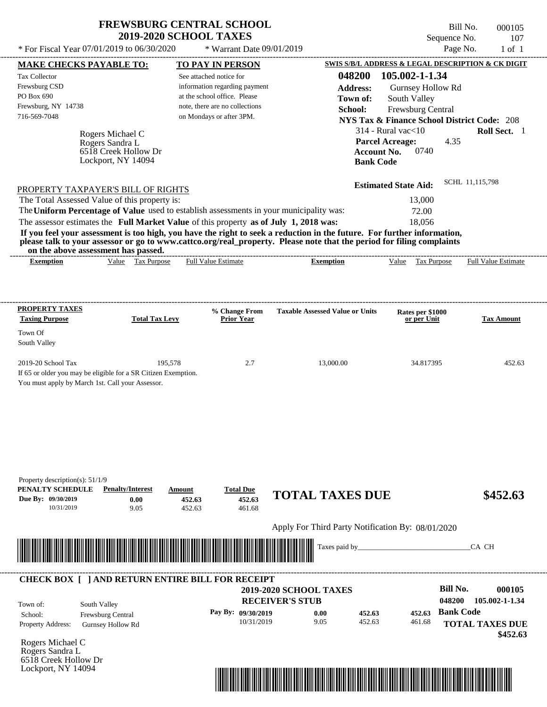\* For Fiscal Year  $07/01/2019$  to  $06/30/2020$  \* Warrant Date  $09/01/2019$  Page No. 1 of 1

\* Warrant Date 09/01/2019

Bill No. 000105 Sequence No. 107<br>Page No. 1 of 1

|                                                                                                                                                                                                                                                                                                 | <b>MAKE CHECKS PAYABLE TO:</b> |         | <b>TO PAY IN PERSON</b>        |                                                                                                                                                                                                                                                  |                             | SWIS S/B/L ADDRESS & LEGAL DESCRIPTION & CK DIGIT      |
|-------------------------------------------------------------------------------------------------------------------------------------------------------------------------------------------------------------------------------------------------------------------------------------------------|--------------------------------|---------|--------------------------------|--------------------------------------------------------------------------------------------------------------------------------------------------------------------------------------------------------------------------------------------------|-----------------------------|--------------------------------------------------------|
| <b>Tax Collector</b>                                                                                                                                                                                                                                                                            |                                |         | See attached notice for        |                                                                                                                                                                                                                                                  | 048200 105.002-1-1.34       |                                                        |
| Frewsburg CSD                                                                                                                                                                                                                                                                                   |                                |         | information regarding payment  | <b>Address:</b>                                                                                                                                                                                                                                  | Gurnsey Hollow Rd           |                                                        |
| PO Box 690                                                                                                                                                                                                                                                                                      |                                |         | at the school office. Please   | Town of:                                                                                                                                                                                                                                         | South Valley                |                                                        |
| Frewsburg, NY 14738                                                                                                                                                                                                                                                                             |                                |         | note, there are no collections | School:                                                                                                                                                                                                                                          | Frewsburg Central           |                                                        |
| 716-569-7048                                                                                                                                                                                                                                                                                    |                                |         | on Mondays or after 3PM.       |                                                                                                                                                                                                                                                  |                             | <b>NYS Tax &amp; Finance School District Code: 208</b> |
|                                                                                                                                                                                                                                                                                                 |                                |         |                                |                                                                                                                                                                                                                                                  |                             |                                                        |
|                                                                                                                                                                                                                                                                                                 | Rogers Michael C               |         |                                |                                                                                                                                                                                                                                                  | $314$ - Rural vac $<$ 10    | Roll Sect. 1                                           |
|                                                                                                                                                                                                                                                                                                 | Rogers Sandra L                |         |                                |                                                                                                                                                                                                                                                  | <b>Parcel Acreage:</b>      | 4.35                                                   |
|                                                                                                                                                                                                                                                                                                 | 6518 Creek Hollow Dr           |         |                                |                                                                                                                                                                                                                                                  | 0740<br><b>Account No.</b>  |                                                        |
|                                                                                                                                                                                                                                                                                                 | Lockport, NY 14094             |         |                                |                                                                                                                                                                                                                                                  | <b>Bank Code</b>            |                                                        |
|                                                                                                                                                                                                                                                                                                 |                                |         |                                |                                                                                                                                                                                                                                                  | <b>Estimated State Aid:</b> | SCHL 11,115,798                                        |
| PROPERTY TAXPAYER'S BILL OF RIGHTS<br>The Total Assessed Value of this property is:                                                                                                                                                                                                             |                                |         |                                |                                                                                                                                                                                                                                                  | 13,000                      |                                                        |
|                                                                                                                                                                                                                                                                                                 |                                |         |                                | The Uniform Percentage of Value used to establish assessments in your municipality was:                                                                                                                                                          | 72.00                       |                                                        |
|                                                                                                                                                                                                                                                                                                 |                                |         |                                |                                                                                                                                                                                                                                                  |                             |                                                        |
| The assessor estimates the Full Market Value of this property as of July 1, 2018 was:                                                                                                                                                                                                           |                                |         |                                |                                                                                                                                                                                                                                                  | 18,056                      |                                                        |
|                                                                                                                                                                                                                                                                                                 |                                |         |                                | If you feel your assessment is too high, you have the right to seek a reduction in the future. For further information,<br>please talk to your assessor or go to www.cattco.org/real property. Please note that the period for filing complaints |                             |                                                        |
| on the above assessment has passed.<br><b>Exemption</b>                                                                                                                                                                                                                                         | Value Tax Purpose              |         | <b>Full Value Estimate</b>     | <b>Exemption</b>                                                                                                                                                                                                                                 | Value Tax Purpose           | <b>Full Value Estimate</b>                             |
|                                                                                                                                                                                                                                                                                                 |                                |         |                                |                                                                                                                                                                                                                                                  |                             |                                                        |
|                                                                                                                                                                                                                                                                                                 |                                |         |                                |                                                                                                                                                                                                                                                  |                             |                                                        |
| <b>PROPERTY TAXES</b>                                                                                                                                                                                                                                                                           |                                |         | % Change From                  | <b>Taxable Assessed Value or Units</b>                                                                                                                                                                                                           | Rates per \$1000            |                                                        |
| <b>Taxing Purpose</b>                                                                                                                                                                                                                                                                           | <b>Total Tax Levy</b>          |         | Prior Year                     |                                                                                                                                                                                                                                                  | or per Unit                 | <b>Tax Amount</b>                                      |
| Town Of                                                                                                                                                                                                                                                                                         |                                |         |                                |                                                                                                                                                                                                                                                  |                             |                                                        |
| South Valley                                                                                                                                                                                                                                                                                    |                                |         |                                |                                                                                                                                                                                                                                                  |                             |                                                        |
|                                                                                                                                                                                                                                                                                                 |                                |         |                                |                                                                                                                                                                                                                                                  |                             |                                                        |
| 2019-20 School Tax                                                                                                                                                                                                                                                                              |                                | 195,578 | 2.7                            | 13,000.00                                                                                                                                                                                                                                        | 34.817395                   | 452.63                                                 |
| If 65 or older you may be eligible for a SR Citizen Exemption.                                                                                                                                                                                                                                  |                                |         |                                |                                                                                                                                                                                                                                                  |                             |                                                        |
|                                                                                                                                                                                                                                                                                                 |                                |         |                                |                                                                                                                                                                                                                                                  |                             |                                                        |
|                                                                                                                                                                                                                                                                                                 |                                |         |                                |                                                                                                                                                                                                                                                  |                             |                                                        |
| You must apply by March 1st. Call your Assessor.                                                                                                                                                                                                                                                |                                |         |                                |                                                                                                                                                                                                                                                  |                             |                                                        |
|                                                                                                                                                                                                                                                                                                 |                                |         |                                |                                                                                                                                                                                                                                                  |                             |                                                        |
|                                                                                                                                                                                                                                                                                                 |                                |         |                                |                                                                                                                                                                                                                                                  |                             |                                                        |
|                                                                                                                                                                                                                                                                                                 |                                |         |                                |                                                                                                                                                                                                                                                  |                             |                                                        |
|                                                                                                                                                                                                                                                                                                 |                                |         |                                |                                                                                                                                                                                                                                                  |                             |                                                        |
|                                                                                                                                                                                                                                                                                                 |                                |         |                                |                                                                                                                                                                                                                                                  |                             |                                                        |
|                                                                                                                                                                                                                                                                                                 |                                |         |                                |                                                                                                                                                                                                                                                  |                             |                                                        |
| Property description(s): $51/1/9$<br>PENALTY SCHEDULE                                                                                                                                                                                                                                           | <b>Penalty/Interest</b>        | Amount  | <b>Total Due</b>               |                                                                                                                                                                                                                                                  |                             |                                                        |
|                                                                                                                                                                                                                                                                                                 | 0.00                           | 452.63  | 452.63                         | <b>TOTAL TAXES DUE</b>                                                                                                                                                                                                                           |                             | \$452.63                                               |
| 10/31/2019                                                                                                                                                                                                                                                                                      | 9.05                           | 452.63  | 461.68                         |                                                                                                                                                                                                                                                  |                             |                                                        |
| Due By: 09/30/2019                                                                                                                                                                                                                                                                              |                                |         |                                | Apply For Third Party Notification By: 08/01/2020                                                                                                                                                                                                |                             |                                                        |
|                                                                                                                                                                                                                                                                                                 |                                |         |                                |                                                                                                                                                                                                                                                  |                             |                                                        |
|                                                                                                                                                                                                                                                                                                 |                                |         |                                | Taxes paid by_                                                                                                                                                                                                                                   |                             | CA CH                                                  |
|                                                                                                                                                                                                                                                                                                 |                                |         |                                |                                                                                                                                                                                                                                                  |                             |                                                        |
| <u> Maria Alemania de Santiago de Santiago de Santiago de Santiago de Santiago de Santiago de Santiago de Santiago de Santiago de Santiago de Santiago de Santiago de Santiago de Santiago de Santiago de Santiago de Santiago d</u><br><b>CHECK BOX [ ] AND RETURN ENTIRE BILL FOR RECEIPT</b> |                                |         |                                |                                                                                                                                                                                                                                                  |                             |                                                        |
|                                                                                                                                                                                                                                                                                                 |                                |         |                                | 2019-2020 SCHOOL TAXES                                                                                                                                                                                                                           |                             | <b>Bill No.</b><br>000105                              |
|                                                                                                                                                                                                                                                                                                 |                                |         |                                | <b>RECEIVER'S STUB</b>                                                                                                                                                                                                                           |                             | 048200<br>105.002-1-1.34                               |
| Town of:                                                                                                                                                                                                                                                                                        | South Valley                   |         |                                |                                                                                                                                                                                                                                                  |                             |                                                        |
| School:                                                                                                                                                                                                                                                                                         | Frewsburg Central              |         | Pay By: 09/30/2019             | 0.00<br>452.63                                                                                                                                                                                                                                   | 452.63                      | <b>Bank Code</b>                                       |
| <b>Property Address:</b>                                                                                                                                                                                                                                                                        | <b>Gurnsey Hollow Rd</b>       |         | 10/31/2019                     | 9.05<br>452.63                                                                                                                                                                                                                                   | 461.68                      | <b>TOTAL TAXES DUE</b>                                 |
|                                                                                                                                                                                                                                                                                                 |                                |         |                                |                                                                                                                                                                                                                                                  |                             | \$452.63                                               |
|                                                                                                                                                                                                                                                                                                 |                                |         |                                |                                                                                                                                                                                                                                                  |                             |                                                        |
| Rogers Michael C<br>Rogers Sandra L<br>6518 Creek Hollow Dr                                                                                                                                                                                                                                     |                                |         |                                |                                                                                                                                                                                                                                                  |                             |                                                        |

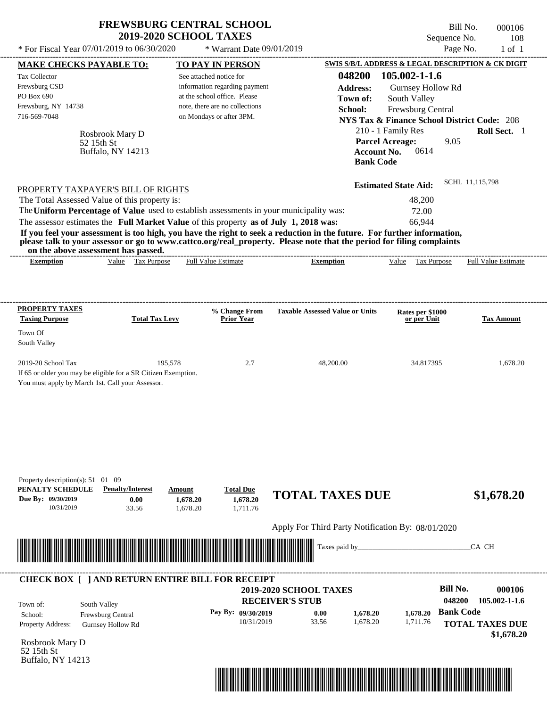| <b>FREWSBURG CENTRAL SCHOOL</b> |
|---------------------------------|
| <b>2019-2020 SCHOOL TAXES</b>   |

Bill No. 000106 Sequence No. 108

| * For Fiscal Year 07/01/2019 to 06/30/2020                                                                                                                                                                                        |                                                                            | * Warrant Date 09/01/2019                                                                                                                              |                                                                                                                                                                                                                                                  | Page No.                                                                                                                                                                                                                         | $1$ of $1$                           |
|-----------------------------------------------------------------------------------------------------------------------------------------------------------------------------------------------------------------------------------|----------------------------------------------------------------------------|--------------------------------------------------------------------------------------------------------------------------------------------------------|--------------------------------------------------------------------------------------------------------------------------------------------------------------------------------------------------------------------------------------------------|----------------------------------------------------------------------------------------------------------------------------------------------------------------------------------------------------------------------------------|--------------------------------------|
| <b>MAKE CHECKS PAYABLE TO:</b>                                                                                                                                                                                                    |                                                                            | <b>TO PAY IN PERSON</b>                                                                                                                                |                                                                                                                                                                                                                                                  | SWIS S/B/L ADDRESS & LEGAL DESCRIPTION & CK DIGIT                                                                                                                                                                                |                                      |
| Tax Collector<br>Frewsburg CSD<br>PO Box 690<br>Frewsburg, NY 14738<br>716-569-7048<br>52 15th St<br>PROPERTY TAXPAYER'S BILL OF RIGHTS                                                                                           | Rosbrook Mary D<br>Buffalo, NY 14213                                       | See attached notice for<br>information regarding payment<br>at the school office. Please<br>note, there are no collections<br>on Mondays or after 3PM. | 048200<br><b>Address:</b><br>Town of:<br>School:<br><b>Account No.</b><br><b>Bank Code</b>                                                                                                                                                       | 105.002-1-1.6<br>Gurnsey Hollow Rd<br>South Valley<br>Frewsburg Central<br><b>NYS Tax &amp; Finance School District Code: 208</b><br>210 - 1 Family Res<br><b>Parcel Acreage:</b><br>9.05<br>0614<br><b>Estimated State Aid:</b> | Roll Sect. 1<br>SCHL 11,115,798      |
| The Total Assessed Value of this property is:<br>The Uniform Percentage of Value used to establish assessments in your municipality was:<br>The assessor estimates the Full Market Value of this property as of July 1, 2018 was: |                                                                            |                                                                                                                                                        |                                                                                                                                                                                                                                                  | 48,200<br>72.00<br>66,944                                                                                                                                                                                                        |                                      |
| on the above assessment has passed.                                                                                                                                                                                               |                                                                            |                                                                                                                                                        | If you feel your assessment is too high, you have the right to seek a reduction in the future. For further information,<br>please talk to your assessor or go to www.cattco.org/real_property. Please note that the period for filing complaints |                                                                                                                                                                                                                                  |                                      |
| <b>Exemption</b>                                                                                                                                                                                                                  | Value Tax Purpose                                                          | <b>Full Value Estimate</b>                                                                                                                             | <b>Exemption</b>                                                                                                                                                                                                                                 | Value Tax Purpose                                                                                                                                                                                                                | <b>Full Value Estimate</b>           |
| <b>PROPERTY TAXES</b><br><b>Taxing Purpose</b>                                                                                                                                                                                    | <b>Total Tax Levy</b>                                                      | % Change From<br><b>Prior Year</b>                                                                                                                     | <b>Taxable Assessed Value or Units</b>                                                                                                                                                                                                           | Rates per \$1000<br>or per Unit                                                                                                                                                                                                  | <b>Tax Amount</b>                    |
| Town Of                                                                                                                                                                                                                           |                                                                            |                                                                                                                                                        |                                                                                                                                                                                                                                                  |                                                                                                                                                                                                                                  |                                      |
| South Valley                                                                                                                                                                                                                      |                                                                            |                                                                                                                                                        |                                                                                                                                                                                                                                                  |                                                                                                                                                                                                                                  |                                      |
| 2019-20 School Tax<br>If 65 or older you may be eligible for a SR Citizen Exemption.<br>You must apply by March 1st. Call your Assessor.                                                                                          | 195,578                                                                    | 2.7                                                                                                                                                    | 48,200.00                                                                                                                                                                                                                                        | 34.817395                                                                                                                                                                                                                        | 1,678.20                             |
| Property description(s): $51 \quad 01 \quad 09$<br>PENALTY SCHEDULE<br>Due By: 09/30/2019<br>10/31/2019                                                                                                                           | <b>Penalty/Interest</b><br>Amount<br>0.00<br>1,678.20<br>33.56<br>1,678.20 | <b>Total Due</b><br>1,678.20<br>1,711.76                                                                                                               | <b>TOTAL TAXES DUE</b>                                                                                                                                                                                                                           |                                                                                                                                                                                                                                  | \$1,678.20                           |
|                                                                                                                                                                                                                                   |                                                                            |                                                                                                                                                        | Apply For Third Party Notification By: 08/01/2020                                                                                                                                                                                                |                                                                                                                                                                                                                                  |                                      |
|                                                                                                                                                                                                                                   |                                                                            |                                                                                                                                                        | Taxes paid by_                                                                                                                                                                                                                                   |                                                                                                                                                                                                                                  | CA CH                                |
| <b>CHECK BOX [ ] AND RETURN ENTIRE BILL FOR RECEIPT</b>                                                                                                                                                                           |                                                                            |                                                                                                                                                        |                                                                                                                                                                                                                                                  |                                                                                                                                                                                                                                  |                                      |
|                                                                                                                                                                                                                                   |                                                                            |                                                                                                                                                        | 2019-2020 SCHOOL TAXES<br><b>RECEIVER'S STUB</b>                                                                                                                                                                                                 | <b>Bill No.</b><br>048200                                                                                                                                                                                                        | 000106<br>105.002-1-1.6              |
| South Valley<br>Town of:<br>Frewsburg Central<br>School:<br>Property Address:<br><b>Gurnsey Hollow Rd</b>                                                                                                                         |                                                                            | Pay By: 09/30/2019<br>10/31/2019                                                                                                                       | 0.00<br>1,678.20<br>33.56<br>1,678.20                                                                                                                                                                                                            | <b>Bank Code</b><br>1,678.20<br>1,711.76                                                                                                                                                                                         | <b>TOTAL TAXES DUE</b><br>\$1,678.20 |
| Rosbrook Mary D<br>52 15th St<br>Buffalo, NY 14213                                                                                                                                                                                |                                                                            |                                                                                                                                                        |                                                                                                                                                                                                                                                  |                                                                                                                                                                                                                                  |                                      |

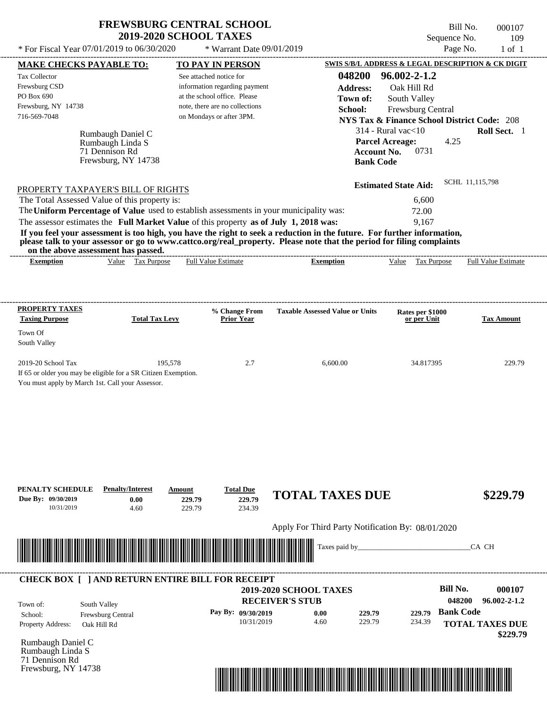Bill No. 000107 Sequence No. 109<br>Page No. 1 of 1

| * For Fiscal Year 07/01/2019 to 06/30/2020                                                                                                                                                                                                       |                       | * Warrant Date 09/01/2019                                  |                                                   |                                                    | Page No.<br>$1$ of $1$                                 |
|--------------------------------------------------------------------------------------------------------------------------------------------------------------------------------------------------------------------------------------------------|-----------------------|------------------------------------------------------------|---------------------------------------------------|----------------------------------------------------|--------------------------------------------------------|
| <b>MAKE CHECKS PAYABLE TO:</b>                                                                                                                                                                                                                   |                       | <b>TO PAY IN PERSON</b>                                    |                                                   |                                                    | SWIS S/B/L ADDRESS & LEGAL DESCRIPTION & CK DIGIT      |
| Tax Collector                                                                                                                                                                                                                                    |                       | See attached notice for                                    | 048200                                            | 96.002-2-1.2                                       |                                                        |
| Frewsburg CSD                                                                                                                                                                                                                                    |                       | information regarding payment                              | <b>Address:</b>                                   | Oak Hill Rd                                        |                                                        |
| PO Box 690                                                                                                                                                                                                                                       |                       | at the school office. Please                               | Town of:                                          | South Valley                                       |                                                        |
| Frewsburg, NY 14738<br>716-569-7048                                                                                                                                                                                                              |                       | note, there are no collections<br>on Mondays or after 3PM. | School:                                           | Frewsburg Central                                  |                                                        |
|                                                                                                                                                                                                                                                  |                       |                                                            |                                                   |                                                    | <b>NYS Tax &amp; Finance School District Code: 208</b> |
| Rumbaugh Daniel C                                                                                                                                                                                                                                |                       |                                                            |                                                   | $314$ - Rural vac $<$ 10<br><b>Parcel Acreage:</b> | Roll Sect. 1<br>4.25                                   |
| Rumbaugh Linda S<br>71 Dennison Rd                                                                                                                                                                                                               |                       |                                                            |                                                   | <b>Account No.</b><br>0731                         |                                                        |
| Frewsburg, NY 14738                                                                                                                                                                                                                              |                       |                                                            |                                                   | <b>Bank Code</b>                                   |                                                        |
|                                                                                                                                                                                                                                                  |                       |                                                            |                                                   |                                                    |                                                        |
| PROPERTY TAXPAYER'S BILL OF RIGHTS                                                                                                                                                                                                               |                       |                                                            |                                                   | <b>Estimated State Aid:</b>                        | SCHL 11,115,798                                        |
| The Total Assessed Value of this property is:                                                                                                                                                                                                    |                       |                                                            |                                                   | 6,600                                              |                                                        |
| The Uniform Percentage of Value used to establish assessments in your municipality was:                                                                                                                                                          |                       |                                                            |                                                   | 72.00                                              |                                                        |
| The assessor estimates the Full Market Value of this property as of July 1, 2018 was:                                                                                                                                                            |                       |                                                            |                                                   | 9,167                                              |                                                        |
| If you feel your assessment is too high, you have the right to seek a reduction in the future. For further information,<br>please talk to your assessor or go to www.cattco.org/real_property. Please note that the period for filing complaints |                       |                                                            |                                                   |                                                    |                                                        |
| on the above assessment has passed.                                                                                                                                                                                                              |                       |                                                            |                                                   |                                                    |                                                        |
| <b>Exemption</b>                                                                                                                                                                                                                                 | Value Tax Purpose     | <b>Full Value Estimate</b>                                 | <b>Exemption</b>                                  | Value Tax Purpose                                  | <b>Full Value Estimate</b>                             |
|                                                                                                                                                                                                                                                  |                       |                                                            |                                                   |                                                    |                                                        |
|                                                                                                                                                                                                                                                  |                       |                                                            |                                                   |                                                    |                                                        |
|                                                                                                                                                                                                                                                  |                       |                                                            |                                                   |                                                    |                                                        |
| <b>PROPERTY TAXES</b><br><b>Taxing Purpose</b>                                                                                                                                                                                                   | <b>Total Tax Levy</b> | % Change From<br><b>Prior Year</b>                         | <b>Taxable Assessed Value or Units</b>            | Rates per \$1000<br>or per Unit                    | <b>Tax Amount</b>                                      |
| Town Of                                                                                                                                                                                                                                          |                       |                                                            |                                                   |                                                    |                                                        |
| South Valley                                                                                                                                                                                                                                     |                       |                                                            |                                                   |                                                    |                                                        |
|                                                                                                                                                                                                                                                  |                       |                                                            |                                                   |                                                    |                                                        |
| 2019-20 School Tax                                                                                                                                                                                                                               | 195,578               | 2.7                                                        | 6,600.00                                          | 34.817395                                          | 229.79                                                 |
| If 65 or older you may be eligible for a SR Citizen Exemption.                                                                                                                                                                                   |                       |                                                            |                                                   |                                                    |                                                        |
| You must apply by March 1st. Call your Assessor.                                                                                                                                                                                                 |                       |                                                            |                                                   |                                                    |                                                        |
|                                                                                                                                                                                                                                                  |                       |                                                            |                                                   |                                                    |                                                        |
|                                                                                                                                                                                                                                                  |                       |                                                            |                                                   |                                                    |                                                        |
|                                                                                                                                                                                                                                                  |                       |                                                            |                                                   |                                                    |                                                        |
|                                                                                                                                                                                                                                                  |                       |                                                            |                                                   |                                                    |                                                        |
|                                                                                                                                                                                                                                                  |                       |                                                            |                                                   |                                                    |                                                        |
|                                                                                                                                                                                                                                                  |                       |                                                            |                                                   |                                                    |                                                        |
|                                                                                                                                                                                                                                                  |                       |                                                            |                                                   |                                                    |                                                        |
|                                                                                                                                                                                                                                                  |                       |                                                            |                                                   |                                                    |                                                        |
| <b>Penalty/Interest</b><br>PENALTY SCHEDULE<br>Due By: 09/30/2019<br>0.00                                                                                                                                                                        | Amount<br>229.79      | <b>Total Due</b><br>229.79                                 | <b>TOTAL TAXES DUE</b>                            |                                                    | \$229.79                                               |
| 10/31/2019<br>4.60                                                                                                                                                                                                                               | 229.79                | 234.39                                                     |                                                   |                                                    |                                                        |
|                                                                                                                                                                                                                                                  |                       |                                                            |                                                   |                                                    |                                                        |
|                                                                                                                                                                                                                                                  |                       |                                                            | Apply For Third Party Notification By: 08/01/2020 |                                                    |                                                        |
| <u> Indian American State of Barbara and The Barbara and The Barbara and The Barbara and The Barbara and The Barbara and The Barbara and The Barbara and The Barbara and The Barbara and The Barbara and The Barbara and The Bar</u>             |                       |                                                            | Taxes paid by_                                    |                                                    | CA CH                                                  |
|                                                                                                                                                                                                                                                  |                       |                                                            |                                                   |                                                    |                                                        |
|                                                                                                                                                                                                                                                  |                       |                                                            |                                                   |                                                    |                                                        |
| <b>CHECK BOX [ ] AND RETURN ENTIRE BILL FOR RECEIPT</b>                                                                                                                                                                                          |                       |                                                            |                                                   |                                                    | <b>Bill No.</b>                                        |
|                                                                                                                                                                                                                                                  |                       |                                                            | 2019-2020 SCHOOL TAXES                            |                                                    | 000107                                                 |
| South Valley<br>Town of:                                                                                                                                                                                                                         |                       |                                                            | <b>RECEIVER'S STUB</b>                            |                                                    | 048200<br>$96.002 - 2 - 1.2$                           |
| Frewsburg Central<br>School:                                                                                                                                                                                                                     |                       | Pay By: 09/30/2019                                         | 0.00<br>229.79                                    | 229.79                                             | <b>Bank Code</b>                                       |
| Property Address:<br>Oak Hill Rd                                                                                                                                                                                                                 |                       | 10/31/2019                                                 | 4.60<br>229.79                                    | 234.39                                             | <b>TOTAL TAXES DUE</b>                                 |
| Rumbaugh Daniel C                                                                                                                                                                                                                                |                       |                                                            |                                                   |                                                    | \$229.79                                               |
| Rumbaugh Linda S                                                                                                                                                                                                                                 |                       |                                                            |                                                   |                                                    |                                                        |
| 71 Dennison Rd                                                                                                                                                                                                                                   |                       |                                                            |                                                   |                                                    |                                                        |
| Frewsburg, NY 14738                                                                                                                                                                                                                              |                       |                                                            |                                                   |                                                    |                                                        |

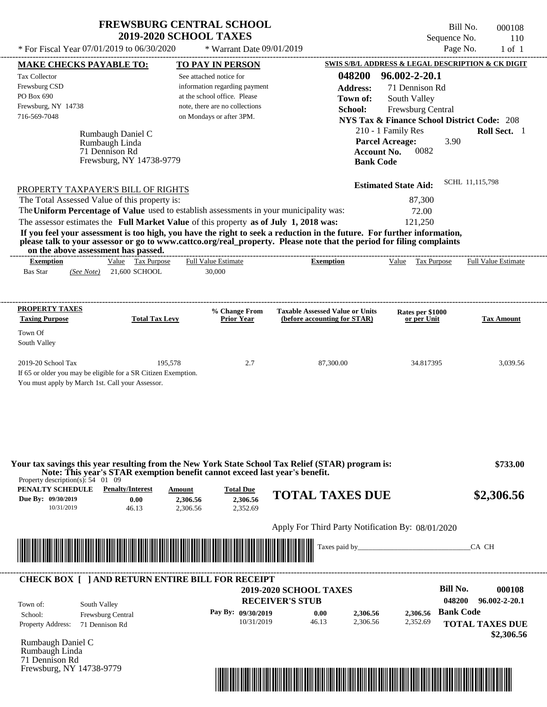$*$  For Fiscal Year 07/01/2019 to 06/30/2020

 $*$  Warrant Date  $09/01/2019$ 

Bill No. 000108 Sequence No. 110<br>Page No. 1 of 1

| <b>MAKE CHECKS PAYABLE TO:</b>                                                                                                                                                                                                                   | <b>TO PAY IN PERSON</b>           |                                                   |                                                        | SWIS S/B/L ADDRESS & LEGAL DESCRIPTION & CK DIGIT |
|--------------------------------------------------------------------------------------------------------------------------------------------------------------------------------------------------------------------------------------------------|-----------------------------------|---------------------------------------------------|--------------------------------------------------------|---------------------------------------------------|
| Tax Collector                                                                                                                                                                                                                                    | See attached notice for           | 048200                                            | 96.002-2-20.1                                          |                                                   |
| Frewsburg CSD                                                                                                                                                                                                                                    | information regarding payment     | <b>Address:</b>                                   | 71 Dennison Rd                                         |                                                   |
| PO Box 690                                                                                                                                                                                                                                       | at the school office. Please      | Town of:                                          | South Valley                                           |                                                   |
| Frewsburg, NY 14738                                                                                                                                                                                                                              | note, there are no collections    | School:                                           | Frewsburg Central                                      |                                                   |
| 716-569-7048                                                                                                                                                                                                                                     | on Mondays or after 3PM.          |                                                   | <b>NYS Tax &amp; Finance School District Code: 208</b> |                                                   |
|                                                                                                                                                                                                                                                  |                                   |                                                   |                                                        |                                                   |
| Rumbaugh Daniel C                                                                                                                                                                                                                                |                                   |                                                   | 210 - 1 Family Res                                     | Roll Sect. 1                                      |
| Rumbaugh Linda                                                                                                                                                                                                                                   |                                   |                                                   | <b>Parcel Acreage:</b>                                 | 3.90                                              |
| 71 Dennison Rd<br>Frewsburg, NY 14738-9779                                                                                                                                                                                                       | <b>Account No.</b>                | 0082                                              |                                                        |                                                   |
|                                                                                                                                                                                                                                                  |                                   | <b>Bank Code</b>                                  |                                                        |                                                   |
| PROPERTY TAXPAYER'S BILL OF RIGHTS                                                                                                                                                                                                               |                                   |                                                   | <b>Estimated State Aid:</b>                            | SCHL 11,115,798                                   |
| The Total Assessed Value of this property is:                                                                                                                                                                                                    |                                   | 87,300                                            |                                                        |                                                   |
| The Uniform Percentage of Value used to establish assessments in your municipality was:                                                                                                                                                          |                                   |                                                   |                                                        |                                                   |
|                                                                                                                                                                                                                                                  |                                   | 72.00                                             |                                                        |                                                   |
| The assessor estimates the Full Market Value of this property as of July 1, 2018 was:                                                                                                                                                            |                                   |                                                   | 121,250                                                |                                                   |
| If you feel your assessment is too high, you have the right to seek a reduction in the future. For further information,<br>please talk to your assessor or go to www.cattco.org/real_property. Please note that the period for filing complaints |                                   |                                                   |                                                        |                                                   |
| on the above assessment has passed.<br>Value Tax Purpose<br><b>Exemption</b>                                                                                                                                                                     | <b>Full Value Estimate</b>        | <b>Exemption</b>                                  | Value Tax Purpose                                      | <b>Full Value Estimate</b>                        |
| $(See Note)$ 21,600 SCHOOL<br><b>Bas Star</b>                                                                                                                                                                                                    | 30,000                            |                                                   |                                                        |                                                   |
|                                                                                                                                                                                                                                                  |                                   |                                                   |                                                        |                                                   |
| <b>PROPERTY TAXES</b>                                                                                                                                                                                                                            | % Change From                     | <b>Taxable Assessed Value or Units</b>            |                                                        |                                                   |
| <b>Taxing Purpose</b><br><b>Total Tax Levy</b>                                                                                                                                                                                                   | <b>Prior Year</b>                 | (before accounting for STAR)                      | Rates per \$1000<br>or per Unit                        | <b>Tax Amount</b>                                 |
| Town Of                                                                                                                                                                                                                                          |                                   |                                                   |                                                        |                                                   |
| South Valley                                                                                                                                                                                                                                     |                                   |                                                   |                                                        |                                                   |
| 2019-20 School Tax                                                                                                                                                                                                                               | 195,578<br>2.7                    | 87,300.00                                         | 34.817395                                              | 3,039.56                                          |
| If 65 or older you may be eligible for a SR Citizen Exemption.                                                                                                                                                                                   |                                   |                                                   |                                                        |                                                   |
| You must apply by March 1st. Call your Assessor.                                                                                                                                                                                                 |                                   |                                                   |                                                        |                                                   |
|                                                                                                                                                                                                                                                  |                                   |                                                   |                                                        |                                                   |
|                                                                                                                                                                                                                                                  |                                   |                                                   |                                                        |                                                   |
|                                                                                                                                                                                                                                                  |                                   |                                                   |                                                        |                                                   |
|                                                                                                                                                                                                                                                  |                                   |                                                   |                                                        |                                                   |
|                                                                                                                                                                                                                                                  |                                   |                                                   |                                                        |                                                   |
| Your tax savings this year resulting from the New York State School Tax Relief (STAR) program is:<br>Note: This year's STAR exemption benefit cannot exceed last year's benefit.                                                                 |                                   |                                                   |                                                        | \$733.00                                          |
| Property description(s): $54 \quad 01 \quad 09$<br><b>PENALTY SCHEDULE</b> Penalty/Interest                                                                                                                                                      | <b>Amount</b><br><b>Total Due</b> |                                                   |                                                        |                                                   |
| Due By: 09/30/2019<br>0.00                                                                                                                                                                                                                       | 2,306.56<br>2,306.56              | <b>TOTAL TAXES DUE</b>                            |                                                        | \$2,306.56                                        |
| 10/31/2019<br>46.13                                                                                                                                                                                                                              | 2,306.56<br>2,352.69              |                                                   |                                                        |                                                   |
|                                                                                                                                                                                                                                                  |                                   | Apply For Third Party Notification By: 08/01/2020 |                                                        |                                                   |
|                                                                                                                                                                                                                                                  |                                   |                                                   |                                                        |                                                   |
|                                                                                                                                                                                                                                                  |                                   | Taxes paid by_                                    |                                                        | CA CH                                             |
|                                                                                                                                                                                                                                                  |                                   |                                                   |                                                        |                                                   |
|                                                                                                                                                                                                                                                  |                                   |                                                   |                                                        |                                                   |
|                                                                                                                                                                                                                                                  |                                   |                                                   |                                                        |                                                   |
|                                                                                                                                                                                                                                                  |                                   | <b>2019-2020 SCHOOL TAXES</b>                     |                                                        | <b>Bill No.</b><br>000108                         |
| South Valley                                                                                                                                                                                                                                     |                                   | <b>RECEIVER'S STUB</b>                            |                                                        | 048200<br>$96.002 - 2 - 20.1$                     |
|                                                                                                                                                                                                                                                  | Pay By: 09/30/2019                | 0.00<br>2,306.56                                  | 2,306.56                                               | <b>Bank Code</b>                                  |
| Frewsburg Central<br>71 Dennison Rd                                                                                                                                                                                                              | 10/31/2019                        | 46.13<br>2,306.56                                 | 2,352.69                                               |                                                   |
|                                                                                                                                                                                                                                                  |                                   |                                                   |                                                        |                                                   |
|                                                                                                                                                                                                                                                  |                                   |                                                   |                                                        |                                                   |
|                                                                                                                                                                                                                                                  |                                   |                                                   |                                                        | <b>TOTAL TAXES DUE</b><br>\$2,306.56              |
| <b>CHECK BOX [ ] AND RETURN ENTIRE BILL FOR RECEIPT</b><br>Town of:<br>School:<br>Property Address:<br>Rumbaugh Daniel C<br>Rumbaugh Linda<br>71 Dennison Rd<br>Frewsburg, NY 14738-9779                                                         |                                   |                                                   |                                                        |                                                   |

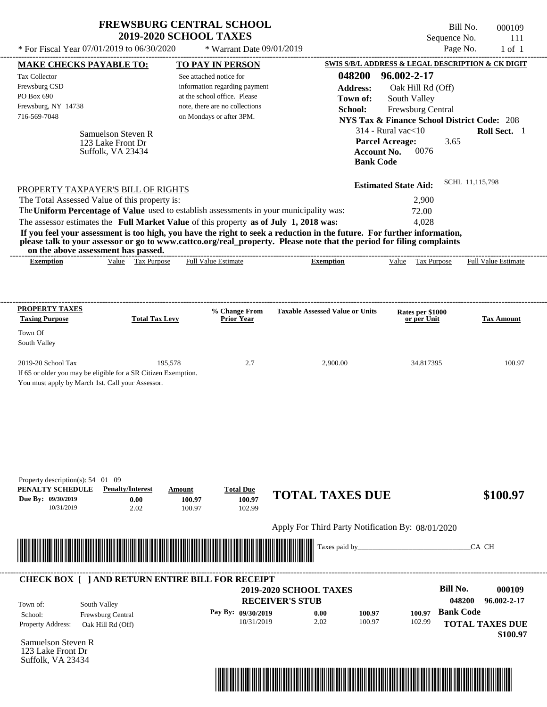| <b>FREWSBURG CENTRAL SCHOOL</b> |
|---------------------------------|
| <b>2019-2020 SCHOOL TAXES</b>   |

Bill No. 000109 Sequence No. 111  $*$  For Fiscal Year 07/01/2019 to 06/30/2020  $*$  Warrant Date 09/01/2019 Page No. 1 of 1

|                                                                                                                                                                                                                           | <b>MAKE CHECKS PAYABLE TO:</b> |                       | <b>TO PAY IN PERSON</b>                                                               |                                                                                                                         |                             | <b>SWIS S/B/L ADDRESS &amp; LEGAL DESCRIPTION &amp; CK DIGIT</b> |
|---------------------------------------------------------------------------------------------------------------------------------------------------------------------------------------------------------------------------|--------------------------------|-----------------------|---------------------------------------------------------------------------------------|-------------------------------------------------------------------------------------------------------------------------|-----------------------------|------------------------------------------------------------------|
| <b>Tax Collector</b>                                                                                                                                                                                                      |                                |                       | See attached notice for                                                               | 048200                                                                                                                  | 96.002-2-17                 |                                                                  |
| Frewsburg CSD                                                                                                                                                                                                             |                                |                       | information regarding payment                                                         | <b>Address:</b>                                                                                                         | Oak Hill Rd (Off)           |                                                                  |
| PO Box 690                                                                                                                                                                                                                |                                |                       | at the school office. Please                                                          | Town of:                                                                                                                | South Valley                |                                                                  |
| Frewsburg, NY 14738                                                                                                                                                                                                       |                                |                       | note, there are no collections                                                        | School:                                                                                                                 | Frewsburg Central           |                                                                  |
| 716-569-7048                                                                                                                                                                                                              |                                |                       | on Mondays or after 3PM.                                                              |                                                                                                                         |                             | <b>NYS Tax &amp; Finance School District Code: 208</b>           |
|                                                                                                                                                                                                                           | Samuelson Steven R             |                       |                                                                                       |                                                                                                                         | $314$ - Rural vac $<$ 10    | Roll Sect. 1                                                     |
|                                                                                                                                                                                                                           | 123 Lake Front Dr              |                       |                                                                                       |                                                                                                                         | <b>Parcel Acreage:</b>      | 3.65                                                             |
|                                                                                                                                                                                                                           | Suffolk, VA 23434              |                       |                                                                                       |                                                                                                                         | 0076<br><b>Account No.</b>  |                                                                  |
|                                                                                                                                                                                                                           |                                |                       |                                                                                       |                                                                                                                         | <b>Bank Code</b>            |                                                                  |
| PROPERTY TAXPAYER'S BILL OF RIGHTS                                                                                                                                                                                        |                                |                       |                                                                                       |                                                                                                                         | <b>Estimated State Aid:</b> | SCHL 11,115,798                                                  |
| The Total Assessed Value of this property is:                                                                                                                                                                             |                                |                       |                                                                                       |                                                                                                                         | 2,900                       |                                                                  |
|                                                                                                                                                                                                                           |                                |                       |                                                                                       | The Uniform Percentage of Value used to establish assessments in your municipality was:                                 | 72.00                       |                                                                  |
|                                                                                                                                                                                                                           |                                |                       | The assessor estimates the Full Market Value of this property as of July 1, 2018 was: |                                                                                                                         | 4,028                       |                                                                  |
|                                                                                                                                                                                                                           |                                |                       |                                                                                       | If you feel your assessment is too high, you have the right to seek a reduction in the future. For further information, |                             |                                                                  |
| on the above assessment has passed.                                                                                                                                                                                       |                                |                       |                                                                                       | please talk to your assessor or go to www.cattco.org/real_property. Please note that the period for filing complaints   |                             |                                                                  |
| <b>Exemption</b>                                                                                                                                                                                                          |                                | Value Tax Purpose     | <b>Full Value Estimate</b>                                                            | <b>Exemption</b>                                                                                                        | Value Tax Purpose           | <b>Full Value Estimate</b>                                       |
|                                                                                                                                                                                                                           |                                |                       |                                                                                       |                                                                                                                         |                             |                                                                  |
|                                                                                                                                                                                                                           |                                |                       |                                                                                       |                                                                                                                         |                             |                                                                  |
| <b>PROPERTY TAXES</b>                                                                                                                                                                                                     |                                | <b>Total Tax Levy</b> | % Change From                                                                         | <b>Taxable Assessed Value or Units</b>                                                                                  | Rates per \$1000            |                                                                  |
| <b>Taxing Purpose</b>                                                                                                                                                                                                     |                                |                       | <b>Prior Year</b>                                                                     |                                                                                                                         | or per Unit                 | <b>Tax Amount</b>                                                |
| Town Of<br>South Valley                                                                                                                                                                                                   |                                |                       |                                                                                       |                                                                                                                         |                             |                                                                  |
|                                                                                                                                                                                                                           |                                |                       |                                                                                       |                                                                                                                         |                             |                                                                  |
|                                                                                                                                                                                                                           |                                | 195,578               | 2.7                                                                                   | 2,900.00                                                                                                                | 34.817395                   | 100.97                                                           |
|                                                                                                                                                                                                                           |                                |                       |                                                                                       |                                                                                                                         |                             |                                                                  |
|                                                                                                                                                                                                                           |                                |                       |                                                                                       |                                                                                                                         |                             |                                                                  |
|                                                                                                                                                                                                                           |                                |                       |                                                                                       |                                                                                                                         |                             |                                                                  |
|                                                                                                                                                                                                                           |                                |                       |                                                                                       |                                                                                                                         |                             |                                                                  |
|                                                                                                                                                                                                                           |                                |                       |                                                                                       |                                                                                                                         |                             |                                                                  |
|                                                                                                                                                                                                                           |                                |                       |                                                                                       |                                                                                                                         |                             |                                                                  |
|                                                                                                                                                                                                                           |                                |                       |                                                                                       |                                                                                                                         |                             |                                                                  |
|                                                                                                                                                                                                                           |                                |                       |                                                                                       |                                                                                                                         |                             |                                                                  |
|                                                                                                                                                                                                                           |                                |                       |                                                                                       |                                                                                                                         |                             |                                                                  |
|                                                                                                                                                                                                                           | <b>Penalty/Interest</b>        |                       | <b>Total Due</b><br>Amount                                                            |                                                                                                                         |                             |                                                                  |
| 10/31/2019                                                                                                                                                                                                                | 0.00<br>2.02                   |                       | 100.97<br>100.97<br>100.97<br>102.99                                                  | <b>TOTAL TAXES DUE</b>                                                                                                  |                             | \$100.97                                                         |
|                                                                                                                                                                                                                           |                                |                       |                                                                                       | Apply For Third Party Notification By: 08/01/2020                                                                       |                             |                                                                  |
| 2019-20 School Tax<br>If 65 or older you may be eligible for a SR Citizen Exemption.<br>You must apply by March 1st. Call your Assessor.<br>Property description(s): $54$ 01 09<br>PENALTY SCHEDULE<br>Due By: 09/30/2019 |                                |                       |                                                                                       |                                                                                                                         |                             |                                                                  |
|                                                                                                                                                                                                                           |                                |                       |                                                                                       | Taxes paid by_                                                                                                          |                             | CA CH                                                            |
|                                                                                                                                                                                                                           |                                |                       |                                                                                       |                                                                                                                         |                             |                                                                  |
|                                                                                                                                                                                                                           |                                |                       | <b>CHECK BOX [ ] AND RETURN ENTIRE BILL FOR RECEIPT</b>                               |                                                                                                                         |                             |                                                                  |
| <u> III de la contrada de la contrada de la contrada de la contrada de la contrada de la contrada de la contrada</u>                                                                                                      |                                |                       |                                                                                       | <b>2019-2020 SCHOOL TAXES</b>                                                                                           |                             | <b>Bill No.</b><br>000109                                        |
| Town of:                                                                                                                                                                                                                  | South Valley                   |                       |                                                                                       | <b>RECEIVER'S STUB</b>                                                                                                  |                             | 048200<br>96.002-2-17                                            |
|                                                                                                                                                                                                                           | Frewsburg Central              |                       | Pay By: 09/30/2019                                                                    | 0.00<br>100.97                                                                                                          | 100.97                      | <b>Bank Code</b>                                                 |
|                                                                                                                                                                                                                           | Oak Hill Rd (Off)              |                       | 10/31/2019                                                                            | 2.02<br>100.97                                                                                                          | 102.99                      | <b>TOTAL TAXES DUE</b>                                           |
|                                                                                                                                                                                                                           |                                |                       |                                                                                       |                                                                                                                         |                             | \$100.97                                                         |
| School:<br>Property Address:<br>Samuelson Steven R<br>123 Lake Front Dr                                                                                                                                                   |                                |                       |                                                                                       |                                                                                                                         |                             |                                                                  |

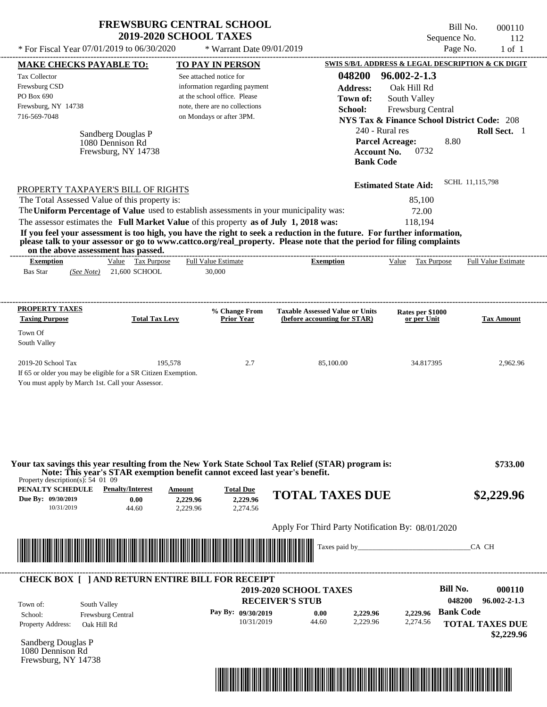| <b>FREWSBURG CENTRAL SCHOOL</b> |
|---------------------------------|
| <b>2019-2020 SCHOOL TAXES</b>   |

Bill No. 000110 Sequence No. 112

| * For Fiscal Year 07/01/2019 to 06/30/2020                                                                                                                                                                                                                                                                                                                                                                                                                                                                                   | * Warrant Date 09/01/2019                                                                                                                              |                                                                                                               | Page No.                                                                                                                                                                                                                     | $1$ of $1$                                                           |
|------------------------------------------------------------------------------------------------------------------------------------------------------------------------------------------------------------------------------------------------------------------------------------------------------------------------------------------------------------------------------------------------------------------------------------------------------------------------------------------------------------------------------|--------------------------------------------------------------------------------------------------------------------------------------------------------|---------------------------------------------------------------------------------------------------------------|------------------------------------------------------------------------------------------------------------------------------------------------------------------------------------------------------------------------------|----------------------------------------------------------------------|
| <b>MAKE CHECKS PAYABLE TO:</b>                                                                                                                                                                                                                                                                                                                                                                                                                                                                                               | <b>TO PAY IN PERSON</b>                                                                                                                                |                                                                                                               | SWIS S/B/L ADDRESS & LEGAL DESCRIPTION & CK DIGIT                                                                                                                                                                            |                                                                      |
| Tax Collector<br>Frewsburg CSD<br>PO Box 690<br>Frewsburg, NY 14738<br>716-569-7048<br>Sandberg Douglas P<br>1080 Dennison Rd<br>Frewsburg, NY 14738<br>PROPERTY TAXPAYER'S BILL OF RIGHTS                                                                                                                                                                                                                                                                                                                                   | See attached notice for<br>information regarding payment<br>at the school office. Please<br>note, there are no collections<br>on Mondays or after 3PM. | 048200<br><b>Address:</b><br>Town of:<br>School:<br>240 - Rural res<br><b>Account No.</b><br><b>Bank Code</b> | $96.002 - 2 - 1.3$<br>Oak Hill Rd<br>South Valley<br>Frewsburg Central<br><b>NYS Tax &amp; Finance School District Code: 208</b><br><b>Parcel Acreage:</b><br>8.80<br>0732<br>SCHL 11,115,798<br><b>Estimated State Aid:</b> | Roll Sect. 1                                                         |
| The Total Assessed Value of this property is:<br>The Uniform Percentage of Value used to establish assessments in your municipality was:<br>The assessor estimates the Full Market Value of this property as of July 1, 2018 was:<br>If you feel your assessment is too high, you have the right to seek a reduction in the future. For further information,<br>please talk to your assessor or go to www.cattco.org/real_property. Please note that the period for filing complaints<br>on the above assessment has passed. | ---------------------------                                                                                                                            |                                                                                                               | 85,100<br>72.00<br>118,194                                                                                                                                                                                                   |                                                                      |
| Value Tax Purpose<br><b>Exemption</b><br><b>Bas Star</b><br>21,600 SCHOOL<br>(See Note)                                                                                                                                                                                                                                                                                                                                                                                                                                      | <b>Full Value Estimate</b><br>30,000                                                                                                                   | <b>Exemption</b>                                                                                              | Value Tax Purpose                                                                                                                                                                                                            | <b>Full Value Estimate</b>                                           |
| <b>PROPERTY TAXES</b><br><b>Taxing Purpose</b><br><b>Total Tax Levy</b><br>Town Of<br>South Valley                                                                                                                                                                                                                                                                                                                                                                                                                           | % Change From<br><b>Prior Year</b>                                                                                                                     | <b>Taxable Assessed Value or Units</b><br>(before accounting for STAR)                                        | Rates per \$1000<br>or per Unit                                                                                                                                                                                              | <b>Tax Amount</b>                                                    |
| 2019-20 School Tax<br>If 65 or older you may be eligible for a SR Citizen Exemption.<br>You must apply by March 1st. Call your Assessor.                                                                                                                                                                                                                                                                                                                                                                                     | 195,578<br>2.7                                                                                                                                         | 85,100.00                                                                                                     | 34.817395                                                                                                                                                                                                                    | 2,962.96                                                             |
| Your tax savings this year resulting from the New York State School Tax Relief (STAR) program is:<br>Note: This year's STAR exemption benefit cannot exceed last year's benefit.<br>Property description(s): $54 \, 01 \, 09$<br><b>PENALTY SCHEDULE</b> Penalty/Interest                                                                                                                                                                                                                                                    | <b>Total Due</b><br>Amount                                                                                                                             |                                                                                                               |                                                                                                                                                                                                                              | \$733.00                                                             |
| Due By: 09/30/2019<br>0.00<br>10/31/2019<br>44.60                                                                                                                                                                                                                                                                                                                                                                                                                                                                            | 2,229.96<br>2,229.96<br>2,229.96<br>2,274.56                                                                                                           | <b>TOTAL TAXES DUE</b>                                                                                        |                                                                                                                                                                                                                              | \$2,229.96                                                           |
| <u> I mandata ka kasa sa mandata na mandata na mandata na mandata na mandata na mandata na mandata na mandata na </u>                                                                                                                                                                                                                                                                                                                                                                                                        |                                                                                                                                                        | Apply For Third Party Notification By: 08/01/2020                                                             |                                                                                                                                                                                                                              | CA CH                                                                |
| <b>CHECK BOX [ ] AND RETURN ENTIRE BILL FOR RECEIPT</b><br>Town of:<br>South Valley<br>School:<br>Frewsburg Central<br>Property Address:<br>Oak Hill Rd                                                                                                                                                                                                                                                                                                                                                                      | Pay By: 09/30/2019<br>10/31/2019                                                                                                                       | 2019-2020 SCHOOL TAXES<br><b>RECEIVER'S STUB</b><br>2,229.96<br>0.00<br>2,229.96<br>44.60                     | <b>Bill No.</b><br>048200<br><b>Bank Code</b><br>2,229.96<br>2,274.56                                                                                                                                                        | 000110<br>$96.002 - 2 - 1.3$<br><b>TOTAL TAXES DUE</b><br>\$2,229.96 |
| Sandberg Douglas P<br>1080 Dennison Rd<br>Frewsburg, NY 14738                                                                                                                                                                                                                                                                                                                                                                                                                                                                |                                                                                                                                                        |                                                                                                               |                                                                                                                                                                                                                              |                                                                      |

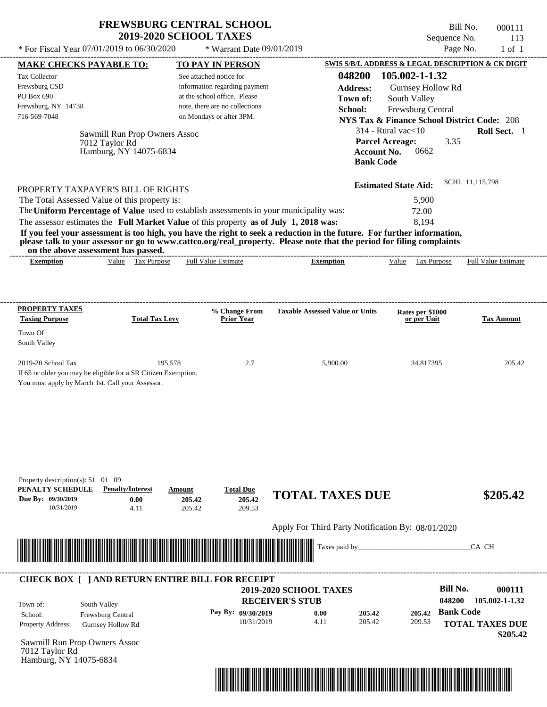Bill No. 000111 Sequence No. 113<br>Page No. 1 of 1

| * For Fiscal Year 07/01/2019 to 06/30/2020                                                                                                                                                                                                                                                                                                      |                                                                       | * Warrant Date 09/01/2019                                                                                                                              |                                                                                                                                                                                                                                                                      |                                                                                                                                        | Page No.<br>$1$ of $1$                                                                                          |
|-------------------------------------------------------------------------------------------------------------------------------------------------------------------------------------------------------------------------------------------------------------------------------------------------------------------------------------------------|-----------------------------------------------------------------------|--------------------------------------------------------------------------------------------------------------------------------------------------------|----------------------------------------------------------------------------------------------------------------------------------------------------------------------------------------------------------------------------------------------------------------------|----------------------------------------------------------------------------------------------------------------------------------------|-----------------------------------------------------------------------------------------------------------------|
| <b>MAKE CHECKS PAYABLE TO:</b>                                                                                                                                                                                                                                                                                                                  |                                                                       | <b>TO PAY IN PERSON</b>                                                                                                                                |                                                                                                                                                                                                                                                                      |                                                                                                                                        | SWIS S/B/L ADDRESS & LEGAL DESCRIPTION & CK DIGIT                                                               |
| Tax Collector<br>Frewsburg CSD<br>PO Box 690<br>Frewsburg, NY 14738<br>716-569-7048<br>7012 Taylor Rd                                                                                                                                                                                                                                           | Sawmill Run Prop Owners Assoc<br>Hamburg, NY 14075-6834               | See attached notice for<br>information regarding payment<br>at the school office. Please<br>note, there are no collections<br>on Mondays or after 3PM. | 048200<br><b>Address:</b><br>Town of:<br>School:<br><b>Account No.</b><br><b>Bank Code</b>                                                                                                                                                                           | 105.002-1-1.32<br>Gurnsey Hollow Rd<br>South Valley<br>Frewsburg Central<br>$314$ - Rural vac $<$ 10<br><b>Parcel Acreage:</b><br>0662 | <b>NYS Tax &amp; Finance School District Code: 208</b><br>Roll Sect. 1<br>3.35                                  |
| PROPERTY TAXPAYER'S BILL OF RIGHTS<br>The Total Assessed Value of this property is:<br>The Uniform Percentage of Value used to establish assessments in your municipality was:<br>The assessor estimates the Full Market Value of this property as of July 1, 2018 was:<br>on the above assessment has passed.<br><b>Exemption</b>              | Value Tax Purpose                                                     | <b>Full Value Estimate</b>                                                                                                                             | If you feel your assessment is too high, you have the right to seek a reduction in the future. For further information,<br>please talk to your assessor or go to www.cattco.org/real_property. Please note that the period for filing complaints<br><b>Exemption</b> | <b>Estimated State Aid:</b><br>5,900<br>72.00<br>8,194<br>Value Tax Purpose                                                            | SCHL 11,115,798<br><b>Full Value Estimate</b>                                                                   |
|                                                                                                                                                                                                                                                                                                                                                 |                                                                       |                                                                                                                                                        |                                                                                                                                                                                                                                                                      |                                                                                                                                        |                                                                                                                 |
| <b>PROPERTY TAXES</b><br><b>Taxing Purpose</b><br>Town Of<br>South Valley                                                                                                                                                                                                                                                                       | <b>Total Tax Levy</b>                                                 | % Change From<br><b>Prior Year</b>                                                                                                                     | <b>Taxable Assessed Value or Units</b>                                                                                                                                                                                                                               | Rates per \$1000<br>or per Unit                                                                                                        | <b>Tax Amount</b>                                                                                               |
| 2019-20 School Tax<br>If 65 or older you may be eligible for a SR Citizen Exemption.<br>You must apply by March 1st. Call your Assessor.                                                                                                                                                                                                        | 195,578                                                               | 2.7                                                                                                                                                    | 5,900.00                                                                                                                                                                                                                                                             | 34.817395                                                                                                                              | 205.42                                                                                                          |
| Property description(s): $51 \quad 01 \quad 09$<br>PENALTY SCHEDULE<br>Due By: 09/30/2019<br>10/31/2019<br><u> Harry Harry Harry Harry Harry Harry Harry Harry Harry Harry Harry Harry Harry Harry Harry Harry Harry Harry Harry Harry Harry Harry Harry Harry Harry Harry Harry Harry Harry Harry Harry Harry Harry Harry Harry Harry Harr</u> | <b>Penalty/Interest</b><br>Amount<br>0.00<br>205.42<br>4.11<br>205.42 | <b>Total Due</b><br>205.42<br>209.53                                                                                                                   | <b>TOTAL TAXES DUE</b><br>Apply For Third Party Notification By: 08/01/2020<br>Taxes paid by_                                                                                                                                                                        |                                                                                                                                        | \$205.42<br>CA CH                                                                                               |
|                                                                                                                                                                                                                                                                                                                                                 |                                                                       |                                                                                                                                                        |                                                                                                                                                                                                                                                                      |                                                                                                                                        |                                                                                                                 |
| <b>CHECK BOX [ ] AND RETURN ENTIRE BILL FOR RECEIPT</b><br>South Valley<br>Town of:<br>Frewsburg Central<br>School:<br>Property Address:<br><b>Gurnsey Hollow Rd</b><br>Sawmill Run Prop Owners Assoc<br>7012 Taylor Rd<br>Hamburg, NY 14075-6834                                                                                               |                                                                       | Pay By: 09/30/2019<br>10/31/2019                                                                                                                       | 2019-2020 SCHOOL TAXES<br><b>RECEIVER'S STUB</b><br>0.00<br>205.42<br>4.11<br>205.42                                                                                                                                                                                 | 209.53                                                                                                                                 | <b>Bill No.</b><br>000111<br>048200<br>105.002-1-1.32<br>205.42 Bank Code<br><b>TOTAL TAXES DUE</b><br>\$205.42 |

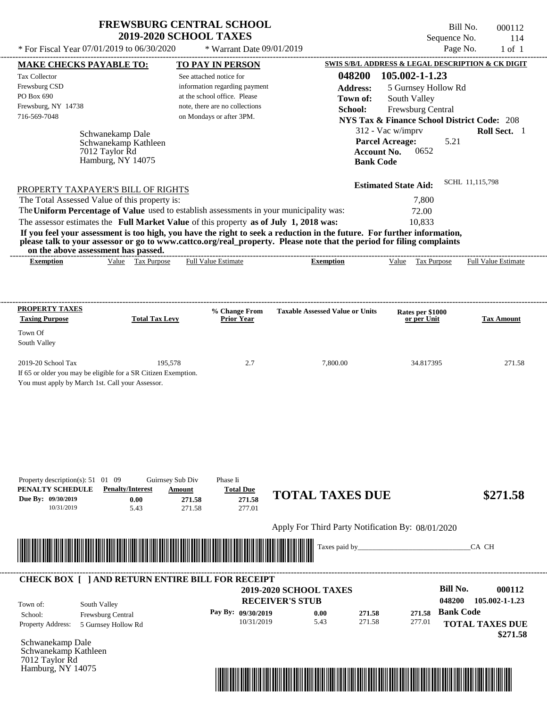Bill No. 000112 Sequence No. 114<br>Page No. 1 of 1

| SWIS S/B/L ADDRESS & LEGAL DESCRIPTION & CK DIGIT<br><b>NYS Tax &amp; Finance School District Code: 208</b><br>Roll Sect. 1<br>SCHL 11,115,798<br><b>Full Value Estimate</b><br><b>Tax Amount</b> |
|---------------------------------------------------------------------------------------------------------------------------------------------------------------------------------------------------|
|                                                                                                                                                                                                   |
|                                                                                                                                                                                                   |
|                                                                                                                                                                                                   |
|                                                                                                                                                                                                   |
|                                                                                                                                                                                                   |
|                                                                                                                                                                                                   |
|                                                                                                                                                                                                   |
|                                                                                                                                                                                                   |
|                                                                                                                                                                                                   |
|                                                                                                                                                                                                   |
|                                                                                                                                                                                                   |
|                                                                                                                                                                                                   |
|                                                                                                                                                                                                   |
|                                                                                                                                                                                                   |
|                                                                                                                                                                                                   |
|                                                                                                                                                                                                   |
| 271.58                                                                                                                                                                                            |
| \$271.58                                                                                                                                                                                          |
|                                                                                                                                                                                                   |
| CA CH                                                                                                                                                                                             |
|                                                                                                                                                                                                   |
| 000112<br>105.002-1-1.23                                                                                                                                                                          |
| <b>TOTAL TAXES DUE</b><br>\$271.58                                                                                                                                                                |
|                                                                                                                                                                                                   |

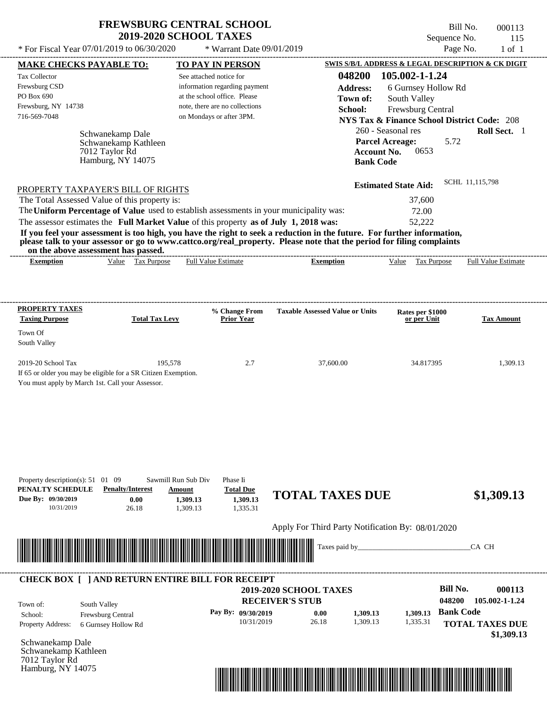Hamburg, NY 14075

 $(0.1/2010 \text{ to } 0.6/20/2020 \rightarrow W_{\text{meas}} + D_{\text{tot}} \cdot 0.0/0.1/2010)$ 

Bill No. 000113 Sequence No. 115

| * For Fiscal Year 07/01/2019 to 06/30/2020                                                                                                                                                                                           |                                                               | * Warrant Date 09/01/2019                                                                                                                              |                                                                                                                                                                                                                                                                      |                                                                                                                                                                             | Page No.<br>$1$ of $1$                                                                              |
|--------------------------------------------------------------------------------------------------------------------------------------------------------------------------------------------------------------------------------------|---------------------------------------------------------------|--------------------------------------------------------------------------------------------------------------------------------------------------------|----------------------------------------------------------------------------------------------------------------------------------------------------------------------------------------------------------------------------------------------------------------------|-----------------------------------------------------------------------------------------------------------------------------------------------------------------------------|-----------------------------------------------------------------------------------------------------|
| <b>MAKE CHECKS PAYABLE TO:</b>                                                                                                                                                                                                       |                                                               | <b>TO PAY IN PERSON</b>                                                                                                                                |                                                                                                                                                                                                                                                                      |                                                                                                                                                                             | SWIS S/B/L ADDRESS & LEGAL DESCRIPTION & CK DIGIT                                                   |
| Tax Collector<br>Frewsburg CSD<br>PO Box 690<br>Frewsburg, NY 14738<br>716-569-7048<br>7012 Taylor Rd<br>PROPERTY TAXPAYER'S BILL OF RIGHTS<br>The Total Assessed Value of this property is:                                         | Schwanekamp Dale<br>Schwanekamp Kathleen<br>Hamburg, NY 14075 | See attached notice for<br>information regarding payment<br>at the school office. Please<br>note, there are no collections<br>on Mondays or after 3PM. | 048200<br><b>Address:</b><br>Town of:<br>School:<br><b>Account No.</b><br><b>Bank Code</b>                                                                                                                                                                           | 105.002-1-1.24<br>6 Gurnsey Hollow Rd<br>South Valley<br>Frewsburg Central<br>260 - Seasonal res<br><b>Parcel Acreage:</b><br>0653<br><b>Estimated State Aid:</b><br>37,600 | <b>NYS Tax &amp; Finance School District Code: 208</b><br>Roll Sect. 1<br>5.72<br>SCHL 11,115,798   |
|                                                                                                                                                                                                                                      |                                                               | The Uniform Percentage of Value used to establish assessments in your municipality was:                                                                |                                                                                                                                                                                                                                                                      | 72.00                                                                                                                                                                       |                                                                                                     |
| on the above assessment has passed.<br><b>Exemption</b>                                                                                                                                                                              | Value Tax Purpose                                             | The assessor estimates the Full Market Value of this property as of July 1, 2018 was:<br><b>Full Value Estimate</b>                                    | If you feel your assessment is too high, you have the right to seek a reduction in the future. For further information,<br>please talk to your assessor or go to www.cattco.org/real_property. Please note that the period for filing complaints<br><b>Exemption</b> | 52,222<br>Value Tax Purpose                                                                                                                                                 | <b>Full Value Estimate</b>                                                                          |
| <b>PROPERTY TAXES</b>                                                                                                                                                                                                                |                                                               | % Change From                                                                                                                                          | <b>Taxable Assessed Value or Units</b>                                                                                                                                                                                                                               | Rates per \$1000                                                                                                                                                            |                                                                                                     |
| <b>Taxing Purpose</b><br>Town Of<br>South Valley                                                                                                                                                                                     | <b>Total Tax Levy</b>                                         | <b>Prior Year</b>                                                                                                                                      |                                                                                                                                                                                                                                                                      | or per Unit                                                                                                                                                                 | <b>Tax Amount</b>                                                                                   |
| 2019-20 School Tax<br>If 65 or older you may be eligible for a SR Citizen Exemption.<br>You must apply by March 1st. Call your Assessor.                                                                                             | 195,578                                                       | 2.7                                                                                                                                                    | 37,600.00                                                                                                                                                                                                                                                            | 34.817395                                                                                                                                                                   | 1,309.13                                                                                            |
| Property description(s): $51 \quad 01 \quad 09$<br>PENALTY SCHEDULE<br>Due By: 09/30/2019<br>10/31/2019                                                                                                                              | <b>Penalty/Interest</b><br>0.00<br>26.18                      | Sawmill Run Sub Div<br>Phase Ii<br><b>Total Due</b><br>Amount<br>1,309.13<br>1,309.13<br>1,335.31<br>1,309.13                                          | <b>TOTAL TAXES DUE</b>                                                                                                                                                                                                                                               |                                                                                                                                                                             | \$1,309.13                                                                                          |
| <u> Indian American State of Barbara and The Barbara and The Barbara and The Barbara and The Barbara and The Barbara and The Barbara and The Barbara and The Barbara and The Barbara and The Barbara and The Barbara and The Bar</u> |                                                               |                                                                                                                                                        | Apply For Third Party Notification By: 08/01/2020<br>Taxes paid by_                                                                                                                                                                                                  |                                                                                                                                                                             | CA CH                                                                                               |
| South Valley<br>Town of:<br>Frewsburg Central<br>School:<br>Property Address:                                                                                                                                                        | 6 Gurnsey Hollow Rd                                           | <b>CHECK BOX [ ] AND RETURN ENTIRE BILL FOR RECEIPT</b><br>Pay By: 09/30/2019<br>10/31/2019                                                            | 2019-2020 SCHOOL TAXES<br><b>RECEIVER'S STUB</b><br>0.00<br>1,309.13<br>26.18<br>1,309.13                                                                                                                                                                            | 1,309.13<br>1,335.31                                                                                                                                                        | <b>Bill No.</b><br>000113<br>048200<br>105.002-1-1.24<br><b>Bank Code</b><br><b>TOTAL TAXES DUE</b> |

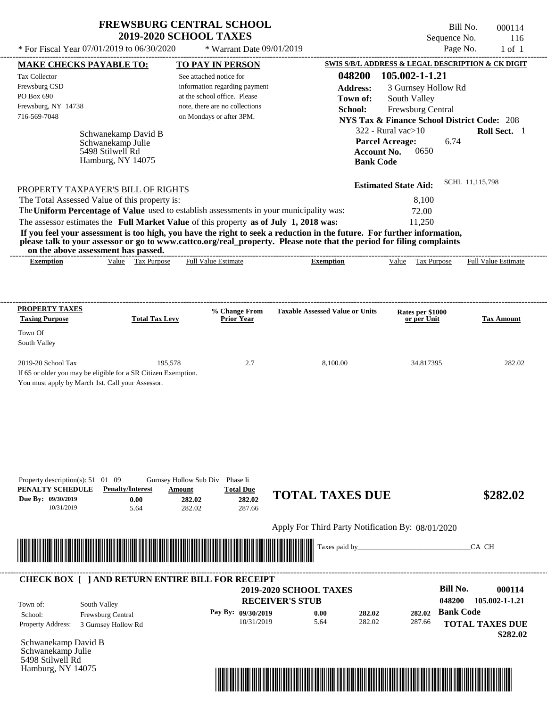5498 Stilwell Rd Hamburg, NY 14075

Bill No. 000114 Sequence No. 116

| * For Fiscal Year 07/01/2019 to 06/30/2020                                                                                                                                                                                                                                                                                                                                                                                                                                                                                                                         | * Warrant Date 09/01/2019                                                                                                                              |                                                                                                                      | Page No.                                                                                                                                                                        | $1$ of $1$                                                     |
|--------------------------------------------------------------------------------------------------------------------------------------------------------------------------------------------------------------------------------------------------------------------------------------------------------------------------------------------------------------------------------------------------------------------------------------------------------------------------------------------------------------------------------------------------------------------|--------------------------------------------------------------------------------------------------------------------------------------------------------|----------------------------------------------------------------------------------------------------------------------|---------------------------------------------------------------------------------------------------------------------------------------------------------------------------------|----------------------------------------------------------------|
| <b>MAKE CHECKS PAYABLE TO:</b>                                                                                                                                                                                                                                                                                                                                                                                                                                                                                                                                     | <b>TO PAY IN PERSON</b>                                                                                                                                |                                                                                                                      | SWIS S/B/L ADDRESS & LEGAL DESCRIPTION & CK DIGIT                                                                                                                               |                                                                |
| Tax Collector<br>Frewsburg CSD<br>PO Box 690<br>Frewsburg, NY 14738<br>716-569-7048<br>Schwanekamp David B<br>Schwanekamp Julie<br>5498 Stilwell Rd<br>Hamburg, NY 14075                                                                                                                                                                                                                                                                                                                                                                                           | See attached notice for<br>information regarding payment<br>at the school office. Please<br>note, there are no collections<br>on Mondays or after 3PM. | 048200<br><b>Address:</b><br>Town of:<br>School:<br><b>Parcel Acreage:</b><br><b>Account No.</b><br><b>Bank Code</b> | 105.002-1-1.21<br>3 Gurnsey Hollow Rd<br>South Valley<br>Frewsburg Central<br><b>NYS Tax &amp; Finance School District Code: 208</b><br>$322$ - Rural vac $>10$<br>6.74<br>0650 | Roll Sect. 1                                                   |
| PROPERTY TAXPAYER'S BILL OF RIGHTS<br>The Total Assessed Value of this property is:<br>The Uniform Percentage of Value used to establish assessments in your municipality was:<br>The assessor estimates the Full Market Value of this property as of July 1, 2018 was:<br>If you feel your assessment is too high, you have the right to seek a reduction in the future. For further information,<br>please talk to your assessor or go to www.cattco.org/real_property. Please note that the period for filing complaints<br>on the above assessment has passed. |                                                                                                                                                        |                                                                                                                      | SCHL 11,115,798<br><b>Estimated State Aid:</b><br>8,100<br>72.00<br>11,250                                                                                                      |                                                                |
| Value Tax Purpose<br><b>Exemption</b>                                                                                                                                                                                                                                                                                                                                                                                                                                                                                                                              | <b>Full Value Estimate</b>                                                                                                                             | <b>Exemption</b>                                                                                                     | Value Tax Purpose                                                                                                                                                               | <b>Full Value Estimate</b>                                     |
| <b>PROPERTY TAXES</b><br><b>Taxing Purpose</b><br><b>Total Tax Levy</b><br>Town Of<br>South Valley<br>2019-20 School Tax<br>195,578<br>If 65 or older you may be eligible for a SR Citizen Exemption.<br>You must apply by March 1st. Call your Assessor.                                                                                                                                                                                                                                                                                                          | % Change From<br><b>Prior Year</b><br>2.7                                                                                                              | <b>Taxable Assessed Value or Units</b><br>8,100.00                                                                   | Rates per \$1000<br>or per Unit<br>34.817395                                                                                                                                    | <b>Tax Amount</b><br>282.02                                    |
| Property description(s): $51 \quad 01 \quad 09$<br>PENALTY SCHEDULE<br><b>Penalty/Interest</b><br>Due By: 09/30/2019<br>0.00<br>10/31/2019<br>5.64                                                                                                                                                                                                                                                                                                                                                                                                                 | Gurnsey Hollow Sub Div Phase Ii<br><b>Total Due</b><br>Amount<br>282.02<br>282.02<br>282.02<br>287.66                                                  | <b>TOTAL TAXES DUE</b>                                                                                               |                                                                                                                                                                                 | \$282.02                                                       |
| <u> III de la contrada de la contrada de la contrada de la contrada de la contrada de la contrada de la contrada</u>                                                                                                                                                                                                                                                                                                                                                                                                                                               |                                                                                                                                                        | Apply For Third Party Notification By: 08/01/2020<br>Taxes paid by_                                                  |                                                                                                                                                                                 | CA CH                                                          |
| <b>CHECK BOX [ ] AND RETURN ENTIRE BILL FOR RECEIPT</b><br>South Valley<br>Town of:<br>Frewsburg Central<br>School:<br><b>Property Address:</b><br>3 Gurnsey Hollow Rd<br>Schwanekamp David B<br>Schwanekamp Julie                                                                                                                                                                                                                                                                                                                                                 | <b>RECEIVER'S STUB</b><br>Pay By: 09/30/2019<br>10/31/2019                                                                                             | 2019-2020 SCHOOL TAXES<br>0.00<br>282.02<br>5.64<br>282.02                                                           | <b>Bill No.</b><br>048200<br><b>Bank Code</b><br>282.02<br>287.66                                                                                                               | 000114<br>105.002-1-1.21<br><b>TOTAL TAXES DUE</b><br>\$282.02 |

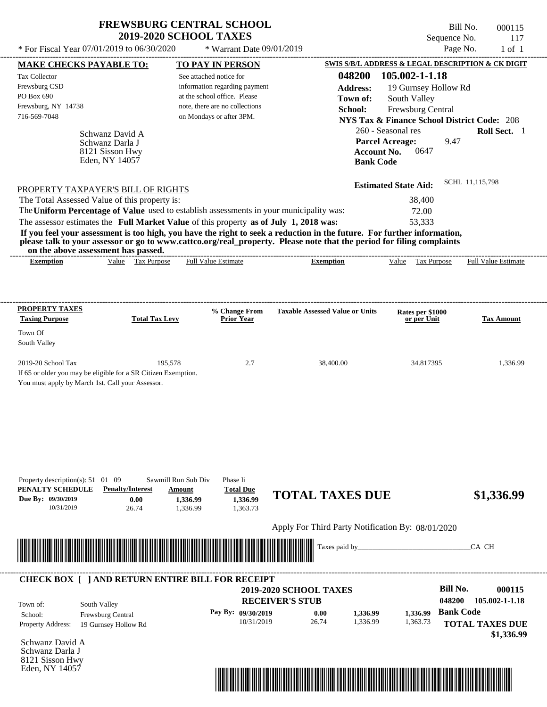\* For Fiscal Year  $07/01/2019$  to  $06/30/2020$  \* Warrant Date  $09/01/2019$  Page No. 1 of 1 \* Warrant Date 09/01/2019

Bill No. 000115 Sequence No. 117

| <b>MAKE CHECKS PAYABLE TO:</b>                                                          |                                                                                                                                                              |                         | <b>TO PAY IN PERSON</b>            |                                                   |                    | <b>SWIS S/B/L ADDRESS &amp; LEGAL DESCRIPTION &amp; CK DIGIT</b> |                  |                            |
|-----------------------------------------------------------------------------------------|--------------------------------------------------------------------------------------------------------------------------------------------------------------|-------------------------|------------------------------------|---------------------------------------------------|--------------------|------------------------------------------------------------------|------------------|----------------------------|
| <b>Tax Collector</b>                                                                    |                                                                                                                                                              | See attached notice for |                                    |                                                   | 048200             | 105.002-1-1.18                                                   |                  |                            |
| Frewsburg CSD                                                                           |                                                                                                                                                              |                         | information regarding payment      |                                                   | <b>Address:</b>    | 19 Gurnsey Hollow Rd                                             |                  |                            |
| PO Box 690                                                                              |                                                                                                                                                              |                         | at the school office. Please       |                                                   | Town of:           | South Valley                                                     |                  |                            |
| Frewsburg, NY 14738                                                                     |                                                                                                                                                              |                         | note, there are no collections     |                                                   | School:            | Frewsburg Central                                                |                  |                            |
| 716-569-7048                                                                            |                                                                                                                                                              |                         | on Mondays or after 3PM.           |                                                   |                    | <b>NYS Tax &amp; Finance School District Code: 208</b>           |                  |                            |
|                                                                                         | Schwanz David A                                                                                                                                              |                         |                                    |                                                   |                    | 260 - Seasonal res                                               |                  | Roll Sect. 1               |
|                                                                                         | Schwanz Darla J                                                                                                                                              |                         |                                    |                                                   |                    | <b>Parcel Acreage:</b>                                           | 9.47             |                            |
|                                                                                         | 8121 Sisson Hwy                                                                                                                                              |                         |                                    |                                                   | <b>Account No.</b> | 0647                                                             |                  |                            |
|                                                                                         | Eden, NY 14057                                                                                                                                               |                         |                                    |                                                   | <b>Bank Code</b>   |                                                                  |                  |                            |
|                                                                                         |                                                                                                                                                              |                         |                                    |                                                   |                    |                                                                  |                  |                            |
| PROPERTY TAXPAYER'S BILL OF RIGHTS                                                      |                                                                                                                                                              |                         |                                    |                                                   |                    | <b>Estimated State Aid:</b>                                      | SCHL 11,115,798  |                            |
| The Total Assessed Value of this property is:                                           |                                                                                                                                                              |                         |                                    |                                                   |                    | 38,400                                                           |                  |                            |
| The Uniform Percentage of Value used to establish assessments in your municipality was: |                                                                                                                                                              |                         |                                    |                                                   |                    | 72.00                                                            |                  |                            |
| The assessor estimates the Full Market Value of this property as of July 1, 2018 was:   |                                                                                                                                                              |                         |                                    |                                                   |                    | 53,333                                                           |                  |                            |
|                                                                                         | If you feel your assessment is too high, you have the right to seek a reduction in the future. For further information,                                      |                         |                                    |                                                   |                    |                                                                  |                  |                            |
|                                                                                         | please talk to your assessor or go to www.cattco.org/real_property. Please note that the period for filing complaints<br>on the above assessment has passed. |                         |                                    |                                                   |                    |                                                                  |                  |                            |
| <b>Exemption</b>                                                                        | Value Tax Purpose                                                                                                                                            |                         | <b>Full Value Estimate</b>         | <b>Exemption</b>                                  |                    | Value Tax Purpose                                                |                  | <b>Full Value Estimate</b> |
|                                                                                         |                                                                                                                                                              |                         |                                    |                                                   |                    |                                                                  |                  |                            |
|                                                                                         |                                                                                                                                                              |                         |                                    |                                                   |                    |                                                                  |                  |                            |
| <b>PROPERTY TAXES</b>                                                                   |                                                                                                                                                              |                         |                                    |                                                   |                    |                                                                  |                  |                            |
| <b>Taxing Purpose</b>                                                                   | <b>Total Tax Levy</b>                                                                                                                                        |                         | % Change From<br><b>Prior Year</b> | <b>Taxable Assessed Value or Units</b>            |                    | Rates per \$1000<br>or per Unit                                  |                  | <b>Tax Amount</b>          |
| Town Of                                                                                 |                                                                                                                                                              |                         |                                    |                                                   |                    |                                                                  |                  |                            |
| South Valley                                                                            |                                                                                                                                                              |                         |                                    |                                                   |                    |                                                                  |                  |                            |
|                                                                                         |                                                                                                                                                              |                         |                                    |                                                   |                    |                                                                  |                  |                            |
| 2019-20 School Tax                                                                      |                                                                                                                                                              | 195,578                 | 2.7                                | 38,400.00                                         |                    | 34.817395                                                        |                  | 1,336.99                   |
|                                                                                         | If 65 or older you may be eligible for a SR Citizen Exemption.                                                                                               |                         |                                    |                                                   |                    |                                                                  |                  |                            |
|                                                                                         | You must apply by March 1st. Call your Assessor.                                                                                                             |                         |                                    |                                                   |                    |                                                                  |                  |                            |
|                                                                                         |                                                                                                                                                              |                         |                                    |                                                   |                    |                                                                  |                  |                            |
|                                                                                         |                                                                                                                                                              |                         |                                    |                                                   |                    |                                                                  |                  |                            |
|                                                                                         |                                                                                                                                                              |                         |                                    |                                                   |                    |                                                                  |                  |                            |
|                                                                                         |                                                                                                                                                              |                         |                                    |                                                   |                    |                                                                  |                  |                            |
|                                                                                         |                                                                                                                                                              |                         |                                    |                                                   |                    |                                                                  |                  |                            |
|                                                                                         |                                                                                                                                                              |                         |                                    |                                                   |                    |                                                                  |                  |                            |
|                                                                                         |                                                                                                                                                              |                         |                                    |                                                   |                    |                                                                  |                  |                            |
| Property description(s): $51 \quad 01 \quad 09$<br>PENALTY SCHEDULE                     |                                                                                                                                                              | Sawmill Run Sub Div     | Phase Ii                           |                                                   |                    |                                                                  |                  |                            |
| Due By: 09/30/2019                                                                      | <b>Penalty/Interest</b><br>0.00                                                                                                                              | Amount<br>1,336.99      | <b>Total Due</b><br>1,336.99       | <b>TOTAL TAXES DUE</b>                            |                    |                                                                  |                  | \$1,336.99                 |
| 10/31/2019                                                                              | 26.74                                                                                                                                                        | 1,336.99                | 1,363.73                           |                                                   |                    |                                                                  |                  |                            |
|                                                                                         |                                                                                                                                                              |                         |                                    |                                                   |                    |                                                                  |                  |                            |
|                                                                                         |                                                                                                                                                              |                         |                                    | Apply For Third Party Notification By: 08/01/2020 |                    |                                                                  |                  |                            |
|                                                                                         |                                                                                                                                                              |                         |                                    |                                                   | Taxes paid by_     |                                                                  |                  | CA CH                      |
|                                                                                         | <u> III de la construcción de la construcción de la construcción de la construcción de la construcción de la const</u>                                       |                         |                                    |                                                   |                    |                                                                  |                  |                            |
|                                                                                         |                                                                                                                                                              |                         |                                    |                                                   |                    |                                                                  |                  |                            |
| <b>CHECK BOX [ ] AND RETURN ENTIRE BILL FOR RECEIPT</b>                                 |                                                                                                                                                              |                         |                                    |                                                   |                    |                                                                  | <b>Bill No.</b>  |                            |
|                                                                                         |                                                                                                                                                              |                         |                                    | <b>2019-2020 SCHOOL TAXES</b>                     |                    |                                                                  |                  | 000115                     |
| Town of:                                                                                | South Valley                                                                                                                                                 |                         |                                    | <b>RECEIVER'S STUB</b>                            |                    |                                                                  | 048200           | 105.002-1-1.18             |
| School:                                                                                 | Frewsburg Central                                                                                                                                            |                         | Pay By: 09/30/2019                 | 0.00                                              | 1,336.99           | 1,336.99                                                         | <b>Bank Code</b> |                            |
| Property Address:                                                                       | 19 Gurnsey Hollow Rd                                                                                                                                         |                         | 10/31/2019                         | 26.74                                             | 1,336.99           | 1,363.73                                                         |                  | <b>TOTAL TAXES DUE</b>     |
|                                                                                         |                                                                                                                                                              |                         |                                    |                                                   |                    |                                                                  |                  | \$1,336.99                 |
| Schwanz David A                                                                         |                                                                                                                                                              |                         |                                    |                                                   |                    |                                                                  |                  |                            |
| Schwanz Darla J<br>8121 Sisson Hwy                                                      |                                                                                                                                                              |                         |                                    |                                                   |                    |                                                                  |                  |                            |
| Eden, NY 14057                                                                          |                                                                                                                                                              |                         |                                    |                                                   |                    |                                                                  |                  |                            |
|                                                                                         |                                                                                                                                                              |                         |                                    |                                                   |                    |                                                                  |                  |                            |

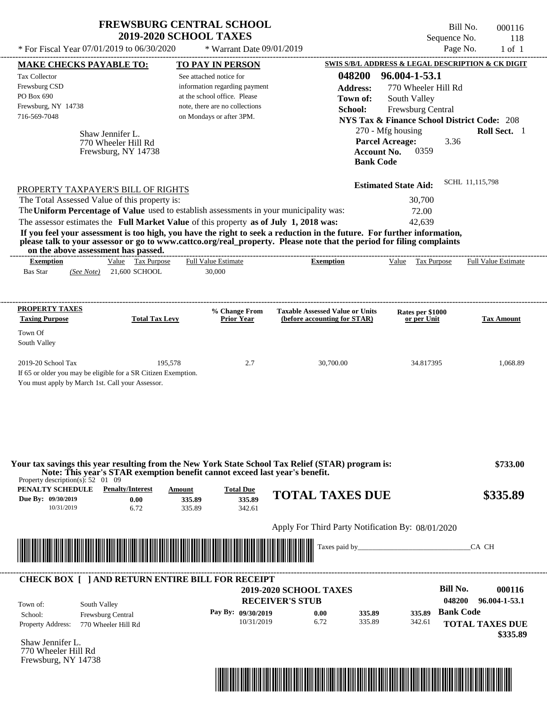| <b>FREWSBURG CENTRAL SCHOOL</b> |
|---------------------------------|
| <b>2019-2020 SCHOOL TAXES</b>   |

Bill No. 000116 Sequence No. 118  $*$  For Fiscal Year 07/01/2019 to 06/30/2020  $*$  Warrant Date 09/01/2019 Page No. 1 of 1

| <b>MAKE CHECKS PAYABLE TO:</b>                                                                                                           |                                                                | <b>TO PAY IN PERSON</b>                                                                                                    |                                                                                                                                                                                                                                                  | <b>SWIS S/B/L ADDRESS &amp; LEGAL DESCRIPTION &amp; CK DIGIT</b>                                                      |                            |
|------------------------------------------------------------------------------------------------------------------------------------------|----------------------------------------------------------------|----------------------------------------------------------------------------------------------------------------------------|--------------------------------------------------------------------------------------------------------------------------------------------------------------------------------------------------------------------------------------------------|-----------------------------------------------------------------------------------------------------------------------|----------------------------|
| <b>Tax Collector</b><br>Frewsburg CSD<br>PO Box 690<br>Frewsburg, NY 14738<br>716-569-7048                                               |                                                                | See attached notice for<br>information regarding payment<br>at the school office. Please<br>note, there are no collections | 048200<br><b>Address:</b><br>Town of:<br>School:                                                                                                                                                                                                 | 96.004-1-53.1<br>770 Wheeler Hill Rd<br>South Valley<br>Frewsburg Central                                             |                            |
|                                                                                                                                          | Shaw Jennifer L.<br>770 Wheeler Hill Rd<br>Frewsburg, NY 14738 | on Mondays or after 3PM.                                                                                                   | <b>Account No.</b><br><b>Bank Code</b>                                                                                                                                                                                                           | <b>NYS Tax &amp; Finance School District Code: 208</b><br>270 - Mfg housing<br><b>Parcel Acreage:</b><br>3.36<br>0359 | Roll Sect. 1               |
| PROPERTY TAXPAYER'S BILL OF RIGHTS                                                                                                       |                                                                |                                                                                                                            |                                                                                                                                                                                                                                                  | <b>Estimated State Aid:</b>                                                                                           | SCHL 11,115,798            |
| The Total Assessed Value of this property is:                                                                                            |                                                                | The Uniform Percentage of Value used to establish assessments in your municipality was:                                    |                                                                                                                                                                                                                                                  | 30,700                                                                                                                |                            |
| on the above assessment has passed.                                                                                                      |                                                                | The assessor estimates the Full Market Value of this property as of July 1, 2018 was:                                      | If you feel your assessment is too high, you have the right to seek a reduction in the future. For further information,<br>please talk to your assessor or go to www.cattco.org/real_property. Please note that the period for filing complaints | 72.00<br>42,639                                                                                                       |                            |
| <b>Exemption</b><br><b>Bas Star</b>                                                                                                      | Value Tax Purpose<br>(See Note) 21,600 SCHOOL                  | <b>Full Value Estimate</b><br>30,000                                                                                       | <b>Exemption</b>                                                                                                                                                                                                                                 | Value Tax Purpose                                                                                                     | <b>Full Value Estimate</b> |
| <b>PROPERTY TAXES</b><br><b>Taxing Purpose</b><br>Town Of                                                                                | <b>Total Tax Levy</b>                                          | % Change From<br><b>Prior Year</b>                                                                                         | <b>Taxable Assessed Value or Units</b><br>(before accounting for STAR)                                                                                                                                                                           | Rates per \$1000<br>or per Unit                                                                                       | <b>Tax Amount</b>          |
| 2019-20 School Tax<br>If 65 or older you may be eligible for a SR Citizen Exemption.<br>You must apply by March 1st. Call your Assessor. | 195,578                                                        | 2.7                                                                                                                        | 30,700.00                                                                                                                                                                                                                                        | 34.817395                                                                                                             | 1,068.89                   |
| Property description(s): $52 \quad 01 \quad 09$                                                                                          |                                                                | Note: This year's STAR exemption benefit cannot exceed last year's benefit.                                                | Your tax savings this year resulting from the New York State School Tax Relief (STAR) program is:                                                                                                                                                |                                                                                                                       | \$733.00                   |
| PENALTY SCHEDULE<br>Due By: 09/30/2019<br>10/31/2019                                                                                     | <b>Penalty/Interest</b><br>0.00<br>6.72                        | <b>Total Due</b><br>Amount<br>335.89<br>335.89<br>335.89<br>342.61                                                         | <b>TOTAL TAXES DUE</b>                                                                                                                                                                                                                           |                                                                                                                       | \$335.89                   |
|                                                                                                                                          |                                                                |                                                                                                                            | Apply For Third Party Notification By: 08/01/2020                                                                                                                                                                                                |                                                                                                                       |                            |
| <u> I Talik Barat dan Barat dan Barat dan Barat dan Barat dan Barat dan Barat dan Barat dan Barat dan Barat dan B</u>                    |                                                                |                                                                                                                            |                                                                                                                                                                                                                                                  |                                                                                                                       | CA CH                      |
|                                                                                                                                          |                                                                | <b>CHECK BOX [ ] AND RETURN ENTIRE BILL FOR RECEIPT</b>                                                                    | <b>2019-2020 SCHOOL TAXES</b>                                                                                                                                                                                                                    | <b>Bill No.</b><br>048200                                                                                             | 000116<br>96.004-1-53.1    |
| South Valley<br>Town of:<br>School:<br><b>Property Address:</b>                                                                          | Frewsburg Central<br>770 Wheeler Hill Rd                       | Pay By: 09/30/2019<br>10/31/2019                                                                                           | <b>RECEIVER'S STUB</b><br>0.00<br>335.89<br>6.72<br>335.89                                                                                                                                                                                       | <b>Bank Code</b><br>335.89<br>342.61                                                                                  | <b>TOTAL TAXES DUE</b>     |
| Shaw Jennifer L.<br>770 Wheeler Hill Rd<br>Frewsburg, NY 14738                                                                           |                                                                |                                                                                                                            |                                                                                                                                                                                                                                                  |                                                                                                                       | \$335.89                   |
|                                                                                                                                          |                                                                |                                                                                                                            | <u> 1989 - Johann Stoff, Amerikaansk politiker († 1958)</u>                                                                                                                                                                                      |                                                                                                                       |                            |
|                                                                                                                                          |                                                                |                                                                                                                            |                                                                                                                                                                                                                                                  |                                                                                                                       |                            |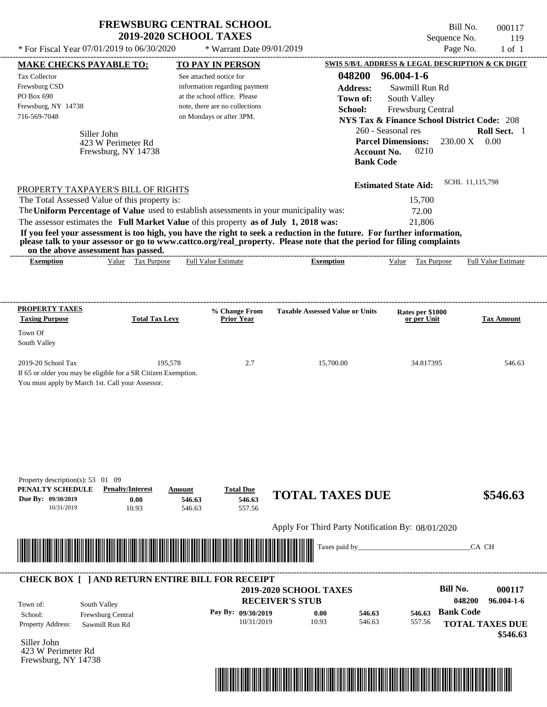| * For Fiscal Year 07/01/2019 to 06/30/2020<br>* Warrant Date 09/01/2019<br>SWIS S/B/L ADDRESS & LEGAL DESCRIPTION & CK DIGIT<br><b>MAKE CHECKS PAYABLE TO:</b><br>TO PAY IN PERSON<br>$96.004 - 1 - 6$<br>048200<br>Tax Collector<br>See attached notice for<br>information regarding payment<br><b>Address:</b><br>PO Box 690<br>at the school office. Please<br>Town of:<br>South Valley<br>note, there are no collections<br>School:<br>716-569-7048<br>on Mondays or after 3PM.<br><b>NYS Tax &amp; Finance School District Code: 208</b><br>260 - Seasonal res            | Page No.<br>Sawmill Run Rd                   | $1$ of $1$                  |
|--------------------------------------------------------------------------------------------------------------------------------------------------------------------------------------------------------------------------------------------------------------------------------------------------------------------------------------------------------------------------------------------------------------------------------------------------------------------------------------------------------------------------------------------------------------------------------|----------------------------------------------|-----------------------------|
| Frewsburg CSD<br>Frewsburg, NY 14738                                                                                                                                                                                                                                                                                                                                                                                                                                                                                                                                           |                                              |                             |
| Siller John<br><b>Parcel Dimensions:</b><br>423 W Perimeter Rd<br><b>Account No.</b><br>Frewsburg, NY 14738                                                                                                                                                                                                                                                                                                                                                                                                                                                                    | Frewsburg Central<br>230.00 X<br>0210        | Roll Sect. 1<br>0.00        |
| <b>Bank Code</b><br><b>Estimated State Aid:</b><br>PROPERTY TAXPAYER'S BILL OF RIGHTS<br>The Total Assessed Value of this property is:<br>The Uniform Percentage of Value used to establish assessments in your municipality was:<br>The assessor estimates the Full Market Value of this property as of July 1, 2018 was:<br>If you feel your assessment is too high, you have the right to seek a reduction in the future. For further information,<br>please talk to your assessor or go to www.cattco.org/real_property. Please note that the period for filing complaints | SCHL 11,115,798<br>15,700<br>72.00<br>21,806 |                             |
| on the above assessment has passed.<br>Value Tax Purpose<br><b>Full Value Estimate</b><br><b>Exemption</b><br><b>Exemption</b>                                                                                                                                                                                                                                                                                                                                                                                                                                                 | Value Tax Purpose                            | <b>Full Value Estimate</b>  |
| <b>Taxing Purpose</b><br><b>Total Tax Levy</b><br><b>Prior Year</b><br>Town Of<br>South Valley<br>2019-20 School Tax<br>2.7<br>195,578<br>15,700.00<br>If 65 or older you may be eligible for a SR Citizen Exemption.<br>You must apply by March 1st. Call your Assessor.                                                                                                                                                                                                                                                                                                      | or per Unit<br>34.817395                     | <b>Tax Amount</b><br>546.63 |
| Property description(s): 53 01 09<br>PENALTY SCHEDULE<br><b>Penalty/Interest</b><br><b>Total Due</b><br>Amount<br><b>TOTAL TAXES DUE</b><br>Due By: 09/30/2019<br>546.63<br>0.00<br>546.63<br>10/31/2019<br>10.93<br>557.56<br>546.63                                                                                                                                                                                                                                                                                                                                          |                                              | \$546.63                    |
|                                                                                                                                                                                                                                                                                                                                                                                                                                                                                                                                                                                |                                              |                             |
| Apply For Third Party Notification By: 08/01/2020                                                                                                                                                                                                                                                                                                                                                                                                                                                                                                                              |                                              |                             |
| Taxes paid by_                                                                                                                                                                                                                                                                                                                                                                                                                                                                                                                                                                 |                                              | CA CH                       |

|                          | <b>CHECK BOX [ ] AND RETURN ENTIRE BILL FOR RECEIPT</b> | <b>RECEIVER'S STUB</b> | <b>2019-2020 SCHOOL TAXES</b> |        |        | Bill No.<br>048200 | 000117<br>$96.004 - 1 - 6$         |
|--------------------------|---------------------------------------------------------|------------------------|-------------------------------|--------|--------|--------------------|------------------------------------|
| Town of:<br>School:      | South Valley<br><b>Frewsburg Central</b>                | Pay By: $09/30/2019$   | 0.00                          | 546.63 | 546.63 | <b>Bank Code</b>   |                                    |
| <b>Property Address:</b> | Sawmill Run Rd                                          | 10/31/2019             | 10.93                         | 546.63 | 557.56 |                    | <b>TOTAL TAXES DUE</b><br>\$546.63 |

Siller John 423 W Perimeter Rd Frewsburg, NY 14738

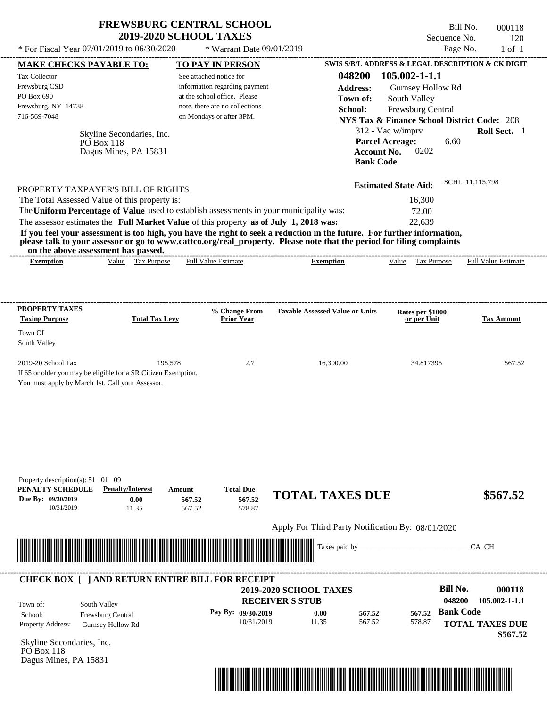Bill No. 000118 Sequence No. 120

| * For Fiscal Year 07/01/2019 to 06/30/2020                                                                                                     |                                                                         | * Warrant Date 09/01/2019                                                                                                                                                                                      |                                                                                                                                                                                                                                                                      |                                                                                                                                                                   | Page No.<br>$1$ of $1$                                                                  |
|------------------------------------------------------------------------------------------------------------------------------------------------|-------------------------------------------------------------------------|----------------------------------------------------------------------------------------------------------------------------------------------------------------------------------------------------------------|----------------------------------------------------------------------------------------------------------------------------------------------------------------------------------------------------------------------------------------------------------------------|-------------------------------------------------------------------------------------------------------------------------------------------------------------------|-----------------------------------------------------------------------------------------|
| <b>MAKE CHECKS PAYABLE TO:</b>                                                                                                                 |                                                                         | <b>TO PAY IN PERSON</b>                                                                                                                                                                                        |                                                                                                                                                                                                                                                                      |                                                                                                                                                                   | SWIS S/B/L ADDRESS & LEGAL DESCRIPTION & CK DIGIT                                       |
| Tax Collector<br>Frewsburg CSD<br>PO Box 690<br>Frewsburg, NY 14738<br>716-569-7048                                                            | Skyline Secondaries, Inc.<br><b>PO</b> Box 118<br>Dagus Mines, PA 15831 | See attached notice for<br>information regarding payment<br>at the school office. Please<br>note, there are no collections<br>on Mondays or after 3PM.                                                         | 048200<br><b>Address:</b><br>Town of:<br>School:                                                                                                                                                                                                                     | 105.002-1-1.1<br>Gurnsey Hollow Rd<br>South Valley<br>Frewsburg Central<br>312 - Vac w/imprv<br><b>Parcel Acreage:</b><br>Account No.<br>0202<br><b>Bank Code</b> | <b>NYS Tax &amp; Finance School District Code: 208</b><br>Roll Sect. 1<br>6.60          |
| PROPERTY TAXPAYER'S BILL OF RIGHTS<br>The Total Assessed Value of this property is:<br>on the above assessment has passed.<br><b>Exemption</b> | Value Tax Purpose                                                       | The Uniform Percentage of Value used to establish assessments in your municipality was:<br>The assessor estimates the Full Market Value of this property as of July 1, 2018 was:<br><b>Full Value Estimate</b> | If you feel your assessment is too high, you have the right to seek a reduction in the future. For further information,<br>please talk to your assessor or go to www.cattco.org/real_property. Please note that the period for filing complaints<br><b>Exemption</b> | <b>Estimated State Aid:</b><br>16,300<br>72.00<br>22,639<br>Value Tax Purpose                                                                                     | SCHL 11,115,798<br><b>Full Value Estimate</b>                                           |
| <b>PROPERTY TAXES</b>                                                                                                                          |                                                                         |                                                                                                                                                                                                                |                                                                                                                                                                                                                                                                      |                                                                                                                                                                   |                                                                                         |
| <b>Taxing Purpose</b><br>Town Of<br>South Valley                                                                                               | <b>Total Tax Levy</b>                                                   | % Change From<br><b>Prior Year</b>                                                                                                                                                                             | <b>Taxable Assessed Value or Units</b>                                                                                                                                                                                                                               | Rates per \$1000<br>or per Unit                                                                                                                                   | <b>Tax Amount</b>                                                                       |
| 2019-20 School Tax<br>If 65 or older you may be eligible for a SR Citizen Exemption.<br>You must apply by March 1st. Call your Assessor.       | 195,578                                                                 | 2.7                                                                                                                                                                                                            | 16,300.00                                                                                                                                                                                                                                                            | 34.817395                                                                                                                                                         | 567.52                                                                                  |
| Property description(s): $51 \quad 01 \quad 09$<br>PENALTY SCHEDULE<br>Due By: 09/30/2019<br>10/31/2019                                        | <b>Penalty/Interest</b><br>0.00<br>11.35                                | <b>Total Due</b><br>Amount<br>567.52<br>567.52<br>578.87<br>567.52                                                                                                                                             | <b>TOTAL TAXES DUE</b><br>Apply For Third Party Notification By: 08/01/2020<br>Taxes paid by_                                                                                                                                                                        |                                                                                                                                                                   | \$567.52<br>CA CH                                                                       |
|                                                                                                                                                |                                                                         | <b>CHECK BOX [ ] AND RETURN ENTIRE BILL FOR RECEIPT</b>                                                                                                                                                        | 2019-2020 SCHOOL TAXES                                                                                                                                                                                                                                               |                                                                                                                                                                   | <b>Bill No.</b><br>000118                                                               |
| South Valley<br>Town of:<br>School:<br>Property Address:<br>Skyline Secondaries, Inc.<br><b>PO</b> Box 118<br>Dagus Mines, PA 15831            | Frewsburg Central<br><b>Gurnsey Hollow Rd</b>                           | Pay By: 09/30/2019<br>10/31/2019                                                                                                                                                                               | <b>RECEIVER'S STUB</b><br>0.00<br>567.52<br>11.35<br>567.52                                                                                                                                                                                                          | 567.52<br>578.87                                                                                                                                                  | 048200<br>$105.002 - 1 - 1.1$<br><b>Bank Code</b><br><b>TOTAL TAXES DUE</b><br>\$567.52 |

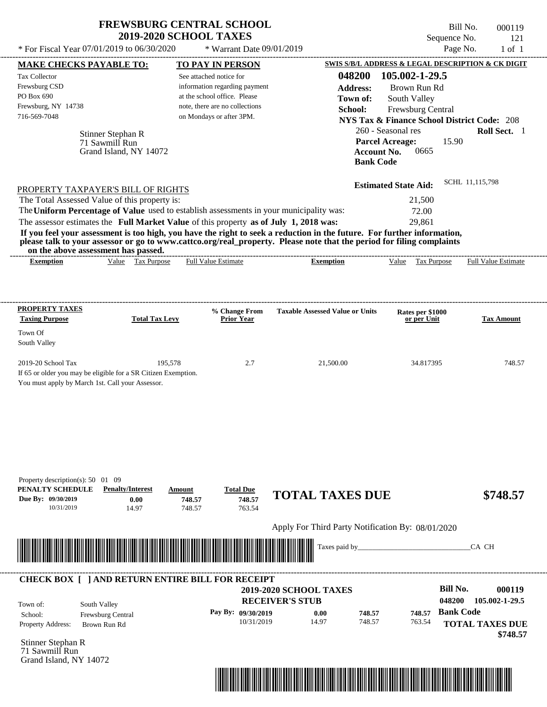| <b>FREWSBURG CENTRAL SCHOOL</b> |
|---------------------------------|
| <b>2019-2020 SCHOOL TAXES</b>   |

Bill No. 000119 Sequence No. 121

| * For Fiscal Year 07/01/2019 to 06/30/2020                                                                                                                                                                                           |                                                               | * Warrant Date 09/01/2019                                                                                                                                                        |                                                                                                                                                                                                                                                  | Page No.                                                                                                                                                                                                             | $1$ of $1$                                                     |
|--------------------------------------------------------------------------------------------------------------------------------------------------------------------------------------------------------------------------------------|---------------------------------------------------------------|----------------------------------------------------------------------------------------------------------------------------------------------------------------------------------|--------------------------------------------------------------------------------------------------------------------------------------------------------------------------------------------------------------------------------------------------|----------------------------------------------------------------------------------------------------------------------------------------------------------------------------------------------------------------------|----------------------------------------------------------------|
| <b>MAKE CHECKS PAYABLE TO:</b>                                                                                                                                                                                                       |                                                               | <b>TO PAY IN PERSON</b>                                                                                                                                                          |                                                                                                                                                                                                                                                  | SWIS S/B/L ADDRESS & LEGAL DESCRIPTION & CK DIGIT                                                                                                                                                                    |                                                                |
| Tax Collector<br>Frewsburg CSD<br>PO Box 690<br>Frewsburg, NY 14738<br>716-569-7048                                                                                                                                                  | Stinner Stephan R<br>71 Sawmill Run<br>Grand Island, NY 14072 | See attached notice for<br>information regarding payment<br>at the school office. Please<br>note, there are no collections<br>on Mondays or after 3PM.                           | 048200<br><b>Address:</b><br>Town of:<br>School:<br><b>Bank Code</b>                                                                                                                                                                             | 105.002-1-29.5<br>Brown Run Rd<br>South Valley<br>Frewsburg Central<br><b>NYS Tax &amp; Finance School District Code: 208</b><br>260 - Seasonal res<br><b>Parcel Acreage:</b><br>15.90<br><b>Account No.</b><br>0665 | Roll Sect. 1                                                   |
| PROPERTY TAXPAYER'S BILL OF RIGHTS<br>The Total Assessed Value of this property is:<br>on the above assessment has passed.                                                                                                           |                                                               | The Uniform Percentage of Value used to establish assessments in your municipality was:<br>The assessor estimates the Full Market Value of this property as of July 1, 2018 was: | If you feel your assessment is too high, you have the right to seek a reduction in the future. For further information,<br>please talk to your assessor or go to www.cattco.org/real_property. Please note that the period for filing complaints | <b>Estimated State Aid:</b><br>21,500<br>72.00<br>29,861                                                                                                                                                             | SCHL 11,115,798                                                |
| <b>Exemption</b>                                                                                                                                                                                                                     | Value Tax Purpose                                             | <b>Full Value Estimate</b>                                                                                                                                                       | <b>Exemption</b>                                                                                                                                                                                                                                 | Value Tax Purpose                                                                                                                                                                                                    | <b>Full Value Estimate</b>                                     |
| <b>PROPERTY TAXES</b><br><b>Taxing Purpose</b>                                                                                                                                                                                       | <b>Total Tax Levy</b>                                         | % Change From<br><b>Prior Year</b>                                                                                                                                               | <b>Taxable Assessed Value or Units</b>                                                                                                                                                                                                           | Rates per \$1000<br>or per Unit                                                                                                                                                                                      | <b>Tax Amount</b>                                              |
| Town Of<br>South Valley                                                                                                                                                                                                              |                                                               |                                                                                                                                                                                  |                                                                                                                                                                                                                                                  |                                                                                                                                                                                                                      |                                                                |
| 2019-20 School Tax<br>If 65 or older you may be eligible for a SR Citizen Exemption.<br>You must apply by March 1st. Call your Assessor.                                                                                             | 195,578                                                       | 2.7                                                                                                                                                                              | 21,500.00                                                                                                                                                                                                                                        | 34.817395                                                                                                                                                                                                            | 748.57                                                         |
| Property description(s): 50 01 09<br>PENALTY SCHEDULE<br>Due By: 09/30/2019<br>10/31/2019                                                                                                                                            | <b>Penalty/Interest</b><br>0.00<br>14.97                      | <b>Total Due</b><br>Amount<br>748.57<br>748.57<br>748.57<br>763.54                                                                                                               | <b>TOTAL TAXES DUE</b><br>Apply For Third Party Notification By: 08/01/2020                                                                                                                                                                      |                                                                                                                                                                                                                      | \$748.57                                                       |
| <u> In the second control of the second control of the second control of the second control of the second control of the second control of the second control of the second control of the second control of the second control </u> |                                                               |                                                                                                                                                                                  | Taxes paid by_                                                                                                                                                                                                                                   |                                                                                                                                                                                                                      | CA CH                                                          |
|                                                                                                                                                                                                                                      |                                                               | <b>CHECK BOX [ ] AND RETURN ENTIRE BILL FOR RECEIPT</b>                                                                                                                          |                                                                                                                                                                                                                                                  |                                                                                                                                                                                                                      |                                                                |
| South Valley<br>Town of:<br>School:<br>Property Address:                                                                                                                                                                             | Frewsburg Central<br>Brown Run Rd                             | Pay By: 09/30/2019<br>10/31/2019                                                                                                                                                 | 2019-2020 SCHOOL TAXES<br><b>RECEIVER'S STUB</b><br>0.00<br>748.57<br>14.97<br>748.57                                                                                                                                                            | <b>Bill No.</b><br>048200<br><b>Bank Code</b><br>748.57<br>763.54                                                                                                                                                    | 000119<br>105.002-1-29.5<br><b>TOTAL TAXES DUE</b><br>\$748.57 |
| Stinner Stephan R<br>71 Sawmill Run<br>Grand Island, NY 14072                                                                                                                                                                        |                                                               |                                                                                                                                                                                  |                                                                                                                                                                                                                                                  |                                                                                                                                                                                                                      |                                                                |

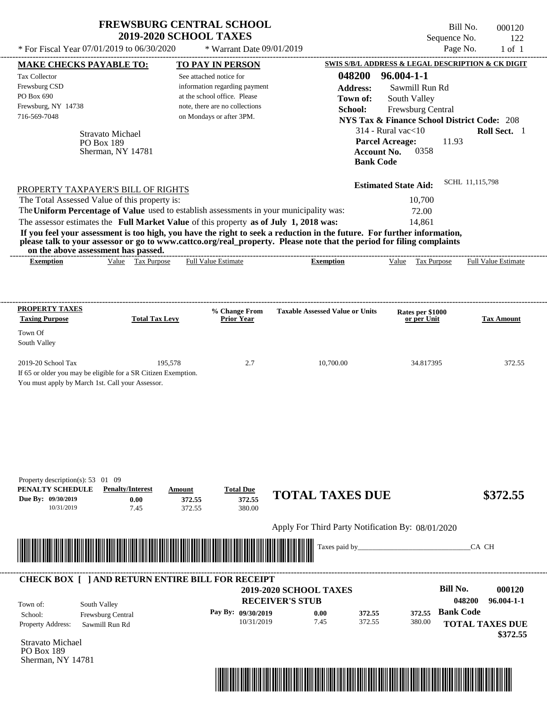| <b>FREWSBURG CENTRAL SCHOOL</b> |  |
|---------------------------------|--|
| <b>2019-2020 SCHOOL TAXES</b>   |  |

Bill No. 000120 Sequence No. 122

| * For Fiscal Year 07/01/2019 to 06/30/2020                                                              |                                                                           | * Warrant Date 09/01/2019                                                                                                                              |                                                                                                                                                                                                                                                  |                                                                                                                                   | Page No.<br>$1$ of $1$             |
|---------------------------------------------------------------------------------------------------------|---------------------------------------------------------------------------|--------------------------------------------------------------------------------------------------------------------------------------------------------|--------------------------------------------------------------------------------------------------------------------------------------------------------------------------------------------------------------------------------------------------|-----------------------------------------------------------------------------------------------------------------------------------|------------------------------------|
| <b>MAKE CHECKS PAYABLE TO:</b>                                                                          |                                                                           | <b>TO PAY IN PERSON</b>                                                                                                                                |                                                                                                                                                                                                                                                  | SWIS S/B/L ADDRESS & LEGAL DESCRIPTION & CK DIGIT                                                                                 |                                    |
| Tax Collector<br>Frewsburg CSD<br>PO Box 690<br>Frewsburg, NY 14738<br>716-569-7048                     |                                                                           | See attached notice for<br>information regarding payment<br>at the school office. Please<br>note, there are no collections<br>on Mondays or after 3PM. | 048200<br><b>Address:</b><br>Town of:<br>School:                                                                                                                                                                                                 | $96.004 - 1 - 1$<br>Sawmill Run Rd<br>South Valley<br>Frewsburg Central<br><b>NYS Tax &amp; Finance School District Code: 208</b> |                                    |
|                                                                                                         | <b>Stravato Michael</b><br><b>PO Box 189</b><br>Sherman, NY 14781         |                                                                                                                                                        | <b>Bank Code</b>                                                                                                                                                                                                                                 | $314$ - Rural vac $<$ 10<br><b>Parcel Acreage:</b><br>11.93<br><b>Account No.</b><br>0358                                         | Roll Sect. 1                       |
|                                                                                                         | PROPERTY TAXPAYER'S BILL OF RIGHTS                                        |                                                                                                                                                        |                                                                                                                                                                                                                                                  | <b>Estimated State Aid:</b>                                                                                                       | SCHL 11,115,798                    |
|                                                                                                         | The Total Assessed Value of this property is:                             |                                                                                                                                                        |                                                                                                                                                                                                                                                  | 10,700                                                                                                                            |                                    |
|                                                                                                         |                                                                           | The Uniform Percentage of Value used to establish assessments in your municipality was:                                                                |                                                                                                                                                                                                                                                  | 72.00                                                                                                                             |                                    |
|                                                                                                         |                                                                           | The assessor estimates the Full Market Value of this property as of July 1, 2018 was:                                                                  |                                                                                                                                                                                                                                                  | 14,861                                                                                                                            |                                    |
|                                                                                                         |                                                                           |                                                                                                                                                        | If you feel your assessment is too high, you have the right to seek a reduction in the future. For further information,<br>please talk to your assessor or go to www.cattco.org/real_property. Please note that the period for filing complaints |                                                                                                                                   |                                    |
| on the above assessment has passed.<br><b>Exemption</b>                                                 | Value Tax Purpose                                                         | <b>Full Value Estimate</b>                                                                                                                             | <b>Exemption</b>                                                                                                                                                                                                                                 | Tax Purpose<br>Value                                                                                                              | Full Value Estimate                |
| <b>PROPERTY TAXES</b>                                                                                   |                                                                           | % Change From                                                                                                                                          | <b>Taxable Assessed Value or Units</b>                                                                                                                                                                                                           | Rates per \$1000                                                                                                                  |                                    |
| <b>Taxing Purpose</b><br>Town Of                                                                        | <b>Total Tax Levy</b>                                                     | <b>Prior Year</b>                                                                                                                                      |                                                                                                                                                                                                                                                  | or per Unit                                                                                                                       | <b>Tax Amount</b>                  |
| South Valley                                                                                            |                                                                           |                                                                                                                                                        |                                                                                                                                                                                                                                                  |                                                                                                                                   |                                    |
| 2019-20 School Tax<br>You must apply by March 1st. Call your Assessor.                                  | 195,578<br>If 65 or older you may be eligible for a SR Citizen Exemption. | 2.7                                                                                                                                                    | 10,700.00                                                                                                                                                                                                                                        | 34.817395                                                                                                                         | 372.55                             |
| Property description(s): $53 \quad 01 \quad 09$<br>PENALTY SCHEDULE<br>Due By: 09/30/2019<br>10/31/2019 | <b>Penalty/Interest</b><br>0.00<br>7.45                                   | <b>Total Due</b><br>Amount<br>372.55<br>372.55<br>372.55<br>380.00                                                                                     | <b>TOTAL TAXES DUE</b>                                                                                                                                                                                                                           |                                                                                                                                   | \$372.55                           |
|                                                                                                         |                                                                           |                                                                                                                                                        | Apply For Third Party Notification By: 08/01/2020                                                                                                                                                                                                |                                                                                                                                   |                                    |
|                                                                                                         |                                                                           |                                                                                                                                                        | Taxes paid by_                                                                                                                                                                                                                                   |                                                                                                                                   | CA CH                              |
|                                                                                                         |                                                                           | <b>CHECK BOX [ ] AND RETURN ENTIRE BILL FOR RECEIPT</b>                                                                                                | <b>2019-2020 SCHOOL TAXES</b>                                                                                                                                                                                                                    | <b>Bill No.</b>                                                                                                                   | 000120                             |
| Town of:                                                                                                | South Valley                                                              |                                                                                                                                                        | <b>RECEIVER'S STUB</b>                                                                                                                                                                                                                           |                                                                                                                                   | 048200<br>$96.004 - 1 - 1$         |
| School:                                                                                                 | Frewsburg Central                                                         | Pay By: 09/30/2019                                                                                                                                     | 0.00<br>372.55                                                                                                                                                                                                                                   | <b>Bank Code</b><br>372.55                                                                                                        |                                    |
| Property Address:                                                                                       | Sawmill Run Rd                                                            | 10/31/2019                                                                                                                                             | 7.45<br>372.55                                                                                                                                                                                                                                   | 380.00                                                                                                                            | <b>TOTAL TAXES DUE</b><br>\$372.55 |
| Stravato Michael<br>PO Box 189                                                                          |                                                                           |                                                                                                                                                        |                                                                                                                                                                                                                                                  |                                                                                                                                   |                                    |

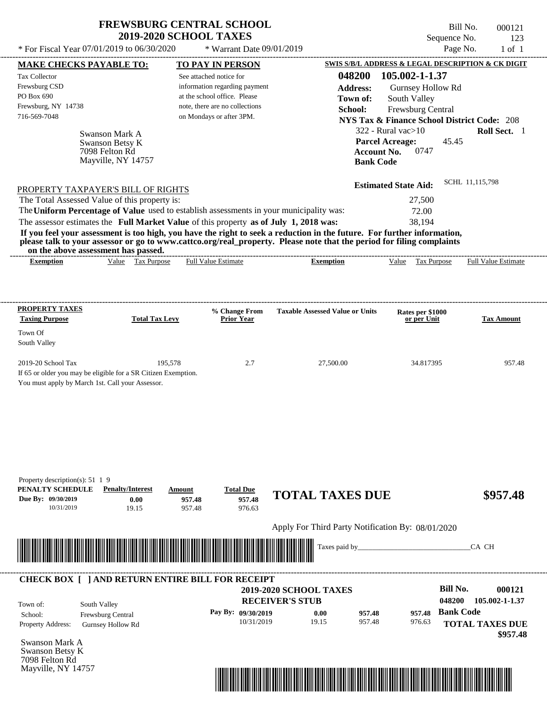| <b>FREWSBURG CENTRAL SCHOOL</b> |
|---------------------------------|
| <b>2019-2020 SCHOOL TAXES</b>   |

| * For Fiscal Year 07/01/2019 to 06/30/2020                                              |                                   | * Warrant Date 09/01/2019                                      |                                                                                                                                                                                                                                                  |                                 | Page No.<br>$1$ of $1$                                                 |
|-----------------------------------------------------------------------------------------|-----------------------------------|----------------------------------------------------------------|--------------------------------------------------------------------------------------------------------------------------------------------------------------------------------------------------------------------------------------------------|---------------------------------|------------------------------------------------------------------------|
| <b>MAKE CHECKS PAYABLE TO:</b>                                                          |                                   | <b>TO PAY IN PERSON</b>                                        |                                                                                                                                                                                                                                                  |                                 | SWIS S/B/L ADDRESS & LEGAL DESCRIPTION & CK DIGIT                      |
| Tax Collector                                                                           |                                   | See attached notice for                                        | 048200                                                                                                                                                                                                                                           | 105.002-1-1.37                  |                                                                        |
| Frewsburg CSD                                                                           |                                   | information regarding payment                                  | <b>Address:</b>                                                                                                                                                                                                                                  | Gurnsey Hollow Rd               |                                                                        |
| PO Box 690<br>Frewsburg, NY 14738                                                       |                                   | at the school office. Please<br>note, there are no collections | Town of:                                                                                                                                                                                                                                         | South Valley                    |                                                                        |
| 716-569-7048                                                                            |                                   | on Mondays or after 3PM.                                       | School:                                                                                                                                                                                                                                          | Frewsburg Central               |                                                                        |
|                                                                                         |                                   |                                                                |                                                                                                                                                                                                                                                  | $322$ - Rural vac $>10$         | <b>NYS Tax &amp; Finance School District Code: 208</b><br>Roll Sect. 1 |
| Swanson Mark A<br>Swanson Betsy K                                                       |                                   |                                                                |                                                                                                                                                                                                                                                  | <b>Parcel Acreage:</b>          | 45.45                                                                  |
| 7098 Felton Rd                                                                          |                                   |                                                                |                                                                                                                                                                                                                                                  | <b>Account No.</b><br>0747      |                                                                        |
| Mayville, NY 14757                                                                      |                                   |                                                                |                                                                                                                                                                                                                                                  | <b>Bank Code</b>                |                                                                        |
|                                                                                         |                                   |                                                                |                                                                                                                                                                                                                                                  |                                 | SCHL 11,115,798                                                        |
| PROPERTY TAXPAYER'S BILL OF RIGHTS                                                      |                                   |                                                                |                                                                                                                                                                                                                                                  | <b>Estimated State Aid:</b>     |                                                                        |
| The Total Assessed Value of this property is:                                           |                                   |                                                                |                                                                                                                                                                                                                                                  | 27,500                          |                                                                        |
| The Uniform Percentage of Value used to establish assessments in your municipality was: |                                   |                                                                |                                                                                                                                                                                                                                                  | 72.00                           |                                                                        |
| The assessor estimates the Full Market Value of this property as of July 1, 2018 was:   |                                   |                                                                |                                                                                                                                                                                                                                                  | 38,194                          |                                                                        |
|                                                                                         |                                   |                                                                | If you feel your assessment is too high, you have the right to seek a reduction in the future. For further information,<br>please talk to your assessor or go to www.cattco.org/real_property. Please note that the period for filing complaints |                                 |                                                                        |
| on the above assessment has passed.                                                     |                                   |                                                                |                                                                                                                                                                                                                                                  |                                 |                                                                        |
| <b>Exemption</b>                                                                        | Value Tax Purpose                 | <b>Full Value Estimate</b>                                     | <b>Exemption</b>                                                                                                                                                                                                                                 | Value Tax Purpose               | <b>Full Value Estimate</b>                                             |
|                                                                                         |                                   |                                                                |                                                                                                                                                                                                                                                  |                                 |                                                                        |
|                                                                                         |                                   |                                                                |                                                                                                                                                                                                                                                  |                                 |                                                                        |
| <b>PROPERTY TAXES</b>                                                                   |                                   | % Change From                                                  | <b>Taxable Assessed Value or Units</b>                                                                                                                                                                                                           |                                 |                                                                        |
| <b>Taxing Purpose</b>                                                                   | <b>Total Tax Levy</b>             | <b>Prior Year</b>                                              |                                                                                                                                                                                                                                                  | Rates per \$1000<br>or per Unit | <b>Tax Amount</b>                                                      |
| Town Of                                                                                 |                                   |                                                                |                                                                                                                                                                                                                                                  |                                 |                                                                        |
| South Valley                                                                            |                                   |                                                                |                                                                                                                                                                                                                                                  |                                 |                                                                        |
|                                                                                         |                                   |                                                                |                                                                                                                                                                                                                                                  |                                 |                                                                        |
| 2019-20 School Tax<br>If 65 or older you may be eligible for a SR Citizen Exemption.    | 195,578                           | 2.7                                                            | 27,500.00                                                                                                                                                                                                                                        | 34.817395                       | 957.48                                                                 |
| You must apply by March 1st. Call your Assessor.                                        |                                   |                                                                |                                                                                                                                                                                                                                                  |                                 |                                                                        |
|                                                                                         |                                   |                                                                |                                                                                                                                                                                                                                                  |                                 |                                                                        |
|                                                                                         |                                   |                                                                |                                                                                                                                                                                                                                                  |                                 |                                                                        |
|                                                                                         |                                   |                                                                |                                                                                                                                                                                                                                                  |                                 |                                                                        |
|                                                                                         |                                   |                                                                |                                                                                                                                                                                                                                                  |                                 |                                                                        |
|                                                                                         |                                   |                                                                |                                                                                                                                                                                                                                                  |                                 |                                                                        |
|                                                                                         |                                   |                                                                |                                                                                                                                                                                                                                                  |                                 |                                                                        |
|                                                                                         |                                   |                                                                |                                                                                                                                                                                                                                                  |                                 |                                                                        |
| Property description(s): $51 \t1 \t9$                                                   |                                   |                                                                |                                                                                                                                                                                                                                                  |                                 |                                                                        |
| PENALTY SCHEDULE<br>Due By: 09/30/2019                                                  | <b>Penalty/Interest</b><br>Amount | <b>Total Due</b>                                               | <b>TOTAL TAXES DUE</b>                                                                                                                                                                                                                           |                                 | \$957.48                                                               |
| 10/31/2019                                                                              | 0.00<br>19.15                     | 957.48<br>957.48<br>957.48<br>976.63                           |                                                                                                                                                                                                                                                  |                                 |                                                                        |
|                                                                                         |                                   |                                                                |                                                                                                                                                                                                                                                  |                                 |                                                                        |
|                                                                                         |                                   |                                                                | Apply For Third Party Notification By: 08/01/2020                                                                                                                                                                                                |                                 |                                                                        |
|                                                                                         |                                   |                                                                | Taxes paid by_                                                                                                                                                                                                                                   |                                 | CA CH                                                                  |
|                                                                                         |                                   |                                                                |                                                                                                                                                                                                                                                  |                                 |                                                                        |
|                                                                                         |                                   |                                                                |                                                                                                                                                                                                                                                  |                                 |                                                                        |
| <b>CHECK BOX [ ] AND RETURN ENTIRE BILL FOR RECEIPT</b>                                 |                                   |                                                                |                                                                                                                                                                                                                                                  |                                 | <b>Bill No.</b>                                                        |
|                                                                                         |                                   |                                                                | 2019-2020 SCHOOL TAXES                                                                                                                                                                                                                           |                                 | 000121<br>048200<br>105.002-1-1.37                                     |
| South Valley<br>Town of:                                                                |                                   |                                                                | <b>RECEIVER'S STUB</b>                                                                                                                                                                                                                           |                                 | <b>Bank Code</b>                                                       |
| Frewsburg Central<br>School:                                                            |                                   | Pay By: 09/30/2019<br>10/31/2019                               | 0.00<br>957.48<br>19.15<br>957.48                                                                                                                                                                                                                | 957.48<br>976.63                |                                                                        |
| Property Address:<br><b>Gurnsey Hollow Rd</b>                                           |                                   |                                                                |                                                                                                                                                                                                                                                  |                                 | <b>TOTAL TAXES DUE</b><br>\$957.48                                     |
| <b>Swanson Mark A</b>                                                                   |                                   |                                                                |                                                                                                                                                                                                                                                  |                                 |                                                                        |
| Swanson Betsy K                                                                         |                                   |                                                                |                                                                                                                                                                                                                                                  |                                 |                                                                        |
| 7098 Felton Rd                                                                          |                                   |                                                                |                                                                                                                                                                                                                                                  |                                 |                                                                        |
| Mayville, NY 14757                                                                      |                                   |                                                                |                                                                                                                                                                                                                                                  |                                 |                                                                        |

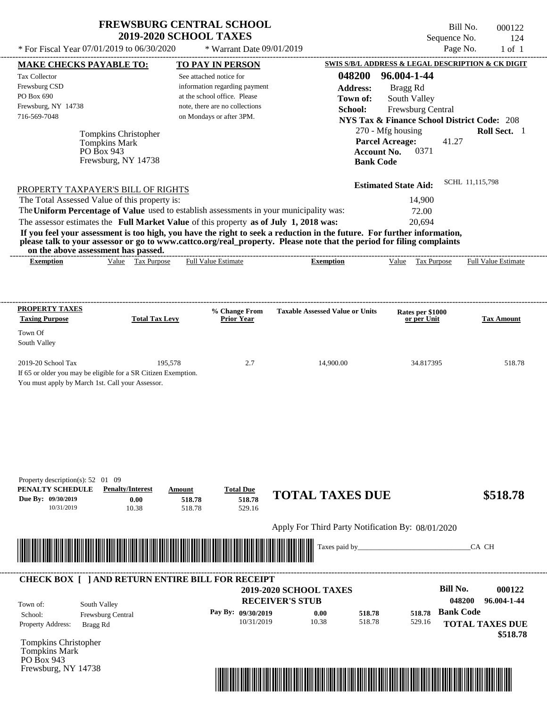Frewsburg, NY 14738

Bill No. 000122 Sequence No. 124<br>Page No. 1 of 1

| <b>MAKE CHECKS PAYABLE TO:</b>                                                                                                                                             |                                                                                   | <b>TO PAY IN PERSON</b>                                                                                                                                |                                                                                                                                                                                                                                                                      | SWIS S/B/L ADDRESS & LEGAL DESCRIPTION & CK DIGIT                                                                                                                                                                               |                                 |
|----------------------------------------------------------------------------------------------------------------------------------------------------------------------------|-----------------------------------------------------------------------------------|--------------------------------------------------------------------------------------------------------------------------------------------------------|----------------------------------------------------------------------------------------------------------------------------------------------------------------------------------------------------------------------------------------------------------------------|---------------------------------------------------------------------------------------------------------------------------------------------------------------------------------------------------------------------------------|---------------------------------|
| Tax Collector<br>Frewsburg CSD<br>PO Box 690<br>Frewsburg, NY 14738<br>716-569-7048<br>PROPERTY TAXPAYER'S BILL OF RIGHTS<br>The Total Assessed Value of this property is: | Tompkins Christopher<br><b>Tompkins Mark</b><br>PO Box 943<br>Frewsburg, NY 14738 | See attached notice for<br>information regarding payment<br>at the school office. Please<br>note, there are no collections<br>on Mondays or after 3PM. | 048200<br><b>Address:</b><br>Town of:<br>School:<br><b>Account No.</b><br><b>Bank Code</b>                                                                                                                                                                           | 96.004-1-44<br>Bragg Rd<br>South Valley<br>Frewsburg Central<br><b>NYS Tax &amp; Finance School District Code: 208</b><br>270 - Mfg housing<br><b>Parcel Acreage:</b><br>41.27<br>0371<br><b>Estimated State Aid:</b><br>14,900 | Roll Sect. 1<br>SCHL 11,115,798 |
|                                                                                                                                                                            |                                                                                   | The Uniform Percentage of Value used to establish assessments in your municipality was:                                                                |                                                                                                                                                                                                                                                                      | 72.00                                                                                                                                                                                                                           |                                 |
| on the above assessment has passed.<br><b>Exemption</b>                                                                                                                    | Value Tax Purpose                                                                 | The assessor estimates the Full Market Value of this property as of July 1, 2018 was:<br><b>Full Value Estimate</b>                                    | If you feel your assessment is too high, you have the right to seek a reduction in the future. For further information,<br>please talk to your assessor or go to www.cattco.org/real_property. Please note that the period for filing complaints<br><b>Exemption</b> | 20,694<br>Value Tax Purpose                                                                                                                                                                                                     | <b>Full Value Estimate</b>      |
| <b>PROPERTY TAXES</b>                                                                                                                                                      |                                                                                   | % Change From                                                                                                                                          | <b>Taxable Assessed Value or Units</b>                                                                                                                                                                                                                               | Rates per \$1000                                                                                                                                                                                                                |                                 |
| <b>Taxing Purpose</b><br>Town Of<br>South Valley                                                                                                                           | <b>Total Tax Levy</b>                                                             | <b>Prior Year</b>                                                                                                                                      |                                                                                                                                                                                                                                                                      | or per Unit                                                                                                                                                                                                                     | <b>Tax Amount</b>               |
| 2019-20 School Tax<br>If 65 or older you may be eligible for a SR Citizen Exemption.<br>You must apply by March 1st. Call your Assessor.                                   | 195,578                                                                           | 2.7                                                                                                                                                    | 14,900.00                                                                                                                                                                                                                                                            | 34.817395                                                                                                                                                                                                                       | 518.78                          |
|                                                                                                                                                                            |                                                                                   |                                                                                                                                                        |                                                                                                                                                                                                                                                                      |                                                                                                                                                                                                                                 |                                 |
| Property description(s): $52 \quad 01 \quad 09$<br>PENALTY SCHEDULE<br>Due By: 09/30/2019<br>10/31/2019                                                                    | <b>Penalty/Interest</b><br>0.00<br>10.38                                          | <b>Total Due</b><br>Amount<br>518.78<br>518.78<br>518.78<br>529.16                                                                                     | <b>TOTAL TAXES DUE</b>                                                                                                                                                                                                                                               |                                                                                                                                                                                                                                 | \$518.78                        |
|                                                                                                                                                                            |                                                                                   |                                                                                                                                                        | Apply For Third Party Notification By: 08/01/2020<br>Taxes paid by_                                                                                                                                                                                                  |                                                                                                                                                                                                                                 | CA CH                           |

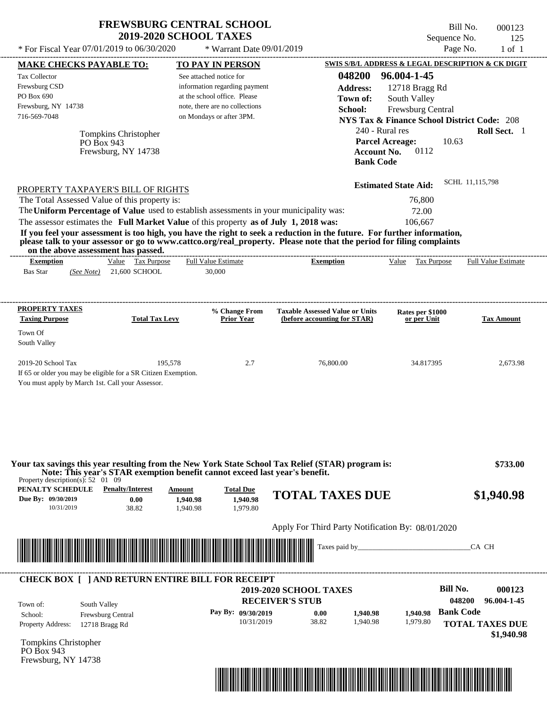| <b>FREWSBURG CENTRAL SCHOOL</b> |
|---------------------------------|
| <b>2019-2020 SCHOOL TAXES</b>   |

Bill No. 000123 Sequence No. 125

|                                                                                                                                                                                                                                      |                       | * For Fiscal Year 07/01/2019 to 06/30/2020                                              | * Warrant Date 09/01/2019                                                                                               |                                                      |                                                        |
|--------------------------------------------------------------------------------------------------------------------------------------------------------------------------------------------------------------------------------------|-----------------------|-----------------------------------------------------------------------------------------|-------------------------------------------------------------------------------------------------------------------------|------------------------------------------------------|--------------------------------------------------------|
| <b>MAKE CHECKS PAYABLE TO:</b>                                                                                                                                                                                                       |                       | <b>TO PAY IN PERSON</b>                                                                 |                                                                                                                         |                                                      | SWIS S/B/L ADDRESS & LEGAL DESCRIPTION & CK DIGIT      |
| Tax Collector                                                                                                                                                                                                                        |                       | See attached notice for                                                                 | 048200                                                                                                                  | 96.004-1-45                                          |                                                        |
| Frewsburg CSD                                                                                                                                                                                                                        |                       | information regarding payment                                                           | <b>Address:</b>                                                                                                         | 12718 Bragg Rd                                       |                                                        |
| PO Box 690                                                                                                                                                                                                                           |                       | at the school office. Please                                                            | Town of:                                                                                                                | South Valley                                         |                                                        |
| Frewsburg, NY 14738<br>716-569-7048                                                                                                                                                                                                  |                       | note, there are no collections<br>on Mondays or after 3PM.                              | School:                                                                                                                 | Frewsburg Central                                    |                                                        |
|                                                                                                                                                                                                                                      |                       |                                                                                         |                                                                                                                         |                                                      | <b>NYS Tax &amp; Finance School District Code: 208</b> |
|                                                                                                                                                                                                                                      | Tompkins Christopher  |                                                                                         |                                                                                                                         | 240 - Rural res                                      | Roll Sect. 1                                           |
| PO Box 943                                                                                                                                                                                                                           | Frewsburg, NY 14738   |                                                                                         |                                                                                                                         | <b>Parcel Acreage:</b><br>0112<br><b>Account No.</b> | 10.63                                                  |
|                                                                                                                                                                                                                                      |                       |                                                                                         |                                                                                                                         | <b>Bank Code</b>                                     |                                                        |
|                                                                                                                                                                                                                                      |                       |                                                                                         |                                                                                                                         |                                                      |                                                        |
|                                                                                                                                                                                                                                      |                       |                                                                                         |                                                                                                                         | <b>Estimated State Aid:</b>                          | SCHL 11,115,798                                        |
| PROPERTY TAXPAYER'S BILL OF RIGHTS<br>The Total Assessed Value of this property is:                                                                                                                                                  |                       |                                                                                         |                                                                                                                         | 76,800                                               |                                                        |
|                                                                                                                                                                                                                                      |                       | The Uniform Percentage of Value used to establish assessments in your municipality was: |                                                                                                                         | 72.00                                                |                                                        |
|                                                                                                                                                                                                                                      |                       | The assessor estimates the Full Market Value of this property as of July 1, 2018 was:   |                                                                                                                         | 106,667                                              |                                                        |
|                                                                                                                                                                                                                                      |                       |                                                                                         | If you feel your assessment is too high, you have the right to seek a reduction in the future. For further information, |                                                      |                                                        |
|                                                                                                                                                                                                                                      |                       |                                                                                         | please talk to your assessor or go to www.cattco.org/real_property. Please note that the period for filing complaints   |                                                      |                                                        |
| on the above assessment has passed.                                                                                                                                                                                                  |                       |                                                                                         | ----------------------------                                                                                            |                                                      |                                                        |
| <b>Exemption</b>                                                                                                                                                                                                                     | Value Tax Purpose     | <b>Full Value Estimate</b>                                                              | <b>Exemption</b>                                                                                                        | Value Tax Purpose                                    | <b>Full Value Estimate</b>                             |
| <b>Bas Star</b><br>(See Note)                                                                                                                                                                                                        | 21,600 SCHOOL         | 30,000                                                                                  |                                                                                                                         |                                                      |                                                        |
|                                                                                                                                                                                                                                      |                       |                                                                                         |                                                                                                                         |                                                      |                                                        |
|                                                                                                                                                                                                                                      |                       |                                                                                         |                                                                                                                         |                                                      |                                                        |
| <b>PROPERTY TAXES</b><br><b>Taxing Purpose</b>                                                                                                                                                                                       | <b>Total Tax Levy</b> | % Change From<br><b>Prior Year</b>                                                      | <b>Taxable Assessed Value or Units</b><br>(before accounting for STAR)                                                  | Rates per \$1000<br>or per Unit                      | <b>Tax Amount</b>                                      |
|                                                                                                                                                                                                                                      |                       |                                                                                         |                                                                                                                         |                                                      |                                                        |
| Town Of                                                                                                                                                                                                                              |                       |                                                                                         |                                                                                                                         |                                                      |                                                        |
| South Valley                                                                                                                                                                                                                         |                       |                                                                                         |                                                                                                                         |                                                      |                                                        |
| 2019-20 School Tax                                                                                                                                                                                                                   |                       | 195,578<br>2.7                                                                          | 76,800.00                                                                                                               | 34.817395                                            | 2,673.98                                               |
|                                                                                                                                                                                                                                      |                       |                                                                                         |                                                                                                                         |                                                      |                                                        |
| If 65 or older you may be eligible for a SR Citizen Exemption.                                                                                                                                                                       |                       |                                                                                         |                                                                                                                         |                                                      |                                                        |
| You must apply by March 1st. Call your Assessor.                                                                                                                                                                                     |                       |                                                                                         |                                                                                                                         |                                                      |                                                        |
|                                                                                                                                                                                                                                      |                       |                                                                                         |                                                                                                                         |                                                      |                                                        |
|                                                                                                                                                                                                                                      |                       | Note: This year's STAR exemption benefit cannot exceed last year's benefit.             | Your tax savings this year resulting from the New York State School Tax Relief (STAR) program is:                       |                                                      | \$733.00                                               |
| Property description(s): $52 \quad 01 \quad 09$                                                                                                                                                                                      |                       |                                                                                         |                                                                                                                         |                                                      |                                                        |
| <b>PENALTY SCHEDULE</b> Penalty/Interest                                                                                                                                                                                             |                       | <b>Total Due</b><br>Amount                                                              | <b>TOTAL TAXES DUE</b>                                                                                                  |                                                      | \$1,940.98                                             |
| 10/31/2019                                                                                                                                                                                                                           | 0.00<br>38.82         | 1,940.98<br>1,940.98<br>1,979.80<br>1,940.98                                            |                                                                                                                         |                                                      |                                                        |
| Due By: 09/30/2019                                                                                                                                                                                                                   |                       |                                                                                         |                                                                                                                         |                                                      |                                                        |
|                                                                                                                                                                                                                                      |                       |                                                                                         | Apply For Third Party Notification By: 08/01/2020                                                                       |                                                      |                                                        |
|                                                                                                                                                                                                                                      |                       |                                                                                         |                                                                                                                         |                                                      | CA CH                                                  |
| <u> Indian American State of Barbara and The Barbara and The Barbara and The Barbara and The Barbara and The Barbara and The Barbara and The Barbara and The Barbara and The Barbara and The Barbara and The Barbara and The Bar</u> |                       |                                                                                         |                                                                                                                         |                                                      |                                                        |
|                                                                                                                                                                                                                                      |                       |                                                                                         |                                                                                                                         |                                                      |                                                        |
|                                                                                                                                                                                                                                      |                       | <b>CHECK BOX [ ] AND RETURN ENTIRE BILL FOR RECEIPT</b>                                 |                                                                                                                         |                                                      | <b>Bill No.</b><br>000123                              |
|                                                                                                                                                                                                                                      |                       |                                                                                         | 2019-2020 SCHOOL TAXES                                                                                                  |                                                      | 048200<br>96.004-1-45                                  |
| South Valley<br>Town of:                                                                                                                                                                                                             |                       |                                                                                         | <b>RECEIVER'S STUB</b>                                                                                                  |                                                      |                                                        |
| School:<br>Frewsburg Central                                                                                                                                                                                                         |                       | Pay By: 09/30/2019<br>10/31/2019                                                        | 0.00<br>1,940.98<br>38.82<br>1,940.98                                                                                   | 1.940.98<br>1,979.80                                 | <b>Bank Code</b>                                       |
| 12718 Bragg Rd                                                                                                                                                                                                                       |                       |                                                                                         |                                                                                                                         |                                                      | <b>TOTAL TAXES DUE</b>                                 |
|                                                                                                                                                                                                                                      |                       |                                                                                         |                                                                                                                         |                                                      | \$1,940.98                                             |
| Property Address:<br><b>Tompkins Christopher</b><br>PO Box 943<br>Frewsburg, NY 14738                                                                                                                                                |                       |                                                                                         |                                                                                                                         |                                                      |                                                        |

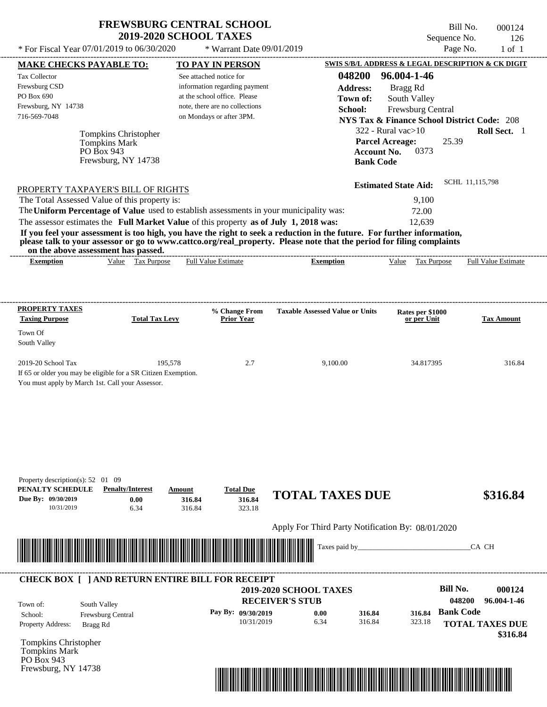Frewsburg, NY 14738

Bill No. 000124 Sequence No. 126

| <b>MAKE CHECKS PAYABLE TO:</b>                                                                                                                                             |                                                                                   | <b>TO PAY IN PERSON</b>                                                                                                                                                                                                                                                                                                                    |                                                                                                                                                                                                 |                                                                                                                                                                                                            | SWIS S/B/L ADDRESS & LEGAL DESCRIPTION & CK DIGIT                                                  |
|----------------------------------------------------------------------------------------------------------------------------------------------------------------------------|-----------------------------------------------------------------------------------|--------------------------------------------------------------------------------------------------------------------------------------------------------------------------------------------------------------------------------------------------------------------------------------------------------------------------------------------|-------------------------------------------------------------------------------------------------------------------------------------------------------------------------------------------------|------------------------------------------------------------------------------------------------------------------------------------------------------------------------------------------------------------|----------------------------------------------------------------------------------------------------|
| Tax Collector<br>Frewsburg CSD<br>PO Box 690<br>Frewsburg, NY 14738<br>716-569-7048<br>PROPERTY TAXPAYER'S BILL OF RIGHTS<br>The Total Assessed Value of this property is: | Tompkins Christopher<br><b>Tompkins Mark</b><br>PO Box 943<br>Frewsburg, NY 14738 | See attached notice for<br>information regarding payment<br>at the school office. Please<br>note, there are no collections<br>on Mondays or after 3PM.<br>The Uniform Percentage of Value used to establish assessments in your municipality was:<br>The assessor estimates the Full Market Value of this property as of July 1, 2018 was: | 048200<br><b>Address:</b><br>Town of:<br>School:<br><b>Bank Code</b><br>If you feel your assessment is too high, you have the right to seek a reduction in the future. For further information, | 96.004-1-46<br>Bragg Rd<br>South Valley<br>Frewsburg Central<br>$322$ - Rural vac $>10$<br><b>Parcel Acreage:</b><br><b>Account No.</b><br>0373<br><b>Estimated State Aid:</b><br>9,100<br>72.00<br>12,639 | <b>NYS Tax &amp; Finance School District Code: 208</b><br>Roll Sect. 1<br>25.39<br>SCHL 11,115,798 |
| on the above assessment has passed.                                                                                                                                        |                                                                                   |                                                                                                                                                                                                                                                                                                                                            | please talk to your assessor or go to www.cattco.org/real_property. Please note that the period for filing complaints                                                                           |                                                                                                                                                                                                            |                                                                                                    |
| <b>Exemption</b>                                                                                                                                                           | Value Tax Purpose                                                                 | <b>Full Value Estimate</b>                                                                                                                                                                                                                                                                                                                 | <b>Exemption</b>                                                                                                                                                                                | Value Tax Purpose                                                                                                                                                                                          | <b>Full Value Estimate</b>                                                                         |
| <b>PROPERTY TAXES</b><br><b>Taxing Purpose</b>                                                                                                                             | <b>Total Tax Levy</b>                                                             | % Change From<br><b>Prior Year</b>                                                                                                                                                                                                                                                                                                         | <b>Taxable Assessed Value or Units</b>                                                                                                                                                          | Rates per \$1000<br>or per Unit                                                                                                                                                                            | <b>Tax Amount</b>                                                                                  |
| Town Of<br>South Valley                                                                                                                                                    |                                                                                   |                                                                                                                                                                                                                                                                                                                                            |                                                                                                                                                                                                 |                                                                                                                                                                                                            |                                                                                                    |
| 2019-20 School Tax<br>If 65 or older you may be eligible for a SR Citizen Exemption.<br>You must apply by March 1st. Call your Assessor.                                   | 195,578                                                                           | 2.7                                                                                                                                                                                                                                                                                                                                        | 9,100.00                                                                                                                                                                                        | 34.817395                                                                                                                                                                                                  | 316.84                                                                                             |
|                                                                                                                                                                            |                                                                                   |                                                                                                                                                                                                                                                                                                                                            |                                                                                                                                                                                                 |                                                                                                                                                                                                            |                                                                                                    |
| Property description(s): $52 \quad 01 \quad 09$<br>PENALTY SCHEDULE<br>Due By: 09/30/2019<br>10/31/2019                                                                    | <b>Penalty/Interest</b><br>0.00<br>6.34                                           | <b>Total Due</b><br>Amount<br>316.84<br>316.84<br>316.84<br>323.18                                                                                                                                                                                                                                                                         | <b>TOTAL TAXES DUE</b>                                                                                                                                                                          |                                                                                                                                                                                                            | \$316.84                                                                                           |
|                                                                                                                                                                            |                                                                                   |                                                                                                                                                                                                                                                                                                                                            | Apply For Third Party Notification By: 08/01/2020                                                                                                                                               |                                                                                                                                                                                                            |                                                                                                    |
|                                                                                                                                                                            |                                                                                   |                                                                                                                                                                                                                                                                                                                                            | Taxes paid by_                                                                                                                                                                                  |                                                                                                                                                                                                            | CA CH                                                                                              |

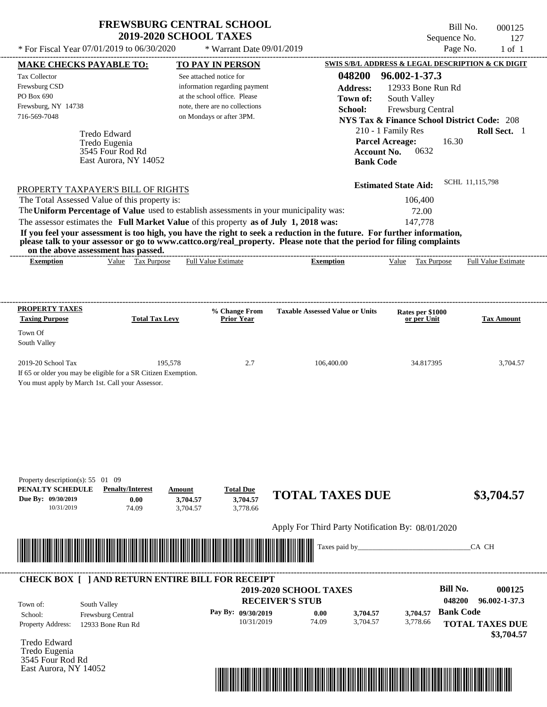| <b>FREWSBURG CENTRAL SCHOOL</b> |
|---------------------------------|
| <b>2019-2020 SCHOOL TAXES</b>   |

 $*$  For Fiscal Year 07/01/2019 to 06/30/2020

\* Warrant Date 09/01/2019

Bill No. 000125 Sequence No. 127<br>Page No. 1 of 1

| <b>TO PAY IN PERSON</b>                                                                                               |                                                                                                                                                                                                                                                                                                                                                                                                                   |                                                                                                                                                                                                                                       | SWIS S/B/L ADDRESS & LEGAL DESCRIPTION & CK DIGIT                                                                                                                                                                                                                                                                                                                                                                                                                                                                                                                |
|-----------------------------------------------------------------------------------------------------------------------|-------------------------------------------------------------------------------------------------------------------------------------------------------------------------------------------------------------------------------------------------------------------------------------------------------------------------------------------------------------------------------------------------------------------|---------------------------------------------------------------------------------------------------------------------------------------------------------------------------------------------------------------------------------------|------------------------------------------------------------------------------------------------------------------------------------------------------------------------------------------------------------------------------------------------------------------------------------------------------------------------------------------------------------------------------------------------------------------------------------------------------------------------------------------------------------------------------------------------------------------|
| See attached notice for                                                                                               | 048200                                                                                                                                                                                                                                                                                                                                                                                                            | 96.002-1-37.3                                                                                                                                                                                                                         |                                                                                                                                                                                                                                                                                                                                                                                                                                                                                                                                                                  |
|                                                                                                                       | <b>Address:</b>                                                                                                                                                                                                                                                                                                                                                                                                   |                                                                                                                                                                                                                                       |                                                                                                                                                                                                                                                                                                                                                                                                                                                                                                                                                                  |
| at the school office. Please                                                                                          | Town of:                                                                                                                                                                                                                                                                                                                                                                                                          |                                                                                                                                                                                                                                       |                                                                                                                                                                                                                                                                                                                                                                                                                                                                                                                                                                  |
| note, there are no collections                                                                                        | School:                                                                                                                                                                                                                                                                                                                                                                                                           |                                                                                                                                                                                                                                       |                                                                                                                                                                                                                                                                                                                                                                                                                                                                                                                                                                  |
|                                                                                                                       |                                                                                                                                                                                                                                                                                                                                                                                                                   |                                                                                                                                                                                                                                       |                                                                                                                                                                                                                                                                                                                                                                                                                                                                                                                                                                  |
|                                                                                                                       |                                                                                                                                                                                                                                                                                                                                                                                                                   |                                                                                                                                                                                                                                       | Roll Sect. 1                                                                                                                                                                                                                                                                                                                                                                                                                                                                                                                                                     |
|                                                                                                                       |                                                                                                                                                                                                                                                                                                                                                                                                                   | 16.30                                                                                                                                                                                                                                 |                                                                                                                                                                                                                                                                                                                                                                                                                                                                                                                                                                  |
|                                                                                                                       |                                                                                                                                                                                                                                                                                                                                                                                                                   | 0632                                                                                                                                                                                                                                  |                                                                                                                                                                                                                                                                                                                                                                                                                                                                                                                                                                  |
|                                                                                                                       |                                                                                                                                                                                                                                                                                                                                                                                                                   |                                                                                                                                                                                                                                       |                                                                                                                                                                                                                                                                                                                                                                                                                                                                                                                                                                  |
|                                                                                                                       |                                                                                                                                                                                                                                                                                                                                                                                                                   |                                                                                                                                                                                                                                       | SCHL 11,115,798                                                                                                                                                                                                                                                                                                                                                                                                                                                                                                                                                  |
|                                                                                                                       |                                                                                                                                                                                                                                                                                                                                                                                                                   |                                                                                                                                                                                                                                       |                                                                                                                                                                                                                                                                                                                                                                                                                                                                                                                                                                  |
|                                                                                                                       |                                                                                                                                                                                                                                                                                                                                                                                                                   |                                                                                                                                                                                                                                       |                                                                                                                                                                                                                                                                                                                                                                                                                                                                                                                                                                  |
|                                                                                                                       |                                                                                                                                                                                                                                                                                                                                                                                                                   |                                                                                                                                                                                                                                       |                                                                                                                                                                                                                                                                                                                                                                                                                                                                                                                                                                  |
|                                                                                                                       |                                                                                                                                                                                                                                                                                                                                                                                                                   |                                                                                                                                                                                                                                       |                                                                                                                                                                                                                                                                                                                                                                                                                                                                                                                                                                  |
|                                                                                                                       |                                                                                                                                                                                                                                                                                                                                                                                                                   |                                                                                                                                                                                                                                       |                                                                                                                                                                                                                                                                                                                                                                                                                                                                                                                                                                  |
|                                                                                                                       |                                                                                                                                                                                                                                                                                                                                                                                                                   |                                                                                                                                                                                                                                       | <b>Full Value Estimate</b>                                                                                                                                                                                                                                                                                                                                                                                                                                                                                                                                       |
|                                                                                                                       |                                                                                                                                                                                                                                                                                                                                                                                                                   |                                                                                                                                                                                                                                       |                                                                                                                                                                                                                                                                                                                                                                                                                                                                                                                                                                  |
|                                                                                                                       |                                                                                                                                                                                                                                                                                                                                                                                                                   |                                                                                                                                                                                                                                       |                                                                                                                                                                                                                                                                                                                                                                                                                                                                                                                                                                  |
|                                                                                                                       |                                                                                                                                                                                                                                                                                                                                                                                                                   |                                                                                                                                                                                                                                       |                                                                                                                                                                                                                                                                                                                                                                                                                                                                                                                                                                  |
| % Change From                                                                                                         | <b>Taxable Assessed Value or Units</b>                                                                                                                                                                                                                                                                                                                                                                            | Rates per \$1000                                                                                                                                                                                                                      | <b>Tax Amount</b>                                                                                                                                                                                                                                                                                                                                                                                                                                                                                                                                                |
|                                                                                                                       |                                                                                                                                                                                                                                                                                                                                                                                                                   |                                                                                                                                                                                                                                       |                                                                                                                                                                                                                                                                                                                                                                                                                                                                                                                                                                  |
|                                                                                                                       |                                                                                                                                                                                                                                                                                                                                                                                                                   |                                                                                                                                                                                                                                       |                                                                                                                                                                                                                                                                                                                                                                                                                                                                                                                                                                  |
| 2.7                                                                                                                   | 106,400.00                                                                                                                                                                                                                                                                                                                                                                                                        | 34.817395                                                                                                                                                                                                                             | 3,704.57                                                                                                                                                                                                                                                                                                                                                                                                                                                                                                                                                         |
|                                                                                                                       |                                                                                                                                                                                                                                                                                                                                                                                                                   |                                                                                                                                                                                                                                       |                                                                                                                                                                                                                                                                                                                                                                                                                                                                                                                                                                  |
|                                                                                                                       |                                                                                                                                                                                                                                                                                                                                                                                                                   |                                                                                                                                                                                                                                       |                                                                                                                                                                                                                                                                                                                                                                                                                                                                                                                                                                  |
|                                                                                                                       |                                                                                                                                                                                                                                                                                                                                                                                                                   |                                                                                                                                                                                                                                       |                                                                                                                                                                                                                                                                                                                                                                                                                                                                                                                                                                  |
|                                                                                                                       |                                                                                                                                                                                                                                                                                                                                                                                                                   |                                                                                                                                                                                                                                       |                                                                                                                                                                                                                                                                                                                                                                                                                                                                                                                                                                  |
|                                                                                                                       |                                                                                                                                                                                                                                                                                                                                                                                                                   |                                                                                                                                                                                                                                       |                                                                                                                                                                                                                                                                                                                                                                                                                                                                                                                                                                  |
|                                                                                                                       |                                                                                                                                                                                                                                                                                                                                                                                                                   |                                                                                                                                                                                                                                       |                                                                                                                                                                                                                                                                                                                                                                                                                                                                                                                                                                  |
|                                                                                                                       |                                                                                                                                                                                                                                                                                                                                                                                                                   |                                                                                                                                                                                                                                       |                                                                                                                                                                                                                                                                                                                                                                                                                                                                                                                                                                  |
|                                                                                                                       |                                                                                                                                                                                                                                                                                                                                                                                                                   |                                                                                                                                                                                                                                       |                                                                                                                                                                                                                                                                                                                                                                                                                                                                                                                                                                  |
|                                                                                                                       |                                                                                                                                                                                                                                                                                                                                                                                                                   |                                                                                                                                                                                                                                       |                                                                                                                                                                                                                                                                                                                                                                                                                                                                                                                                                                  |
|                                                                                                                       |                                                                                                                                                                                                                                                                                                                                                                                                                   |                                                                                                                                                                                                                                       |                                                                                                                                                                                                                                                                                                                                                                                                                                                                                                                                                                  |
| <b>Total Due</b><br>Amount                                                                                            |                                                                                                                                                                                                                                                                                                                                                                                                                   |                                                                                                                                                                                                                                       |                                                                                                                                                                                                                                                                                                                                                                                                                                                                                                                                                                  |
| 3,704.57<br>3,704.57                                                                                                  | <b>TOTAL TAXES DUE</b>                                                                                                                                                                                                                                                                                                                                                                                            |                                                                                                                                                                                                                                       | \$3,704.57                                                                                                                                                                                                                                                                                                                                                                                                                                                                                                                                                       |
| 3,778.66<br>3,704.57                                                                                                  |                                                                                                                                                                                                                                                                                                                                                                                                                   |                                                                                                                                                                                                                                       |                                                                                                                                                                                                                                                                                                                                                                                                                                                                                                                                                                  |
|                                                                                                                       | Apply For Third Party Notification By: 08/01/2020                                                                                                                                                                                                                                                                                                                                                                 |                                                                                                                                                                                                                                       |                                                                                                                                                                                                                                                                                                                                                                                                                                                                                                                                                                  |
|                                                                                                                       | Taxes paid by_                                                                                                                                                                                                                                                                                                                                                                                                    |                                                                                                                                                                                                                                       | CA CH                                                                                                                                                                                                                                                                                                                                                                                                                                                                                                                                                            |
| <u> Handels van de Berger van de Berger van de Berger van de Berger van de Berger van de Berger van de Berger van</u> |                                                                                                                                                                                                                                                                                                                                                                                                                   |                                                                                                                                                                                                                                       |                                                                                                                                                                                                                                                                                                                                                                                                                                                                                                                                                                  |
|                                                                                                                       |                                                                                                                                                                                                                                                                                                                                                                                                                   |                                                                                                                                                                                                                                       |                                                                                                                                                                                                                                                                                                                                                                                                                                                                                                                                                                  |
| <b>CHECK BOX [ ] AND RETURN ENTIRE BILL FOR RECEIPT</b>                                                               |                                                                                                                                                                                                                                                                                                                                                                                                                   | <b>Bill No.</b>                                                                                                                                                                                                                       |                                                                                                                                                                                                                                                                                                                                                                                                                                                                                                                                                                  |
|                                                                                                                       | <b>2019-2020 SCHOOL TAXES</b><br><b>RECEIVER'S STUB</b>                                                                                                                                                                                                                                                                                                                                                           | 048200                                                                                                                                                                                                                                |                                                                                                                                                                                                                                                                                                                                                                                                                                                                                                                                                                  |
|                                                                                                                       |                                                                                                                                                                                                                                                                                                                                                                                                                   | <b>Bank Code</b>                                                                                                                                                                                                                      |                                                                                                                                                                                                                                                                                                                                                                                                                                                                                                                                                                  |
| Pay By: 09/30/2019<br>10/31/2019                                                                                      | 0.00<br>3,704.57<br>74.09<br>3,704.57                                                                                                                                                                                                                                                                                                                                                                             | 3,704.57<br>3,778.66                                                                                                                                                                                                                  | 000125<br>96.002-1-37.3                                                                                                                                                                                                                                                                                                                                                                                                                                                                                                                                          |
|                                                                                                                       |                                                                                                                                                                                                                                                                                                                                                                                                                   |                                                                                                                                                                                                                                       |                                                                                                                                                                                                                                                                                                                                                                                                                                                                                                                                                                  |
|                                                                                                                       |                                                                                                                                                                                                                                                                                                                                                                                                                   |                                                                                                                                                                                                                                       |                                                                                                                                                                                                                                                                                                                                                                                                                                                                                                                                                                  |
|                                                                                                                       |                                                                                                                                                                                                                                                                                                                                                                                                                   |                                                                                                                                                                                                                                       | <b>TOTAL TAXES DUE</b><br>\$3,704.57                                                                                                                                                                                                                                                                                                                                                                                                                                                                                                                             |
|                                                                                                                       |                                                                                                                                                                                                                                                                                                                                                                                                                   |                                                                                                                                                                                                                                       |                                                                                                                                                                                                                                                                                                                                                                                                                                                                                                                                                                  |
|                                                                                                                       |                                                                                                                                                                                                                                                                                                                                                                                                                   |                                                                                                                                                                                                                                       |                                                                                                                                                                                                                                                                                                                                                                                                                                                                                                                                                                  |
|                                                                                                                       | on Mondays or after 3PM.<br>East Aurora, NY 14052<br>PROPERTY TAXPAYER'S BILL OF RIGHTS<br>The Total Assessed Value of this property is:<br>on the above assessment has passed.<br>Value Tax Purpose<br><b>Full Value Estimate</b><br><b>Total Tax Levy</b><br><b>Prior Year</b><br>195,578<br>If 65 or older you may be eligible for a SR Citizen Exemption.<br>You must apply by March 1st. Call your Assessor. | information regarding payment<br>The Uniform Percentage of Value used to establish assessments in your municipality was:<br>The assessor estimates the Full Market Value of this property as of July 1, 2018 was:<br><b>Exemption</b> | 12933 Bone Run Rd<br>South Valley<br>Frewsburg Central<br><b>NYS Tax &amp; Finance School District Code: 208</b><br>210 - 1 Family Res<br><b>Parcel Acreage:</b><br><b>Account No.</b><br><b>Bank Code</b><br><b>Estimated State Aid:</b><br>106,400<br>72.00<br>147,778<br>If you feel your assessment is too high, you have the right to seek a reduction in the future. For further information,<br>please talk to your assessor or go to www.cattco.org/real_property. Please note that the period for filing complaints<br>Value Tax Purpose<br>or per Unit |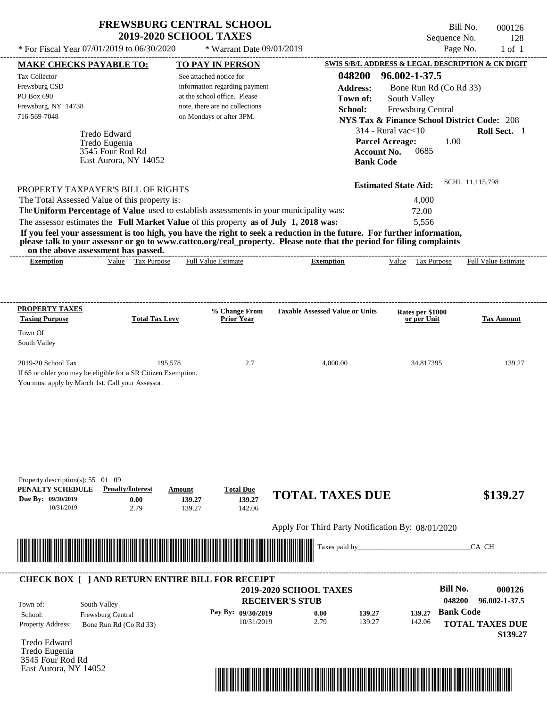East Aurora, NY 14052

Bill No. 000126 Sequence No. 128<br>Page No. 1 of 1

| <b>TO PAY IN PERSON</b><br>See attached notice for<br>information regarding payment<br>at the school office. Please<br>note, there are no collections<br>on Mondays or after 3PM.<br>PROPERTY TAXPAYER'S BILL OF RIGHTS<br>The Total Assessed Value of this property is:<br>The Uniform Percentage of Value used to establish assessments in your municipality was:<br>The assessor estimates the Full Market Value of this property as of July 1, 2018 was:<br><b>Full Value Estimate</b><br>% Change From<br><b>Total Tax Levy</b><br><b>Prior Year</b><br>195,578<br>2.7 | 048200<br><b>Address:</b><br>Town of:<br>School:<br>If you feel your assessment is too high, you have the right to seek a reduction in the future. For further information,<br>please talk to your assessor or go to www.cattco.org/real_property. Please note that the period for filing complaints<br><b>Exemption</b><br><b>Taxable Assessed Value or Units</b><br>4,000.00 | SWIS S/B/L ADDRESS & LEGAL DESCRIPTION & CK DIGIT<br>96.002-1-37.5<br>Bone Run Rd (Co Rd 33)<br>South Valley<br>Frewsburg Central<br><b>NYS Tax &amp; Finance School District Code: 208</b><br>$314$ - Rural vac $<$ 10<br><b>Parcel Acreage:</b><br>1.00<br><b>Account No.</b><br>0685<br><b>Bank Code</b><br><b>Estimated State Aid:</b><br>4,000<br>72.00<br>5,556<br>Value Tax Purpose<br>Rates per \$1000<br>or per Unit | Roll Sect. 1<br>SCHL 11,115,798<br><b>Full Value Estimate</b><br><b>Tax Amount</b>              |
|-----------------------------------------------------------------------------------------------------------------------------------------------------------------------------------------------------------------------------------------------------------------------------------------------------------------------------------------------------------------------------------------------------------------------------------------------------------------------------------------------------------------------------------------------------------------------------|--------------------------------------------------------------------------------------------------------------------------------------------------------------------------------------------------------------------------------------------------------------------------------------------------------------------------------------------------------------------------------|-------------------------------------------------------------------------------------------------------------------------------------------------------------------------------------------------------------------------------------------------------------------------------------------------------------------------------------------------------------------------------------------------------------------------------|-------------------------------------------------------------------------------------------------|
|                                                                                                                                                                                                                                                                                                                                                                                                                                                                                                                                                                             |                                                                                                                                                                                                                                                                                                                                                                                |                                                                                                                                                                                                                                                                                                                                                                                                                               |                                                                                                 |
|                                                                                                                                                                                                                                                                                                                                                                                                                                                                                                                                                                             |                                                                                                                                                                                                                                                                                                                                                                                |                                                                                                                                                                                                                                                                                                                                                                                                                               |                                                                                                 |
|                                                                                                                                                                                                                                                                                                                                                                                                                                                                                                                                                                             |                                                                                                                                                                                                                                                                                                                                                                                |                                                                                                                                                                                                                                                                                                                                                                                                                               |                                                                                                 |
|                                                                                                                                                                                                                                                                                                                                                                                                                                                                                                                                                                             |                                                                                                                                                                                                                                                                                                                                                                                |                                                                                                                                                                                                                                                                                                                                                                                                                               |                                                                                                 |
|                                                                                                                                                                                                                                                                                                                                                                                                                                                                                                                                                                             |                                                                                                                                                                                                                                                                                                                                                                                |                                                                                                                                                                                                                                                                                                                                                                                                                               |                                                                                                 |
| If 65 or older you may be eligible for a SR Citizen Exemption.                                                                                                                                                                                                                                                                                                                                                                                                                                                                                                              |                                                                                                                                                                                                                                                                                                                                                                                | 34.817395                                                                                                                                                                                                                                                                                                                                                                                                                     | 139.27                                                                                          |
| <b>Total Due</b><br>Amount<br>139.27<br>139.27<br>139.27<br>142.06                                                                                                                                                                                                                                                                                                                                                                                                                                                                                                          |                                                                                                                                                                                                                                                                                                                                                                                |                                                                                                                                                                                                                                                                                                                                                                                                                               | \$139.27                                                                                        |
|                                                                                                                                                                                                                                                                                                                                                                                                                                                                                                                                                                             | Taxes paid by_                                                                                                                                                                                                                                                                                                                                                                 |                                                                                                                                                                                                                                                                                                                                                                                                                               | CA CH                                                                                           |
|                                                                                                                                                                                                                                                                                                                                                                                                                                                                                                                                                                             | 0.00<br>2.79                                                                                                                                                                                                                                                                                                                                                                   | <b>Bill No.</b><br>048200<br><b>Bank Code</b><br>139.27<br>142.06                                                                                                                                                                                                                                                                                                                                                             | 000126<br>96.002-1-37.5<br><b>TOTAL TAXES DUE</b><br>\$139.27                                   |
|                                                                                                                                                                                                                                                                                                                                                                                                                                                                                                                                                                             |                                                                                                                                                                                                                                                                                                                                                                                | <b>CHECK BOX [ ] AND RETURN ENTIRE BILL FOR RECEIPT</b><br>2019-2020 SCHOOL TAXES<br><b>RECEIVER'S STUB</b><br>Pay By: 09/30/2019<br>10/31/2019                                                                                                                                                                                                                                                                               | <b>TOTAL TAXES DUE</b><br>Apply For Third Party Notification By: 08/01/2020<br>139.27<br>139.27 |

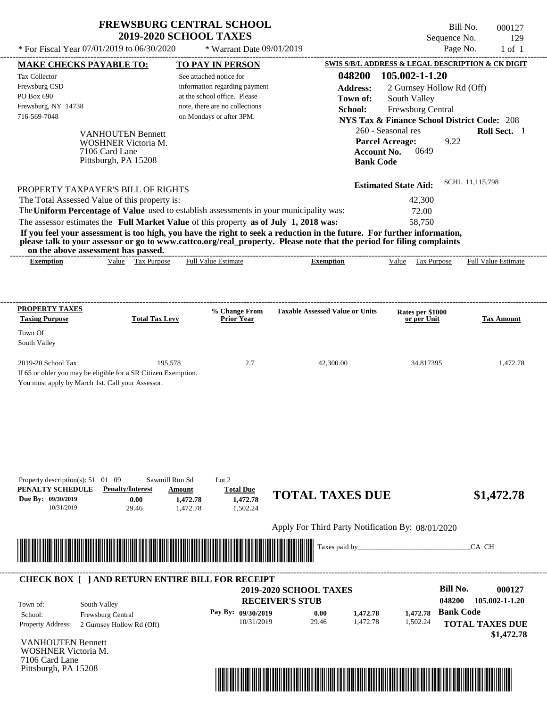| <b>FREWSBURG CENTRAL SCHOOL</b> |
|---------------------------------|
| <b>2019-2020 SCHOOL TAXES</b>   |

 $*$  For Fiscal Year 07/01/2019 to 06/30/2020  $*$  Warrant Date  $09/01/2019$ 

Bill No. 000127 Sequence No. 129

|                                                                                                                    | <b>MAKE CHECKS PAYABLE TO:</b>      |                | <b>TO PAY IN PERSON</b>        |                                                                                                                                                                                                                                                  |                             | SWIS S/B/L ADDRESS & LEGAL DESCRIPTION & CK DIGIT      |
|--------------------------------------------------------------------------------------------------------------------|-------------------------------------|----------------|--------------------------------|--------------------------------------------------------------------------------------------------------------------------------------------------------------------------------------------------------------------------------------------------|-----------------------------|--------------------------------------------------------|
| Tax Collector                                                                                                      |                                     |                | See attached notice for        | 048200                                                                                                                                                                                                                                           | 105.002-1-1.20              |                                                        |
| Frewsburg CSD                                                                                                      |                                     |                | information regarding payment  | <b>Address:</b>                                                                                                                                                                                                                                  | 2 Gurnsey Hollow Rd (Off)   |                                                        |
| PO Box 690                                                                                                         |                                     |                | at the school office. Please   | Town of:                                                                                                                                                                                                                                         | South Valley                |                                                        |
| Frewsburg, NY 14738                                                                                                |                                     |                | note, there are no collections | School:                                                                                                                                                                                                                                          | Frewsburg Central           |                                                        |
| 716-569-7048                                                                                                       |                                     |                | on Mondays or after 3PM.       |                                                                                                                                                                                                                                                  |                             | <b>NYS Tax &amp; Finance School District Code: 208</b> |
|                                                                                                                    | <b>VANHOUTEN Bennett</b>            |                |                                |                                                                                                                                                                                                                                                  | 260 - Seasonal res          | Roll Sect. 1                                           |
|                                                                                                                    | WOSHNER Victoria M.                 |                |                                |                                                                                                                                                                                                                                                  | <b>Parcel Acreage:</b>      | 9.22                                                   |
|                                                                                                                    | 7106 Card Lane                      |                |                                | <b>Account No.</b>                                                                                                                                                                                                                               | 0649                        |                                                        |
|                                                                                                                    | Pittsburgh, PA 15208                |                |                                | <b>Bank Code</b>                                                                                                                                                                                                                                 |                             |                                                        |
|                                                                                                                    |                                     |                |                                |                                                                                                                                                                                                                                                  |                             | SCHL 11,115,798                                        |
| PROPERTY TAXPAYER'S BILL OF RIGHTS                                                                                 |                                     |                |                                |                                                                                                                                                                                                                                                  | <b>Estimated State Aid:</b> |                                                        |
| The Total Assessed Value of this property is:                                                                      |                                     |                |                                |                                                                                                                                                                                                                                                  | 42,300                      |                                                        |
|                                                                                                                    |                                     |                |                                | The Uniform Percentage of Value used to establish assessments in your municipality was:                                                                                                                                                          | 72.00                       |                                                        |
| The assessor estimates the Full Market Value of this property as of July 1, 2018 was:                              |                                     |                |                                |                                                                                                                                                                                                                                                  | 58,750                      |                                                        |
|                                                                                                                    |                                     |                |                                | If you feel your assessment is too high, you have the right to seek a reduction in the future. For further information,<br>please talk to your assessor or go to www.cattco.org/real_property. Please note that the period for filing complaints |                             |                                                        |
|                                                                                                                    | on the above assessment has passed. |                |                                |                                                                                                                                                                                                                                                  |                             |                                                        |
| <b>Exemption</b>                                                                                                   | Value Tax Purpose                   |                | <b>Full Value Estimate</b>     | <b>Exemption</b>                                                                                                                                                                                                                                 | Value Tax Purpose           | <b>Full Value Estimate</b>                             |
|                                                                                                                    |                                     |                |                                |                                                                                                                                                                                                                                                  |                             |                                                        |
|                                                                                                                    |                                     |                |                                |                                                                                                                                                                                                                                                  |                             |                                                        |
| <b>PROPERTY TAXES</b>                                                                                              |                                     |                | % Change From                  | <b>Taxable Assessed Value or Units</b>                                                                                                                                                                                                           | Rates per \$1000            |                                                        |
| <b>Taxing Purpose</b>                                                                                              | <b>Total Tax Levy</b>               |                | <b>Prior Year</b>              |                                                                                                                                                                                                                                                  | or per Unit                 | <b>Tax Amount</b>                                      |
| Town Of                                                                                                            |                                     |                |                                |                                                                                                                                                                                                                                                  |                             |                                                        |
| South Valley                                                                                                       |                                     |                |                                |                                                                                                                                                                                                                                                  |                             |                                                        |
|                                                                                                                    |                                     |                |                                |                                                                                                                                                                                                                                                  |                             |                                                        |
| 2019-20 School Tax                                                                                                 |                                     | 195,578        | 2.7                            | 42,300.00                                                                                                                                                                                                                                        | 34.817395                   | 1,472.78                                               |
| If 65 or older you may be eligible for a SR Citizen Exemption.<br>You must apply by March 1st. Call your Assessor. |                                     |                |                                |                                                                                                                                                                                                                                                  |                             |                                                        |
|                                                                                                                    |                                     |                |                                |                                                                                                                                                                                                                                                  |                             |                                                        |
|                                                                                                                    |                                     |                |                                |                                                                                                                                                                                                                                                  |                             |                                                        |
|                                                                                                                    |                                     |                |                                |                                                                                                                                                                                                                                                  |                             |                                                        |
|                                                                                                                    |                                     |                |                                |                                                                                                                                                                                                                                                  |                             |                                                        |
|                                                                                                                    |                                     |                |                                |                                                                                                                                                                                                                                                  |                             |                                                        |
|                                                                                                                    |                                     |                |                                |                                                                                                                                                                                                                                                  |                             |                                                        |
|                                                                                                                    |                                     |                |                                |                                                                                                                                                                                                                                                  |                             |                                                        |
| Property description(s): $51 \quad 01 \quad 09$                                                                    |                                     | Sawmill Run Sd | Lot $2$                        |                                                                                                                                                                                                                                                  |                             |                                                        |
| PENALTY SCHEDULE                                                                                                   | <b>Penalty/Interest</b>             | Amount         | <b>Total Due</b>               | <b>TOTAL TAXES DUE</b>                                                                                                                                                                                                                           |                             | \$1,472.78                                             |
| Due By: 09/30/2019<br>10/31/2019                                                                                   | 0.00<br>29.46                       | 1,472.78       | 1,472.78                       |                                                                                                                                                                                                                                                  |                             |                                                        |
|                                                                                                                    |                                     | 1,472.78       | 1,502.24                       |                                                                                                                                                                                                                                                  |                             |                                                        |
|                                                                                                                    |                                     |                |                                | Apply For Third Party Notification By: 08/01/2020                                                                                                                                                                                                |                             |                                                        |
|                                                                                                                    |                                     |                |                                |                                                                                                                                                                                                                                                  |                             |                                                        |
|                                                                                                                    |                                     |                |                                |                                                                                                                                                                                                                                                  |                             |                                                        |
|                                                                                                                    |                                     |                |                                | Taxes paid by_                                                                                                                                                                                                                                   |                             | CA CH                                                  |
|                                                                                                                    |                                     |                |                                |                                                                                                                                                                                                                                                  |                             |                                                        |
|                                                                                                                    |                                     |                |                                |                                                                                                                                                                                                                                                  |                             |                                                        |
| <b>CHECK BOX [ ] AND RETURN ENTIRE BILL FOR RECEIPT</b>                                                            |                                     |                |                                | 2019-2020 SCHOOL TAXES                                                                                                                                                                                                                           |                             | <b>Bill No.</b><br>000127                              |
|                                                                                                                    |                                     |                |                                | <b>RECEIVER'S STUB</b>                                                                                                                                                                                                                           |                             | 048200<br>105.002-1-1.20                               |
| Town of:<br>School:                                                                                                | South Valley<br>Frewsburg Central   |                | Pay By: 09/30/2019             | 0.00<br>1,472.78                                                                                                                                                                                                                                 | 1,472.78                    | <b>Bank Code</b>                                       |
|                                                                                                                    | 2 Gurnsey Hollow Rd (Off)           |                | 10/31/2019                     | 29.46<br>1,472.78                                                                                                                                                                                                                                | 1,502.24                    | <b>TOTAL TAXES DUE</b>                                 |
|                                                                                                                    |                                     |                |                                |                                                                                                                                                                                                                                                  |                             | \$1,472.78                                             |
|                                                                                                                    |                                     |                |                                |                                                                                                                                                                                                                                                  |                             |                                                        |
| Property Address:<br><b>VANHOUTEN Bennett</b><br>WOSHNER Victoria M.                                               |                                     |                |                                |                                                                                                                                                                                                                                                  |                             |                                                        |
| 7106 Card Lane<br>Pittsburgh, PA 15208                                                                             |                                     |                |                                |                                                                                                                                                                                                                                                  |                             |                                                        |

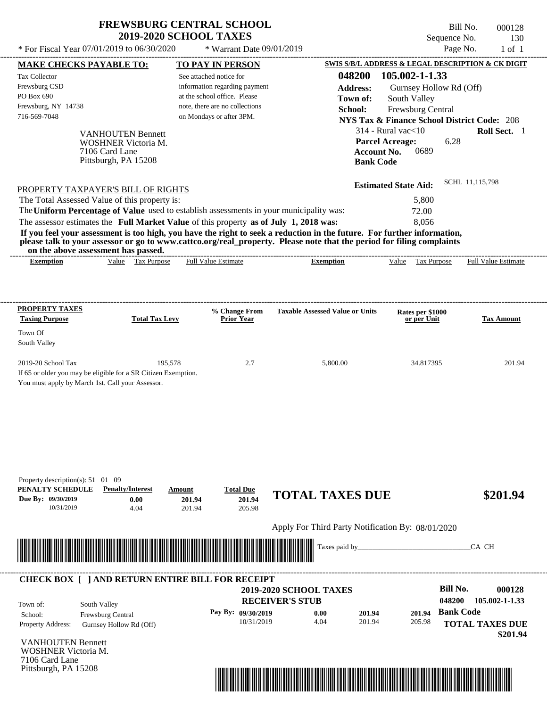| <b>FREWSBURG CENTRAL SCHOOL</b> |
|---------------------------------|
| <b>2019-2020 SCHOOL TAXES</b>   |

Bill No. 000128 Sequence No. 130

| * For Fiscal Year 07/01/2019 to 06/30/2020                                                                                               |                                                        | * Warrant Date 09/01/2019                                                               |                                                                                                                                                                                                                                                  |                                 | Page No.<br>$1$ of $1$                                 |
|------------------------------------------------------------------------------------------------------------------------------------------|--------------------------------------------------------|-----------------------------------------------------------------------------------------|--------------------------------------------------------------------------------------------------------------------------------------------------------------------------------------------------------------------------------------------------|---------------------------------|--------------------------------------------------------|
| <b>MAKE CHECKS PAYABLE TO:</b>                                                                                                           |                                                        | <b>TO PAY IN PERSON</b>                                                                 |                                                                                                                                                                                                                                                  |                                 | SWIS S/B/L ADDRESS & LEGAL DESCRIPTION & CK DIGIT      |
| Tax Collector                                                                                                                            |                                                        | See attached notice for                                                                 | 048200                                                                                                                                                                                                                                           | 105.002-1-1.33                  |                                                        |
| Frewsburg CSD<br>PO Box 690                                                                                                              |                                                        | information regarding payment<br>at the school office. Please                           | <b>Address:</b>                                                                                                                                                                                                                                  | Gurnsey Hollow Rd (Off)         |                                                        |
| Frewsburg, NY 14738                                                                                                                      |                                                        | note, there are no collections                                                          | Town of:<br>School:                                                                                                                                                                                                                              | South Valley                    |                                                        |
| 716-569-7048                                                                                                                             |                                                        | on Mondays or after 3PM.                                                                |                                                                                                                                                                                                                                                  | Frewsburg Central               | <b>NYS Tax &amp; Finance School District Code: 208</b> |
|                                                                                                                                          |                                                        |                                                                                         |                                                                                                                                                                                                                                                  | $314$ - Rural vac $<$ 10        | Roll Sect. 1                                           |
|                                                                                                                                          | <b>VANHOUTEN Bennett</b><br><b>WOSHNER Victoria M.</b> |                                                                                         |                                                                                                                                                                                                                                                  | <b>Parcel Acreage:</b>          | 6.28                                                   |
| 7106 Card Lane                                                                                                                           |                                                        |                                                                                         |                                                                                                                                                                                                                                                  | <b>Account No.</b><br>0689      |                                                        |
|                                                                                                                                          | Pittsburgh, PA 15208                                   |                                                                                         | <b>Bank Code</b>                                                                                                                                                                                                                                 |                                 |                                                        |
| PROPERTY TAXPAYER'S BILL OF RIGHTS                                                                                                       |                                                        |                                                                                         |                                                                                                                                                                                                                                                  | <b>Estimated State Aid:</b>     | SCHL 11,115,798                                        |
| The Total Assessed Value of this property is:                                                                                            |                                                        |                                                                                         |                                                                                                                                                                                                                                                  | 5,800                           |                                                        |
|                                                                                                                                          |                                                        | The Uniform Percentage of Value used to establish assessments in your municipality was: |                                                                                                                                                                                                                                                  | 72.00                           |                                                        |
|                                                                                                                                          |                                                        | The assessor estimates the Full Market Value of this property as of July 1, 2018 was:   |                                                                                                                                                                                                                                                  | 8,056                           |                                                        |
|                                                                                                                                          |                                                        |                                                                                         | If you feel your assessment is too high, you have the right to seek a reduction in the future. For further information,<br>please talk to your assessor or go to www.cattco.org/real_property. Please note that the period for filing complaints |                                 |                                                        |
| on the above assessment has passed.<br><b>Exemption</b>                                                                                  | Value Tax Purpose                                      | <b>Full Value Estimate</b>                                                              | <b>Exemption</b>                                                                                                                                                                                                                                 | Value Tax Purpose               | <b>Full Value Estimate</b>                             |
|                                                                                                                                          |                                                        |                                                                                         |                                                                                                                                                                                                                                                  |                                 |                                                        |
| <b>PROPERTY TAXES</b>                                                                                                                    |                                                        |                                                                                         |                                                                                                                                                                                                                                                  |                                 |                                                        |
| <b>Taxing Purpose</b>                                                                                                                    | <b>Total Tax Levy</b>                                  | % Change From<br><b>Prior Year</b>                                                      | <b>Taxable Assessed Value or Units</b>                                                                                                                                                                                                           | Rates per \$1000<br>or per Unit | <b>Tax Amount</b>                                      |
| Town Of<br>South Valley                                                                                                                  |                                                        |                                                                                         |                                                                                                                                                                                                                                                  |                                 |                                                        |
| 2019-20 School Tax<br>If 65 or older you may be eligible for a SR Citizen Exemption.<br>You must apply by March 1st. Call your Assessor. | 195,578                                                | 2.7                                                                                     | 5,800.00                                                                                                                                                                                                                                         | 34.817395                       | 201.94                                                 |
| Property description(s): 51 01 09<br>PENALTY SCHEDULE<br>Due By: 09/30/2019<br>10/31/2019                                                | <b>Penalty/Interest</b><br>0.00<br>4.04                | <b>Total Due</b><br>Amount<br>201.94<br>201.94<br>201.94<br>205.98                      | <b>TOTAL TAXES DUE</b>                                                                                                                                                                                                                           |                                 | \$201.94                                               |
|                                                                                                                                          |                                                        |                                                                                         | Apply For Third Party Notification By: 08/01/2020                                                                                                                                                                                                |                                 |                                                        |
| <u> 1999 - Andrea Stadt Maria Maria Maria Maria Maria Maria Maria Maria Maria Maria Maria Maria Maria Maria Mar</u>                      |                                                        |                                                                                         | Taxes paid by_                                                                                                                                                                                                                                   |                                 | CA CH                                                  |
|                                                                                                                                          |                                                        | <b>CHECK BOX [ ] AND RETURN ENTIRE BILL FOR RECEIPT</b>                                 |                                                                                                                                                                                                                                                  |                                 |                                                        |
|                                                                                                                                          |                                                        |                                                                                         | 2019-2020 SCHOOL TAXES                                                                                                                                                                                                                           |                                 | <b>Bill No.</b><br>000128                              |
| South Valley<br>Town of:                                                                                                                 |                                                        |                                                                                         | <b>RECEIVER'S STUB</b>                                                                                                                                                                                                                           |                                 | 105.002-1-1.33<br>048200                               |
| Frewsburg Central<br>School:                                                                                                             |                                                        | Pay By: 09/30/2019<br>10/31/2019                                                        | 201.94<br>0.00<br>4.04<br>201.94                                                                                                                                                                                                                 | 201.94<br>205.98                | <b>Bank Code</b>                                       |
| Property Address:                                                                                                                        | Gurnsey Hollow Rd (Off)                                |                                                                                         |                                                                                                                                                                                                                                                  |                                 | <b>TOTAL TAXES DUE</b><br>\$201.94                     |
| <b>VANHOUTEN Bennett</b>                                                                                                                 |                                                        |                                                                                         |                                                                                                                                                                                                                                                  |                                 |                                                        |
| <b>WOSHNER Victoria M.</b>                                                                                                               |                                                        |                                                                                         |                                                                                                                                                                                                                                                  |                                 |                                                        |
| 7106 Card Lane<br>Pittsburgh, PA 15208                                                                                                   |                                                        |                                                                                         |                                                                                                                                                                                                                                                  |                                 |                                                        |
|                                                                                                                                          |                                                        |                                                                                         |                                                                                                                                                                                                                                                  |                                 |                                                        |
|                                                                                                                                          |                                                        |                                                                                         |                                                                                                                                                                                                                                                  |                                 |                                                        |
|                                                                                                                                          |                                                        |                                                                                         |                                                                                                                                                                                                                                                  |                                 |                                                        |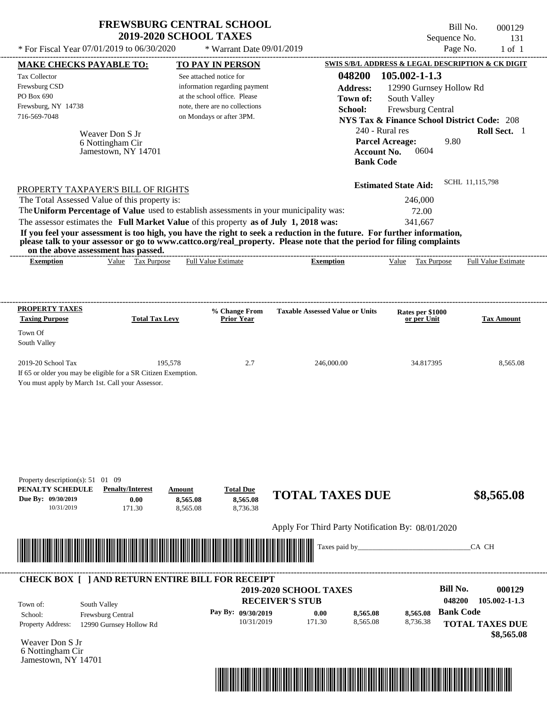| <b>FREWSBURG CENTRAL SCHOOL</b> |
|---------------------------------|
| <b>2019-2020 SCHOOL TAXES</b>   |

Bill No. 000129 Sequence No. 131

| * For Fiscal Year 07/01/2019 to 06/30/2020                                                                                                                                                                                                                                                                                                                                       | * Warrant Date 09/01/2019                                                                                                  |                                                                  |                                                                                                                     | Page No.<br>$1$ of $1$                                                |
|----------------------------------------------------------------------------------------------------------------------------------------------------------------------------------------------------------------------------------------------------------------------------------------------------------------------------------------------------------------------------------|----------------------------------------------------------------------------------------------------------------------------|------------------------------------------------------------------|---------------------------------------------------------------------------------------------------------------------|-----------------------------------------------------------------------|
| <b>MAKE CHECKS PAYABLE TO:</b>                                                                                                                                                                                                                                                                                                                                                   | <b>TO PAY IN PERSON</b>                                                                                                    |                                                                  | SWIS S/B/L ADDRESS & LEGAL DESCRIPTION & CK DIGIT                                                                   |                                                                       |
| Tax Collector<br>Frewsburg CSD<br>PO Box 690<br>Frewsburg, NY 14738                                                                                                                                                                                                                                                                                                              | See attached notice for<br>information regarding payment<br>at the school office. Please<br>note, there are no collections | 048200<br><b>Address:</b><br>Town of:<br>School:                 | 105.002-1-1.3<br>12990 Gurnsey Hollow Rd<br>South Valley<br>Frewsburg Central                                       |                                                                       |
| 716-569-7048<br>Weaver Don S Jr<br>6 Nottingham Cir<br>Jamestown, NY 14701                                                                                                                                                                                                                                                                                                       | on Mondays or after 3PM.                                                                                                   | <b>Account No.</b><br><b>Bank Code</b>                           | <b>NYS Tax &amp; Finance School District Code: 208</b><br>240 - Rural res<br><b>Parcel Acreage:</b><br>9.80<br>0604 | Roll Sect. 1                                                          |
| PROPERTY TAXPAYER'S BILL OF RIGHTS<br>The Total Assessed Value of this property is:<br>The Uniform Percentage of Value used to establish assessments in your municipality was:                                                                                                                                                                                                   |                                                                                                                            |                                                                  | <b>Estimated State Aid:</b><br>246,000                                                                              | SCHL 11,115,798                                                       |
| The assessor estimates the Full Market Value of this property as of July 1, 2018 was:<br>If you feel your assessment is too high, you have the right to seek a reduction in the future. For further information,<br>please talk to your assessor or go to www.cattco.org/real_property. Please note that the period for filing complaints<br>on the above assessment has passed. |                                                                                                                            |                                                                  | 72.00<br>341,667                                                                                                    |                                                                       |
| Value Tax Purpose<br><b>Exemption</b>                                                                                                                                                                                                                                                                                                                                            | <b>Full Value Estimate</b>                                                                                                 | <b>Exemption</b>                                                 | <b>Tax Purpose</b><br>Value                                                                                         | Full Value Estimate                                                   |
|                                                                                                                                                                                                                                                                                                                                                                                  |                                                                                                                            |                                                                  |                                                                                                                     |                                                                       |
| <b>PROPERTY TAXES</b><br><b>Taxing Purpose</b><br><b>Total Tax Levy</b>                                                                                                                                                                                                                                                                                                          | % Change From<br><b>Prior Year</b>                                                                                         | <b>Taxable Assessed Value or Units</b>                           | Rates per \$1000<br>or per Unit                                                                                     | <b>Tax Amount</b>                                                     |
| Town Of<br>South Valley                                                                                                                                                                                                                                                                                                                                                          |                                                                                                                            |                                                                  |                                                                                                                     |                                                                       |
| If 65 or older you may be eligible for a SR Citizen Exemption.<br>You must apply by March 1st. Call your Assessor.                                                                                                                                                                                                                                                               |                                                                                                                            |                                                                  |                                                                                                                     |                                                                       |
| Property description(s): 51 01 09<br>PENALTY SCHEDULE<br><b>Penalty/Interest</b><br>Due By: 09/30/2019<br>0.00<br>10/31/2019<br>171.30                                                                                                                                                                                                                                           | <b>Total Due</b><br>Amount<br>8,565.08<br>8,565.08<br>8,736.38<br>8,565.08                                                 | <b>TOTAL TAXES DUE</b>                                           |                                                                                                                     | \$8,565.08                                                            |
|                                                                                                                                                                                                                                                                                                                                                                                  |                                                                                                                            | Apply For Third Party Notification By: 08/01/2020                |                                                                                                                     |                                                                       |
|                                                                                                                                                                                                                                                                                                                                                                                  |                                                                                                                            | Taxes paid by_                                                   |                                                                                                                     | CA CH                                                                 |
| <b>CHECK BOX [ ] AND RETURN ENTIRE BILL FOR RECEIPT</b>                                                                                                                                                                                                                                                                                                                          |                                                                                                                            | <b>2019-2020 SCHOOL TAXES</b>                                    |                                                                                                                     | <b>Bill No.</b><br>000129                                             |
| South Valley<br>Town of:<br>School:<br>Frewsburg Central<br>Property Address:<br>12990 Gurnsey Hollow Rd                                                                                                                                                                                                                                                                         | Pay By: 09/30/2019<br>10/31/2019                                                                                           | <b>RECEIVER'S STUB</b><br>8,565.08<br>0.00<br>171.30<br>8,565.08 | 8,565.08<br>8,736.38                                                                                                | 048200<br>105.002-1-1.3<br><b>Bank Code</b><br><b>TOTAL TAXES DUE</b> |
| Weaver Don S Jr<br>6 Nottingham Cir<br>Jamestown, NY 14701                                                                                                                                                                                                                                                                                                                       |                                                                                                                            |                                                                  |                                                                                                                     | \$8,565.08                                                            |
|                                                                                                                                                                                                                                                                                                                                                                                  |                                                                                                                            |                                                                  |                                                                                                                     |                                                                       |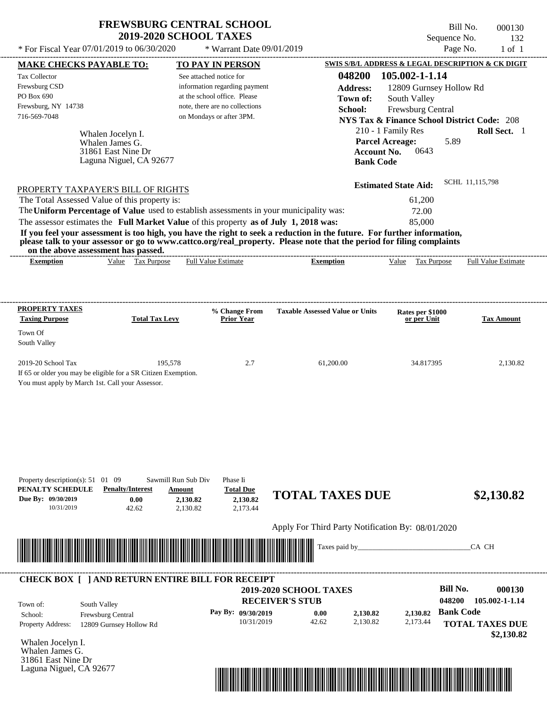$*$  For Fiscal Year 07/01/2019 to 06/30/2020

 $*$  Warrant Date 09/01/2019

Bill No. 000130 Sequence No. 132<br>Page No. 1 of 1

| <b>MAKE CHECKS PAYABLE TO:</b>                                                                                                                               |                                       |                               | <b>TO PAY IN PERSON</b>            |                                                   |                    | SWIS S/B/L ADDRESS & LEGAL DESCRIPTION & CK DIGIT      |                  |                            |
|--------------------------------------------------------------------------------------------------------------------------------------------------------------|---------------------------------------|-------------------------------|------------------------------------|---------------------------------------------------|--------------------|--------------------------------------------------------|------------------|----------------------------|
| <b>Tax Collector</b>                                                                                                                                         |                                       | See attached notice for       |                                    |                                                   | 048200             | 105.002-1-1.14                                         |                  |                            |
| Frewsburg CSD                                                                                                                                                |                                       |                               | information regarding payment      |                                                   | <b>Address:</b>    | 12809 Gurnsey Hollow Rd                                |                  |                            |
| PO Box 690                                                                                                                                                   |                                       |                               | at the school office. Please       |                                                   | Town of:           | South Valley                                           |                  |                            |
| Frewsburg, NY 14738                                                                                                                                          |                                       |                               | note, there are no collections     |                                                   | School:            | Frewsburg Central                                      |                  |                            |
| 716-569-7048                                                                                                                                                 |                                       |                               | on Mondays or after 3PM.           |                                                   |                    | <b>NYS Tax &amp; Finance School District Code: 208</b> |                  |                            |
|                                                                                                                                                              |                                       |                               |                                    |                                                   |                    | 210 - 1 Family Res                                     |                  | Roll Sect. 1               |
|                                                                                                                                                              | Whalen Jocelyn I.                     |                               |                                    |                                                   |                    | <b>Parcel Acreage:</b>                                 | 5.89             |                            |
|                                                                                                                                                              | Whalen James G.<br>31861 East Nine Dr |                               |                                    |                                                   | <b>Account No.</b> | 0643                                                   |                  |                            |
|                                                                                                                                                              | Laguna Niguel, CA 92677               |                               |                                    |                                                   | <b>Bank Code</b>   |                                                        |                  |                            |
|                                                                                                                                                              |                                       |                               |                                    |                                                   |                    |                                                        |                  |                            |
| PROPERTY TAXPAYER'S BILL OF RIGHTS                                                                                                                           |                                       |                               |                                    |                                                   |                    | <b>Estimated State Aid:</b>                            |                  | SCHL 11,115,798            |
| The Total Assessed Value of this property is:                                                                                                                |                                       |                               |                                    |                                                   |                    | 61,200                                                 |                  |                            |
| The Uniform Percentage of Value used to establish assessments in your municipality was:                                                                      |                                       |                               |                                    |                                                   |                    | 72.00                                                  |                  |                            |
| The assessor estimates the Full Market Value of this property as of July 1, 2018 was:                                                                        |                                       |                               |                                    |                                                   |                    | 85,000                                                 |                  |                            |
| If you feel your assessment is too high, you have the right to seek a reduction in the future. For further information,                                      |                                       |                               |                                    |                                                   |                    |                                                        |                  |                            |
| please talk to your assessor or go to www.cattco.org/real_property. Please note that the period for filing complaints<br>on the above assessment has passed. |                                       |                               |                                    |                                                   |                    |                                                        |                  |                            |
| <b>Exemption</b>                                                                                                                                             | Value Tax Purpose                     | <b>Full Value Estimate</b>    |                                    | <b>Exemption</b>                                  |                    | Value Tax Purpose                                      |                  | <b>Full Value Estimate</b> |
|                                                                                                                                                              |                                       |                               |                                    |                                                   |                    |                                                        |                  |                            |
|                                                                                                                                                              |                                       |                               |                                    |                                                   |                    |                                                        |                  |                            |
| <b>PROPERTY TAXES</b><br><b>Taxing Purpose</b>                                                                                                               | <b>Total Tax Levy</b>                 |                               | % Change From<br><b>Prior Year</b> | <b>Taxable Assessed Value or Units</b>            |                    | Rates per \$1000<br>or per Unit                        |                  | <b>Tax Amount</b>          |
| Town Of                                                                                                                                                      |                                       |                               |                                    |                                                   |                    |                                                        |                  |                            |
| South Valley                                                                                                                                                 |                                       |                               |                                    |                                                   |                    |                                                        |                  |                            |
| 2019-20 School Tax                                                                                                                                           |                                       | 195,578                       | 2.7                                | 61,200.00                                         |                    | 34.817395                                              |                  | 2,130.82                   |
| If 65 or older you may be eligible for a SR Citizen Exemption.                                                                                               |                                       |                               |                                    |                                                   |                    |                                                        |                  |                            |
| You must apply by March 1st. Call your Assessor.                                                                                                             |                                       |                               |                                    |                                                   |                    |                                                        |                  |                            |
|                                                                                                                                                              |                                       |                               |                                    |                                                   |                    |                                                        |                  |                            |
|                                                                                                                                                              |                                       |                               |                                    |                                                   |                    |                                                        |                  |                            |
|                                                                                                                                                              |                                       |                               |                                    |                                                   |                    |                                                        |                  |                            |
|                                                                                                                                                              |                                       |                               |                                    |                                                   |                    |                                                        |                  |                            |
|                                                                                                                                                              |                                       |                               |                                    |                                                   |                    |                                                        |                  |                            |
|                                                                                                                                                              |                                       |                               |                                    |                                                   |                    |                                                        |                  |                            |
|                                                                                                                                                              |                                       |                               |                                    |                                                   |                    |                                                        |                  |                            |
| Property description(s): $51 \quad 01 \quad 09$<br>PENALTY SCHEDULE                                                                                          | <b>Penalty/Interest</b>               | Sawmill Run Sub Div<br>Amount | Phase Ii<br><b>Total Due</b>       |                                                   |                    |                                                        |                  |                            |
| Due By: 09/30/2019                                                                                                                                           | 0.00                                  | 2,130.82                      | 2,130.82                           | <b>TOTAL TAXES DUE</b>                            |                    |                                                        |                  | \$2,130.82                 |
| 10/31/2019                                                                                                                                                   | 42.62                                 | 2,130.82                      | 2,173.44                           |                                                   |                    |                                                        |                  |                            |
|                                                                                                                                                              |                                       |                               |                                    | Apply For Third Party Notification By: 08/01/2020 |                    |                                                        |                  |                            |
|                                                                                                                                                              |                                       |                               |                                    |                                                   |                    |                                                        |                  |                            |
|                                                                                                                                                              |                                       |                               |                                    | Taxes paid by                                     |                    |                                                        |                  | CA CH                      |
|                                                                                                                                                              |                                       |                               |                                    |                                                   |                    |                                                        |                  |                            |
| <b>CHECK BOX [ ] AND RETURN ENTIRE BILL FOR RECEIPT</b>                                                                                                      |                                       |                               |                                    |                                                   |                    |                                                        |                  |                            |
|                                                                                                                                                              |                                       |                               |                                    | 2019-2020 SCHOOL TAXES                            |                    |                                                        | <b>Bill No.</b>  | 000130                     |
| Town of:                                                                                                                                                     | South Valley                          |                               |                                    | <b>RECEIVER'S STUB</b>                            |                    |                                                        | 048200           | 105.002-1-1.14             |
| School:                                                                                                                                                      | Frewsburg Central                     |                               | Pay By: 09/30/2019                 | 0.00                                              | 2,130.82           | 2,130.82                                               | <b>Bank Code</b> |                            |
| Property Address:                                                                                                                                            | 12809 Gurnsey Hollow Rd               |                               | 10/31/2019                         | 42.62                                             | 2,130.82           | 2,173.44                                               |                  | <b>TOTAL TAXES DUE</b>     |
|                                                                                                                                                              |                                       |                               |                                    |                                                   |                    |                                                        |                  | \$2,130.82                 |
|                                                                                                                                                              |                                       |                               |                                    |                                                   |                    |                                                        |                  |                            |
|                                                                                                                                                              |                                       |                               |                                    |                                                   |                    |                                                        |                  |                            |
|                                                                                                                                                              |                                       |                               |                                    |                                                   |                    |                                                        |                  |                            |
| Whalen Jocelyn I.<br>Whalen James G.<br>31861 East Nine Dr<br>Laguna Niguel, CA 92677                                                                        |                                       |                               |                                    |                                                   |                    |                                                        |                  |                            |

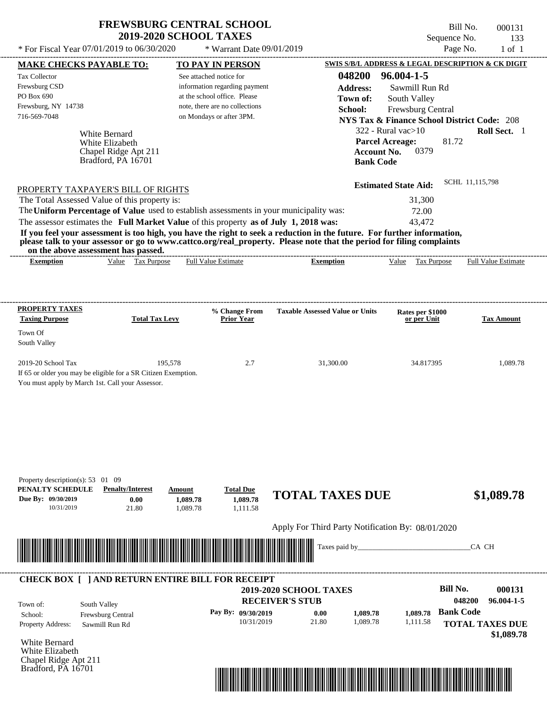| * For Fiscal Year 07/01/2019 to 06/30/2020                                                                                                                                                                                           |                                     |          | * Warrant Date 09/01/2019                                     |                                                                                                                         |                  |                                                                             | Page No.         | $1$ of $1$                 |
|--------------------------------------------------------------------------------------------------------------------------------------------------------------------------------------------------------------------------------------|-------------------------------------|----------|---------------------------------------------------------------|-------------------------------------------------------------------------------------------------------------------------|------------------|-----------------------------------------------------------------------------|------------------|----------------------------|
| <b>MAKE CHECKS PAYABLE TO:</b>                                                                                                                                                                                                       |                                     |          | <b>TO PAY IN PERSON</b>                                       |                                                                                                                         |                  | SWIS S/B/L ADDRESS & LEGAL DESCRIPTION & CK DIGIT                           |                  |                            |
| Tax Collector                                                                                                                                                                                                                        |                                     |          | See attached notice for                                       |                                                                                                                         | 048200           | 96.004-1-5                                                                  |                  |                            |
| Frewsburg CSD<br>PO Box 690                                                                                                                                                                                                          |                                     |          | information regarding payment<br>at the school office. Please |                                                                                                                         | <b>Address:</b>  | Sawmill Run Rd                                                              |                  |                            |
| Frewsburg, NY 14738                                                                                                                                                                                                                  |                                     |          | note, there are no collections                                |                                                                                                                         | Town of:         | South Valley                                                                |                  |                            |
| 716-569-7048                                                                                                                                                                                                                         |                                     |          | on Mondays or after 3PM.                                      | School:                                                                                                                 |                  | Frewsburg Central<br><b>NYS Tax &amp; Finance School District Code: 208</b> |                  |                            |
|                                                                                                                                                                                                                                      |                                     |          |                                                               |                                                                                                                         |                  | $322$ - Rural vac $>10$                                                     |                  | Roll Sect. 1               |
|                                                                                                                                                                                                                                      | White Bernard<br>White Elizabeth    |          |                                                               |                                                                                                                         |                  | <b>Parcel Acreage:</b>                                                      | 81.72            |                            |
|                                                                                                                                                                                                                                      | Chapel Ridge Apt 211                |          |                                                               |                                                                                                                         |                  | <b>Account No.</b><br>0379                                                  |                  |                            |
|                                                                                                                                                                                                                                      | Bradford, PA 16701                  |          |                                                               |                                                                                                                         | <b>Bank Code</b> |                                                                             |                  |                            |
|                                                                                                                                                                                                                                      |                                     |          |                                                               |                                                                                                                         |                  |                                                                             |                  |                            |
| PROPERTY TAXPAYER'S BILL OF RIGHTS                                                                                                                                                                                                   |                                     |          |                                                               |                                                                                                                         |                  | <b>Estimated State Aid:</b>                                                 | SCHL 11,115,798  |                            |
| The Total Assessed Value of this property is:                                                                                                                                                                                        |                                     |          |                                                               |                                                                                                                         |                  | 31,300                                                                      |                  |                            |
| The Uniform Percentage of Value used to establish assessments in your municipality was:                                                                                                                                              |                                     |          |                                                               |                                                                                                                         |                  | 72.00                                                                       |                  |                            |
| The assessor estimates the Full Market Value of this property as of July 1, 2018 was:                                                                                                                                                |                                     |          |                                                               |                                                                                                                         |                  | 43,472                                                                      |                  |                            |
|                                                                                                                                                                                                                                      |                                     |          |                                                               | If you feel your assessment is too high, you have the right to seek a reduction in the future. For further information, |                  |                                                                             |                  |                            |
| on the above assessment has passed.                                                                                                                                                                                                  |                                     |          |                                                               | please talk to your assessor or go to www.cattco.org/real_property. Please note that the period for filing complaints   |                  |                                                                             |                  |                            |
| <b>Exemption</b>                                                                                                                                                                                                                     | Value Tax Purpose                   |          | <b>Full Value Estimate</b>                                    | <b>Exemption</b>                                                                                                        |                  | Value Tax Purpose                                                           |                  | <b>Full Value Estimate</b> |
|                                                                                                                                                                                                                                      |                                     |          |                                                               |                                                                                                                         |                  |                                                                             |                  |                            |
|                                                                                                                                                                                                                                      |                                     |          |                                                               |                                                                                                                         |                  |                                                                             |                  |                            |
|                                                                                                                                                                                                                                      |                                     |          |                                                               |                                                                                                                         |                  |                                                                             |                  |                            |
| <b>PROPERTY TAXES</b><br><b>Taxing Purpose</b>                                                                                                                                                                                       | <b>Total Tax Levy</b>               |          | % Change From<br><b>Prior Year</b>                            | <b>Taxable Assessed Value or Units</b>                                                                                  |                  | Rates per \$1000<br>or per Unit                                             |                  | <b>Tax Amount</b>          |
|                                                                                                                                                                                                                                      |                                     |          |                                                               |                                                                                                                         |                  |                                                                             |                  |                            |
| Town Of<br>South Valley                                                                                                                                                                                                              |                                     |          |                                                               |                                                                                                                         |                  |                                                                             |                  |                            |
|                                                                                                                                                                                                                                      |                                     |          |                                                               |                                                                                                                         |                  |                                                                             |                  |                            |
| 2019-20 School Tax                                                                                                                                                                                                                   |                                     | 195,578  | 2.7                                                           | 31,300.00                                                                                                               |                  | 34.817395                                                                   |                  | 1,089.78                   |
| If 65 or older you may be eligible for a SR Citizen Exemption.                                                                                                                                                                       |                                     |          |                                                               |                                                                                                                         |                  |                                                                             |                  |                            |
| You must apply by March 1st. Call your Assessor.                                                                                                                                                                                     |                                     |          |                                                               |                                                                                                                         |                  |                                                                             |                  |                            |
|                                                                                                                                                                                                                                      |                                     |          |                                                               |                                                                                                                         |                  |                                                                             |                  |                            |
|                                                                                                                                                                                                                                      |                                     |          |                                                               |                                                                                                                         |                  |                                                                             |                  |                            |
|                                                                                                                                                                                                                                      |                                     |          |                                                               |                                                                                                                         |                  |                                                                             |                  |                            |
|                                                                                                                                                                                                                                      |                                     |          |                                                               |                                                                                                                         |                  |                                                                             |                  |                            |
|                                                                                                                                                                                                                                      |                                     |          |                                                               |                                                                                                                         |                  |                                                                             |                  |                            |
|                                                                                                                                                                                                                                      |                                     |          |                                                               |                                                                                                                         |                  |                                                                             |                  |                            |
|                                                                                                                                                                                                                                      |                                     |          |                                                               |                                                                                                                         |                  |                                                                             |                  |                            |
| Property description(s): $53 \quad 01 \quad 09$<br>PENALTY SCHEDULE                                                                                                                                                                  | <b>Penalty/Interest</b>             | Amount   | <b>Total Due</b>                                              |                                                                                                                         |                  |                                                                             |                  |                            |
| Due By: 09/30/2019                                                                                                                                                                                                                   | 0.00                                | 1,089.78 | 1,089.78                                                      | <b>TOTAL TAXES DUE</b>                                                                                                  |                  |                                                                             |                  | \$1,089.78                 |
| 10/31/2019                                                                                                                                                                                                                           | 21.80                               | 1,089.78 | 1,111.58                                                      |                                                                                                                         |                  |                                                                             |                  |                            |
|                                                                                                                                                                                                                                      |                                     |          |                                                               | Apply For Third Party Notification By: 08/01/2020                                                                       |                  |                                                                             |                  |                            |
|                                                                                                                                                                                                                                      |                                     |          |                                                               |                                                                                                                         |                  |                                                                             |                  |                            |
| <u> Indian American State of Barbara and The Barbara and The Barbara and The Barbara and The Barbara and The Barbara and The Barbara and The Barbara and The Barbara and The Barbara and The Barbara and The Barbara and The Bar</u> |                                     |          |                                                               | Taxes paid by_                                                                                                          |                  |                                                                             |                  | CA CH                      |
|                                                                                                                                                                                                                                      |                                     |          |                                                               |                                                                                                                         |                  |                                                                             |                  |                            |
|                                                                                                                                                                                                                                      |                                     |          |                                                               |                                                                                                                         |                  |                                                                             |                  |                            |
| <b>CHECK BOX [ ] AND RETURN ENTIRE BILL FOR RECEIPT</b>                                                                                                                                                                              |                                     |          |                                                               | 2019-2020 SCHOOL TAXES                                                                                                  |                  |                                                                             | <b>Bill No.</b>  | 000131                     |
|                                                                                                                                                                                                                                      |                                     |          |                                                               | <b>RECEIVER'S STUB</b>                                                                                                  |                  |                                                                             | 048200           | 96.004-1-5                 |
| South Valley<br>Town of:                                                                                                                                                                                                             |                                     |          | Pay By: 09/30/2019                                            | 0.00                                                                                                                    | 1,089.78         | 1.089.78                                                                    | <b>Bank Code</b> |                            |
| School:<br>Property Address:                                                                                                                                                                                                         | Frewsburg Central<br>Sawmill Run Rd |          | 10/31/2019                                                    | 21.80                                                                                                                   | 1,089.78         | 1,111.58                                                                    |                  | <b>TOTAL TAXES DUE</b>     |
|                                                                                                                                                                                                                                      |                                     |          |                                                               |                                                                                                                         |                  |                                                                             |                  | \$1,089.78                 |
| White Bernard                                                                                                                                                                                                                        |                                     |          |                                                               |                                                                                                                         |                  |                                                                             |                  |                            |
| White Elizabeth                                                                                                                                                                                                                      |                                     |          |                                                               |                                                                                                                         |                  |                                                                             |                  |                            |
| Chapel Ridge Apt 211<br>Bradford, PA 16701                                                                                                                                                                                           |                                     |          |                                                               |                                                                                                                         |                  |                                                                             |                  |                            |

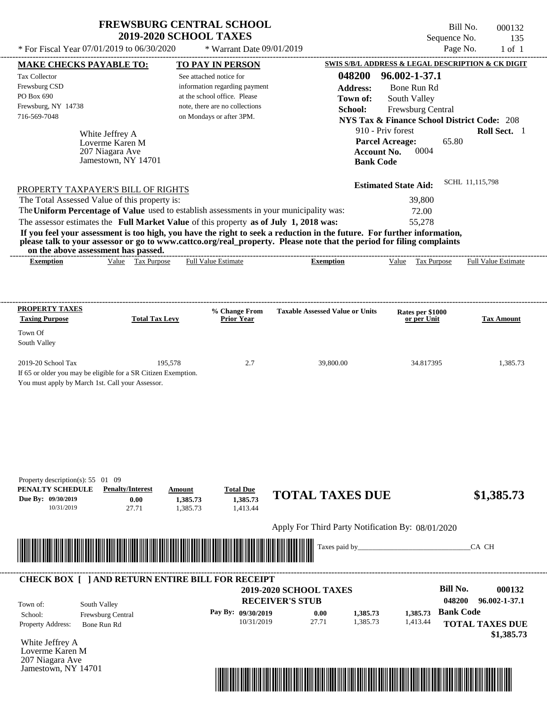\* For Fiscal Year  $07/01/2019$  to  $06/30/2020$  \* Warrant Date  $09/01/2019$ 

Bill No. 000132 Sequence No. 135

| SWIS S/B/L ADDRESS & LEGAL DESCRIPTION & CK DIGIT<br><b>NYS Tax &amp; Finance School District Code: 208</b><br>Roll Sect. 1<br>SCHL 11,115,798<br><b>Full Value Estimate</b><br><b>Tax Amount</b> |
|---------------------------------------------------------------------------------------------------------------------------------------------------------------------------------------------------|
|                                                                                                                                                                                                   |
|                                                                                                                                                                                                   |
|                                                                                                                                                                                                   |
|                                                                                                                                                                                                   |
|                                                                                                                                                                                                   |
|                                                                                                                                                                                                   |
|                                                                                                                                                                                                   |
|                                                                                                                                                                                                   |
|                                                                                                                                                                                                   |
|                                                                                                                                                                                                   |
|                                                                                                                                                                                                   |
|                                                                                                                                                                                                   |
|                                                                                                                                                                                                   |
|                                                                                                                                                                                                   |
|                                                                                                                                                                                                   |
|                                                                                                                                                                                                   |
|                                                                                                                                                                                                   |
|                                                                                                                                                                                                   |
|                                                                                                                                                                                                   |
|                                                                                                                                                                                                   |
|                                                                                                                                                                                                   |
|                                                                                                                                                                                                   |
|                                                                                                                                                                                                   |
| 1,385.73                                                                                                                                                                                          |
|                                                                                                                                                                                                   |
|                                                                                                                                                                                                   |
|                                                                                                                                                                                                   |
|                                                                                                                                                                                                   |
|                                                                                                                                                                                                   |
|                                                                                                                                                                                                   |
|                                                                                                                                                                                                   |
|                                                                                                                                                                                                   |
|                                                                                                                                                                                                   |
|                                                                                                                                                                                                   |
| \$1,385.73                                                                                                                                                                                        |
|                                                                                                                                                                                                   |
|                                                                                                                                                                                                   |
|                                                                                                                                                                                                   |
| CA CH                                                                                                                                                                                             |
|                                                                                                                                                                                                   |
|                                                                                                                                                                                                   |
|                                                                                                                                                                                                   |
|                                                                                                                                                                                                   |
| 000132                                                                                                                                                                                            |
| 96.002-1-37.1                                                                                                                                                                                     |
|                                                                                                                                                                                                   |
| <b>TOTAL TAXES DUE</b>                                                                                                                                                                            |
| \$1,385.73                                                                                                                                                                                        |
|                                                                                                                                                                                                   |
|                                                                                                                                                                                                   |

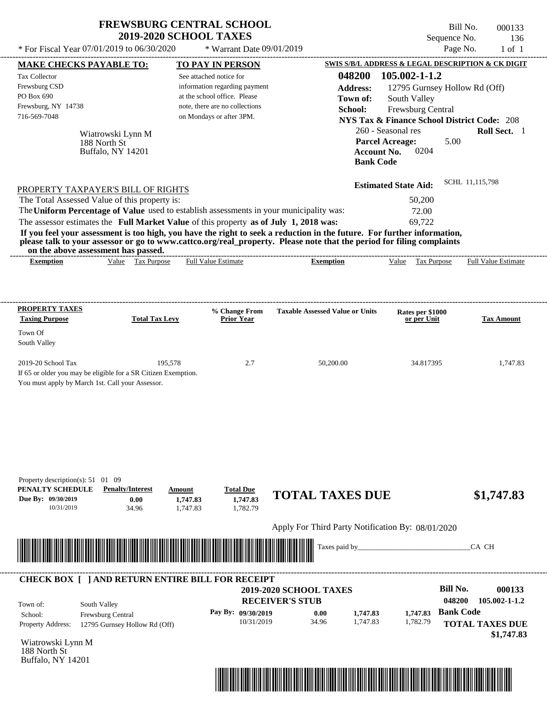Bill No. 000133 Sequence No. 136

| * For Fiscal Year 07/01/2019 to 06/30/2020                                                                                                                                                                                                                                                                                         |                                                                            | * Warrant Date 09/01/2019                                                                                                                              |                                                                                                                                                                                                                                                                      |                                                                                                                                                                                                               | Page No.<br>$1$ of $1$                                                                                           |
|------------------------------------------------------------------------------------------------------------------------------------------------------------------------------------------------------------------------------------------------------------------------------------------------------------------------------------|----------------------------------------------------------------------------|--------------------------------------------------------------------------------------------------------------------------------------------------------|----------------------------------------------------------------------------------------------------------------------------------------------------------------------------------------------------------------------------------------------------------------------|---------------------------------------------------------------------------------------------------------------------------------------------------------------------------------------------------------------|------------------------------------------------------------------------------------------------------------------|
| <b>MAKE CHECKS PAYABLE TO:</b>                                                                                                                                                                                                                                                                                                     |                                                                            | <b>TO PAY IN PERSON</b>                                                                                                                                |                                                                                                                                                                                                                                                                      |                                                                                                                                                                                                               | SWIS S/B/L ADDRESS & LEGAL DESCRIPTION & CK DIGIT                                                                |
| Tax Collector<br>Frewsburg CSD<br>PO Box 690<br>Frewsburg, NY 14738<br>716-569-7048<br>188 North St                                                                                                                                                                                                                                | Wiatrowski Lynn M<br>Buffalo, NY 14201                                     | See attached notice for<br>information regarding payment<br>at the school office. Please<br>note, there are no collections<br>on Mondays or after 3PM. | 048200<br><b>Address:</b><br>Town of:<br>School:<br><b>Account No.</b><br><b>Bank Code</b>                                                                                                                                                                           | 105.002-1-1.2<br>12795 Gurnsey Hollow Rd (Off)<br>South Valley<br>Frewsburg Central<br><b>NYS Tax &amp; Finance School District Code: 208</b><br>260 - Seasonal res<br><b>Parcel Acreage:</b><br>5.00<br>0204 | Roll Sect. 1                                                                                                     |
| PROPERTY TAXPAYER'S BILL OF RIGHTS<br>The Total Assessed Value of this property is:<br>The Uniform Percentage of Value used to establish assessments in your municipality was:<br>The assessor estimates the Full Market Value of this property as of July 1, 2018 was:<br>on the above assessment has passed.<br><b>Exemption</b> | Value Tax Purpose                                                          | <b>Full Value Estimate</b>                                                                                                                             | If you feel your assessment is too high, you have the right to seek a reduction in the future. For further information,<br>please talk to your assessor or go to www.cattco.org/real_property. Please note that the period for filing complaints<br><b>Exemption</b> | <b>Estimated State Aid:</b><br>50,200<br>72.00<br>69,722<br>Value Tax Purpose                                                                                                                                 | SCHL 11,115,798<br><b>Full Value Estimate</b>                                                                    |
|                                                                                                                                                                                                                                                                                                                                    |                                                                            |                                                                                                                                                        |                                                                                                                                                                                                                                                                      |                                                                                                                                                                                                               |                                                                                                                  |
| <b>PROPERTY TAXES</b><br><b>Taxing Purpose</b><br>Town Of<br>South Valley                                                                                                                                                                                                                                                          | <b>Total Tax Levy</b>                                                      | % Change From<br><b>Prior Year</b>                                                                                                                     | <b>Taxable Assessed Value or Units</b>                                                                                                                                                                                                                               | Rates per \$1000<br>or per Unit                                                                                                                                                                               | <b>Tax Amount</b>                                                                                                |
| 2019-20 School Tax<br>If 65 or older you may be eligible for a SR Citizen Exemption.<br>You must apply by March 1st. Call your Assessor.                                                                                                                                                                                           | 195,578                                                                    | 2.7                                                                                                                                                    | 50,200.00                                                                                                                                                                                                                                                            | 34.817395                                                                                                                                                                                                     | 1,747.83                                                                                                         |
| Property description(s): $51 \quad 01 \quad 09$<br>PENALTY SCHEDULE<br>Due By: 09/30/2019<br>10/31/2019                                                                                                                                                                                                                            | <b>Penalty/Interest</b><br>Amount<br>0.00<br>1,747.83<br>34.96<br>1,747.83 | <b>Total Due</b><br>1,747.83<br>1,782.79                                                                                                               | <b>TOTAL TAXES DUE</b><br>Apply For Third Party Notification By: 08/01/2020<br>Taxes paid by_                                                                                                                                                                        |                                                                                                                                                                                                               | \$1,747.83<br>CA CH                                                                                              |
| <b>CHECK BOX [ ] AND RETURN ENTIRE BILL FOR RECEIPT</b>                                                                                                                                                                                                                                                                            |                                                                            |                                                                                                                                                        |                                                                                                                                                                                                                                                                      |                                                                                                                                                                                                               |                                                                                                                  |
| South Valley<br>Town of:<br>Frewsburg Central<br>School:<br><b>Property Address:</b><br>Wiatrowski Lynn M<br>188 North St<br>Buffalo, NY 14201                                                                                                                                                                                     | 12795 Gurnsey Hollow Rd (Off)                                              | Pay By: 09/30/2019<br>10/31/2019                                                                                                                       | 2019-2020 SCHOOL TAXES<br><b>RECEIVER'S STUB</b><br>0.00<br>1,747.83<br>34.96<br>1,747.83                                                                                                                                                                            | 1,747.83<br>1,782.79                                                                                                                                                                                          | <b>Bill No.</b><br>000133<br>048200<br>105.002-1-1.2<br><b>Bank Code</b><br><b>TOTAL TAXES DUE</b><br>\$1,747.83 |

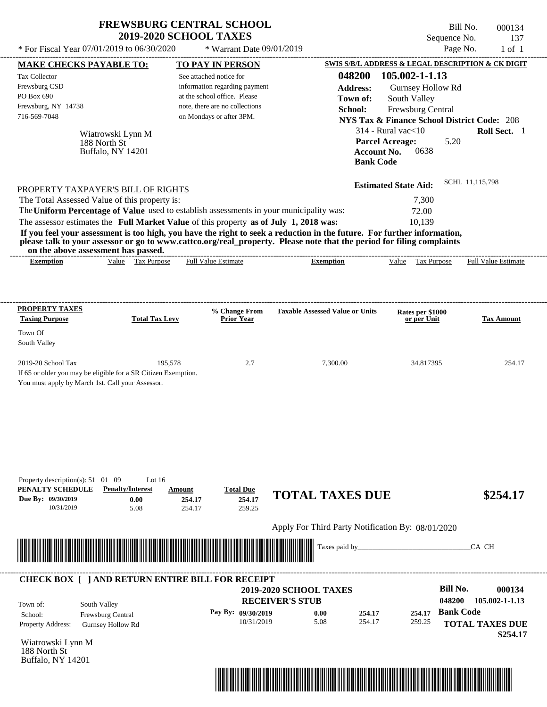Bill No. 000134 Sequence No. 137

| * For Fiscal Year 07/01/2019 to 06/30/2020                                                                                                                                                                                                                                                                                                                                                                                                                                                                                  | * Warrant Date 09/01/2019                                                                                                                              |                                                                                            | Page No.                                                                                                                                                                                                 | $1$ of $1$                                                     |
|-----------------------------------------------------------------------------------------------------------------------------------------------------------------------------------------------------------------------------------------------------------------------------------------------------------------------------------------------------------------------------------------------------------------------------------------------------------------------------------------------------------------------------|--------------------------------------------------------------------------------------------------------------------------------------------------------|--------------------------------------------------------------------------------------------|----------------------------------------------------------------------------------------------------------------------------------------------------------------------------------------------------------|----------------------------------------------------------------|
| <b>MAKE CHECKS PAYABLE TO:</b>                                                                                                                                                                                                                                                                                                                                                                                                                                                                                              | <b>TO PAY IN PERSON</b>                                                                                                                                |                                                                                            | SWIS S/B/L ADDRESS & LEGAL DESCRIPTION & CK DIGIT                                                                                                                                                        |                                                                |
| <b>Tax Collector</b><br>Frewsburg CSD<br>PO Box 690<br>Frewsburg, NY 14738<br>716-569-7048<br>Wiatrowski Lynn M<br>188 North St<br>Buffalo, NY 14201                                                                                                                                                                                                                                                                                                                                                                        | See attached notice for<br>information regarding payment<br>at the school office. Please<br>note, there are no collections<br>on Mondays or after 3PM. | 048200<br><b>Address:</b><br>Town of:<br>School:<br><b>Account No.</b><br><b>Bank Code</b> | 105.002-1-1.13<br>Gurnsey Hollow Rd<br>South Valley<br>Frewsburg Central<br><b>NYS Tax &amp; Finance School District Code: 208</b><br>$314$ - Rural vac $<$ 10<br>5.20<br><b>Parcel Acreage:</b><br>0638 | Roll Sect. 1                                                   |
| PROPERTY TAXPAYER'S BILL OF RIGHTS<br>The Total Assessed Value of this property is:<br>The Uniform Percentage of Value used to establish assessments in your municipality was:<br>The assessor estimates the Full Market Value of this property as of July 1, 2018 was:<br>If you feel your assessment is too high, you have the right to seek a reduction in the future. For further information,<br>please talk to your assessor or go to www.cattco.org/real_property. Please note that the period for filing complaints |                                                                                                                                                        |                                                                                            | <b>Estimated State Aid:</b><br>7,300<br>72.00<br>10,139                                                                                                                                                  | SCHL 11,115,798                                                |
| on the above assessment has passed.<br>Value Tax Purpose<br><b>Exemption</b>                                                                                                                                                                                                                                                                                                                                                                                                                                                | <b>Full Value Estimate</b>                                                                                                                             | <b>Exemption</b>                                                                           | Tax Purpose<br>Value                                                                                                                                                                                     | <b>Full Value Estimate</b>                                     |
| <b>PROPERTY TAXES</b><br><b>Taxing Purpose</b><br><b>Total Tax Levy</b><br>Town Of<br>South Valley<br>2019-20 School Tax                                                                                                                                                                                                                                                                                                                                                                                                    | % Change From<br><b>Prior Year</b><br>195,578<br>2.7                                                                                                   | <b>Taxable Assessed Value or Units</b><br>7,300.00                                         | Rates per \$1000<br>or per Unit<br>34.817395                                                                                                                                                             | <b>Tax Amount</b><br>254.17                                    |
| If 65 or older you may be eligible for a SR Citizen Exemption.<br>You must apply by March 1st. Call your Assessor.                                                                                                                                                                                                                                                                                                                                                                                                          |                                                                                                                                                        |                                                                                            |                                                                                                                                                                                                          |                                                                |
| Property description(s): $51 \quad 01 \quad 09$<br>Lot $16$<br>PENALTY SCHEDULE<br><b>Penalty/Interest</b><br>Due By: 09/30/2019<br>0.00<br>10/31/2019<br>5.08                                                                                                                                                                                                                                                                                                                                                              | <b>Total Due</b><br>Amount<br>254.17<br>254.17<br>259.25<br>254.17                                                                                     | <b>TOTAL TAXES DUE</b>                                                                     |                                                                                                                                                                                                          | \$254.17                                                       |
|                                                                                                                                                                                                                                                                                                                                                                                                                                                                                                                             |                                                                                                                                                        | Apply For Third Party Notification By: 08/01/2020                                          |                                                                                                                                                                                                          |                                                                |
|                                                                                                                                                                                                                                                                                                                                                                                                                                                                                                                             |                                                                                                                                                        | Taxes paid by_                                                                             |                                                                                                                                                                                                          | CA CH                                                          |
| <b>CHECK BOX [ ] AND RETURN ENTIRE BILL FOR RECEIPT</b><br>South Valley<br>Town of:<br>Frewsburg Central<br>School:<br>Property Address:<br><b>Gurnsey Hollow Rd</b><br>Wiatrowski Lynn M<br>188 North St<br>Buffalo, NY 14201                                                                                                                                                                                                                                                                                              | Pay By: 09/30/2019<br>10/31/2019                                                                                                                       | 2019-2020 SCHOOL TAXES<br><b>RECEIVER'S STUB</b><br>0.00<br>254.17<br>5.08<br>254.17       | <b>Bill No.</b><br>048200<br><b>Bank Code</b><br>254.17<br>259.25                                                                                                                                        | 000134<br>105.002-1-1.13<br><b>TOTAL TAXES DUE</b><br>\$254.17 |

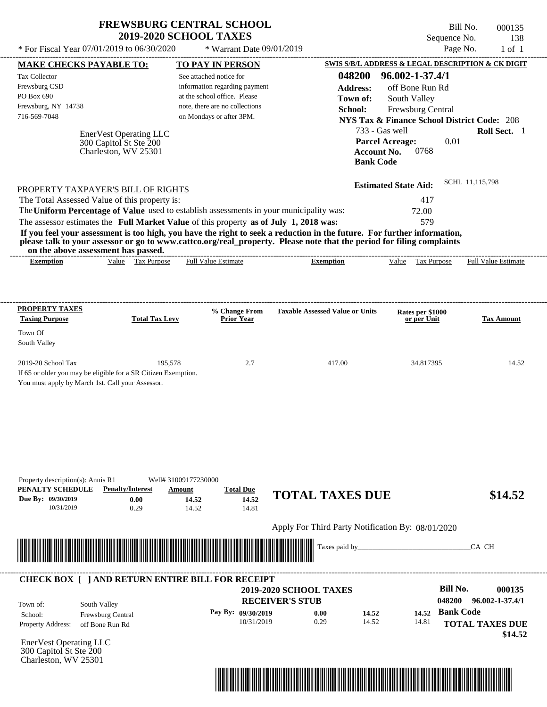| <b>FREWSBURG CENTRAL SCHOOL</b> |
|---------------------------------|
| <b>2019-2020 SCHOOL TAXES</b>   |

Bill No. 000135 Sequence No. 138

| <b>MAKE CHECKS PAYABLE TO:</b>                                                                                            |                                                                                 |                                                                                                                                                        |                                                                                                                                                                                                                                                                      |                                                                                                                                                                                                                               |                            |
|---------------------------------------------------------------------------------------------------------------------------|---------------------------------------------------------------------------------|--------------------------------------------------------------------------------------------------------------------------------------------------------|----------------------------------------------------------------------------------------------------------------------------------------------------------------------------------------------------------------------------------------------------------------------|-------------------------------------------------------------------------------------------------------------------------------------------------------------------------------------------------------------------------------|----------------------------|
|                                                                                                                           |                                                                                 | <b>TO PAY IN PERSON</b>                                                                                                                                |                                                                                                                                                                                                                                                                      | SWIS S/B/L ADDRESS & LEGAL DESCRIPTION & CK DIGIT                                                                                                                                                                             |                            |
| Tax Collector<br>Frewsburg CSD<br>PO Box 690<br>Frewsburg, NY 14738<br>716-569-7048<br>PROPERTY TAXPAYER'S BILL OF RIGHTS | <b>EnerVest Operating LLC</b><br>300 Capitol St Ste 200<br>Charleston, WV 25301 | See attached notice for<br>information regarding payment<br>at the school office. Please<br>note, there are no collections<br>on Mondays or after 3PM. | 048200<br><b>Address:</b><br>Town of:<br>School:<br>733 - Gas well<br><b>Account No.</b><br><b>Bank Code</b>                                                                                                                                                         | 96.002-1-37.4/1<br>off Bone Run Rd<br>South Valley<br>Frewsburg Central<br><b>NYS Tax &amp; Finance School District Code: 208</b><br><b>Parcel Acreage:</b><br>0.01<br>0768<br>SCHL 11,115,798<br><b>Estimated State Aid:</b> | Roll Sect. 1               |
| The Total Assessed Value of this property is:                                                                             |                                                                                 | The Uniform Percentage of Value used to establish assessments in your municipality was:                                                                |                                                                                                                                                                                                                                                                      | 417<br>72.00                                                                                                                                                                                                                  |                            |
| on the above assessment has passed.<br><b>Exemption</b>                                                                   | Value Tax Purpose                                                               | The assessor estimates the Full Market Value of this property as of July 1, 2018 was:<br><b>Full Value Estimate</b>                                    | If you feel your assessment is too high, you have the right to seek a reduction in the future. For further information,<br>please talk to your assessor or go to www.cattco.org/real_property. Please note that the period for filing complaints<br><b>Exemption</b> | 579<br>Value Tax Purpose                                                                                                                                                                                                      | <b>Full Value Estimate</b> |
| <b>PROPERTY TAXES</b>                                                                                                     |                                                                                 | % Change From                                                                                                                                          | <b>Taxable Assessed Value or Units</b>                                                                                                                                                                                                                               | Rates per \$1000                                                                                                                                                                                                              |                            |
| <b>Taxing Purpose</b><br>Town Of<br>South Valley                                                                          | <b>Total Tax Levy</b>                                                           | <b>Prior Year</b>                                                                                                                                      |                                                                                                                                                                                                                                                                      | or per Unit                                                                                                                                                                                                                   | <b>Tax Amount</b>          |
| 2019-20 School Tax<br>If 65 or older you may be eligible for a SR Citizen Exemption.                                      | 195,578<br>You must apply by March 1st. Call your Assessor.                     | 2.7                                                                                                                                                    | 417.00                                                                                                                                                                                                                                                               | 34.817395                                                                                                                                                                                                                     | 14.52                      |
|                                                                                                                           |                                                                                 |                                                                                                                                                        |                                                                                                                                                                                                                                                                      |                                                                                                                                                                                                                               |                            |
| Property description(s): Annis R1<br>PENALTY SCHEDULE<br>Due By: 09/30/2019<br>10/31/2019                                 | <b>Penalty/Interest</b><br>0.00<br>0.29                                         | Well# 31009177230000<br><b>Total Due</b><br>Amount<br>14.52<br>14.52<br>14.81<br>14.52                                                                 | <b>TOTAL TAXES DUE</b>                                                                                                                                                                                                                                               |                                                                                                                                                                                                                               | \$14.52                    |
|                                                                                                                           |                                                                                 |                                                                                                                                                        | Apply For Third Party Notification By: 08/01/2020<br>Taxes paid by_                                                                                                                                                                                                  |                                                                                                                                                                                                                               | CA CH                      |
| <u> I sama pada salah sahiji dan kalendar dan masa dan salah sahiji dan masa dan salah sahiji dan salah sahiji da</u>     |                                                                                 | <b>CHECK BOX [ ] AND RETURN ENTIRE BILL FOR RECEIPT</b>                                                                                                |                                                                                                                                                                                                                                                                      | <b>Bill No.</b>                                                                                                                                                                                                               | 000135                     |

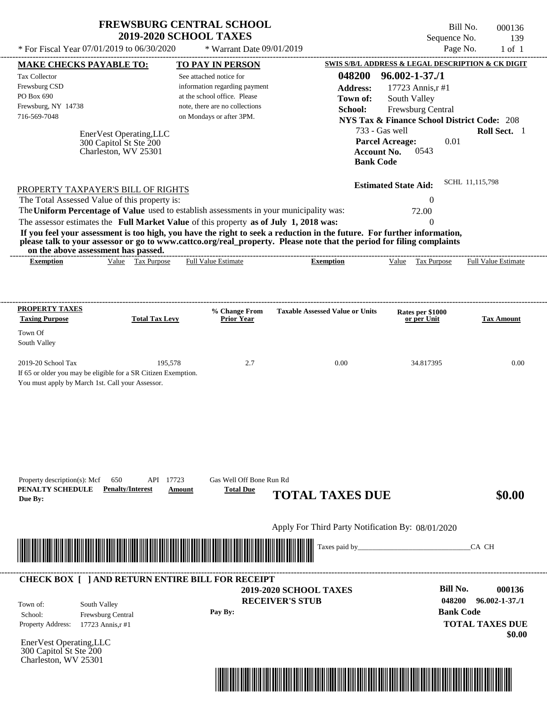|                                                                                                                                                                                                                                                                                         | <b>2019-2020 SCHOOL TAXES</b>                                             | <b>FREWSBURG CENTRAL SCHOOL</b>    |                                                   | Sequence No.                                             | Bill No.<br>000136<br>139        |
|-----------------------------------------------------------------------------------------------------------------------------------------------------------------------------------------------------------------------------------------------------------------------------------------|---------------------------------------------------------------------------|------------------------------------|---------------------------------------------------|----------------------------------------------------------|----------------------------------|
| * For Fiscal Year 07/01/2019 to 06/30/2020                                                                                                                                                                                                                                              |                                                                           | * Warrant Date 09/01/2019          |                                                   |                                                          | Page No.<br>$1$ of $1$           |
| <b>MAKE CHECKS PAYABLE TO:</b>                                                                                                                                                                                                                                                          |                                                                           | <b>TO PAY IN PERSON</b>            |                                                   | SWIS S/B/L ADDRESS & LEGAL DESCRIPTION & CK DIGIT        |                                  |
| Tax Collector                                                                                                                                                                                                                                                                           |                                                                           | See attached notice for            | 048200                                            | $96.002 - 1 - 37.1$                                      |                                  |
| Frewsburg CSD                                                                                                                                                                                                                                                                           |                                                                           | information regarding payment      | <b>Address:</b>                                   | 17723 Annis, r#1                                         |                                  |
| PO Box 690                                                                                                                                                                                                                                                                              |                                                                           | at the school office. Please       | Town of:                                          | South Valley                                             |                                  |
| Frewsburg, NY 14738                                                                                                                                                                                                                                                                     |                                                                           | note, there are no collections     | School:                                           | Frewsburg Central                                        |                                  |
| 716-569-7048                                                                                                                                                                                                                                                                            |                                                                           | on Mondays or after 3PM.           |                                                   | <b>NYS Tax &amp; Finance School District Code: 208</b>   |                                  |
|                                                                                                                                                                                                                                                                                         | EnerVest Operating, LLC<br>300 Capitol St Ste 200<br>Charleston, WV 25301 |                                    | <b>Account No.</b><br><b>Bank Code</b>            | 733 - Gas well<br><b>Parcel Acreage:</b><br>0.01<br>0543 | Roll Sect. 1                     |
| PROPERTY TAXPAYER'S BILL OF RIGHTS                                                                                                                                                                                                                                                      |                                                                           |                                    |                                                   | <b>Estimated State Aid:</b>                              | SCHL 11,115,798                  |
| The Total Assessed Value of this property is:                                                                                                                                                                                                                                           |                                                                           |                                    |                                                   | $\theta$                                                 |                                  |
| The Uniform Percentage of Value used to establish assessments in your municipality was:                                                                                                                                                                                                 |                                                                           |                                    |                                                   | 72.00                                                    |                                  |
| The assessor estimates the Full Market Value of this property as of July 1, 2018 was:                                                                                                                                                                                                   |                                                                           |                                    |                                                   | 0                                                        |                                  |
| If you feel your assessment is too high, you have the right to seek a reduction in the future. For further information,<br>please talk to your assessor or go to www.cattco.org/real_property. Please note that the period for filing complaints<br>on the above assessment has passed. |                                                                           |                                    |                                                   |                                                          |                                  |
| <b>Exemption</b>                                                                                                                                                                                                                                                                        | Value Tax Purpose                                                         | <b>Full Value Estimate</b>         | <b>Exemption</b>                                  | Value<br>Tax Purpose                                     | <b>Full Value Estimate</b>       |
|                                                                                                                                                                                                                                                                                         |                                                                           |                                    |                                                   |                                                          |                                  |
|                                                                                                                                                                                                                                                                                         |                                                                           |                                    |                                                   |                                                          |                                  |
| PROPERTY TAXES<br><b>Taxing Purpose</b>                                                                                                                                                                                                                                                 | <b>Total Tax Levy</b>                                                     | % Change From<br><b>Prior Year</b> | <b>Taxable Assessed Value or Units</b>            | Rates per \$1000<br>or per Unit                          | <b>Tax Amount</b>                |
| Town Of                                                                                                                                                                                                                                                                                 |                                                                           |                                    |                                                   |                                                          |                                  |
| South Valley                                                                                                                                                                                                                                                                            |                                                                           |                                    |                                                   |                                                          |                                  |
| 2019-20 School Tax<br>If 65 or older you may be eligible for a SR Citizen Exemption.                                                                                                                                                                                                    | 195,578                                                                   | 2.7                                | 0.00                                              | 34.817395                                                | 0.00                             |
| You must apply by March 1st. Call your Assessor.                                                                                                                                                                                                                                        |                                                                           | Gas Well Off Bone Run Rd           |                                                   |                                                          |                                  |
| Property description(s): Mcf<br>650<br>PENALTY SCHEDULE                                                                                                                                                                                                                                 | API 17723<br><b>Penalty/Interest</b><br>Amount                            | <b>Total Due</b>                   |                                                   |                                                          |                                  |
| Due By:                                                                                                                                                                                                                                                                                 |                                                                           |                                    | <b>TOTAL TAXES DUE</b>                            |                                                          | \$0.00                           |
|                                                                                                                                                                                                                                                                                         |                                                                           |                                    | Apply For Third Party Notification By: 08/01/2020 |                                                          |                                  |
|                                                                                                                                                                                                                                                                                         |                                                                           |                                    | Taxes paid by                                     |                                                          | CA CH                            |
|                                                                                                                                                                                                                                                                                         |                                                                           |                                    |                                                   |                                                          |                                  |
| <b>CHECK BOX [ ] AND RETURN ENTIRE BILL FOR RECEIPT</b>                                                                                                                                                                                                                                 |                                                                           |                                    |                                                   | <b>Bill No.</b>                                          | 000136                           |
|                                                                                                                                                                                                                                                                                         |                                                                           | <b>RECEIVER'S STUB</b>             | <b>2019-2020 SCHOOL TAXES</b>                     | 048200                                                   | $96.002 - 1 - 37.71$             |
| South Valley<br>Town of:                                                                                                                                                                                                                                                                |                                                                           |                                    |                                                   |                                                          | <b>Bank Code</b>                 |
| Frewsburg Central<br>School:                                                                                                                                                                                                                                                            |                                                                           | Pay By:                            |                                                   |                                                          |                                  |
| Property Address:<br>17723 Annis, r#1                                                                                                                                                                                                                                                   |                                                                           |                                    |                                                   |                                                          | <b>TOTAL TAXES DUE</b><br>\$0.00 |
| EnerVest Operating, LLC<br>300 Capitol St Ste 200<br>Charleston, WV 25301                                                                                                                                                                                                               |                                                                           |                                    |                                                   |                                                          |                                  |

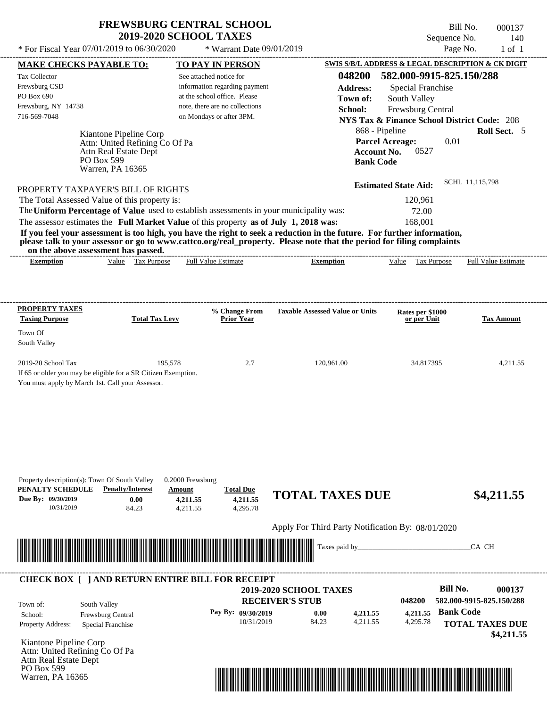PO Box 599 Warren, PA 16365  $(0.1/2010 \text{ to } 0.6/20/2020 \rightarrow W_{\text{meas}} + D_{\text{tot}} \cdot 0.0/0.1/2010)$ 

Bill No. 000137 Sequence No. 140

| * For Fiscal Year 07/01/2019 to 06/30/2020                                                                                                                                                                                                                                                                                                                                                                                                                                                                                                                                                                                                                                                                                                                                       | * Warrant Date 09/01/2019                                                                                                                              |                                                                                                              |                                                                                                                                                                                                                                                     | Page No.<br>$1$ of $1$                                |
|----------------------------------------------------------------------------------------------------------------------------------------------------------------------------------------------------------------------------------------------------------------------------------------------------------------------------------------------------------------------------------------------------------------------------------------------------------------------------------------------------------------------------------------------------------------------------------------------------------------------------------------------------------------------------------------------------------------------------------------------------------------------------------|--------------------------------------------------------------------------------------------------------------------------------------------------------|--------------------------------------------------------------------------------------------------------------|-----------------------------------------------------------------------------------------------------------------------------------------------------------------------------------------------------------------------------------------------------|-------------------------------------------------------|
| <b>MAKE CHECKS PAYABLE TO:</b>                                                                                                                                                                                                                                                                                                                                                                                                                                                                                                                                                                                                                                                                                                                                                   | <b>TO PAY IN PERSON</b>                                                                                                                                |                                                                                                              |                                                                                                                                                                                                                                                     | SWIS S/B/L ADDRESS & LEGAL DESCRIPTION & CK DIGIT     |
| Tax Collector<br>Frewsburg CSD<br>PO Box 690<br>Frewsburg, NY 14738<br>716-569-7048<br>Kiantone Pipeline Corp<br>Attn: United Refining Co Of Pa<br>Attn Real Estate Dept<br>PO Box 599<br>Warren, PA 16365<br>PROPERTY TAXPAYER'S BILL OF RIGHTS<br>The Total Assessed Value of this property is:<br>The Uniform Percentage of Value used to establish assessments in your municipality was:<br>The assessor estimates the Full Market Value of this property as of July 1, 2018 was:<br>If you feel your assessment is too high, you have the right to seek a reduction in the future. For further information,<br>please talk to your assessor or go to www.cattco.org/real_property. Please note that the period for filing complaints<br>on the above assessment has passed. | See attached notice for<br>information regarding payment<br>at the school office. Please<br>note, there are no collections<br>on Mondays or after 3PM. | 048200<br><b>Address:</b><br>Town of:<br>School:<br>868 - Pipeline<br><b>Account No.</b><br><b>Bank Code</b> | 582.000-9915-825.150/288<br><b>Special Franchise</b><br>South Valley<br>Frewsburg Central<br><b>NYS Tax &amp; Finance School District Code: 208</b><br><b>Parcel Acreage:</b><br>0527<br><b>Estimated State Aid:</b><br>120,961<br>72.00<br>168,001 | Roll Sect. 5<br>0.01<br>SCHL 11,115,798               |
| Value Tax Purpose<br><b>Exemption</b>                                                                                                                                                                                                                                                                                                                                                                                                                                                                                                                                                                                                                                                                                                                                            | <b>Full Value Estimate</b>                                                                                                                             | <b>Exemption</b>                                                                                             | Value Tax Purpose                                                                                                                                                                                                                                   | <b>Full Value Estimate</b>                            |
| <b>PROPERTY TAXES</b><br><b>Taxing Purpose</b><br><b>Total Tax Levy</b>                                                                                                                                                                                                                                                                                                                                                                                                                                                                                                                                                                                                                                                                                                          | % Change From<br><b>Prior Year</b>                                                                                                                     | <b>Taxable Assessed Value or Units</b>                                                                       | Rates per \$1000<br>or per Unit                                                                                                                                                                                                                     | <b>Tax Amount</b>                                     |
| Town Of<br>South Valley                                                                                                                                                                                                                                                                                                                                                                                                                                                                                                                                                                                                                                                                                                                                                          |                                                                                                                                                        |                                                                                                              |                                                                                                                                                                                                                                                     |                                                       |
| 2019-20 School Tax<br>195,578<br>If 65 or older you may be eligible for a SR Citizen Exemption.<br>You must apply by March 1st. Call your Assessor.                                                                                                                                                                                                                                                                                                                                                                                                                                                                                                                                                                                                                              | 2.7                                                                                                                                                    | 120,961.00                                                                                                   | 34.817395                                                                                                                                                                                                                                           | 4,211.55                                              |
| Property description(s): Town Of South Valley<br>PENALTY SCHEDULE<br><b>Penalty/Interest</b><br>Due By: 09/30/2019<br>0.00<br>10/31/2019<br>84.23                                                                                                                                                                                                                                                                                                                                                                                                                                                                                                                                                                                                                                | 0.2000 Frewsburg<br><b>Total Due</b><br>Amount<br>4,211.55<br>4,211.55<br>4,295.78<br>4,211.55                                                         | <b>TOTAL TAXES DUE</b>                                                                                       |                                                                                                                                                                                                                                                     | \$4,211.55                                            |
|                                                                                                                                                                                                                                                                                                                                                                                                                                                                                                                                                                                                                                                                                                                                                                                  |                                                                                                                                                        | Apply For Third Party Notification By: 08/01/2020                                                            |                                                                                                                                                                                                                                                     |                                                       |
| <u> Indian American State of Barbara and The Barbara and The Barbara and The Barbara and The Barbara and The Barbara and The Barbara and The Barbara and The Barbara and The Barbara and The Barbara and The Barbara and The Bar</u>                                                                                                                                                                                                                                                                                                                                                                                                                                                                                                                                             |                                                                                                                                                        | Taxes paid by_____                                                                                           |                                                                                                                                                                                                                                                     | CA CH                                                 |
| <b>CHECK BOX [ ] AND RETURN ENTIRE BILL FOR RECEIPT</b>                                                                                                                                                                                                                                                                                                                                                                                                                                                                                                                                                                                                                                                                                                                          |                                                                                                                                                        | 2019-2020 SCHOOL TAXES<br><b>RECEIVER'S STUB</b>                                                             | 048200                                                                                                                                                                                                                                              | <b>Bill No.</b><br>000137<br>582.000-9915-825.150/288 |

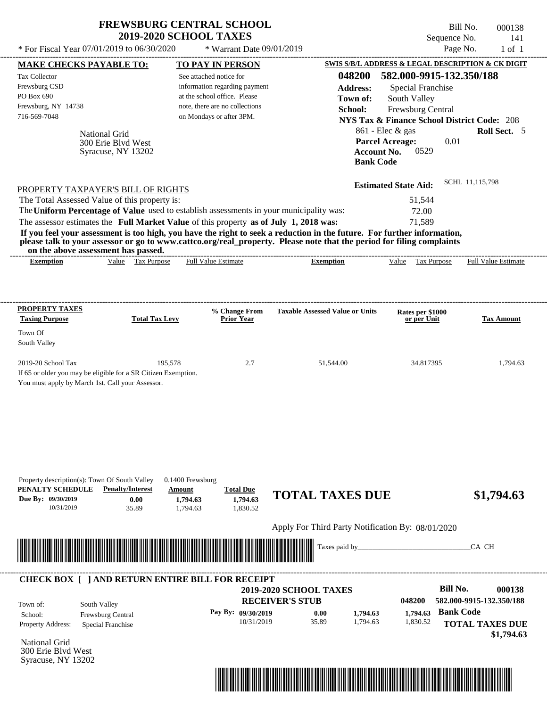| <b>FREWSBURG CENTRAL SCHOOL</b>            |                             | Bill No.     | 000138 |
|--------------------------------------------|-----------------------------|--------------|--------|
| <b>2019-2020 SCHOOL TAXES</b>              |                             | Sequence No. | 141    |
| * For Fiscal Year 07/01/2019 to 06/30/2020 | $*$ Warrant Date 09/01/2019 | Page No.     | 1 of 1 |

|                                                                                                                      | <b>MAKE CHECKS PAYABLE TO:</b>    | <b>TO PAY IN PERSON</b>            |                                                                                                                         | <b>SWIS S/B/L ADDRESS &amp; LEGAL DESCRIPTION &amp; CK DIGIT</b> |                                    |
|----------------------------------------------------------------------------------------------------------------------|-----------------------------------|------------------------------------|-------------------------------------------------------------------------------------------------------------------------|------------------------------------------------------------------|------------------------------------|
| <b>Tax Collector</b>                                                                                                 |                                   | See attached notice for            | 048200                                                                                                                  | 582.000-9915-132.350/188                                         |                                    |
| Frewsburg CSD                                                                                                        |                                   | information regarding payment      | <b>Address:</b>                                                                                                         | <b>Special Franchise</b>                                         |                                    |
| PO Box 690                                                                                                           |                                   | at the school office. Please       | Town of:                                                                                                                | South Valley                                                     |                                    |
| Frewsburg, NY 14738                                                                                                  |                                   | note, there are no collections     | School:                                                                                                                 | Frewsburg Central                                                |                                    |
| 716-569-7048                                                                                                         |                                   | on Mondays or after 3PM.           |                                                                                                                         | <b>NYS Tax &amp; Finance School District Code: 208</b>           |                                    |
|                                                                                                                      |                                   |                                    | 861 - Elec & gas                                                                                                        |                                                                  | <b>Roll Sect.</b> 5                |
| National Grid                                                                                                        | 300 Erie Blvd West                |                                    | <b>Parcel Acreage:</b>                                                                                                  | 0.01                                                             |                                    |
|                                                                                                                      | Syracuse, NY 13202                |                                    | <b>Account No.</b>                                                                                                      | 0529                                                             |                                    |
|                                                                                                                      |                                   |                                    | <b>Bank Code</b>                                                                                                        |                                                                  |                                    |
|                                                                                                                      |                                   |                                    |                                                                                                                         |                                                                  |                                    |
| PROPERTY TAXPAYER'S BILL OF RIGHTS                                                                                   |                                   |                                    |                                                                                                                         | <b>Estimated State Aid:</b>                                      | SCHL 11,115,798                    |
| The Total Assessed Value of this property is:                                                                        |                                   |                                    |                                                                                                                         | 51,544                                                           |                                    |
| The Uniform Percentage of Value used to establish assessments in your municipality was:                              |                                   |                                    |                                                                                                                         | 72.00                                                            |                                    |
| The assessor estimates the Full Market Value of this property as of July 1, 2018 was:                                |                                   |                                    |                                                                                                                         | 71,589                                                           |                                    |
|                                                                                                                      |                                   |                                    | If you feel your assessment is too high, you have the right to seek a reduction in the future. For further information, |                                                                  |                                    |
|                                                                                                                      |                                   |                                    | please talk to your assessor or go to www.cattco.org/real_property. Please note that the period for filing complaints   |                                                                  |                                    |
| on the above assessment has passed.<br><b>Exemption</b>                                                              | Value Tax Purpose                 | <b>Full Value Estimate</b>         | <b>Exemption</b>                                                                                                        | Value Tax Purpose                                                | <b>Full Value Estimate</b>         |
|                                                                                                                      |                                   |                                    |                                                                                                                         |                                                                  |                                    |
|                                                                                                                      |                                   |                                    |                                                                                                                         |                                                                  |                                    |
|                                                                                                                      |                                   |                                    |                                                                                                                         |                                                                  |                                    |
| <b>PROPERTY TAXES</b><br><b>Taxing Purpose</b>                                                                       | <b>Total Tax Levy</b>             | % Change From<br><b>Prior Year</b> | <b>Taxable Assessed Value or Units</b>                                                                                  | Rates per \$1000<br>or per Unit                                  | <b>Tax Amount</b>                  |
| Town Of                                                                                                              |                                   |                                    |                                                                                                                         |                                                                  |                                    |
| South Valley                                                                                                         |                                   |                                    |                                                                                                                         |                                                                  |                                    |
|                                                                                                                      |                                   |                                    |                                                                                                                         |                                                                  |                                    |
| 2019-20 School Tax                                                                                                   | 195,578                           | 2.7                                | 51,544.00                                                                                                               | 34.817395                                                        | 1,794.63                           |
| If 65 or older you may be eligible for a SR Citizen Exemption.                                                       |                                   |                                    |                                                                                                                         |                                                                  |                                    |
|                                                                                                                      |                                   |                                    |                                                                                                                         |                                                                  |                                    |
| You must apply by March 1st. Call your Assessor.                                                                     |                                   |                                    |                                                                                                                         |                                                                  |                                    |
|                                                                                                                      |                                   |                                    |                                                                                                                         |                                                                  |                                    |
|                                                                                                                      |                                   |                                    |                                                                                                                         |                                                                  |                                    |
|                                                                                                                      |                                   |                                    |                                                                                                                         |                                                                  |                                    |
|                                                                                                                      |                                   |                                    |                                                                                                                         |                                                                  |                                    |
|                                                                                                                      |                                   |                                    |                                                                                                                         |                                                                  |                                    |
|                                                                                                                      |                                   |                                    |                                                                                                                         |                                                                  |                                    |
| Property description(s): Town Of South Valley                                                                        |                                   | 0.1400 Frewsburg                   |                                                                                                                         |                                                                  |                                    |
| PENALTY SCHEDULE                                                                                                     | <b>Penalty/Interest</b><br>Amount | <b>Total Due</b>                   |                                                                                                                         |                                                                  |                                    |
|                                                                                                                      | 0.00                              | 1,794.63<br>1,794.63               | <b>TOTAL TAXES DUE</b>                                                                                                  |                                                                  | \$1,794.63                         |
| 10/31/2019                                                                                                           | 35.89                             | 1,830.52<br>1,794.63               |                                                                                                                         |                                                                  |                                    |
| Due By: 09/30/2019                                                                                                   |                                   |                                    | Apply For Third Party Notification By: 08/01/2020                                                                       |                                                                  |                                    |
|                                                                                                                      |                                   |                                    |                                                                                                                         |                                                                  |                                    |
|                                                                                                                      |                                   |                                    | Taxes paid by_                                                                                                          |                                                                  | CA CH                              |
| <u> III de la contrada de la contrada de la contrada de la contrada de la contrada de la contrada de la contrada</u> |                                   |                                    |                                                                                                                         |                                                                  |                                    |
|                                                                                                                      |                                   |                                    |                                                                                                                         |                                                                  |                                    |
| <b>CHECK BOX [ ] AND RETURN ENTIRE BILL FOR RECEIPT</b>                                                              |                                   |                                    | <b>2019-2020 SCHOOL TAXES</b>                                                                                           | <b>Bill No.</b>                                                  |                                    |
|                                                                                                                      |                                   |                                    |                                                                                                                         | 048200                                                           |                                    |
| South Valley<br>Town of:                                                                                             |                                   |                                    | <b>RECEIVER'S STUB</b>                                                                                                  |                                                                  | 000138<br>582.000-9915-132.350/188 |
| School:<br>Frewsburg Central                                                                                         |                                   | Pay By: 09/30/2019                 | 0.00<br>1,794.63                                                                                                        | <b>Bank Code</b><br>1,794.63                                     |                                    |
| Property Address:<br>Special Franchise                                                                               |                                   | 10/31/2019                         | 35.89<br>1,794.63                                                                                                       | 1,830.52                                                         | <b>TOTAL TAXES DUE</b>             |
| <b>National Grid</b>                                                                                                 |                                   |                                    |                                                                                                                         |                                                                  | \$1,794.63                         |

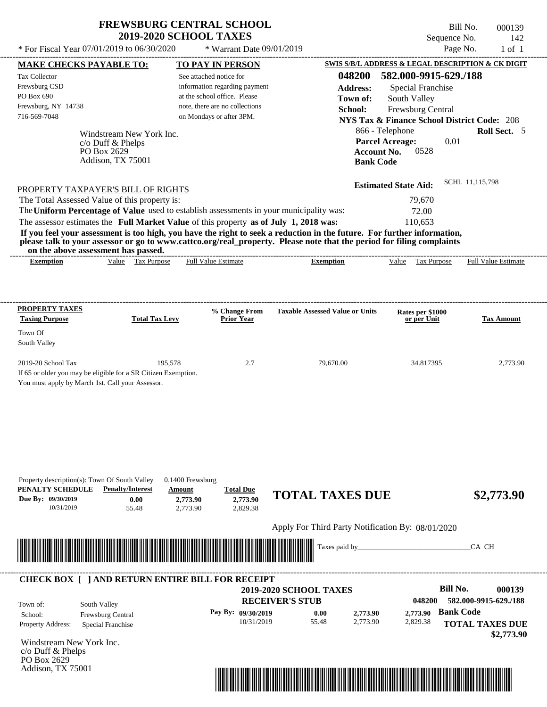$(0.1/2010 \text{ to } 0.6/20/2020 \rightarrow W_{\text{meas}} + D_{\text{tot}} \cdot 0.0/0.1/2010)$ 

Addison, TX 75001

Bill No. 000139 Sequence No. 142

| * For Fiscal Year 07/01/2019 to 06/30/2020                                                                                               |                                                                                   | * Warrant Date 09/01/2019                                                                                                                                                        |                                                                                                                                                                                                                                                  |                                                                                                                                                                                                                              | Page No.<br>$1$ of $1$                                                                      |
|------------------------------------------------------------------------------------------------------------------------------------------|-----------------------------------------------------------------------------------|----------------------------------------------------------------------------------------------------------------------------------------------------------------------------------|--------------------------------------------------------------------------------------------------------------------------------------------------------------------------------------------------------------------------------------------------|------------------------------------------------------------------------------------------------------------------------------------------------------------------------------------------------------------------------------|---------------------------------------------------------------------------------------------|
| <b>MAKE CHECKS PAYABLE TO:</b>                                                                                                           |                                                                                   | <b>TO PAY IN PERSON</b>                                                                                                                                                          |                                                                                                                                                                                                                                                  | SWIS S/B/L ADDRESS & LEGAL DESCRIPTION & CK DIGIT                                                                                                                                                                            |                                                                                             |
| Tax Collector<br>Frewsburg CSD<br>PO Box 690<br>Frewsburg, NY 14738<br>716-569-7048                                                      | Windstream New York Inc.<br>c/o Duff & Phelps<br>PO Box 2629<br>Addison, TX 75001 | See attached notice for<br>information regarding payment<br>at the school office. Please<br>note, there are no collections<br>on Mondays or after 3PM.                           | 048200<br><b>Address:</b><br>Town of:<br>School:<br><b>Bank Code</b>                                                                                                                                                                             | 582.000-9915-629./188<br>Special Franchise<br>South Valley<br>Frewsburg Central<br><b>NYS Tax &amp; Finance School District Code: 208</b><br>866 - Telephone<br><b>Parcel Acreage:</b><br>0.01<br><b>Account No.</b><br>0528 | Roll Sect. 5<br>SCHL 11,115,798                                                             |
| PROPERTY TAXPAYER'S BILL OF RIGHTS<br>The Total Assessed Value of this property is:<br>on the above assessment has passed.               |                                                                                   | The Uniform Percentage of Value used to establish assessments in your municipality was:<br>The assessor estimates the Full Market Value of this property as of July 1, 2018 was: | If you feel your assessment is too high, you have the right to seek a reduction in the future. For further information,<br>please talk to your assessor or go to www.cattco.org/real_property. Please note that the period for filing complaints | <b>Estimated State Aid:</b><br>79,670<br>72.00<br>110,653                                                                                                                                                                    |                                                                                             |
| <b>Exemption</b>                                                                                                                         | Value Tax Purpose                                                                 | <b>Full Value Estimate</b>                                                                                                                                                       | <b>Exemption</b>                                                                                                                                                                                                                                 | Value Tax Purpose                                                                                                                                                                                                            | <b>Full Value Estimate</b>                                                                  |
| <b>PROPERTY TAXES</b>                                                                                                                    |                                                                                   | % Change From                                                                                                                                                                    | <b>Taxable Assessed Value or Units</b>                                                                                                                                                                                                           |                                                                                                                                                                                                                              |                                                                                             |
| <b>Taxing Purpose</b><br>Town Of<br>South Valley                                                                                         | <b>Total Tax Levy</b>                                                             | <b>Prior Year</b>                                                                                                                                                                |                                                                                                                                                                                                                                                  | Rates per \$1000<br>or per Unit                                                                                                                                                                                              | <b>Tax Amount</b>                                                                           |
| 2019-20 School Tax<br>If 65 or older you may be eligible for a SR Citizen Exemption.<br>You must apply by March 1st. Call your Assessor. | 195,578                                                                           | 2.7                                                                                                                                                                              | 79,670.00                                                                                                                                                                                                                                        | 34.817395                                                                                                                                                                                                                    | 2,773.90                                                                                    |
| Property description(s): Town Of South Valley<br>PENALTY SCHEDULE<br>Due By: 09/30/2019<br>10/31/2019                                    | <b>Penalty/Interest</b><br>0.00<br>55.48                                          | $0.1400$ Frewsburg<br><b>Total Due</b><br>Amount<br>2,773.90<br>2,773.90<br>2,829.38<br>2,773.90                                                                                 | <b>TOTAL TAXES DUE</b>                                                                                                                                                                                                                           |                                                                                                                                                                                                                              | \$2,773.90                                                                                  |
| <u> III de la contrada de la contrada de la contrada de la contrada de la contrada de la contrada de la contrada</u>                     |                                                                                   |                                                                                                                                                                                  | Apply For Third Party Notification By: 08/01/2020<br>Taxes paid by___                                                                                                                                                                            |                                                                                                                                                                                                                              | CA CH                                                                                       |
| South Valley<br>Town of:<br>School:<br>Property Address:<br>Windstream New York Inc.<br>c/o Duff & Phelps<br>PO Box 2629                 | Frewsburg Central<br>Special Franchise                                            | <b>CHECK BOX [ ] AND RETURN ENTIRE BILL FOR RECEIPT</b><br>Pay By: 09/30/2019<br>10/31/2019                                                                                      | 2019-2020 SCHOOL TAXES<br><b>RECEIVER'S STUB</b><br>0.00<br>2,773.90<br>55.48<br>2,773.90                                                                                                                                                        | <b>Bill No.</b><br>048200<br>2,773.90<br>2,829.38                                                                                                                                                                            | 000139<br>582.000-9915-629./188<br><b>Bank Code</b><br><b>TOTAL TAXES DUE</b><br>\$2,773.90 |

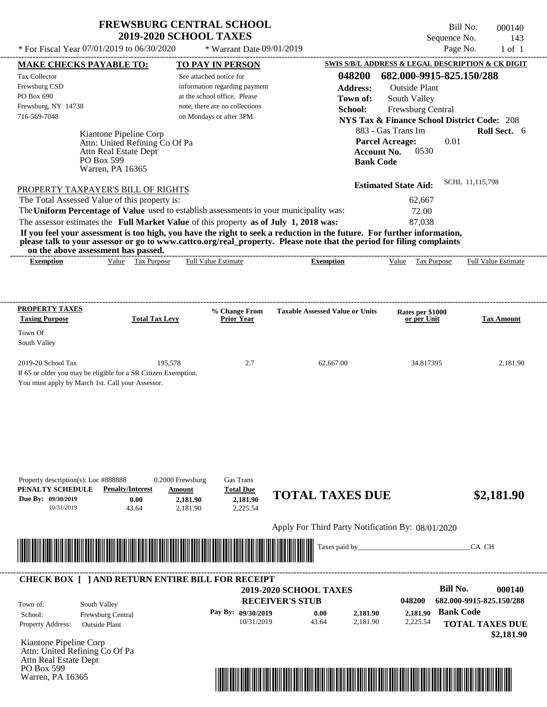Bill No. 000140 Sequence No. 143

| * For Fiscal Year 07/01/2019 to 06/30/2020                                                                                                                                                                                                                                              |                                                    | * Warrant Date 09/01/2019                                |                                                   |                                                                          | Page No.<br>$1$ of $1$     |
|-----------------------------------------------------------------------------------------------------------------------------------------------------------------------------------------------------------------------------------------------------------------------------------------|----------------------------------------------------|----------------------------------------------------------|---------------------------------------------------|--------------------------------------------------------------------------|----------------------------|
| <b>MAKE CHECKS PAYABLE TO:</b>                                                                                                                                                                                                                                                          |                                                    | <b>TO PAY IN PERSON</b>                                  |                                                   | SWIS S/B/L ADDRESS & LEGAL DESCRIPTION & CK DIGIT                        |                            |
| Tax Collector<br>Frewsburg CSD                                                                                                                                                                                                                                                          |                                                    | See attached notice for<br>information regarding payment | 048200                                            | 682.000-9915-825.150/288                                                 |                            |
| PO Box 690                                                                                                                                                                                                                                                                              |                                                    | at the school office. Please                             | <b>Address:</b><br>Town of:                       | <b>Outside Plant</b><br>South Valley                                     |                            |
| Frewsburg, NY 14738                                                                                                                                                                                                                                                                     |                                                    | note, there are no collections                           | School:                                           | Frewsburg Central                                                        |                            |
| 716-569-7048                                                                                                                                                                                                                                                                            |                                                    | on Mondays or after 3PM.                                 |                                                   | <b>NYS Tax &amp; Finance School District Code: 208</b>                   |                            |
|                                                                                                                                                                                                                                                                                         |                                                    |                                                          |                                                   | 883 - Gas Trans Im                                                       | Roll Sect. 6               |
| Kiantone Pipeline Corp<br>Attn: United Refining Co Of Pa<br>Attn Real Estate Dept<br>PO Box 599<br>Warren, PA 16365                                                                                                                                                                     |                                                    |                                                          |                                                   | <b>Parcel Acreage:</b><br><b>Account No.</b><br>0530<br><b>Bank Code</b> | 0.01                       |
| PROPERTY TAXPAYER'S BILL OF RIGHTS                                                                                                                                                                                                                                                      |                                                    |                                                          |                                                   | <b>Estimated State Aid:</b>                                              | SCHL 11,115,798            |
| The Total Assessed Value of this property is:                                                                                                                                                                                                                                           |                                                    |                                                          |                                                   | 62,667                                                                   |                            |
| The Uniform Percentage of Value used to establish assessments in your municipality was:                                                                                                                                                                                                 |                                                    |                                                          |                                                   | 72.00                                                                    |                            |
| The assessor estimates the Full Market Value of this property as of July 1, 2018 was:                                                                                                                                                                                                   |                                                    |                                                          |                                                   | 87,038                                                                   |                            |
| If you feel your assessment is too high, you have the right to seek a reduction in the future. For further information,<br>please talk to your assessor or go to www.cattco.org/real_property. Please note that the period for filing complaints<br>on the above assessment has passed. |                                                    |                                                          |                                                   |                                                                          |                            |
| <b>Exemption</b>                                                                                                                                                                                                                                                                        | Value Tax Purpose                                  | <b>Full Value Estimate</b>                               | <b>Exemption</b>                                  | Value Tax Purpose                                                        | <b>Full Value Estimate</b> |
| <b>PROPERTY TAXES</b><br><b>Taxing Purpose</b><br>Town Of<br>South Valley                                                                                                                                                                                                               | <b>Total Tax Levy</b>                              | % Change From<br><b>Prior Year</b>                       | <b>Taxable Assessed Value or Units</b>            | Rates per \$1000<br>or per Unit                                          | <b>Tax Amount</b>          |
| 2019-20 School Tax                                                                                                                                                                                                                                                                      | 195,578                                            | 2.7                                                      | 62,667.00                                         | 34.817395                                                                | 2,181.90                   |
| If 65 or older you may be eligible for a SR Citizen Exemption.                                                                                                                                                                                                                          |                                                    |                                                          |                                                   |                                                                          |                            |
| You must apply by March 1st. Call your Assessor.                                                                                                                                                                                                                                        |                                                    |                                                          |                                                   |                                                                          |                            |
| Property description(s): Loc #888888<br>PENALTY SCHEDULE<br><b>Penalty/Interest</b><br>Due By: 09/30/2019<br>0.00<br>10/31/2019<br>43.64                                                                                                                                                | 0.2000 Frewsburg<br>Amount<br>2,181.90<br>2,181.90 | Gas Trans<br><b>Total Due</b><br>2,181.90<br>2,225.54    | <b>TOTAL TAXES DUE</b>                            |                                                                          | \$2,181.90                 |
|                                                                                                                                                                                                                                                                                         |                                                    |                                                          | Apply For Third Party Notification By: 08/01/2020 |                                                                          |                            |
|                                                                                                                                                                                                                                                                                         |                                                    |                                                          | Taxes paid by_                                    |                                                                          | CA CH                      |
| <b>CHECK BOX [ ] AND RETURN ENTIRE BILL FOR RECEIPT</b>                                                                                                                                                                                                                                 |                                                    |                                                          | 2019-2020 SCHOOL TAXES                            |                                                                          | <b>Bill No.</b><br>000140  |
|                                                                                                                                                                                                                                                                                         |                                                    |                                                          | <b>RECEIVER'S STUB</b>                            | 048200                                                                   | 682.000-9915-825.150/288   |
| South Valley<br>Town of:                                                                                                                                                                                                                                                                |                                                    |                                                          |                                                   |                                                                          | <b>Bank Code</b>           |
| Frewsburg Central<br>School:<br>Property Address:<br><b>Outside Plant</b>                                                                                                                                                                                                               |                                                    | Pay By: 09/30/2019<br>10/31/2019                         | 0.00<br>2,181.90<br>43.64<br>2,181.90             | 2,181.90<br>2,225.54                                                     | <b>TOTAL TAXES DUE</b>     |
|                                                                                                                                                                                                                                                                                         |                                                    |                                                          |                                                   |                                                                          | \$2,181.90                 |
| $U$ iantana Dinalina Cam                                                                                                                                                                                                                                                                |                                                    |                                                          |                                                   |                                                                          |                            |

Kiantone Pipeline Corp Attn: United Refining Co Of Pa Attn Real Estate Dept PO Box 599 Warren, PA 16365

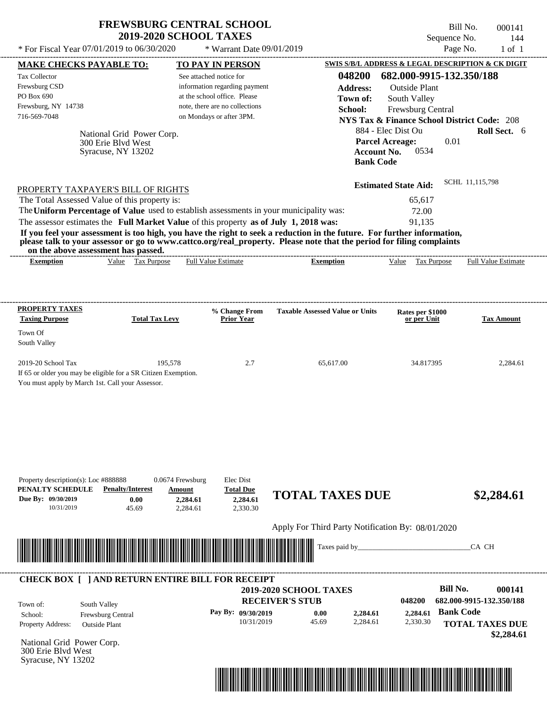| <b>FREWSBURG CENTRAL SCHOOL</b> |
|---------------------------------|
| <b>2019-2020 SCHOOL TAXES</b>   |

Bill No. 000141 Sequence No. 144

| * For Fiscal Year 07/01/2019 to 06/30/2020                                                                                                                                                                                                                                                                                         |                                                                        | * Warrant Date 09/01/2019                                                                                                                              |                                                                                                                                                                                                                                                                      |                                                                                                                                               | Page No.<br>$1$ of $1$                                                                                            |
|------------------------------------------------------------------------------------------------------------------------------------------------------------------------------------------------------------------------------------------------------------------------------------------------------------------------------------|------------------------------------------------------------------------|--------------------------------------------------------------------------------------------------------------------------------------------------------|----------------------------------------------------------------------------------------------------------------------------------------------------------------------------------------------------------------------------------------------------------------------|-----------------------------------------------------------------------------------------------------------------------------------------------|-------------------------------------------------------------------------------------------------------------------|
| <b>MAKE CHECKS PAYABLE TO:</b>                                                                                                                                                                                                                                                                                                     |                                                                        | <b>TO PAY IN PERSON</b>                                                                                                                                |                                                                                                                                                                                                                                                                      |                                                                                                                                               | SWIS S/B/L ADDRESS & LEGAL DESCRIPTION & CK DIGIT                                                                 |
| Tax Collector<br>Frewsburg CSD<br>PO Box 690<br>Frewsburg, NY 14738<br>716-569-7048                                                                                                                                                                                                                                                | National Grid Power Corp.<br>300 Erie Blyd West<br>Syracuse, NY 13202  | See attached notice for<br>information regarding payment<br>at the school office. Please<br>note, there are no collections<br>on Mondays or after 3PM. | 048200<br><b>Address:</b><br>Town of:<br>School:<br><b>Account No.</b><br><b>Bank Code</b>                                                                                                                                                                           | 682.000-9915-132.350/188<br><b>Outside Plant</b><br>South Valley<br>Frewsburg Central<br>884 - Elec Dist Ou<br><b>Parcel Acreage:</b><br>0534 | <b>NYS Tax &amp; Finance School District Code: 208</b><br>Roll Sect. 6<br>0.01                                    |
| PROPERTY TAXPAYER'S BILL OF RIGHTS<br>The Total Assessed Value of this property is:<br>The Uniform Percentage of Value used to establish assessments in your municipality was:<br>The assessor estimates the Full Market Value of this property as of July 1, 2018 was:<br>on the above assessment has passed.<br><b>Exemption</b> | Value Tax Purpose                                                      | <b>Full Value Estimate</b>                                                                                                                             | If you feel your assessment is too high, you have the right to seek a reduction in the future. For further information,<br>please talk to your assessor or go to www.cattco.org/real_property. Please note that the period for filing complaints<br><b>Exemption</b> | <b>Estimated State Aid:</b><br>65,617<br>72.00<br>91,135<br>Value Tax Purpose                                                                 | SCHL 11,115,798<br><b>Full Value Estimate</b>                                                                     |
|                                                                                                                                                                                                                                                                                                                                    |                                                                        |                                                                                                                                                        |                                                                                                                                                                                                                                                                      |                                                                                                                                               |                                                                                                                   |
| <b>PROPERTY TAXES</b><br><b>Taxing Purpose</b>                                                                                                                                                                                                                                                                                     | <b>Total Tax Levy</b>                                                  | % Change From<br><b>Prior Year</b>                                                                                                                     | <b>Taxable Assessed Value or Units</b>                                                                                                                                                                                                                               | Rates per \$1000<br>or per Unit                                                                                                               | <b>Tax Amount</b>                                                                                                 |
| Town Of<br>South Valley                                                                                                                                                                                                                                                                                                            |                                                                        |                                                                                                                                                        |                                                                                                                                                                                                                                                                      |                                                                                                                                               |                                                                                                                   |
| 2019-20 School Tax<br>If 65 or older you may be eligible for a SR Citizen Exemption.<br>You must apply by March 1st. Call your Assessor.                                                                                                                                                                                           | 195,578                                                                | 2.7                                                                                                                                                    | 65,617.00                                                                                                                                                                                                                                                            | 34.817395                                                                                                                                     | 2,284.61                                                                                                          |
| Property description(s): Loc #888888<br>PENALTY SCHEDULE<br>Due By: 09/30/2019<br>10/31/2019                                                                                                                                                                                                                                       | 0.0674 Frewsburg<br><b>Penalty/Interest</b><br>Amount<br>0.00<br>45.69 | Elec Dist<br><b>Total Due</b><br>2,284.61<br>2,284.61<br>2.330.30<br>2,284.61                                                                          | <b>TOTAL TAXES DUE</b>                                                                                                                                                                                                                                               |                                                                                                                                               | \$2,284.61                                                                                                        |
|                                                                                                                                                                                                                                                                                                                                    |                                                                        |                                                                                                                                                        | Apply For Third Party Notification By: 08/01/2020                                                                                                                                                                                                                    |                                                                                                                                               |                                                                                                                   |
| <u> III de la construcción de la construcción de la construcción de la construcción de la construcción de la const</u>                                                                                                                                                                                                             |                                                                        |                                                                                                                                                        | Taxes paid by_                                                                                                                                                                                                                                                       |                                                                                                                                               | CA CH                                                                                                             |
| <b>CHECK BOX [ ] AND RETURN ENTIRE BILL FOR RECEIPT</b><br>South Valley<br>Town of:<br>School:<br>Property Address:<br><b>Outside Plant</b>                                                                                                                                                                                        | Frewsburg Central                                                      | Pay By: 09/30/2019<br>10/31/2019                                                                                                                       | 2019-2020 SCHOOL TAXES<br><b>RECEIVER'S STUB</b><br>0.00<br>2,284.61<br>45.69<br>2,284.61                                                                                                                                                                            | 048200<br>2,284.61<br>2,330.30                                                                                                                | <b>Bill No.</b><br>000141<br>682.000-9915-132.350/188<br><b>Bank Code</b><br><b>TOTAL TAXES DUE</b><br>\$2,284.61 |
| National Grid Power Corp.<br>300 Erie Blvd West<br>Syracuse, NY 13202                                                                                                                                                                                                                                                              |                                                                        |                                                                                                                                                        |                                                                                                                                                                                                                                                                      |                                                                                                                                               |                                                                                                                   |

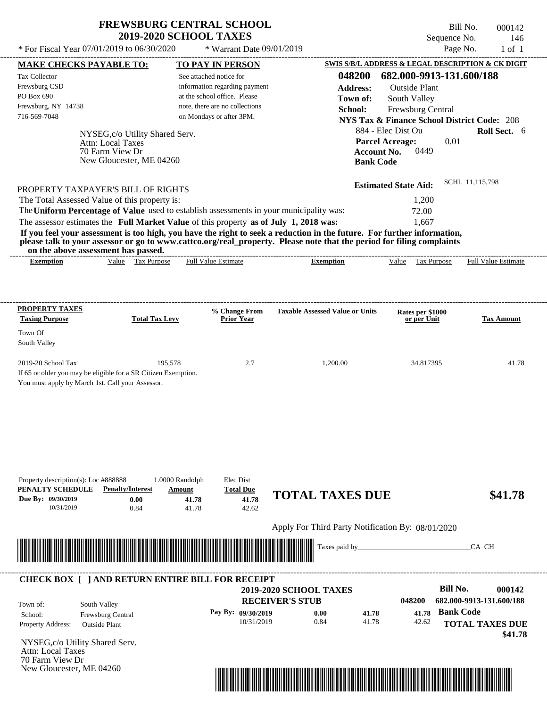Bill No. 000142 Sequence No. 146

| * For Fiscal Year 07/01/2019 to 06/30/2020                                              |                                            | * Warrant Date 09/01/2019                                     |                                                                                                                         |                                                                              | Page No.<br>$1$ of $1$     |  |
|-----------------------------------------------------------------------------------------|--------------------------------------------|---------------------------------------------------------------|-------------------------------------------------------------------------------------------------------------------------|------------------------------------------------------------------------------|----------------------------|--|
| <b>MAKE CHECKS PAYABLE TO:</b>                                                          |                                            | <b>TO PAY IN PERSON</b>                                       |                                                                                                                         | SWIS S/B/L ADDRESS & LEGAL DESCRIPTION & CK DIGIT                            |                            |  |
| Tax Collector                                                                           |                                            | See attached notice for                                       | 048200                                                                                                                  | 682.000-9913-131.600/188                                                     |                            |  |
| Frewsburg CSD<br>PO Box 690                                                             |                                            | information regarding payment<br>at the school office. Please | <b>Address:</b>                                                                                                         | <b>Outside Plant</b>                                                         |                            |  |
| Frewsburg, NY 14738                                                                     |                                            | note, there are no collections                                | Town of:                                                                                                                | South Valley                                                                 |                            |  |
| 716-569-7048                                                                            |                                            | on Mondays or after 3PM.                                      | School:                                                                                                                 | Frewsburg Central                                                            |                            |  |
|                                                                                         |                                            |                                                               |                                                                                                                         | <b>NYS Tax &amp; Finance School District Code: 208</b><br>884 - Elec Dist Ou | Roll Sect. 6               |  |
| <b>Attn: Local Taxes</b>                                                                | NYSEG, c/o Utility Shared Serv.            |                                                               |                                                                                                                         | <b>Parcel Acreage:</b><br>0.01                                               |                            |  |
| 70 Farm View Dr                                                                         |                                            |                                                               |                                                                                                                         | 0449<br><b>Account No.</b>                                                   |                            |  |
|                                                                                         | New Gloucester, ME 04260                   |                                                               | <b>Bank Code</b>                                                                                                        |                                                                              |                            |  |
|                                                                                         |                                            |                                                               |                                                                                                                         |                                                                              | SCHL 11,115,798            |  |
| PROPERTY TAXPAYER'S BILL OF RIGHTS                                                      |                                            |                                                               |                                                                                                                         | <b>Estimated State Aid:</b>                                                  |                            |  |
| The Total Assessed Value of this property is:                                           |                                            |                                                               |                                                                                                                         | 1,200                                                                        |                            |  |
| The Uniform Percentage of Value used to establish assessments in your municipality was: |                                            |                                                               |                                                                                                                         | 72.00                                                                        |                            |  |
| The assessor estimates the Full Market Value of this property as of July 1, 2018 was:   |                                            |                                                               | If you feel your assessment is too high, you have the right to seek a reduction in the future. For further information, | 1,667                                                                        |                            |  |
|                                                                                         |                                            |                                                               | please talk to your assessor or go to www.cattco.org/real_property. Please note that the period for filing complaints   |                                                                              |                            |  |
| on the above assessment has passed.                                                     |                                            |                                                               |                                                                                                                         |                                                                              |                            |  |
| <b>Exemption</b>                                                                        | Value Tax Purpose                          | <b>Full Value Estimate</b>                                    | <b>Exemption</b>                                                                                                        | Value Tax Purpose                                                            | <b>Full Value Estimate</b> |  |
|                                                                                         |                                            |                                                               |                                                                                                                         |                                                                              |                            |  |
|                                                                                         |                                            |                                                               |                                                                                                                         |                                                                              |                            |  |
| <b>PROPERTY TAXES</b>                                                                   |                                            | % Change From                                                 | <b>Taxable Assessed Value or Units</b>                                                                                  | Rates per \$1000                                                             |                            |  |
| <b>Taxing Purpose</b>                                                                   | <b>Total Tax Levy</b>                      | <b>Prior Year</b>                                             |                                                                                                                         | or per Unit                                                                  | <b>Tax Amount</b>          |  |
| Town Of                                                                                 |                                            |                                                               |                                                                                                                         |                                                                              |                            |  |
| South Valley                                                                            |                                            |                                                               |                                                                                                                         |                                                                              |                            |  |
| 2019-20 School Tax                                                                      | 195,578                                    | 2.7                                                           | 1,200.00                                                                                                                | 34.817395                                                                    | 41.78                      |  |
| If 65 or older you may be eligible for a SR Citizen Exemption.                          |                                            |                                                               |                                                                                                                         |                                                                              |                            |  |
| You must apply by March 1st. Call your Assessor.                                        |                                            |                                                               |                                                                                                                         |                                                                              |                            |  |
|                                                                                         |                                            |                                                               |                                                                                                                         |                                                                              |                            |  |
|                                                                                         |                                            |                                                               |                                                                                                                         |                                                                              |                            |  |
|                                                                                         |                                            |                                                               |                                                                                                                         |                                                                              |                            |  |
|                                                                                         |                                            |                                                               |                                                                                                                         |                                                                              |                            |  |
|                                                                                         |                                            |                                                               |                                                                                                                         |                                                                              |                            |  |
|                                                                                         |                                            |                                                               |                                                                                                                         |                                                                              |                            |  |
|                                                                                         |                                            |                                                               |                                                                                                                         |                                                                              |                            |  |
| Property description(s): Loc #888888<br>PENALTY SCHEDULE                                | 1.0000 Randolph<br><b>Penalty/Interest</b> | Elec Dist<br><b>Total Due</b>                                 |                                                                                                                         |                                                                              |                            |  |
| Due By: 09/30/2019                                                                      | Amount<br>0.00                             | 41.78<br>41.78                                                | <b>TOTAL TAXES DUE</b>                                                                                                  |                                                                              | \$41.78                    |  |
| 10/31/2019                                                                              | 0.84                                       | 41.78<br>42.62                                                |                                                                                                                         |                                                                              |                            |  |
|                                                                                         |                                            |                                                               |                                                                                                                         |                                                                              |                            |  |
|                                                                                         |                                            |                                                               | Apply For Third Party Notification By: 08/01/2020                                                                       |                                                                              |                            |  |
|                                                                                         |                                            |                                                               | Taxes paid by_                                                                                                          |                                                                              | CA CH                      |  |
|                                                                                         |                                            |                                                               |                                                                                                                         |                                                                              |                            |  |
|                                                                                         |                                            |                                                               |                                                                                                                         |                                                                              |                            |  |
| <b>CHECK BOX [ ] AND RETURN ENTIRE BILL FOR RECEIPT</b>                                 |                                            |                                                               | 2019-2020 SCHOOL TAXES                                                                                                  | <b>Bill No.</b>                                                              | 000142                     |  |
|                                                                                         |                                            |                                                               | <b>RECEIVER'S STUB</b>                                                                                                  | 048200                                                                       | 682.000-9913-131.600/188   |  |
| South Valley<br>Town of:                                                                |                                            | Pay By: 09/30/2019                                            | 0.00<br>41.78                                                                                                           | <b>Bank Code</b><br>41.78                                                    |                            |  |
| Frewsburg Central<br>School:<br>Property Address:<br><b>Outside Plant</b>               |                                            | 10/31/2019                                                    | 0.84<br>41.78                                                                                                           | 42.62                                                                        | <b>TOTAL TAXES DUE</b>     |  |
|                                                                                         |                                            |                                                               |                                                                                                                         |                                                                              | \$41.78                    |  |
| NYSEG,c/o Utility Shared Serv.                                                          |                                            |                                                               |                                                                                                                         |                                                                              |                            |  |
| <b>Attn: Local Taxes</b><br>70 Farm View Dr                                             |                                            |                                                               |                                                                                                                         |                                                                              |                            |  |
| New Gloucester, ME 04260                                                                |                                            |                                                               |                                                                                                                         |                                                                              |                            |  |